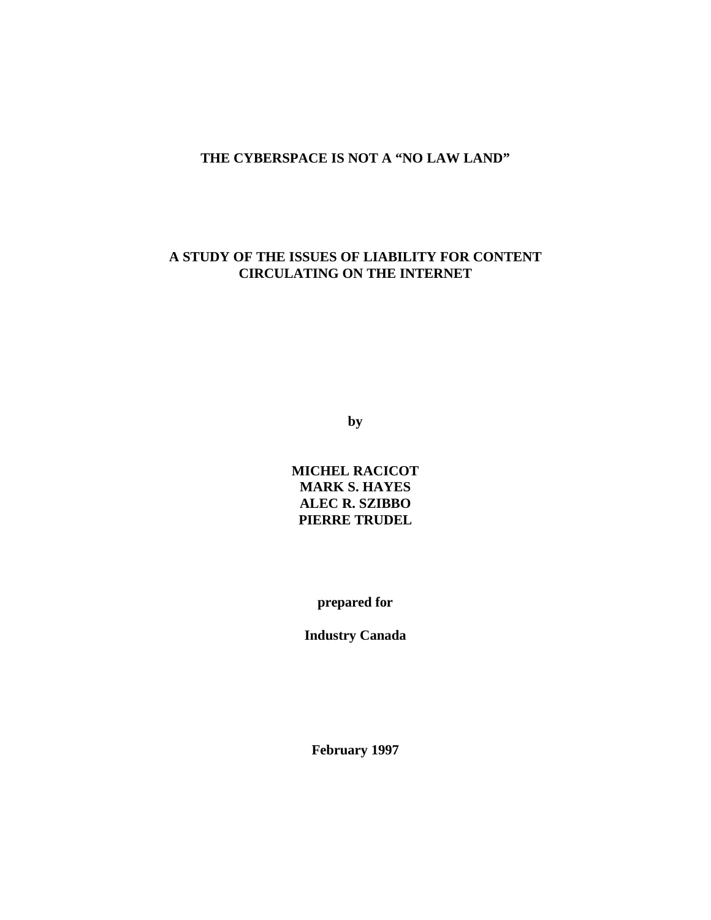## **THE CYBERSPACE IS NOT A "NO LAW LAND"**

# **A STUDY OF THE ISSUES OF LIABILITY FOR CONTENT CIRCULATING ON THE INTERNET**

**by**

**MICHEL RACICOT MARK S. HAYES ALEC R. SZIBBO PIERRE TRUDEL**

**prepared for**

**Industry Canada**

**February 1997**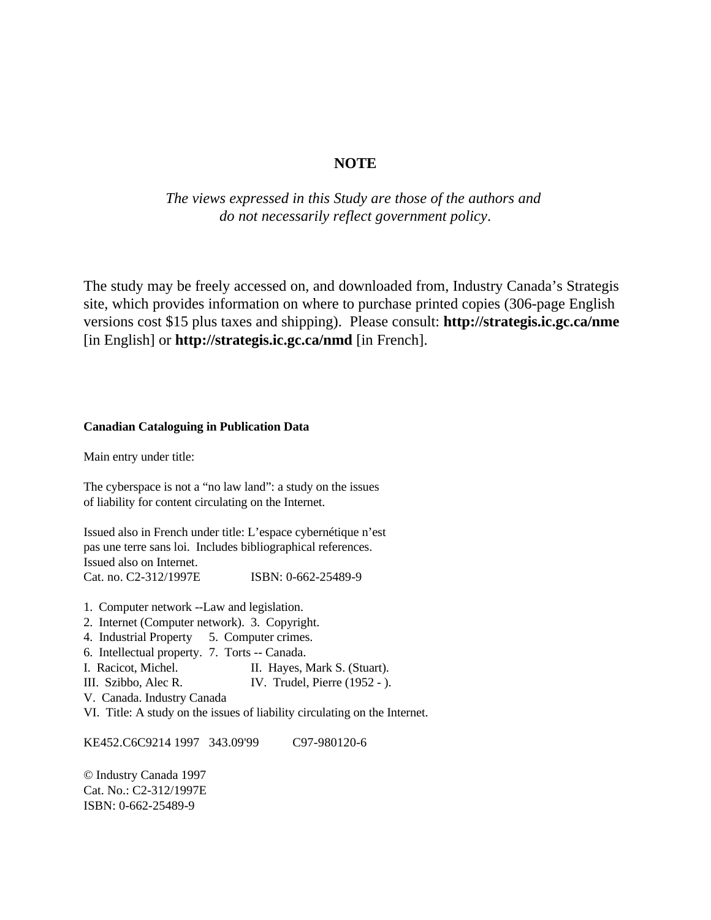### **NOTE**

*The views expressed in this Study are those of the authors and do not necessarily reflect government policy*.

The study may be freely accessed on, and downloaded from, Industry Canada's Strategis site, which provides information on where to purchase printed copies (306-page English versions cost \$15 plus taxes and shipping). Please consult: **http://strategis.ic.gc.ca/nme** [in English] or **http://strategis.ic.gc.ca/nmd** [in French].

#### **Canadian Cataloguing in Publication Data**

Main entry under title:

The cyberspace is not a "no law land": a study on the issues of liability for content circulating on the Internet.

Issued also in French under title: L'espace cybernétique n'est pas une terre sans loi. Includes bibliographical references. Issued also on Internet. Cat. no. C2-312/1997E ISBN: 0-662-25489-9

- 1. Computer network --Law and legislation.
- 2. Internet (Computer network). 3. Copyright.
- 4. Industrial Property 5. Computer crimes.
- 6. Intellectual property. 7. Torts -- Canada.
- I. Racicot, Michel. II. Hayes, Mark S. (Stuart).
- III. Szibbo, Alec R. IV. Trudel, Pierre (1952 ).
- V. Canada. Industry Canada
- VI. Title: A study on the issues of liability circulating on the Internet.

KE452.C6C9214 1997 343.09'99 C97-980120-6

© Industry Canada 1997 Cat. No.: C2-312/1997E ISBN: 0-662-25489-9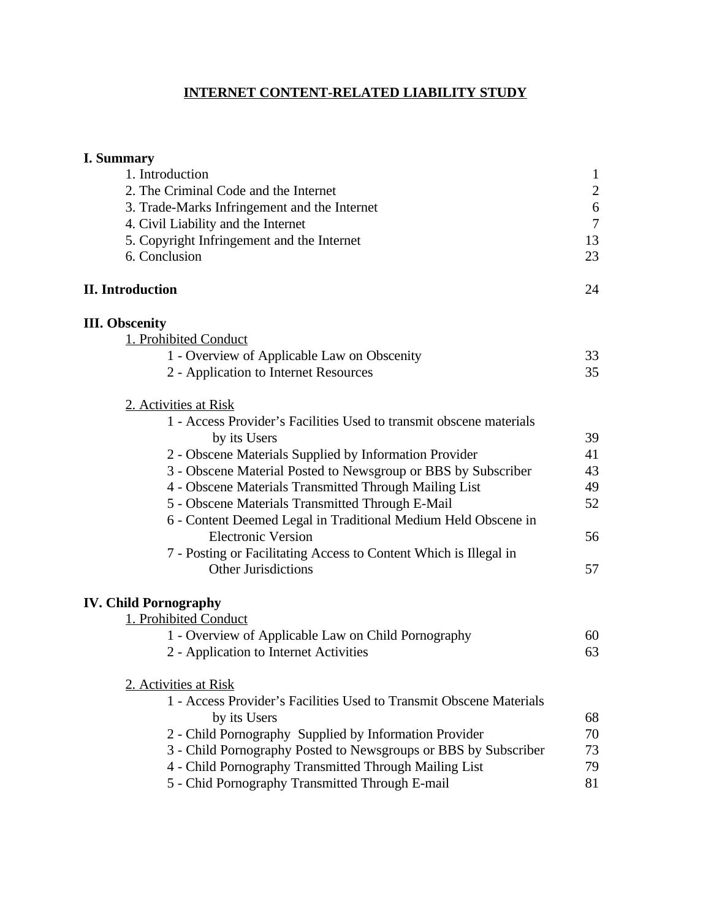# **INTERNET CONTENT-RELATED LIABILITY STUDY**

| <b>I. Summary</b>                                                   |                |
|---------------------------------------------------------------------|----------------|
| 1. Introduction                                                     | $\mathbf{1}$   |
| 2. The Criminal Code and the Internet                               | $\overline{2}$ |
| 3. Trade-Marks Infringement and the Internet                        | 6              |
| 4. Civil Liability and the Internet                                 | $\overline{7}$ |
| 5. Copyright Infringement and the Internet                          | 13             |
| 6. Conclusion                                                       | 23             |
| <b>II.</b> Introduction                                             | 24             |
| <b>III.</b> Obscenity                                               |                |
| 1. Prohibited Conduct                                               |                |
| 1 - Overview of Applicable Law on Obscenity                         | 33             |
| 2 - Application to Internet Resources                               | 35             |
| 2. Activities at Risk                                               |                |
| 1 - Access Provider's Facilities Used to transmit obscene materials |                |
| by its Users                                                        | 39             |
| 2 - Obscene Materials Supplied by Information Provider              | 41             |
| 3 - Obscene Material Posted to Newsgroup or BBS by Subscriber       | 43             |
| 4 - Obscene Materials Transmitted Through Mailing List              | 49             |
| 5 - Obscene Materials Transmitted Through E-Mail                    | 52             |
| 6 - Content Deemed Legal in Traditional Medium Held Obscene in      |                |
| <b>Electronic Version</b>                                           | 56             |
| 7 - Posting or Facilitating Access to Content Which is Illegal in   |                |
| <b>Other Jurisdictions</b>                                          | 57             |
| <b>IV. Child Pornography</b>                                        |                |
| 1. Prohibited Conduct                                               |                |
| 1 - Overview of Applicable Law on Child Pornography                 | 60             |
| 2 - Application to Internet Activities                              | 63             |
| 2. Activities at Risk                                               |                |
| 1 - Access Provider's Facilities Used to Transmit Obscene Materials |                |
| by its Users                                                        | 68             |
| 2 - Child Pornography Supplied by Information Provider              | 70             |
| 3 - Child Pornography Posted to Newsgroups or BBS by Subscriber     | 73             |
| 4 - Child Pornography Transmitted Through Mailing List              | 79             |
| 5 - Chid Pornography Transmitted Through E-mail                     | 81             |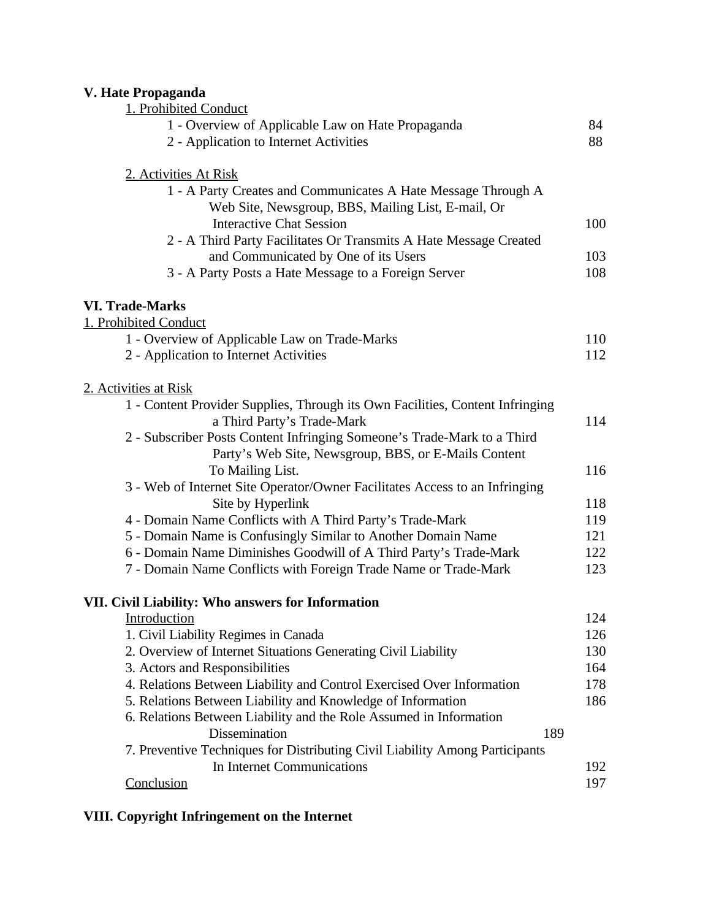# **V. Hate Propaganda**

| v . 11aw 1 гора <u>д</u> анча                                                 |     |
|-------------------------------------------------------------------------------|-----|
| 1. Prohibited Conduct                                                         |     |
| 1 - Overview of Applicable Law on Hate Propaganda                             | 84  |
| 2 - Application to Internet Activities                                        | 88  |
| 2. Activities At Risk                                                         |     |
| 1 - A Party Creates and Communicates A Hate Message Through A                 |     |
| Web Site, Newsgroup, BBS, Mailing List, E-mail, Or                            |     |
| <b>Interactive Chat Session</b>                                               | 100 |
| 2 - A Third Party Facilitates Or Transmits A Hate Message Created             |     |
| and Communicated by One of its Users                                          | 103 |
| 3 - A Party Posts a Hate Message to a Foreign Server                          | 108 |
| <b>VI. Trade-Marks</b>                                                        |     |
| 1. Prohibited Conduct                                                         |     |
| 1 - Overview of Applicable Law on Trade-Marks                                 | 110 |
| 2 - Application to Internet Activities                                        | 112 |
| 2. Activities at Risk                                                         |     |
| 1 - Content Provider Supplies, Through its Own Facilities, Content Infringing |     |
| a Third Party's Trade-Mark                                                    | 114 |
| 2 - Subscriber Posts Content Infringing Someone's Trade-Mark to a Third       |     |
| Party's Web Site, Newsgroup, BBS, or E-Mails Content                          |     |
| To Mailing List.                                                              | 116 |
| 3 - Web of Internet Site Operator/Owner Facilitates Access to an Infringing   |     |
| Site by Hyperlink                                                             | 118 |
| 4 - Domain Name Conflicts with A Third Party's Trade-Mark                     | 119 |
| 5 - Domain Name is Confusingly Similar to Another Domain Name                 | 121 |
| 6 - Domain Name Diminishes Goodwill of A Third Party's Trade-Mark             | 122 |
| 7 - Domain Name Conflicts with Foreign Trade Name or Trade-Mark               | 123 |
| VII. Civil Liability: Who answers for Information                             |     |
| Introduction                                                                  | 124 |
| 1. Civil Liability Regimes in Canada                                          | 126 |
| 2. Overview of Internet Situations Generating Civil Liability                 | 130 |
| 3. Actors and Responsibilities                                                | 164 |
| 4. Relations Between Liability and Control Exercised Over Information         | 178 |
| 5. Relations Between Liability and Knowledge of Information                   | 186 |
| 6. Relations Between Liability and the Role Assumed in Information            |     |
| <b>Dissemination</b><br>189                                                   |     |
| 7. Preventive Techniques for Distributing Civil Liability Among Participants  |     |
| In Internet Communications                                                    | 192 |
| Conclusion                                                                    | 197 |
|                                                                               |     |

# **VIII. Copyright Infringement on the Internet**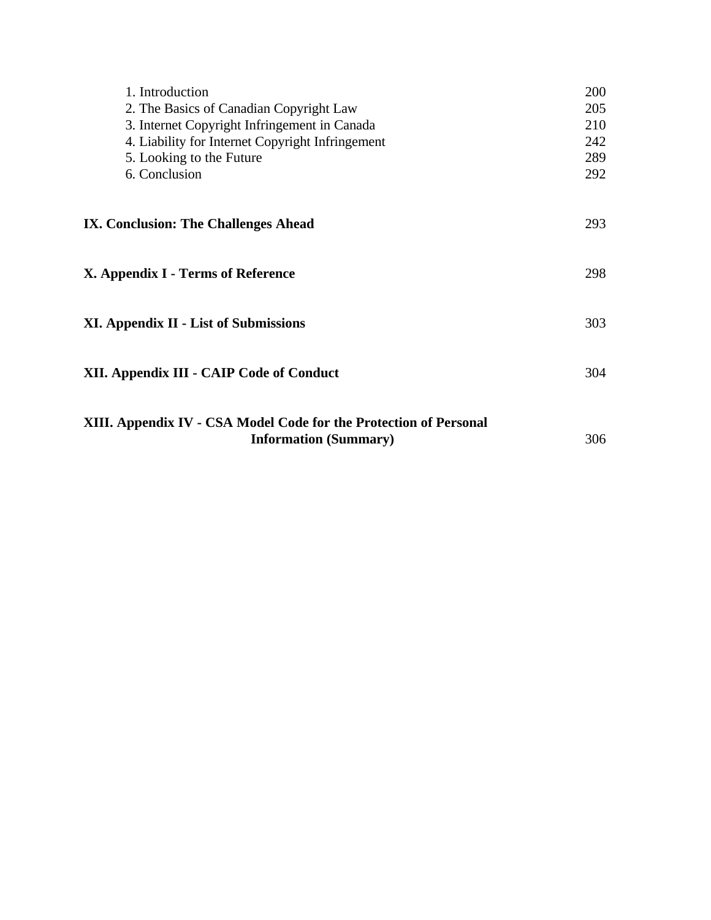| 1. Introduction<br>2. The Basics of Canadian Copyright Law<br>3. Internet Copyright Infringement in Canada<br>4. Liability for Internet Copyright Infringement<br>5. Looking to the Future<br>6. Conclusion | 200<br>205<br>210<br>242<br>289<br>292 |
|-------------------------------------------------------------------------------------------------------------------------------------------------------------------------------------------------------------|----------------------------------------|
| IX. Conclusion: The Challenges Ahead                                                                                                                                                                        | 293                                    |
| X. Appendix I - Terms of Reference                                                                                                                                                                          | 298                                    |
| <b>XI. Appendix II - List of Submissions</b>                                                                                                                                                                | 303                                    |
| XII. Appendix III - CAIP Code of Conduct                                                                                                                                                                    | 304                                    |
| XIII. Appendix IV - CSA Model Code for the Protection of Personal<br><b>Information (Summary)</b>                                                                                                           | 306                                    |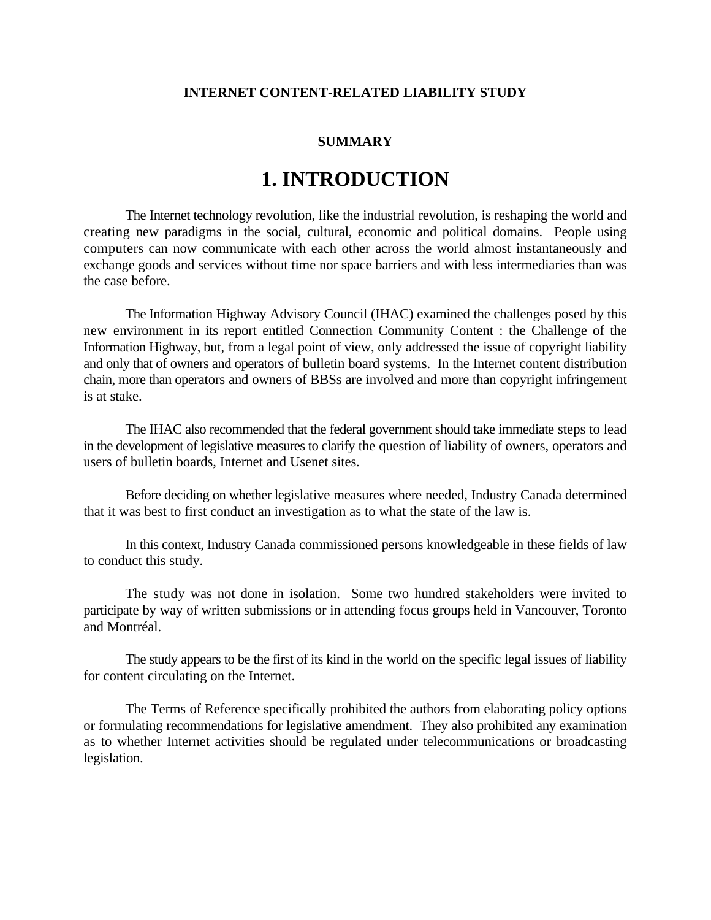### **INTERNET CONTENT-RELATED LIABILITY STUDY**

### **SUMMARY**

# **1. INTRODUCTION**

The Internet technology revolution, like the industrial revolution, is reshaping the world and creating new paradigms in the social, cultural, economic and political domains. People using computers can now communicate with each other across the world almost instantaneously and exchange goods and services without time nor space barriers and with less intermediaries than was the case before.

The Information Highway Advisory Council (IHAC) examined the challenges posed by this new environment in its report entitled Connection Community Content : the Challenge of the Information Highway, but, from a legal point of view, only addressed the issue of copyright liability and only that of owners and operators of bulletin board systems. In the Internet content distribution chain, more than operators and owners of BBSs are involved and more than copyright infringement is at stake.

The IHAC also recommended that the federal government should take immediate steps to lead in the development of legislative measures to clarify the question of liability of owners, operators and users of bulletin boards, Internet and Usenet sites.

Before deciding on whether legislative measures where needed, Industry Canada determined that it was best to first conduct an investigation as to what the state of the law is.

In this context, Industry Canada commissioned persons knowledgeable in these fields of law to conduct this study.

The study was not done in isolation. Some two hundred stakeholders were invited to participate by way of written submissions or in attending focus groups held in Vancouver, Toronto and Montréal.

The study appears to be the first of its kind in the world on the specific legal issues of liability for content circulating on the Internet.

The Terms of Reference specifically prohibited the authors from elaborating policy options or formulating recommendations for legislative amendment. They also prohibited any examination as to whether Internet activities should be regulated under telecommunications or broadcasting legislation.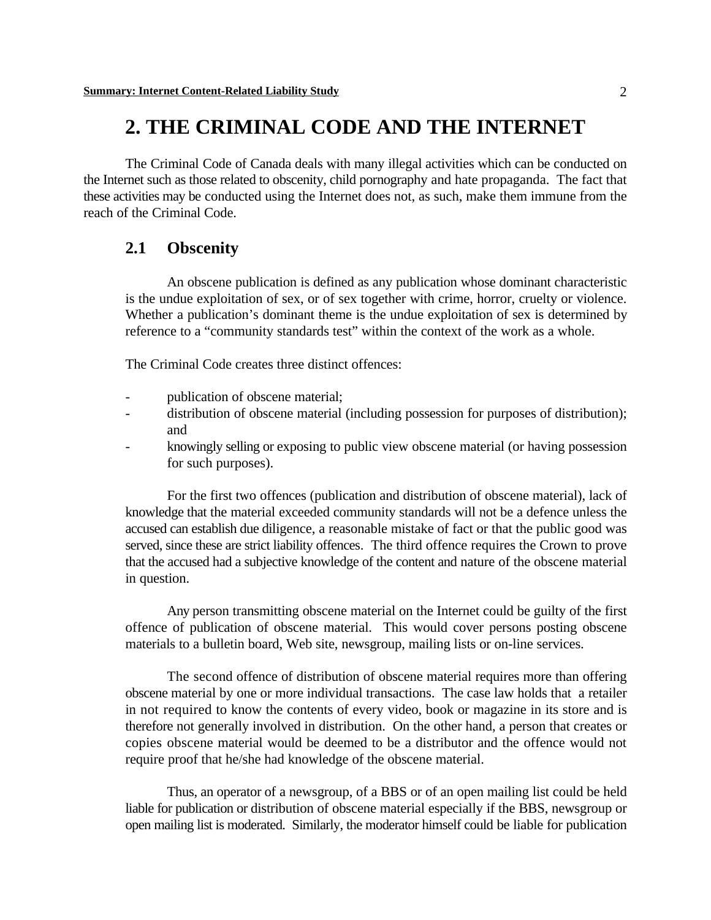# **2. THE CRIMINAL CODE AND THE INTERNET**

The Criminal Code of Canada deals with many illegal activities which can be conducted on the Internet such as those related to obscenity, child pornography and hate propaganda. The fact that these activities may be conducted using the Internet does not, as such, make them immune from the reach of the Criminal Code.

# **2.1 Obscenity**

An obscene publication is defined as any publication whose dominant characteristic is the undue exploitation of sex, or of sex together with crime, horror, cruelty or violence. Whether a publication's dominant theme is the undue exploitation of sex is determined by reference to a "community standards test" within the context of the work as a whole.

The Criminal Code creates three distinct offences:

- publication of obscene material;
- distribution of obscene material (including possession for purposes of distribution); and
- knowingly selling or exposing to public view obscene material (or having possession for such purposes).

For the first two offences (publication and distribution of obscene material), lack of knowledge that the material exceeded community standards will not be a defence unless the accused can establish due diligence, a reasonable mistake of fact or that the public good was served, since these are strict liability offences. The third offence requires the Crown to prove that the accused had a subjective knowledge of the content and nature of the obscene material in question.

Any person transmitting obscene material on the Internet could be guilty of the first offence of publication of obscene material. This would cover persons posting obscene materials to a bulletin board, Web site, newsgroup, mailing lists or on-line services.

The second offence of distribution of obscene material requires more than offering obscene material by one or more individual transactions. The case law holds that a retailer in not required to know the contents of every video, book or magazine in its store and is therefore not generally involved in distribution. On the other hand, a person that creates or copies obscene material would be deemed to be a distributor and the offence would not require proof that he/she had knowledge of the obscene material.

Thus, an operator of a newsgroup, of a BBS or of an open mailing list could be held liable for publication or distribution of obscene material especially if the BBS, newsgroup or open mailing list is moderated. Similarly, the moderator himself could be liable for publication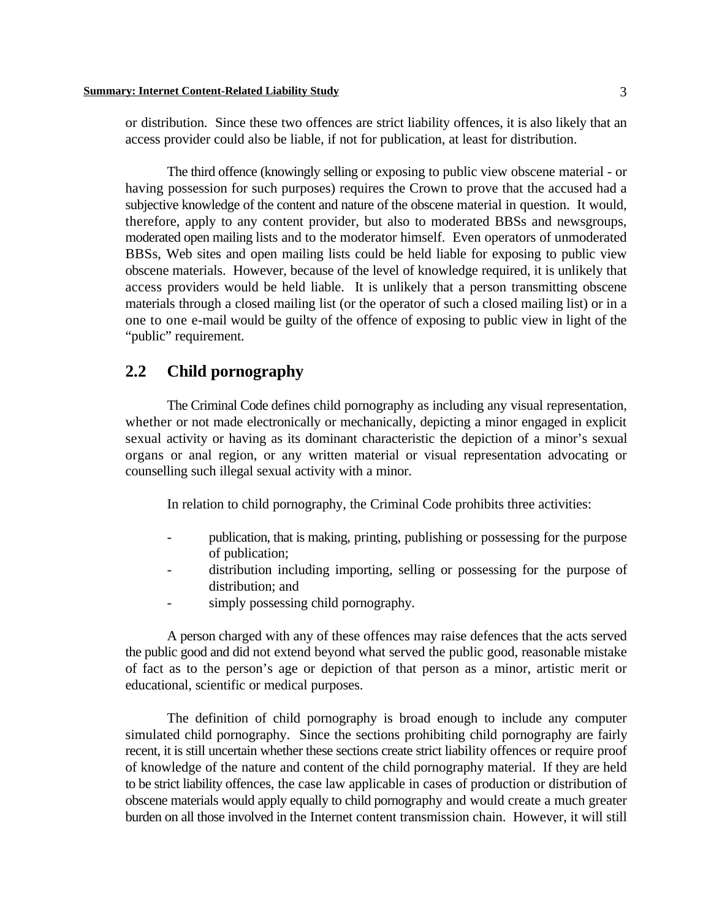or distribution. Since these two offences are strict liability offences, it is also likely that an access provider could also be liable, if not for publication, at least for distribution.

The third offence (knowingly selling or exposing to public view obscene material - or having possession for such purposes) requires the Crown to prove that the accused had a subjective knowledge of the content and nature of the obscene material in question. It would, therefore, apply to any content provider, but also to moderated BBSs and newsgroups, moderated open mailing lists and to the moderator himself. Even operators of unmoderated BBSs, Web sites and open mailing lists could be held liable for exposing to public view obscene materials. However, because of the level of knowledge required, it is unlikely that access providers would be held liable. It is unlikely that a person transmitting obscene materials through a closed mailing list (or the operator of such a closed mailing list) or in a one to one e-mail would be guilty of the offence of exposing to public view in light of the "public" requirement.

## **2.2 Child pornography**

The Criminal Code defines child pornography as including any visual representation, whether or not made electronically or mechanically, depicting a minor engaged in explicit sexual activity or having as its dominant characteristic the depiction of a minor's sexual organs or anal region, or any written material or visual representation advocating or counselling such illegal sexual activity with a minor.

In relation to child pornography, the Criminal Code prohibits three activities:

- publication, that is making, printing, publishing or possessing for the purpose of publication;
- distribution including importing, selling or possessing for the purpose of distribution; and
- simply possessing child pornography.

A person charged with any of these offences may raise defences that the acts served the public good and did not extend beyond what served the public good, reasonable mistake of fact as to the person's age or depiction of that person as a minor, artistic merit or educational, scientific or medical purposes.

The definition of child pornography is broad enough to include any computer simulated child pornography. Since the sections prohibiting child pornography are fairly recent, it is still uncertain whether these sections create strict liability offences or require proof of knowledge of the nature and content of the child pornography material. If they are held to be strict liability offences, the case law applicable in cases of production or distribution of obscene materials would apply equally to child pornography and would create a much greater burden on all those involved in the Internet content transmission chain. However, it will still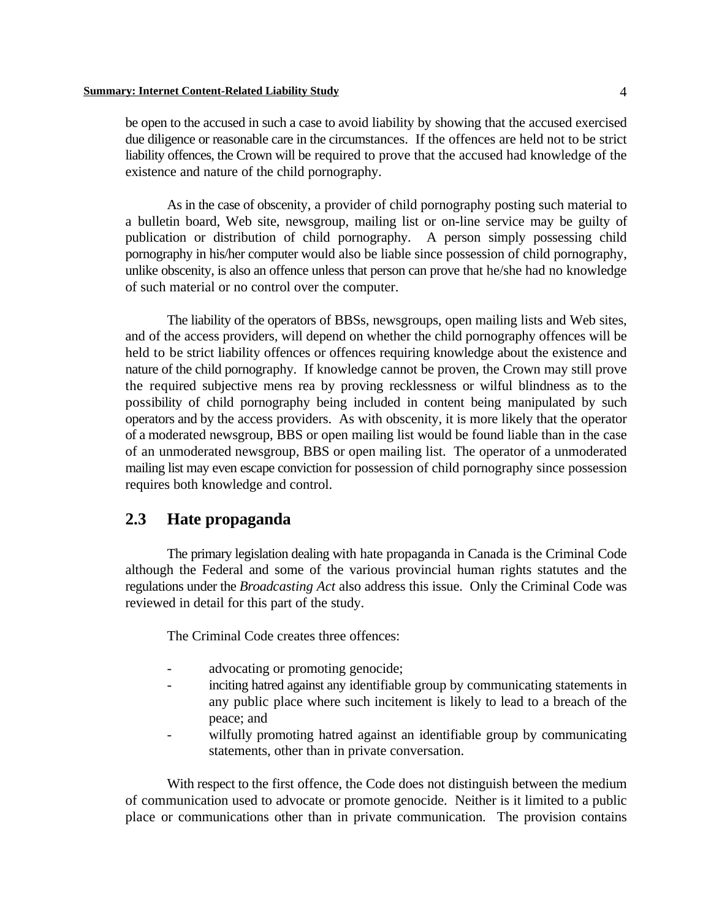be open to the accused in such a case to avoid liability by showing that the accused exercised due diligence or reasonable care in the circumstances. If the offences are held not to be strict liability offences, the Crown will be required to prove that the accused had knowledge of the existence and nature of the child pornography.

As in the case of obscenity, a provider of child pornography posting such material to a bulletin board, Web site, newsgroup, mailing list or on-line service may be guilty of publication or distribution of child pornography. A person simply possessing child pornography in his/her computer would also be liable since possession of child pornography, unlike obscenity, is also an offence unless that person can prove that he/she had no knowledge of such material or no control over the computer.

The liability of the operators of BBSs, newsgroups, open mailing lists and Web sites, and of the access providers, will depend on whether the child pornography offences will be held to be strict liability offences or offences requiring knowledge about the existence and nature of the child pornography. If knowledge cannot be proven, the Crown may still prove the required subjective mens rea by proving recklessness or wilful blindness as to the possibility of child pornography being included in content being manipulated by such operators and by the access providers. As with obscenity, it is more likely that the operator of a moderated newsgroup, BBS or open mailing list would be found liable than in the case of an unmoderated newsgroup, BBS or open mailing list. The operator of a unmoderated mailing list may even escape conviction for possession of child pornography since possession requires both knowledge and control.

# **2.3 Hate propaganda**

The primary legislation dealing with hate propaganda in Canada is the Criminal Code although the Federal and some of the various provincial human rights statutes and the regulations under the *Broadcasting Act* also address this issue. Only the Criminal Code was reviewed in detail for this part of the study.

The Criminal Code creates three offences:

- advocating or promoting genocide;
- inciting hatred against any identifiable group by communicating statements in any public place where such incitement is likely to lead to a breach of the peace; and
- wilfully promoting hatred against an identifiable group by communicating statements, other than in private conversation.

With respect to the first offence, the Code does not distinguish between the medium of communication used to advocate or promote genocide. Neither is it limited to a public place or communications other than in private communication. The provision contains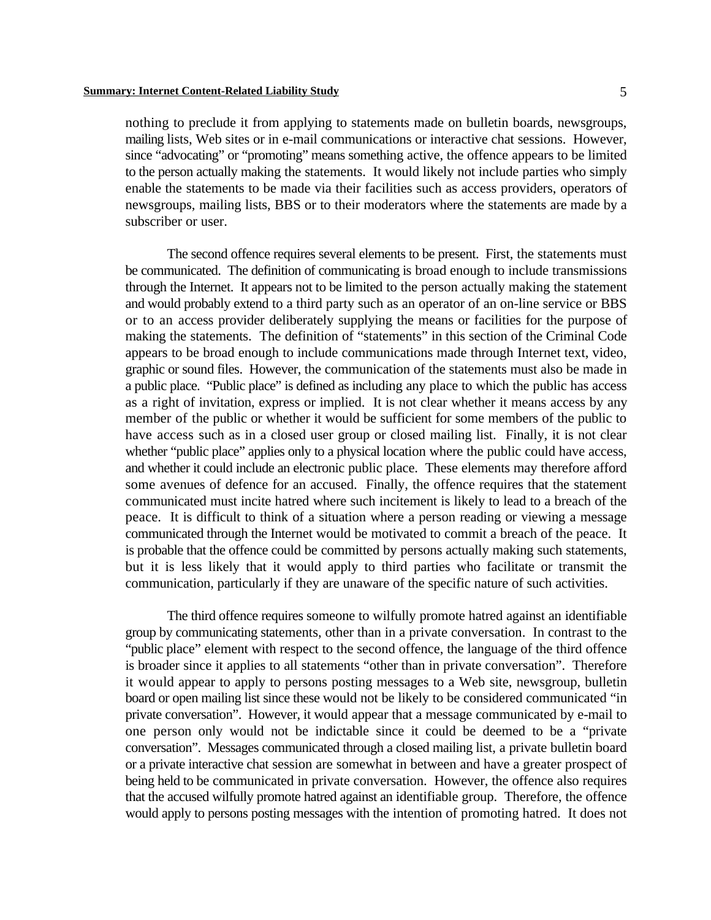nothing to preclude it from applying to statements made on bulletin boards, newsgroups, mailing lists, Web sites or in e-mail communications or interactive chat sessions. However, since "advocating" or "promoting" means something active, the offence appears to be limited to the person actually making the statements. It would likely not include parties who simply enable the statements to be made via their facilities such as access providers, operators of newsgroups, mailing lists, BBS or to their moderators where the statements are made by a subscriber or user.

The second offence requires several elements to be present. First, the statements must be communicated. The definition of communicating is broad enough to include transmissions through the Internet. It appears not to be limited to the person actually making the statement and would probably extend to a third party such as an operator of an on-line service or BBS or to an access provider deliberately supplying the means or facilities for the purpose of making the statements. The definition of "statements" in this section of the Criminal Code appears to be broad enough to include communications made through Internet text, video, graphic or sound files. However, the communication of the statements must also be made in a public place. "Public place" is defined as including any place to which the public has access as a right of invitation, express or implied. It is not clear whether it means access by any member of the public or whether it would be sufficient for some members of the public to have access such as in a closed user group or closed mailing list. Finally, it is not clear whether "public place" applies only to a physical location where the public could have access, and whether it could include an electronic public place. These elements may therefore afford some avenues of defence for an accused. Finally, the offence requires that the statement communicated must incite hatred where such incitement is likely to lead to a breach of the peace. It is difficult to think of a situation where a person reading or viewing a message communicated through the Internet would be motivated to commit a breach of the peace. It is probable that the offence could be committed by persons actually making such statements, but it is less likely that it would apply to third parties who facilitate or transmit the communication, particularly if they are unaware of the specific nature of such activities.

The third offence requires someone to wilfully promote hatred against an identifiable group by communicating statements, other than in a private conversation. In contrast to the "public place" element with respect to the second offence, the language of the third offence is broader since it applies to all statements "other than in private conversation". Therefore it would appear to apply to persons posting messages to a Web site, newsgroup, bulletin board or open mailing list since these would not be likely to be considered communicated "in private conversation". However, it would appear that a message communicated by e-mail to one person only would not be indictable since it could be deemed to be a "private conversation". Messages communicated through a closed mailing list, a private bulletin board or a private interactive chat session are somewhat in between and have a greater prospect of being held to be communicated in private conversation. However, the offence also requires that the accused wilfully promote hatred against an identifiable group. Therefore, the offence would apply to persons posting messages with the intention of promoting hatred. It does not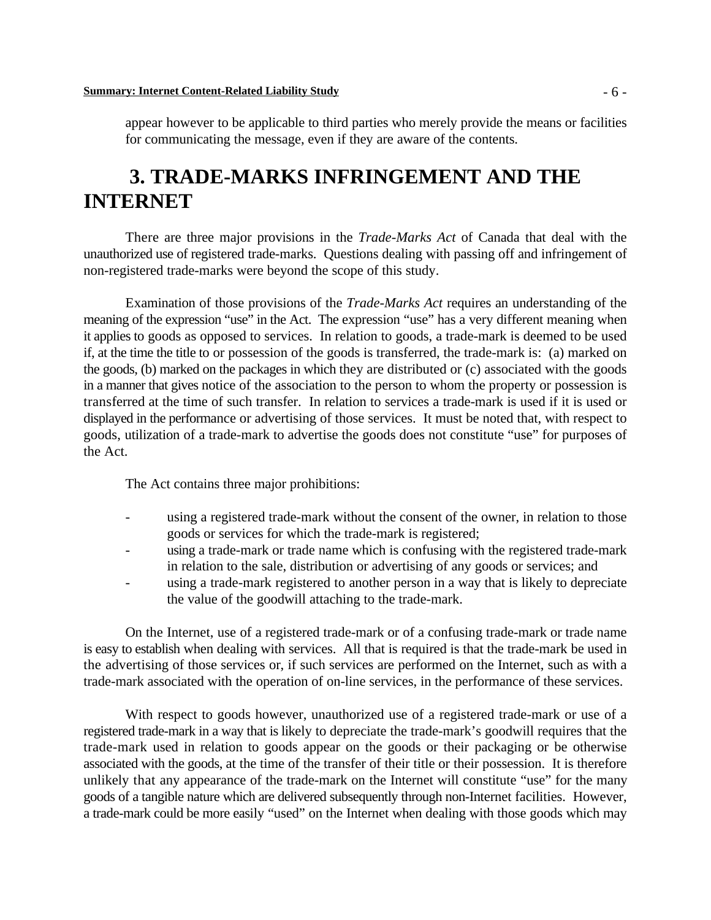appear however to be applicable to third parties who merely provide the means or facilities for communicating the message, even if they are aware of the contents.

# **3. TRADE-MARKS INFRINGEMENT AND THE INTERNET**

There are three major provisions in the *Trade-Marks Act* of Canada that deal with the unauthorized use of registered trade-marks. Questions dealing with passing off and infringement of non-registered trade-marks were beyond the scope of this study.

Examination of those provisions of the *Trade-Marks Act* requires an understanding of the meaning of the expression "use" in the Act. The expression "use" has a very different meaning when it applies to goods as opposed to services. In relation to goods, a trade-mark is deemed to be used if, at the time the title to or possession of the goods is transferred, the trade-mark is: (a) marked on the goods, (b) marked on the packages in which they are distributed or (c) associated with the goods in a manner that gives notice of the association to the person to whom the property or possession is transferred at the time of such transfer. In relation to services a trade-mark is used if it is used or displayed in the performance or advertising of those services. It must be noted that, with respect to goods, utilization of a trade-mark to advertise the goods does not constitute "use" for purposes of the Act.

The Act contains three major prohibitions:

- using a registered trade-mark without the consent of the owner, in relation to those goods or services for which the trade-mark is registered;
- using a trade-mark or trade name which is confusing with the registered trade-mark in relation to the sale, distribution or advertising of any goods or services; and
- using a trade-mark registered to another person in a way that is likely to depreciate the value of the goodwill attaching to the trade-mark.

On the Internet, use of a registered trade-mark or of a confusing trade-mark or trade name is easy to establish when dealing with services. All that is required is that the trade-mark be used in the advertising of those services or, if such services are performed on the Internet, such as with a trade-mark associated with the operation of on-line services, in the performance of these services.

With respect to goods however, unauthorized use of a registered trade-mark or use of a registered trade-mark in a way that is likely to depreciate the trade-mark's goodwill requires that the trade-mark used in relation to goods appear on the goods or their packaging or be otherwise associated with the goods, at the time of the transfer of their title or their possession. It is therefore unlikely that any appearance of the trade-mark on the Internet will constitute "use" for the many goods of a tangible nature which are delivered subsequently through non-Internet facilities. However, a trade-mark could be more easily "used" on the Internet when dealing with those goods which may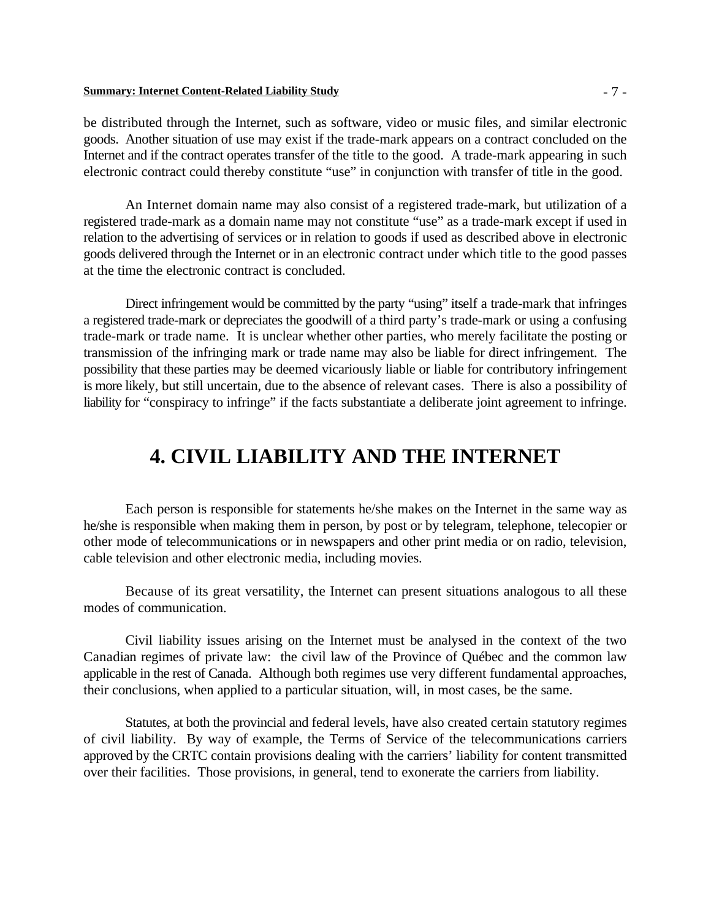#### **Summary: Internet Content-Related Liability Study** - 7 -

be distributed through the Internet, such as software, video or music files, and similar electronic goods. Another situation of use may exist if the trade-mark appears on a contract concluded on the Internet and if the contract operates transfer of the title to the good. A trade-mark appearing in such electronic contract could thereby constitute "use" in conjunction with transfer of title in the good.

An Internet domain name may also consist of a registered trade-mark, but utilization of a registered trade-mark as a domain name may not constitute "use" as a trade-mark except if used in relation to the advertising of services or in relation to goods if used as described above in electronic goods delivered through the Internet or in an electronic contract under which title to the good passes at the time the electronic contract is concluded.

Direct infringement would be committed by the party "using" itself a trade-mark that infringes a registered trade-mark or depreciates the goodwill of a third party's trade-mark or using a confusing trade-mark or trade name. It is unclear whether other parties, who merely facilitate the posting or transmission of the infringing mark or trade name may also be liable for direct infringement. The possibility that these parties may be deemed vicariously liable or liable for contributory infringement is more likely, but still uncertain, due to the absence of relevant cases. There is also a possibility of liability for "conspiracy to infringe" if the facts substantiate a deliberate joint agreement to infringe.

# **4. CIVIL LIABILITY AND THE INTERNET**

Each person is responsible for statements he/she makes on the Internet in the same way as he/she is responsible when making them in person, by post or by telegram, telephone, telecopier or other mode of telecommunications or in newspapers and other print media or on radio, television, cable television and other electronic media, including movies.

Because of its great versatility, the Internet can present situations analogous to all these modes of communication.

Civil liability issues arising on the Internet must be analysed in the context of the two Canadian regimes of private law: the civil law of the Province of Québec and the common law applicable in the rest of Canada. Although both regimes use very different fundamental approaches, their conclusions, when applied to a particular situation, will, in most cases, be the same.

Statutes, at both the provincial and federal levels, have also created certain statutory regimes of civil liability. By way of example, the Terms of Service of the telecommunications carriers approved by the CRTC contain provisions dealing with the carriers' liability for content transmitted over their facilities. Those provisions, in general, tend to exonerate the carriers from liability.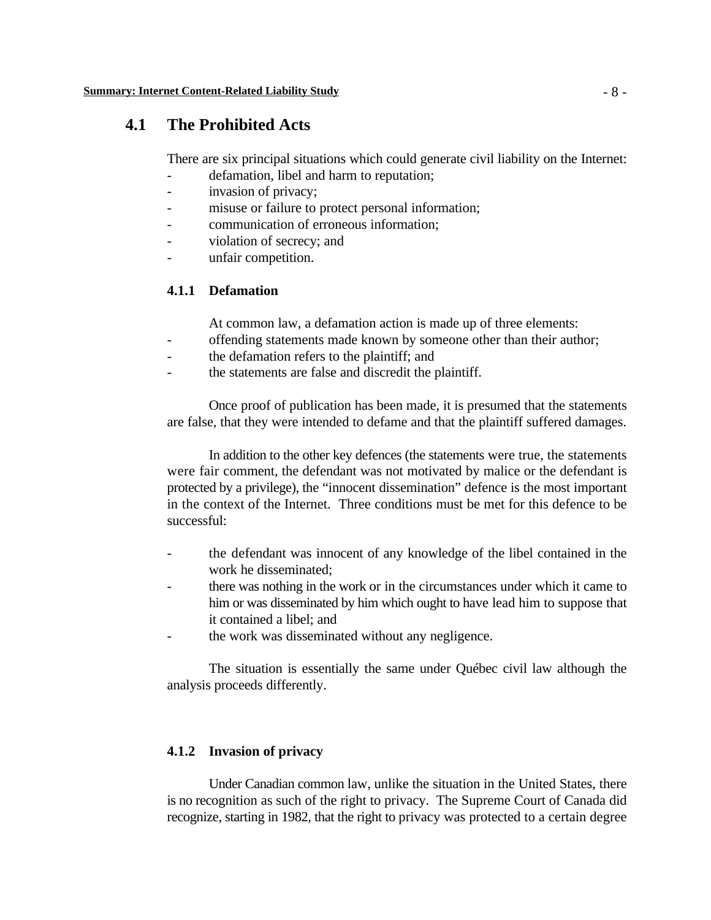## **4.1 The Prohibited Acts**

There are six principal situations which could generate civil liability on the Internet:

- defamation, libel and harm to reputation;
- invasion of privacy;
- misuse or failure to protect personal information;
- communication of erroneous information:
- violation of secrecy; and
- unfair competition.

### **4.1.1 Defamation**

At common law, a defamation action is made up of three elements:

- offending statements made known by someone other than their author;
- the defamation refers to the plaintiff; and
- the statements are false and discredit the plaintiff.

Once proof of publication has been made, it is presumed that the statements are false, that they were intended to defame and that the plaintiff suffered damages.

In addition to the other key defences (the statements were true, the statements were fair comment, the defendant was not motivated by malice or the defendant is protected by a privilege), the "innocent dissemination" defence is the most important in the context of the Internet. Three conditions must be met for this defence to be successful:

- the defendant was innocent of any knowledge of the libel contained in the work he disseminated;
- there was nothing in the work or in the circumstances under which it came to him or was disseminated by him which ought to have lead him to suppose that it contained a libel; and
- the work was disseminated without any negligence.

The situation is essentially the same under Québec civil law although the analysis proceeds differently.

### **4.1.2 Invasion of privacy**

Under Canadian common law, unlike the situation in the United States, there is no recognition as such of the right to privacy. The Supreme Court of Canada did recognize, starting in 1982, that the right to privacy was protected to a certain degree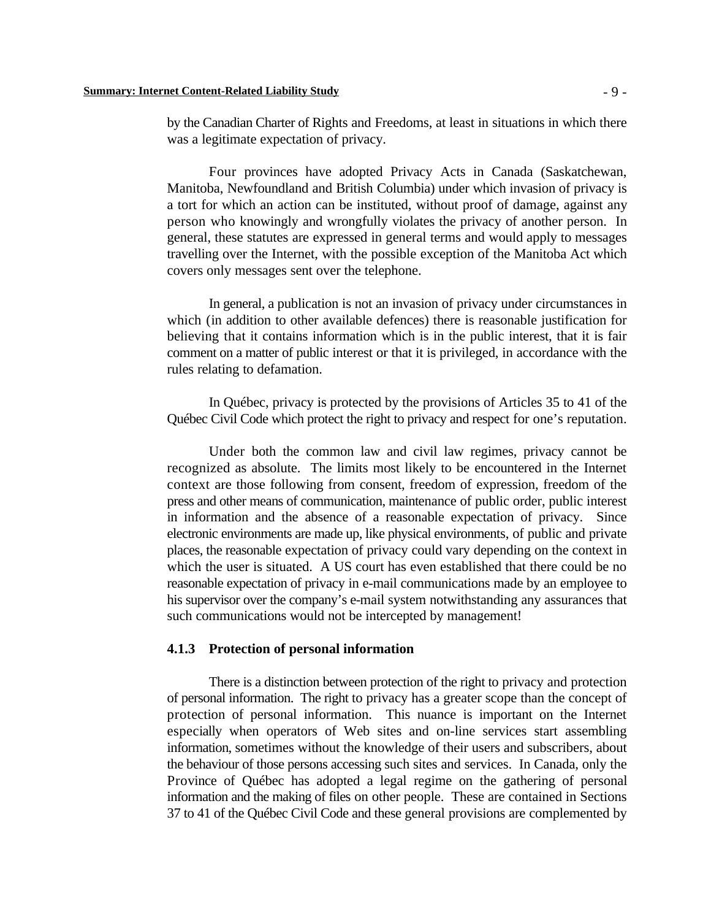by the Canadian Charter of Rights and Freedoms, at least in situations in which there was a legitimate expectation of privacy.

Four provinces have adopted Privacy Acts in Canada (Saskatchewan, Manitoba, Newfoundland and British Columbia) under which invasion of privacy is a tort for which an action can be instituted, without proof of damage, against any person who knowingly and wrongfully violates the privacy of another person. In general, these statutes are expressed in general terms and would apply to messages travelling over the Internet, with the possible exception of the Manitoba Act which covers only messages sent over the telephone.

In general, a publication is not an invasion of privacy under circumstances in which (in addition to other available defences) there is reasonable justification for believing that it contains information which is in the public interest, that it is fair comment on a matter of public interest or that it is privileged, in accordance with the rules relating to defamation.

In Québec, privacy is protected by the provisions of Articles 35 to 41 of the Québec Civil Code which protect the right to privacy and respect for one's reputation.

Under both the common law and civil law regimes, privacy cannot be recognized as absolute. The limits most likely to be encountered in the Internet context are those following from consent, freedom of expression, freedom of the press and other means of communication, maintenance of public order, public interest in information and the absence of a reasonable expectation of privacy. Since electronic environments are made up, like physical environments, of public and private places, the reasonable expectation of privacy could vary depending on the context in which the user is situated. A US court has even established that there could be no reasonable expectation of privacy in e-mail communications made by an employee to his supervisor over the company's e-mail system notwithstanding any assurances that such communications would not be intercepted by management!

#### **4.1.3 Protection of personal information**

There is a distinction between protection of the right to privacy and protection of personal information. The right to privacy has a greater scope than the concept of protection of personal information. This nuance is important on the Internet especially when operators of Web sites and on-line services start assembling information, sometimes without the knowledge of their users and subscribers, about the behaviour of those persons accessing such sites and services. In Canada, only the Province of Québec has adopted a legal regime on the gathering of personal information and the making of files on other people. These are contained in Sections 37 to 41 of the Québec Civil Code and these general provisions are complemented by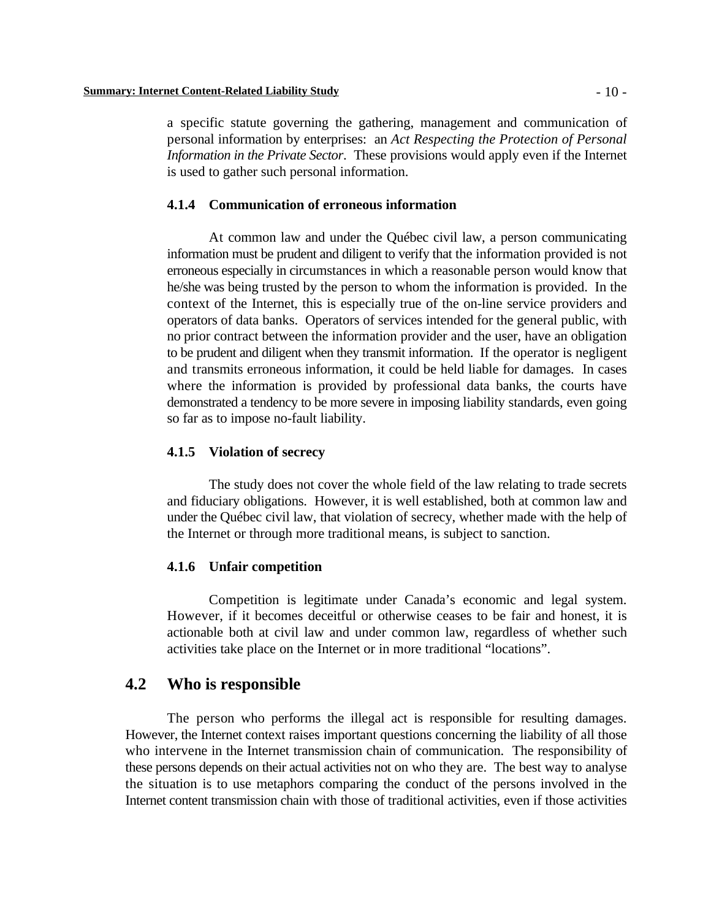a specific statute governing the gathering, management and communication of personal information by enterprises: an *Act Respecting the Protection of Personal Information in the Private Sector*. These provisions would apply even if the Internet is used to gather such personal information.

### **4.1.4 Communication of erroneous information**

At common law and under the Québec civil law, a person communicating information must be prudent and diligent to verify that the information provided is not erroneous especially in circumstances in which a reasonable person would know that he/she was being trusted by the person to whom the information is provided. In the context of the Internet, this is especially true of the on-line service providers and operators of data banks. Operators of services intended for the general public, with no prior contract between the information provider and the user, have an obligation to be prudent and diligent when they transmit information. If the operator is negligent and transmits erroneous information, it could be held liable for damages. In cases where the information is provided by professional data banks, the courts have demonstrated a tendency to be more severe in imposing liability standards, even going so far as to impose no-fault liability.

#### **4.1.5 Violation of secrecy**

The study does not cover the whole field of the law relating to trade secrets and fiduciary obligations. However, it is well established, both at common law and under the Québec civil law, that violation of secrecy, whether made with the help of the Internet or through more traditional means, is subject to sanction.

#### **4.1.6 Unfair competition**

Competition is legitimate under Canada's economic and legal system. However, if it becomes deceitful or otherwise ceases to be fair and honest, it is actionable both at civil law and under common law, regardless of whether such activities take place on the Internet or in more traditional "locations".

### **4.2 Who is responsible**

The person who performs the illegal act is responsible for resulting damages. However, the Internet context raises important questions concerning the liability of all those who intervene in the Internet transmission chain of communication. The responsibility of these persons depends on their actual activities not on who they are. The best way to analyse the situation is to use metaphors comparing the conduct of the persons involved in the Internet content transmission chain with those of traditional activities, even if those activities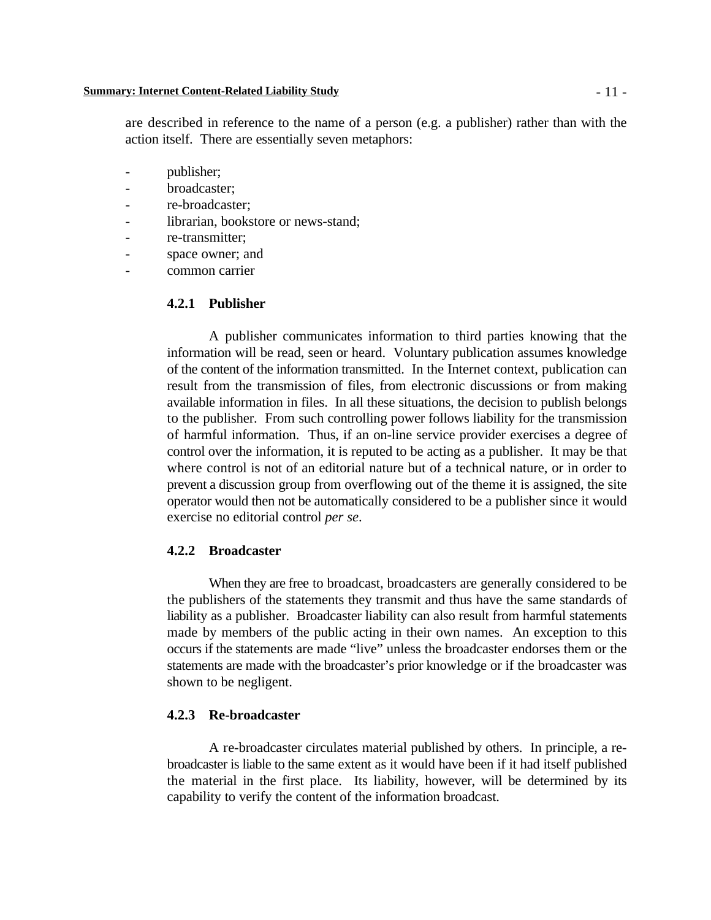are described in reference to the name of a person (e.g. a publisher) rather than with the action itself. There are essentially seven metaphors:

- publisher;
- broadcaster;
- re-broadcaster:
- librarian, bookstore or news-stand;
- re-transmitter;
- space owner; and
- common carrier

#### **4.2.1 Publisher**

A publisher communicates information to third parties knowing that the information will be read, seen or heard. Voluntary publication assumes knowledge of the content of the information transmitted. In the Internet context, publication can result from the transmission of files, from electronic discussions or from making available information in files. In all these situations, the decision to publish belongs to the publisher. From such controlling power follows liability for the transmission of harmful information. Thus, if an on-line service provider exercises a degree of control over the information, it is reputed to be acting as a publisher. It may be that where control is not of an editorial nature but of a technical nature, or in order to prevent a discussion group from overflowing out of the theme it is assigned, the site operator would then not be automatically considered to be a publisher since it would exercise no editorial control *per se*.

### **4.2.2 Broadcaster**

When they are free to broadcast, broadcasters are generally considered to be the publishers of the statements they transmit and thus have the same standards of liability as a publisher. Broadcaster liability can also result from harmful statements made by members of the public acting in their own names. An exception to this occurs if the statements are made "live" unless the broadcaster endorses them or the statements are made with the broadcaster's prior knowledge or if the broadcaster was shown to be negligent.

### **4.2.3 Re-broadcaster**

A re-broadcaster circulates material published by others. In principle, a rebroadcaster is liable to the same extent as it would have been if it had itself published the material in the first place. Its liability, however, will be determined by its capability to verify the content of the information broadcast.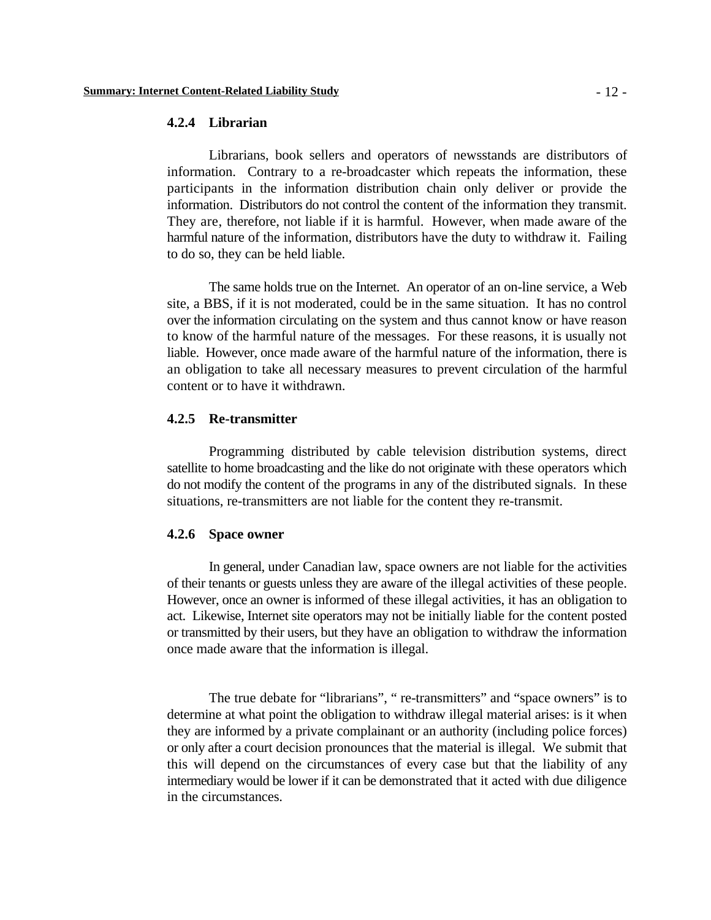### **4.2.4 Librarian**

Librarians, book sellers and operators of newsstands are distributors of information. Contrary to a re-broadcaster which repeats the information, these participants in the information distribution chain only deliver or provide the information. Distributors do not control the content of the information they transmit. They are, therefore, not liable if it is harmful. However, when made aware of the harmful nature of the information, distributors have the duty to withdraw it. Failing to do so, they can be held liable.

The same holds true on the Internet. An operator of an on-line service, a Web site, a BBS, if it is not moderated, could be in the same situation. It has no control over the information circulating on the system and thus cannot know or have reason to know of the harmful nature of the messages. For these reasons, it is usually not liable. However, once made aware of the harmful nature of the information, there is an obligation to take all necessary measures to prevent circulation of the harmful content or to have it withdrawn.

### **4.2.5 Re-transmitter**

Programming distributed by cable television distribution systems, direct satellite to home broadcasting and the like do not originate with these operators which do not modify the content of the programs in any of the distributed signals. In these situations, re-transmitters are not liable for the content they re-transmit.

#### **4.2.6 Space owner**

In general, under Canadian law, space owners are not liable for the activities of their tenants or guests unless they are aware of the illegal activities of these people. However, once an owner is informed of these illegal activities, it has an obligation to act. Likewise, Internet site operators may not be initially liable for the content posted or transmitted by their users, but they have an obligation to withdraw the information once made aware that the information is illegal.

The true debate for "librarians", " re-transmitters" and "space owners" is to determine at what point the obligation to withdraw illegal material arises: is it when they are informed by a private complainant or an authority (including police forces) or only after a court decision pronounces that the material is illegal. We submit that this will depend on the circumstances of every case but that the liability of any intermediary would be lower if it can be demonstrated that it acted with due diligence in the circumstances.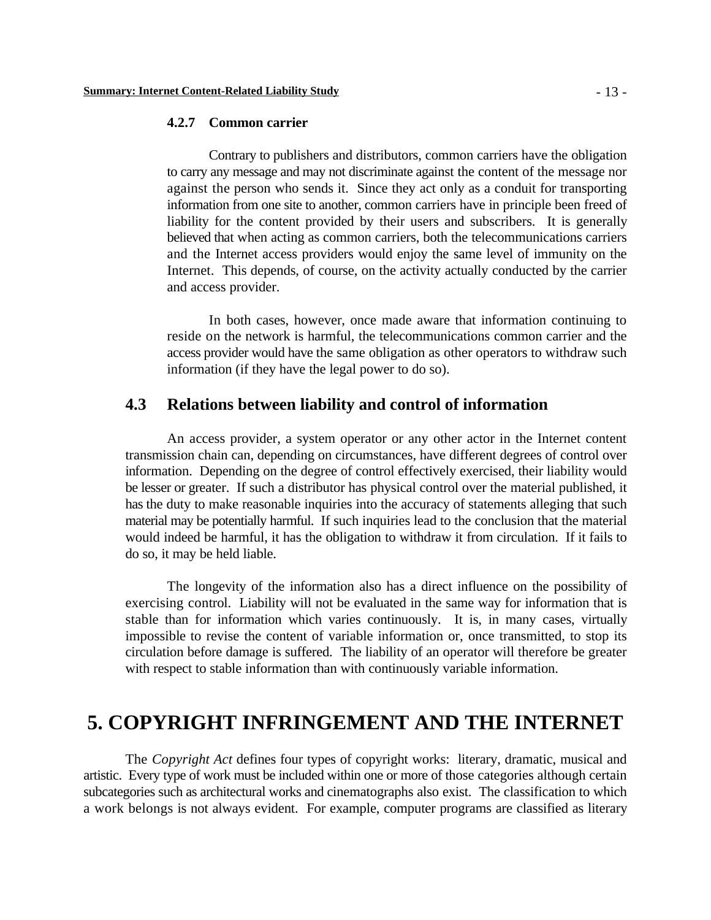#### **4.2.7 Common carrier**

Contrary to publishers and distributors, common carriers have the obligation to carry any message and may not discriminate against the content of the message nor against the person who sends it. Since they act only as a conduit for transporting information from one site to another, common carriers have in principle been freed of liability for the content provided by their users and subscribers. It is generally believed that when acting as common carriers, both the telecommunications carriers and the Internet access providers would enjoy the same level of immunity on the Internet. This depends, of course, on the activity actually conducted by the carrier and access provider.

In both cases, however, once made aware that information continuing to reside on the network is harmful, the telecommunications common carrier and the access provider would have the same obligation as other operators to withdraw such information (if they have the legal power to do so).

# **4.3 Relations between liability and control of information**

An access provider, a system operator or any other actor in the Internet content transmission chain can, depending on circumstances, have different degrees of control over information. Depending on the degree of control effectively exercised, their liability would be lesser or greater. If such a distributor has physical control over the material published, it has the duty to make reasonable inquiries into the accuracy of statements alleging that such material may be potentially harmful. If such inquiries lead to the conclusion that the material would indeed be harmful, it has the obligation to withdraw it from circulation. If it fails to do so, it may be held liable.

The longevity of the information also has a direct influence on the possibility of exercising control. Liability will not be evaluated in the same way for information that is stable than for information which varies continuously. It is, in many cases, virtually impossible to revise the content of variable information or, once transmitted, to stop its circulation before damage is suffered. The liability of an operator will therefore be greater with respect to stable information than with continuously variable information.

# **5. COPYRIGHT INFRINGEMENT AND THE INTERNET**

The *Copyright Act* defines four types of copyright works: literary, dramatic, musical and artistic. Every type of work must be included within one or more of those categories although certain subcategories such as architectural works and cinematographs also exist. The classification to which a work belongs is not always evident. For example, computer programs are classified as literary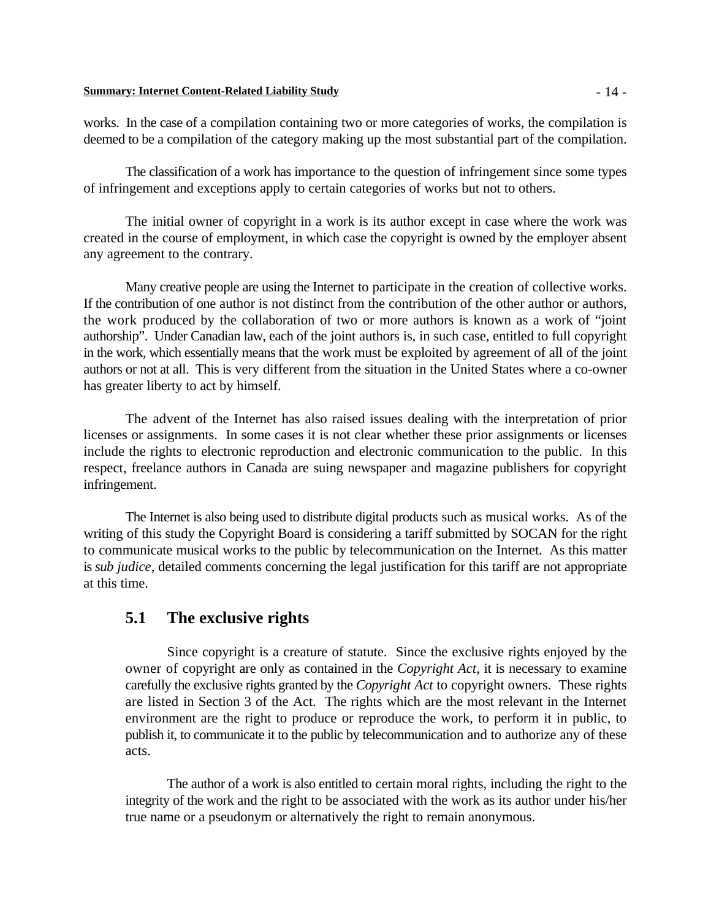#### **Summary: Internet Content-Related Liability Study** - 14 -

works. In the case of a compilation containing two or more categories of works, the compilation is deemed to be a compilation of the category making up the most substantial part of the compilation.

The classification of a work has importance to the question of infringement since some types of infringement and exceptions apply to certain categories of works but not to others.

The initial owner of copyright in a work is its author except in case where the work was created in the course of employment, in which case the copyright is owned by the employer absent any agreement to the contrary.

Many creative people are using the Internet to participate in the creation of collective works. If the contribution of one author is not distinct from the contribution of the other author or authors, the work produced by the collaboration of two or more authors is known as a work of "joint authorship". Under Canadian law, each of the joint authors is, in such case, entitled to full copyright in the work, which essentially means that the work must be exploited by agreement of all of the joint authors or not at all. This is very different from the situation in the United States where a co-owner has greater liberty to act by himself.

The advent of the Internet has also raised issues dealing with the interpretation of prior licenses or assignments. In some cases it is not clear whether these prior assignments or licenses include the rights to electronic reproduction and electronic communication to the public. In this respect, freelance authors in Canada are suing newspaper and magazine publishers for copyright infringement.

The Internet is also being used to distribute digital products such as musical works. As of the writing of this study the Copyright Board is considering a tariff submitted by SOCAN for the right to communicate musical works to the public by telecommunication on the Internet. As this matter is *sub judice*, detailed comments concerning the legal justification for this tariff are not appropriate at this time.

# **5.1 The exclusive rights**

Since copyright is a creature of statute. Since the exclusive rights enjoyed by the owner of copyright are only as contained in the *Copyright Act*, it is necessary to examine carefully the exclusive rights granted by the *Copyright Act* to copyright owners. These rights are listed in Section 3 of the Act. The rights which are the most relevant in the Internet environment are the right to produce or reproduce the work, to perform it in public, to publish it, to communicate it to the public by telecommunication and to authorize any of these acts.

The author of a work is also entitled to certain moral rights, including the right to the integrity of the work and the right to be associated with the work as its author under his/her true name or a pseudonym or alternatively the right to remain anonymous.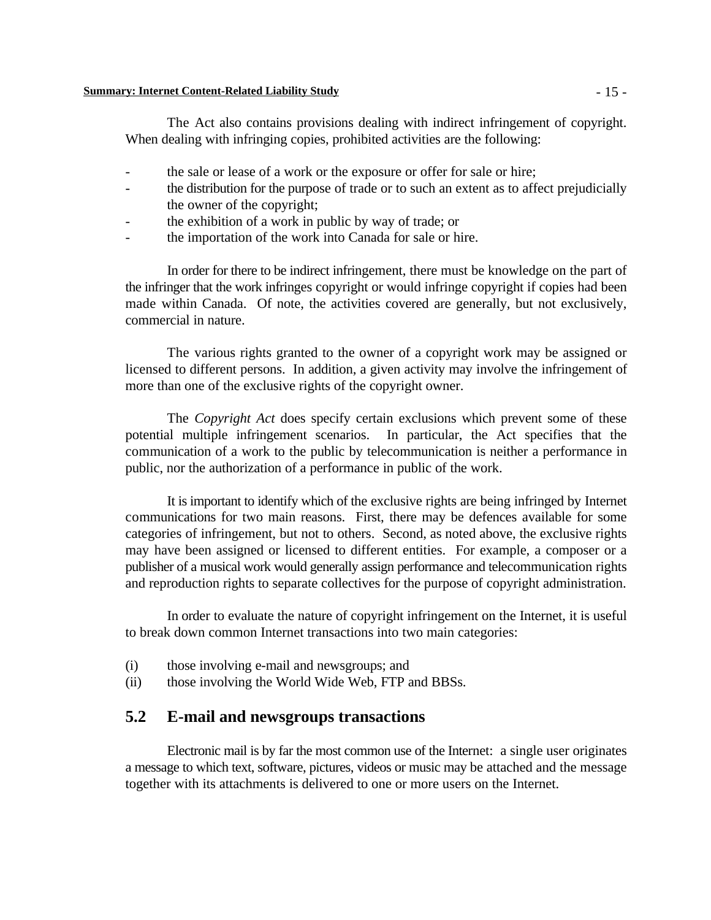#### **Summary: Internet Content-Related Liability Study** - 15 -

The Act also contains provisions dealing with indirect infringement of copyright. When dealing with infringing copies, prohibited activities are the following:

- the sale or lease of a work or the exposure or offer for sale or hire;
- the distribution for the purpose of trade or to such an extent as to affect prejudicially the owner of the copyright;
- the exhibition of a work in public by way of trade; or
- the importation of the work into Canada for sale or hire.

In order for there to be indirect infringement, there must be knowledge on the part of the infringer that the work infringes copyright or would infringe copyright if copies had been made within Canada. Of note, the activities covered are generally, but not exclusively, commercial in nature.

The various rights granted to the owner of a copyright work may be assigned or licensed to different persons. In addition, a given activity may involve the infringement of more than one of the exclusive rights of the copyright owner.

The *Copyright Act* does specify certain exclusions which prevent some of these potential multiple infringement scenarios. In particular, the Act specifies that the communication of a work to the public by telecommunication is neither a performance in public, nor the authorization of a performance in public of the work.

It is important to identify which of the exclusive rights are being infringed by Internet communications for two main reasons. First, there may be defences available for some categories of infringement, but not to others. Second, as noted above, the exclusive rights may have been assigned or licensed to different entities. For example, a composer or a publisher of a musical work would generally assign performance and telecommunication rights and reproduction rights to separate collectives for the purpose of copyright administration.

In order to evaluate the nature of copyright infringement on the Internet, it is useful to break down common Internet transactions into two main categories:

- (i) those involving e-mail and newsgroups; and
- (ii) those involving the World Wide Web, FTP and BBSs.

# **5.2 E-mail and newsgroups transactions**

Electronic mail is by far the most common use of the Internet: a single user originates a message to which text, software, pictures, videos or music may be attached and the message together with its attachments is delivered to one or more users on the Internet.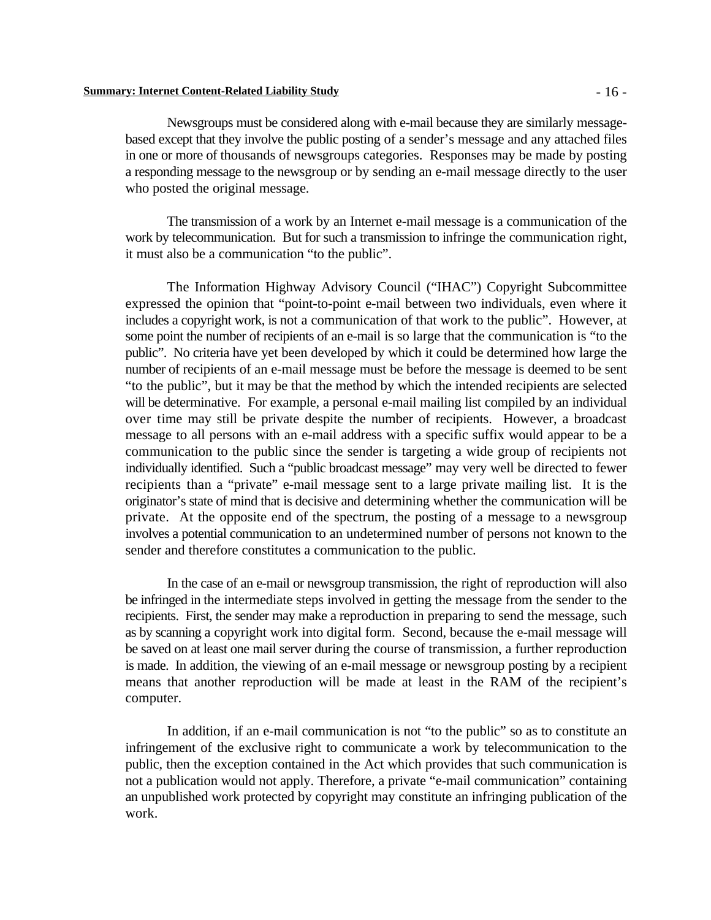#### **Summary: Internet Content-Related Liability Study** - 16 -

Newsgroups must be considered along with e-mail because they are similarly messagebased except that they involve the public posting of a sender's message and any attached files in one or more of thousands of newsgroups categories. Responses may be made by posting a responding message to the newsgroup or by sending an e-mail message directly to the user who posted the original message.

The transmission of a work by an Internet e-mail message is a communication of the work by telecommunication. But for such a transmission to infringe the communication right, it must also be a communication "to the public".

The Information Highway Advisory Council ("IHAC") Copyright Subcommittee expressed the opinion that "point-to-point e-mail between two individuals, even where it includes a copyright work, is not a communication of that work to the public". However, at some point the number of recipients of an e-mail is so large that the communication is "to the public". No criteria have yet been developed by which it could be determined how large the number of recipients of an e-mail message must be before the message is deemed to be sent "to the public", but it may be that the method by which the intended recipients are selected will be determinative. For example, a personal e-mail mailing list compiled by an individual over time may still be private despite the number of recipients. However, a broadcast message to all persons with an e-mail address with a specific suffix would appear to be a communication to the public since the sender is targeting a wide group of recipients not individually identified. Such a "public broadcast message" may very well be directed to fewer recipients than a "private" e-mail message sent to a large private mailing list. It is the originator's state of mind that is decisive and determining whether the communication will be private. At the opposite end of the spectrum, the posting of a message to a newsgroup involves a potential communication to an undetermined number of persons not known to the sender and therefore constitutes a communication to the public.

In the case of an e-mail or newsgroup transmission, the right of reproduction will also be infringed in the intermediate steps involved in getting the message from the sender to the recipients. First, the sender may make a reproduction in preparing to send the message, such as by scanning a copyright work into digital form. Second, because the e-mail message will be saved on at least one mail server during the course of transmission, a further reproduction is made. In addition, the viewing of an e-mail message or newsgroup posting by a recipient means that another reproduction will be made at least in the RAM of the recipient's computer.

In addition, if an e-mail communication is not "to the public" so as to constitute an infringement of the exclusive right to communicate a work by telecommunication to the public, then the exception contained in the Act which provides that such communication is not a publication would not apply. Therefore, a private "e-mail communication" containing an unpublished work protected by copyright may constitute an infringing publication of the work.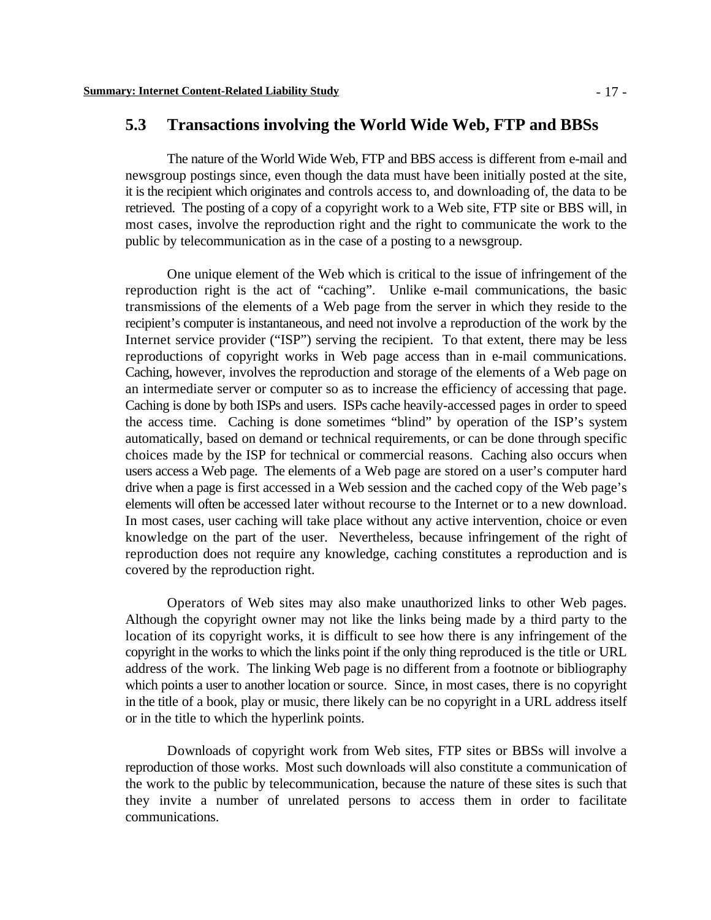# **5.3 Transactions involving the World Wide Web, FTP and BBSs**

The nature of the World Wide Web, FTP and BBS access is different from e-mail and newsgroup postings since, even though the data must have been initially posted at the site, it is the recipient which originates and controls access to, and downloading of, the data to be retrieved. The posting of a copy of a copyright work to a Web site, FTP site or BBS will, in most cases, involve the reproduction right and the right to communicate the work to the public by telecommunication as in the case of a posting to a newsgroup.

One unique element of the Web which is critical to the issue of infringement of the reproduction right is the act of "caching". Unlike e-mail communications, the basic transmissions of the elements of a Web page from the server in which they reside to the recipient's computer is instantaneous, and need not involve a reproduction of the work by the Internet service provider ("ISP") serving the recipient. To that extent, there may be less reproductions of copyright works in Web page access than in e-mail communications. Caching, however, involves the reproduction and storage of the elements of a Web page on an intermediate server or computer so as to increase the efficiency of accessing that page. Caching is done by both ISPs and users. ISPs cache heavily-accessed pages in order to speed the access time. Caching is done sometimes "blind" by operation of the ISP's system automatically, based on demand or technical requirements, or can be done through specific choices made by the ISP for technical or commercial reasons. Caching also occurs when users access a Web page. The elements of a Web page are stored on a user's computer hard drive when a page is first accessed in a Web session and the cached copy of the Web page's elements will often be accessed later without recourse to the Internet or to a new download. In most cases, user caching will take place without any active intervention, choice or even knowledge on the part of the user. Nevertheless, because infringement of the right of reproduction does not require any knowledge, caching constitutes a reproduction and is covered by the reproduction right.

Operators of Web sites may also make unauthorized links to other Web pages. Although the copyright owner may not like the links being made by a third party to the location of its copyright works, it is difficult to see how there is any infringement of the copyright in the works to which the links point if the only thing reproduced is the title or URL address of the work. The linking Web page is no different from a footnote or bibliography which points a user to another location or source. Since, in most cases, there is no copyright in the title of a book, play or music, there likely can be no copyright in a URL address itself or in the title to which the hyperlink points.

Downloads of copyright work from Web sites, FTP sites or BBSs will involve a reproduction of those works. Most such downloads will also constitute a communication of the work to the public by telecommunication, because the nature of these sites is such that they invite a number of unrelated persons to access them in order to facilitate communications.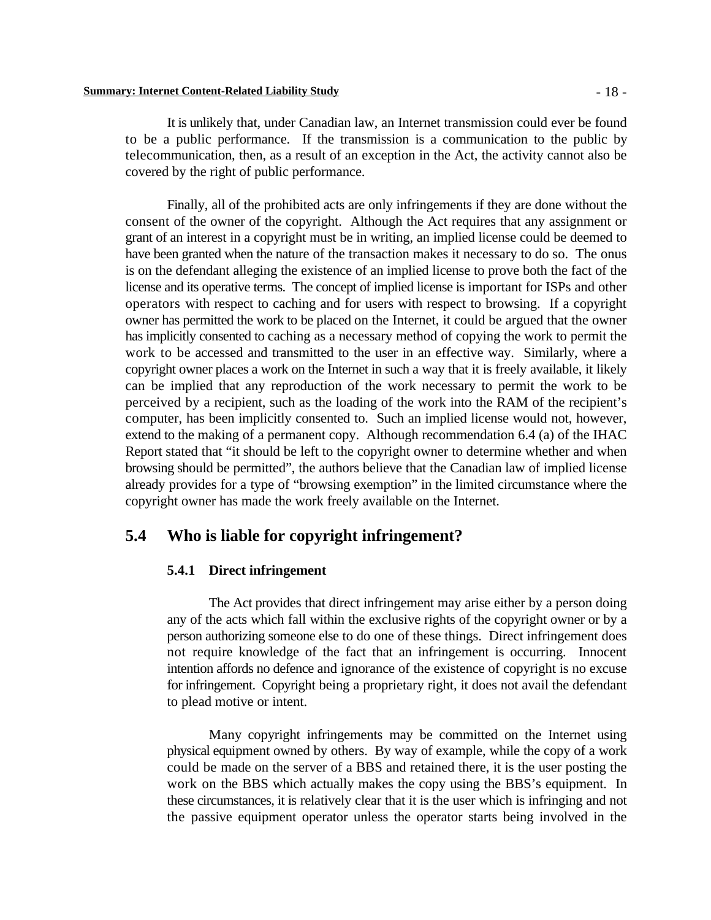#### **Summary: Internet Content-Related Liability Study** - 18 -

It is unlikely that, under Canadian law, an Internet transmission could ever be found to be a public performance. If the transmission is a communication to the public by telecommunication, then, as a result of an exception in the Act, the activity cannot also be covered by the right of public performance.

Finally, all of the prohibited acts are only infringements if they are done without the consent of the owner of the copyright. Although the Act requires that any assignment or grant of an interest in a copyright must be in writing, an implied license could be deemed to have been granted when the nature of the transaction makes it necessary to do so. The onus is on the defendant alleging the existence of an implied license to prove both the fact of the license and its operative terms. The concept of implied license is important for ISPs and other operators with respect to caching and for users with respect to browsing. If a copyright owner has permitted the work to be placed on the Internet, it could be argued that the owner has implicitly consented to caching as a necessary method of copying the work to permit the work to be accessed and transmitted to the user in an effective way. Similarly, where a copyright owner places a work on the Internet in such a way that it is freely available, it likely can be implied that any reproduction of the work necessary to permit the work to be perceived by a recipient, such as the loading of the work into the RAM of the recipient's computer, has been implicitly consented to. Such an implied license would not, however, extend to the making of a permanent copy. Although recommendation 6.4 (a) of the IHAC Report stated that "it should be left to the copyright owner to determine whether and when browsing should be permitted", the authors believe that the Canadian law of implied license already provides for a type of "browsing exemption" in the limited circumstance where the copyright owner has made the work freely available on the Internet.

## **5.4 Who is liable for copyright infringement?**

### **5.4.1 Direct infringement**

The Act provides that direct infringement may arise either by a person doing any of the acts which fall within the exclusive rights of the copyright owner or by a person authorizing someone else to do one of these things. Direct infringement does not require knowledge of the fact that an infringement is occurring. Innocent intention affords no defence and ignorance of the existence of copyright is no excuse for infringement. Copyright being a proprietary right, it does not avail the defendant to plead motive or intent.

Many copyright infringements may be committed on the Internet using physical equipment owned by others. By way of example, while the copy of a work could be made on the server of a BBS and retained there, it is the user posting the work on the BBS which actually makes the copy using the BBS's equipment. In these circumstances, it is relatively clear that it is the user which is infringing and not the passive equipment operator unless the operator starts being involved in the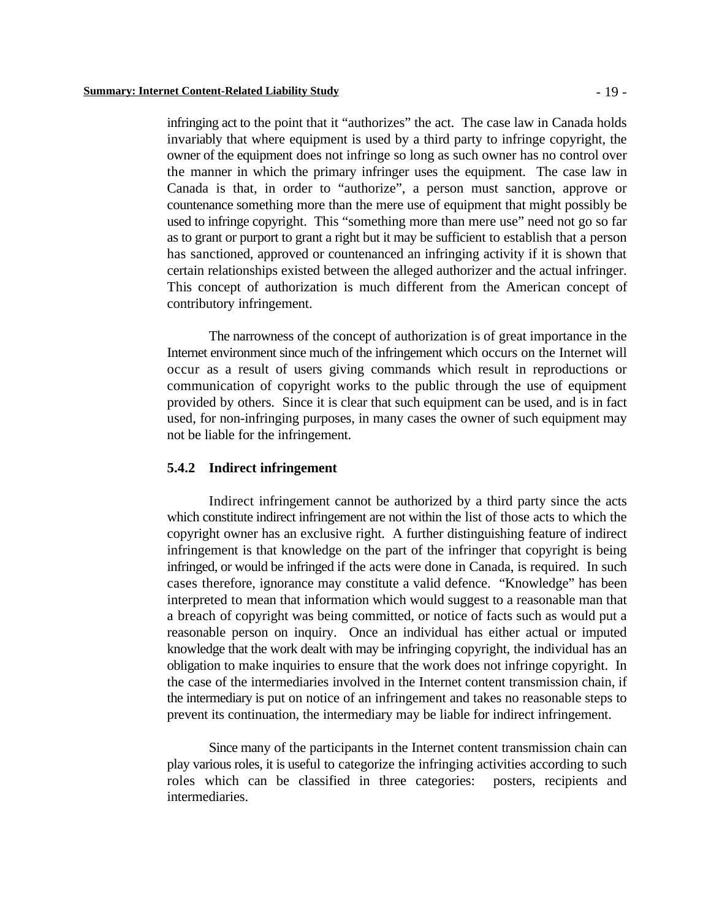infringing act to the point that it "authorizes" the act. The case law in Canada holds invariably that where equipment is used by a third party to infringe copyright, the owner of the equipment does not infringe so long as such owner has no control over the manner in which the primary infringer uses the equipment. The case law in Canada is that, in order to "authorize", a person must sanction, approve or countenance something more than the mere use of equipment that might possibly be used to infringe copyright. This "something more than mere use" need not go so far as to grant or purport to grant a right but it may be sufficient to establish that a person has sanctioned, approved or countenanced an infringing activity if it is shown that certain relationships existed between the alleged authorizer and the actual infringer. This concept of authorization is much different from the American concept of contributory infringement.

The narrowness of the concept of authorization is of great importance in the Internet environment since much of the infringement which occurs on the Internet will occur as a result of users giving commands which result in reproductions or communication of copyright works to the public through the use of equipment provided by others. Since it is clear that such equipment can be used, and is in fact used, for non-infringing purposes, in many cases the owner of such equipment may not be liable for the infringement.

#### **5.4.2 Indirect infringement**

Indirect infringement cannot be authorized by a third party since the acts which constitute indirect infringement are not within the list of those acts to which the copyright owner has an exclusive right. A further distinguishing feature of indirect infringement is that knowledge on the part of the infringer that copyright is being infringed, or would be infringed if the acts were done in Canada, is required. In such cases therefore, ignorance may constitute a valid defence. "Knowledge" has been interpreted to mean that information which would suggest to a reasonable man that a breach of copyright was being committed, or notice of facts such as would put a reasonable person on inquiry. Once an individual has either actual or imputed knowledge that the work dealt with may be infringing copyright, the individual has an obligation to make inquiries to ensure that the work does not infringe copyright. In the case of the intermediaries involved in the Internet content transmission chain, if the intermediary is put on notice of an infringement and takes no reasonable steps to prevent its continuation, the intermediary may be liable for indirect infringement.

Since many of the participants in the Internet content transmission chain can play various roles, it is useful to categorize the infringing activities according to such roles which can be classified in three categories: posters, recipients and intermediaries.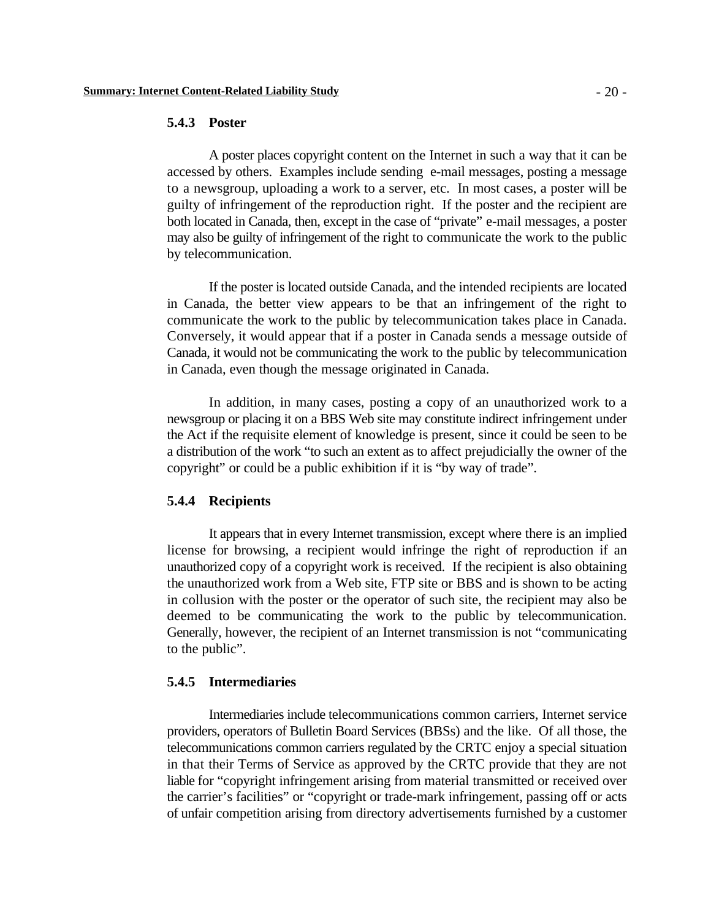### **5.4.3 Poster**

A poster places copyright content on the Internet in such a way that it can be accessed by others. Examples include sending e-mail messages, posting a message to a newsgroup, uploading a work to a server, etc. In most cases, a poster will be guilty of infringement of the reproduction right. If the poster and the recipient are both located in Canada, then, except in the case of "private" e-mail messages, a poster may also be guilty of infringement of the right to communicate the work to the public by telecommunication.

If the poster is located outside Canada, and the intended recipients are located in Canada, the better view appears to be that an infringement of the right to communicate the work to the public by telecommunication takes place in Canada. Conversely, it would appear that if a poster in Canada sends a message outside of Canada, it would not be communicating the work to the public by telecommunication in Canada, even though the message originated in Canada.

In addition, in many cases, posting a copy of an unauthorized work to a newsgroup or placing it on a BBS Web site may constitute indirect infringement under the Act if the requisite element of knowledge is present, since it could be seen to be a distribution of the work "to such an extent as to affect prejudicially the owner of the copyright" or could be a public exhibition if it is "by way of trade".

### **5.4.4 Recipients**

It appears that in every Internet transmission, except where there is an implied license for browsing, a recipient would infringe the right of reproduction if an unauthorized copy of a copyright work is received. If the recipient is also obtaining the unauthorized work from a Web site, FTP site or BBS and is shown to be acting in collusion with the poster or the operator of such site, the recipient may also be deemed to be communicating the work to the public by telecommunication. Generally, however, the recipient of an Internet transmission is not "communicating to the public".

### **5.4.5 Intermediaries**

Intermediaries include telecommunications common carriers, Internet service providers, operators of Bulletin Board Services (BBSs) and the like. Of all those, the telecommunications common carriers regulated by the CRTC enjoy a special situation in that their Terms of Service as approved by the CRTC provide that they are not liable for "copyright infringement arising from material transmitted or received over the carrier's facilities" or "copyright or trade-mark infringement, passing off or acts of unfair competition arising from directory advertisements furnished by a customer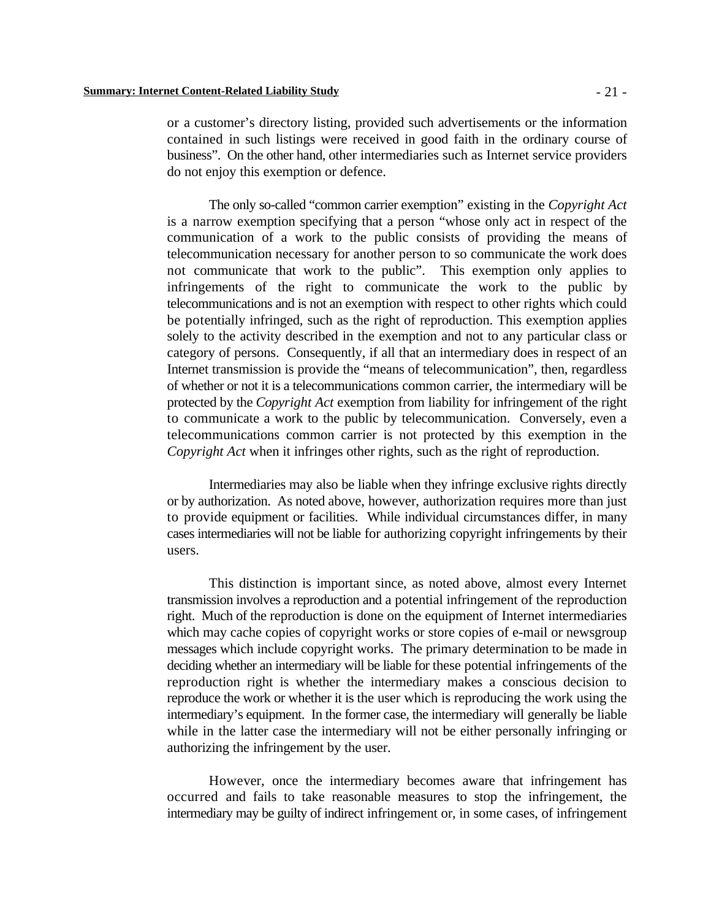do not enjoy this exemption or defence.

The only so-called "common carrier exemption" existing in the *Copyright Act* is a narrow exemption specifying that a person "whose only act in respect of the communication of a work to the public consists of providing the means of telecommunication necessary for another person to so communicate the work does not communicate that work to the public". This exemption only applies to infringements of the right to communicate the work to the public by telecommunications and is not an exemption with respect to other rights which could be potentially infringed, such as the right of reproduction. This exemption applies solely to the activity described in the exemption and not to any particular class or category of persons. Consequently, if all that an intermediary does in respect of an Internet transmission is provide the "means of telecommunication", then, regardless of whether or not it is a telecommunications common carrier, the intermediary will be protected by the *Copyright Act* exemption from liability for infringement of the right to communicate a work to the public by telecommunication. Conversely, even a telecommunications common carrier is not protected by this exemption in the *Copyright Act* when it infringes other rights, such as the right of reproduction.

Intermediaries may also be liable when they infringe exclusive rights directly or by authorization. As noted above, however, authorization requires more than just to provide equipment or facilities. While individual circumstances differ, in many cases intermediaries will not be liable for authorizing copyright infringements by their users.

This distinction is important since, as noted above, almost every Internet transmission involves a reproduction and a potential infringement of the reproduction right. Much of the reproduction is done on the equipment of Internet intermediaries which may cache copies of copyright works or store copies of e-mail or newsgroup messages which include copyright works. The primary determination to be made in deciding whether an intermediary will be liable for these potential infringements of the reproduction right is whether the intermediary makes a conscious decision to reproduce the work or whether it is the user which is reproducing the work using the intermediary's equipment. In the former case, the intermediary will generally be liable while in the latter case the intermediary will not be either personally infringing or authorizing the infringement by the user.

However, once the intermediary becomes aware that infringement has occurred and fails to take reasonable measures to stop the infringement, the intermediary may be guilty of indirect infringement or, in some cases, of infringement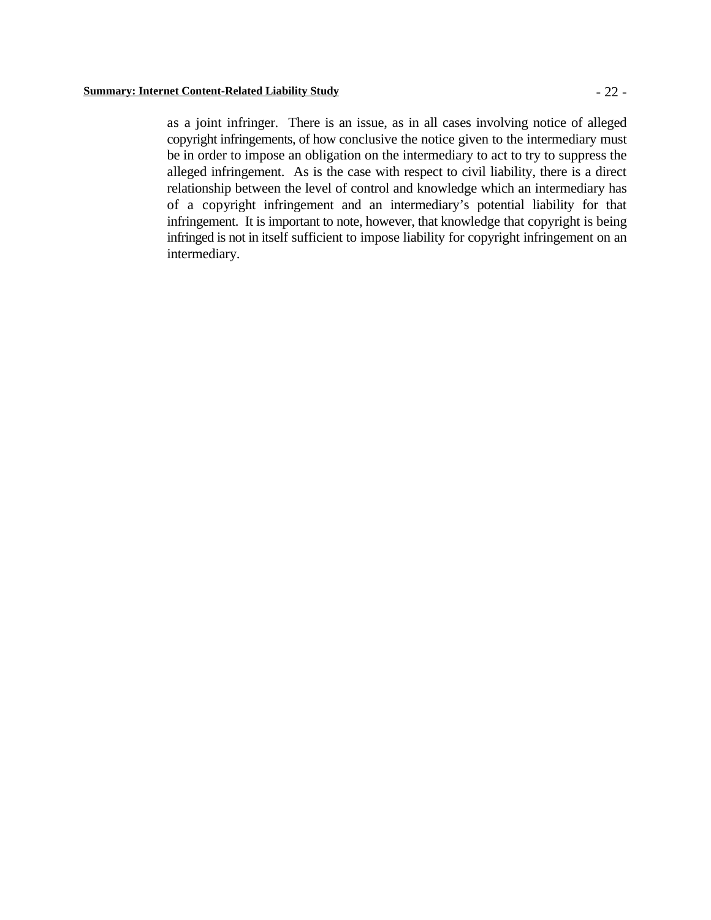as a joint infringer. There is an issue, as in all cases involving notice of alleged copyright infringements, of how conclusive the notice given to the intermediary must be in order to impose an obligation on the intermediary to act to try to suppress the alleged infringement. As is the case with respect to civil liability, there is a direct relationship between the level of control and knowledge which an intermediary has of a copyright infringement and an intermediary's potential liability for that infringement. It is important to note, however, that knowledge that copyright is being infringed is not in itself sufficient to impose liability for copyright infringement on an intermediary.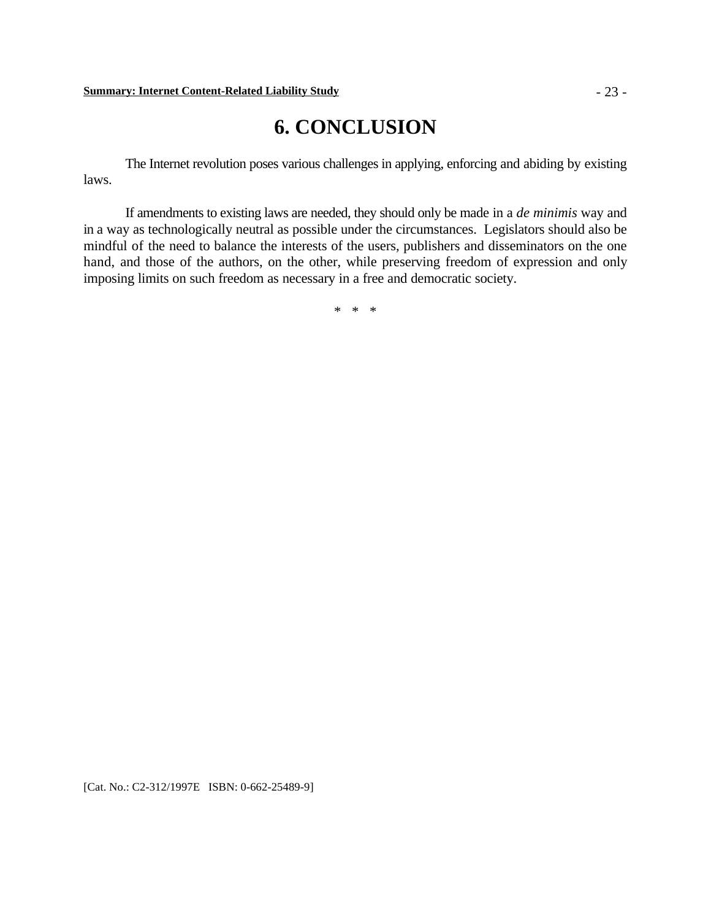# **6. CONCLUSION**

The Internet revolution poses various challenges in applying, enforcing and abiding by existing laws.

If amendments to existing laws are needed, they should only be made in a *de minimis* way and in a way as technologically neutral as possible under the circumstances. Legislators should also be mindful of the need to balance the interests of the users, publishers and disseminators on the one hand, and those of the authors, on the other, while preserving freedom of expression and only imposing limits on such freedom as necessary in a free and democratic society.

\* \* \*

[Cat. No.: C2-312/1997E ISBN: 0-662-25489-9]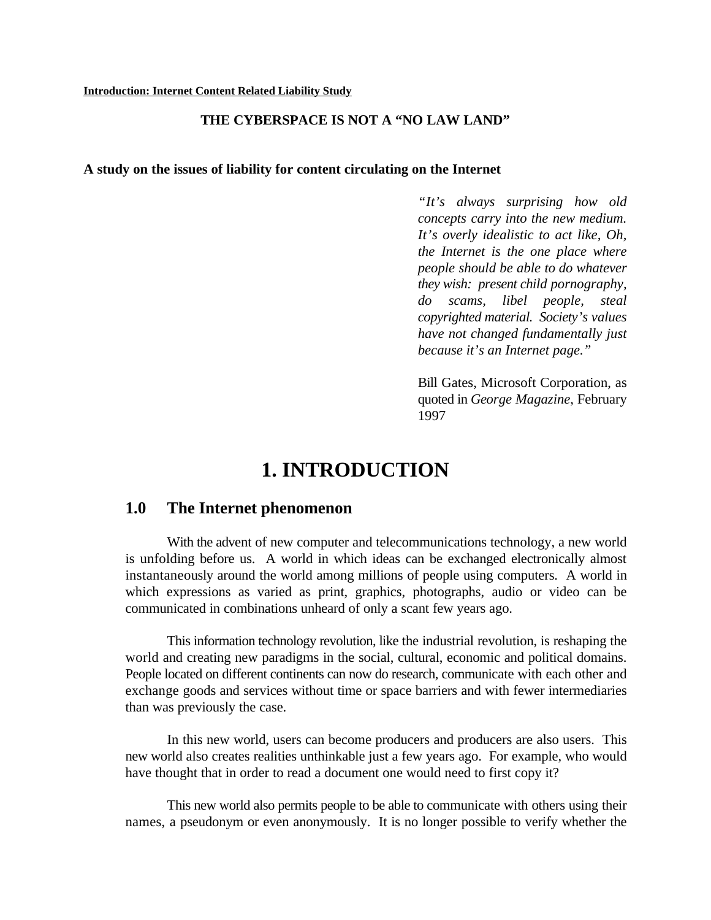### **THE CYBERSPACE IS NOT A "NO LAW LAND"**

### **A study on the issues of liability for content circulating on the Internet**

*"It's always surprising how old concepts carry into the new medium. It's overly idealistic to act like, Oh, the Internet is the one place where people should be able to do whatever they wish: present child pornography, do scams, libel people, steal copyrighted material. Society's values have not changed fundamentally just because it's an Internet page."*

Bill Gates, Microsoft Corporation, as quoted in *George Magazine*, February 1997

# **1. INTRODUCTION**

## **1.0 The Internet phenomenon**

With the advent of new computer and telecommunications technology, a new world is unfolding before us. A world in which ideas can be exchanged electronically almost instantaneously around the world among millions of people using computers. A world in which expressions as varied as print, graphics, photographs, audio or video can be communicated in combinations unheard of only a scant few years ago.

This information technology revolution, like the industrial revolution, is reshaping the world and creating new paradigms in the social, cultural, economic and political domains. People located on different continents can now do research, communicate with each other and exchange goods and services without time or space barriers and with fewer intermediaries than was previously the case.

In this new world, users can become producers and producers are also users. This new world also creates realities unthinkable just a few years ago. For example, who would have thought that in order to read a document one would need to first copy it?

This new world also permits people to be able to communicate with others using their names, a pseudonym or even anonymously. It is no longer possible to verify whether the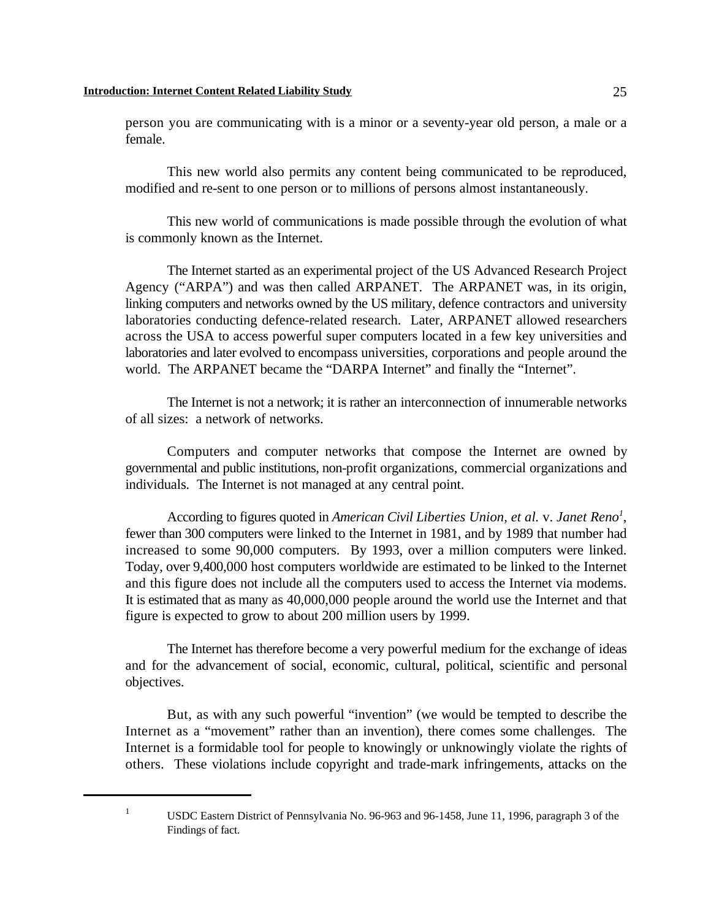person you are communicating with is a minor or a seventy-year old person, a male or a female.

This new world also permits any content being communicated to be reproduced, modified and re-sent to one person or to millions of persons almost instantaneously.

This new world of communications is made possible through the evolution of what is commonly known as the Internet.

The Internet started as an experimental project of the US Advanced Research Project Agency ("ARPA") and was then called ARPANET. The ARPANET was, in its origin, linking computers and networks owned by the US military, defence contractors and university laboratories conducting defence-related research. Later, ARPANET allowed researchers across the USA to access powerful super computers located in a few key universities and laboratories and later evolved to encompass universities, corporations and people around the world. The ARPANET became the "DARPA Internet" and finally the "Internet".

The Internet is not a network; it is rather an interconnection of innumerable networks of all sizes: a network of networks.

Computers and computer networks that compose the Internet are owned by governmental and public institutions, non-profit organizations, commercial organizations and individuals. The Internet is not managed at any central point.

According to figures quoted in *American Civil Liberties Union, et al. v. Janet Reno<sup>1</sup>,* fewer than 300 computers were linked to the Internet in 1981, and by 1989 that number had increased to some 90,000 computers. By 1993, over a million computers were linked. Today, over 9,400,000 host computers worldwide are estimated to be linked to the Internet and this figure does not include all the computers used to access the Internet via modems. It is estimated that as many as 40,000,000 people around the world use the Internet and that figure is expected to grow to about 200 million users by 1999.

The Internet has therefore become a very powerful medium for the exchange of ideas and for the advancement of social, economic, cultural, political, scientific and personal objectives.

But, as with any such powerful "invention" (we would be tempted to describe the Internet as a "movement" rather than an invention), there comes some challenges. The Internet is a formidable tool for people to knowingly or unknowingly violate the rights of others. These violations include copyright and trade-mark infringements, attacks on the

<sup>&</sup>lt;sup>1</sup> USDC Eastern District of Pennsylvania No. 96-963 and 96-1458, June 11, 1996, paragraph 3 of the Findings of fact.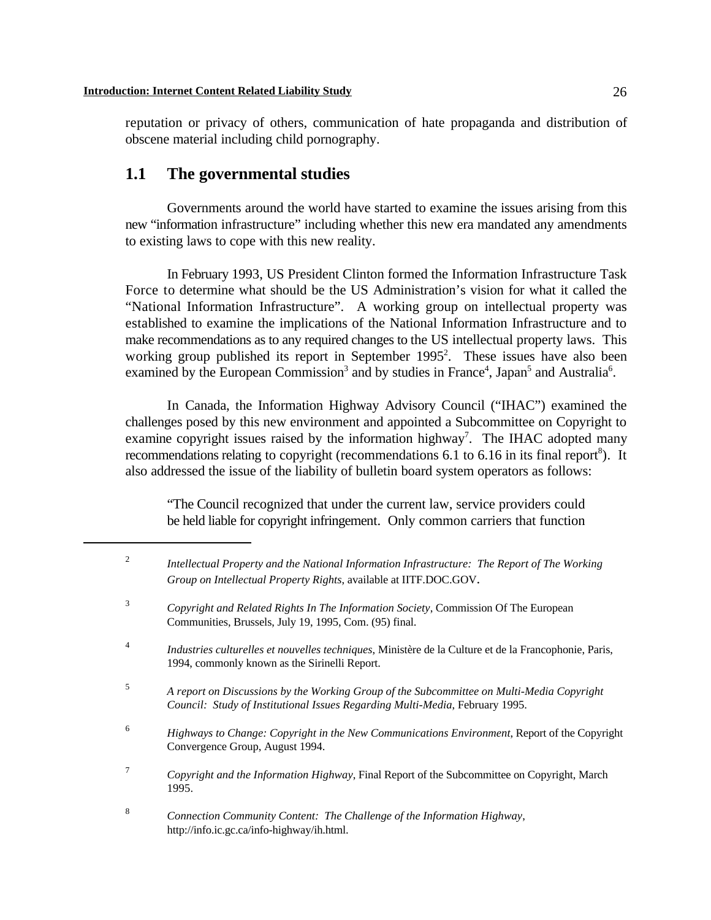reputation or privacy of others, communication of hate propaganda and distribution of obscene material including child pornography.

# **1.1 The governmental studies**

Governments around the world have started to examine the issues arising from this new "information infrastructure" including whether this new era mandated any amendments to existing laws to cope with this new reality.

In February 1993, US President Clinton formed the Information Infrastructure Task Force to determine what should be the US Administration's vision for what it called the "National Information Infrastructure". A working group on intellectual property was established to examine the implications of the National Information Infrastructure and to make recommendations as to any required changes to the US intellectual property laws. This working group published its report in September  $1995<sup>2</sup>$ . These issues have also been examined by the European Commission<sup>3</sup> and by studies in France<sup>4</sup>, Japan<sup>5</sup> and Australia<sup>6</sup>.

In Canada, the Information Highway Advisory Council ("IHAC") examined the challenges posed by this new environment and appointed a Subcommittee on Copyright to examine copyright issues raised by the information highway<sup>7</sup>. The IHAC adopted many recommendations relating to copyright (recommendations  $6.1$  to  $6.16$  in its final report<sup>8</sup>). It also addressed the issue of the liability of bulletin board system operators as follows:

"The Council recognized that under the current law, service providers could be held liable for copyright infringement. Only common carriers that function

*Intellectual Property and the National Information Infrastructure: The Report of The Working* <sup>2</sup>

*Group on Intellectual Property Rights*, available at IITF.DOC.GOV. *Copyright and Related Rights In The Information Society*, Commission Of The European <sup>3</sup> Communities, Brussels, July 19, 1995, Com. (95) final. *Industries culturelles et nouvelles techniques*, Ministère de la Culture et de la Francophonie, Paris, <sup>4</sup> 1994, commonly known as the Sirinelli Report. *A report on Discussions by the Working Group of the Subcommittee on Multi-Media Copyright* <sup>5</sup> *Council: Study of Institutional Issues Regarding Multi-Media*, February 1995. <sup>6</sup> Highways to Change: Copyright in the New Communications Environment, Report of the Copyright Convergence Group, August 1994. *Copyright and the Information Highway*, Final Report of the Subcommittee on Copyright, March <sup>7</sup> 1995. *Connection Community Content: The Challenge of the Information Highway*, 8 http://info.ic.gc.ca/info-highway/ih.html.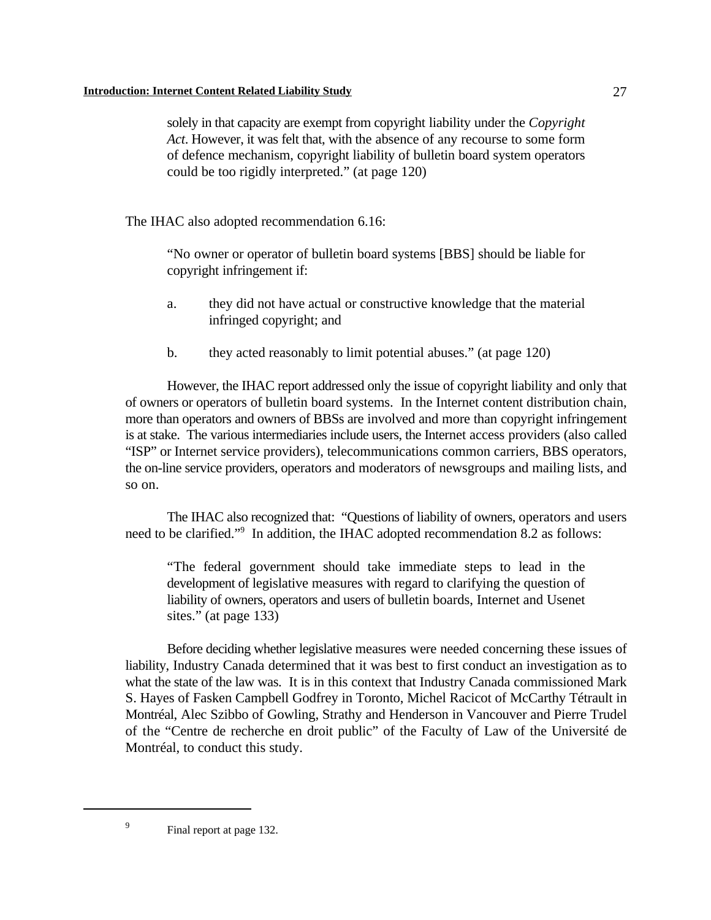solely in that capacity are exempt from copyright liability under the *Copyright Act*. However, it was felt that, with the absence of any recourse to some form of defence mechanism, copyright liability of bulletin board system operators could be too rigidly interpreted." (at page 120)

The IHAC also adopted recommendation 6.16:

"No owner or operator of bulletin board systems [BBS] should be liable for copyright infringement if:

- a. they did not have actual or constructive knowledge that the material infringed copyright; and
- b. they acted reasonably to limit potential abuses." (at page 120)

However, the IHAC report addressed only the issue of copyright liability and only that of owners or operators of bulletin board systems. In the Internet content distribution chain, more than operators and owners of BBSs are involved and more than copyright infringement is at stake. The various intermediaries include users, the Internet access providers (also called "ISP" or Internet service providers), telecommunications common carriers, BBS operators, the on-line service providers, operators and moderators of newsgroups and mailing lists, and so on.

The IHAC also recognized that: "Questions of liability of owners, operators and users need to be clarified."<sup>9</sup> In addition, the IHAC adopted recommendation 8.2 as follows:

"The federal government should take immediate steps to lead in the development of legislative measures with regard to clarifying the question of liability of owners, operators and users of bulletin boards, Internet and Usenet sites." (at page 133)

Before deciding whether legislative measures were needed concerning these issues of liability, Industry Canada determined that it was best to first conduct an investigation as to what the state of the law was. It is in this context that Industry Canada commissioned Mark S. Hayes of Fasken Campbell Godfrey in Toronto, Michel Racicot of McCarthy Tétrault in Montréal, Alec Szibbo of Gowling, Strathy and Henderson in Vancouver and Pierre Trudel of the "Centre de recherche en droit public" of the Faculty of Law of the Université de Montréal, to conduct this study.

<sup>&</sup>lt;sup>9</sup> Final report at page 132.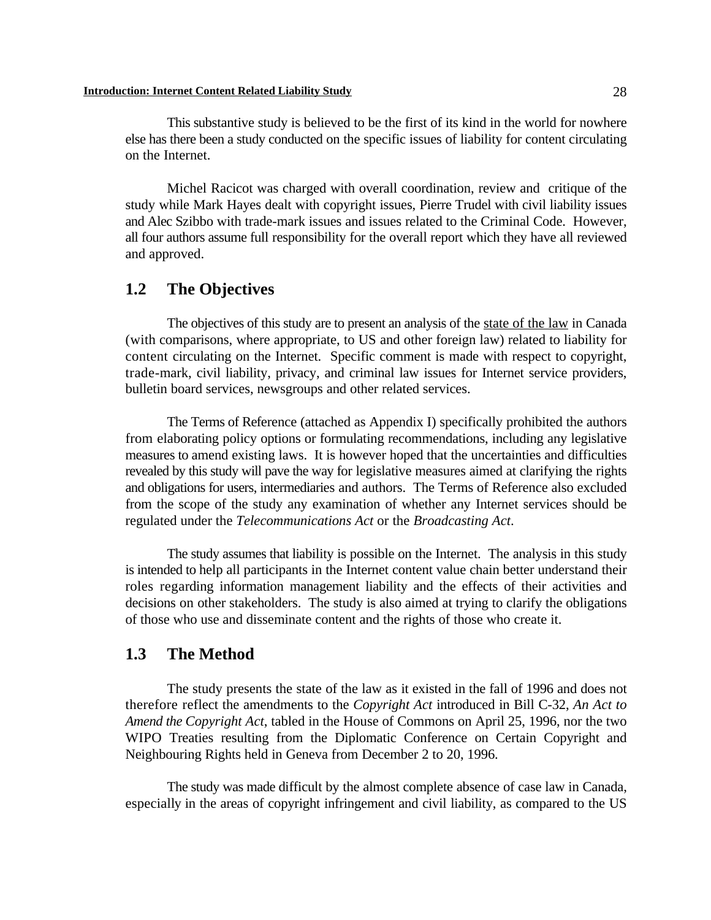#### **Introduction: Internet Content Related Liability Study** 28

This substantive study is believed to be the first of its kind in the world for nowhere else has there been a study conducted on the specific issues of liability for content circulating on the Internet.

Michel Racicot was charged with overall coordination, review and critique of the study while Mark Hayes dealt with copyright issues, Pierre Trudel with civil liability issues and Alec Szibbo with trade-mark issues and issues related to the Criminal Code. However, all four authors assume full responsibility for the overall report which they have all reviewed and approved.

# **1.2 The Objectives**

The objectives of this study are to present an analysis of the state of the law in Canada (with comparisons, where appropriate, to US and other foreign law) related to liability for content circulating on the Internet. Specific comment is made with respect to copyright, trade-mark, civil liability, privacy, and criminal law issues for Internet service providers, bulletin board services, newsgroups and other related services.

The Terms of Reference (attached as Appendix I) specifically prohibited the authors from elaborating policy options or formulating recommendations, including any legislative measures to amend existing laws. It is however hoped that the uncertainties and difficulties revealed by this study will pave the way for legislative measures aimed at clarifying the rights and obligations for users, intermediaries and authors. The Terms of Reference also excluded from the scope of the study any examination of whether any Internet services should be regulated under the *Telecommunications Act* or the *Broadcasting Act*.

The study assumes that liability is possible on the Internet. The analysis in this study is intended to help all participants in the Internet content value chain better understand their roles regarding information management liability and the effects of their activities and decisions on other stakeholders. The study is also aimed at trying to clarify the obligations of those who use and disseminate content and the rights of those who create it.

### **1.3 The Method**

The study presents the state of the law as it existed in the fall of 1996 and does not therefore reflect the amendments to the *Copyright Act* introduced in Bill C-32, *An Act to Amend the Copyright Act*, tabled in the House of Commons on April 25, 1996, nor the two WIPO Treaties resulting from the Diplomatic Conference on Certain Copyright and Neighbouring Rights held in Geneva from December 2 to 20, 1996.

The study was made difficult by the almost complete absence of case law in Canada, especially in the areas of copyright infringement and civil liability, as compared to the US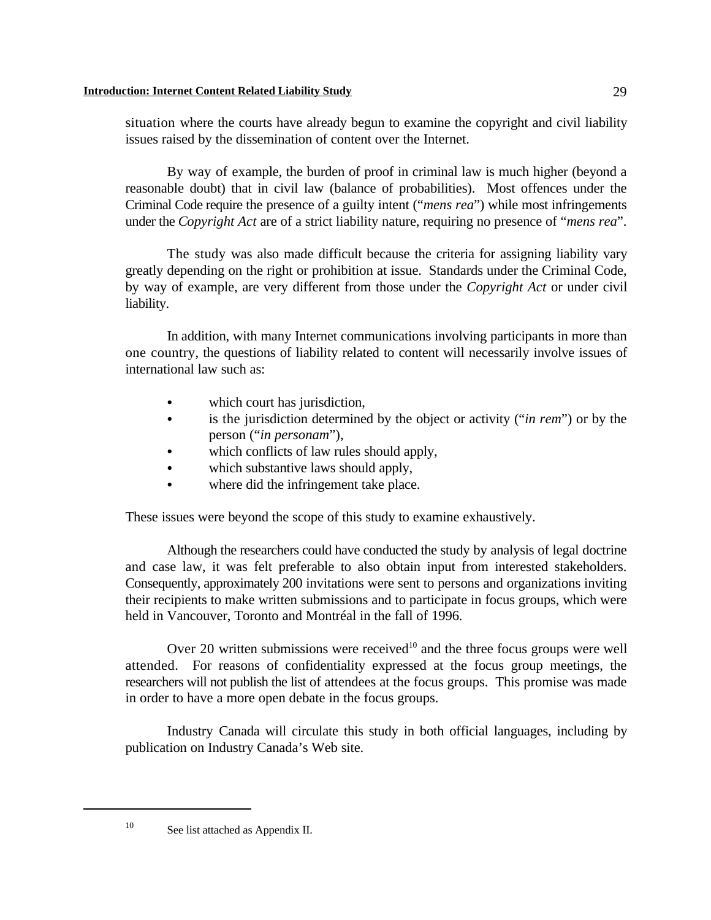situation where the courts have already begun to examine the copyright and civil liability issues raised by the dissemination of content over the Internet.

By way of example, the burden of proof in criminal law is much higher (beyond a reasonable doubt) that in civil law (balance of probabilities). Most offences under the Criminal Code require the presence of a guilty intent ("*mens rea*") while most infringements under the *Copyright Act* are of a strict liability nature, requiring no presence of "*mens rea*".

The study was also made difficult because the criteria for assigning liability vary greatly depending on the right or prohibition at issue. Standards under the Criminal Code, by way of example, are very different from those under the *Copyright Act* or under civil liability.

In addition, with many Internet communications involving participants in more than one country, the questions of liability related to content will necessarily involve issues of international law such as:

- which court has jurisdiction,
- is the jurisdiction determined by the object or activity ("*in rem*") or by the person ("*in personam*"),
- which conflicts of law rules should apply,
- which substantive laws should apply,
- where did the infringement take place.

These issues were beyond the scope of this study to examine exhaustively.

Although the researchers could have conducted the study by analysis of legal doctrine and case law, it was felt preferable to also obtain input from interested stakeholders. Consequently, approximately 200 invitations were sent to persons and organizations inviting their recipients to make written submissions and to participate in focus groups, which were held in Vancouver, Toronto and Montréal in the fall of 1996.

Over 20 written submissions were received $10$  and the three focus groups were well attended. For reasons of confidentiality expressed at the focus group meetings, the researchers will not publish the list of attendees at the focus groups. This promise was made in order to have a more open debate in the focus groups.

Industry Canada will circulate this study in both official languages, including by publication on Industry Canada's Web site.

 $^{10}$  See list attached as Appendix II.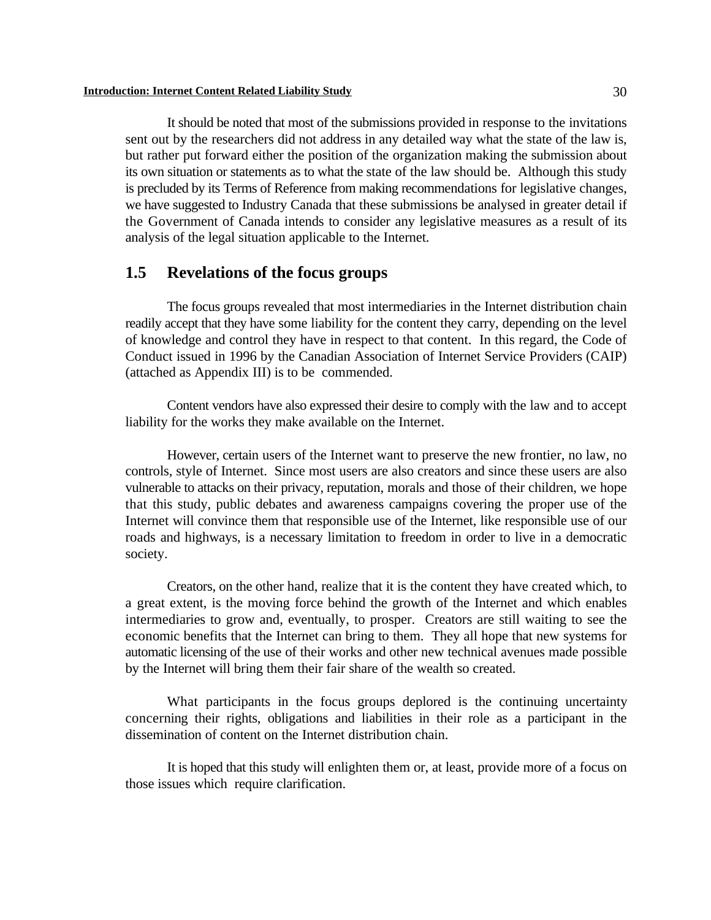#### **Introduction: Internet Content Related Liability Study** 30

It should be noted that most of the submissions provided in response to the invitations sent out by the researchers did not address in any detailed way what the state of the law is, but rather put forward either the position of the organization making the submission about its own situation or statements as to what the state of the law should be. Although this study is precluded by its Terms of Reference from making recommendations for legislative changes, we have suggested to Industry Canada that these submissions be analysed in greater detail if the Government of Canada intends to consider any legislative measures as a result of its analysis of the legal situation applicable to the Internet.

### **1.5 Revelations of the focus groups**

The focus groups revealed that most intermediaries in the Internet distribution chain readily accept that they have some liability for the content they carry, depending on the level of knowledge and control they have in respect to that content. In this regard, the Code of Conduct issued in 1996 by the Canadian Association of Internet Service Providers (CAIP) (attached as Appendix III) is to be commended.

Content vendors have also expressed their desire to comply with the law and to accept liability for the works they make available on the Internet.

However, certain users of the Internet want to preserve the new frontier, no law, no controls, style of Internet. Since most users are also creators and since these users are also vulnerable to attacks on their privacy, reputation, morals and those of their children, we hope that this study, public debates and awareness campaigns covering the proper use of the Internet will convince them that responsible use of the Internet, like responsible use of our roads and highways, is a necessary limitation to freedom in order to live in a democratic society.

Creators, on the other hand, realize that it is the content they have created which, to a great extent, is the moving force behind the growth of the Internet and which enables intermediaries to grow and, eventually, to prosper. Creators are still waiting to see the economic benefits that the Internet can bring to them. They all hope that new systems for automatic licensing of the use of their works and other new technical avenues made possible by the Internet will bring them their fair share of the wealth so created.

What participants in the focus groups deplored is the continuing uncertainty concerning their rights, obligations and liabilities in their role as a participant in the dissemination of content on the Internet distribution chain.

It is hoped that this study will enlighten them or, at least, provide more of a focus on those issues which require clarification.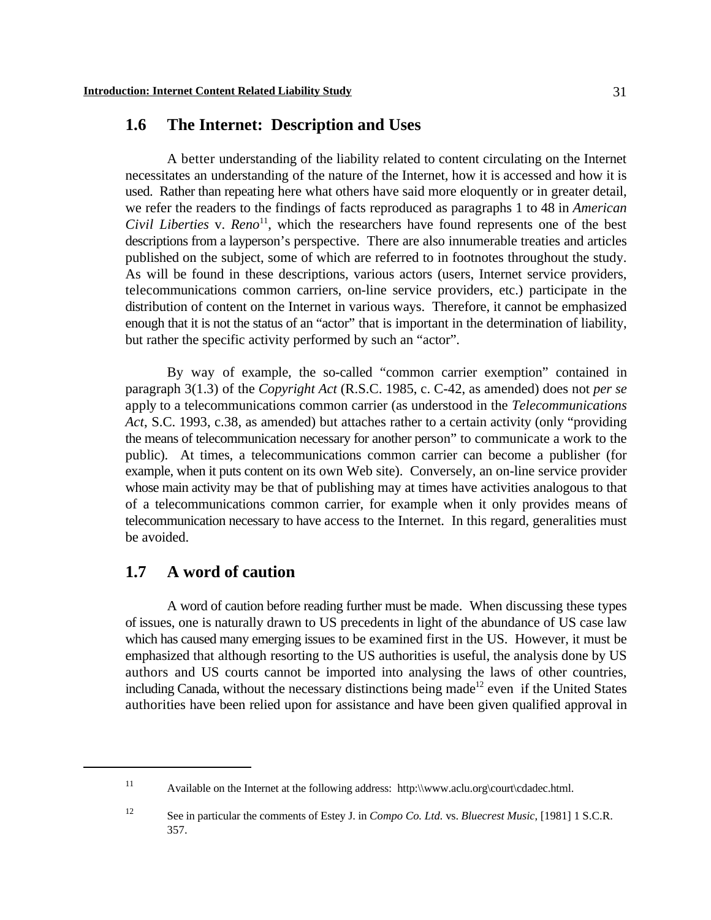## **1.6 The Internet: Description and Uses**

A better understanding of the liability related to content circulating on the Internet necessitates an understanding of the nature of the Internet, how it is accessed and how it is used. Rather than repeating here what others have said more eloquently or in greater detail, we refer the readers to the findings of facts reproduced as paragraphs 1 to 48 in *American Civil Liberties* v.  $Reno<sup>11</sup>$ , which the researchers have found represents one of the best descriptions from a layperson's perspective. There are also innumerable treaties and articles published on the subject, some of which are referred to in footnotes throughout the study. As will be found in these descriptions, various actors (users, Internet service providers, telecommunications common carriers, on-line service providers, etc.) participate in the distribution of content on the Internet in various ways. Therefore, it cannot be emphasized enough that it is not the status of an "actor" that is important in the determination of liability, but rather the specific activity performed by such an "actor".

By way of example, the so-called "common carrier exemption" contained in paragraph 3(1.3) of the *Copyright Act* (R.S.C. 1985, c. C-42, as amended) does not *per se* apply to a telecommunications common carrier (as understood in the *Telecommunications Act*, S.C. 1993, c.38, as amended) but attaches rather to a certain activity (only "providing the means of telecommunication necessary for another person" to communicate a work to the public). At times, a telecommunications common carrier can become a publisher (for example, when it puts content on its own Web site). Conversely, an on-line service provider whose main activity may be that of publishing may at times have activities analogous to that of a telecommunications common carrier, for example when it only provides means of telecommunication necessary to have access to the Internet. In this regard, generalities must be avoided.

# **1.7 A word of caution**

A word of caution before reading further must be made. When discussing these types of issues, one is naturally drawn to US precedents in light of the abundance of US case law which has caused many emerging issues to be examined first in the US. However, it must be emphasized that although resorting to the US authorities is useful, the analysis done by US authors and US courts cannot be imported into analysing the laws of other countries, including Canada, without the necessary distinctions being made<sup>12</sup> even if the United States authorities have been relied upon for assistance and have been given qualified approval in

<sup>&</sup>lt;sup>11</sup> Available on the Internet at the following address: http:\\www.aclu.org\court\cdadec.html.

See in particular the comments of Estey J. in *Compo Co. Ltd.* vs. *Bluecrest Music*, [1981] 1 S.C.R. <sup>12</sup> 357.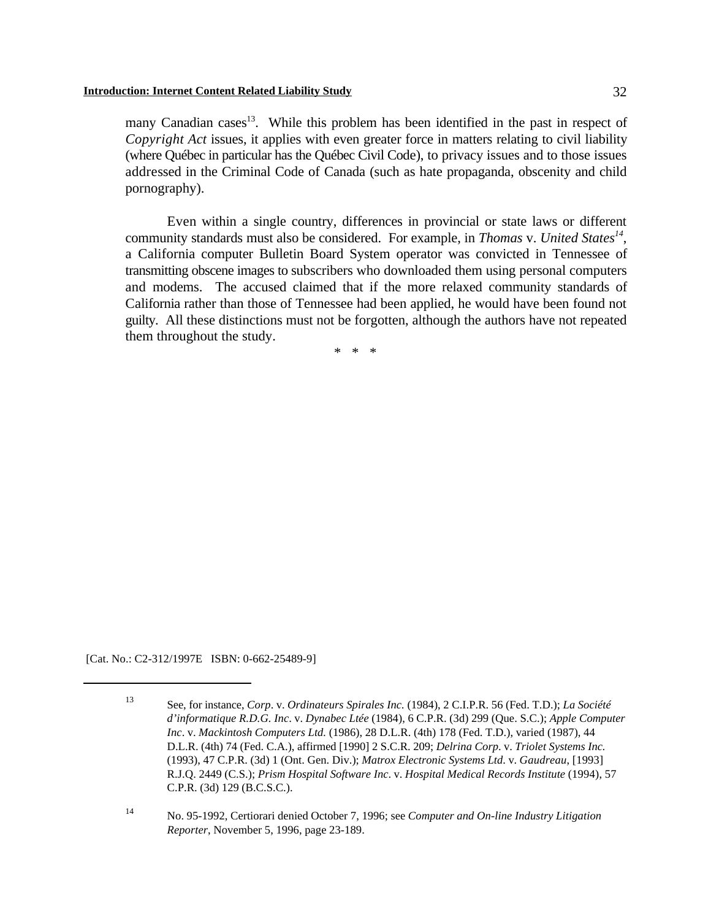many Canadian cases<sup>13</sup>. While this problem has been identified in the past in respect of *Copyright Act* issues, it applies with even greater force in matters relating to civil liability (where Québec in particular has the Québec Civil Code), to privacy issues and to those issues addressed in the Criminal Code of Canada (such as hate propaganda, obscenity and child pornography).

Even within a single country, differences in provincial or state laws or different community standards must also be considered. For example, in *Thomas* v. *United States<sup>14</sup>*, a California computer Bulletin Board System operator was convicted in Tennessee of transmitting obscene images to subscribers who downloaded them using personal computers and modems. The accused claimed that if the more relaxed community standards of California rather than those of Tennessee had been applied, he would have been found not guilty. All these distinctions must not be forgotten, although the authors have not repeated them throughout the study.

\* \* \*

[Cat. No.: C2-312/1997E ISBN: 0-662-25489-9]

See, for instance, *Corp*. v. *Ordinateurs Spirales Inc.* (1984), 2 C.I.P.R. 56 (Fed. T.D.); *La Société* <sup>13</sup> *d'informatique R.D.G. Inc*. v. *Dynabec Ltée* (1984), 6 C.P.R. (3d) 299 (Que. S.C.); *Apple Computer Inc*. v. *Mackintosh Computers Ltd.* (1986), 28 D.L.R. (4th) 178 (Fed. T.D.), varied (1987), 44 D.L.R. (4th) 74 (Fed. C.A.), affirmed [1990] 2 S.C.R. 209; *Delrina Corp*. v. *Triolet Systems Inc.* (1993), 47 C.P.R. (3d) 1 (Ont. Gen. Div.); *Matrox Electronic Systems Ltd*. v. *Gaudreau*, [1993] R.J.Q. 2449 (C.S.); *Prism Hospital Software Inc*. v. *Hospital Medical Records Institute* (1994), 57 C.P.R. (3d) 129 (B.C.S.C.).

No. 95-1992, Certiorari denied October 7, 1996; see *Computer and On-line Industry Litigation* <sup>14</sup> *Reporter*, November 5, 1996, page 23-189.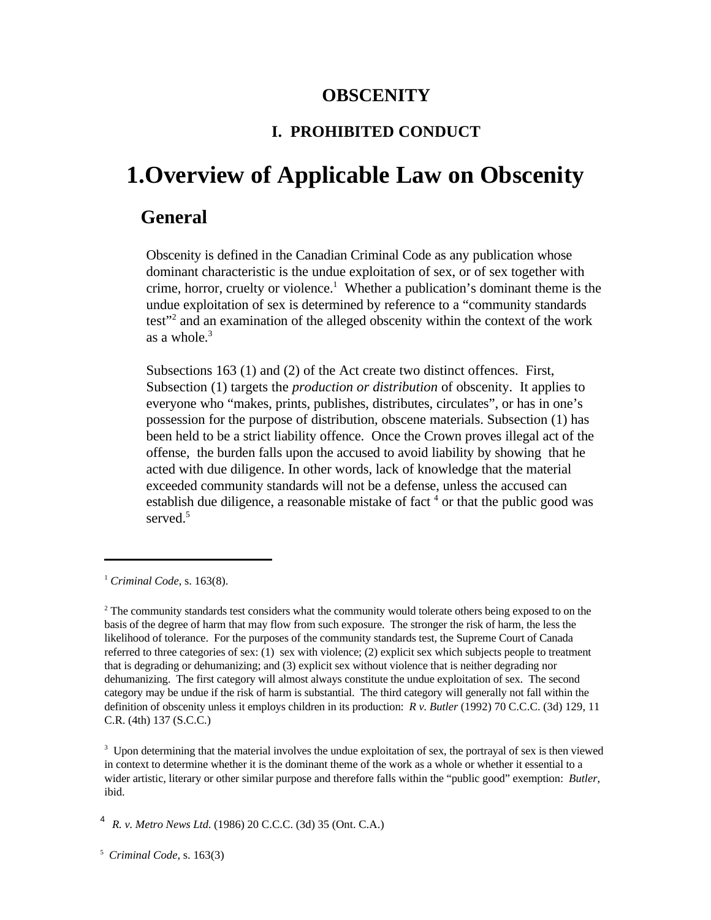### **OBSCENITY**

### **I. PROHIBITED CONDUCT**

# **1.Overview of Applicable Law on Obscenity**

### **General**

Obscenity is defined in the Canadian Criminal Code as any publication whose dominant characteristic is the undue exploitation of sex, or of sex together with crime, horror, cruelty or violence.<sup>1</sup> Whether a publication's dominant theme is the undue exploitation of sex is determined by reference to a "community standards test"<sup>2</sup> and an examination of the alleged obscenity within the context of the work as a whole. $3$ 

Subsections 163 (1) and (2) of the Act create two distinct offences. First, Subsection (1) targets the *production or distribution* of obscenity. It applies to everyone who "makes, prints, publishes, distributes, circulates", or has in one's possession for the purpose of distribution, obscene materials. Subsection (1) has been held to be a strict liability offence. Once the Crown proves illegal act of the offense, the burden falls upon the accused to avoid liability by showing that he acted with due diligence. In other words, lack of knowledge that the material exceeded community standards will not be a defense, unless the accused can establish due diligence, a reasonable mistake of fact  $4$  or that the public good was served.<sup>5</sup>

<sup>3</sup> Upon determining that the material involves the undue exploitation of sex, the portrayal of sex is then viewed in context to determine whether it is the dominant theme of the work as a whole or whether it essential to a wider artistic, literary or other similar purpose and therefore falls within the "public good" exemption: *Butler*, ibid.

*R. v. Metro News Ltd*. (1986) 20 C.C.C. (3d) 35 (Ont. C.A.) <sup>4</sup>

<sup>&</sup>lt;sup>1</sup> Criminal Code, s. 163(8).

 $2$  The community standards test considers what the community would tolerate others being exposed to on the basis of the degree of harm that may flow from such exposure. The stronger the risk of harm, the less the likelihood of tolerance. For the purposes of the community standards test, the Supreme Court of Canada referred to three categories of sex: (1) sex with violence; (2) explicit sex which subjects people to treatment that is degrading or dehumanizing; and (3) explicit sex without violence that is neither degrading nor dehumanizing. The first category will almost always constitute the undue exploitation of sex. The second category may be undue if the risk of harm is substantial. The third category will generally not fall within the definition of obscenity unless it employs children in its production: *R v. Butler* (1992) 70 C.C.C. (3d) 129, 11 C.R. (4th) 137 (S.C.C.)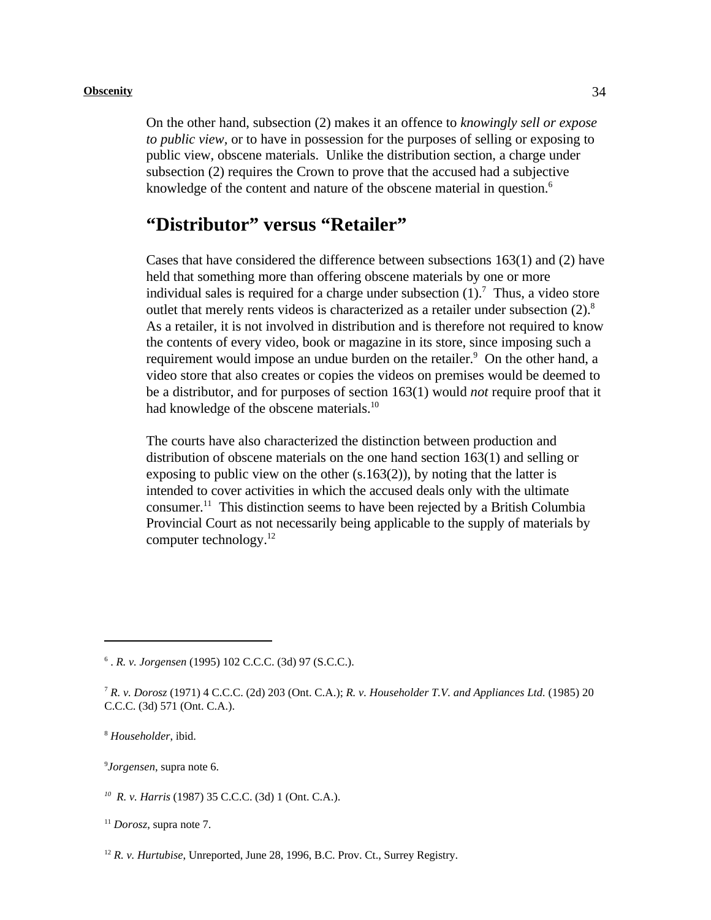On the other hand, subsection (2) makes it an offence to *knowingly sell or expose to public view,* or to have in possession for the purposes of selling or exposing to public view, obscene materials. Unlike the distribution section, a charge under subsection (2) requires the Crown to prove that the accused had a subjective knowledge of the content and nature of the obscene material in question.<sup>6</sup>

# **"Distributor" versus "Retailer"**

Cases that have considered the difference between subsections  $163(1)$  and  $(2)$  have held that something more than offering obscene materials by one or more individual sales is required for a charge under subsection  $(1)$ .<sup>7</sup> Thus, a video store outlet that merely rents videos is characterized as a retailer under subsection (2).<sup>8</sup> As a retailer, it is not involved in distribution and is therefore not required to know the contents of every video, book or magazine in its store, since imposing such a requirement would impose an undue burden on the retailer.<sup>9</sup> On the other hand, a video store that also creates or copies the videos on premises would be deemed to be a distributor, and for purposes of section 163(1) would *not* require proof that it had knowledge of the obscene materials.<sup>10</sup>

The courts have also characterized the distinction between production and distribution of obscene materials on the one hand section 163(1) and selling or exposing to public view on the other (s.163(2)), by noting that the latter is intended to cover activities in which the accused deals only with the ultimate consumer.<sup>11</sup> This distinction seems to have been rejected by a British Columbia Provincial Court as not necessarily being applicable to the supply of materials by computer technology.12

<sup>9</sup>Jorgensen, supra note 6.

 <sup>.</sup> *R. v. Jorgensen* (1995) 102 C.C.C. (3d) 97 (S.C.C.). <sup>6</sup>

*R. v. Dorosz* (1971) 4 C.C.C. (2d) 203 (Ont. C.A.); *R. v. Householder T.V. and Appliances Ltd.* (1985) 20 <sup>7</sup> C.C.C. (3d) 571 (Ont. C.A.).

*Householder*, ibid. <sup>8</sup>

*R. v. Harris* (1987) 35 C.C.C. (3d) 1 (Ont. C.A.). *<sup>10</sup>*

 $11$  *Dorosz*, supra note 7.

<sup>&</sup>lt;sup>12</sup> R. v. Hurtubise, Unreported, June 28, 1996, B.C. Prov. Ct., Surrey Registry.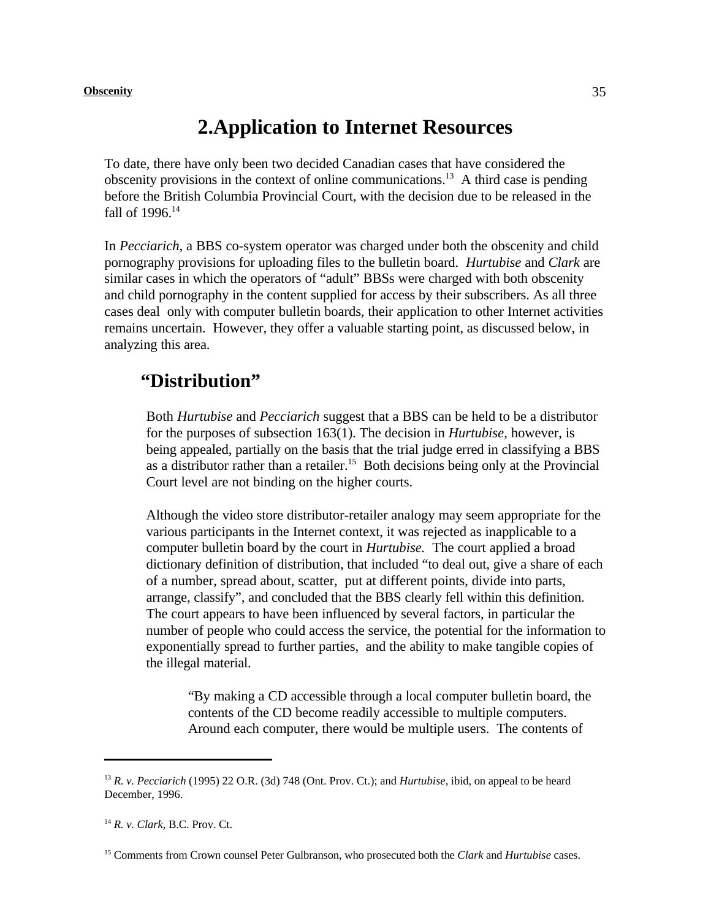# **2.Application to Internet Resources**

To date, there have only been two decided Canadian cases that have considered the obscenity provisions in the context of online communications.<sup>13</sup> A third case is pending before the British Columbia Provincial Court, with the decision due to be released in the fall of 1996.<sup>14</sup>

In *Pecciarich*, a BBS co-system operator was charged under both the obscenity and child pornography provisions for uploading files to the bulletin board. *Hurtubise* and *Clark* are similar cases in which the operators of "adult" BBSs were charged with both obscenity and child pornography in the content supplied for access by their subscribers. As all three cases deal only with computer bulletin boards, their application to other Internet activities remains uncertain. However, they offer a valuable starting point, as discussed below, in analyzing this area.

## **"Distribution"**

Both *Hurtubise* and *Pecciarich* suggest that a BBS can be held to be a distributor for the purposes of subsection 163(1). The decision in *Hurtubise*, however, is being appealed, partially on the basis that the trial judge erred in classifying a BBS as a distributor rather than a retailer.<sup>15</sup> Both decisions being only at the Provincial Court level are not binding on the higher courts.

Although the video store distributor-retailer analogy may seem appropriate for the various participants in the Internet context, it was rejected as inapplicable to a computer bulletin board by the court in *Hurtubise.* The court applied a broad dictionary definition of distribution, that included "to deal out, give a share of each of a number, spread about, scatter, put at different points, divide into parts, arrange, classify", and concluded that the BBS clearly fell within this definition. The court appears to have been influenced by several factors, in particular the number of people who could access the service, the potential for the information to exponentially spread to further parties, and the ability to make tangible copies of the illegal material.

"By making a CD accessible through a local computer bulletin board, the contents of the CD become readily accessible to multiple computers. Around each computer, there would be multiple users. The contents of

*R. v. Pecciarich* (1995) 22 O.R. (3d) 748 (Ont. Prov. Ct.); and *Hurtubise*, ibid, on appeal to be heard <sup>13</sup> December, 1996.

<sup>&</sup>lt;sup>14</sup> *R. v. Clark, B.C. Prov. Ct.* 

<sup>&</sup>lt;sup>15</sup> Comments from Crown counsel Peter Gulbranson, who prosecuted both the *Clark* and *Hurtubise* cases.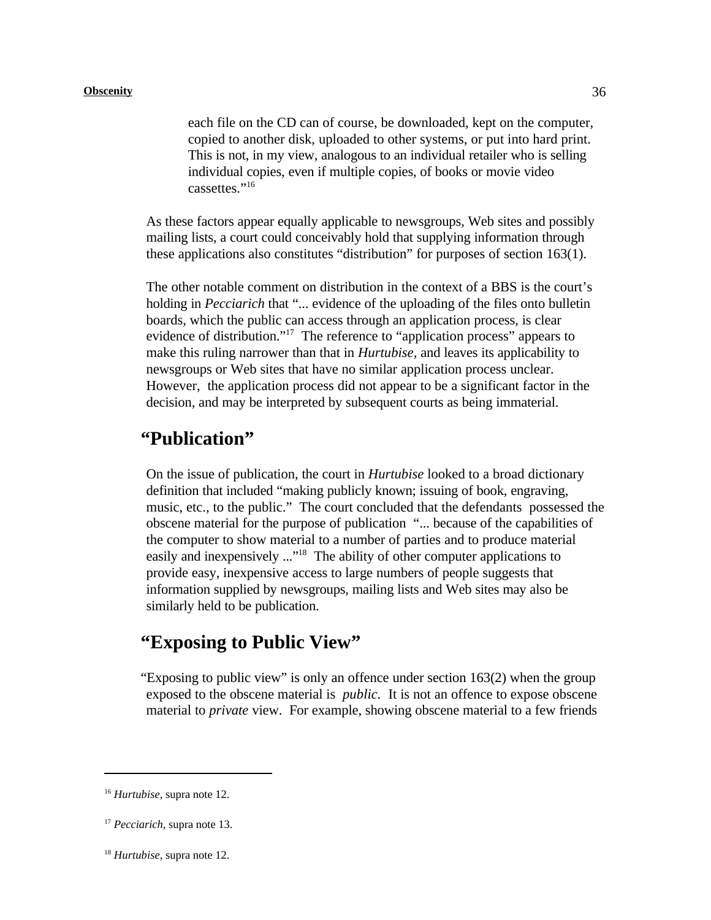each file on the CD can of course, be downloaded, kept on the computer, copied to another disk, uploaded to other systems, or put into hard print. This is not, in my view, analogous to an individual retailer who is selling individual copies, even if multiple copies, of books or movie video cassettes."<sup>16</sup>

As these factors appear equally applicable to newsgroups, Web sites and possibly mailing lists, a court could conceivably hold that supplying information through these applications also constitutes "distribution" for purposes of section 163(1).

The other notable comment on distribution in the context of a BBS is the court's holding in *Pecciarich* that "... evidence of the uploading of the files onto bulletin boards, which the public can access through an application process, is clear evidence of distribution."<sup>17</sup> The reference to "application process" appears to make this ruling narrower than that in *Hurtubise,* and leaves its applicability to newsgroups or Web sites that have no similar application process unclear. However, the application process did not appear to be a significant factor in the decision, and may be interpreted by subsequent courts as being immaterial.

### **"Publication"**

On the issue of publication, the court in *Hurtubise* looked to a broad dictionary definition that included "making publicly known; issuing of book, engraving, music, etc., to the public." The court concluded that the defendants possessed the obscene material for the purpose of publication "... because of the capabilities of the computer to show material to a number of parties and to produce material easily and inexpensively  $\ldots$ <sup>18</sup>. The ability of other computer applications to provide easy, inexpensive access to large numbers of people suggests that information supplied by newsgroups, mailing lists and Web sites may also be similarly held to be publication.

### **"Exposing to Public View"**

"Exposing to public view" is only an offence under section  $163(2)$  when the group exposed to the obscene material is *public.* It is not an offence to expose obscene material to *private* view. For example, showing obscene material to a few friends

<sup>&</sup>lt;sup>16</sup> Hurtubise, supra note 12.

<sup>&</sup>lt;sup>17</sup> Pecciarich, supra note 13.

 $^{18}$  *Hurtubise*, supra note 12.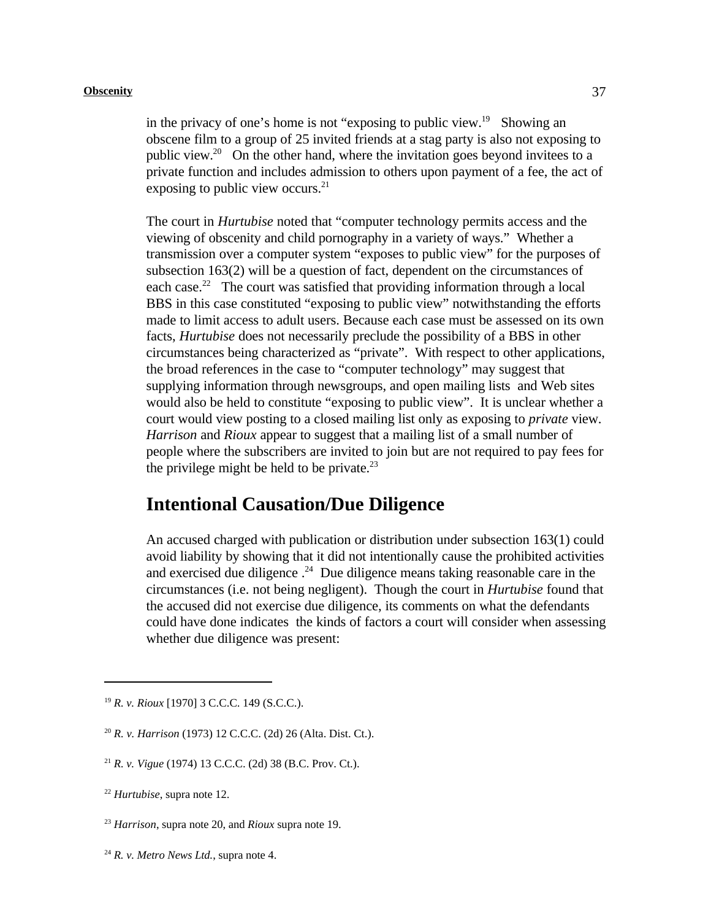in the privacy of one's home is not "exposing to public view. $^{19}$  Showing an obscene film to a group of 25 invited friends at a stag party is also not exposing to public view.<sup>20</sup> On the other hand, where the invitation goes beyond invitees to a private function and includes admission to others upon payment of a fee, the act of exposing to public view occurs. $^{21}$ 

The court in *Hurtubise* noted that "computer technology permits access and the viewing of obscenity and child pornography in a variety of ways." Whether a transmission over a computer system "exposes to public view" for the purposes of subsection 163(2) will be a question of fact, dependent on the circumstances of each case.<sup>22</sup> The court was satisfied that providing information through a local BBS in this case constituted "exposing to public view" notwithstanding the efforts made to limit access to adult users. Because each case must be assessed on its own facts, *Hurtubise* does not necessarily preclude the possibility of a BBS in other circumstances being characterized as "private". With respect to other applications, the broad references in the case to "computer technology" may suggest that supplying information through newsgroups, and open mailing lists and Web sites would also be held to constitute "exposing to public view". It is unclear whether a court would view posting to a closed mailing list only as exposing to *private* view. *Harrison* and *Rioux* appear to suggest that a mailing list of a small number of people where the subscribers are invited to join but are not required to pay fees for the privilege might be held to be private.<sup>23</sup>

### **Intentional Causation/Due Diligence**

An accused charged with publication or distribution under subsection 163(1) could avoid liability by showing that it did not intentionally cause the prohibited activities and exercised due diligence  $.24$  Due diligence means taking reasonable care in the circumstances (i.e. not being negligent). Though the court in *Hurtubise* found that the accused did not exercise due diligence, its comments on what the defendants could have done indicates the kinds of factors a court will consider when assessing whether due diligence was present:

<sup>&</sup>lt;sup>19</sup> *R. v. Rioux* [1970] 3 C.C.C. 149 (S.C.C.).

<sup>&</sup>lt;sup>20</sup> *R. v. Harrison* (1973) 12 C.C.C. (2d) 26 (Alta. Dist. Ct.).

<sup>&</sup>lt;sup>21</sup> *R. v. Vigue* (1974) 13 C.C.C. (2d) 38 (B.C. Prov. Ct.).

 $^{22}$  *Hurtubise*, supra note 12.

<sup>&</sup>lt;sup>23</sup> Harrison, supra note 20, and *Rioux* supra note 19.

 $24$  R. v. Metro News Ltd., supra note 4.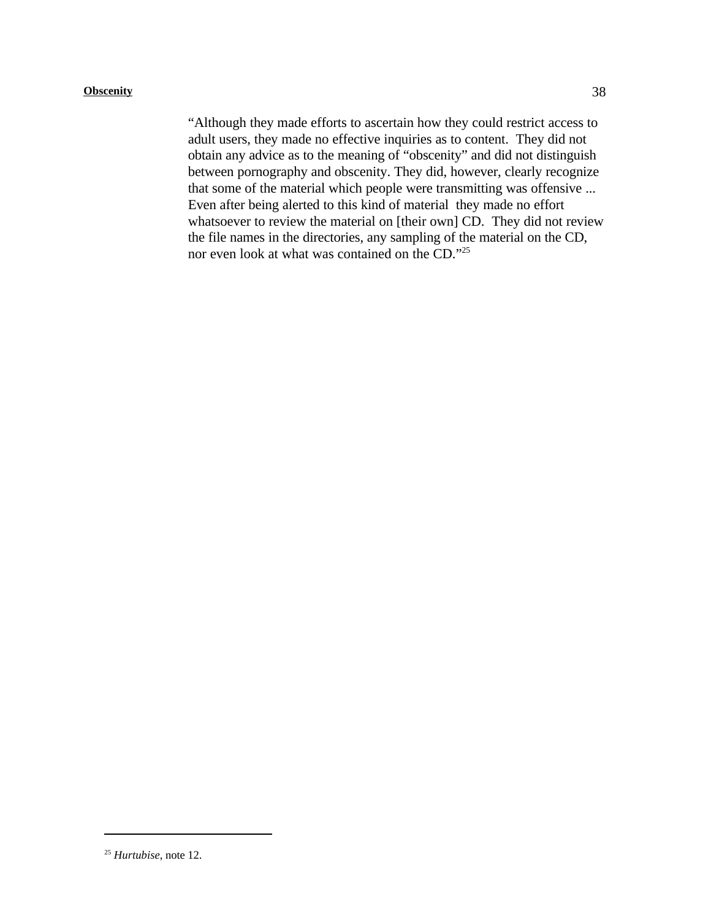"Although they made efforts to ascertain how they could restrict access to adult users, they made no effective inquiries as to content. They did not obtain any advice as to the meaning of "obscenity" and did not distinguish between pornography and obscenity. They did, however, clearly recognize that some of the material which people were transmitting was offensive ... Even after being alerted to this kind of material they made no effort whatsoever to review the material on [their own] CD. They did not review the file names in the directories, any sampling of the material on the CD, nor even look at what was contained on the CD."25

<sup>&</sup>lt;sup>25</sup> Hurtubise, note 12.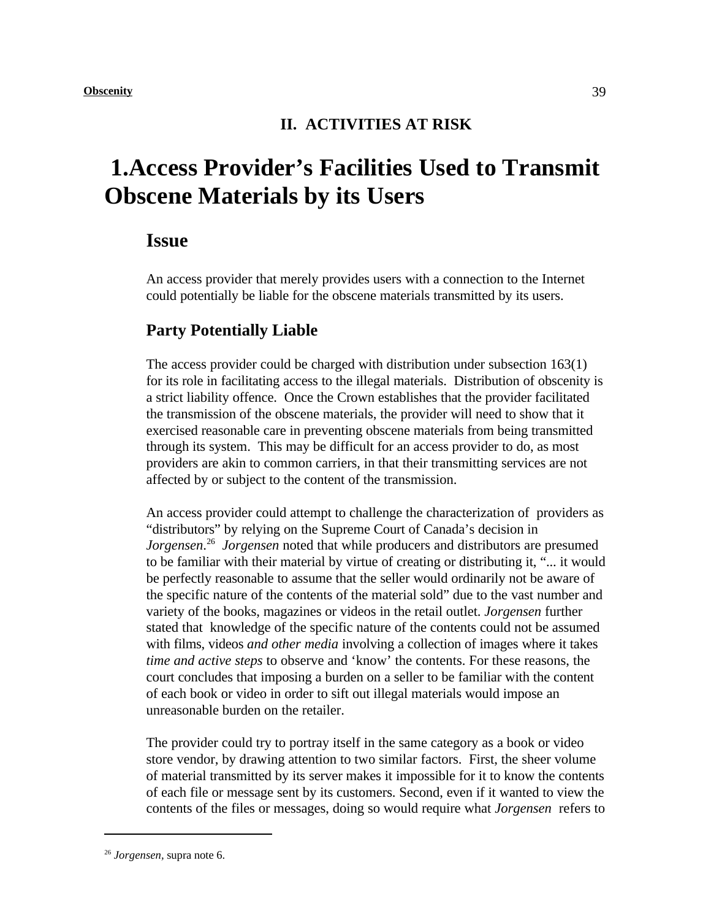### **II. ACTIVITIES AT RISK**

# **1.Access Provider's Facilities Used to Transmit Obscene Materials by its Users**

### **Issue**

An access provider that merely provides users with a connection to the Internet could potentially be liable for the obscene materials transmitted by its users.

### **Party Potentially Liable**

The access provider could be charged with distribution under subsection 163(1) for its role in facilitating access to the illegal materials. Distribution of obscenity is a strict liability offence. Once the Crown establishes that the provider facilitated the transmission of the obscene materials, the provider will need to show that it exercised reasonable care in preventing obscene materials from being transmitted through its system. This may be difficult for an access provider to do, as most providers are akin to common carriers, in that their transmitting services are not affected by or subject to the content of the transmission.

An access provider could attempt to challenge the characterization of providers as "distributors" by relying on the Supreme Court of Canada's decision in *Jorgensen.*<sup>26</sup> *Jorgensen* noted that while producers and distributors are presumed to be familiar with their material by virtue of creating or distributing it, "... it would be perfectly reasonable to assume that the seller would ordinarily not be aware of the specific nature of the contents of the material sold" due to the vast number and variety of the books, magazines or videos in the retail outlet. *Jorgensen* further stated that knowledge of the specific nature of the contents could not be assumed with films, videos *and other media* involving a collection of images where it takes *time and active steps* to observe and 'know' the contents. For these reasons, the court concludes that imposing a burden on a seller to be familiar with the content of each book or video in order to sift out illegal materials would impose an unreasonable burden on the retailer.

The provider could try to portray itself in the same category as a book or video store vendor, by drawing attention to two similar factors. First, the sheer volume of material transmitted by its server makes it impossible for it to know the contents of each file or message sent by its customers. Second, even if it wanted to view the contents of the files or messages, doing so would require what *Jorgensen* refers to

<sup>&</sup>lt;sup>26</sup> Jorgensen, supra note 6.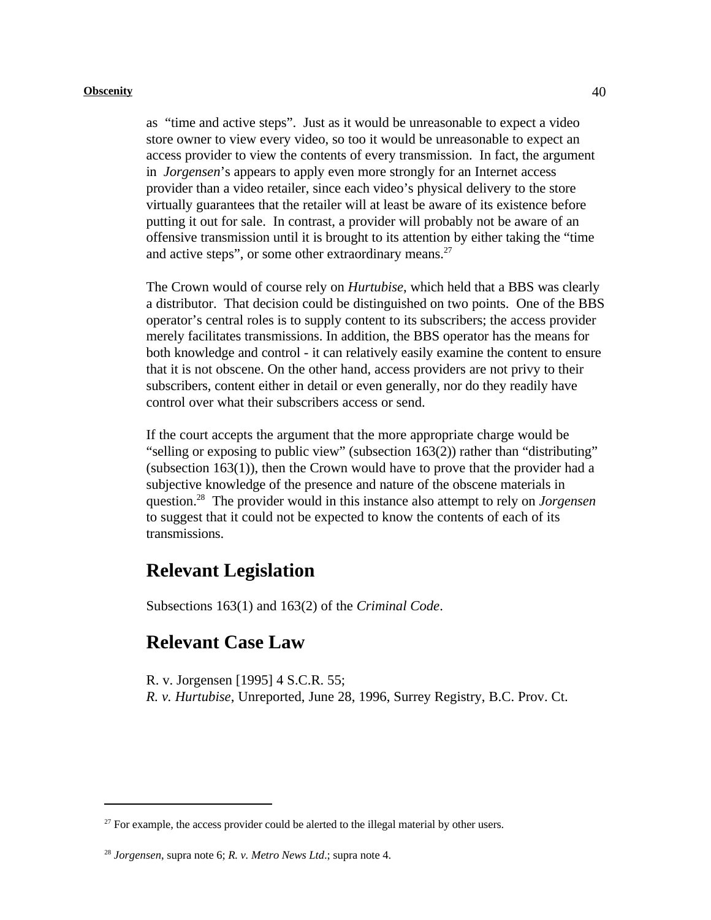as "time and active steps". Just as it would be unreasonable to expect a video store owner to view every video, so too it would be unreasonable to expect an access provider to view the contents of every transmission. In fact, the argument in *Jorgensen*'s appears to apply even more strongly for an Internet access provider than a video retailer, since each video's physical delivery to the store virtually guarantees that the retailer will at least be aware of its existence before putting it out for sale. In contrast, a provider will probably not be aware of an offensive transmission until it is brought to its attention by either taking the "time and active steps", or some other extraordinary means.<sup>27</sup>

The Crown would of course rely on *Hurtubise*, which held that a BBS was clearly a distributor. That decision could be distinguished on two points. One of the BBS operator's central roles is to supply content to its subscribers; the access provider merely facilitates transmissions. In addition, the BBS operator has the means for both knowledge and control - it can relatively easily examine the content to ensure that it is not obscene. On the other hand, access providers are not privy to their subscribers, content either in detail or even generally, nor do they readily have control over what their subscribers access or send.

If the court accepts the argument that the more appropriate charge would be "selling or exposing to public view" (subsection 163(2)) rather than "distributing" (subsection 163(1)), then the Crown would have to prove that the provider had a subjective knowledge of the presence and nature of the obscene materials in question.<sup>28</sup> The provider would in this instance also attempt to rely on *Jorgensen* to suggest that it could not be expected to know the contents of each of its transmissions.

# **Relevant Legislation**

Subsections 163(1) and 163(2) of the *Criminal Code*.

## **Relevant Case Law**

R. v. Jorgensen [1995] 4 S.C.R. 55;

*R. v. Hurtubise*, Unreported, June 28, 1996, Surrey Registry, B.C. Prov. Ct.

 $27$  For example, the access provider could be alerted to the illegal material by other users.

*Jorgensen*, supra note 6; *R. v. Metro News Ltd*.; supra note 4. <sup>28</sup>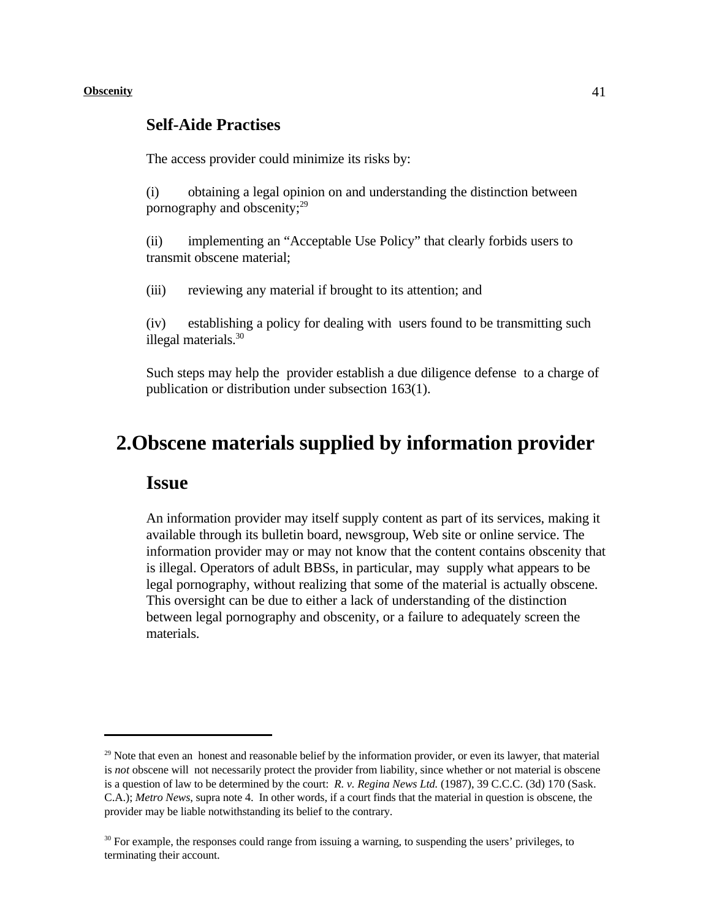### **Self-Aide Practises**

The access provider could minimize its risks by:

(i) obtaining a legal opinion on and understanding the distinction between pornography and obscenity;<sup>29</sup>

(ii) implementing an "Acceptable Use Policy" that clearly forbids users to transmit obscene material;

(iii) reviewing any material if brought to its attention; and

(iv) establishing a policy for dealing with users found to be transmitting such illegal materials.<sup>30</sup>

Such steps may help the provider establish a due diligence defense to a charge of publication or distribution under subsection 163(1).

# **2.Obscene materials supplied by information provider**

### **Issue**

An information provider may itself supply content as part of its services, making it available through its bulletin board, newsgroup, Web site or online service. The information provider may or may not know that the content contains obscenity that is illegal. Operators of adult BBSs, in particular, may supply what appears to be legal pornography, without realizing that some of the material is actually obscene. This oversight can be due to either a lack of understanding of the distinction between legal pornography and obscenity, or a failure to adequately screen the materials.

 $29$  Note that even an honest and reasonable belief by the information provider, or even its lawyer, that material is *not* obscene will not necessarily protect the provider from liability, since whether or not material is obscene is a question of law to be determined by the court: *R. v. Regina News Ltd.* (1987), 39 C.C.C. (3d) 170 (Sask. C.A.); *Metro News*, supra note 4. In other words, if a court finds that the material in question is obscene, the provider may be liable notwithstanding its belief to the contrary.

<sup>&</sup>lt;sup>30</sup> For example, the responses could range from issuing a warning, to suspending the users' privileges, to terminating their account.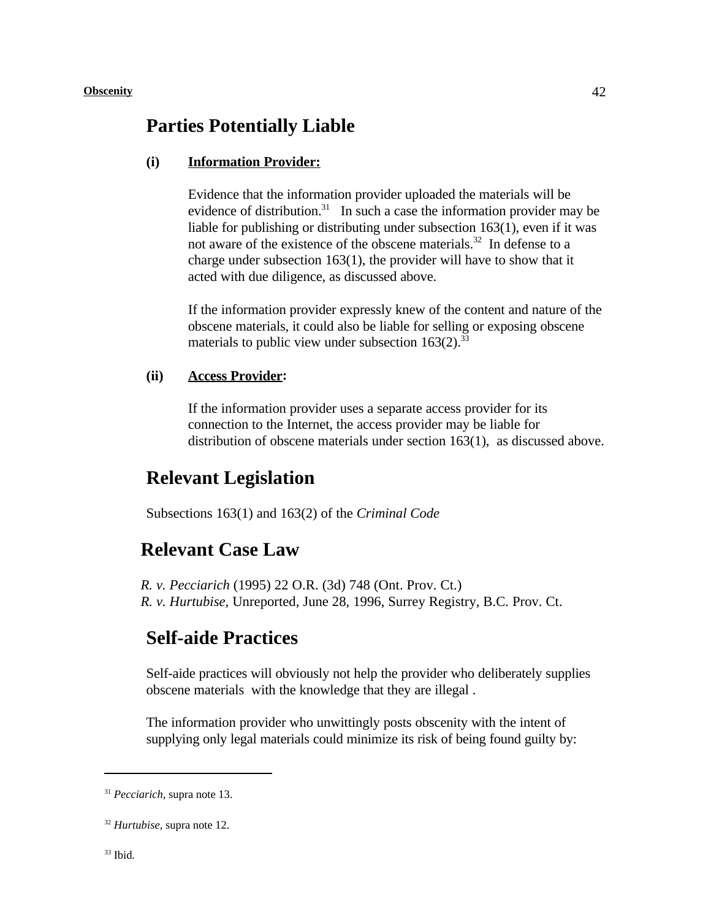### **Parties Potentially Liable**

### **(i) Information Provider:**

Evidence that the information provider uploaded the materials will be evidence of distribution.<sup>31</sup> In such a case the information provider may be liable for publishing or distributing under subsection 163(1), even if it was not aware of the existence of the obscene materials.<sup>32</sup> In defense to a charge under subsection 163(1), the provider will have to show that it acted with due diligence, as discussed above.

If the information provider expressly knew of the content and nature of the obscene materials, it could also be liable for selling or exposing obscene materials to public view under subsection  $163(2)$ .<sup>33</sup>

#### **(ii) Access Provider:**

If the information provider uses a separate access provider for its connection to the Internet, the access provider may be liable for distribution of obscene materials under section 163(1), as discussed above.

### **Relevant Legislation**

Subsections 163(1) and 163(2) of the *Criminal Code*

### **Relevant Case Law**

*R. v. Pecciarich* (1995) 22 O.R. (3d) 748 (Ont. Prov. Ct.) *R. v. Hurtubise*, Unreported, June 28, 1996, Surrey Registry, B.C. Prov. Ct.

## **Self-aide Practices**

Self-aide practices will obviously not help the provider who deliberately supplies obscene materials with the knowledge that they are illegal .

The information provider who unwittingly posts obscenity with the intent of supplying only legal materials could minimize its risk of being found guilty by:

 $33$  Ibid.

<sup>&</sup>lt;sup>31</sup> *Pecciarich*, supra note 13.

 $32$  *Hurtubise*, supra note 12.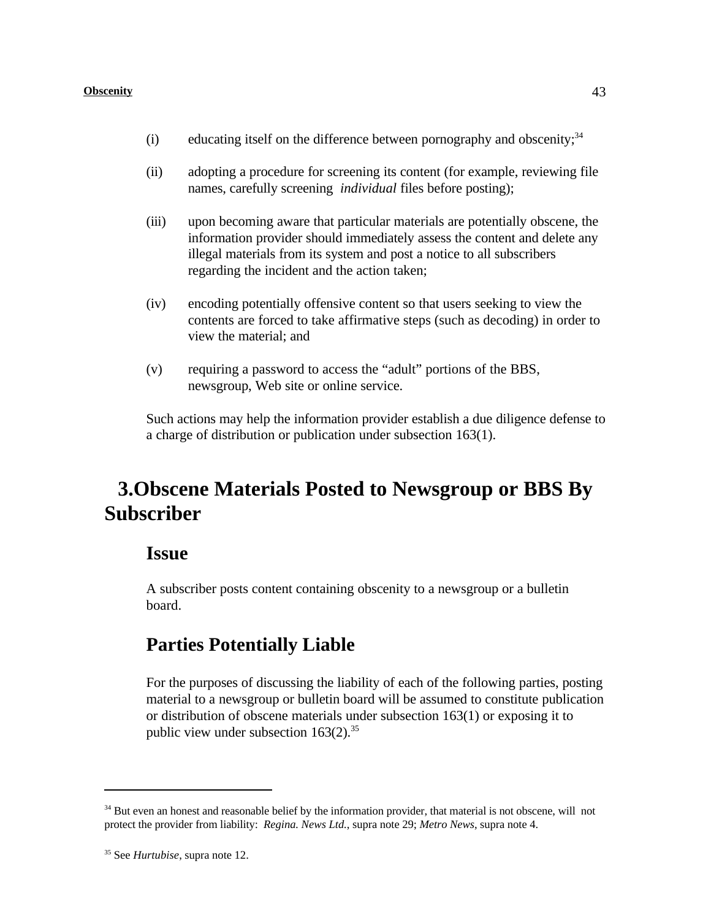- (i) educating itself on the difference between pornography and obscenity; $34$
- (ii) adopting a procedure for screening its content (for example, reviewing file names, carefully screening *individual* files before posting);
- (iii) upon becoming aware that particular materials are potentially obscene, the information provider should immediately assess the content and delete any illegal materials from its system and post a notice to all subscribers regarding the incident and the action taken;
- (iv) encoding potentially offensive content so that users seeking to view the contents are forced to take affirmative steps (such as decoding) in order to view the material; and
- (v) requiring a password to access the "adult" portions of the BBS, newsgroup, Web site or online service.

Such actions may help the information provider establish a due diligence defense to a charge of distribution or publication under subsection 163(1).

# **3.Obscene Materials Posted to Newsgroup or BBS By Subscriber**

### **Issue**

A subscriber posts content containing obscenity to a newsgroup or a bulletin board.

# **Parties Potentially Liable**

For the purposes of discussing the liability of each of the following parties, posting material to a newsgroup or bulletin board will be assumed to constitute publication or distribution of obscene materials under subsection 163(1) or exposing it to public view under subsection  $163(2).^{35}$ 

 $34$  But even an honest and reasonable belief by the information provider, that material is not obscene, will not protect the provider from liability: *Regina. News Ltd.*, supra note 29; *Metro News*, supra note 4.

<sup>&</sup>lt;sup>35</sup> See *Hurtubise*, supra note 12.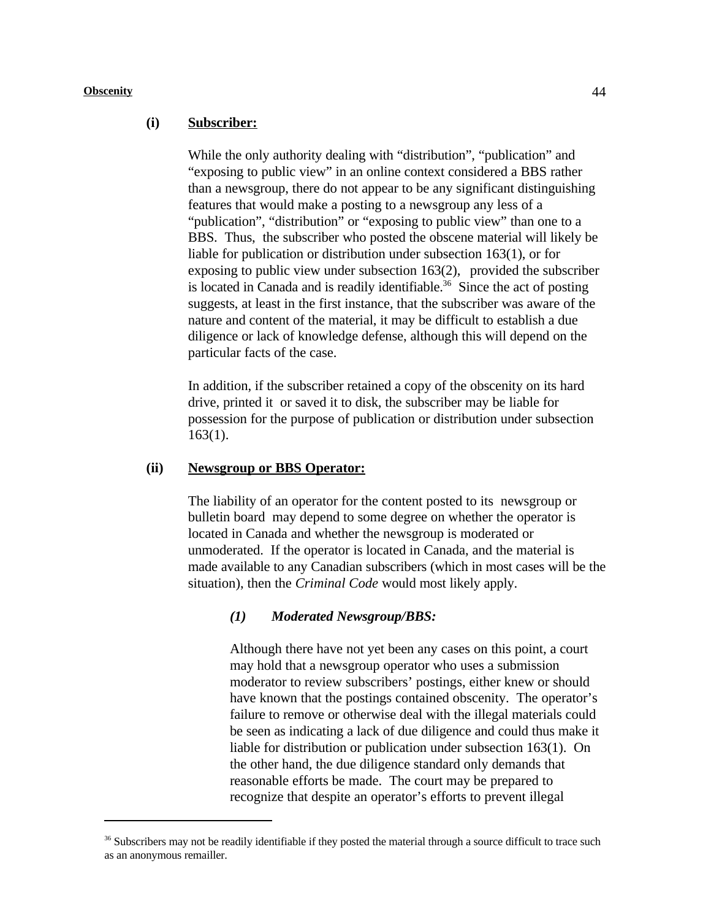#### **(i) Subscriber:**

While the only authority dealing with "distribution", "publication" and "exposing to public view" in an online context considered a BBS rather than a newsgroup, there do not appear to be any significant distinguishing features that would make a posting to a newsgroup any less of a "publication", "distribution" or "exposing to public view" than one to a BBS. Thus, the subscriber who posted the obscene material will likely be liable for publication or distribution under subsection 163(1), or for exposing to public view under subsection 163(2), provided the subscriber is located in Canada and is readily identifiable.<sup>36</sup> Since the act of posting suggests, at least in the first instance, that the subscriber was aware of the nature and content of the material, it may be difficult to establish a due diligence or lack of knowledge defense, although this will depend on the particular facts of the case.

In addition, if the subscriber retained a copy of the obscenity on its hard drive, printed it or saved it to disk, the subscriber may be liable for possession for the purpose of publication or distribution under subsection 163(1).

#### **(ii) Newsgroup or BBS Operator:**

The liability of an operator for the content posted to its newsgroup or bulletin board may depend to some degree on whether the operator is located in Canada and whether the newsgroup is moderated or unmoderated. If the operator is located in Canada, and the material is made available to any Canadian subscribers (which in most cases will be the situation), then the *Criminal Code* would most likely apply.

#### *(1) Moderated Newsgroup/BBS:*

Although there have not yet been any cases on this point, a court may hold that a newsgroup operator who uses a submission moderator to review subscribers' postings, either knew or should have known that the postings contained obscenity. The operator's failure to remove or otherwise deal with the illegal materials could be seen as indicating a lack of due diligence and could thus make it liable for distribution or publication under subsection 163(1). On the other hand, the due diligence standard only demands that reasonable efforts be made. The court may be prepared to recognize that despite an operator's efforts to prevent illegal

 $36$  Subscribers may not be readily identifiable if they posted the material through a source difficult to trace such as an anonymous remailler.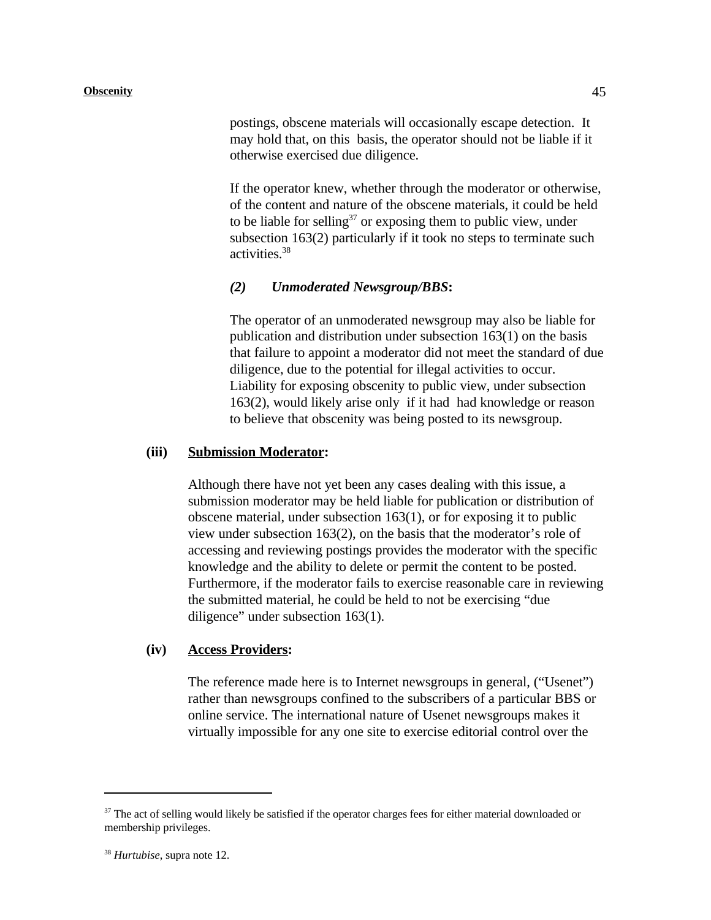postings, obscene materials will occasionally escape detection. It may hold that, on this basis, the operator should not be liable if it otherwise exercised due diligence.

If the operator knew, whether through the moderator or otherwise, of the content and nature of the obscene materials, it could be held to be liable for selling<sup>37</sup> or exposing them to public view, under subsection 163(2) particularly if it took no steps to terminate such activities.<sup>38</sup>

#### *(2) Unmoderated Newsgroup/BBS***:**

The operator of an unmoderated newsgroup may also be liable for publication and distribution under subsection 163(1) on the basis that failure to appoint a moderator did not meet the standard of due diligence, due to the potential for illegal activities to occur. Liability for exposing obscenity to public view, under subsection 163(2), would likely arise only if it had had knowledge or reason to believe that obscenity was being posted to its newsgroup.

#### **(iii) Submission Moderator:**

Although there have not yet been any cases dealing with this issue, a submission moderator may be held liable for publication or distribution of obscene material, under subsection 163(1), or for exposing it to public view under subsection 163(2), on the basis that the moderator's role of accessing and reviewing postings provides the moderator with the specific knowledge and the ability to delete or permit the content to be posted. Furthermore, if the moderator fails to exercise reasonable care in reviewing the submitted material, he could be held to not be exercising "due diligence" under subsection 163(1).

#### **(iv) Access Providers:**

The reference made here is to Internet newsgroups in general, ("Usenet") rather than newsgroups confined to the subscribers of a particular BBS or online service. The international nature of Usenet newsgroups makes it virtually impossible for any one site to exercise editorial control over the

 $37$  The act of selling would likely be satisfied if the operator charges fees for either material downloaded or membership privileges.

<sup>&</sup>lt;sup>38</sup> Hurtubise, supra note 12.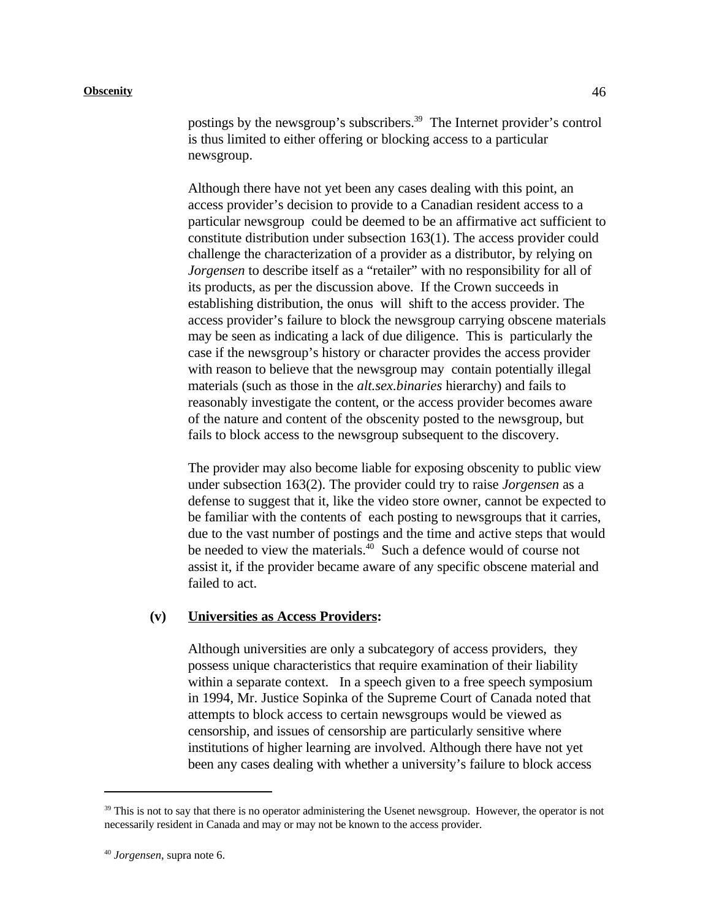postings by the newsgroup's subscribers. $39$  The Internet provider's control is thus limited to either offering or blocking access to a particular newsgroup.

Although there have not yet been any cases dealing with this point, an access provider's decision to provide to a Canadian resident access to a particular newsgroup could be deemed to be an affirmative act sufficient to constitute distribution under subsection 163(1). The access provider could challenge the characterization of a provider as a distributor, by relying on *Jorgensen* to describe itself as a "retailer" with no responsibility for all of its products, as per the discussion above. If the Crown succeeds in establishing distribution, the onus will shift to the access provider. The access provider's failure to block the newsgroup carrying obscene materials may be seen as indicating a lack of due diligence. This is particularly the case if the newsgroup's history or character provides the access provider with reason to believe that the newsgroup may contain potentially illegal materials (such as those in the *alt.sex.binaries* hierarchy) and fails to reasonably investigate the content, or the access provider becomes aware of the nature and content of the obscenity posted to the newsgroup, but fails to block access to the newsgroup subsequent to the discovery.

The provider may also become liable for exposing obscenity to public view under subsection 163(2). The provider could try to raise *Jorgensen* as a defense to suggest that it, like the video store owner, cannot be expected to be familiar with the contents of each posting to newsgroups that it carries, due to the vast number of postings and the time and active steps that would be needed to view the materials. $40$  Such a defence would of course not assist it, if the provider became aware of any specific obscene material and failed to act.

#### **(v) Universities as Access Providers:**

Although universities are only a subcategory of access providers, they possess unique characteristics that require examination of their liability within a separate context. In a speech given to a free speech symposium in 1994, Mr. Justice Sopinka of the Supreme Court of Canada noted that attempts to block access to certain newsgroups would be viewed as censorship, and issues of censorship are particularly sensitive where institutions of higher learning are involved. Although there have not yet been any cases dealing with whether a university's failure to block access

 $39$  This is not to say that there is no operator administering the Usenet newsgroup. However, the operator is not necessarily resident in Canada and may or may not be known to the access provider.

<sup>&</sup>lt;sup>40</sup> Jorgensen, supra note 6.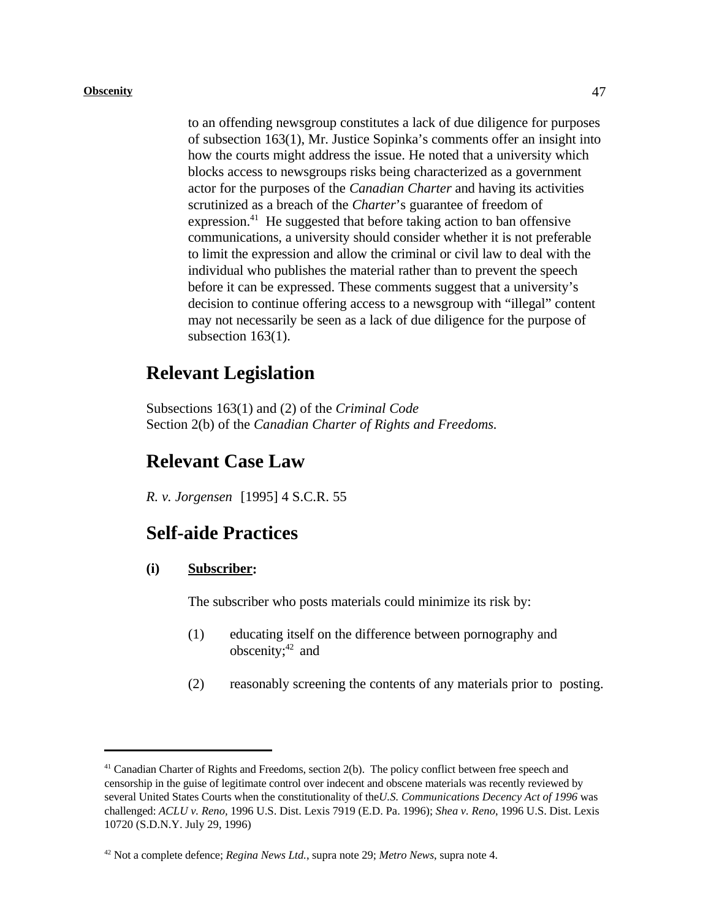to an offending newsgroup constitutes a lack of due diligence for purposes of subsection 163(1), Mr. Justice Sopinka's comments offer an insight into how the courts might address the issue. He noted that a university which blocks access to newsgroups risks being characterized as a government actor for the purposes of the *Canadian Charter* and having its activities scrutinized as a breach of the *Charter*'s guarantee of freedom of expression.<sup>41</sup> He suggested that before taking action to ban offensive communications, a university should consider whether it is not preferable to limit the expression and allow the criminal or civil law to deal with the individual who publishes the material rather than to prevent the speech before it can be expressed. These comments suggest that a university's decision to continue offering access to a newsgroup with "illegal" content may not necessarily be seen as a lack of due diligence for the purpose of subsection 163(1).

## **Relevant Legislation**

Subsections 163(1) and (2) of the *Criminal Code*  Section 2(b) of the *Canadian Charter of Rights and Freedoms.*

### **Relevant Case Law**

*R. v. Jorgensen* [1995] 4 S.C.R. 55

# **Self-aide Practices**

#### **(i) Subscriber:**

The subscriber who posts materials could minimize its risk by:

- (1) educating itself on the difference between pornography and obscenity; $42$  and
- (2) reasonably screening the contents of any materials prior to posting.

 $41$  Canadian Charter of Rights and Freedoms, section 2(b). The policy conflict between free speech and censorship in the guise of legitimate control over indecent and obscene materials was recently reviewed by several United States Courts when the constitutionality of the*U.S. Communications Decency Act of 1996* was challenged: *ACLU v. Reno,* 1996 U.S. Dist. Lexis 7919 (E.D. Pa. 1996); *Shea v. Reno*, 1996 U.S. Dist. Lexis 10720 (S.D.N.Y. July 29, 1996)

<sup>&</sup>lt;sup>42</sup> Not a complete defence; *Regina News Ltd.*, supra note 29; *Metro News*, supra note 4.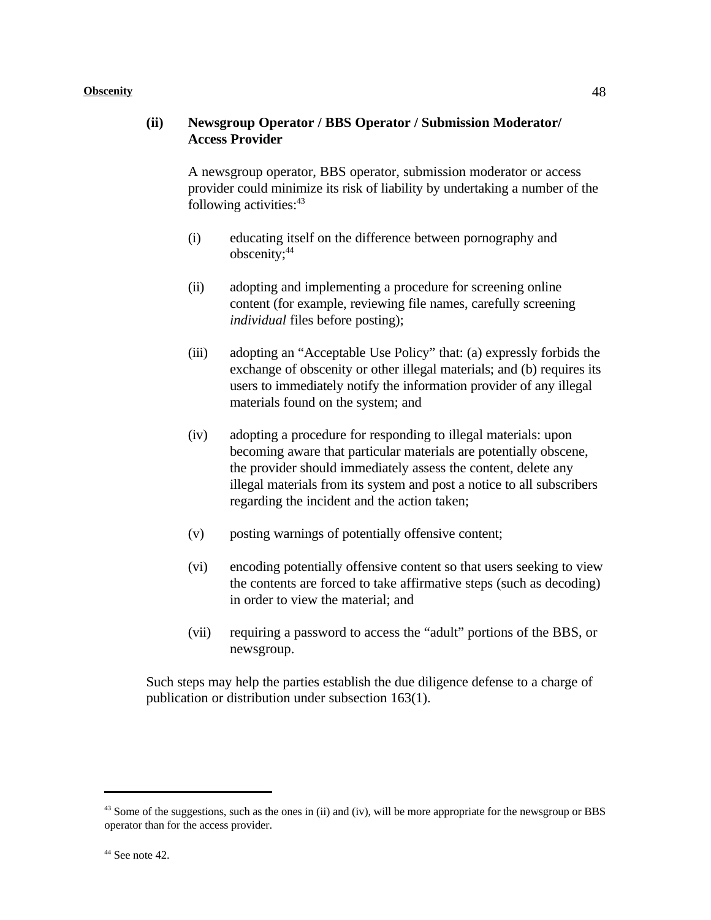#### **(ii) Newsgroup Operator / BBS Operator / Submission Moderator/ Access Provider**

A newsgroup operator, BBS operator, submission moderator or access provider could minimize its risk of liability by undertaking a number of the following activities: $43$ 

- (i) educating itself on the difference between pornography and obscenity;<sup>44</sup>
- (ii) adopting and implementing a procedure for screening online content (for example, reviewing file names, carefully screening *individual* files before posting);
- (iii) adopting an "Acceptable Use Policy" that: (a) expressly forbids the exchange of obscenity or other illegal materials; and (b) requires its users to immediately notify the information provider of any illegal materials found on the system; and
- (iv) adopting a procedure for responding to illegal materials: upon becoming aware that particular materials are potentially obscene, the provider should immediately assess the content, delete any illegal materials from its system and post a notice to all subscribers regarding the incident and the action taken;
- (v) posting warnings of potentially offensive content;
- (vi) encoding potentially offensive content so that users seeking to view the contents are forced to take affirmative steps (such as decoding) in order to view the material; and
- (vii) requiring a password to access the "adult" portions of the BBS, or newsgroup.

Such steps may help the parties establish the due diligence defense to a charge of publication or distribution under subsection 163(1).

 $43$  Some of the suggestions, such as the ones in (ii) and (iv), will be more appropriate for the newsgroup or BBS operator than for the access provider.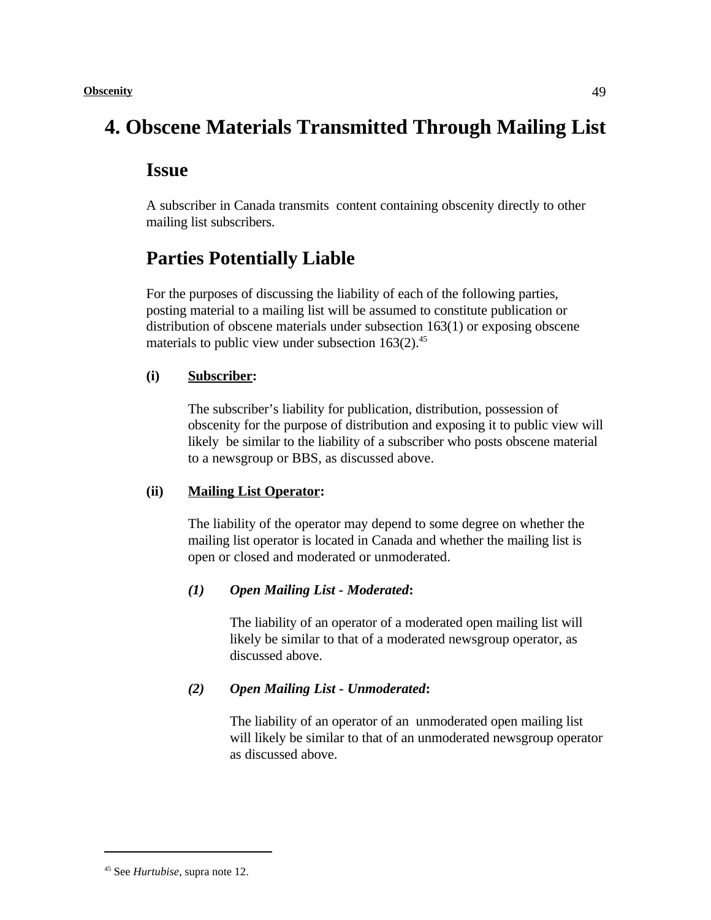# **4. Obscene Materials Transmitted Through Mailing List**

# **Issue**

A subscriber in Canada transmits content containing obscenity directly to other mailing list subscribers.

# **Parties Potentially Liable**

For the purposes of discussing the liability of each of the following parties, posting material to a mailing list will be assumed to constitute publication or distribution of obscene materials under subsection 163(1) or exposing obscene materials to public view under subsection  $163(2)$ .<sup>45</sup>

### **(i) Subscriber:**

The subscriber's liability for publication, distribution, possession of obscenity for the purpose of distribution and exposing it to public view will likely be similar to the liability of a subscriber who posts obscene material to a newsgroup or BBS, as discussed above.

### **(ii) Mailing List Operator:**

The liability of the operator may depend to some degree on whether the mailing list operator is located in Canada and whether the mailing list is open or closed and moderated or unmoderated.

### *(1) Open Mailing List - Moderated***:**

The liability of an operator of a moderated open mailing list will likely be similar to that of a moderated newsgroup operator, as discussed above.

### *(2) Open Mailing List - Unmoderated***:**

The liability of an operator of an unmoderated open mailing list will likely be similar to that of an unmoderated newsgroup operator as discussed above.

<sup>&</sup>lt;sup>45</sup> See *Hurtubise*, supra note 12.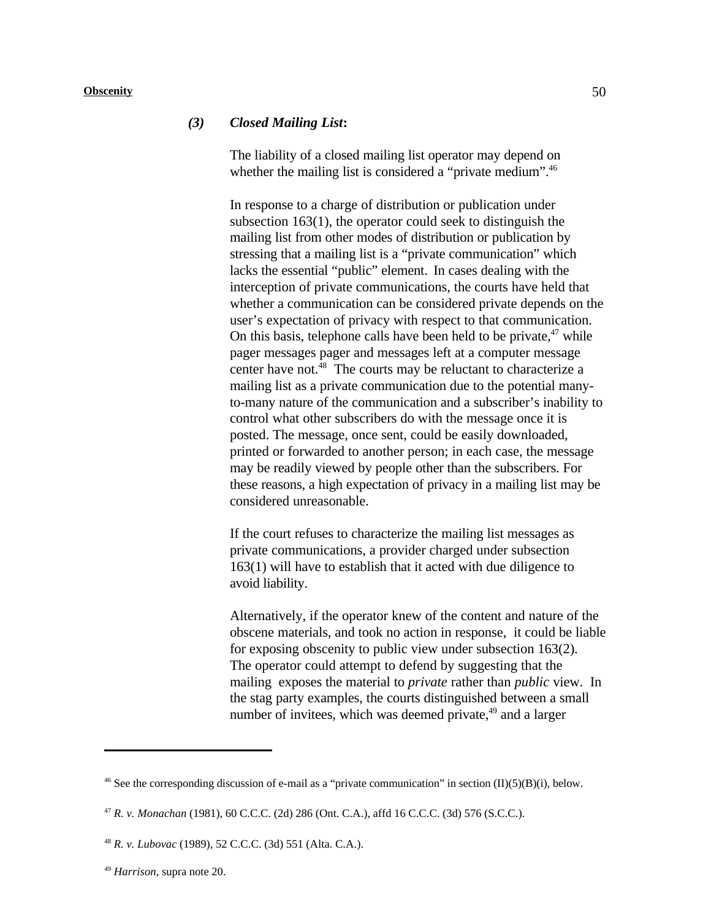#### *(3) Closed Mailing List***:**

The liability of a closed mailing list operator may depend on whether the mailing list is considered a "private medium".<sup>46</sup>

In response to a charge of distribution or publication under subsection 163(1), the operator could seek to distinguish the mailing list from other modes of distribution or publication by stressing that a mailing list is a "private communication" which lacks the essential "public" element. In cases dealing with the interception of private communications, the courts have held that whether a communication can be considered private depends on the user's expectation of privacy with respect to that communication. On this basis, telephone calls have been held to be private,  $47$  while pager messages pager and messages left at a computer message center have not. $^{48}$  The courts may be reluctant to characterize a mailing list as a private communication due to the potential manyto-many nature of the communication and a subscriber's inability to control what other subscribers do with the message once it is posted. The message, once sent, could be easily downloaded, printed or forwarded to another person; in each case, the message may be readily viewed by people other than the subscribers. For these reasons, a high expectation of privacy in a mailing list may be considered unreasonable.

If the court refuses to characterize the mailing list messages as private communications, a provider charged under subsection 163(1) will have to establish that it acted with due diligence to avoid liability.

Alternatively, if the operator knew of the content and nature of the obscene materials, and took no action in response, it could be liable for exposing obscenity to public view under subsection 163(2). The operator could attempt to defend by suggesting that the mailing exposes the material to *private* rather than *public* view. In the stag party examples, the courts distinguished between a small number of invitees, which was deemed private, $49$  and a larger

<sup>&</sup>lt;sup>46</sup> See the corresponding discussion of e-mail as a "private communication" in section (II)(5)(B)(i), below.

*R. v. Monachan* (1981), 60 C.C.C. (2d) 286 (Ont. C.A.), affd 16 C.C.C. (3d) 576 (S.C.C.). <sup>47</sup>

*R. v. Lubovac* (1989), 52 C.C.C. (3d) 551 (Alta. C.A.). <sup>48</sup>

<sup>&</sup>lt;sup>49</sup> Harrison, supra note 20.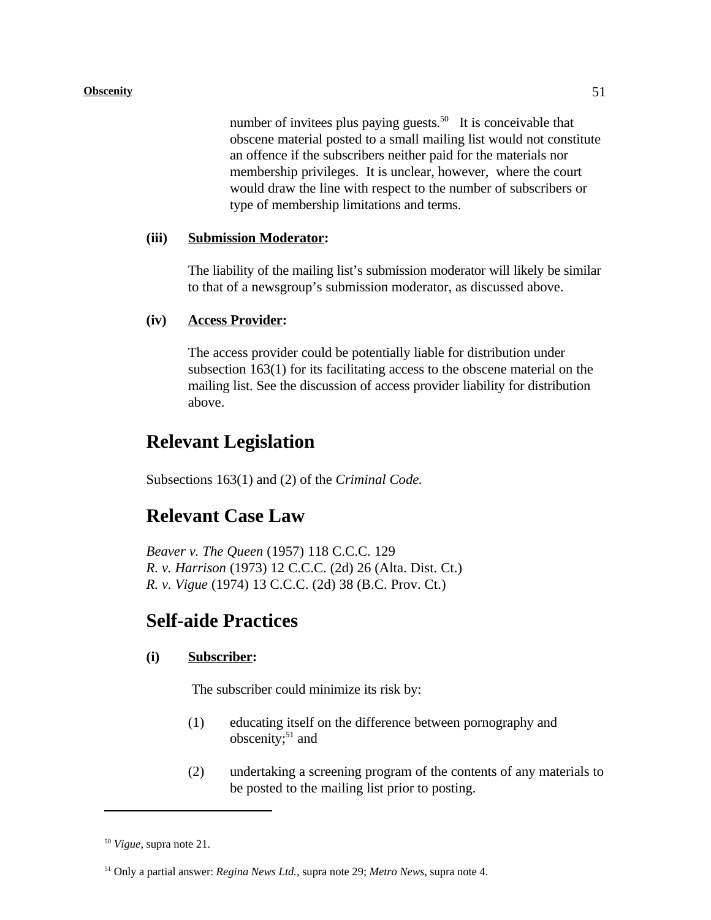number of invitees plus paying guests.<sup>50</sup> It is conceivable that obscene material posted to a small mailing list would not constitute an offence if the subscribers neither paid for the materials nor membership privileges. It is unclear, however, where the court would draw the line with respect to the number of subscribers or type of membership limitations and terms.

#### **(iii) Submission Moderator:**

The liability of the mailing list's submission moderator will likely be similar to that of a newsgroup's submission moderator, as discussed above.

#### **(iv) Access Provider:**

The access provider could be potentially liable for distribution under subsection 163(1) for its facilitating access to the obscene material on the mailing list. See the discussion of access provider liability for distribution above.

## **Relevant Legislation**

Subsections 163(1) and (2) of the *Criminal Code.*

### **Relevant Case Law**

*Beaver v. The Queen* (1957) 118 C.C.C. 129 *R. v. Harrison* (1973) 12 C.C.C. (2d) 26 (Alta. Dist. Ct.) *R. v. Vigue* (1974) 13 C.C.C. (2d) 38 (B.C. Prov. Ct.)

### **Self-aide Practices**

#### **(i) Subscriber:**

The subscriber could minimize its risk by:

- (1) educating itself on the difference between pornography and obscenity; $51$  and
- (2) undertaking a screening program of the contents of any materials to be posted to the mailing list prior to posting.

 $^{50}$  *Vigue*, supra note 21.

<sup>&</sup>lt;sup>51</sup> Only a partial answer: *Regina News Ltd.*, supra note 29; *Metro News*, supra note 4.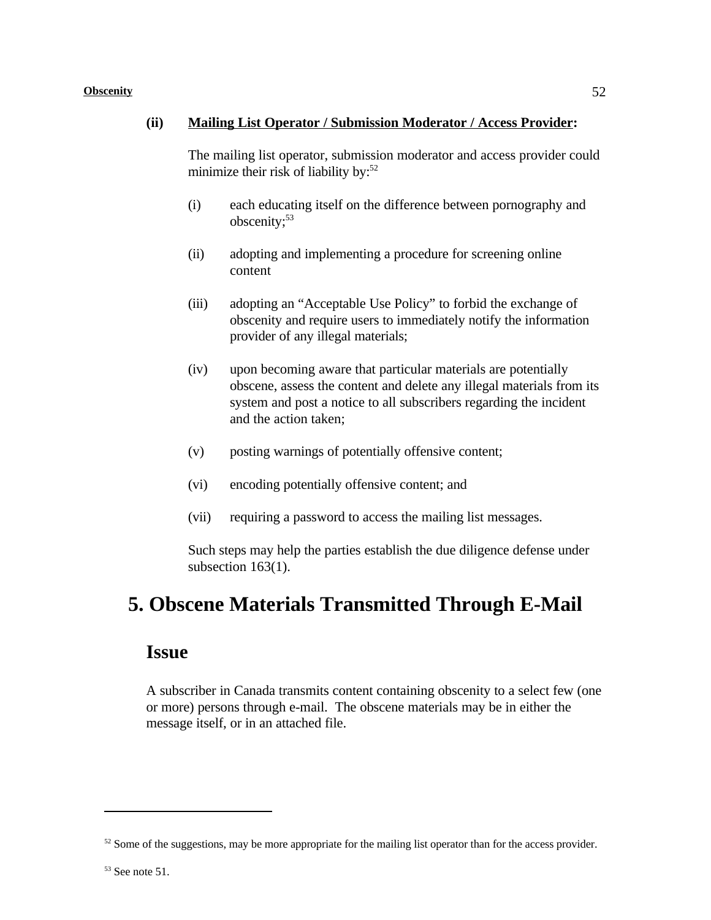#### **(ii) Mailing List Operator / Submission Moderator / Access Provider:**

The mailing list operator, submission moderator and access provider could minimize their risk of liability by: $52$ 

- (i) each educating itself on the difference between pornography and obscenity;<sup>53</sup>
- (ii) adopting and implementing a procedure for screening online content
- (iii) adopting an "Acceptable Use Policy" to forbid the exchange of obscenity and require users to immediately notify the information provider of any illegal materials;
- (iv) upon becoming aware that particular materials are potentially obscene, assess the content and delete any illegal materials from its system and post a notice to all subscribers regarding the incident and the action taken;
- (v) posting warnings of potentially offensive content;
- (vi) encoding potentially offensive content; and
- (vii) requiring a password to access the mailing list messages.

Such steps may help the parties establish the due diligence defense under subsection 163(1).

# **5. Obscene Materials Transmitted Through E-Mail**

### **Issue**

A subscriber in Canada transmits content containing obscenity to a select few (one or more) persons through e-mail. The obscene materials may be in either the message itself, or in an attached file.

 $52$  Some of the suggestions, may be more appropriate for the mailing list operator than for the access provider.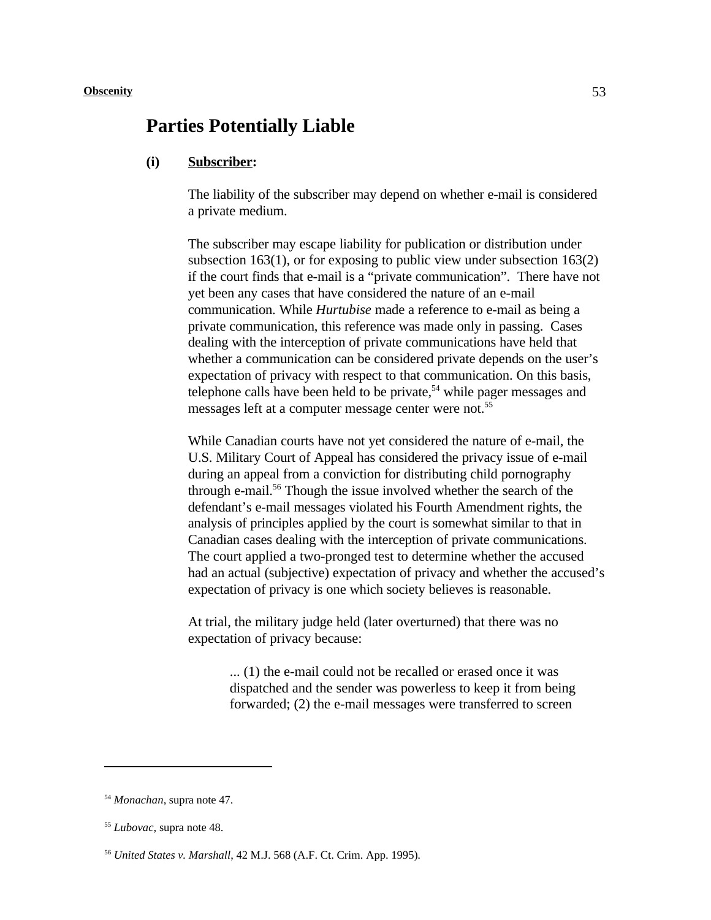### **Parties Potentially Liable**

#### **(i) Subscriber:**

The liability of the subscriber may depend on whether e-mail is considered a private medium.

The subscriber may escape liability for publication or distribution under subsection 163(1), or for exposing to public view under subsection 163(2) if the court finds that e-mail is a "private communication". There have not yet been any cases that have considered the nature of an e-mail communication. While *Hurtubise* made a reference to e-mail as being a private communication, this reference was made only in passing. Cases dealing with the interception of private communications have held that whether a communication can be considered private depends on the user's expectation of privacy with respect to that communication. On this basis, telephone calls have been held to be private,<sup> $54$ </sup> while pager messages and messages left at a computer message center were not.<sup>55</sup>

While Canadian courts have not yet considered the nature of e-mail, the U.S. Military Court of Appeal has considered the privacy issue of e-mail during an appeal from a conviction for distributing child pornography through e-mail.<sup>56</sup> Though the issue involved whether the search of the defendant's e-mail messages violated his Fourth Amendment rights, the analysis of principles applied by the court is somewhat similar to that in Canadian cases dealing with the interception of private communications. The court applied a two-pronged test to determine whether the accused had an actual (subjective) expectation of privacy and whether the accused's expectation of privacy is one which society believes is reasonable.

At trial, the military judge held (later overturned) that there was no expectation of privacy because:

> ... (1) the e-mail could not be recalled or erased once it was dispatched and the sender was powerless to keep it from being forwarded; (2) the e-mail messages were transferred to screen

<sup>&</sup>lt;sup>54</sup> Monachan, supra note 47.

<sup>&</sup>lt;sup>55</sup> Lubovac, supra note 48.

*United States v. Marshall*, 42 M.J. 568 (A.F. Ct. Crim. App. 1995)*.* 56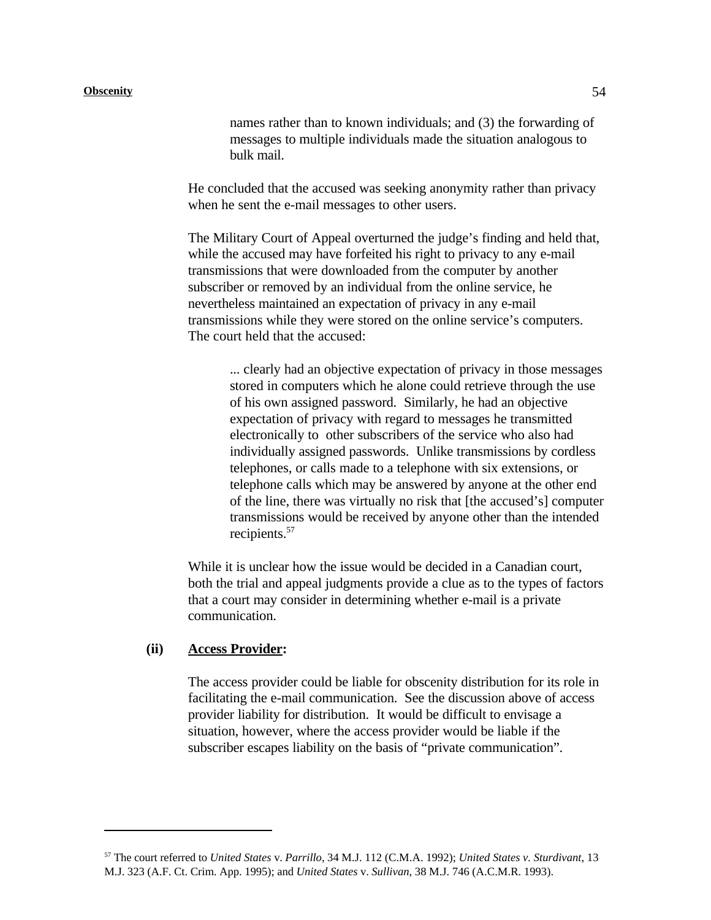names rather than to known individuals; and (3) the forwarding of messages to multiple individuals made the situation analogous to bulk mail.

He concluded that the accused was seeking anonymity rather than privacy when he sent the e-mail messages to other users.

The Military Court of Appeal overturned the judge's finding and held that, while the accused may have forfeited his right to privacy to any e-mail transmissions that were downloaded from the computer by another subscriber or removed by an individual from the online service, he nevertheless maintained an expectation of privacy in any e-mail transmissions while they were stored on the online service's computers. The court held that the accused:

... clearly had an objective expectation of privacy in those messages stored in computers which he alone could retrieve through the use of his own assigned password. Similarly, he had an objective expectation of privacy with regard to messages he transmitted electronically to other subscribers of the service who also had individually assigned passwords. Unlike transmissions by cordless telephones, or calls made to a telephone with six extensions, or telephone calls which may be answered by anyone at the other end of the line, there was virtually no risk that [the accused's] computer transmissions would be received by anyone other than the intended recipients.<sup>57</sup>

While it is unclear how the issue would be decided in a Canadian court, both the trial and appeal judgments provide a clue as to the types of factors that a court may consider in determining whether e-mail is a private communication.

#### **(ii) Access Provider:**

The access provider could be liable for obscenity distribution for its role in facilitating the e-mail communication. See the discussion above of access provider liability for distribution. It would be difficult to envisage a situation, however, where the access provider would be liable if the subscriber escapes liability on the basis of "private communication".

The court referred to *United States* v. *Parrillo*, 34 M.J. 112 (C.M.A. 1992); *United States v. Sturdivant*, 13 <sup>57</sup> M.J. 323 (A.F. Ct. Crim. App. 1995); and *United States* v. *Sullivan*, 38 M.J. 746 (A.C.M.R. 1993).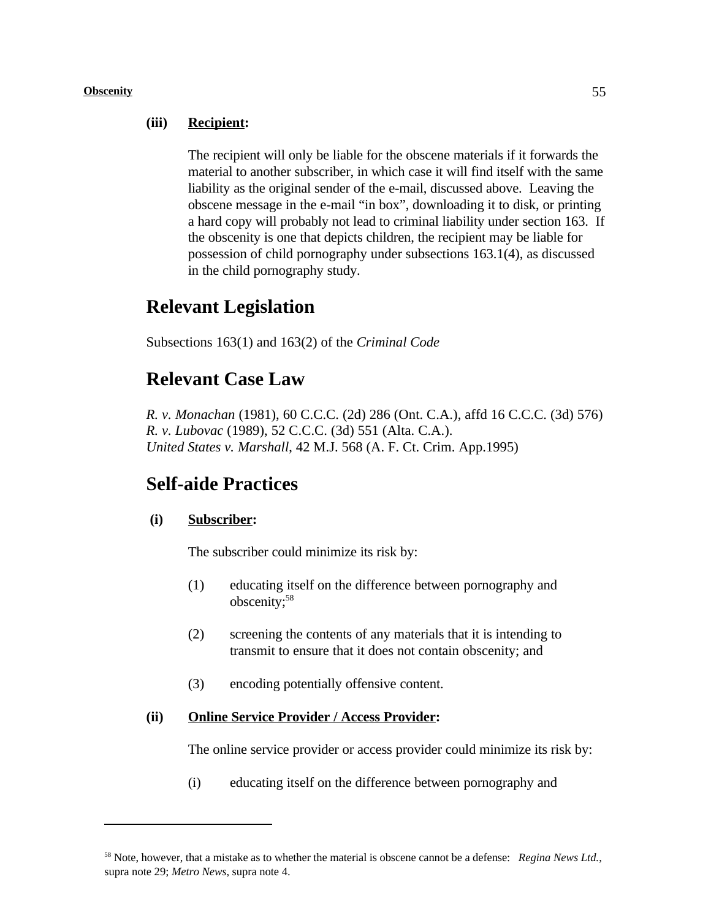#### **(iii) Recipient:**

The recipient will only be liable for the obscene materials if it forwards the material to another subscriber, in which case it will find itself with the same liability as the original sender of the e-mail, discussed above. Leaving the obscene message in the e-mail "in box", downloading it to disk, or printing a hard copy will probably not lead to criminal liability under section 163. If the obscenity is one that depicts children, the recipient may be liable for possession of child pornography under subsections 163.1(4), as discussed in the child pornography study.

# **Relevant Legislation**

Subsections 163(1) and 163(2) of the *Criminal Code*

# **Relevant Case Law**

*R. v. Monachan* (1981), 60 C.C.C. (2d) 286 (Ont. C.A.), affd 16 C.C.C. (3d) 576) *R. v. Lubovac* (1989), 52 C.C.C. (3d) 551 (Alta. C.A.). *United States v. Marshall*, 42 M.J. 568 (A. F. Ct. Crim. App.1995)

# **Self-aide Practices**

#### **(i) Subscriber:**

The subscriber could minimize its risk by:

- (1) educating itself on the difference between pornography and obscenity;<sup>58</sup>
- (2) screening the contents of any materials that it is intending to transmit to ensure that it does not contain obscenity; and
- (3) encoding potentially offensive content.

#### **(ii) Online Service Provider / Access Provider:**

The online service provider or access provider could minimize its risk by:

(i) educating itself on the difference between pornography and

<sup>&</sup>lt;sup>58</sup> Note, however, that a mistake as to whether the material is obscene cannot be a defense: *Regina News Ltd.*, supra note 29; *Metro News*, supra note 4.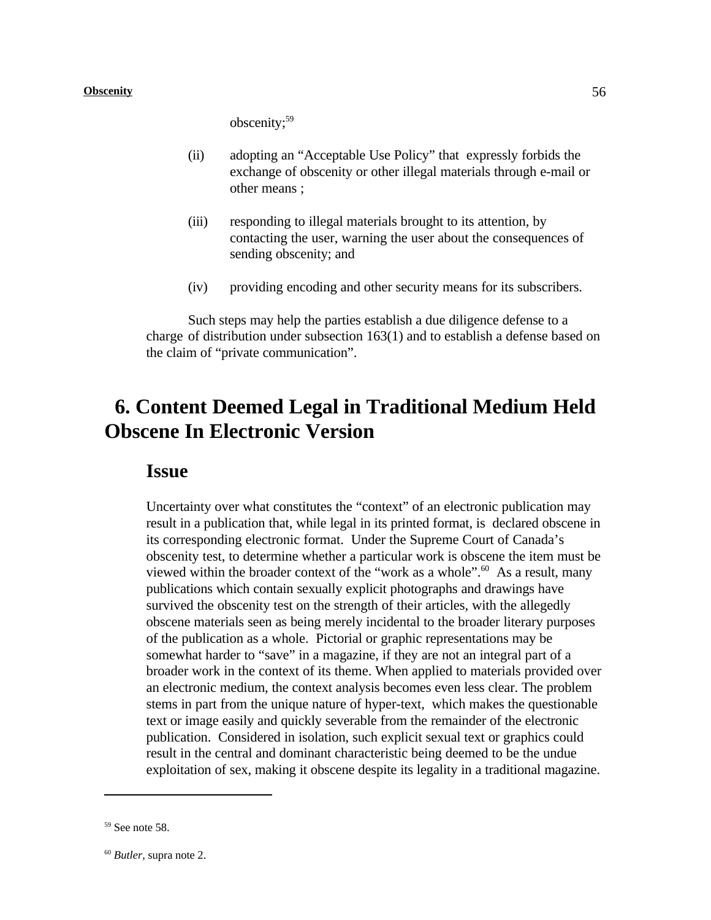obscenity;<sup>59</sup>

- (ii) adopting an "Acceptable Use Policy" that expressly forbids the exchange of obscenity or other illegal materials through e-mail or other means ;
- (iii) responding to illegal materials brought to its attention, by contacting the user, warning the user about the consequences of sending obscenity; and
- (iv) providing encoding and other security means for its subscribers.

Such steps may help the parties establish a due diligence defense to a charge of distribution under subsection 163(1) and to establish a defense based on the claim of "private communication".

# **6. Content Deemed Legal in Traditional Medium Held Obscene In Electronic Version**

### **Issue**

Uncertainty over what constitutes the "context" of an electronic publication may result in a publication that, while legal in its printed format, is declared obscene in its corresponding electronic format. Under the Supreme Court of Canada's obscenity test, to determine whether a particular work is obscene the item must be viewed within the broader context of the "work as a whole".<sup>60</sup> As a result, many publications which contain sexually explicit photographs and drawings have survived the obscenity test on the strength of their articles, with the allegedly obscene materials seen as being merely incidental to the broader literary purposes of the publication as a whole. Pictorial or graphic representations may be somewhat harder to "save" in a magazine, if they are not an integral part of a broader work in the context of its theme. When applied to materials provided over an electronic medium, the context analysis becomes even less clear. The problem stems in part from the unique nature of hyper-text, which makes the questionable text or image easily and quickly severable from the remainder of the electronic publication. Considered in isolation, such explicit sexual text or graphics could result in the central and dominant characteristic being deemed to be the undue exploitation of sex, making it obscene despite its legality in a traditional magazine.

 $59$  See note 58.

 $60$  *Butler*, supra note 2.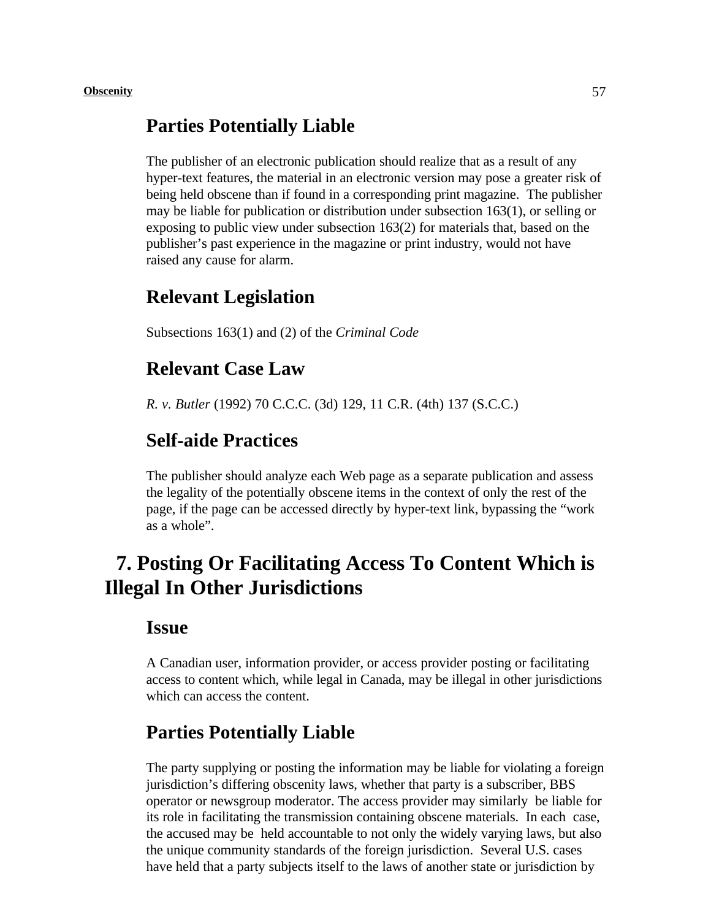### **Parties Potentially Liable**

The publisher of an electronic publication should realize that as a result of any hyper-text features, the material in an electronic version may pose a greater risk of being held obscene than if found in a corresponding print magazine. The publisher may be liable for publication or distribution under subsection 163(1), or selling or exposing to public view under subsection 163(2) for materials that, based on the publisher's past experience in the magazine or print industry, would not have raised any cause for alarm.

### **Relevant Legislation**

Subsections 163(1) and (2) of the *Criminal Code*

### **Relevant Case Law**

*R. v. Butler* (1992) 70 C.C.C. (3d) 129, 11 C.R. (4th) 137 (S.C.C.)

# **Self-aide Practices**

The publisher should analyze each Web page as a separate publication and assess the legality of the potentially obscene items in the context of only the rest of the page, if the page can be accessed directly by hyper-text link, bypassing the "work as a whole".

# **7. Posting Or Facilitating Access To Content Which is Illegal In Other Jurisdictions**

### **Issue**

A Canadian user, information provider, or access provider posting or facilitating access to content which, while legal in Canada, may be illegal in other jurisdictions which can access the content.

## **Parties Potentially Liable**

The party supplying or posting the information may be liable for violating a foreign jurisdiction's differing obscenity laws, whether that party is a subscriber, BBS operator or newsgroup moderator. The access provider may similarly be liable for its role in facilitating the transmission containing obscene materials. In each case, the accused may be held accountable to not only the widely varying laws, but also the unique community standards of the foreign jurisdiction. Several U.S. cases have held that a party subjects itself to the laws of another state or jurisdiction by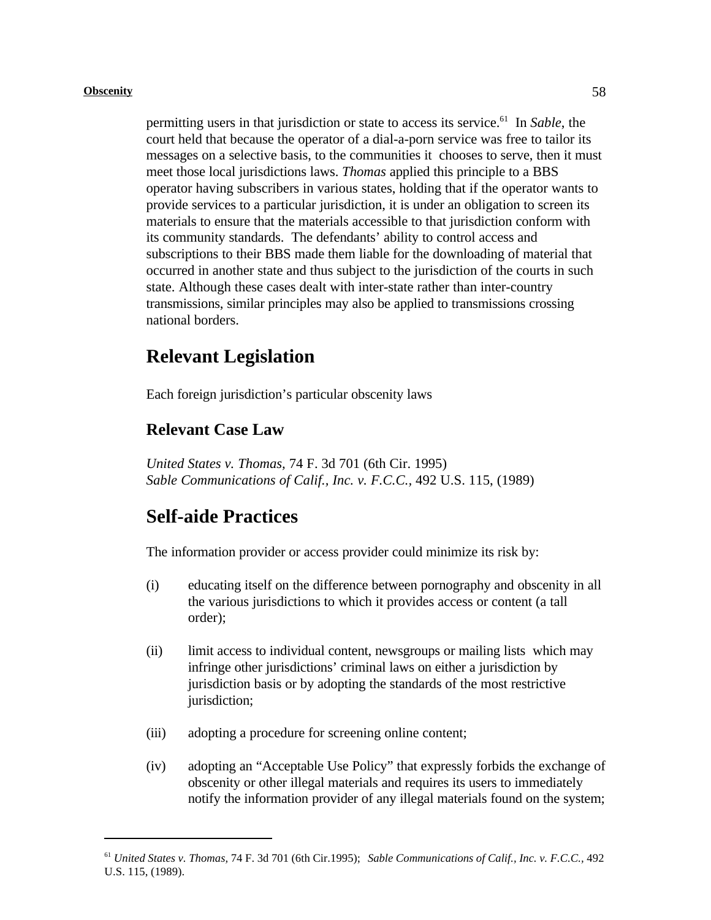permitting users in that jurisdiction or state to access its service.<sup>61</sup> In *Sable*, the court held that because the operator of a dial-a-porn service was free to tailor its messages on a selective basis, to the communities it chooses to serve, then it must meet those local jurisdictions laws. *Thomas* applied this principle to a BBS operator having subscribers in various states, holding that if the operator wants to provide services to a particular jurisdiction, it is under an obligation to screen its materials to ensure that the materials accessible to that jurisdiction conform with its community standards. The defendants' ability to control access and subscriptions to their BBS made them liable for the downloading of material that occurred in another state and thus subject to the jurisdiction of the courts in such state. Although these cases dealt with inter-state rather than inter-country transmissions, similar principles may also be applied to transmissions crossing national borders.

## **Relevant Legislation**

Each foreign jurisdiction's particular obscenity laws

### **Relevant Case Law**

*United States v. Thomas,* 74 F. 3d 701 (6th Cir. 1995) *Sable Communications of Calif., Inc. v. F.C.C.,* 492 U.S. 115, (1989)

# **Self-aide Practices**

The information provider or access provider could minimize its risk by:

- (i) educating itself on the difference between pornography and obscenity in all the various jurisdictions to which it provides access or content (a tall order);
- (ii) limit access to individual content, newsgroups or mailing lists which may infringe other jurisdictions' criminal laws on either a jurisdiction by jurisdiction basis or by adopting the standards of the most restrictive jurisdiction;
- (iii) adopting a procedure for screening online content;
- (iv) adopting an "Acceptable Use Policy" that expressly forbids the exchange of obscenity or other illegal materials and requires its users to immediately notify the information provider of any illegal materials found on the system;

<sup>&</sup>lt;sup>61</sup> United States v. Thomas, 74 F. 3d 701 (6th Cir.1995); *Sable Communications of Calif., Inc. v. F.C.C.*, 492 U.S. 115, (1989).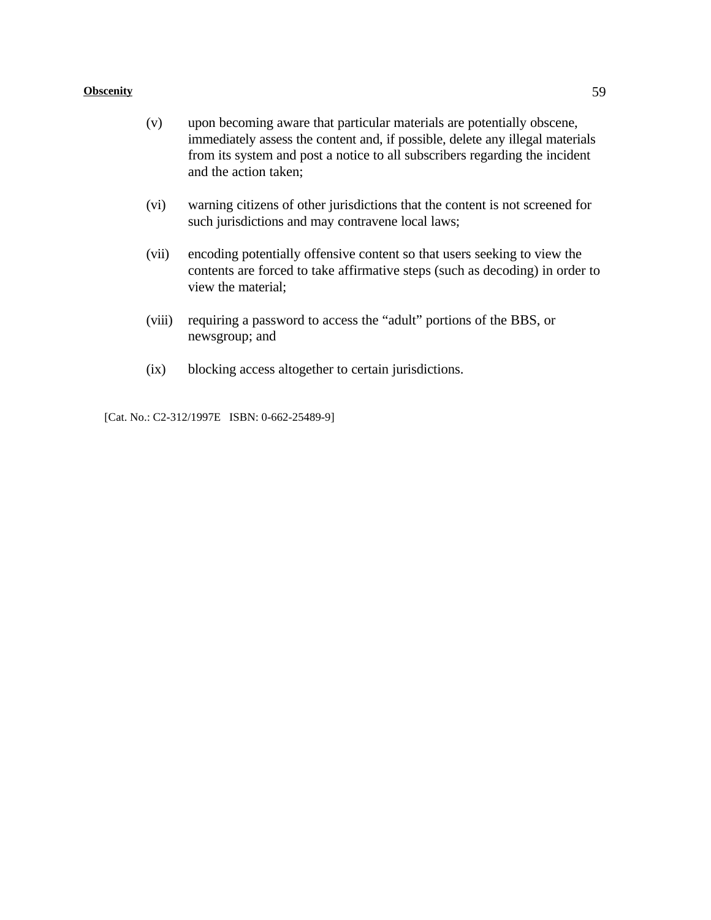- (v) upon becoming aware that particular materials are potentially obscene, immediately assess the content and, if possible, delete any illegal materials from its system and post a notice to all subscribers regarding the incident and the action taken;
- (vi) warning citizens of other jurisdictions that the content is not screened for such jurisdictions and may contravene local laws;
- (vii) encoding potentially offensive content so that users seeking to view the contents are forced to take affirmative steps (such as decoding) in order to view the material;
- (viii) requiring a password to access the "adult" portions of the BBS, or newsgroup; and
- (ix) blocking access altogether to certain jurisdictions.

[Cat. No.: C2-312/1997E ISBN: 0-662-25489-9]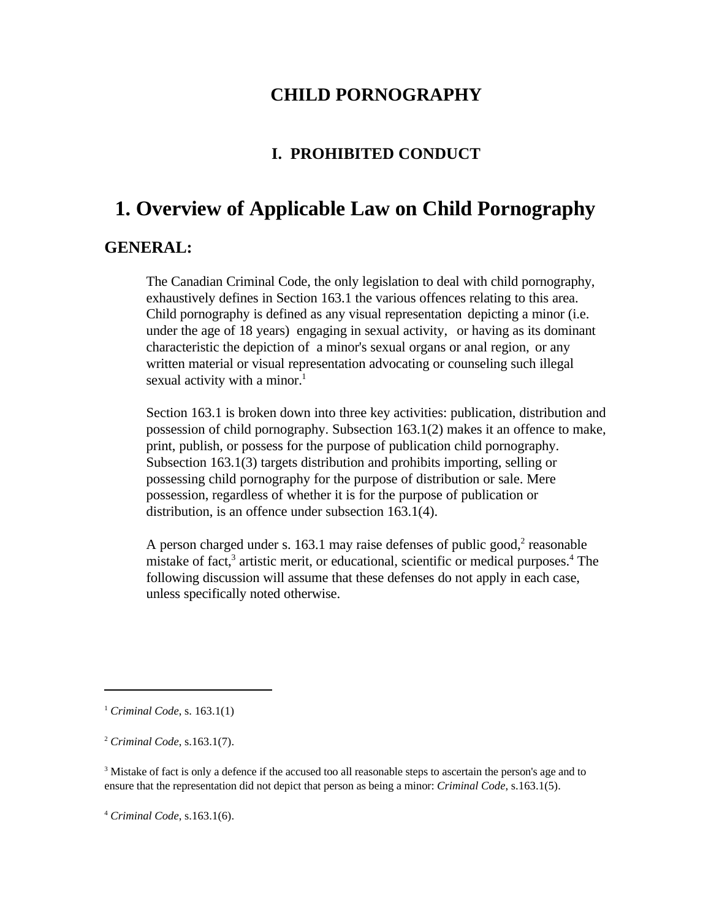### **CHILD PORNOGRAPHY**

# **I. PROHIBITED CONDUCT**

# **1. Overview of Applicable Law on Child Pornography**

### **GENERAL:**

The Canadian Criminal Code, the only legislation to deal with child pornography, exhaustively defines in Section 163.1 the various offences relating to this area. Child pornography is defined as any visual representation depicting a minor (i.e. under the age of 18 years) engaging in sexual activity, or having as its dominant characteristic the depiction of a minor's sexual organs or anal region, or any written material or visual representation advocating or counseling such illegal sexual activity with a minor.<sup>1</sup>

Section 163.1 is broken down into three key activities: publication, distribution and possession of child pornography. Subsection 163.1(2) makes it an offence to make, print, publish, or possess for the purpose of publication child pornography. Subsection 163.1(3) targets distribution and prohibits importing, selling or possessing child pornography for the purpose of distribution or sale. Mere possession, regardless of whether it is for the purpose of publication or distribution, is an offence under subsection 163.1(4).

A person charged under s. 163.1 may raise defenses of public good, $2$  reasonable mistake of fact, $3$  artistic merit, or educational, scientific or medical purposes. <sup>4</sup> The following discussion will assume that these defenses do not apply in each case, unless specifically noted otherwise.

<sup>&</sup>lt;sup>1</sup> Criminal Code, s. 163.1(1)

*Criminal Code*, s.163.1(7). <sup>2</sup>

 $3$  Mistake of fact is only a defence if the accused too all reasonable steps to ascertain the person's age and to ensure that the representation did not depict that person as being a minor: *Criminal Code*, s.163.1(5).

*Criminal Code*, s.163.1(6). <sup>4</sup>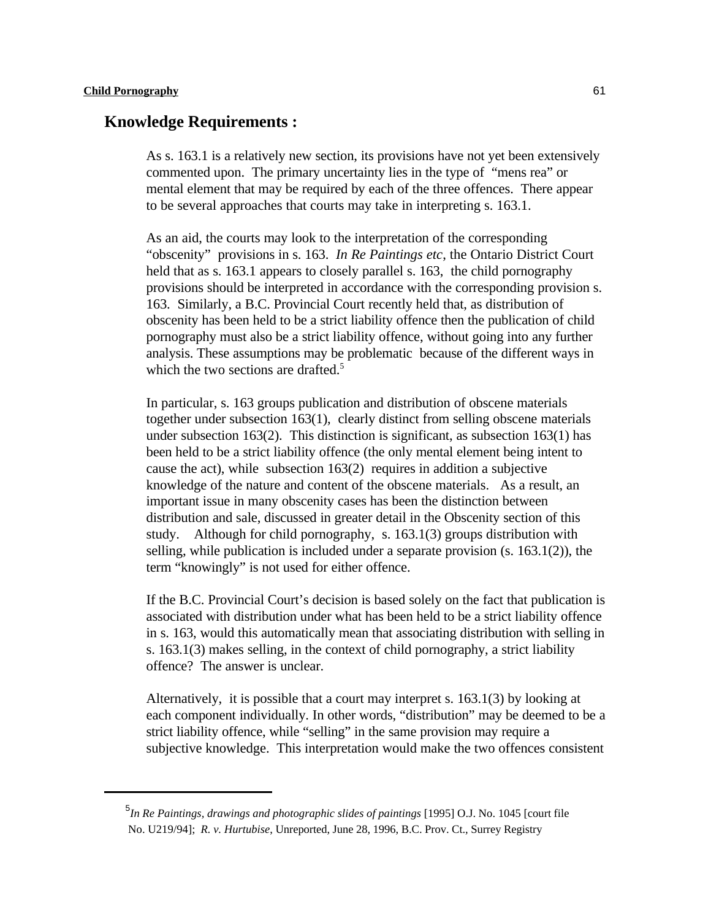#### **Knowledge Requirements :**

As s. 163.1 is a relatively new section, its provisions have not yet been extensively commented upon. The primary uncertainty lies in the type of "mens rea" or mental element that may be required by each of the three offences. There appear to be several approaches that courts may take in interpreting s. 163.1.

As an aid, the courts may look to the interpretation of the corresponding "obscenity" provisions in s. 163. *In Re Paintings etc*, the Ontario District Court held that as s. 163.1 appears to closely parallel s. 163, the child pornography provisions should be interpreted in accordance with the corresponding provision s. 163. Similarly, a B.C. Provincial Court recently held that, as distribution of obscenity has been held to be a strict liability offence then the publication of child pornography must also be a strict liability offence, without going into any further analysis. These assumptions may be problematic because of the different ways in which the two sections are drafted.<sup>5</sup>

In particular, s. 163 groups publication and distribution of obscene materials together under subsection 163(1), clearly distinct from selling obscene materials under subsection 163(2). This distinction is significant, as subsection 163(1) has been held to be a strict liability offence (the only mental element being intent to cause the act), while subsection 163(2) requires in addition a subjective knowledge of the nature and content of the obscene materials. As a result, an important issue in many obscenity cases has been the distinction between distribution and sale, discussed in greater detail in the Obscenity section of this study. Although for child pornography, s. 163.1(3) groups distribution with selling, while publication is included under a separate provision (s. 163.1(2)), the term "knowingly" is not used for either offence.

If the B.C. Provincial Court's decision is based solely on the fact that publication is associated with distribution under what has been held to be a strict liability offence in s. 163, would this automatically mean that associating distribution with selling in s. 163.1(3) makes selling, in the context of child pornography, a strict liability offence? The answer is unclear.

Alternatively, it is possible that a court may interpret s. 163.1(3) by looking at each component individually. In other words, "distribution" may be deemed to be a strict liability offence, while "selling" in the same provision may require a subjective knowledge. This interpretation would make the two offences consistent

<sup>&</sup>lt;sup>5</sup>In Re Paintings, drawings and photographic slides of paintings [1995] O.J. No. 1045 [court file No. U219/94]; *R. v. Hurtubise*, Unreported, June 28, 1996, B.C. Prov. Ct., Surrey Registry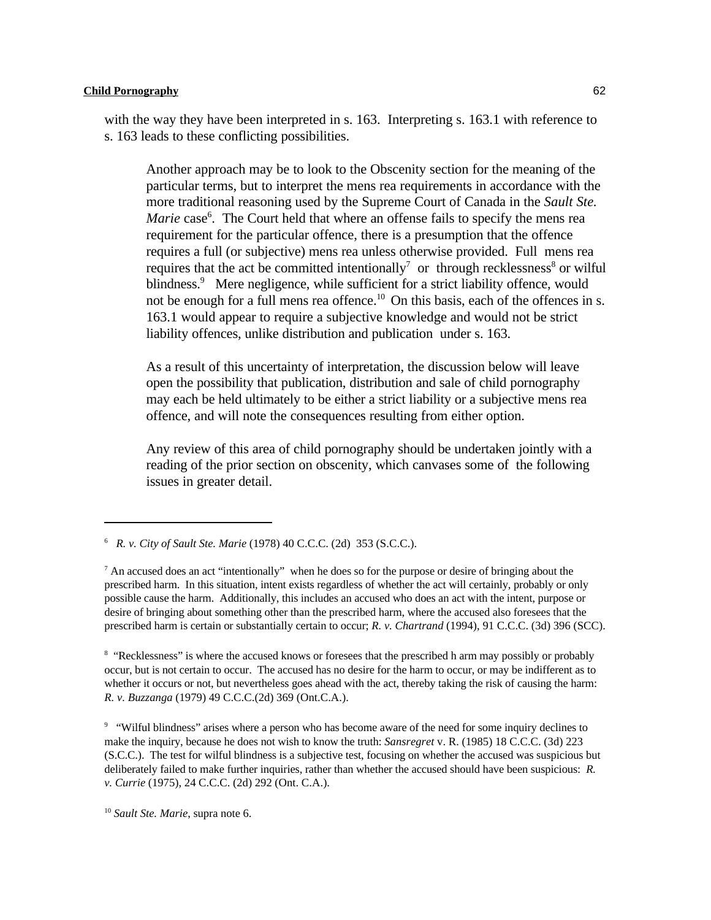with the way they have been interpreted in s. 163. Interpreting s. 163.1 with reference to s. 163 leads to these conflicting possibilities.

Another approach may be to look to the Obscenity section for the meaning of the particular terms, but to interpret the mens rea requirements in accordance with the more traditional reasoning used by the Supreme Court of Canada in the *Sault Ste. Marie* case<sup>6</sup>. The Court held that where an offense fails to specify the mens rea requirement for the particular offence, there is a presumption that the offence requires a full (or subjective) mens rea unless otherwise provided. Full mens rea requires that the act be committed intentionally<sup>7</sup> or through recklessness<sup>8</sup> or wilful blindness.<sup>9</sup> Mere negligence, while sufficient for a strict liability offence, would not be enough for a full mens rea offence.<sup>10</sup> On this basis, each of the offences in s. 163.1 would appear to require a subjective knowledge and would not be strict liability offences, unlike distribution and publication under s. 163.

As a result of this uncertainty of interpretation, the discussion below will leave open the possibility that publication, distribution and sale of child pornography may each be held ultimately to be either a strict liability or a subjective mens rea offence, and will note the consequences resulting from either option.

Any review of this area of child pornography should be undertaken jointly with a reading of the prior section on obscenity, which canvases some of the following issues in greater detail.

<sup>8</sup> "Recklessness" is where the accused knows or foresees that the prescribed h arm may possibly or probably occur, but is not certain to occur. The accused has no desire for the harm to occur, or may be indifferent as to whether it occurs or not, but nevertheless goes ahead with the act, thereby taking the risk of causing the harm: *R. v. Buzzanga* (1979) 49 C.C.C.(2d) 369 (Ont.C.A.).

<sup>9</sup> "Wilful blindness" arises where a person who has become aware of the need for some inquiry declines to make the inquiry, because he does not wish to know the truth: *Sansregret* v. R. (1985) 18 C.C.C. (3d) 223 (S.C.C.). The test for wilful blindness is a subjective test, focusing on whether the accused was suspicious but deliberately failed to make further inquiries, rather than whether the accused should have been suspicious: *R. v. Currie* (1975), 24 C.C.C. (2d) 292 (Ont. C.A.).

<sup>10</sup> Sault Ste. Marie, supra note 6.

*R. v. City of Sault Ste. Marie* (1978) 40 C.C.C. (2d) 353 (S.C.C.). <sup>6</sup>

 $^7$  An accused does an act "intentionally" when he does so for the purpose or desire of bringing about the prescribed harm. In this situation, intent exists regardless of whether the act will certainly, probably or only possible cause the harm. Additionally, this includes an accused who does an act with the intent, purpose or desire of bringing about something other than the prescribed harm, where the accused also foresees that the prescribed harm is certain or substantially certain to occur; *R. v. Chartrand* (1994), 91 C.C.C. (3d) 396 (SCC).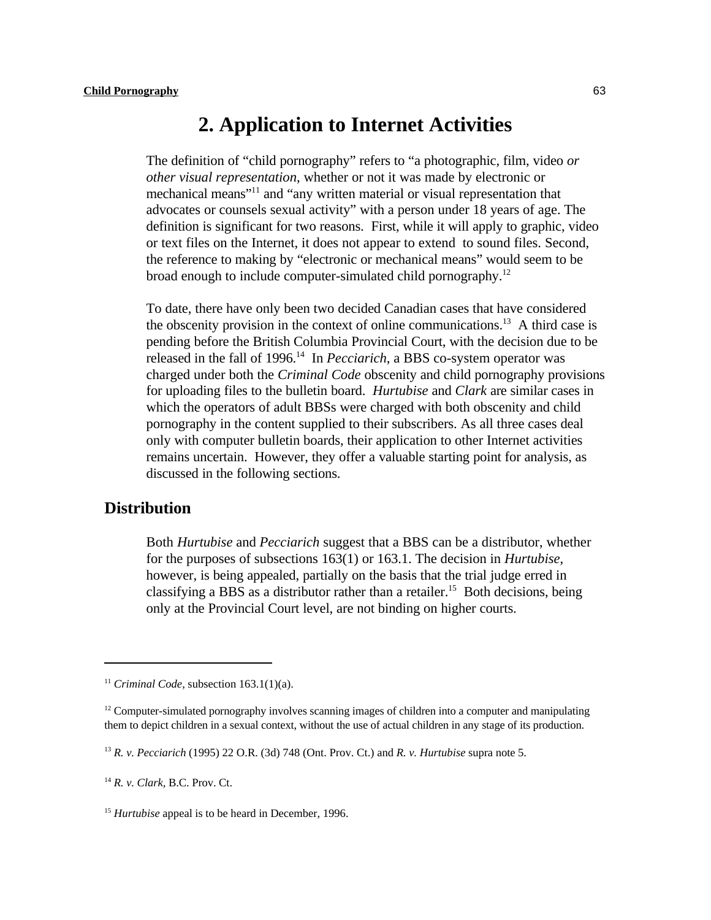# **2. Application to Internet Activities**

The definition of "child pornography" refers to "a photographic, film, video *or other visual representation*, whether or not it was made by electronic or mechanical means"<sup>11</sup> and "any written material or visual representation that advocates or counsels sexual activity" with a person under 18 years of age. The definition is significant for two reasons. First, while it will apply to graphic, video or text files on the Internet, it does not appear to extend to sound files. Second, the reference to making by "electronic or mechanical means" would seem to be broad enough to include computer-simulated child pornography.<sup>12</sup>

To date, there have only been two decided Canadian cases that have considered the obscenity provision in the context of online communications.<sup>13</sup> A third case is pending before the British Columbia Provincial Court, with the decision due to be released in the fall of 1996.<sup>14</sup> In *Pecciarich*, a BBS co-system operator was charged under both the *Criminal Code* obscenity and child pornography provisions for uploading files to the bulletin board. *Hurtubise* and *Clark* are similar cases in which the operators of adult BBSs were charged with both obscenity and child pornography in the content supplied to their subscribers. As all three cases deal only with computer bulletin boards, their application to other Internet activities remains uncertain. However, they offer a valuable starting point for analysis, as discussed in the following sections.

### **Distribution**

Both *Hurtubise* and *Pecciarich* suggest that a BBS can be a distributor, whether for the purposes of subsections 163(1) or 163.1. The decision in *Hurtubise*, however, is being appealed, partially on the basis that the trial judge erred in classifying a BBS as a distributor rather than a retailer.<sup>15</sup> Both decisions, being only at the Provincial Court level, are not binding on higher courts.

<sup>&</sup>lt;sup>11</sup> Criminal Code, subsection  $163.1(1)(a)$ .

 $12^1$  Computer-simulated pornography involves scanning images of children into a computer and manipulating them to depict children in a sexual context, without the use of actual children in any stage of its production.

*R. v. Pecciarich* (1995) 22 O.R. (3d) 748 (Ont. Prov. Ct.) and *R. v. Hurtubise* supra note 5. <sup>13</sup>

<sup>&</sup>lt;sup>14</sup> *R. v. Clark, B.C. Prov. Ct.* 

<sup>&</sup>lt;sup>15</sup> Hurtubise appeal is to be heard in December, 1996.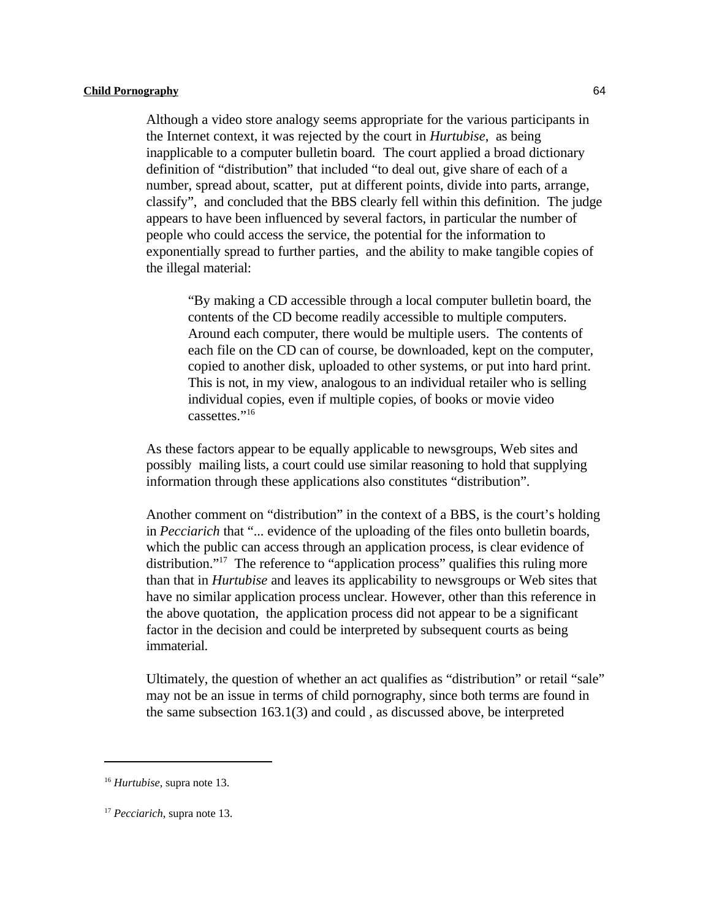Although a video store analogy seems appropriate for the various participants in the Internet context, it was rejected by the court in *Hurtubise*, as being inapplicable to a computer bulletin board*.* The court applied a broad dictionary definition of "distribution" that included "to deal out, give share of each of a number, spread about, scatter, put at different points, divide into parts, arrange, classify", and concluded that the BBS clearly fell within this definition. The judge appears to have been influenced by several factors, in particular the number of people who could access the service, the potential for the information to exponentially spread to further parties, and the ability to make tangible copies of the illegal material:

"By making a CD accessible through a local computer bulletin board, the contents of the CD become readily accessible to multiple computers. Around each computer, there would be multiple users. The contents of each file on the CD can of course, be downloaded, kept on the computer, copied to another disk, uploaded to other systems, or put into hard print. This is not, in my view, analogous to an individual retailer who is selling individual copies, even if multiple copies, of books or movie video cassettes."<sup>16</sup>

As these factors appear to be equally applicable to newsgroups, Web sites and possibly mailing lists, a court could use similar reasoning to hold that supplying information through these applications also constitutes "distribution".

Another comment on "distribution" in the context of a BBS, is the court's holding in *Pecciarich* that "... evidence of the uploading of the files onto bulletin boards, which the public can access through an application process, is clear evidence of distribution."<sup>17</sup> The reference to "application process" qualifies this ruling more than that in *Hurtubise* and leaves its applicability to newsgroups or Web sites that have no similar application process unclear. However, other than this reference in the above quotation, the application process did not appear to be a significant factor in the decision and could be interpreted by subsequent courts as being immaterial.

Ultimately, the question of whether an act qualifies as "distribution" or retail "sale" may not be an issue in terms of child pornography, since both terms are found in the same subsection 163.1(3) and could , as discussed above, be interpreted

<sup>&</sup>lt;sup>16</sup> Hurtubise, supra note 13.

<sup>&</sup>lt;sup>17</sup> Pecciarich, supra note 13.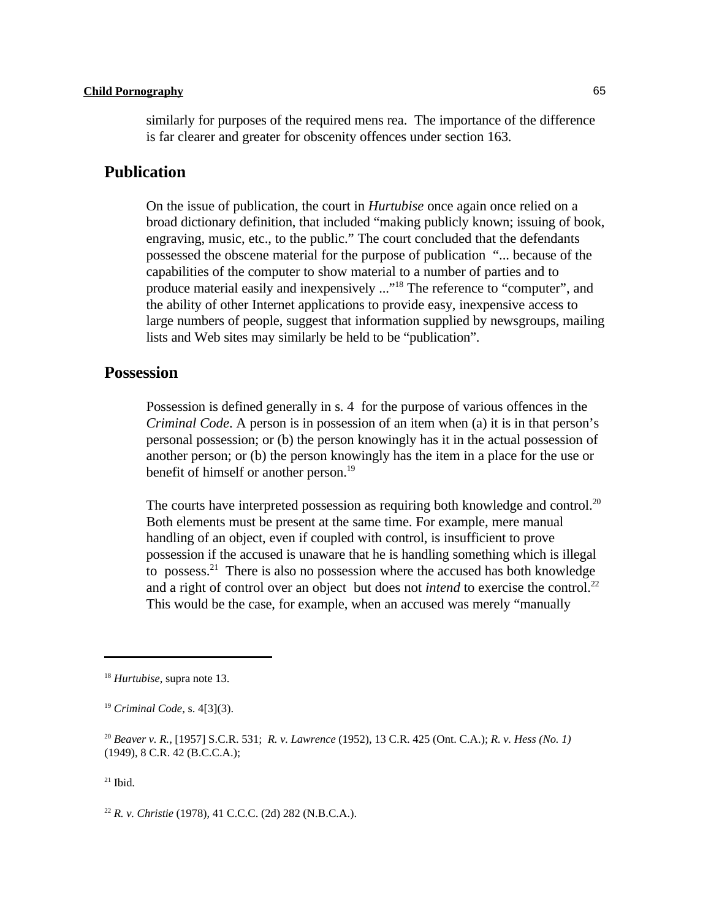similarly for purposes of the required mens rea. The importance of the difference is far clearer and greater for obscenity offences under section 163.

### **Publication**

On the issue of publication, the court in *Hurtubise* once again once relied on a broad dictionary definition, that included "making publicly known; issuing of book, engraving, music, etc., to the public." The court concluded that the defendants possessed the obscene material for the purpose of publication "... because of the capabilities of the computer to show material to a number of parties and to produce material easily and inexpensively ..."<sup>18</sup> The reference to "computer", and the ability of other Internet applications to provide easy, inexpensive access to large numbers of people, suggest that information supplied by newsgroups, mailing lists and Web sites may similarly be held to be "publication".

### **Possession**

Possession is defined generally in s. 4 for the purpose of various offences in the *Criminal Code*. A person is in possession of an item when (a) it is in that person's personal possession; or (b) the person knowingly has it in the actual possession of another person; or (b) the person knowingly has the item in a place for the use or benefit of himself or another person.<sup>19</sup>

The courts have interpreted possession as requiring both knowledge and control.<sup>20</sup> Both elements must be present at the same time. For example, mere manual handling of an object, even if coupled with control, is insufficient to prove possession if the accused is unaware that he is handling something which is illegal to possess.<sup>21</sup> There is also no possession where the accused has both knowledge and a right of control over an object but does not *intend* to exercise the control.<sup>22</sup> This would be the case, for example, when an accused was merely "manually

 $21$  Ibid.

<sup>22</sup> *R. v. Christie* (1978), 41 C.C.C. (2d) 282 (N.B.C.A.).

<sup>&</sup>lt;sup>18</sup> Hurtubise, supra note 13.

<sup>&</sup>lt;sup>19</sup> Criminal Code, s. 4[3](3).

*Beaver v. R.,* [1957] S.C.R. 531; *R. v. Lawrence* (1952), 13 C.R. 425 (Ont. C.A.); *R. v. Hess (No. 1)* <sup>20</sup> (1949), 8 C.R. 42 (B.C.C.A.);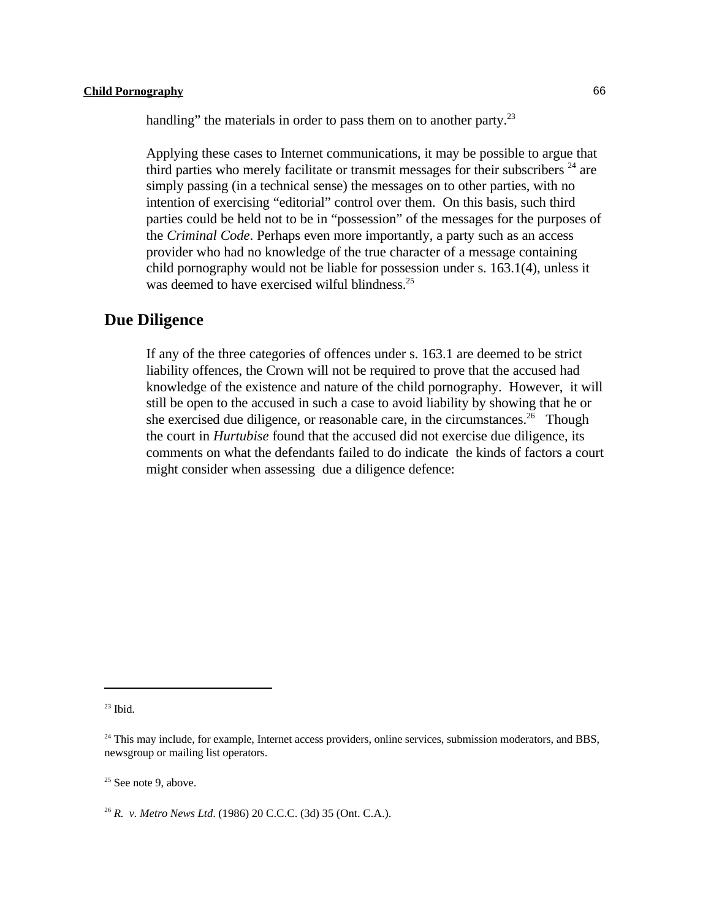handling" the materials in order to pass them on to another party.<sup>23</sup>

Applying these cases to Internet communications, it may be possible to argue that third parties who merely facilitate or transmit messages for their subscribers  $24$  are simply passing (in a technical sense) the messages on to other parties, with no intention of exercising "editorial" control over them. On this basis, such third parties could be held not to be in "possession" of the messages for the purposes of the *Criminal Code*. Perhaps even more importantly, a party such as an access provider who had no knowledge of the true character of a message containing child pornography would not be liable for possession under s. 163.1(4), unless it was deemed to have exercised wilful blindness.<sup>25</sup>

### **Due Diligence**

If any of the three categories of offences under s. 163.1 are deemed to be strict liability offences, the Crown will not be required to prove that the accused had knowledge of the existence and nature of the child pornography. However, it will still be open to the accused in such a case to avoid liability by showing that he or she exercised due diligence, or reasonable care, in the circumstances.<sup>26</sup> Though the court in *Hurtubise* found that the accused did not exercise due diligence, its comments on what the defendants failed to do indicate the kinds of factors a court might consider when assessing due a diligence defence:

 $23$  Ibid.

 $24$  This may include, for example, Internet access providers, online services, submission moderators, and BBS, newsgroup or mailing list operators.

 $25$  See note 9, above.

<sup>&</sup>lt;sup>26</sup> R. *v. Metro News Ltd.* (1986) 20 C.C.C. (3d) 35 (Ont. C.A.).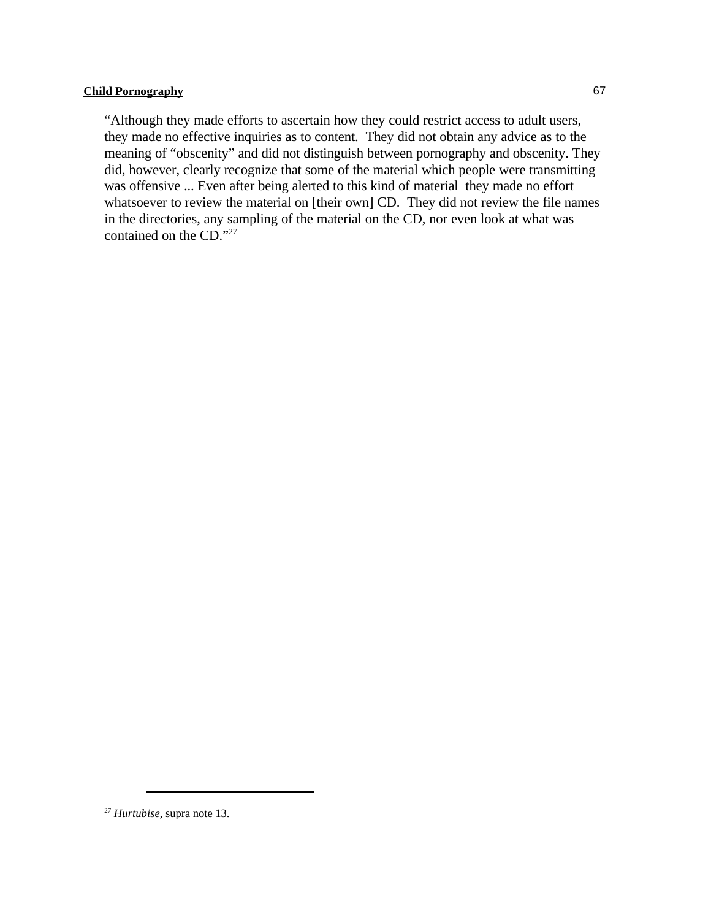"Although they made efforts to ascertain how they could restrict access to adult users, they made no effective inquiries as to content. They did not obtain any advice as to the meaning of "obscenity" and did not distinguish between pornography and obscenity. They did, however, clearly recognize that some of the material which people were transmitting was offensive ... Even after being alerted to this kind of material they made no effort whatsoever to review the material on [their own] CD. They did not review the file names in the directories, any sampling of the material on the CD, nor even look at what was contained on the CD."27

<sup>&</sup>lt;sup>27</sup> Hurtubise, supra note 13.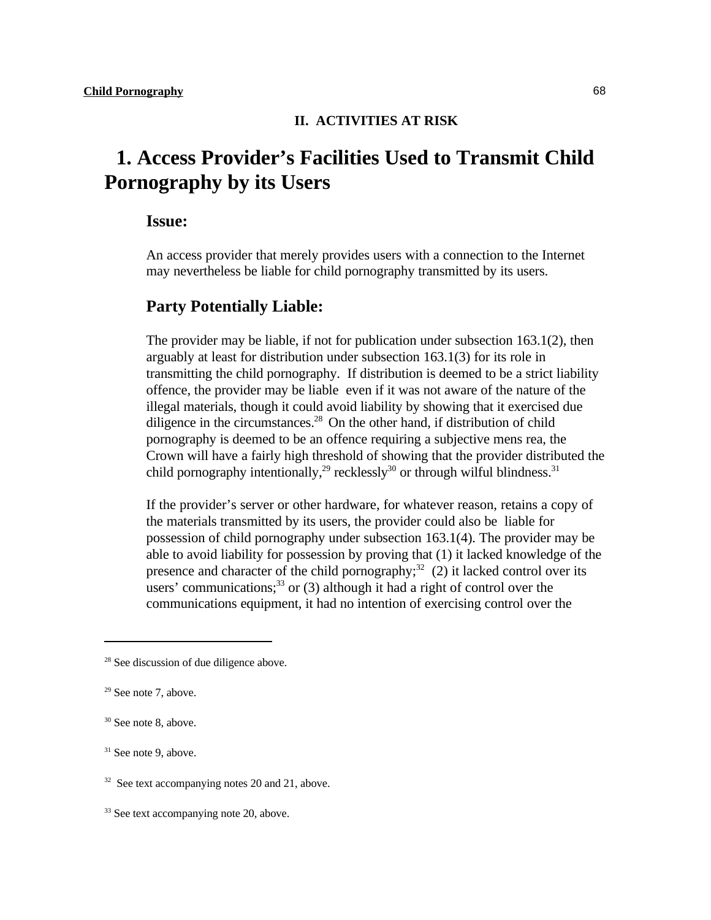### **II. ACTIVITIES AT RISK**

# **1. Access Provider's Facilities Used to Transmit Child Pornography by its Users**

### **Issue:**

An access provider that merely provides users with a connection to the Internet may nevertheless be liable for child pornography transmitted by its users.

### **Party Potentially Liable:**

The provider may be liable, if not for publication under subsection 163.1(2), then arguably at least for distribution under subsection 163.1(3) for its role in transmitting the child pornography. If distribution is deemed to be a strict liability offence, the provider may be liable even if it was not aware of the nature of the illegal materials, though it could avoid liability by showing that it exercised due diligence in the circumstances. $^{28}$  On the other hand, if distribution of child pornography is deemed to be an offence requiring a subjective mens rea, the Crown will have a fairly high threshold of showing that the provider distributed the child pornography intentionally,<sup>29</sup> recklessly<sup>30</sup> or through wilful blindness.<sup>31</sup>

If the provider's server or other hardware, for whatever reason, retains a copy of the materials transmitted by its users, the provider could also be liable for possession of child pornography under subsection 163.1(4). The provider may be able to avoid liability for possession by proving that (1) it lacked knowledge of the presence and character of the child pornography;  $^{32}$  (2) it lacked control over its users' communications;  $33$  or (3) although it had a right of control over the communications equipment, it had no intention of exercising control over the

 $28$  See discussion of due diligence above.

 $29$  See note 7, above.

 $30$  See note 8, above.

 $31$  See note 9, above.

 $32$  See text accompanying notes 20 and 21, above.

 $33$  See text accompanying note 20, above.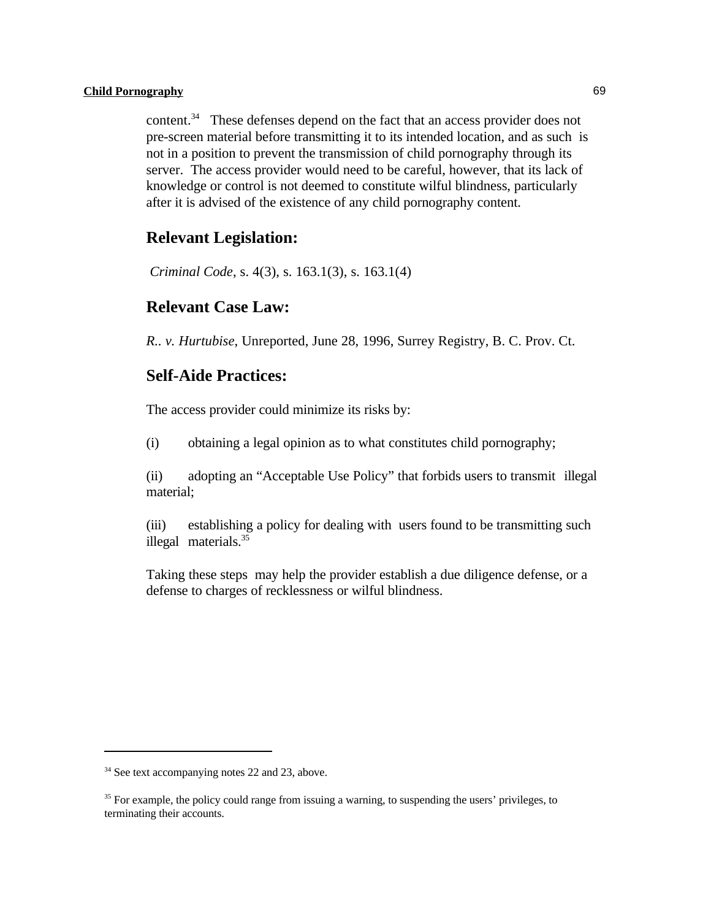content. <sup>34</sup> These defenses depend on the fact that an access provider does not pre-screen material before transmitting it to its intended location, and as such is not in a position to prevent the transmission of child pornography through its server. The access provider would need to be careful, however, that its lack of knowledge or control is not deemed to constitute wilful blindness, particularly after it is advised of the existence of any child pornography content.

### **Relevant Legislation:**

*Criminal Code*, s. 4(3), s. 163.1(3), s. 163.1(4)

### **Relevant Case Law:**

*R.. v. Hurtubise*, Unreported, June 28, 1996, Surrey Registry, B. C. Prov. Ct.

### **Self-Aide Practices:**

The access provider could minimize its risks by:

(i) obtaining a legal opinion as to what constitutes child pornography;

(ii) adopting an "Acceptable Use Policy" that forbids users to transmit illegal material;

(iii) establishing a policy for dealing with users found to be transmitting such illegal materials.<sup>35</sup>

Taking these steps may help the provider establish a due diligence defense, or a defense to charges of recklessness or wilful blindness.

 $34$  See text accompanying notes 22 and 23, above.

<sup>&</sup>lt;sup>35</sup> For example, the policy could range from issuing a warning, to suspending the users' privileges, to terminating their accounts.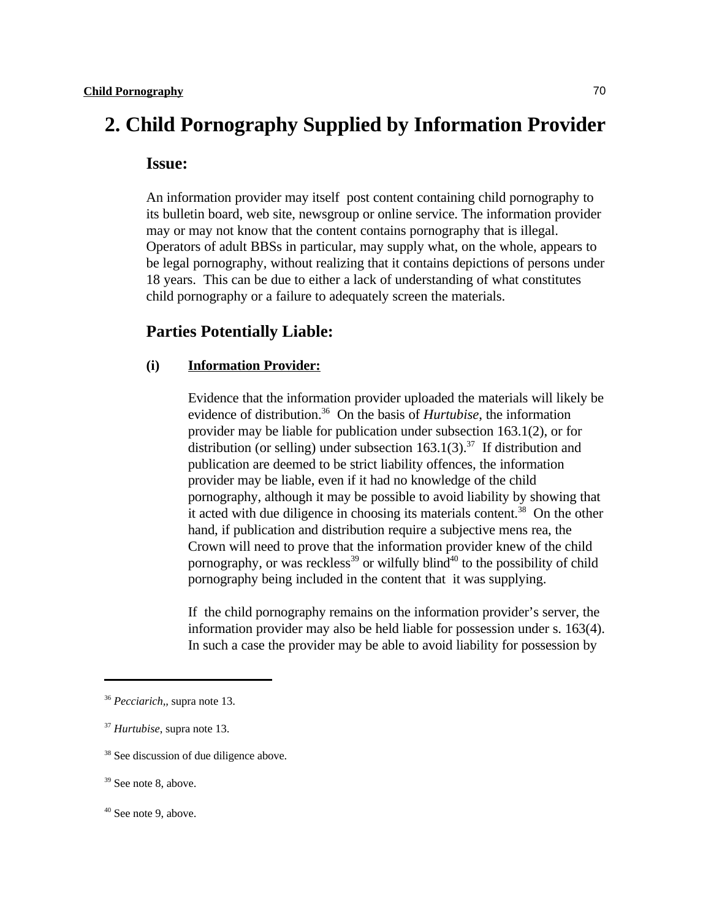# **2. Child Pornography Supplied by Information Provider**

### **Issue:**

An information provider may itself post content containing child pornography to its bulletin board, web site, newsgroup or online service. The information provider may or may not know that the content contains pornography that is illegal. Operators of adult BBSs in particular, may supply what, on the whole, appears to be legal pornography, without realizing that it contains depictions of persons under 18 years. This can be due to either a lack of understanding of what constitutes child pornography or a failure to adequately screen the materials.

### **Parties Potentially Liable:**

### **(i) Information Provider:**

Evidence that the information provider uploaded the materials will likely be evidence of distribution.<sup>36</sup> On the basis of *Hurtubise*, the information provider may be liable for publication under subsection 163.1(2), or for distribution (or selling) under subsection  $163.1(3)$ .<sup>37</sup> If distribution and publication are deemed to be strict liability offences, the information provider may be liable, even if it had no knowledge of the child pornography, although it may be possible to avoid liability by showing that it acted with due diligence in choosing its materials content.<sup>38</sup> On the other hand, if publication and distribution require a subjective mens rea, the Crown will need to prove that the information provider knew of the child pornography, or was reckless<sup>39</sup> or wilfully blind<sup>40</sup> to the possibility of child pornography being included in the content that it was supplying.

If the child pornography remains on the information provider's server, the information provider may also be held liable for possession under s. 163(4). In such a case the provider may be able to avoid liability for possession by

<sup>&</sup>lt;sup>36</sup> Pecciarich,, supra note 13.

<sup>&</sup>lt;sup>37</sup> Hurtubise, supra note 13.

<sup>&</sup>lt;sup>38</sup> See discussion of due diligence above.

 $39$  See note 8, above.

 $40$  See note 9, above.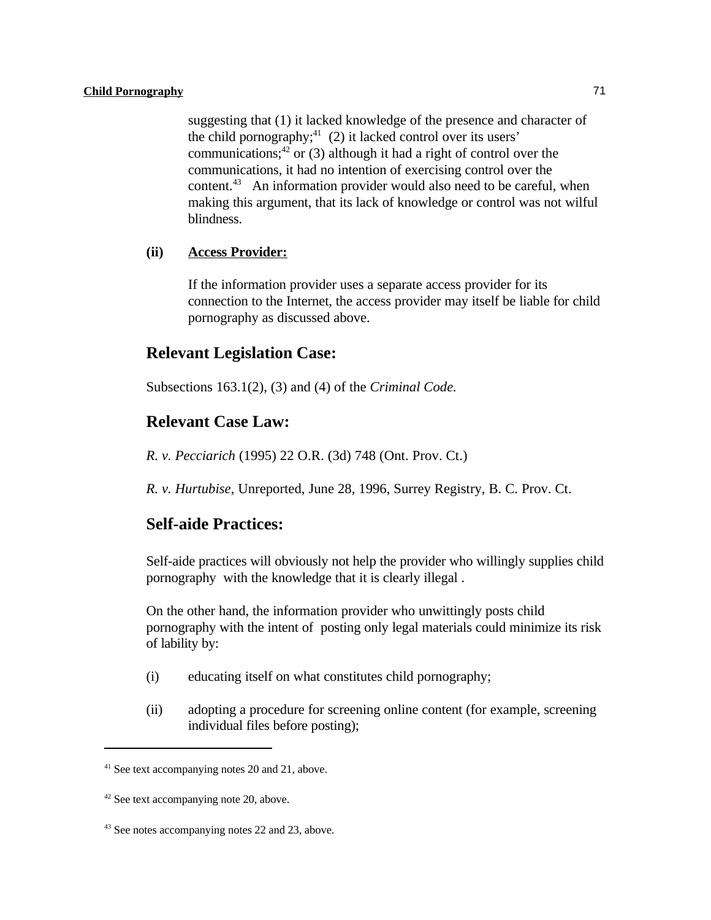suggesting that (1) it lacked knowledge of the presence and character of the child pornography;  $(2)$  it lacked control over its users' communications;  $42$  or (3) although it had a right of control over the communications, it had no intention of exercising control over the content. $43$  An information provider would also need to be careful, when making this argument, that its lack of knowledge or control was not wilful blindness.

### **(ii) Access Provider:**

If the information provider uses a separate access provider for its connection to the Internet, the access provider may itself be liable for child pornography as discussed above.

### **Relevant Legislation Case:**

Subsections 163.1(2), (3) and (4) of the *Criminal Code.*

### **Relevant Case Law:**

*R. v. Pecciarich* (1995) 22 O.R. (3d) 748 (Ont. Prov. Ct.)

*R. v. Hurtubise*, Unreported, June 28, 1996, Surrey Registry, B. C. Prov. Ct.

### **Self-aide Practices:**

Self-aide practices will obviously not help the provider who willingly supplies child pornography with the knowledge that it is clearly illegal .

On the other hand, the information provider who unwittingly posts child pornography with the intent of posting only legal materials could minimize its risk of lability by:

- (i) educating itself on what constitutes child pornography;
- (ii) adopting a procedure for screening online content (for example, screening individual files before posting);

 $41$  See text accompanying notes 20 and 21, above.

 $42$  See text accompanying note 20, above.

 $43$  See notes accompanying notes 22 and 23, above.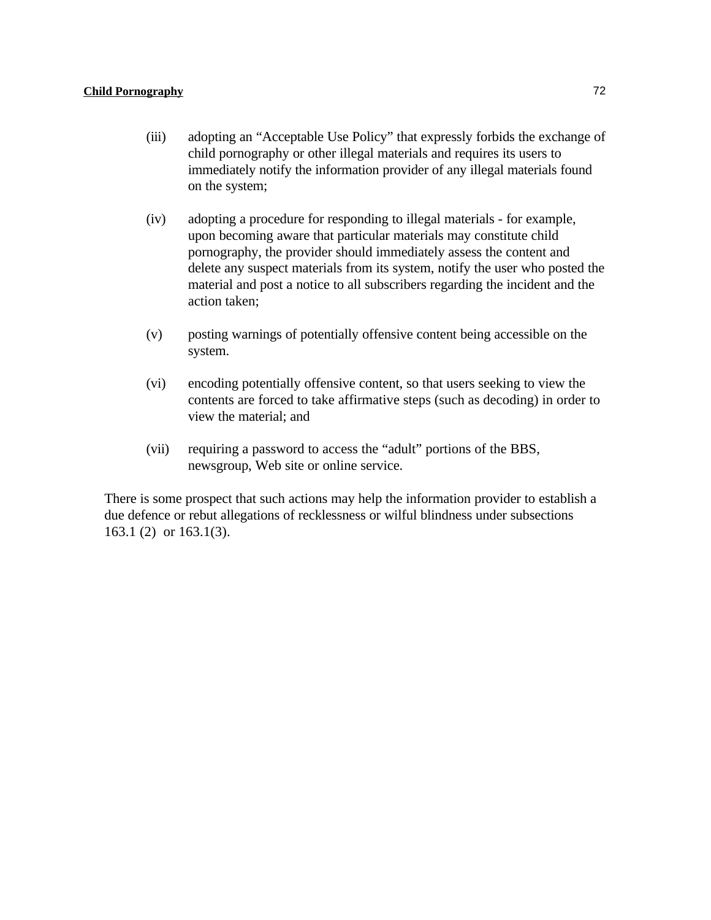- (iii) adopting an "Acceptable Use Policy" that expressly forbids the exchange of child pornography or other illegal materials and requires its users to immediately notify the information provider of any illegal materials found on the system;
- (iv) adopting a procedure for responding to illegal materials for example, upon becoming aware that particular materials may constitute child pornography, the provider should immediately assess the content and delete any suspect materials from its system, notify the user who posted the material and post a notice to all subscribers regarding the incident and the action taken;
- (v) posting warnings of potentially offensive content being accessible on the system.
- (vi) encoding potentially offensive content, so that users seeking to view the contents are forced to take affirmative steps (such as decoding) in order to view the material; and
- (vii) requiring a password to access the "adult" portions of the BBS, newsgroup, Web site or online service.

There is some prospect that such actions may help the information provider to establish a due defence or rebut allegations of recklessness or wilful blindness under subsections 163.1 (2) or 163.1(3).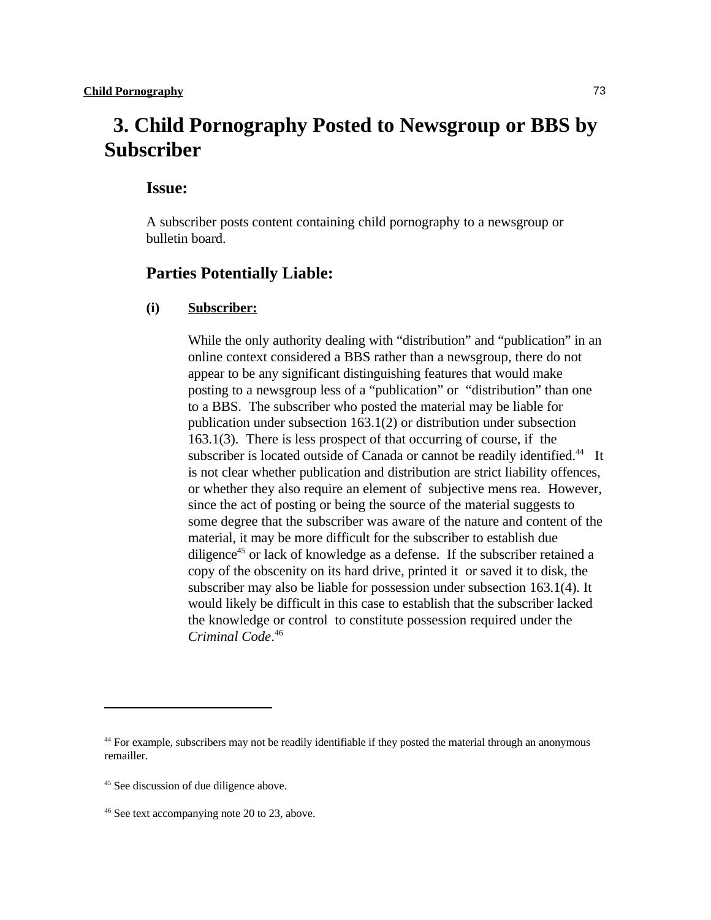# **3. Child Pornography Posted to Newsgroup or BBS by Subscriber**

### **Issue:**

A subscriber posts content containing child pornography to a newsgroup or bulletin board.

### **Parties Potentially Liable:**

### **(i) Subscriber:**

While the only authority dealing with "distribution" and "publication" in an online context considered a BBS rather than a newsgroup, there do not appear to be any significant distinguishing features that would make posting to a newsgroup less of a "publication" or "distribution" than one to a BBS. The subscriber who posted the material may be liable for publication under subsection 163.1(2) or distribution under subsection 163.1(3). There is less prospect of that occurring of course, if the subscriber is located outside of Canada or cannot be readily identified.<sup>44</sup> It is not clear whether publication and distribution are strict liability offences, or whether they also require an element of subjective mens rea. However, since the act of posting or being the source of the material suggests to some degree that the subscriber was aware of the nature and content of the material, it may be more difficult for the subscriber to establish due diligence<sup>45</sup> or lack of knowledge as a defense. If the subscriber retained a copy of the obscenity on its hard drive, printed it or saved it to disk, the subscriber may also be liable for possession under subsection 163.1(4). It would likely be difficult in this case to establish that the subscriber lacked the knowledge or control to constitute possession required under the *Criminal Code*. 46

<sup>&</sup>lt;sup>44</sup> For example, subscribers may not be readily identifiable if they posted the material through an anonymous remailler.

<sup>&</sup>lt;sup>45</sup> See discussion of due diligence above.

 $46$  See text accompanying note 20 to 23, above.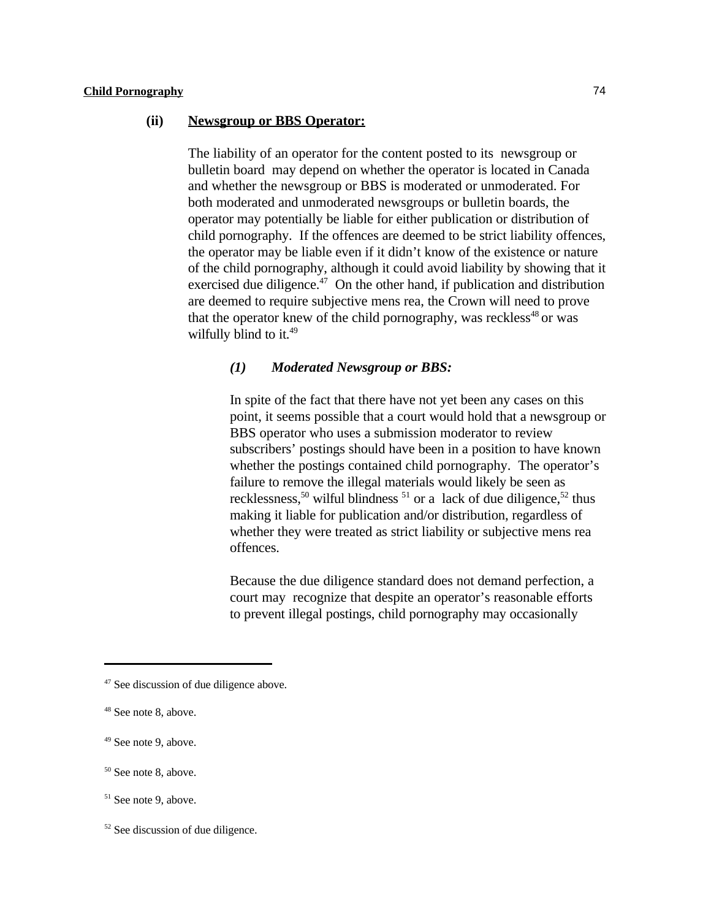### **(ii) Newsgroup or BBS Operator:**

The liability of an operator for the content posted to its newsgroup or bulletin board may depend on whether the operator is located in Canada and whether the newsgroup or BBS is moderated or unmoderated. For both moderated and unmoderated newsgroups or bulletin boards, the operator may potentially be liable for either publication or distribution of child pornography. If the offences are deemed to be strict liability offences, the operator may be liable even if it didn't know of the existence or nature of the child pornography, although it could avoid liability by showing that it exercised due diligence.<sup> $47$ </sup> On the other hand, if publication and distribution are deemed to require subjective mens rea, the Crown will need to prove that the operator knew of the child pornography, was reckless<sup>48</sup> or was wilfully blind to it.<sup>49</sup>

#### *(1) Moderated Newsgroup or BBS:*

In spite of the fact that there have not yet been any cases on this point, it seems possible that a court would hold that a newsgroup or BBS operator who uses a submission moderator to review subscribers' postings should have been in a position to have known whether the postings contained child pornography. The operator's failure to remove the illegal materials would likely be seen as recklessness,<sup>50</sup> wilful blindness<sup>51</sup> or a lack of due diligence,<sup>52</sup> thus making it liable for publication and/or distribution, regardless of whether they were treated as strict liability or subjective mens rea offences.

Because the due diligence standard does not demand perfection, a court may recognize that despite an operator's reasonable efforts to prevent illegal postings, child pornography may occasionally

 $47$  See discussion of due diligence above.

 $48$  See note 8, above.

 $49$  See note 9, above.

 $50$  See note 8, above.

<sup>&</sup>lt;sup>51</sup> See note 9, above.

 $52$  See discussion of due diligence.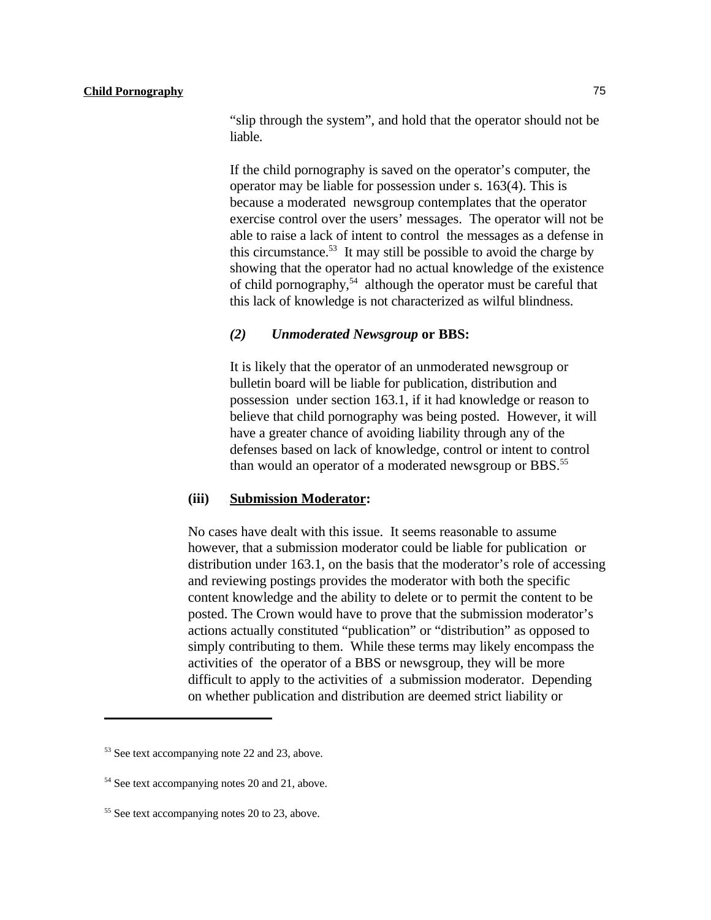"slip through the system", and hold that the operator should not be liable.

If the child pornography is saved on the operator's computer, the operator may be liable for possession under s. 163(4). This is because a moderated newsgroup contemplates that the operator exercise control over the users' messages. The operator will not be able to raise a lack of intent to control the messages as a defense in this circumstance.<sup>53</sup> It may still be possible to avoid the charge by showing that the operator had no actual knowledge of the existence of child pornography,<sup>54</sup> although the operator must be careful that this lack of knowledge is not characterized as wilful blindness.

#### *(2) Unmoderated Newsgroup* **or BBS:**

It is likely that the operator of an unmoderated newsgroup or bulletin board will be liable for publication, distribution and possession under section 163.1, if it had knowledge or reason to believe that child pornography was being posted. However, it will have a greater chance of avoiding liability through any of the defenses based on lack of knowledge, control or intent to control than would an operator of a moderated newsgroup or BBS.<sup>55</sup>

#### **(iii) Submission Moderator:**

No cases have dealt with this issue. It seems reasonable to assume however, that a submission moderator could be liable for publication or distribution under 163.1, on the basis that the moderator's role of accessing and reviewing postings provides the moderator with both the specific content knowledge and the ability to delete or to permit the content to be posted. The Crown would have to prove that the submission moderator's actions actually constituted "publication" or "distribution" as opposed to simply contributing to them. While these terms may likely encompass the activities of the operator of a BBS or newsgroup, they will be more difficult to apply to the activities of a submission moderator. Depending on whether publication and distribution are deemed strict liability or

 $53$  See text accompanying note 22 and 23, above.

 $54$  See text accompanying notes 20 and 21, above.

 $55$  See text accompanying notes 20 to 23, above.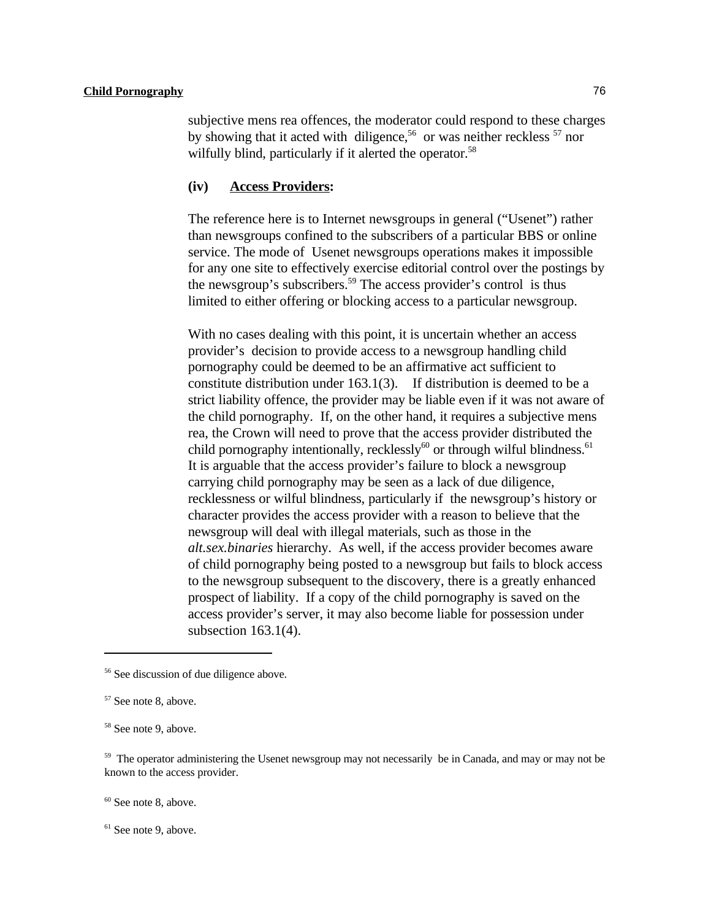subjective mens rea offences, the moderator could respond to these charges by showing that it acted with diligence,<sup>56</sup> or was neither reckless  $57$  nor wilfully blind, particularly if it alerted the operator.<sup>58</sup>

#### **(iv) Access Providers:**

The reference here is to Internet newsgroups in general ("Usenet") rather than newsgroups confined to the subscribers of a particular BBS or online service. The mode of Usenet newsgroups operations makes it impossible for any one site to effectively exercise editorial control over the postings by the newsgroup's subscribers.<sup>59</sup> The access provider's control is thus limited to either offering or blocking access to a particular newsgroup.

With no cases dealing with this point, it is uncertain whether an access provider's decision to provide access to a newsgroup handling child pornography could be deemed to be an affirmative act sufficient to constitute distribution under 163.1(3). If distribution is deemed to be a strict liability offence, the provider may be liable even if it was not aware of the child pornography. If, on the other hand, it requires a subjective mens rea, the Crown will need to prove that the access provider distributed the child pornography intentionally, recklessly $^{60}$  or through wilful blindness.<sup>61</sup> It is arguable that the access provider's failure to block a newsgroup carrying child pornography may be seen as a lack of due diligence, recklessness or wilful blindness, particularly if the newsgroup's history or character provides the access provider with a reason to believe that the newsgroup will deal with illegal materials, such as those in the *alt.sex.binaries* hierarchy. As well, if the access provider becomes aware of child pornography being posted to a newsgroup but fails to block access to the newsgroup subsequent to the discovery, there is a greatly enhanced prospect of liability. If a copy of the child pornography is saved on the access provider's server, it may also become liable for possession under subsection 163.1(4).

 $60$  See note 8, above.

 $61$  See note 9, above.

 $56$  See discussion of due diligence above.

<sup>&</sup>lt;sup>57</sup> See note 8, above.

<sup>&</sup>lt;sup>58</sup> See note 9, above.

<sup>&</sup>lt;sup>59</sup> The operator administering the Usenet newsgroup may not necessarily be in Canada, and may or may not be known to the access provider.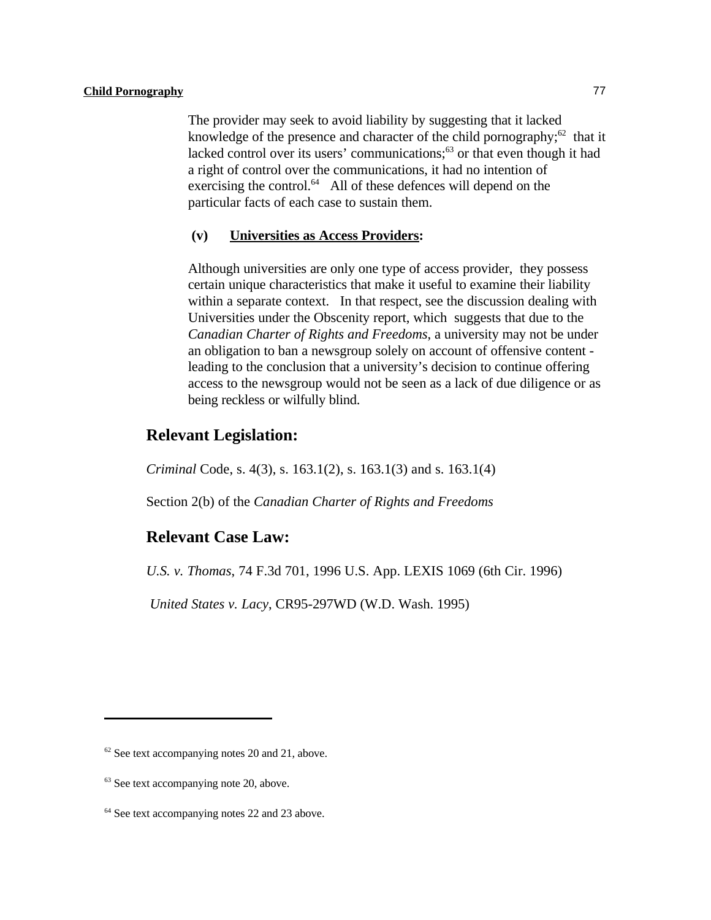The provider may seek to avoid liability by suggesting that it lacked knowledge of the presence and character of the child pornography;  $62$  that it lacked control over its users' communications; $^{63}$  or that even though it had a right of control over the communications, it had no intention of exercising the control. $^{64}$  All of these defences will depend on the particular facts of each case to sustain them.

#### **(v) Universities as Access Providers:**

Although universities are only one type of access provider, they possess certain unique characteristics that make it useful to examine their liability within a separate context. In that respect, see the discussion dealing with Universities under the Obscenity report, which suggests that due to the *Canadian Charter of Rights and Freedoms*, a university may not be under an obligation to ban a newsgroup solely on account of offensive content leading to the conclusion that a university's decision to continue offering access to the newsgroup would not be seen as a lack of due diligence or as being reckless or wilfully blind.

### **Relevant Legislation:**

*Criminal* Code, s. 4(3), s. 163.1(2), s. 163.1(3) and s. 163.1(4)

Section 2(b) of the *Canadian Charter of Rights and Freedoms*

### **Relevant Case Law:**

*U.S. v. Thomas*, 74 F.3d 701, 1996 U.S. App. LEXIS 1069 (6th Cir. 1996)

*United States v. Lacy*, CR95-297WD (W.D. Wash. 1995)

 $62$  See text accompanying notes 20 and 21, above.

 $63$  See text accompanying note 20, above.

 $64$  See text accompanying notes 22 and 23 above.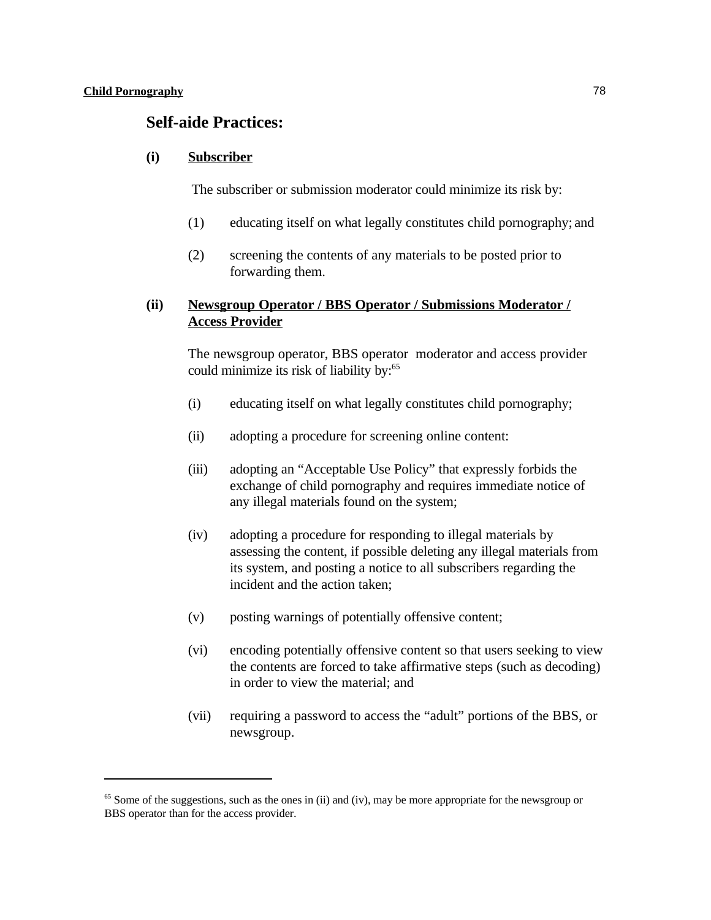### **Self-aide Practices:**

#### **(i) Subscriber**

The subscriber or submission moderator could minimize its risk by:

- (1) educating itself on what legally constitutes child pornography; and
- (2) screening the contents of any materials to be posted prior to forwarding them.

### **(ii) Newsgroup Operator / BBS Operator / Submissions Moderator / Access Provider**

The newsgroup operator, BBS operator moderator and access provider could minimize its risk of liability by:<sup>65</sup>

- (i) educating itself on what legally constitutes child pornography;
- (ii) adopting a procedure for screening online content:
- (iii) adopting an "Acceptable Use Policy" that expressly forbids the exchange of child pornography and requires immediate notice of any illegal materials found on the system;
- (iv) adopting a procedure for responding to illegal materials by assessing the content, if possible deleting any illegal materials from its system, and posting a notice to all subscribers regarding the incident and the action taken;
- (v) posting warnings of potentially offensive content;
- (vi) encoding potentially offensive content so that users seeking to view the contents are forced to take affirmative steps (such as decoding) in order to view the material; and
- (vii) requiring a password to access the "adult" portions of the BBS, or newsgroup.

 $<sup>65</sup>$  Some of the suggestions, such as the ones in (ii) and (iv), may be more appropriate for the newsgroup or</sup> BBS operator than for the access provider.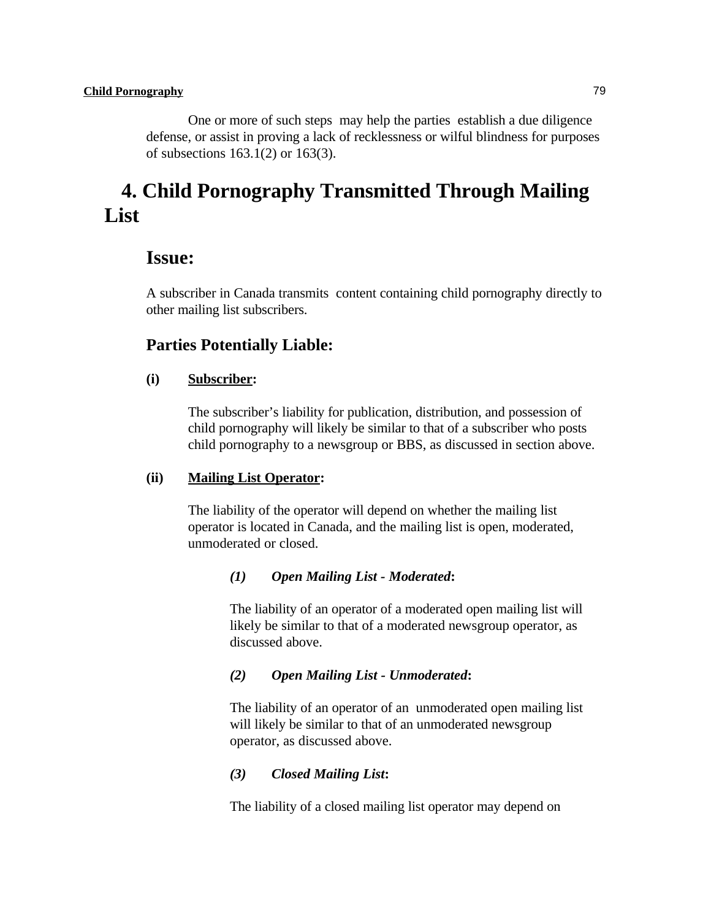One or more of such steps may help the parties establish a due diligence defense, or assist in proving a lack of recklessness or wilful blindness for purposes of subsections 163.1(2) or 163(3).

# **4. Child Pornography Transmitted Through Mailing List**

### **Issue:**

A subscriber in Canada transmits content containing child pornography directly to other mailing list subscribers.

### **Parties Potentially Liable:**

### **(i) Subscriber:**

The subscriber's liability for publication, distribution, and possession of child pornography will likely be similar to that of a subscriber who posts child pornography to a newsgroup or BBS, as discussed in section above.

### **(ii) Mailing List Operator:**

The liability of the operator will depend on whether the mailing list operator is located in Canada, and the mailing list is open, moderated, unmoderated or closed.

### *(1) Open Mailing List - Moderated***:**

The liability of an operator of a moderated open mailing list will likely be similar to that of a moderated newsgroup operator, as discussed above.

### *(2) Open Mailing List - Unmoderated***:**

The liability of an operator of an unmoderated open mailing list will likely be similar to that of an unmoderated newsgroup operator, as discussed above.

### *(3) Closed Mailing List***:**

The liability of a closed mailing list operator may depend on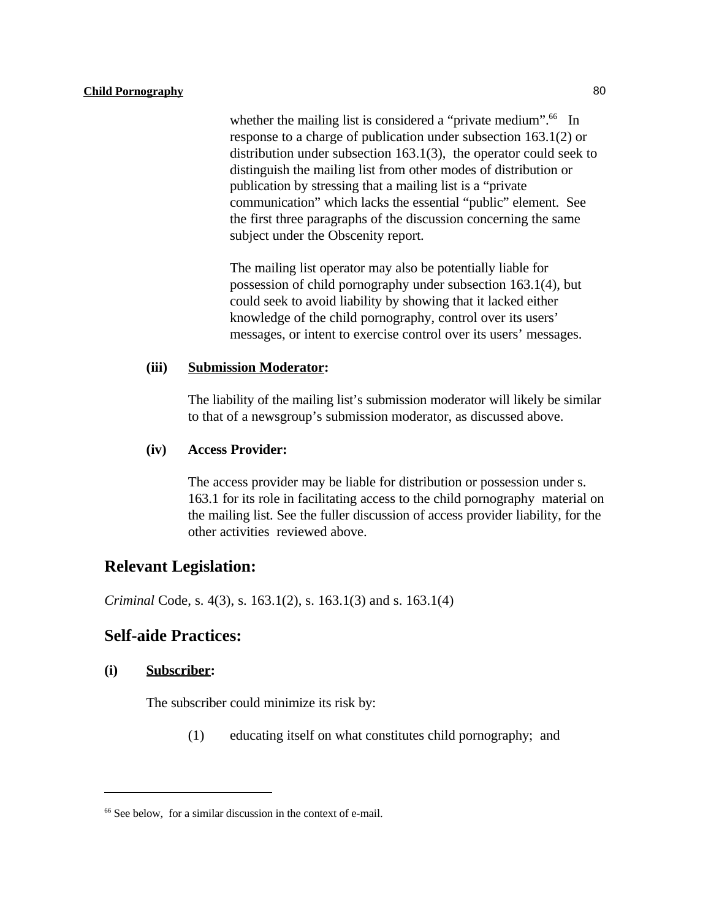whether the mailing list is considered a "private medium".<sup>66</sup> In response to a charge of publication under subsection 163.1(2) or distribution under subsection 163.1(3), the operator could seek to distinguish the mailing list from other modes of distribution or publication by stressing that a mailing list is a "private communication" which lacks the essential "public" element. See the first three paragraphs of the discussion concerning the same subject under the Obscenity report.

The mailing list operator may also be potentially liable for possession of child pornography under subsection 163.1(4), but could seek to avoid liability by showing that it lacked either knowledge of the child pornography, control over its users' messages, or intent to exercise control over its users' messages.

#### **(iii) Submission Moderator:**

The liability of the mailing list's submission moderator will likely be similar to that of a newsgroup's submission moderator, as discussed above.

### **(iv) Access Provider:**

The access provider may be liable for distribution or possession under s. 163.1 for its role in facilitating access to the child pornography material on the mailing list. See the fuller discussion of access provider liability, for the other activities reviewed above.

### **Relevant Legislation:**

*Criminal* Code, s. 4(3), s. 163.1(2), s. 163.1(3) and s. 163.1(4)

### **Self-aide Practices:**

#### **(i) Subscriber:**

The subscriber could minimize its risk by:

(1) educating itself on what constitutes child pornography; and

 $66$  See below, for a similar discussion in the context of e-mail.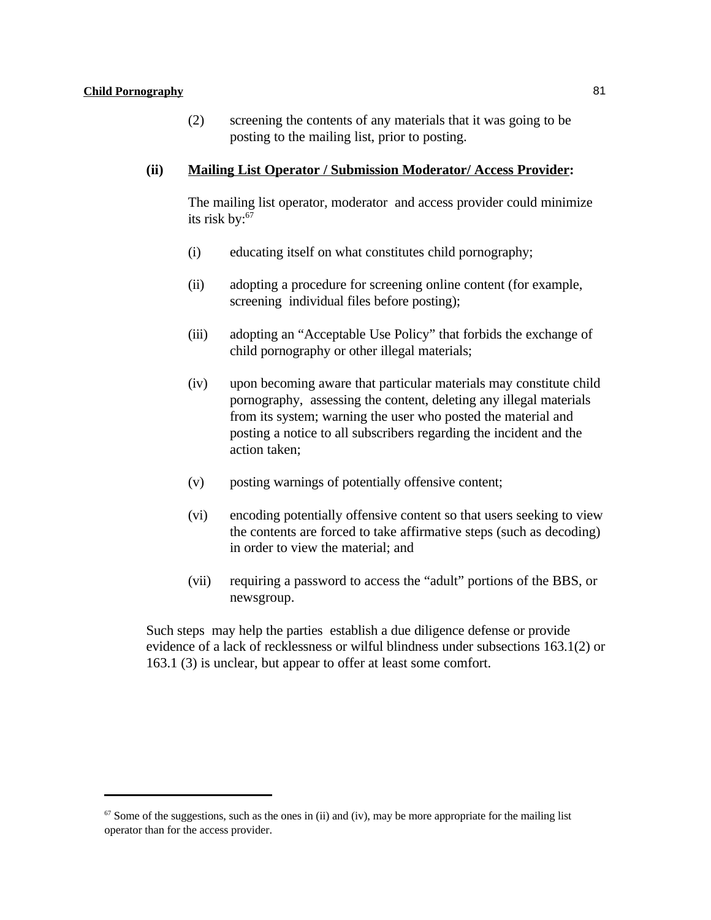(2) screening the contents of any materials that it was going to be posting to the mailing list, prior to posting.

### **(ii) Mailing List Operator / Submission Moderator/ Access Provider:**

The mailing list operator, moderator and access provider could minimize its risk by:<sup>67</sup>

- (i) educating itself on what constitutes child pornography;
- (ii) adopting a procedure for screening online content (for example, screening individual files before posting);
- (iii) adopting an "Acceptable Use Policy" that forbids the exchange of child pornography or other illegal materials;
- (iv) upon becoming aware that particular materials may constitute child pornography, assessing the content, deleting any illegal materials from its system; warning the user who posted the material and posting a notice to all subscribers regarding the incident and the action taken;
- (v) posting warnings of potentially offensive content;
- (vi) encoding potentially offensive content so that users seeking to view the contents are forced to take affirmative steps (such as decoding) in order to view the material; and
- (vii) requiring a password to access the "adult" portions of the BBS, or newsgroup.

Such steps may help the parties establish a due diligence defense or provide evidence of a lack of recklessness or wilful blindness under subsections 163.1(2) or 163.1 (3) is unclear, but appear to offer at least some comfort.

 $\frac{67}{2}$  Some of the suggestions, such as the ones in (ii) and (iv), may be more appropriate for the mailing list operator than for the access provider.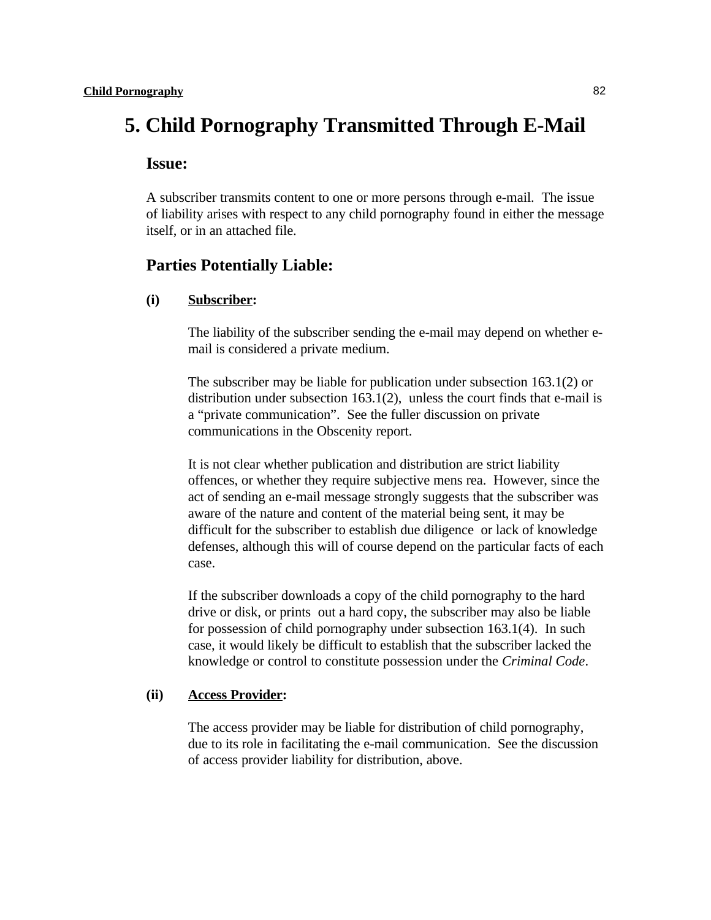# **5. Child Pornography Transmitted Through E-Mail**

### **Issue:**

A subscriber transmits content to one or more persons through e-mail. The issue of liability arises with respect to any child pornography found in either the message itself, or in an attached file.

### **Parties Potentially Liable:**

### **(i) Subscriber:**

The liability of the subscriber sending the e-mail may depend on whether email is considered a private medium.

The subscriber may be liable for publication under subsection 163.1(2) or distribution under subsection 163.1(2), unless the court finds that e-mail is a "private communication". See the fuller discussion on private communications in the Obscenity report.

It is not clear whether publication and distribution are strict liability offences, or whether they require subjective mens rea. However, since the act of sending an e-mail message strongly suggests that the subscriber was aware of the nature and content of the material being sent, it may be difficult for the subscriber to establish due diligence or lack of knowledge defenses, although this will of course depend on the particular facts of each case.

If the subscriber downloads a copy of the child pornography to the hard drive or disk, or prints out a hard copy, the subscriber may also be liable for possession of child pornography under subsection 163.1(4). In such case, it would likely be difficult to establish that the subscriber lacked the knowledge or control to constitute possession under the *Criminal Code*.

### **(ii) Access Provider:**

The access provider may be liable for distribution of child pornography, due to its role in facilitating the e-mail communication. See the discussion of access provider liability for distribution, above.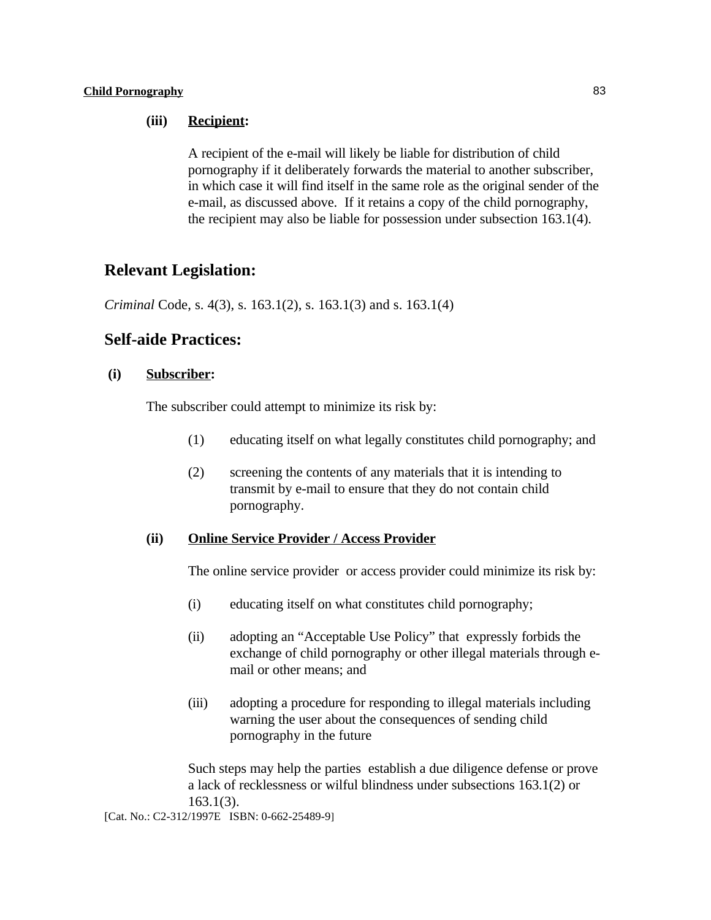### **(iii) Recipient:**

A recipient of the e-mail will likely be liable for distribution of child pornography if it deliberately forwards the material to another subscriber, in which case it will find itself in the same role as the original sender of the e-mail, as discussed above. If it retains a copy of the child pornography, the recipient may also be liable for possession under subsection 163.1(4).

### **Relevant Legislation:**

*Criminal* Code, s. 4(3), s. 163.1(2), s. 163.1(3) and s. 163.1(4)

### **Self-aide Practices:**

### **(i) Subscriber:**

The subscriber could attempt to minimize its risk by:

- (1) educating itself on what legally constitutes child pornography; and
- (2) screening the contents of any materials that it is intending to transmit by e-mail to ensure that they do not contain child pornography.

### **(ii) Online Service Provider / Access Provider**

The online service provider or access provider could minimize its risk by:

- (i) educating itself on what constitutes child pornography;
- (ii) adopting an "Acceptable Use Policy" that expressly forbids the exchange of child pornography or other illegal materials through email or other means; and
- (iii) adopting a procedure for responding to illegal materials including warning the user about the consequences of sending child pornography in the future

Such steps may help the parties establish a due diligence defense or prove a lack of recklessness or wilful blindness under subsections 163.1(2) or 163.1(3).

[Cat. No.: C2-312/1997E ISBN: 0-662-25489-9]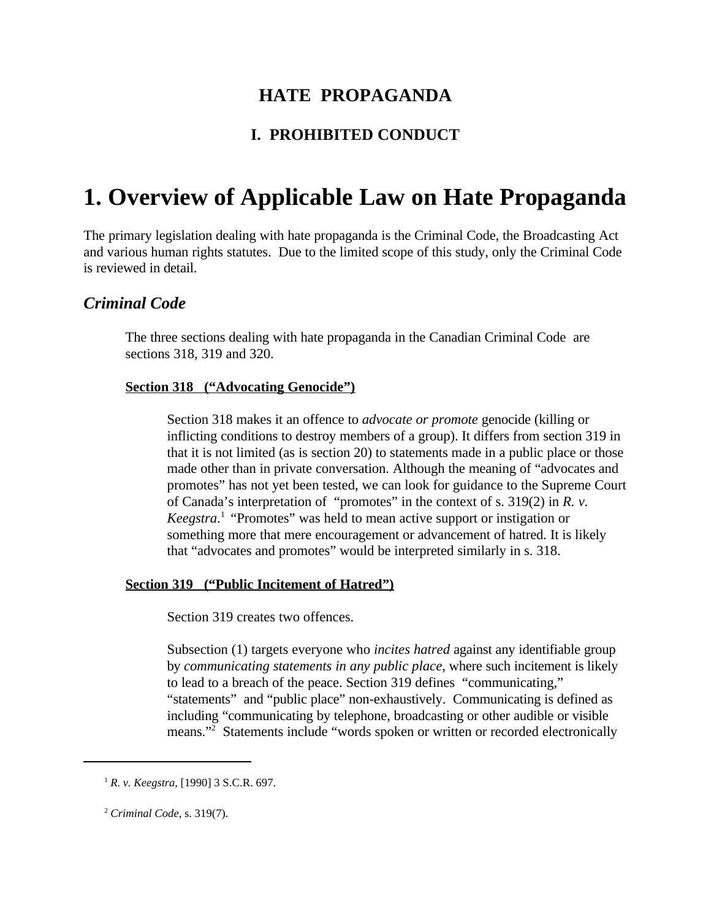## **HATE PROPAGANDA**

### **I. PROHIBITED CONDUCT**

# **1. Overview of Applicable Law on Hate Propaganda**

The primary legislation dealing with hate propaganda is the Criminal Code, the Broadcasting Act and various human rights statutes. Due to the limited scope of this study, only the Criminal Code is reviewed in detail.

### *Criminal Code*

The three sections dealing with hate propaganda in the Canadian Criminal Code are sections 318, 319 and 320.

### **Section 318 ("Advocating Genocide")**

Section 318 makes it an offence to *advocate or promote* genocide (killing or inflicting conditions to destroy members of a group). It differs from section 319 in that it is not limited (as is section 20) to statements made in a public place or those made other than in private conversation. Although the meaning of "advocates and promotes" has not yet been tested, we can look for guidance to the Supreme Court of Canada's interpretation of "promotes" in the context of s. 319(2) in *R. v. Keegstra*<sup>1</sup> "Promotes" was held to mean active support or instigation or something more that mere encouragement or advancement of hatred. It is likely that "advocates and promotes" would be interpreted similarly in s. 318.

### **Section 319 ("Public Incitement of Hatred")**

Section 319 creates two offences.

Subsection (1) targets everyone who *incites hatred* against any identifiable group by *communicating statements in any public place*, where such incitement is likely to lead to a breach of the peace. Section 319 defines "communicating," "statements" and "public place" non-exhaustively. Communicating is defined as including "communicating by telephone, broadcasting or other audible or visible means."<sup>2</sup> Statements include "words spoken or written or recorded electronically

 $R$ . *v. Keegstra*, [1990] 3 S.C.R. 697.

*Criminal Code*, s. 319(7). <sup>2</sup>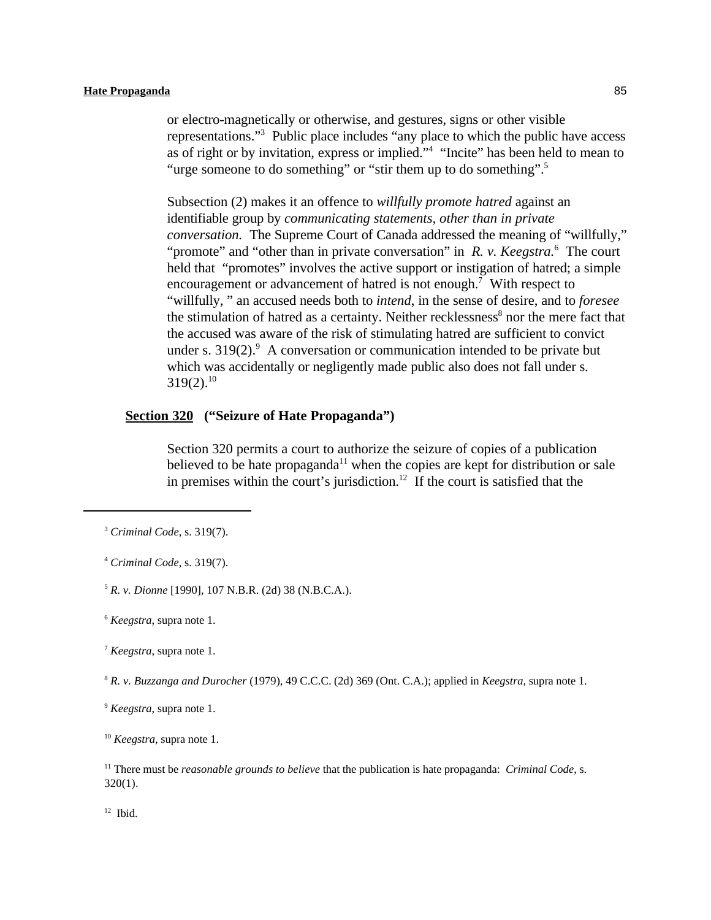or electro-magnetically or otherwise, and gestures, signs or other visible representations."<sup>3</sup> Public place includes "any place to which the public have access as of right or by invitation, express or implied." "Incite" has been held to mean to "urge someone to do something" or "stir them up to do something".<sup>5</sup>

Subsection (2) makes it an offence to *willfully promote hatred* against an identifiable group by *communicating statements, other than in private conversation.* The Supreme Court of Canada addressed the meaning of "willfully," "promote" and "other than in private conversation" in *R. v. Keegstra*.<sup>6</sup> The court held that "promotes" involves the active support or instigation of hatred; a simple encouragement or advancement of hatred is not enough.<sup>7</sup> With respect to "willfully, " an accused needs both to *intend*, in the sense of desire, and to *foresee* the stimulation of hatred as a certainty. Neither recklessness<sup>8</sup> nor the mere fact that the accused was aware of the risk of stimulating hatred are sufficient to convict under s.  $319(2)$ . A conversation or communication intended to be private but which was accidentally or negligently made public also does not fall under s.  $319(2).^{10}$ 

### **Section 320 ("Seizure of Hate Propaganda")**

Section 320 permits a court to authorize the seizure of copies of a publication believed to be hate propaganda<sup> $11$ </sup> when the copies are kept for distribution or sale in premises within the court's jurisdiction.<sup>12</sup> If the court is satisfied that the

<sup>5</sup> R. v. Dionne<sup>[1990]</sup>, 107 N.B.R. (2d) 38 (N.B.C.A.).

*R. v. Buzzanga and Durocher* (1979), 49 C.C.C. (2d) 369 (Ont. C.A.); applied in *Keegstra*, supra note 1. <sup>8</sup>

<sup>9</sup> *Keegstra*, supra note 1.

 $12$  Ibid.

<sup>&</sup>lt;sup>3</sup> Criminal Code, s. 319(7).

*Criminal Code*, s. 319(7). <sup>4</sup>

*Keegstra*, supra note 1. <sup>6</sup>

 $\frac{7}{7}$  *Keegstra*, supra note 1.

 $^{10}$  *Keegstra*, supra note 1.

<sup>&</sup>lt;sup>11</sup> There must be *reasonable grounds to believe* that the publication is hate propaganda: *Criminal Code*, s.  $320(1)$ .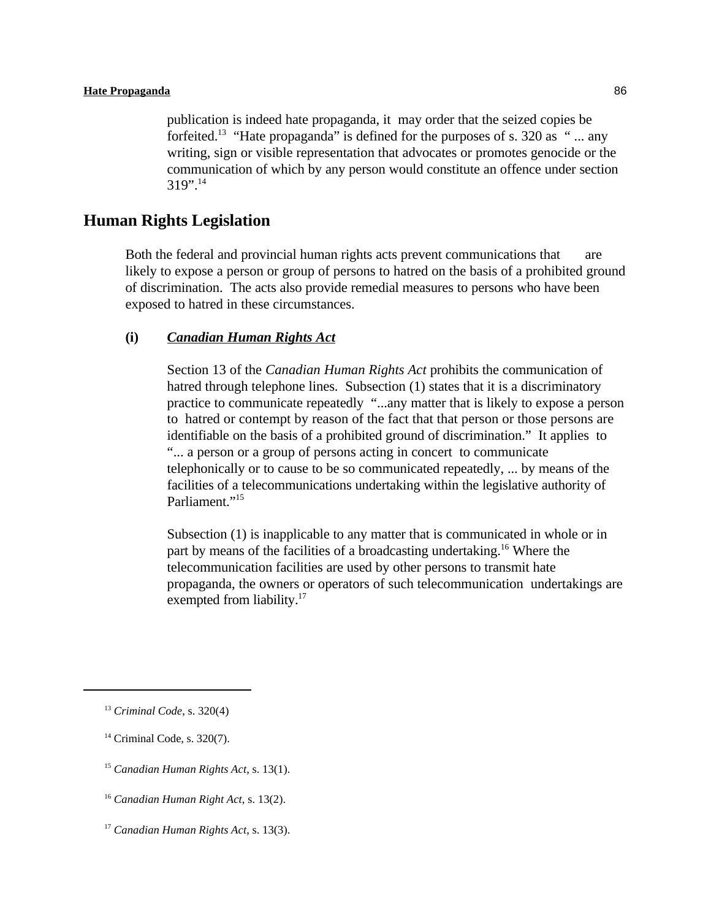publication is indeed hate propaganda, it may order that the seized copies be forfeited.<sup>13</sup> "Hate propaganda" is defined for the purposes of s. 320 as " $\ldots$  any writing, sign or visible representation that advocates or promotes genocide or the communication of which by any person would constitute an offence under section 319".<sup>14</sup>

### **Human Rights Legislation**

Both the federal and provincial human rights acts prevent communications that are likely to expose a person or group of persons to hatred on the basis of a prohibited ground of discrimination. The acts also provide remedial measures to persons who have been exposed to hatred in these circumstances.

#### **(i)** *Canadian Human Rights Act*

Section 13 of the *Canadian Human Rights Act* prohibits the communication of hatred through telephone lines. Subsection (1) states that it is a discriminatory practice to communicate repeatedly "...any matter that is likely to expose a person to hatred or contempt by reason of the fact that that person or those persons are identifiable on the basis of a prohibited ground of discrimination." It applies to "... a person or a group of persons acting in concert to communicate telephonically or to cause to be so communicated repeatedly, ... by means of the facilities of a telecommunications undertaking within the legislative authority of Parliament."<sup>15</sup>

Subsection (1) is inapplicable to any matter that is communicated in whole or in part by means of the facilities of a broadcasting undertaking.<sup>16</sup> Where the telecommunication facilities are used by other persons to transmit hate propaganda, the owners or operators of such telecommunication undertakings are exempted from liability.<sup>17</sup>

- $14$  Criminal Code, s. 320(7).
- <sup>15</sup> Canadian Human Rights Act, s. 13(1).
- <sup>16</sup> Canadian Human Right Act, s. 13(2).
- <sup>17</sup> Canadian Human Rights Act, s. 13(3).

<sup>&</sup>lt;sup>13</sup> Criminal Code, s. 320(4)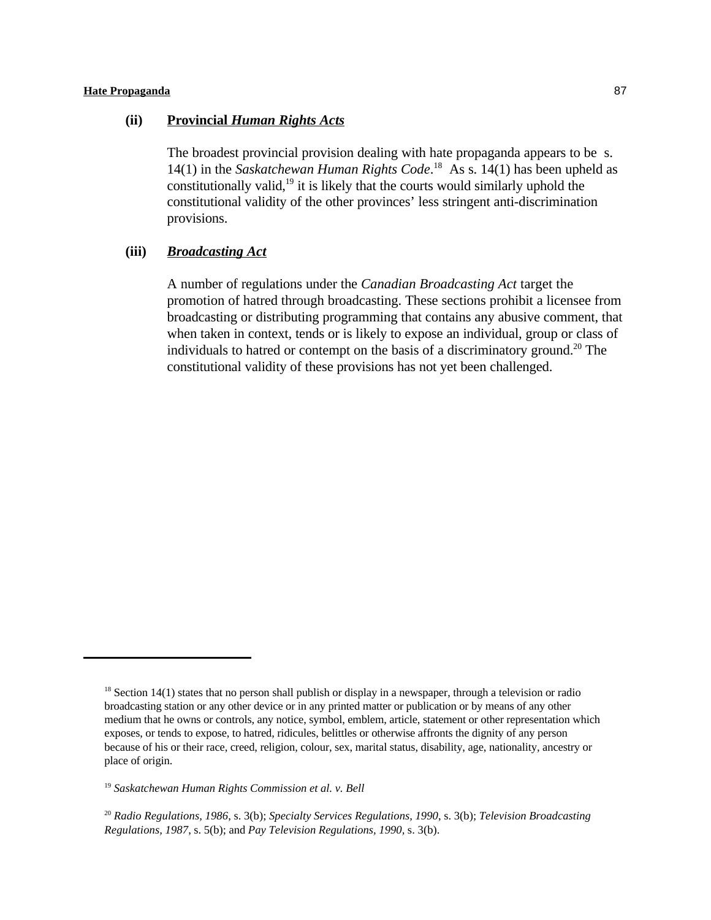### **(ii) Provincial** *Human Rights Acts*

The broadest provincial provision dealing with hate propaganda appears to be s. 14(1) in the *Saskatchewan Human Rights Code*.<sup>18</sup> As s. 14(1) has been upheld as constitutionally valid, $19$  it is likely that the courts would similarly uphold the constitutional validity of the other provinces' less stringent anti-discrimination provisions.

### **(iii)** *Broadcasting Act*

A number of regulations under the *Canadian Broadcasting Act* target the promotion of hatred through broadcasting. These sections prohibit a licensee from broadcasting or distributing programming that contains any abusive comment, that when taken in context, tends or is likely to expose an individual, group or class of individuals to hatred or contempt on the basis of a discriminatory ground.<sup>20</sup> The constitutional validity of these provisions has not yet been challenged.

 $18$  Section 14(1) states that no person shall publish or display in a newspaper, through a television or radio broadcasting station or any other device or in any printed matter or publication or by means of any other medium that he owns or controls, any notice, symbol, emblem, article, statement or other representation which exposes, or tends to expose, to hatred, ridicules, belittles or otherwise affronts the dignity of any person because of his or their race, creed, religion, colour, sex, marital status, disability, age, nationality, ancestry or place of origin.

<sup>&</sup>lt;sup>19</sup> Saskatchewan Human Rights Commission et al. v. Bell

*Radio Regulations, 1986*, s. 3(b); *Specialty Services Regulations, 1990*, s. 3(b); *Television Broadcasting* <sup>20</sup> *Regulations, 1987*, s. 5(b); and *Pay Television Regulations, 1990,* s. 3(b).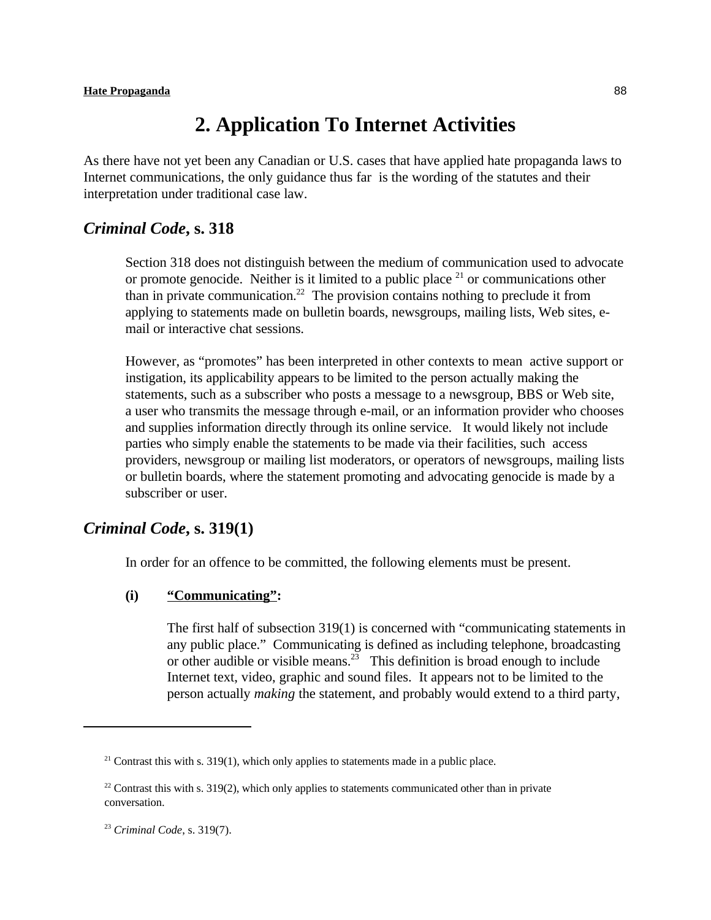# **2. Application To Internet Activities**

As there have not yet been any Canadian or U.S. cases that have applied hate propaganda laws to Internet communications, the only guidance thus far is the wording of the statutes and their interpretation under traditional case law.

### *Criminal Code***, s. 318**

Section 318 does not distinguish between the medium of communication used to advocate or promote genocide. Neither is it limited to a public place  $21$  or communications other than in private communication.<sup>22</sup> The provision contains nothing to preclude it from applying to statements made on bulletin boards, newsgroups, mailing lists, Web sites, email or interactive chat sessions.

However, as "promotes" has been interpreted in other contexts to mean active support or instigation, its applicability appears to be limited to the person actually making the statements, such as a subscriber who posts a message to a newsgroup, BBS or Web site, a user who transmits the message through e-mail, or an information provider who chooses and supplies information directly through its online service. It would likely not include parties who simply enable the statements to be made via their facilities, such access providers, newsgroup or mailing list moderators, or operators of newsgroups, mailing lists or bulletin boards, where the statement promoting and advocating genocide is made by a subscriber or user.

### *Criminal Code***, s. 319(1)**

In order for an offence to be committed, the following elements must be present.

### **(i) "Communicating":**

The first half of subsection 319(1) is concerned with "communicating statements in any public place." Communicating is defined as including telephone, broadcasting or other audible or visible means.<sup>23</sup> This definition is broad enough to include Internet text, video, graphic and sound files. It appears not to be limited to the person actually *making* the statement, and probably would extend to a third party,

 $21$  Contrast this with s. 319(1), which only applies to statements made in a public place.

<sup>&</sup>lt;sup>22</sup> Contrast this with s. 319(2), which only applies to statements communicated other than in private conversation.

<sup>&</sup>lt;sup>23</sup> Criminal Code, s. 319(7).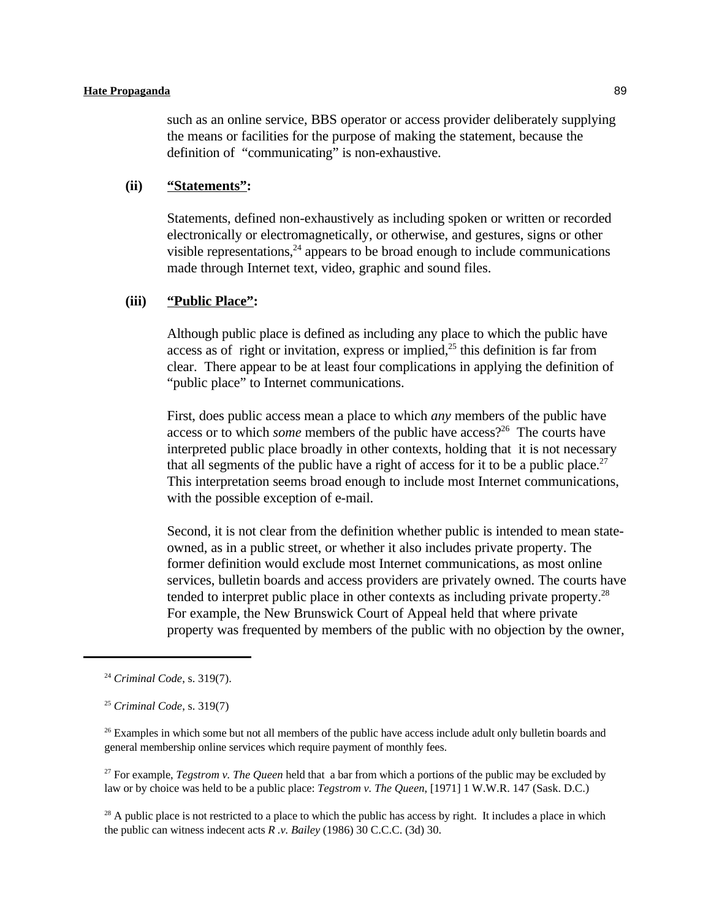such as an online service, BBS operator or access provider deliberately supplying the means or facilities for the purpose of making the statement, because the definition of "communicating" is non-exhaustive.

#### **(ii) "Statements":**

Statements, defined non-exhaustively as including spoken or written or recorded electronically or electromagnetically, or otherwise, and gestures, signs or other visible representations,  $24$  appears to be broad enough to include communications made through Internet text, video, graphic and sound files.

### **(iii) "Public Place":**

Although public place is defined as including any place to which the public have access as of right or invitation, express or implied, $2<sup>5</sup>$  this definition is far from clear. There appear to be at least four complications in applying the definition of "public place" to Internet communications.

First, does public access mean a place to which *any* members of the public have access or to which *some* members of the public have access?<sup>26</sup> The courts have interpreted public place broadly in other contexts, holding that it is not necessary that all segments of the public have a right of access for it to be a public place.<sup>27</sup> This interpretation seems broad enough to include most Internet communications, with the possible exception of e-mail.

Second, it is not clear from the definition whether public is intended to mean stateowned, as in a public street, or whether it also includes private property. The former definition would exclude most Internet communications, as most online services, bulletin boards and access providers are privately owned. The courts have tended to interpret public place in other contexts as including private property.<sup>28</sup> For example, the New Brunswick Court of Appeal held that where private property was frequented by members of the public with no objection by the owner,

<sup>27</sup> For example, *Tegstrom v. The Queen* held that a bar from which a portions of the public may be excluded by law or by choice was held to be a public place: *Tegstrom v. The Queen*, [1971] 1 W.W.R. 147 (Sask. D.C.)

<sup>28</sup> A public place is not restricted to a place to which the public has access by right. It includes a place in which the public can witness indecent acts *R .v. Bailey* (1986) 30 C.C.C. (3d) 30.

<sup>&</sup>lt;sup>24</sup> Criminal Code, s. 319(7).

<sup>&</sup>lt;sup>25</sup> Criminal Code, s. 319(7)

 $26$  Examples in which some but not all members of the public have access include adult only bulletin boards and general membership online services which require payment of monthly fees.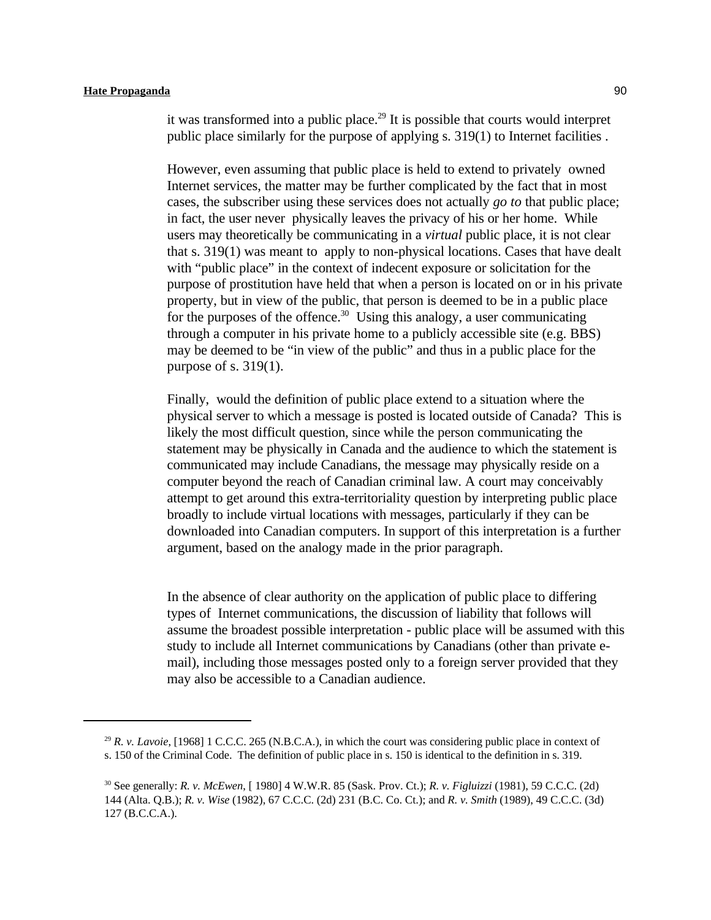it was transformed into a public place.<sup>29</sup> It is possible that courts would interpret public place similarly for the purpose of applying s. 319(1) to Internet facilities .

However, even assuming that public place is held to extend to privately owned Internet services, the matter may be further complicated by the fact that in most cases, the subscriber using these services does not actually *go to* that public place; in fact, the user never physically leaves the privacy of his or her home. While users may theoretically be communicating in a *virtual* public place, it is not clear that s. 319(1) was meant to apply to non-physical locations. Cases that have dealt with "public place" in the context of indecent exposure or solicitation for the purpose of prostitution have held that when a person is located on or in his private property, but in view of the public, that person is deemed to be in a public place for the purposes of the offence.<sup>30</sup> Using this analogy, a user communicating through a computer in his private home to a publicly accessible site (e.g. BBS) may be deemed to be "in view of the public" and thus in a public place for the purpose of s. 319(1).

Finally, would the definition of public place extend to a situation where the physical server to which a message is posted is located outside of Canada? This is likely the most difficult question, since while the person communicating the statement may be physically in Canada and the audience to which the statement is communicated may include Canadians, the message may physically reside on a computer beyond the reach of Canadian criminal law. A court may conceivably attempt to get around this extra-territoriality question by interpreting public place broadly to include virtual locations with messages, particularly if they can be downloaded into Canadian computers. In support of this interpretation is a further argument, based on the analogy made in the prior paragraph.

In the absence of clear authority on the application of public place to differing types of Internet communications, the discussion of liability that follows will assume the broadest possible interpretation - public place will be assumed with this study to include all Internet communications by Canadians (other than private email), including those messages posted only to a foreign server provided that they may also be accessible to a Canadian audience.

<sup>&</sup>lt;sup>29</sup> R. v. Lavoie, [1968] 1 C.C.C. 265 (N.B.C.A.), in which the court was considering public place in context of s. 150 of the Criminal Code. The definition of public place in s. 150 is identical to the definition in s. 319.

See generally: *R. v. McEwen*, [ 1980] 4 W.W.R. 85 (Sask. Prov. Ct.); *R. v. Figluizzi* (1981), 59 C.C.C. (2d) <sup>30</sup> 144 (Alta. Q.B.); *R. v. Wise* (1982), 67 C.C.C. (2d) 231 (B.C. Co. Ct.); and *R. v. Smith* (1989), 49 C.C.C. (3d) 127 (B.C.C.A.).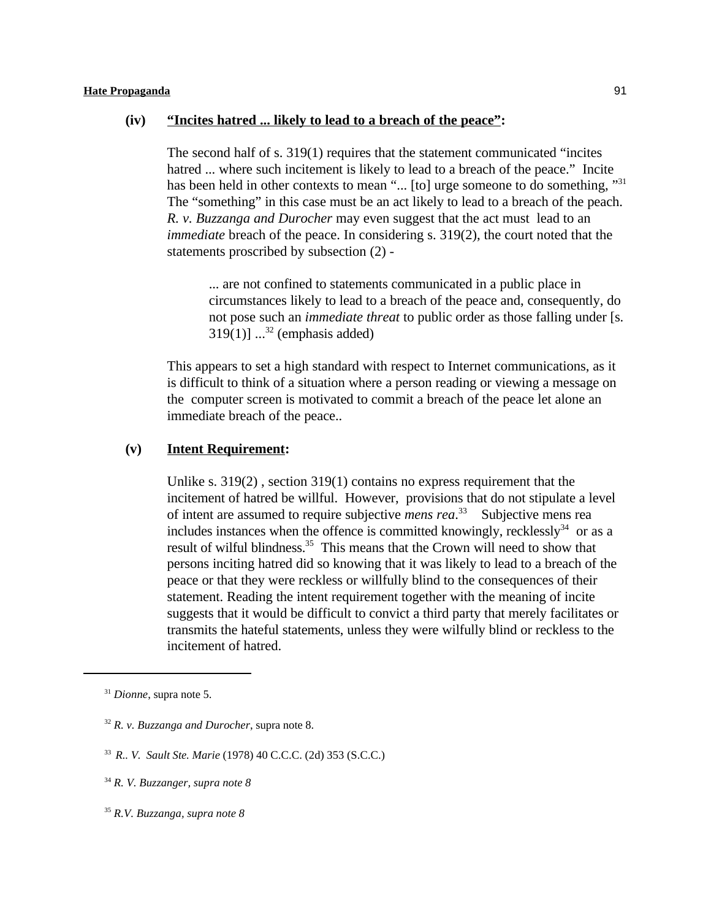#### **(iv) "Incites hatred ... likely to lead to a breach of the peace":**

The second half of s. 319(1) requires that the statement communicated "incites hatred ... where such incitement is likely to lead to a breach of the peace." Incite has been held in other contexts to mean "... [to] urge someone to do something, "31" The "something" in this case must be an act likely to lead to a breach of the peach. *R. v. Buzzanga and Durocher* may even suggest that the act must lead to an *immediate* breach of the peace. In considering s. 319(2), the court noted that the statements proscribed by subsection (2) -

... are not confined to statements communicated in a public place in circumstances likely to lead to a breach of the peace and, consequently, do not pose such an *immediate threat* to public order as those falling under [s. 319(1)]  $\ldots$ <sup>32</sup> (emphasis added)

This appears to set a high standard with respect to Internet communications, as it is difficult to think of a situation where a person reading or viewing a message on the computer screen is motivated to commit a breach of the peace let alone an immediate breach of the peace..

### **(v) Intent Requirement:**

Unlike s. 319(2) , section 319(1) contains no express requirement that the incitement of hatred be willful. However, provisions that do not stipulate a level of intent are assumed to require subjective *mens rea*<sup>33</sup> Subjective mens rea includes instances when the offence is committed knowingly, recklessly<sup>34</sup> or as a result of wilful blindness.<sup>35</sup> This means that the Crown will need to show that persons inciting hatred did so knowing that it was likely to lead to a breach of the peace or that they were reckless or willfully blind to the consequences of their statement. Reading the intent requirement together with the meaning of incite suggests that it would be difficult to convict a third party that merely facilitates or transmits the hateful statements, unless they were wilfully blind or reckless to the incitement of hatred.

<sup>&</sup>lt;sup>31</sup> Dionne, supra note 5.

 $32 R$ . *v. Buzzanga and Durocher*, supra note 8.

<sup>&</sup>lt;sup>33</sup> R., V. Sault Ste. Marie (1978) 40 C.C.C. (2d) 353 (S.C.C.)

 $34$  R. V. Buzzanger, supra note 8

*R.V. Buzzanga, supra note 8* <sup>35</sup>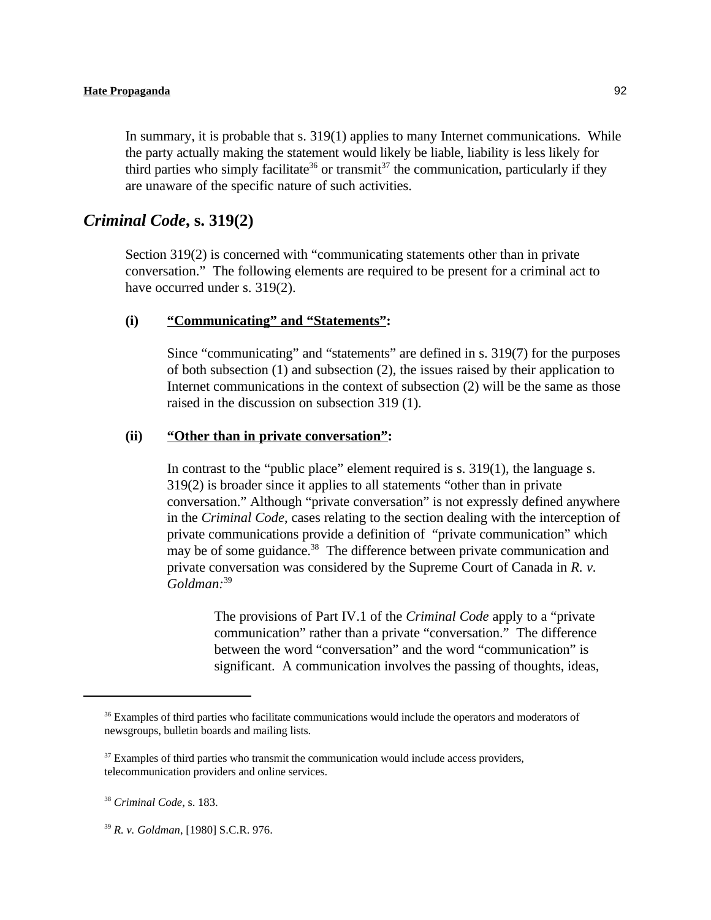In summary, it is probable that s. 319(1) applies to many Internet communications. While the party actually making the statement would likely be liable, liability is less likely for third parties who simply facilitate<sup>36</sup> or transmit<sup>37</sup> the communication, particularly if they are unaware of the specific nature of such activities.

### *Criminal Code***, s. 319(2)**

Section 319(2) is concerned with "communicating statements other than in private conversation." The following elements are required to be present for a criminal act to have occurred under s. 319(2).

### **(i) "Communicating" and "Statements":**

Since "communicating" and "statements" are defined in s. 319(7) for the purposes of both subsection (1) and subsection (2), the issues raised by their application to Internet communications in the context of subsection (2) will be the same as those raised in the discussion on subsection 319 (1).

#### **(ii) "Other than in private conversation":**

In contrast to the "public place" element required is s. 319(1), the language s. 319(2) is broader since it applies to all statements "other than in private conversation." Although "private conversation" is not expressly defined anywhere in the *Criminal Code*, cases relating to the section dealing with the interception of private communications provide a definition of "private communication" which may be of some guidance.<sup>38</sup> The difference between private communication and private conversation was considered by the Supreme Court of Canada in *R. v. Goldman:*<sup>39</sup>

> The provisions of Part IV.1 of the *Criminal Code* apply to a "private communication" rather than a private "conversation." The difference between the word "conversation" and the word "communication" is significant. A communication involves the passing of thoughts, ideas,

<sup>39</sup> R. v. Goldman, [1980] S.C.R. 976.

<sup>&</sup>lt;sup>36</sup> Examples of third parties who facilitate communications would include the operators and moderators of newsgroups, bulletin boards and mailing lists.

<sup>&</sup>lt;sup>37</sup> Examples of third parties who transmit the communication would include access providers, telecommunication providers and online services.

<sup>&</sup>lt;sup>38</sup> Criminal Code, s. 183.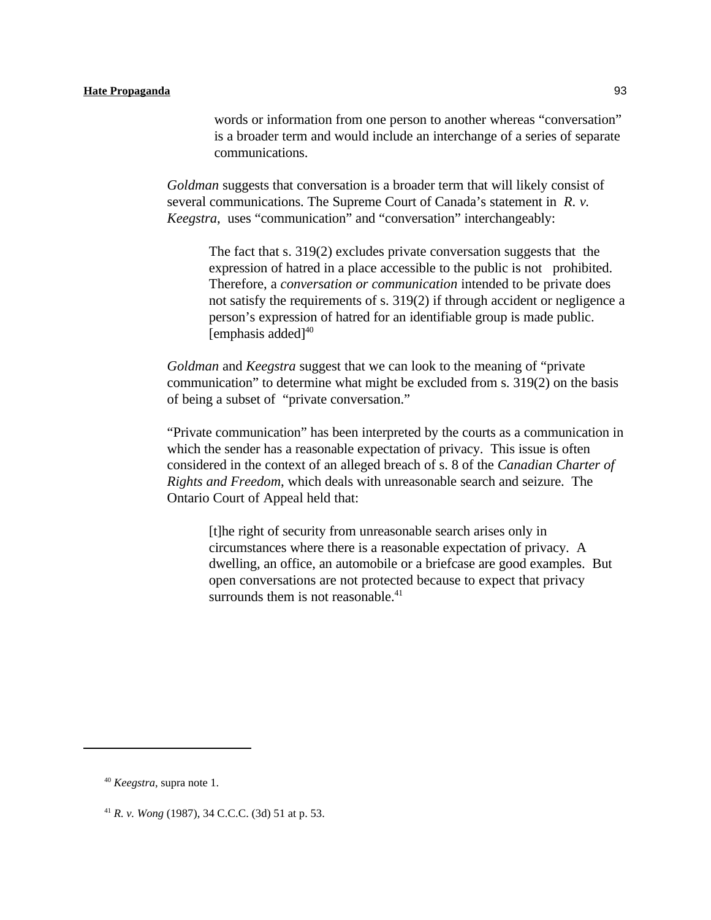words or information from one person to another whereas "conversation" is a broader term and would include an interchange of a series of separate communications.

*Goldman* suggests that conversation is a broader term that will likely consist of several communications. The Supreme Court of Canada's statement in *R. v. Keegstra*, uses "communication" and "conversation" interchangeably:

The fact that s. 319(2) excludes private conversation suggests that the expression of hatred in a place accessible to the public is not prohibited. Therefore, a *conversation or communication* intended to be private does not satisfy the requirements of s. 319(2) if through accident or negligence a person's expression of hatred for an identifiable group is made public. [emphasis added] $40$ 

*Goldman* and *Keegstra* suggest that we can look to the meaning of "private communication" to determine what might be excluded from s. 319(2) on the basis of being a subset of "private conversation."

"Private communication" has been interpreted by the courts as a communication in which the sender has a reasonable expectation of privacy. This issue is often considered in the context of an alleged breach of s. 8 of the *Canadian Charter of Rights and Freedom*, which deals with unreasonable search and seizure. The Ontario Court of Appeal held that:

[t]he right of security from unreasonable search arises only in circumstances where there is a reasonable expectation of privacy. A dwelling, an office, an automobile or a briefcase are good examples. But open conversations are not protected because to expect that privacy surrounds them is not reasonable. $41$ 

<sup>&</sup>lt;sup>40</sup> *Keegstra*, supra note 1.

<sup>&</sup>lt;sup>41</sup> *R. v. Wong* (1987), 34 C.C.C. (3d) 51 at p. 53.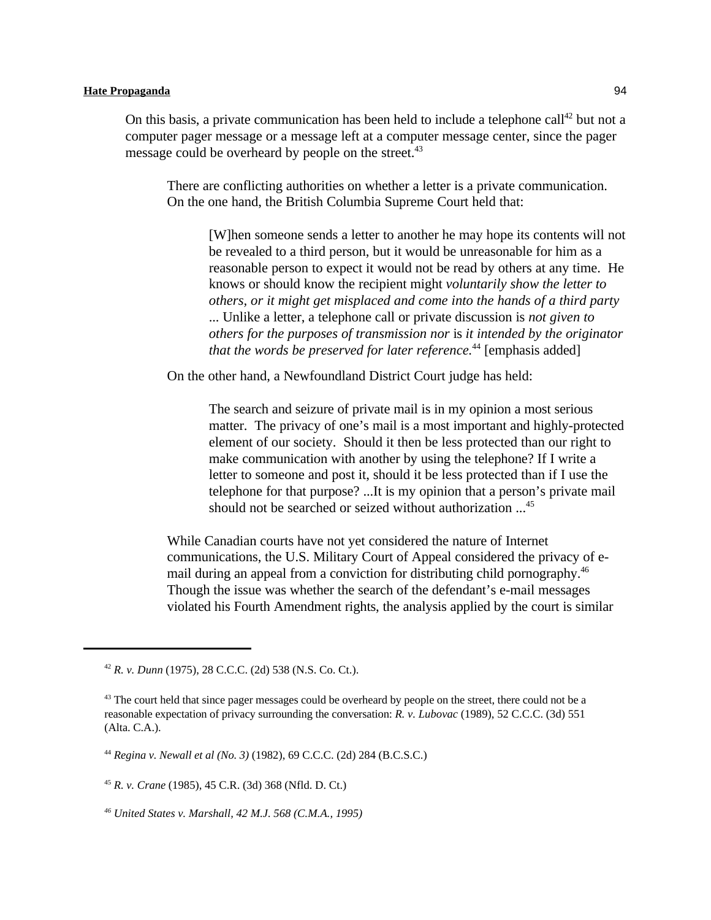On this basis, a private communication has been held to include a telephone call<sup>42</sup> but not a computer pager message or a message left at a computer message center, since the pager message could be overheard by people on the street.<sup>43</sup>

There are conflicting authorities on whether a letter is a private communication. On the one hand, the British Columbia Supreme Court held that:

[W]hen someone sends a letter to another he may hope its contents will not be revealed to a third person, but it would be unreasonable for him as a reasonable person to expect it would not be read by others at any time. He knows or should know the recipient might *voluntarily show the letter to others, or it might get misplaced and come into the hands of a third party* ... Unlike a letter, a telephone call or private discussion is *not given to others for the purposes of transmission nor* is *it intended by the originator that the words be preserved for later reference*.<sup>44</sup> [emphasis added]

On the other hand, a Newfoundland District Court judge has held:

The search and seizure of private mail is in my opinion a most serious matter. The privacy of one's mail is a most important and highly-protected element of our society. Should it then be less protected than our right to make communication with another by using the telephone? If I write a letter to someone and post it, should it be less protected than if I use the telephone for that purpose? ...It is my opinion that a person's private mail should not be searched or seized without authorization  $\ldots$ <sup>45</sup>

While Canadian courts have not yet considered the nature of Internet communications, the U.S. Military Court of Appeal considered the privacy of email during an appeal from a conviction for distributing child pornography.<sup>46</sup> Though the issue was whether the search of the defendant's e-mail messages violated his Fourth Amendment rights, the analysis applied by the court is similar

<sup>&</sup>lt;sup>42</sup> *R. v. Dunn* (1975), 28 C.C.C. (2d) 538 (N.S. Co. Ct.).

 $43$  The court held that since pager messages could be overheard by people on the street, there could not be a reasonable expectation of privacy surrounding the conversation: *R. v. Lubovac* (1989), 52 C.C.C. (3d) 551 (Alta. C.A.).

*Regina v. Newall et al (No. 3)* (1982), 69 C.C.C. (2d) 284 (B.C.S.C.) <sup>44</sup>

<sup>&</sup>lt;sup>45</sup> *R. v. Crane* (1985), 45 C.R. (3d) 368 (Nfld. D. Ct.)

*United States v. Marshall, 42 M.J. 568 (C.M.A., 1995) <sup>46</sup>*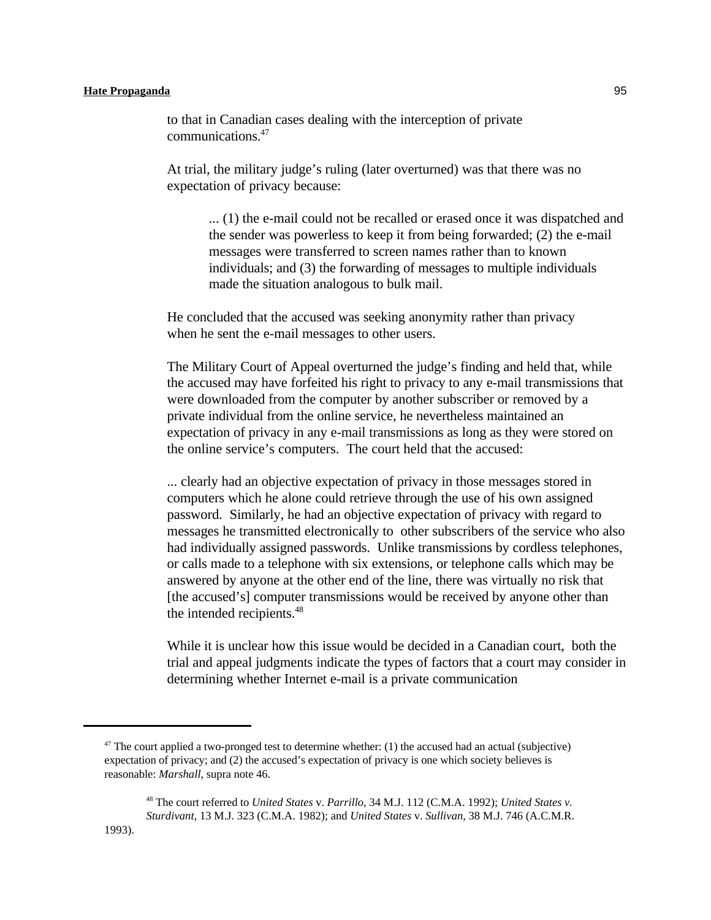to that in Canadian cases dealing with the interception of private communications.<sup>47</sup>

At trial, the military judge's ruling (later overturned) was that there was no expectation of privacy because:

... (1) the e-mail could not be recalled or erased once it was dispatched and the sender was powerless to keep it from being forwarded; (2) the e-mail messages were transferred to screen names rather than to known individuals; and (3) the forwarding of messages to multiple individuals made the situation analogous to bulk mail.

He concluded that the accused was seeking anonymity rather than privacy when he sent the e-mail messages to other users.

The Military Court of Appeal overturned the judge's finding and held that, while the accused may have forfeited his right to privacy to any e-mail transmissions that were downloaded from the computer by another subscriber or removed by a private individual from the online service, he nevertheless maintained an expectation of privacy in any e-mail transmissions as long as they were stored on the online service's computers. The court held that the accused:

... clearly had an objective expectation of privacy in those messages stored in computers which he alone could retrieve through the use of his own assigned password. Similarly, he had an objective expectation of privacy with regard to messages he transmitted electronically to other subscribers of the service who also had individually assigned passwords. Unlike transmissions by cordless telephones, or calls made to a telephone with six extensions, or telephone calls which may be answered by anyone at the other end of the line, there was virtually no risk that [the accused's] computer transmissions would be received by anyone other than the intended recipients.<sup>48</sup>

While it is unclear how this issue would be decided in a Canadian court, both the trial and appeal judgments indicate the types of factors that a court may consider in determining whether Internet e-mail is a private communication

<sup>&</sup>lt;sup>47</sup> The court applied a two-pronged test to determine whether: (1) the accused had an actual (subjective) expectation of privacy; and (2) the accused's expectation of privacy is one which society believes is reasonable: *Marshall*, supra note 46.

The court referred to *United States* v. *Parrillo*, 34 M.J. 112 (C.M.A. 1992); *United States v.* <sup>48</sup> *Sturdivant*, 13 M.J. 323 (C.M.A. 1982); and *United States* v. *Sullivan*, 38 M.J. 746 (A.C.M.R.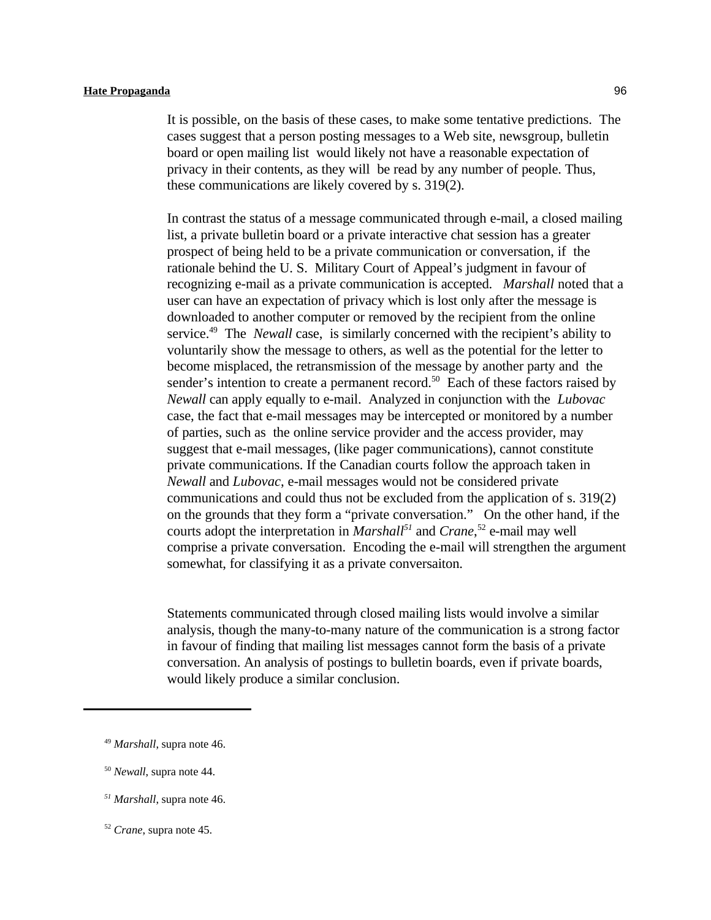It is possible, on the basis of these cases, to make some tentative predictions. The cases suggest that a person posting messages to a Web site, newsgroup, bulletin board or open mailing list would likely not have a reasonable expectation of privacy in their contents, as they will be read by any number of people. Thus, these communications are likely covered by s. 319(2).

In contrast the status of a message communicated through e-mail, a closed mailing list, a private bulletin board or a private interactive chat session has a greater prospect of being held to be a private communication or conversation, if the rationale behind the U. S. Military Court of Appeal's judgment in favour of recognizing e-mail as a private communication is accepted. *Marshall* noted that a user can have an expectation of privacy which is lost only after the message is downloaded to another computer or removed by the recipient from the online service.<sup>49</sup> The *Newall* case, is similarly concerned with the recipient's ability to voluntarily show the message to others, as well as the potential for the letter to become misplaced, the retransmission of the message by another party and the sender's intention to create a permanent record.<sup>50</sup> Each of these factors raised by *Newall* can apply equally to e-mail. Analyzed in conjunction with the *Lubovac* case, the fact that e-mail messages may be intercepted or monitored by a number of parties, such as the online service provider and the access provider, may suggest that e-mail messages, (like pager communications), cannot constitute private communications. If the Canadian courts follow the approach taken in *Newall* and *Lubovac*, e-mail messages would not be considered private communications and could thus not be excluded from the application of s. 319(2) on the grounds that they form a "private conversation." On the other hand, if the courts adopt the interpretation in *Marshall*<sup>51</sup> and *Crane*,<sup>52</sup> e-mail may well comprise a private conversation. Encoding the e-mail will strengthen the argument somewhat, for classifying it as a private conversaiton.

Statements communicated through closed mailing lists would involve a similar analysis, though the many-to-many nature of the communication is a strong factor in favour of finding that mailing list messages cannot form the basis of a private conversation. An analysis of postings to bulletin boards, even if private boards, would likely produce a similar conclusion.

<sup>&</sup>lt;sup>49</sup> Marshall, supra note 46.

<sup>&</sup>lt;sup>50</sup> Newall, supra note 44.

*Marshall*, supra note 46. *<sup>51</sup>*

<sup>&</sup>lt;sup>52</sup> *Crane*, supra note 45.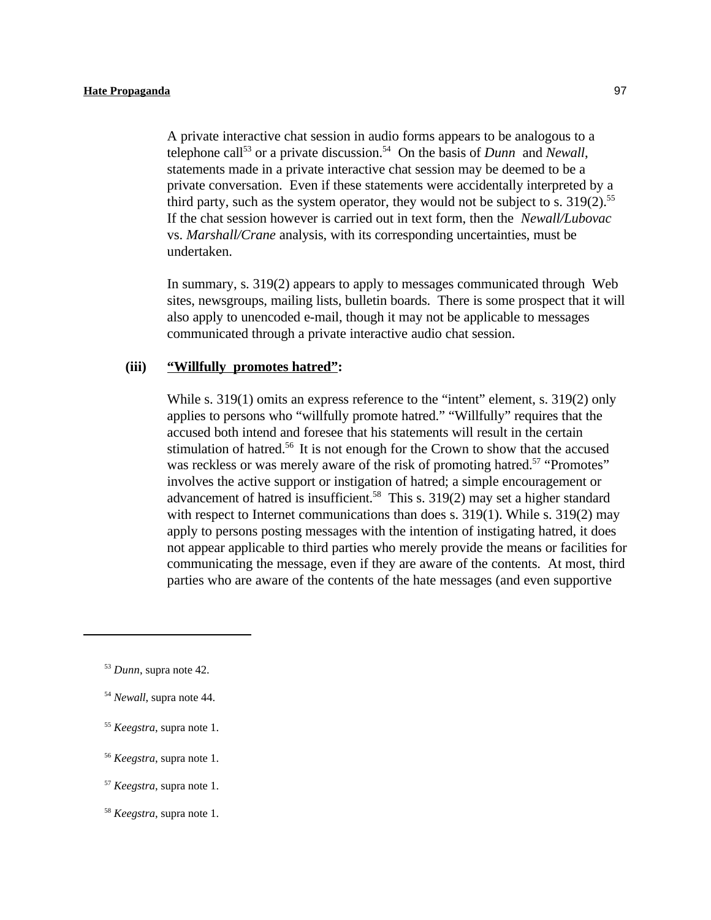A private interactive chat session in audio forms appears to be analogous to a telephone call<sup>53</sup> or a private discussion.<sup>54</sup> On the basis of *Dunn* and *Newall*, statements made in a private interactive chat session may be deemed to be a private conversation. Even if these statements were accidentally interpreted by a third party, such as the system operator, they would not be subject to s.  $319(2)$ .<sup>55</sup> If the chat session however is carried out in text form, then the *Newall/Lubovac* vs. *Marshall/Crane* analysis, with its corresponding uncertainties, must be undertaken.

In summary, s. 319(2) appears to apply to messages communicated through Web sites, newsgroups, mailing lists, bulletin boards. There is some prospect that it will also apply to unencoded e-mail, though it may not be applicable to messages communicated through a private interactive audio chat session.

#### **(iii) "Willfully promotes hatred":**

While s. 319(1) omits an express reference to the "intent" element, s. 319(2) only applies to persons who "willfully promote hatred." "Willfully" requires that the accused both intend and foresee that his statements will result in the certain stimulation of hatred.<sup>56</sup> It is not enough for the Crown to show that the accused was reckless or was merely aware of the risk of promoting hatred.<sup>57</sup> "Promotes" involves the active support or instigation of hatred; a simple encouragement or advancement of hatred is insufficient.<sup>58</sup> This s. 319(2) may set a higher standard with respect to Internet communications than does s. 319(1). While s. 319(2) may apply to persons posting messages with the intention of instigating hatred, it does not appear applicable to third parties who merely provide the means or facilities for communicating the message, even if they are aware of the contents. At most, third parties who are aware of the contents of the hate messages (and even supportive

- <sup>55</sup> *Keegstra*, supra note 1.
- <sup>56</sup> *Keegstra*, supra note 1.

<sup>58</sup> *Keegstra*, supra note 1.

 $^{53}$  *Dunn*, supra note 42.

<sup>&</sup>lt;sup>54</sup> Newall, supra note 44.

<sup>&</sup>lt;sup>57</sup> *Keegstra*, supra note 1.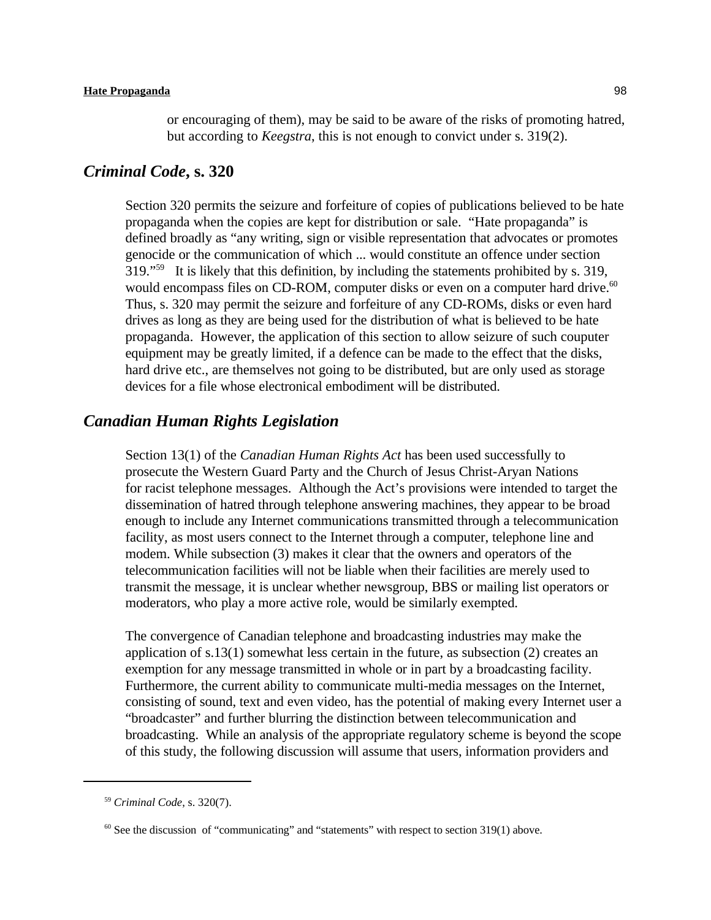### *Criminal Code***, s. 320**

Section 320 permits the seizure and forfeiture of copies of publications believed to be hate propaganda when the copies are kept for distribution or sale. "Hate propaganda" is defined broadly as "any writing, sign or visible representation that advocates or promotes genocide or the communication of which ... would constitute an offence under section  $319.^{559}$  It is likely that this definition, by including the statements prohibited by s. 319, would encompass files on CD-ROM, computer disks or even on a computer hard drive.<sup>60</sup> Thus, s. 320 may permit the seizure and forfeiture of any CD-ROMs, disks or even hard drives as long as they are being used for the distribution of what is believed to be hate propaganda. However, the application of this section to allow seizure of such couputer equipment may be greatly limited, if a defence can be made to the effect that the disks, hard drive etc., are themselves not going to be distributed, but are only used as storage devices for a file whose electronical embodiment will be distributed.

### *Canadian Human Rights Legislation*

Section 13(1) of the *Canadian Human Rights Act* has been used successfully to prosecute the Western Guard Party and the Church of Jesus Christ-Aryan Nations for racist telephone messages. Although the Act's provisions were intended to target the dissemination of hatred through telephone answering machines, they appear to be broad enough to include any Internet communications transmitted through a telecommunication facility, as most users connect to the Internet through a computer, telephone line and modem. While subsection (3) makes it clear that the owners and operators of the telecommunication facilities will not be liable when their facilities are merely used to transmit the message, it is unclear whether newsgroup, BBS or mailing list operators or moderators, who play a more active role, would be similarly exempted.

The convergence of Canadian telephone and broadcasting industries may make the application of s.13(1) somewhat less certain in the future, as subsection (2) creates an exemption for any message transmitted in whole or in part by a broadcasting facility. Furthermore, the current ability to communicate multi-media messages on the Internet, consisting of sound, text and even video, has the potential of making every Internet user a "broadcaster" and further blurring the distinction between telecommunication and broadcasting. While an analysis of the appropriate regulatory scheme is beyond the scope of this study, the following discussion will assume that users, information providers and

<sup>&</sup>lt;sup>59</sup> Criminal Code, s. 320(7).

 $<sup>60</sup>$  See the discussion of "communicating" and "statements" with respect to section 319(1) above.</sup>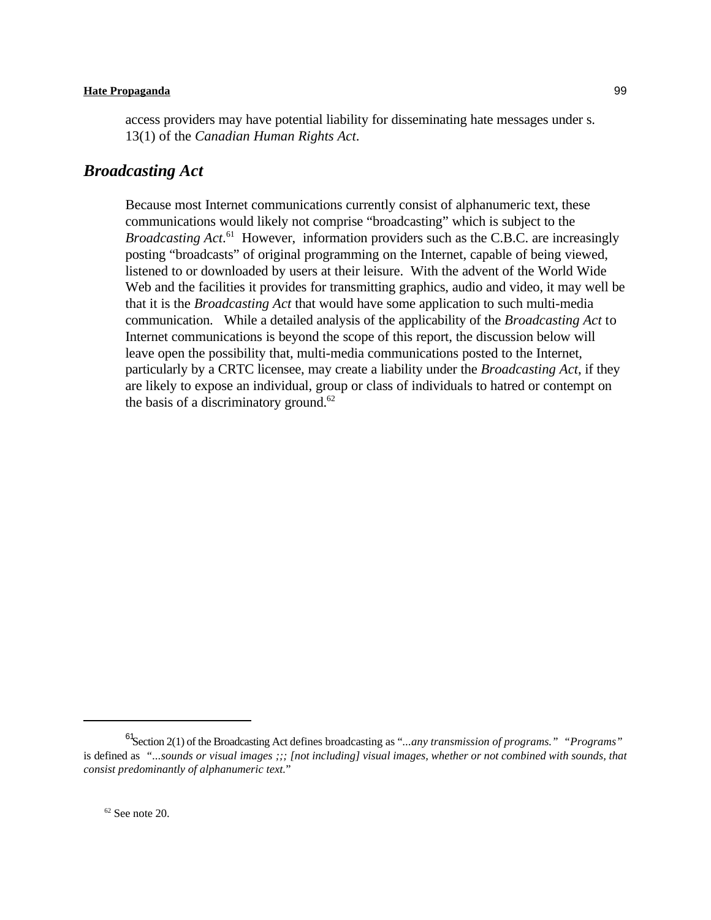access providers may have potential liability for disseminating hate messages under s. 13(1) of the *Canadian Human Rights Act*.

### *Broadcasting Act*

Because most Internet communications currently consist of alphanumeric text, these communications would likely not comprise "broadcasting" which is subject to the *Broadcasting Act.*<sup>61</sup> However, information providers such as the C.B.C. are increasingly posting "broadcasts" of original programming on the Internet, capable of being viewed, listened to or downloaded by users at their leisure. With the advent of the World Wide Web and the facilities it provides for transmitting graphics, audio and video, it may well be that it is the *Broadcasting Act* that would have some application to such multi-media communication. While a detailed analysis of the applicability of the *Broadcasting Act* to Internet communications is beyond the scope of this report, the discussion below will leave open the possibility that, multi-media communications posted to the Internet, particularly by a CRTC licensee, may create a liability under the *Broadcasting Act*, if they are likely to expose an individual, group or class of individuals to hatred or contempt on the basis of a discriminatory ground. $62$ 

<sup>&</sup>lt;sup>61</sup>Section 2(1) of the Broadcasting Act defines broadcasting as "*...any transmission of programs."* "*Programs*" is defined as *"...sounds or visual images ;;; [not including] visual images, whether or not combined with sounds, that consist predominantly of alphanumeric text.*"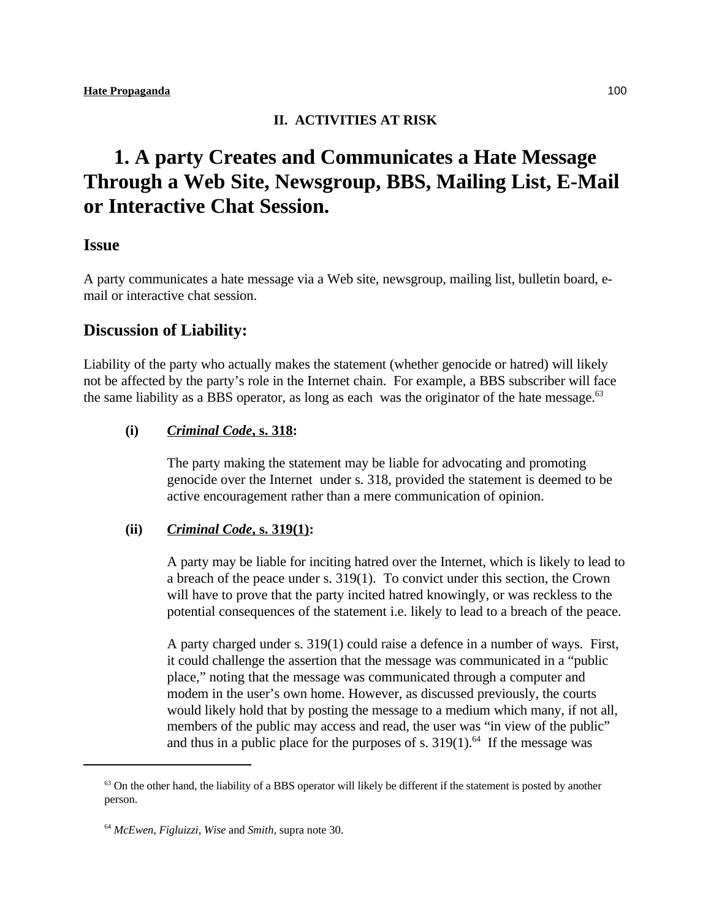### **II. ACTIVITIES AT RISK**

# **1. A party Creates and Communicates a Hate Message Through a Web Site, Newsgroup, BBS, Mailing List, E-Mail or Interactive Chat Session.**

### **Issue**

A party communicates a hate message via a Web site, newsgroup, mailing list, bulletin board, email or interactive chat session.

### **Discussion of Liability:**

Liability of the party who actually makes the statement (whether genocide or hatred) will likely not be affected by the party's role in the Internet chain. For example, a BBS subscriber will face the same liability as a BBS operator, as long as each was the originator of the hate message. $63$ 

### **(i)** *Criminal Code***, s. 318:**

The party making the statement may be liable for advocating and promoting genocide over the Internet under s. 318, provided the statement is deemed to be active encouragement rather than a mere communication of opinion.

### **(ii)** *Criminal Code***, s. 319(1):**

A party may be liable for inciting hatred over the Internet, which is likely to lead to a breach of the peace under s. 319(1). To convict under this section, the Crown will have to prove that the party incited hatred knowingly, or was reckless to the potential consequences of the statement i.e. likely to lead to a breach of the peace.

A party charged under s. 319(1) could raise a defence in a number of ways. First, it could challenge the assertion that the message was communicated in a "public place," noting that the message was communicated through a computer and modem in the user's own home. However, as discussed previously, the courts would likely hold that by posting the message to a medium which many, if not all, members of the public may access and read, the user was "in view of the public" and thus in a public place for the purposes of s.  $319(1)$ .<sup>64</sup> If the message was

 $63$  On the other hand, the liability of a BBS operator will likely be different if the statement is posted by another person.

*McEwen, Figluizzi, Wise* and *Smith*, supra note 30. <sup>64</sup>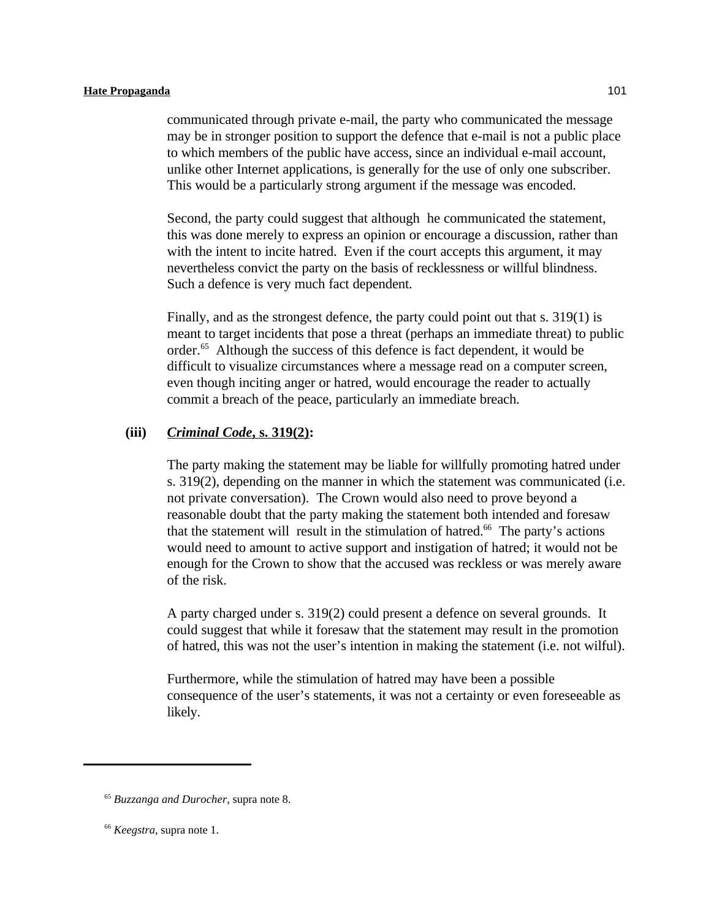communicated through private e-mail, the party who communicated the message may be in stronger position to support the defence that e-mail is not a public place to which members of the public have access, since an individual e-mail account, unlike other Internet applications, is generally for the use of only one subscriber. This would be a particularly strong argument if the message was encoded.

Second, the party could suggest that although he communicated the statement, this was done merely to express an opinion or encourage a discussion, rather than with the intent to incite hatred. Even if the court accepts this argument, it may nevertheless convict the party on the basis of recklessness or willful blindness. Such a defence is very much fact dependent.

Finally, and as the strongest defence, the party could point out that s. 319(1) is meant to target incidents that pose a threat (perhaps an immediate threat) to public order.<sup>65</sup> Although the success of this defence is fact dependent, it would be difficult to visualize circumstances where a message read on a computer screen, even though inciting anger or hatred, would encourage the reader to actually commit a breach of the peace, particularly an immediate breach.

#### **(iii)** *Criminal Code***, s. 319(2):**

The party making the statement may be liable for willfully promoting hatred under s. 319(2), depending on the manner in which the statement was communicated (i.e. not private conversation). The Crown would also need to prove beyond a reasonable doubt that the party making the statement both intended and foresaw that the statement will result in the stimulation of hatred.<sup> $66$ </sup> The party's actions would need to amount to active support and instigation of hatred; it would not be enough for the Crown to show that the accused was reckless or was merely aware of the risk.

A party charged under s. 319(2) could present a defence on several grounds. It could suggest that while it foresaw that the statement may result in the promotion of hatred, this was not the user's intention in making the statement (i.e. not wilful).

Furthermore, while the stimulation of hatred may have been a possible consequence of the user's statements, it was not a certainty or even foreseeable as likely.

<sup>&</sup>lt;sup>65</sup> Buzzanga and Durocher, supra note 8.

<sup>&</sup>lt;sup>66</sup> *Keegstra*, supra note 1.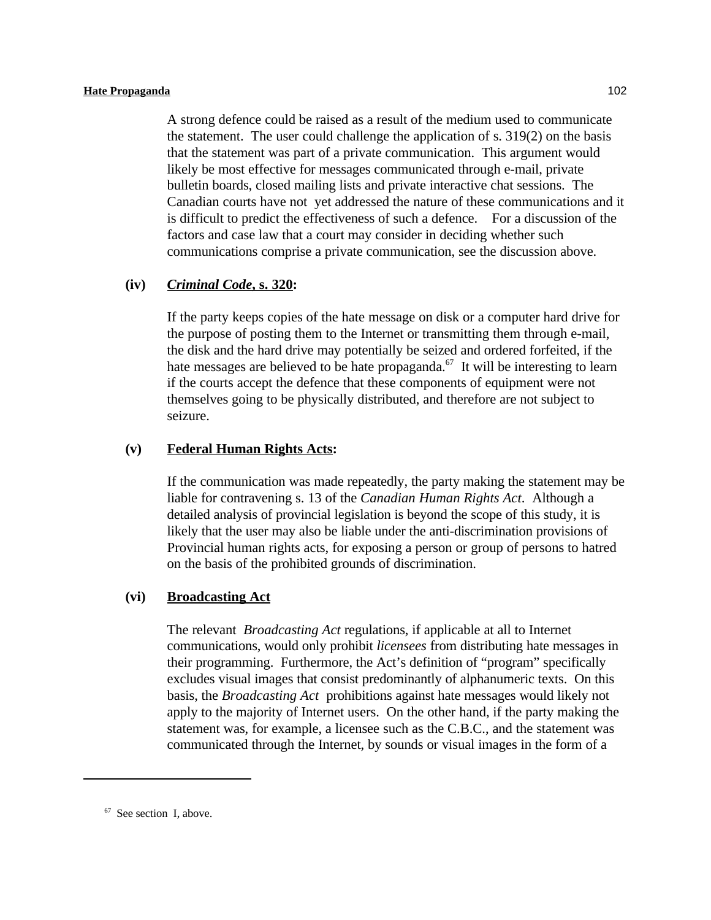A strong defence could be raised as a result of the medium used to communicate the statement. The user could challenge the application of s. 319(2) on the basis that the statement was part of a private communication. This argument would likely be most effective for messages communicated through e-mail, private bulletin boards, closed mailing lists and private interactive chat sessions. The Canadian courts have not yet addressed the nature of these communications and it is difficult to predict the effectiveness of such a defence. For a discussion of the factors and case law that a court may consider in deciding whether such communications comprise a private communication, see the discussion above.

#### **(iv)** *Criminal Code***, s. 320:**

If the party keeps copies of the hate message on disk or a computer hard drive for the purpose of posting them to the Internet or transmitting them through e-mail, the disk and the hard drive may potentially be seized and ordered forfeited, if the hate messages are believed to be hate propaganda.<sup> $57$ </sup> It will be interesting to learn if the courts accept the defence that these components of equipment were not themselves going to be physically distributed, and therefore are not subject to seizure.

### **(v) Federal Human Rights Acts:**

If the communication was made repeatedly, the party making the statement may be liable for contravening s. 13 of the *Canadian Human Rights Act*. Although a detailed analysis of provincial legislation is beyond the scope of this study, it is likely that the user may also be liable under the anti-discrimination provisions of Provincial human rights acts, for exposing a person or group of persons to hatred on the basis of the prohibited grounds of discrimination.

#### **(vi) Broadcasting Act**

The relevant *Broadcasting Act* regulations, if applicable at all to Internet communications, would only prohibit *licensees* from distributing hate messages in their programming. Furthermore, the Act's definition of "program" specifically excludes visual images that consist predominantly of alphanumeric texts. On this basis, the *Broadcasting Act* prohibitions against hate messages would likely not apply to the majority of Internet users. On the other hand, if the party making the statement was, for example, a licensee such as the C.B.C., and the statement was communicated through the Internet, by sounds or visual images in the form of a

 $67$  See section I, above.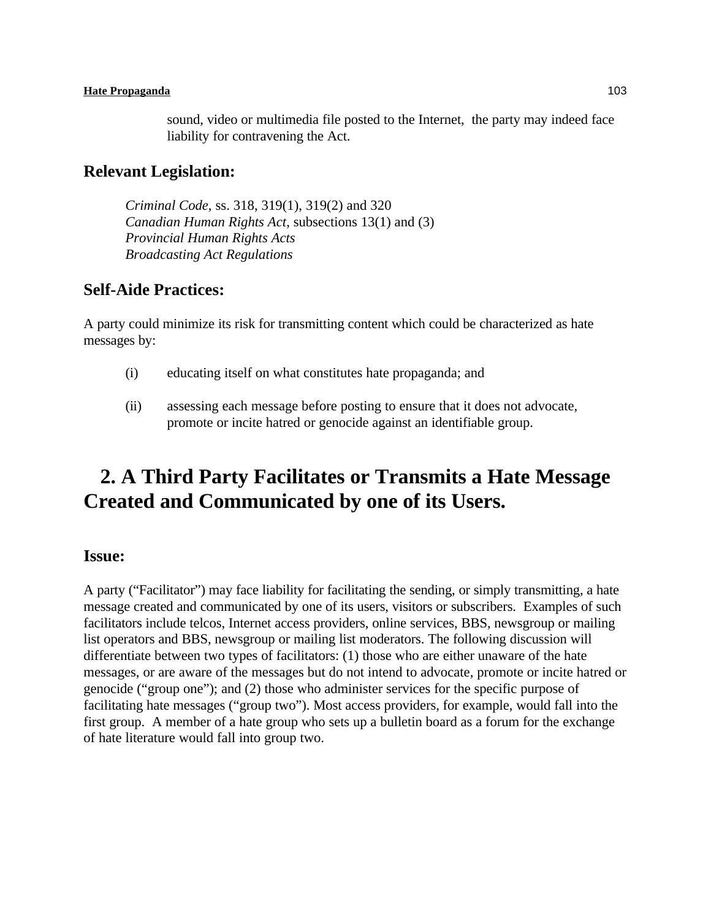sound, video or multimedia file posted to the Internet, the party may indeed face liability for contravening the Act.

### **Relevant Legislation:**

*Criminal Code*, ss. 318, 319(1), 319(2) and 320 *Canadian Human Rights Act*, subsections 13(1) and (3) *Provincial Human Rights Acts Broadcasting Act Regulations*

### **Self-Aide Practices:**

A party could minimize its risk for transmitting content which could be characterized as hate messages by:

- (i) educating itself on what constitutes hate propaganda; and
- (ii) assessing each message before posting to ensure that it does not advocate, promote or incite hatred or genocide against an identifiable group.

# **2. A Third Party Facilitates or Transmits a Hate Message Created and Communicated by one of its Users.**

### **Issue:**

A party ("Facilitator") may face liability for facilitating the sending, or simply transmitting, a hate message created and communicated by one of its users, visitors or subscribers. Examples of such facilitators include telcos, Internet access providers, online services, BBS, newsgroup or mailing list operators and BBS, newsgroup or mailing list moderators. The following discussion will differentiate between two types of facilitators: (1) those who are either unaware of the hate messages, or are aware of the messages but do not intend to advocate, promote or incite hatred or genocide ("group one"); and (2) those who administer services for the specific purpose of facilitating hate messages ("group two"). Most access providers, for example, would fall into the first group. A member of a hate group who sets up a bulletin board as a forum for the exchange of hate literature would fall into group two.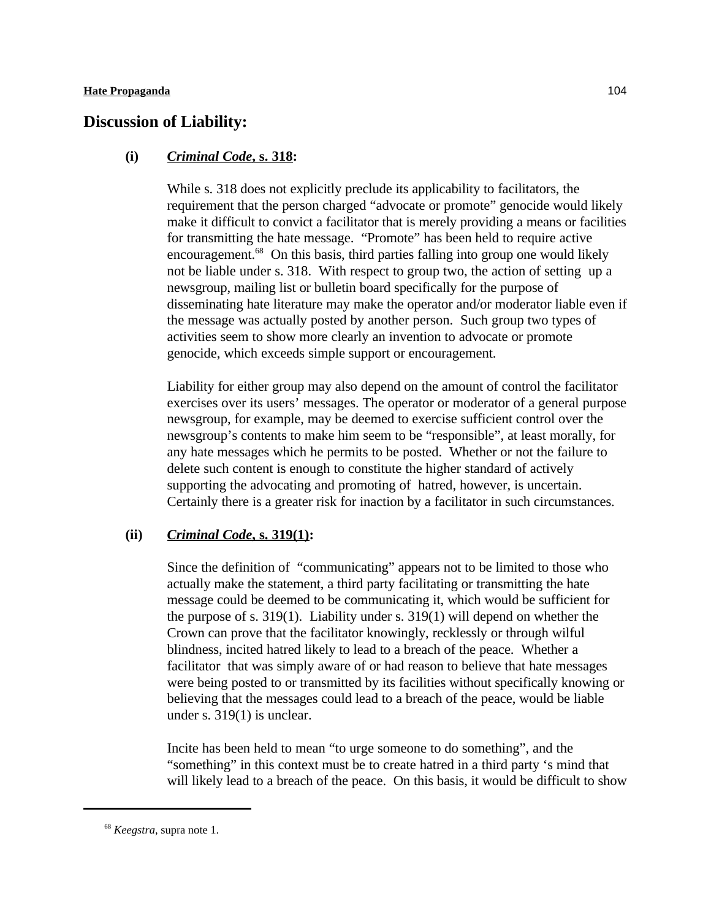## **Discussion of Liability:**

#### **(i)** *Criminal Code***, s. 318:**

While s. 318 does not explicitly preclude its applicability to facilitators, the requirement that the person charged "advocate or promote" genocide would likely make it difficult to convict a facilitator that is merely providing a means or facilities for transmitting the hate message. "Promote" has been held to require active encouragement. $^{68}$  On this basis, third parties falling into group one would likely not be liable under s. 318. With respect to group two, the action of setting up a newsgroup, mailing list or bulletin board specifically for the purpose of disseminating hate literature may make the operator and/or moderator liable even if the message was actually posted by another person. Such group two types of activities seem to show more clearly an invention to advocate or promote genocide, which exceeds simple support or encouragement.

Liability for either group may also depend on the amount of control the facilitator exercises over its users' messages. The operator or moderator of a general purpose newsgroup, for example, may be deemed to exercise sufficient control over the newsgroup's contents to make him seem to be "responsible", at least morally, for any hate messages which he permits to be posted. Whether or not the failure to delete such content is enough to constitute the higher standard of actively supporting the advocating and promoting of hatred, however, is uncertain. Certainly there is a greater risk for inaction by a facilitator in such circumstances.

#### **(ii)** *Criminal Code***, s. 319(1):**

Since the definition of "communicating" appears not to be limited to those who actually make the statement, a third party facilitating or transmitting the hate message could be deemed to be communicating it, which would be sufficient for the purpose of s. 319(1). Liability under s. 319(1) will depend on whether the Crown can prove that the facilitator knowingly, recklessly or through wilful blindness, incited hatred likely to lead to a breach of the peace. Whether a facilitator that was simply aware of or had reason to believe that hate messages were being posted to or transmitted by its facilities without specifically knowing or believing that the messages could lead to a breach of the peace, would be liable under s. 319(1) is unclear.

Incite has been held to mean "to urge someone to do something", and the "something" in this context must be to create hatred in a third party 's mind that will likely lead to a breach of the peace. On this basis, it would be difficult to show

<sup>&</sup>lt;sup>68</sup> *Keegstra*, supra note 1.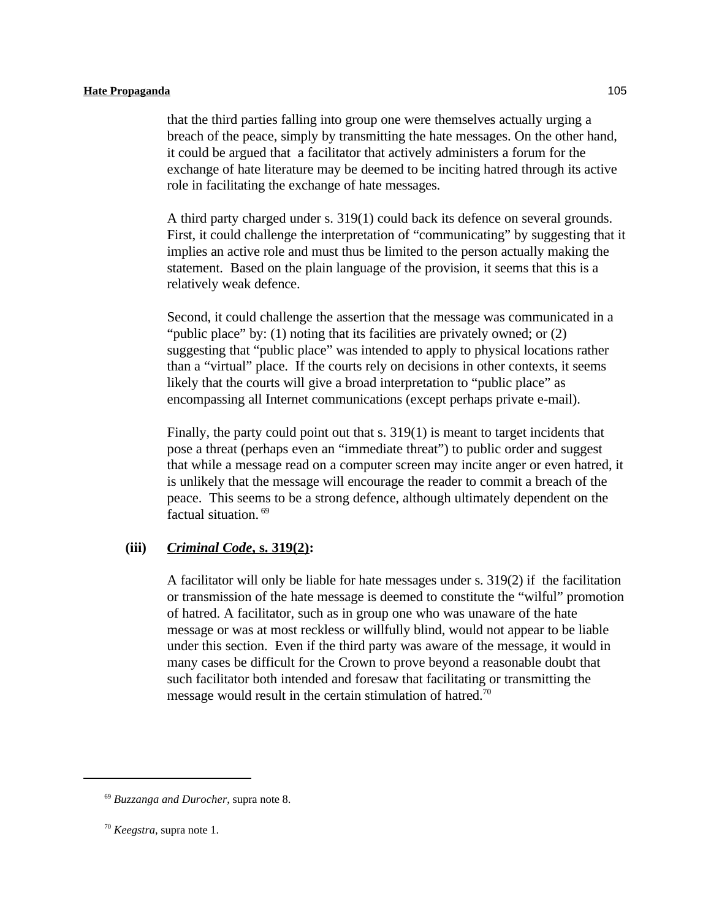that the third parties falling into group one were themselves actually urging a breach of the peace, simply by transmitting the hate messages. On the other hand, it could be argued that a facilitator that actively administers a forum for the exchange of hate literature may be deemed to be inciting hatred through its active role in facilitating the exchange of hate messages.

A third party charged under s. 319(1) could back its defence on several grounds. First, it could challenge the interpretation of "communicating" by suggesting that it implies an active role and must thus be limited to the person actually making the statement. Based on the plain language of the provision, it seems that this is a relatively weak defence.

Second, it could challenge the assertion that the message was communicated in a "public place" by: (1) noting that its facilities are privately owned; or (2) suggesting that "public place" was intended to apply to physical locations rather than a "virtual" place. If the courts rely on decisions in other contexts, it seems likely that the courts will give a broad interpretation to "public place" as encompassing all Internet communications (except perhaps private e-mail).

Finally, the party could point out that s. 319(1) is meant to target incidents that pose a threat (perhaps even an "immediate threat") to public order and suggest that while a message read on a computer screen may incite anger or even hatred, it is unlikely that the message will encourage the reader to commit a breach of the peace. This seems to be a strong defence, although ultimately dependent on the factual situation.<sup>69</sup>

#### **(iii)** *Criminal Code***, s. 319(2):**

A facilitator will only be liable for hate messages under s. 319(2) if the facilitation or transmission of the hate message is deemed to constitute the "wilful" promotion of hatred. A facilitator, such as in group one who was unaware of the hate message or was at most reckless or willfully blind, would not appear to be liable under this section. Even if the third party was aware of the message, it would in many cases be difficult for the Crown to prove beyond a reasonable doubt that such facilitator both intended and foresaw that facilitating or transmitting the message would result in the certain stimulation of hatred.<sup>70</sup>

<sup>&</sup>lt;sup>69</sup> Buzzanga and Durocher, supra note 8.

 $70$  *Keegstra*, supra note 1.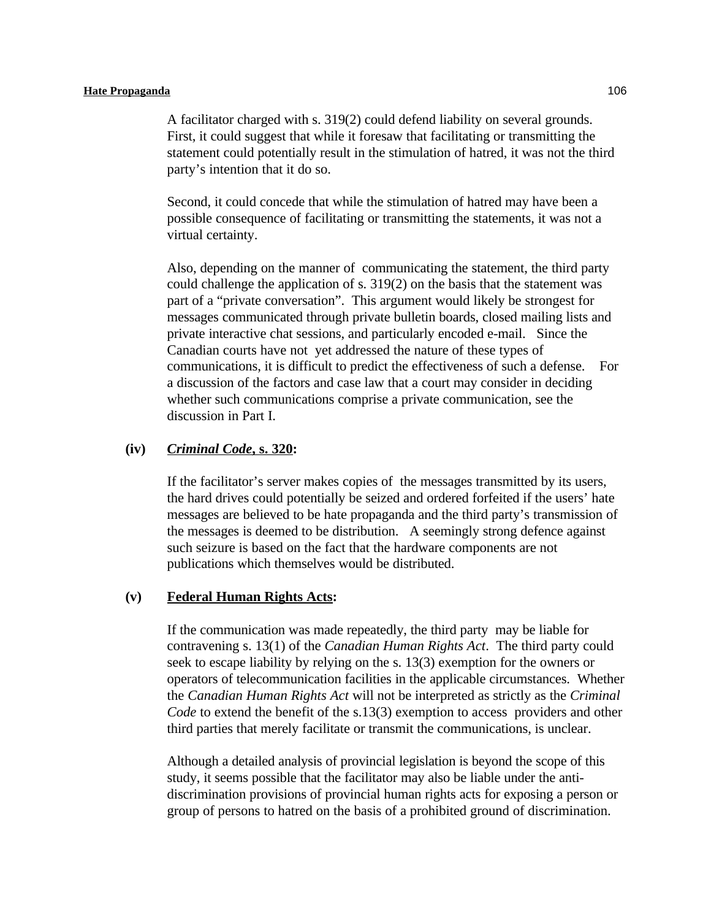A facilitator charged with s. 319(2) could defend liability on several grounds. First, it could suggest that while it foresaw that facilitating or transmitting the statement could potentially result in the stimulation of hatred, it was not the third party's intention that it do so.

Second, it could concede that while the stimulation of hatred may have been a possible consequence of facilitating or transmitting the statements, it was not a virtual certainty.

Also, depending on the manner of communicating the statement, the third party could challenge the application of s. 319(2) on the basis that the statement was part of a "private conversation". This argument would likely be strongest for messages communicated through private bulletin boards, closed mailing lists and private interactive chat sessions, and particularly encoded e-mail. Since the Canadian courts have not yet addressed the nature of these types of communications, it is difficult to predict the effectiveness of such a defense. For a discussion of the factors and case law that a court may consider in deciding whether such communications comprise a private communication, see the discussion in Part I.

### **(iv)** *Criminal Code***, s. 320:**

If the facilitator's server makes copies of the messages transmitted by its users, the hard drives could potentially be seized and ordered forfeited if the users' hate messages are believed to be hate propaganda and the third party's transmission of the messages is deemed to be distribution. A seemingly strong defence against such seizure is based on the fact that the hardware components are not publications which themselves would be distributed.

#### **(v) Federal Human Rights Acts:**

If the communication was made repeatedly, the third party may be liable for contravening s. 13(1) of the *Canadian Human Rights Act*. The third party could seek to escape liability by relying on the s. 13(3) exemption for the owners or operators of telecommunication facilities in the applicable circumstances. Whether the *Canadian Human Rights Act* will not be interpreted as strictly as the *Criminal Code* to extend the benefit of the s.13(3) exemption to access providers and other third parties that merely facilitate or transmit the communications, is unclear.

Although a detailed analysis of provincial legislation is beyond the scope of this study, it seems possible that the facilitator may also be liable under the antidiscrimination provisions of provincial human rights acts for exposing a person or group of persons to hatred on the basis of a prohibited ground of discrimination.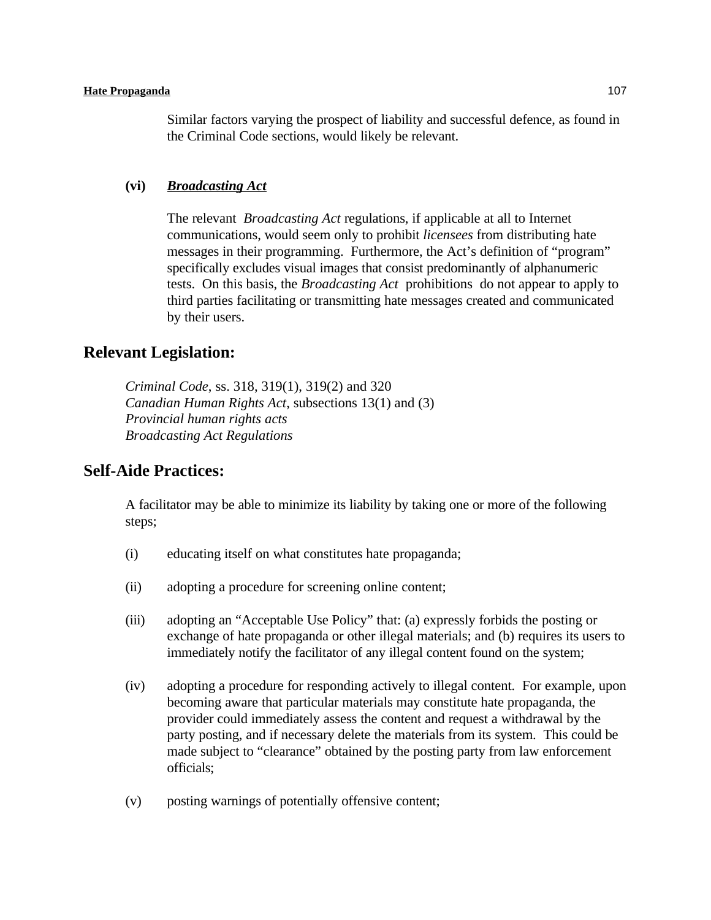Similar factors varying the prospect of liability and successful defence, as found in the Criminal Code sections, would likely be relevant.

### **(vi)** *Broadcasting Act*

The relevant *Broadcasting Act* regulations, if applicable at all to Internet communications, would seem only to prohibit *licensees* from distributing hate messages in their programming. Furthermore, the Act's definition of "program" specifically excludes visual images that consist predominantly of alphanumeric tests. On this basis, the *Broadcasting Act* prohibitions do not appear to apply to third parties facilitating or transmitting hate messages created and communicated by their users.

# **Relevant Legislation:**

*Criminal Code*, ss. 318, 319(1), 319(2) and 320 *Canadian Human Rights Act*, subsections 13(1) and (3) *Provincial human rights acts Broadcasting Act Regulations*

## **Self-Aide Practices:**

A facilitator may be able to minimize its liability by taking one or more of the following steps;

- (i) educating itself on what constitutes hate propaganda;
- (ii) adopting a procedure for screening online content;
- (iii) adopting an "Acceptable Use Policy" that: (a) expressly forbids the posting or exchange of hate propaganda or other illegal materials; and (b) requires its users to immediately notify the facilitator of any illegal content found on the system;
- (iv) adopting a procedure for responding actively to illegal content. For example, upon becoming aware that particular materials may constitute hate propaganda, the provider could immediately assess the content and request a withdrawal by the party posting, and if necessary delete the materials from its system. This could be made subject to "clearance" obtained by the posting party from law enforcement officials;
- (v) posting warnings of potentially offensive content;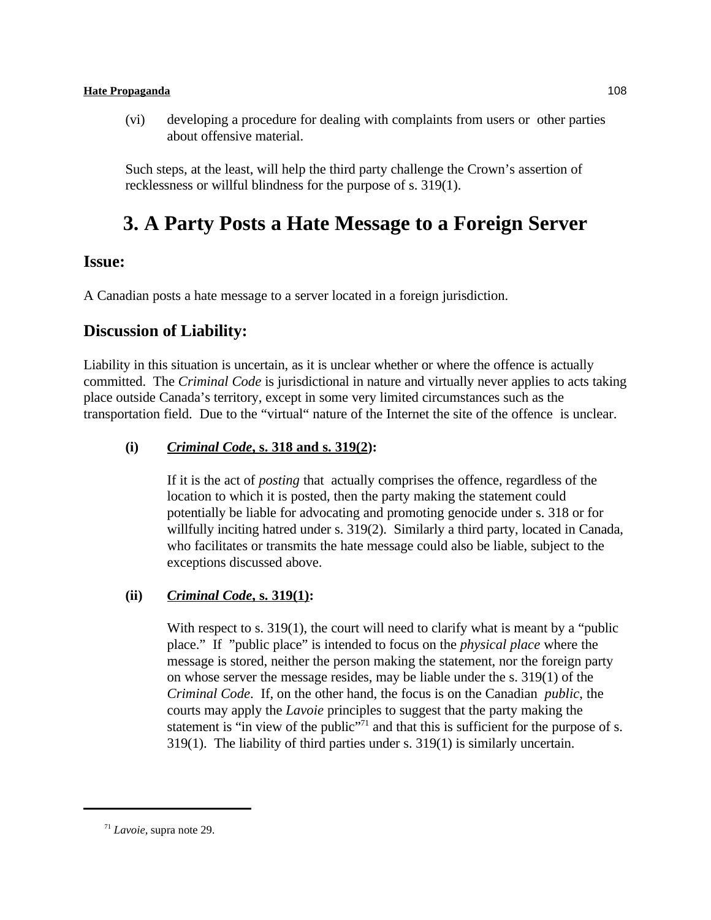(vi) developing a procedure for dealing with complaints from users or other parties about offensive material.

Such steps, at the least, will help the third party challenge the Crown's assertion of recklessness or willful blindness for the purpose of s. 319(1).

# **3. A Party Posts a Hate Message to a Foreign Server**

# **Issue:**

A Canadian posts a hate message to a server located in a foreign jurisdiction.

# **Discussion of Liability:**

Liability in this situation is uncertain, as it is unclear whether or where the offence is actually committed. The *Criminal Code* is jurisdictional in nature and virtually never applies to acts taking place outside Canada's territory, except in some very limited circumstances such as the transportation field. Due to the "virtual" nature of the Internet the site of the offence is unclear.

## **(i)** *Criminal Code***, s. 318 and s. 319(2):**

If it is the act of *posting* that actually comprises the offence, regardless of the location to which it is posted, then the party making the statement could potentially be liable for advocating and promoting genocide under s. 318 or for willfully inciting hatred under s. 319(2). Similarly a third party, located in Canada, who facilitates or transmits the hate message could also be liable, subject to the exceptions discussed above.

## **(ii)** *Criminal Code***, s. 319(1):**

With respect to s.  $319(1)$ , the court will need to clarify what is meant by a "public" place." If "public place" is intended to focus on the *physical place* where the message is stored, neither the person making the statement, nor the foreign party on whose server the message resides, may be liable under the s. 319(1) of the *Criminal Code*. If, on the other hand, the focus is on the Canadian *public*, the courts may apply the *Lavoie* principles to suggest that the party making the statement is "in view of the public" $\frac{1}{2}$  and that this is sufficient for the purpose of s. 319(1). The liability of third parties under s. 319(1) is similarly uncertain.

 $71$  *Lavoie*, supra note 29.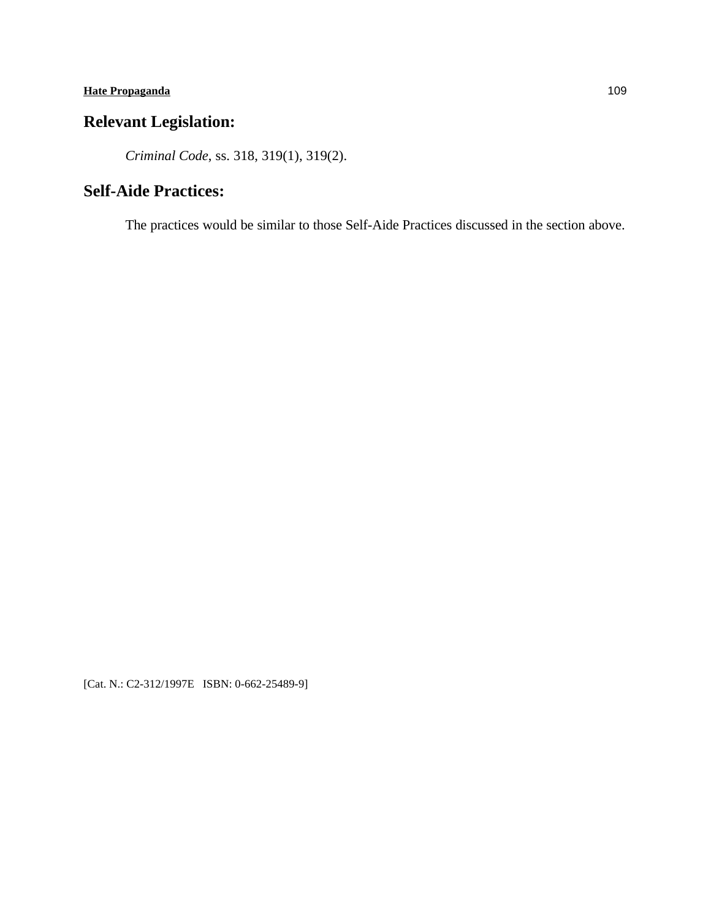# **Relevant Legislation:**

*Criminal Code*, ss. 318, 319(1), 319(2).

# **Self-Aide Practices:**

The practices would be similar to those Self-Aide Practices discussed in the section above.

[Cat. N.: C2-312/1997E ISBN: 0-662-25489-9]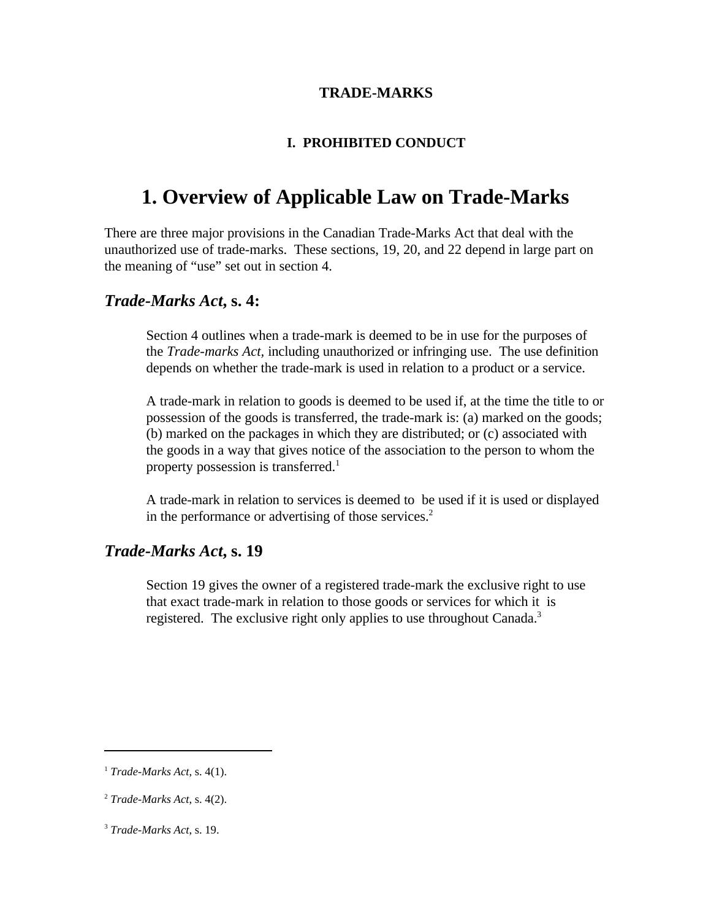## **TRADE-MARKS**

## **I. PROHIBITED CONDUCT**

# **1. Overview of Applicable Law on Trade-Marks**

There are three major provisions in the Canadian Trade-Marks Act that deal with the unauthorized use of trade-marks. These sections, 19, 20, and 22 depend in large part on the meaning of "use" set out in section 4.

## *Trade-Marks Act***, s. 4:**

Section 4 outlines when a trade-mark is deemed to be in use for the purposes of the *Trade-marks Act,* including unauthorized or infringing use. The use definition depends on whether the trade-mark is used in relation to a product or a service.

A trade-mark in relation to goods is deemed to be used if, at the time the title to or possession of the goods is transferred, the trade-mark is: (a) marked on the goods; (b) marked on the packages in which they are distributed; or (c) associated with the goods in a way that gives notice of the association to the person to whom the property possession is transferred.<sup>1</sup>

A trade-mark in relation to services is deemed to be used if it is used or displayed in the performance or advertising of those services.<sup>2</sup>

## *Trade-Marks Act***, s. 19**

Section 19 gives the owner of a registered trade-mark the exclusive right to use that exact trade-mark in relation to those goods or services for which it is registered. The exclusive right only applies to use throughout Canada.<sup>3</sup>

*Trade-Marks Act*, s. 4(1). <sup>1</sup>

*Trade-Marks Act*, s. 4(2). <sup>2</sup>

<sup>&</sup>lt;sup>3</sup> Trade-Marks Act, s. 19.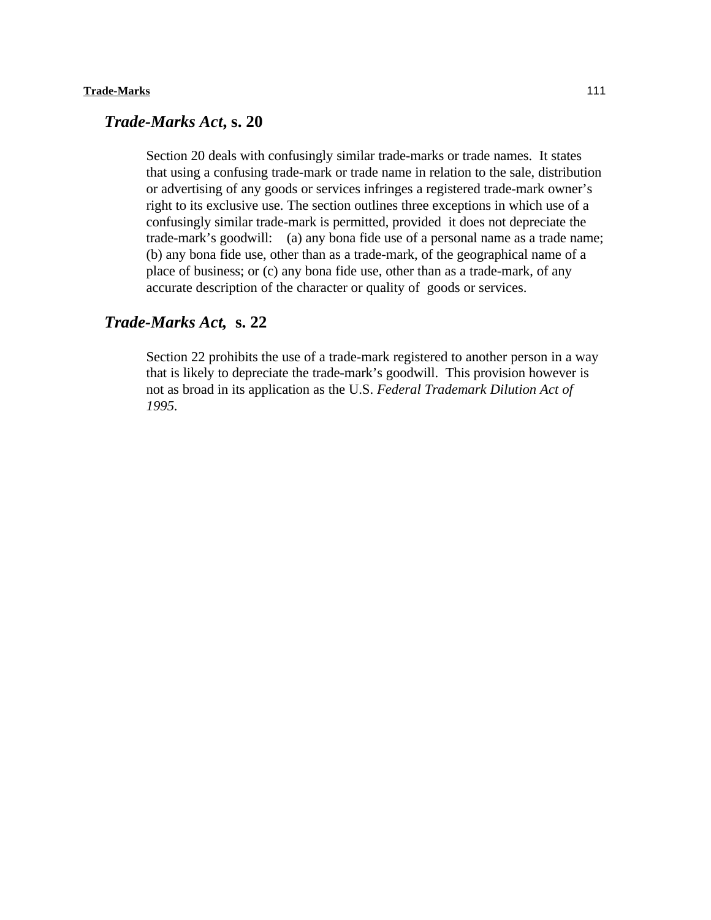## *Trade-Marks Act***, s. 20**

Section 20 deals with confusingly similar trade-marks or trade names. It states that using a confusing trade-mark or trade name in relation to the sale, distribution or advertising of any goods or services infringes a registered trade-mark owner's right to its exclusive use. The section outlines three exceptions in which use of a confusingly similar trade-mark is permitted, provided it does not depreciate the trade-mark's goodwill: (a) any bona fide use of a personal name as a trade name; (b) any bona fide use, other than as a trade-mark, of the geographical name of a place of business; or (c) any bona fide use, other than as a trade-mark, of any accurate description of the character or quality of goods or services.

## *Trade-Marks Act,* **s. 22**

Section 22 prohibits the use of a trade-mark registered to another person in a way that is likely to depreciate the trade-mark's goodwill. This provision however is not as broad in its application as the U.S. *Federal Trademark Dilution Act of 1995.*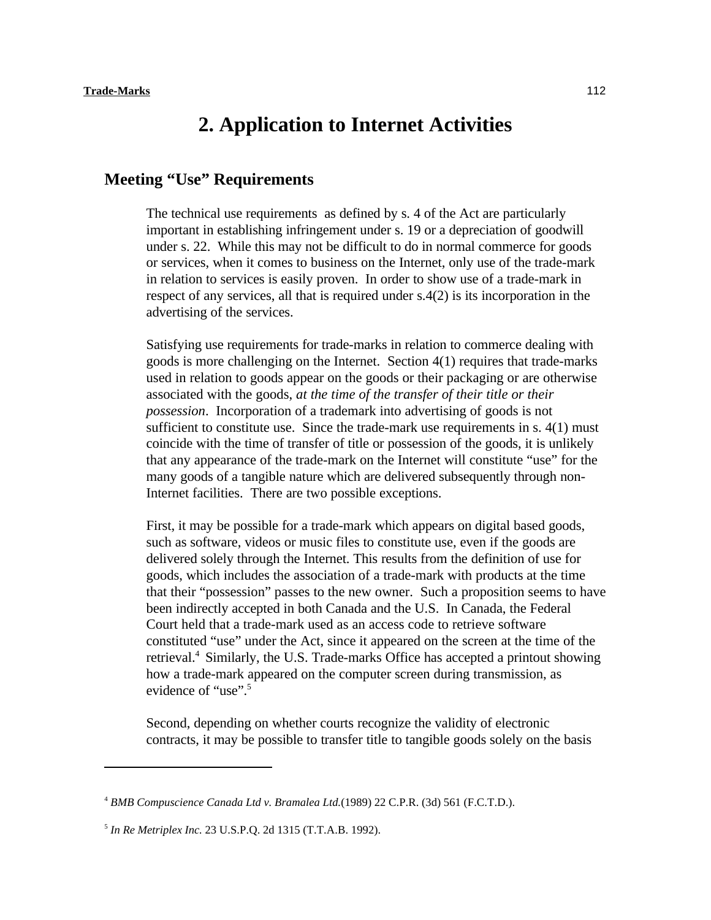# **2. Application to Internet Activities**

## **Meeting "Use" Requirements**

The technical use requirements as defined by s. 4 of the Act are particularly important in establishing infringement under s. 19 or a depreciation of goodwill under s. 22. While this may not be difficult to do in normal commerce for goods or services, when it comes to business on the Internet, only use of the trade-mark in relation to services is easily proven. In order to show use of a trade-mark in respect of any services, all that is required under s.4(2) is its incorporation in the advertising of the services.

Satisfying use requirements for trade-marks in relation to commerce dealing with goods is more challenging on the Internet. Section 4(1) requires that trade-marks used in relation to goods appear on the goods or their packaging or are otherwise associated with the goods, *at the time of the transfer of their title or their possession*. Incorporation of a trademark into advertising of goods is not sufficient to constitute use. Since the trade-mark use requirements in  $s$ .  $4(1)$  must coincide with the time of transfer of title or possession of the goods, it is unlikely that any appearance of the trade-mark on the Internet will constitute "use" for the many goods of a tangible nature which are delivered subsequently through non-Internet facilities. There are two possible exceptions.

First, it may be possible for a trade-mark which appears on digital based goods, such as software, videos or music files to constitute use, even if the goods are delivered solely through the Internet. This results from the definition of use for goods, which includes the association of a trade-mark with products at the time that their "possession" passes to the new owner. Such a proposition seems to have been indirectly accepted in both Canada and the U.S. In Canada, the Federal Court held that a trade-mark used as an access code to retrieve software constituted "use" under the Act, since it appeared on the screen at the time of the retrieval.<sup>4</sup> Similarly, the U.S. Trade-marks Office has accepted a printout showing how a trade-mark appeared on the computer screen during transmission, as evidence of "use".<sup>5</sup>

Second, depending on whether courts recognize the validity of electronic contracts, it may be possible to transfer title to tangible goods solely on the basis

<sup>&</sup>lt;sup>4</sup> BMB Compuscience Canada Ltd v. Bramalea Ltd.(1989) 22 C.P.R. (3d) 561 (F.C.T.D.).

<sup>&</sup>lt;sup>5</sup> In Re Metriplex Inc. 23 U.S.P.Q. 2d 1315 (T.T.A.B. 1992).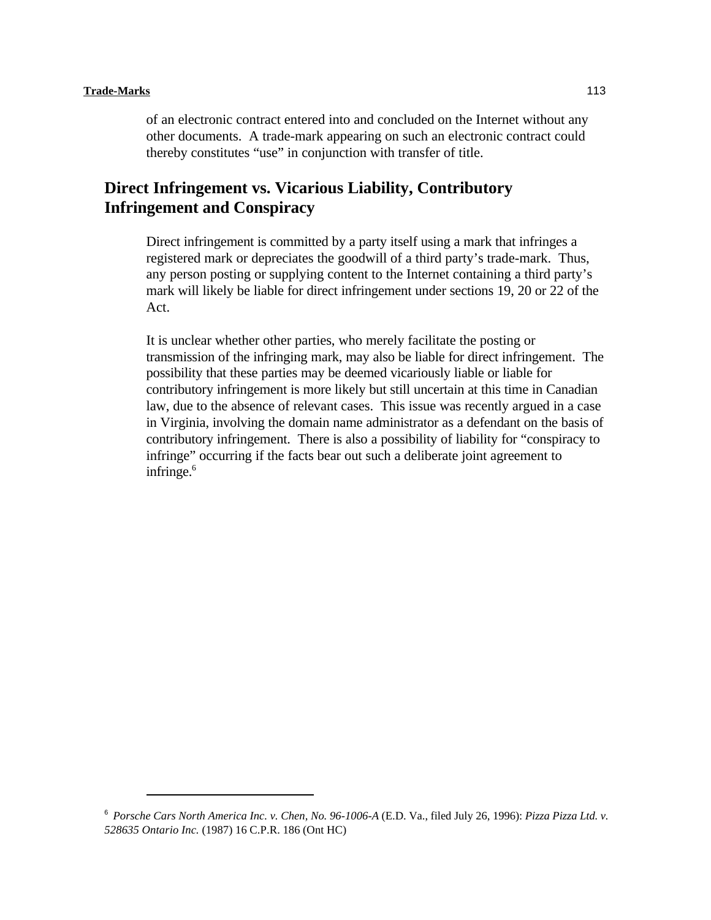#### **Trade-Marks** 113

of an electronic contract entered into and concluded on the Internet without any other documents. A trade-mark appearing on such an electronic contract could thereby constitutes "use" in conjunction with transfer of title.

# **Direct Infringement vs. Vicarious Liability, Contributory Infringement and Conspiracy**

Direct infringement is committed by a party itself using a mark that infringes a registered mark or depreciates the goodwill of a third party's trade-mark. Thus, any person posting or supplying content to the Internet containing a third party's mark will likely be liable for direct infringement under sections 19, 20 or 22 of the Act.

It is unclear whether other parties, who merely facilitate the posting or transmission of the infringing mark, may also be liable for direct infringement. The possibility that these parties may be deemed vicariously liable or liable for contributory infringement is more likely but still uncertain at this time in Canadian law, due to the absence of relevant cases. This issue was recently argued in a case in Virginia, involving the domain name administrator as a defendant on the basis of contributory infringement. There is also a possibility of liability for "conspiracy to infringe" occurring if the facts bear out such a deliberate joint agreement to infringe.<sup>6</sup>

*Porsche Cars North America Inc. v. Chen, No. 96-1006-A* (E.D. Va., filed July 26, 1996): *Pizza Pizza Ltd. v.* <sup>6</sup> *528635 Ontario Inc.* (1987) 16 C.P.R. 186 (Ont HC)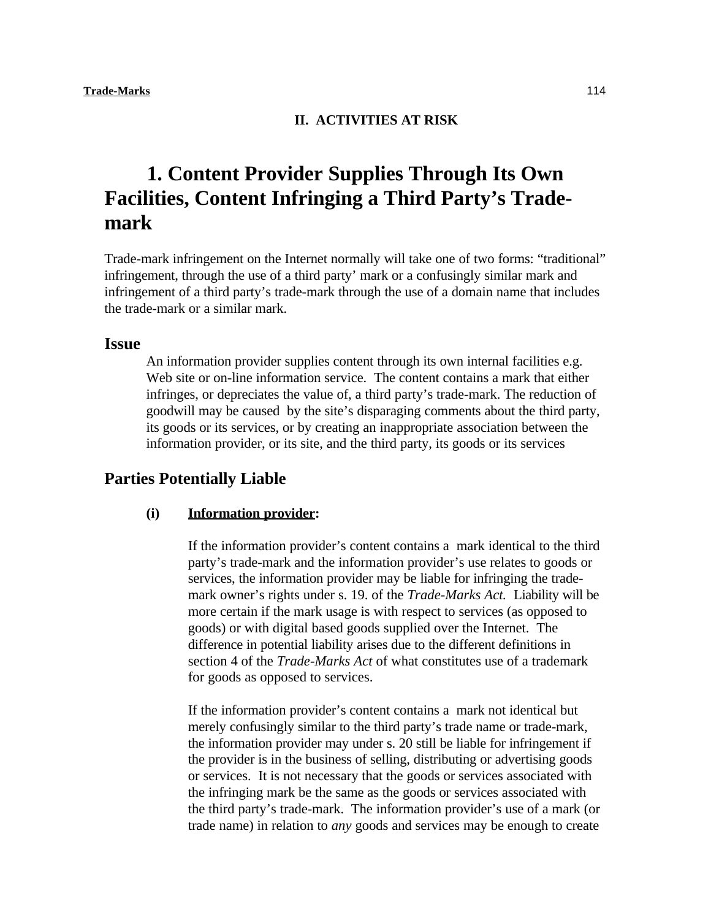#### **II. ACTIVITIES AT RISK**

# **1. Content Provider Supplies Through Its Own Facilities, Content Infringing a Third Party's Trademark**

Trade-mark infringement on the Internet normally will take one of two forms: "traditional" infringement, through the use of a third party' mark or a confusingly similar mark and infringement of a third party's trade-mark through the use of a domain name that includes the trade-mark or a similar mark.

#### **Issue**

An information provider supplies content through its own internal facilities e.g. Web site or on-line information service. The content contains a mark that either infringes, or depreciates the value of, a third party's trade-mark. The reduction of goodwill may be caused by the site's disparaging comments about the third party, its goods or its services, or by creating an inappropriate association between the information provider, or its site, and the third party, its goods or its services

# **Parties Potentially Liable**

#### **(i) Information provider:**

If the information provider's content contains a mark identical to the third party's trade-mark and the information provider's use relates to goods or services, the information provider may be liable for infringing the trademark owner's rights under s. 19. of the *Trade-Marks Act.* Liability will be more certain if the mark usage is with respect to services (as opposed to goods) or with digital based goods supplied over the Internet. The difference in potential liability arises due to the different definitions in section 4 of the *Trade-Marks Act* of what constitutes use of a trademark for goods as opposed to services.

If the information provider's content contains a mark not identical but merely confusingly similar to the third party's trade name or trade-mark, the information provider may under s. 20 still be liable for infringement if the provider is in the business of selling, distributing or advertising goods or services. It is not necessary that the goods or services associated with the infringing mark be the same as the goods or services associated with the third party's trade-mark. The information provider's use of a mark (or trade name) in relation to *any* goods and services may be enough to create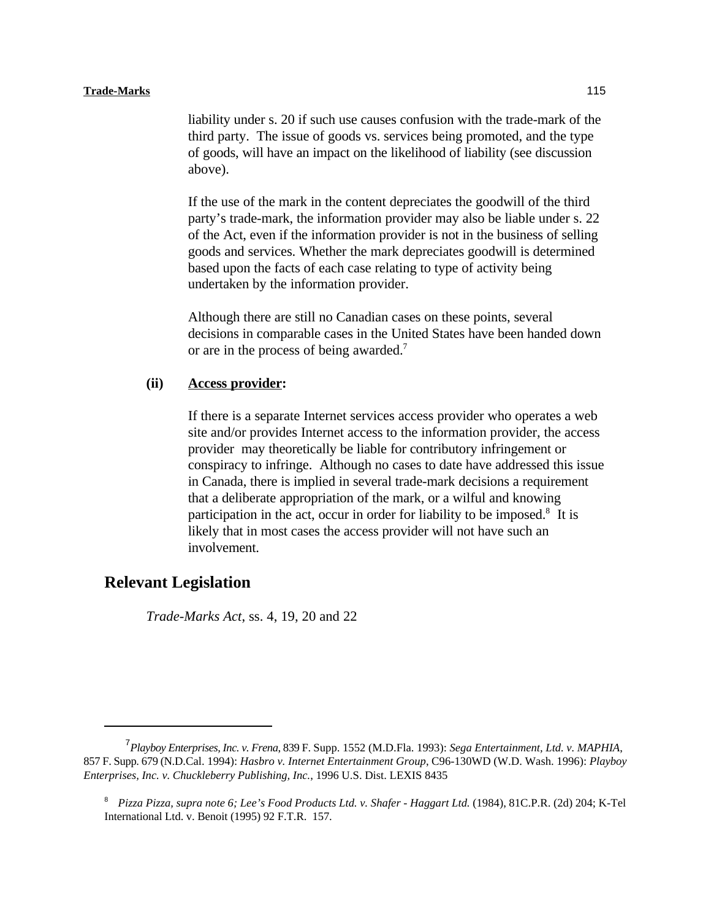liability under s. 20 if such use causes confusion with the trade-mark of the third party. The issue of goods vs. services being promoted, and the type of goods, will have an impact on the likelihood of liability (see discussion above).

If the use of the mark in the content depreciates the goodwill of the third party's trade-mark, the information provider may also be liable under s. 22 of the Act, even if the information provider is not in the business of selling goods and services. Whether the mark depreciates goodwill is determined based upon the facts of each case relating to type of activity being undertaken by the information provider.

Although there are still no Canadian cases on these points, several decisions in comparable cases in the United States have been handed down or are in the process of being awarded.<sup>7</sup>

### **(ii) Access provider:**

If there is a separate Internet services access provider who operates a web site and/or provides Internet access to the information provider, the access provider may theoretically be liable for contributory infringement or conspiracy to infringe. Although no cases to date have addressed this issue in Canada, there is implied in several trade-mark decisions a requirement that a deliberate appropriation of the mark, or a wilful and knowing participation in the act, occur in order for liability to be imposed.<sup>8</sup> It is likely that in most cases the access provider will not have such an involvement.

# **Relevant Legislation**

*Trade-Marks Act*, ss. 4, 19, 20 and 22

*Playboy Enterprises, Inc. v. Frena*, 839 F. Supp. 1552 (M.D.Fla. 1993): *Sega Entertainment, Ltd. v. MAPHIA*, 7 857 F. Supp. 679 (N.D.Cal. 1994): *Hasbro v. Internet Entertainment Group*, C96-130WD (W.D. Wash. 1996): *Playboy Enterprises, Inc. v. Chuckleberry Publishing, Inc.*, 1996 U.S. Dist. LEXIS 8435

<sup>&</sup>lt;sup>8</sup> Pizza Pizza, supra note 6; Lee's Food Products Ltd. v. Shafer - Haggart Ltd. (1984), 81C.P.R. (2d) 204; K-Tel International Ltd. v. Benoit (1995) 92 F.T.R. 157.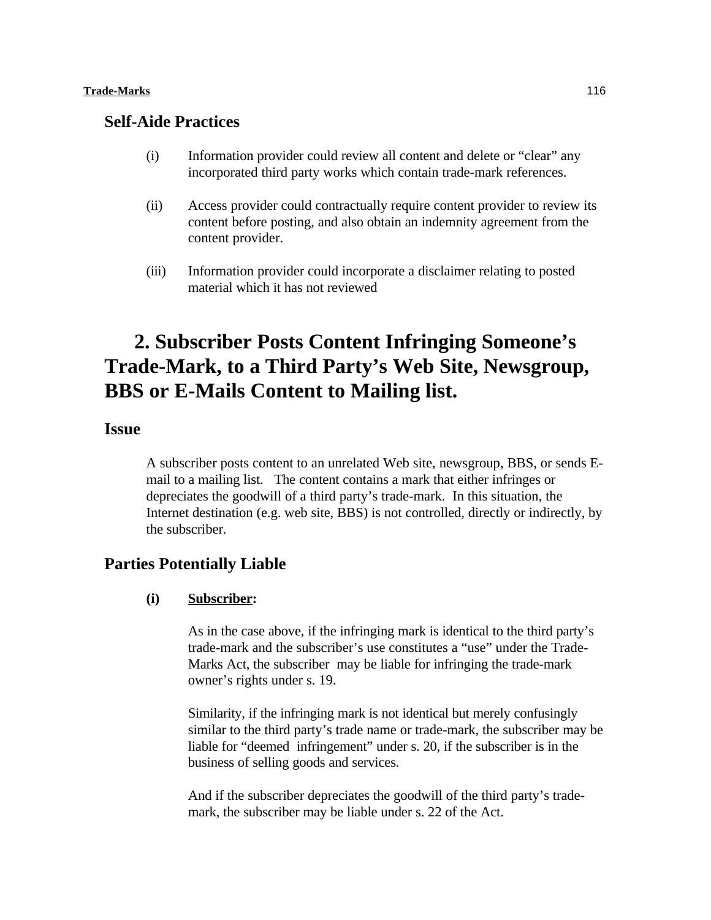#### **Trade-Marks** 116

## **Self-Aide Practices**

- (i) Information provider could review all content and delete or "clear" any incorporated third party works which contain trade-mark references.
- (ii) Access provider could contractually require content provider to review its content before posting, and also obtain an indemnity agreement from the content provider.
- (iii) Information provider could incorporate a disclaimer relating to posted material which it has not reviewed

# **2. Subscriber Posts Content Infringing Someone's Trade-Mark, to a Third Party's Web Site, Newsgroup, BBS or E-Mails Content to Mailing list.**

# **Issue**

A subscriber posts content to an unrelated Web site, newsgroup, BBS, or sends Email to a mailing list. The content contains a mark that either infringes or depreciates the goodwill of a third party's trade-mark. In this situation, the Internet destination (e.g. web site, BBS) is not controlled, directly or indirectly, by the subscriber.

## **Parties Potentially Liable**

#### **(i) Subscriber:**

As in the case above, if the infringing mark is identical to the third party's trade-mark and the subscriber's use constitutes a "use" under the Trade-Marks Act, the subscriber may be liable for infringing the trade-mark owner's rights under s. 19.

Similarity, if the infringing mark is not identical but merely confusingly similar to the third party's trade name or trade-mark, the subscriber may be liable for "deemed infringement" under s. 20, if the subscriber is in the business of selling goods and services.

And if the subscriber depreciates the goodwill of the third party's trademark, the subscriber may be liable under s. 22 of the Act.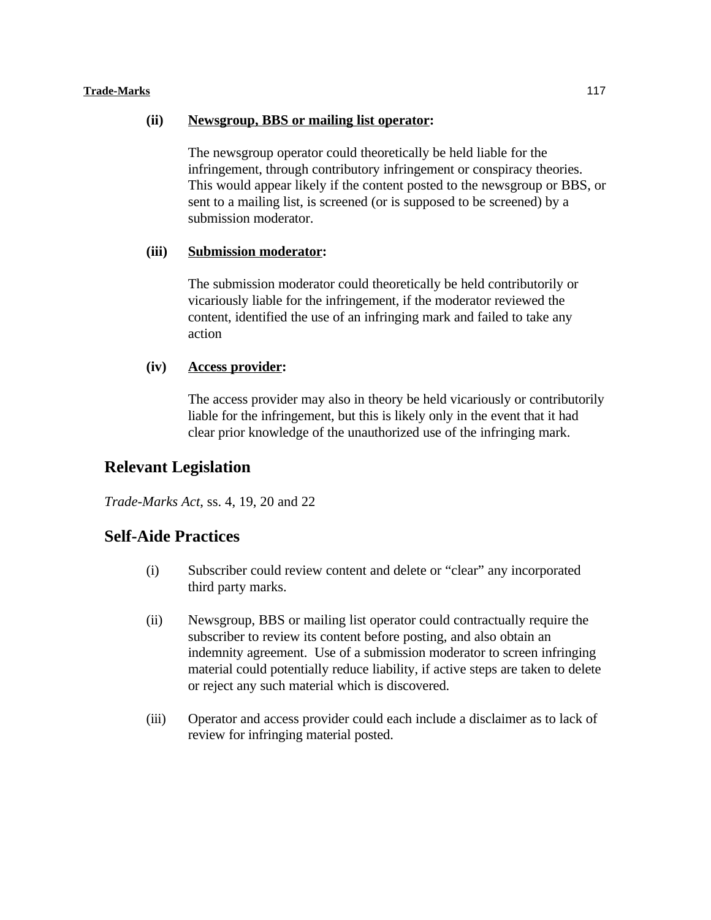#### **Trade-Marks** 117

### **(ii) Newsgroup, BBS or mailing list operator:**

The newsgroup operator could theoretically be held liable for the infringement, through contributory infringement or conspiracy theories. This would appear likely if the content posted to the newsgroup or BBS, or sent to a mailing list, is screened (or is supposed to be screened) by a submission moderator.

### **(iii) Submission moderator:**

The submission moderator could theoretically be held contributorily or vicariously liable for the infringement, if the moderator reviewed the content, identified the use of an infringing mark and failed to take any action

### **(iv) Access provider:**

The access provider may also in theory be held vicariously or contributorily liable for the infringement, but this is likely only in the event that it had clear prior knowledge of the unauthorized use of the infringing mark.

# **Relevant Legislation**

*Trade-Marks Act*, ss. 4, 19, 20 and 22

## **Self-Aide Practices**

- (i) Subscriber could review content and delete or "clear" any incorporated third party marks.
- (ii) Newsgroup, BBS or mailing list operator could contractually require the subscriber to review its content before posting, and also obtain an indemnity agreement. Use of a submission moderator to screen infringing material could potentially reduce liability, if active steps are taken to delete or reject any such material which is discovered.
- (iii) Operator and access provider could each include a disclaimer as to lack of review for infringing material posted.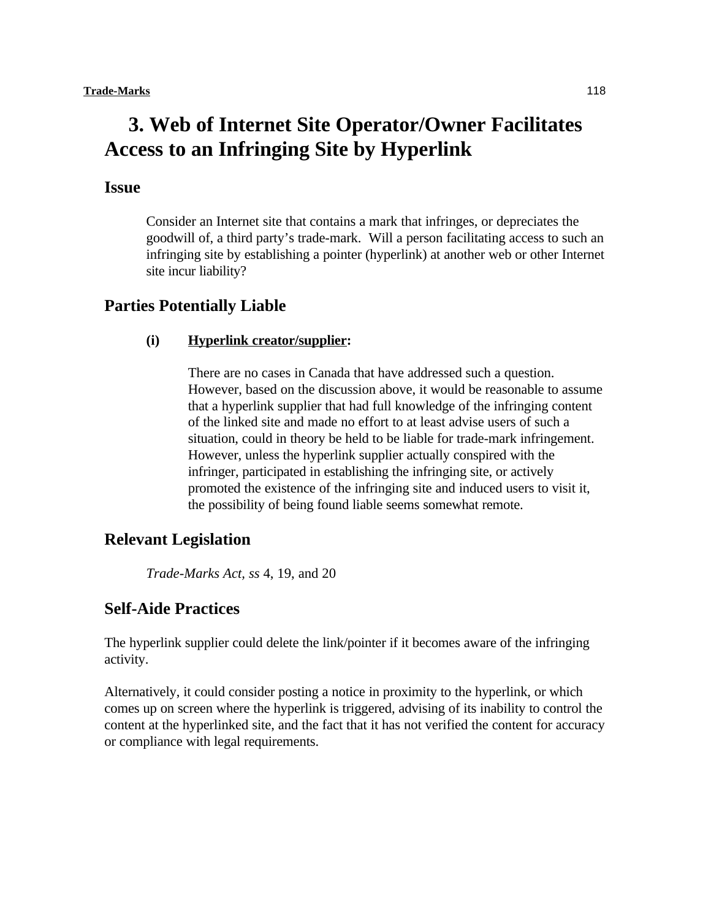# **3. Web of Internet Site Operator/Owner Facilitates Access to an Infringing Site by Hyperlink**

# **Issue**

Consider an Internet site that contains a mark that infringes, or depreciates the goodwill of, a third party's trade-mark. Will a person facilitating access to such an infringing site by establishing a pointer (hyperlink) at another web or other Internet site incur liability?

## **Parties Potentially Liable**

### **(i) Hyperlink creator/supplier:**

There are no cases in Canada that have addressed such a question. However, based on the discussion above, it would be reasonable to assume that a hyperlink supplier that had full knowledge of the infringing content of the linked site and made no effort to at least advise users of such a situation, could in theory be held to be liable for trade-mark infringement. However, unless the hyperlink supplier actually conspired with the infringer, participated in establishing the infringing site, or actively promoted the existence of the infringing site and induced users to visit it, the possibility of being found liable seems somewhat remote.

### **Relevant Legislation**

*Trade-Marks Act, ss* 4, 19, and 20

# **Self-Aide Practices**

The hyperlink supplier could delete the link/pointer if it becomes aware of the infringing activity.

Alternatively, it could consider posting a notice in proximity to the hyperlink, or which comes up on screen where the hyperlink is triggered, advising of its inability to control the content at the hyperlinked site, and the fact that it has not verified the content for accuracy or compliance with legal requirements.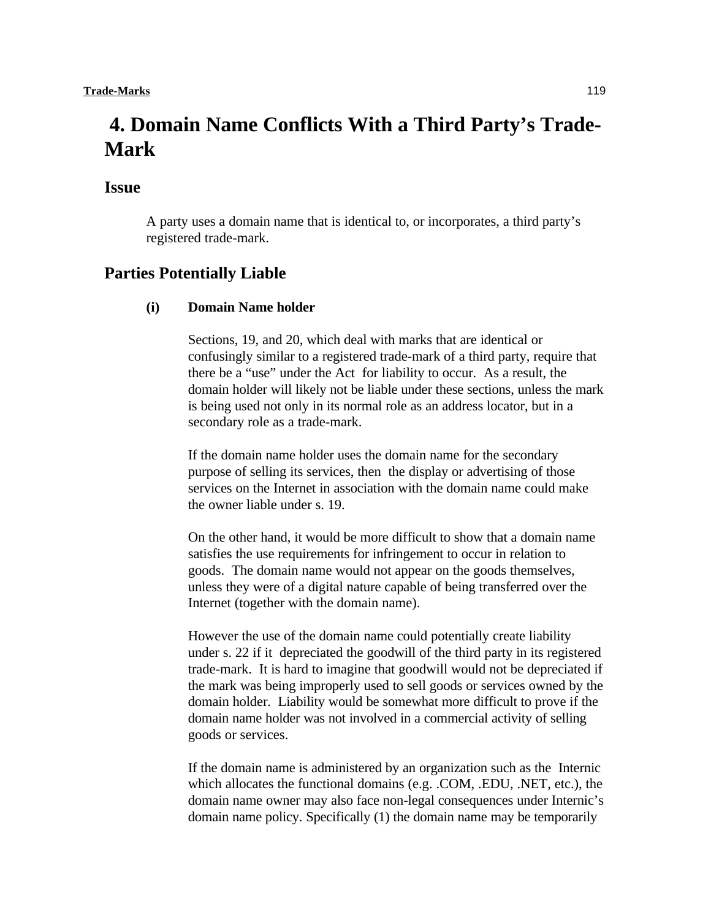# **4. Domain Name Conflicts With a Third Party's Trade-Mark**

## **Issue**

A party uses a domain name that is identical to, or incorporates, a third party's registered trade-mark.

## **Parties Potentially Liable**

### **(i) Domain Name holder**

Sections, 19, and 20, which deal with marks that are identical or confusingly similar to a registered trade-mark of a third party, require that there be a "use" under the Act for liability to occur. As a result, the domain holder will likely not be liable under these sections, unless the mark is being used not only in its normal role as an address locator, but in a secondary role as a trade-mark.

If the domain name holder uses the domain name for the secondary purpose of selling its services, then the display or advertising of those services on the Internet in association with the domain name could make the owner liable under s. 19.

On the other hand, it would be more difficult to show that a domain name satisfies the use requirements for infringement to occur in relation to goods. The domain name would not appear on the goods themselves, unless they were of a digital nature capable of being transferred over the Internet (together with the domain name).

However the use of the domain name could potentially create liability under s. 22 if it depreciated the goodwill of the third party in its registered trade-mark. It is hard to imagine that goodwill would not be depreciated if the mark was being improperly used to sell goods or services owned by the domain holder. Liability would be somewhat more difficult to prove if the domain name holder was not involved in a commercial activity of selling goods or services.

If the domain name is administered by an organization such as the Internic which allocates the functional domains (e.g. .COM, .EDU, .NET, etc.), the domain name owner may also face non-legal consequences under Internic's domain name policy. Specifically (1) the domain name may be temporarily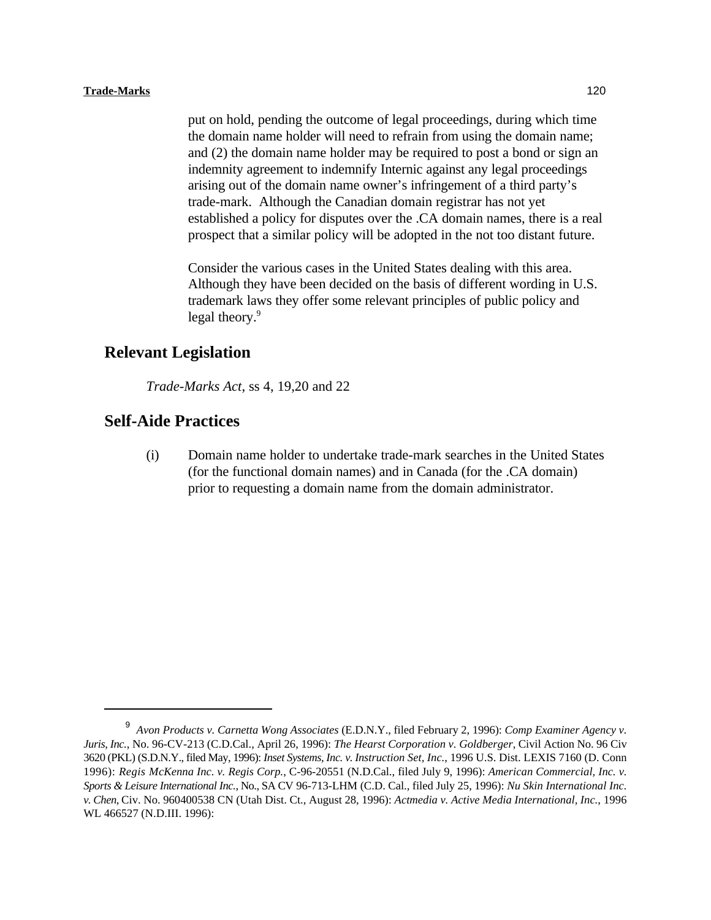#### **Trade-Marks** 120

put on hold, pending the outcome of legal proceedings, during which time the domain name holder will need to refrain from using the domain name; and (2) the domain name holder may be required to post a bond or sign an indemnity agreement to indemnify Internic against any legal proceedings arising out of the domain name owner's infringement of a third party's trade-mark. Although the Canadian domain registrar has not yet established a policy for disputes over the .CA domain names, there is a real prospect that a similar policy will be adopted in the not too distant future.

Consider the various cases in the United States dealing with this area. Although they have been decided on the basis of different wording in U.S. trademark laws they offer some relevant principles of public policy and legal theory.<sup>9</sup>

# **Relevant Legislation**

*Trade-Marks Act*, ss 4, 19,20 and 22

## **Self-Aide Practices**

(i) Domain name holder to undertake trade-mark searches in the United States (for the functional domain names) and in Canada (for the .CA domain) prior to requesting a domain name from the domain administrator.

*Avon Products v. Carnetta Wong Associates* (E.D.N.Y., filed February 2, 1996): *Comp Examiner Agency v.* <sup>9</sup> *Juris, Inc.*, No. 96-CV-213 (C.D.Cal., April 26, 1996): *The Hearst Corporation v. Goldberger*, Civil Action No. 96 Civ 3620 (PKL) (S.D.N.Y., filed May, 1996): *Inset Systems, Inc. v. Instruction Set, Inc.*, 1996 U.S. Dist. LEXIS 7160 (D. Conn 1996): *Regis McKenna Inc. v. Regis Corp.*, C-96-20551 (N.D.Cal., filed July 9, 1996): *American Commercial, Inc. v. Sports & Leisure International Inc.*, No., SA CV 96-713-LHM (C.D. Cal., filed July 25, 1996): *Nu Skin International Inc. v. Chen*, Civ. No. 960400538 CN (Utah Dist. Ct., August 28, 1996): *Actmedia v. Active Media International, Inc.*, 1996 WL 466527 (N.D.III. 1996):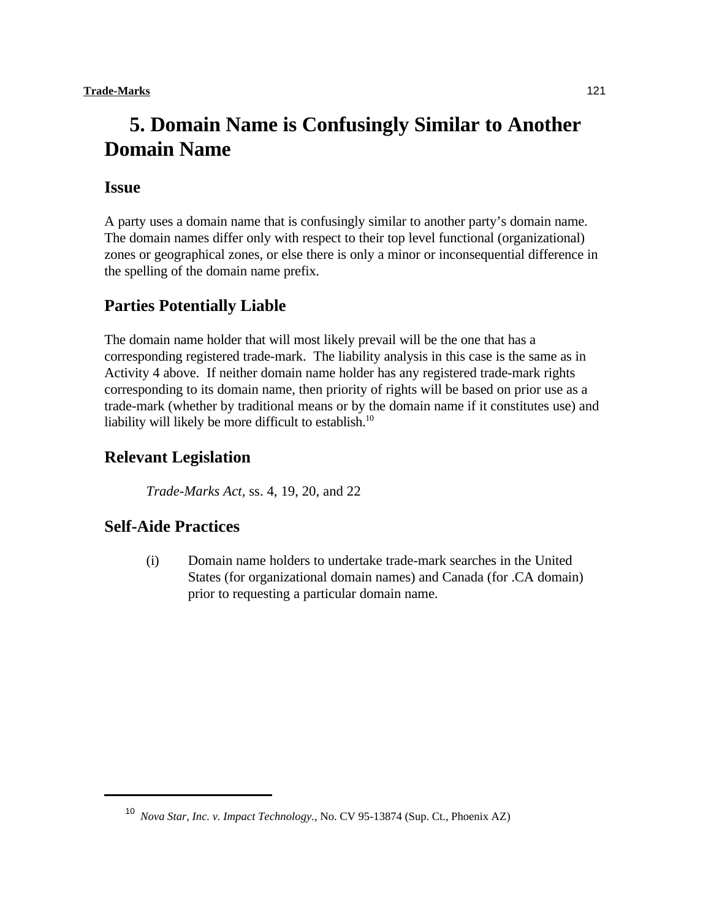# **5. Domain Name is Confusingly Similar to Another Domain Name**

## **Issue**

A party uses a domain name that is confusingly similar to another party's domain name. The domain names differ only with respect to their top level functional (organizational) zones or geographical zones, or else there is only a minor or inconsequential difference in the spelling of the domain name prefix.

# **Parties Potentially Liable**

The domain name holder that will most likely prevail will be the one that has a corresponding registered trade-mark. The liability analysis in this case is the same as in Activity 4 above. If neither domain name holder has any registered trade-mark rights corresponding to its domain name, then priority of rights will be based on prior use as a trade-mark (whether by traditional means or by the domain name if it constitutes use) and liability will likely be more difficult to establish.<sup>10</sup>

# **Relevant Legislation**

*Trade-Marks Act,* ss. 4, 19, 20, and 22

# **Self-Aide Practices**

(i) Domain name holders to undertake trade-mark searches in the United States (for organizational domain names) and Canada (for .CA domain) prior to requesting a particular domain name.

<sup>&</sup>lt;sup>10</sup> *Nova Star, Inc. v. Impact Technology., No. CV 95-13874 (Sup. Ct., Phoenix AZ)*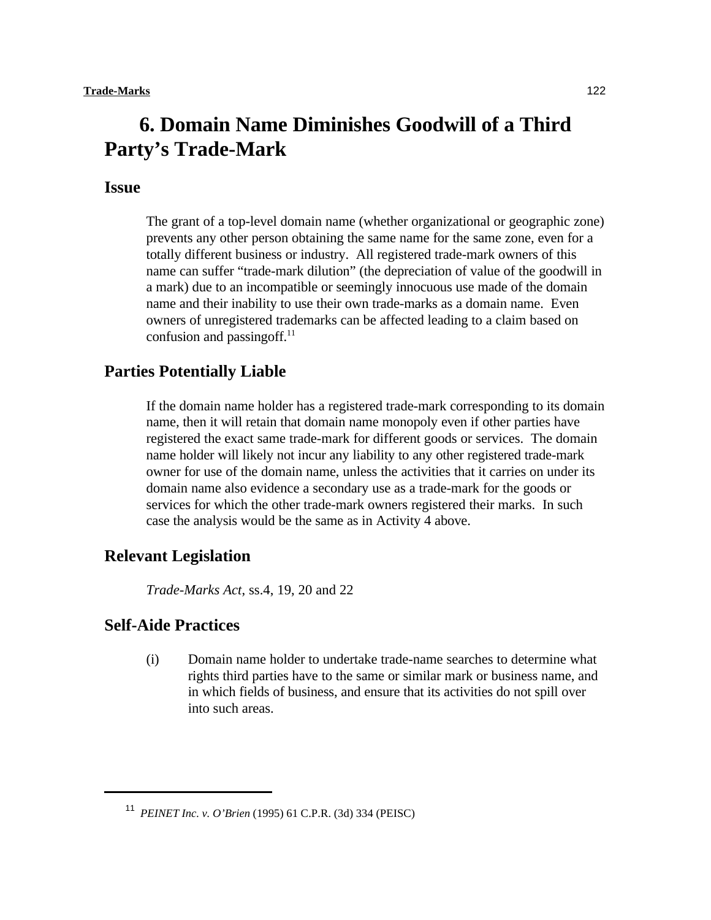# **6. Domain Name Diminishes Goodwill of a Third Party's Trade-Mark**

# **Issue**

The grant of a top-level domain name (whether organizational or geographic zone) prevents any other person obtaining the same name for the same zone, even for a totally different business or industry. All registered trade-mark owners of this name can suffer "trade-mark dilution" (the depreciation of value of the goodwill in a mark) due to an incompatible or seemingly innocuous use made of the domain name and their inability to use their own trade-marks as a domain name. Even owners of unregistered trademarks can be affected leading to a claim based on confusion and passing of  $f<sup>11</sup>$ 

## **Parties Potentially Liable**

If the domain name holder has a registered trade-mark corresponding to its domain name, then it will retain that domain name monopoly even if other parties have registered the exact same trade-mark for different goods or services. The domain name holder will likely not incur any liability to any other registered trade-mark owner for use of the domain name, unless the activities that it carries on under its domain name also evidence a secondary use as a trade-mark for the goods or services for which the other trade-mark owners registered their marks. In such case the analysis would be the same as in Activity 4 above.

## **Relevant Legislation**

*Trade-Marks Act*, ss.4, 19, 20 and 22

# **Self-Aide Practices**

(i) Domain name holder to undertake trade-name searches to determine what rights third parties have to the same or similar mark or business name, and in which fields of business, and ensure that its activities do not spill over into such areas.

<sup>&</sup>lt;sup>11</sup> *PEINET Inc. v. O'Brien* (1995) 61 C.P.R. (3d) 334 (PEISC)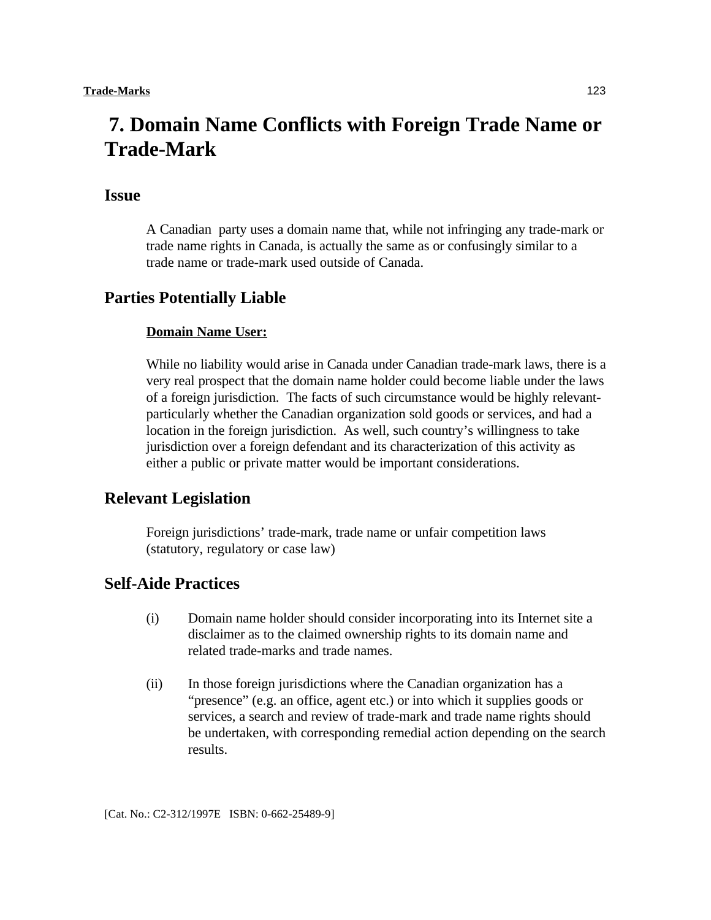# **7. Domain Name Conflicts with Foreign Trade Name or Trade-Mark**

## **Issue**

A Canadian party uses a domain name that, while not infringing any trade-mark or trade name rights in Canada, is actually the same as or confusingly similar to a trade name or trade-mark used outside of Canada.

## **Parties Potentially Liable**

#### **Domain Name User:**

While no liability would arise in Canada under Canadian trade-mark laws, there is a very real prospect that the domain name holder could become liable under the laws of a foreign jurisdiction. The facts of such circumstance would be highly relevantparticularly whether the Canadian organization sold goods or services, and had a location in the foreign jurisdiction. As well, such country's willingness to take jurisdiction over a foreign defendant and its characterization of this activity as either a public or private matter would be important considerations.

## **Relevant Legislation**

Foreign jurisdictions' trade-mark, trade name or unfair competition laws (statutory, regulatory or case law)

# **Self-Aide Practices**

- (i) Domain name holder should consider incorporating into its Internet site a disclaimer as to the claimed ownership rights to its domain name and related trade-marks and trade names.
- (ii) In those foreign jurisdictions where the Canadian organization has a "presence" (e.g. an office, agent etc.) or into which it supplies goods or services, a search and review of trade-mark and trade name rights should be undertaken, with corresponding remedial action depending on the search results.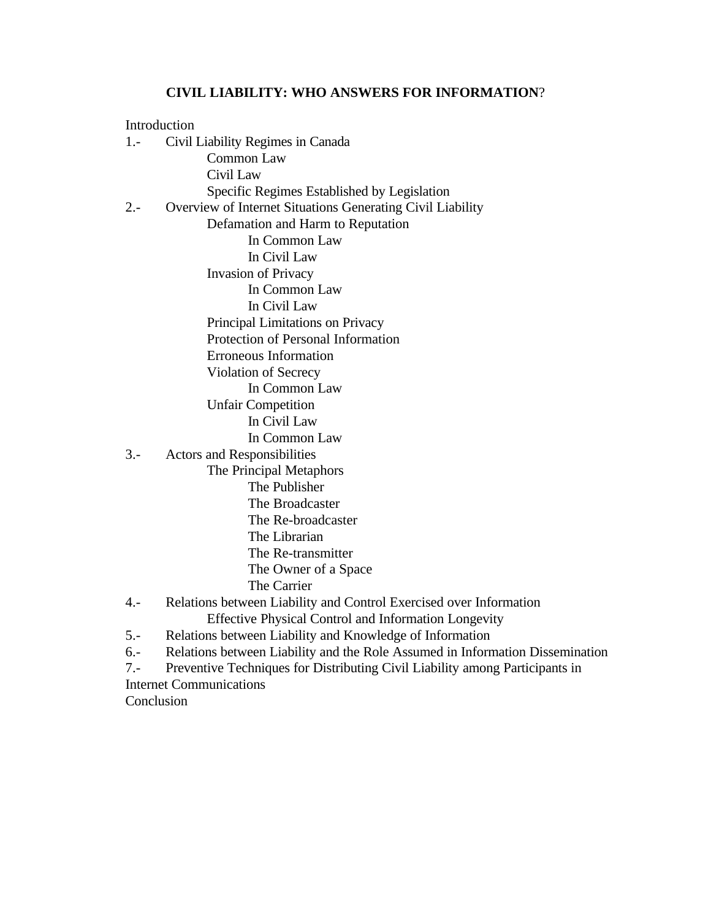# **CIVIL LIABILITY: WHO ANSWERS FOR INFORMATION**?

| Introduction                                                                            |
|-----------------------------------------------------------------------------------------|
| $1 -$<br>Civil Liability Regimes in Canada                                              |
| <b>Common Law</b>                                                                       |
| Civil Law                                                                               |
| Specific Regimes Established by Legislation                                             |
| Overview of Internet Situations Generating Civil Liability<br>$2 -$                     |
| Defamation and Harm to Reputation                                                       |
| In Common Law                                                                           |
| In Civil Law                                                                            |
| <b>Invasion of Privacy</b>                                                              |
| In Common Law                                                                           |
| In Civil Law                                                                            |
| Principal Limitations on Privacy                                                        |
| Protection of Personal Information                                                      |
| <b>Erroneous Information</b>                                                            |
| Violation of Secrecy                                                                    |
| In Common Law                                                                           |
| <b>Unfair Competition</b>                                                               |
| In Civil Law                                                                            |
| In Common Law                                                                           |
| $3 -$<br><b>Actors and Responsibilities</b>                                             |
| The Principal Metaphors                                                                 |
| The Publisher                                                                           |
| The Broadcaster                                                                         |
| The Re-broadcaster                                                                      |
| The Librarian                                                                           |
| The Re-transmitter                                                                      |
| The Owner of a Space                                                                    |
| The Carrier                                                                             |
| Relations between Liability and Control Exercised over Information<br>$4. -$            |
| <b>Effective Physical Control and Information Longevity</b>                             |
| Relations between Liability and Knowledge of Information<br>$5. -$                      |
| $6. -$<br>Relations between Liability and the Role Assumed in Information Dissemination |
| $7. -$<br>Preventive Techniques for Distributing Civil Liability among Participants in  |
| <b>Internet Communications</b>                                                          |

Conclusion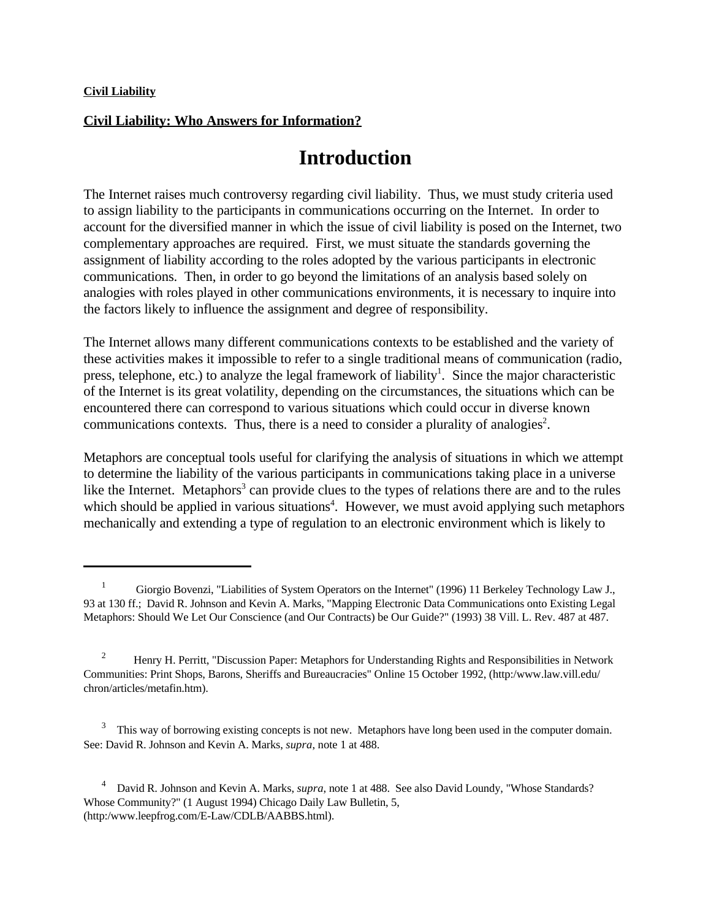### **Civil Liability: Who Answers for Information?**

# **Introduction**

The Internet raises much controversy regarding civil liability. Thus, we must study criteria used to assign liability to the participants in communications occurring on the Internet. In order to account for the diversified manner in which the issue of civil liability is posed on the Internet, two complementary approaches are required. First, we must situate the standards governing the assignment of liability according to the roles adopted by the various participants in electronic communications. Then, in order to go beyond the limitations of an analysis based solely on analogies with roles played in other communications environments, it is necessary to inquire into the factors likely to influence the assignment and degree of responsibility.

The Internet allows many different communications contexts to be established and the variety of these activities makes it impossible to refer to a single traditional means of communication (radio, press, telephone, etc.) to analyze the legal framework of liability<sup>1</sup>. Since the major characteristic of the Internet is its great volatility, depending on the circumstances, the situations which can be encountered there can correspond to various situations which could occur in diverse known communications contexts. Thus, there is a need to consider a plurality of analogies<sup>2</sup>.

Metaphors are conceptual tools useful for clarifying the analysis of situations in which we attempt to determine the liability of the various participants in communications taking place in a universe like the Internet. Metaphors<sup>3</sup> can provide clues to the types of relations there are and to the rules which should be applied in various situations<sup>4</sup>. However, we must avoid applying such metaphors mechanically and extending a type of regulation to an electronic environment which is likely to

 $\frac{1}{1}$  Giorgio Bovenzi, "Liabilities of System Operators on the Internet" (1996) 11 Berkeley Technology Law J., 93 at 130 ff.; David R. Johnson and Kevin A. Marks, "Mapping Electronic Data Communications onto Existing Legal Metaphors: Should We Let Our Conscience (and Our Contracts) be Our Guide?" (1993) 38 Vill. L. Rev. 487 at 487.

<sup>&</sup>lt;sup>2</sup> Henry H. Perritt, "Discussion Paper: Metaphors for Understanding Rights and Responsibilities in Network Communities: Print Shops, Barons, Sheriffs and Bureaucracies" Online 15 October 1992, (http:/www.law.vill.edu/ chron/articles/metafin.htm).

This way of borrowing existing concepts is not new. Metaphors have long been used in the computer domain. See: David R. Johnson and Kevin A. Marks, *supra*, note 1 at 488.

<sup>&</sup>lt;sup>4</sup> David R. Johnson and Kevin A. Marks, *supra*, note 1 at 488. See also David Loundy, "Whose Standards? Whose Community?" (1 August 1994) Chicago Daily Law Bulletin, 5, (http:/www.leepfrog.com/E-Law/CDLB/AABBS.html).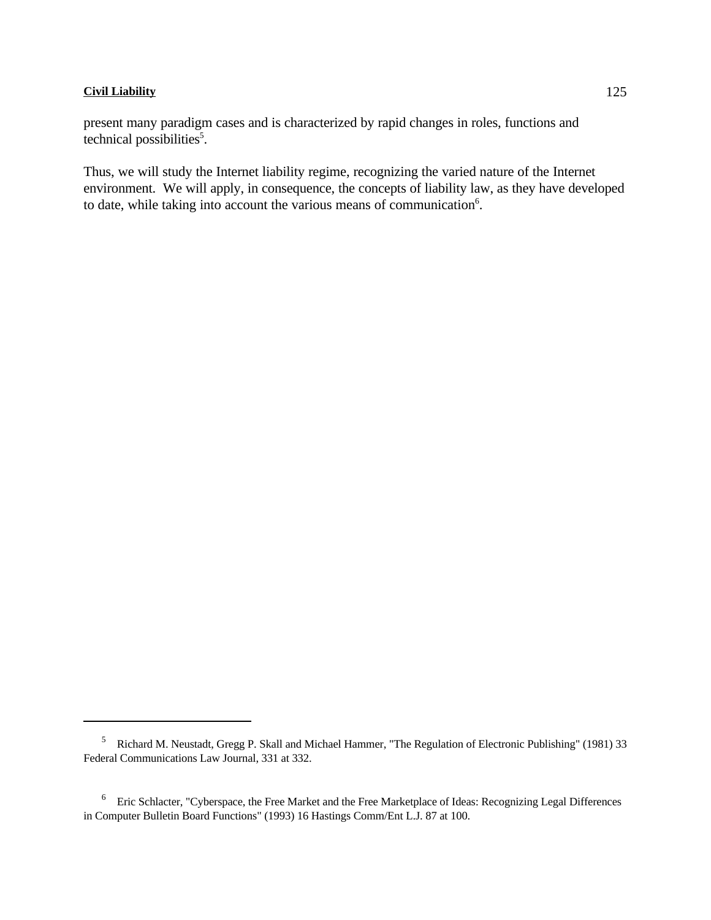present many paradigm cases and is characterized by rapid changes in roles, functions and technical possibilities<sup>5</sup>.

Thus, we will study the Internet liability regime, recognizing the varied nature of the Internet environment. We will apply, in consequence, the concepts of liability law, as they have developed to date, while taking into account the various means of communication<sup>6</sup>.

<sup>&</sup>lt;sup>5</sup> Richard M. Neustadt, Gregg P. Skall and Michael Hammer, "The Regulation of Electronic Publishing" (1981) 33 Federal Communications Law Journal, 331 at 332.

<sup>&</sup>lt;sup>6</sup> Eric Schlacter, "Cyberspace, the Free Market and the Free Marketplace of Ideas: Recognizing Legal Differences in Computer Bulletin Board Functions" (1993) 16 Hastings Comm/Ent L.J. 87 at 100.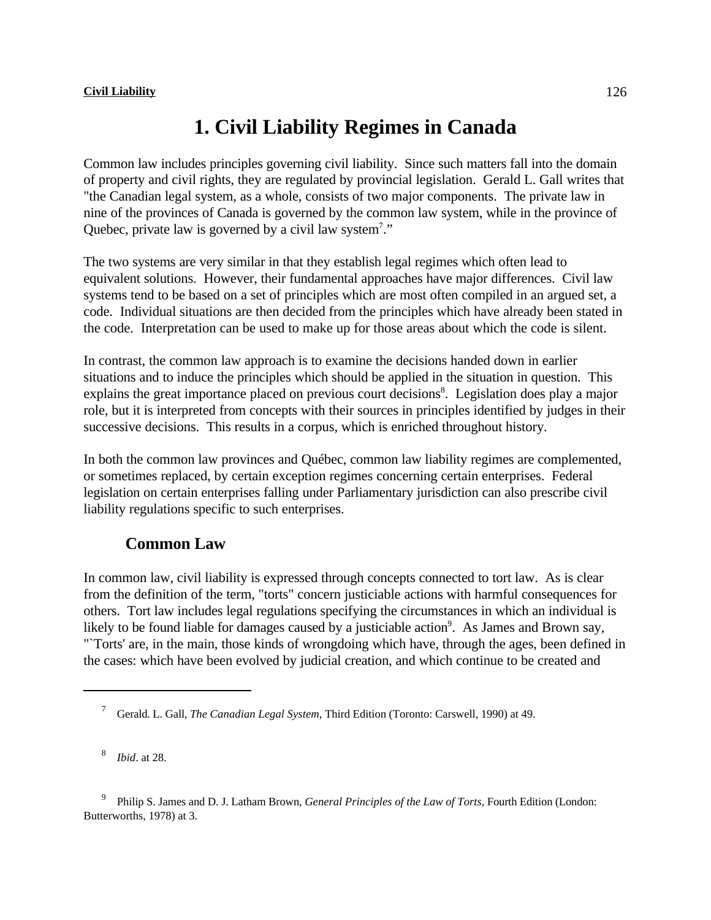# **1. Civil Liability Regimes in Canada**

Common law includes principles governing civil liability. Since such matters fall into the domain of property and civil rights, they are regulated by provincial legislation. Gerald L. Gall writes that "the Canadian legal system, as a whole, consists of two major components. The private law in nine of the provinces of Canada is governed by the common law system, while in the province of Quebec, private law is governed by a civil law system<sup>7</sup>."

The two systems are very similar in that they establish legal regimes which often lead to equivalent solutions. However, their fundamental approaches have major differences. Civil law systems tend to be based on a set of principles which are most often compiled in an argued set, a code. Individual situations are then decided from the principles which have already been stated in the code. Interpretation can be used to make up for those areas about which the code is silent.

In contrast, the common law approach is to examine the decisions handed down in earlier situations and to induce the principles which should be applied in the situation in question. This explains the great importance placed on previous court decisions<sup>8</sup>. Legislation does play a major role, but it is interpreted from concepts with their sources in principles identified by judges in their successive decisions. This results in a corpus, which is enriched throughout history.

In both the common law provinces and Québec, common law liability regimes are complemented, or sometimes replaced, by certain exception regimes concerning certain enterprises. Federal legislation on certain enterprises falling under Parliamentary jurisdiction can also prescribe civil liability regulations specific to such enterprises.

# **Common Law**

In common law, civil liability is expressed through concepts connected to tort law. As is clear from the definition of the term, "torts" concern justiciable actions with harmful consequences for others. Tort law includes legal regulations specifying the circumstances in which an individual is likely to be found liable for damages caused by a justiciable action<sup>9</sup>. As James and Brown say, "`Torts' are, in the main, those kinds of wrongdoing which have, through the ages, been defined in the cases: which have been evolved by judicial creation, and which continue to be created and

<sup>8</sup> *Ibid.* at 28.

Philip S. James and D. J. Latham Brown, *General Principles of the Law of Torts*, Fourth Edition (London: Butterworths, 1978) at 3.

Gerald. L. Gall, *The Canadian Legal System*, Third Edition (Toronto: Carswell, 1990) at 49. <sup>7</sup>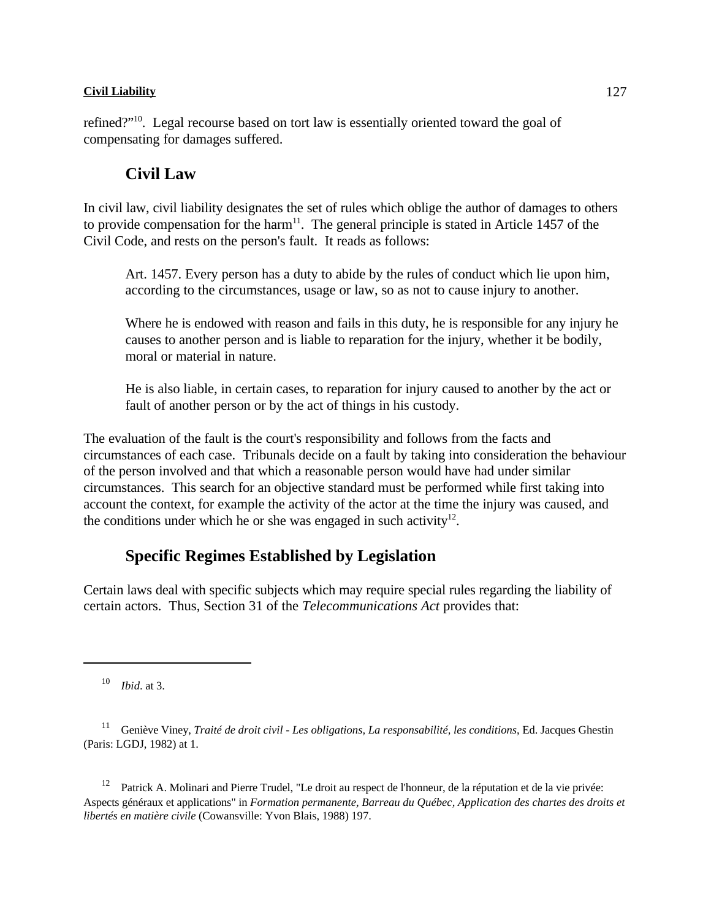refined?"<sup>10</sup>. Legal recourse based on tort law is essentially oriented toward the goal of compensating for damages suffered.

## **Civil Law**

In civil law, civil liability designates the set of rules which oblige the author of damages to others to provide compensation for the harm<sup>11</sup>. The general principle is stated in Article 1457 of the Civil Code, and rests on the person's fault. It reads as follows:

Art. 1457. Every person has a duty to abide by the rules of conduct which lie upon him, according to the circumstances, usage or law, so as not to cause injury to another.

Where he is endowed with reason and fails in this duty, he is responsible for any injury he causes to another person and is liable to reparation for the injury, whether it be bodily, moral or material in nature.

He is also liable, in certain cases, to reparation for injury caused to another by the act or fault of another person or by the act of things in his custody.

The evaluation of the fault is the court's responsibility and follows from the facts and circumstances of each case. Tribunals decide on a fault by taking into consideration the behaviour of the person involved and that which a reasonable person would have had under similar circumstances. This search for an objective standard must be performed while first taking into account the context, for example the activity of the actor at the time the injury was caused, and the conditions under which he or she was engaged in such activity $12$ .

# **Specific Regimes Established by Legislation**

Certain laws deal with specific subjects which may require special rules regarding the liability of certain actors. Thus, Section 31 of the *Telecommunications Act* provides that:

<sup>10</sup> *Ibid.* at 3.

<sup>12</sup> Patrick A. Molinari and Pierre Trudel, "Le droit au respect de l'honneur, de la réputation et de la vie privée: Aspects généraux et applications" in *Formation permanente, Barreau du Québec, Application des chartes des droits et libertés en matière civile* (Cowansville: Yvon Blais, 1988) 197.

<sup>&</sup>lt;sup>11</sup> Geniève Viney, *Traité de droit civil - Les obligations, La responsabilité, les conditions*, Ed. Jacques Ghestin (Paris: LGDJ, 1982) at 1.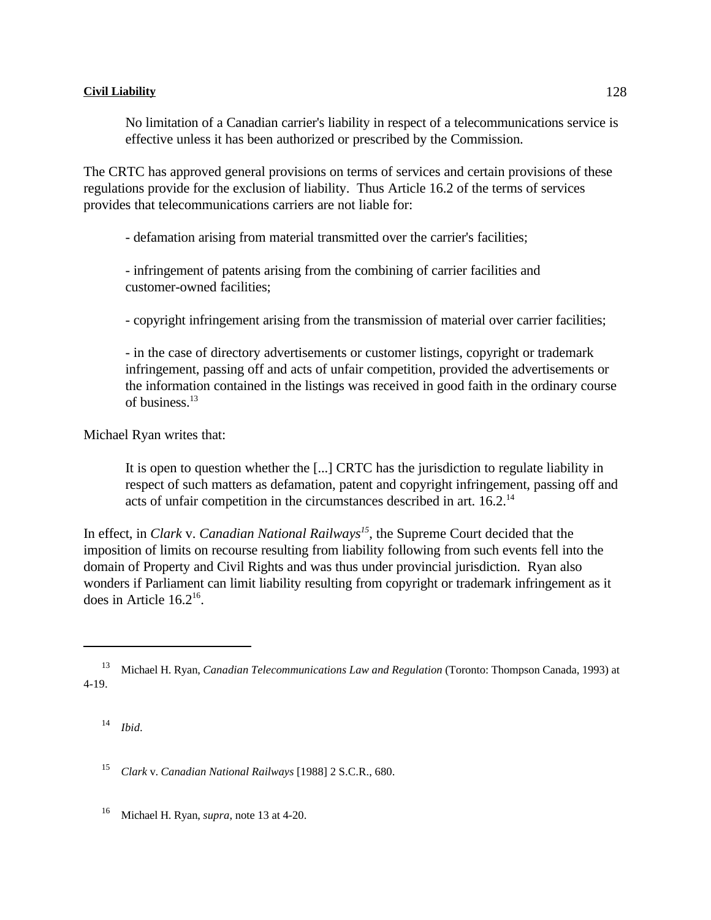No limitation of a Canadian carrier's liability in respect of a telecommunications service is effective unless it has been authorized or prescribed by the Commission.

The CRTC has approved general provisions on terms of services and certain provisions of these regulations provide for the exclusion of liability. Thus Article 16.2 of the terms of services provides that telecommunications carriers are not liable for:

- defamation arising from material transmitted over the carrier's facilities;

- infringement of patents arising from the combining of carrier facilities and customer-owned facilities;

- copyright infringement arising from the transmission of material over carrier facilities;

- in the case of directory advertisements or customer listings, copyright or trademark infringement, passing off and acts of unfair competition, provided the advertisements or the information contained in the listings was received in good faith in the ordinary course of business.<sup>13</sup>

Michael Ryan writes that:

It is open to question whether the [...] CRTC has the jurisdiction to regulate liability in respect of such matters as defamation, patent and copyright infringement, passing off and acts of unfair competition in the circumstances described in art. 16.2.<sup>14</sup>

In effect, in *Clark* v. *Canadian National Railways<sup>15</sup>*, the Supreme Court decided that the imposition of limits on recourse resulting from liability following from such events fell into the domain of Property and Civil Rights and was thus under provincial jurisdiction. Ryan also wonders if Parliament can limit liability resulting from copyright or trademark infringement as it does in Article  $16.2<sup>16</sup>$ .

*Ibid*. 14

<sup>15</sup> Clark v. *Canadian National Railways* [1988] 2 S.C.R., 680.

<sup>16</sup> Michael H. Ryan, *supra*, note 13 at 4-20.

<sup>&</sup>lt;sup>13</sup> Michael H. Ryan, *Canadian Telecommunications Law and Regulation* (Toronto: Thompson Canada, 1993) at 4-19.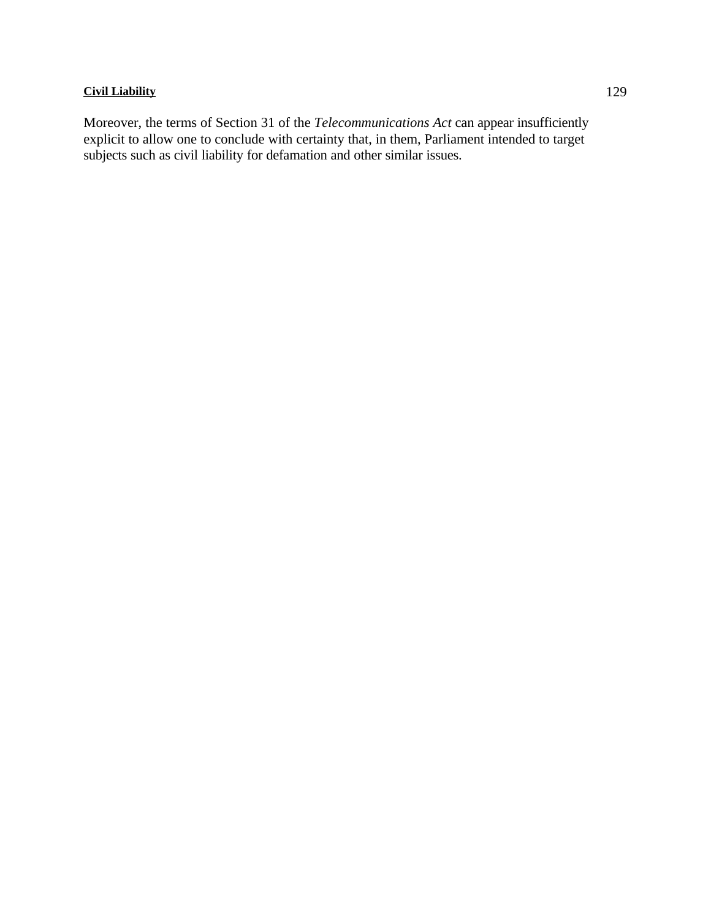Moreover, the terms of Section 31 of the *Telecommunications Act* can appear insufficiently explicit to allow one to conclude with certainty that, in them, Parliament intended to target subjects such as civil liability for defamation and other similar issues.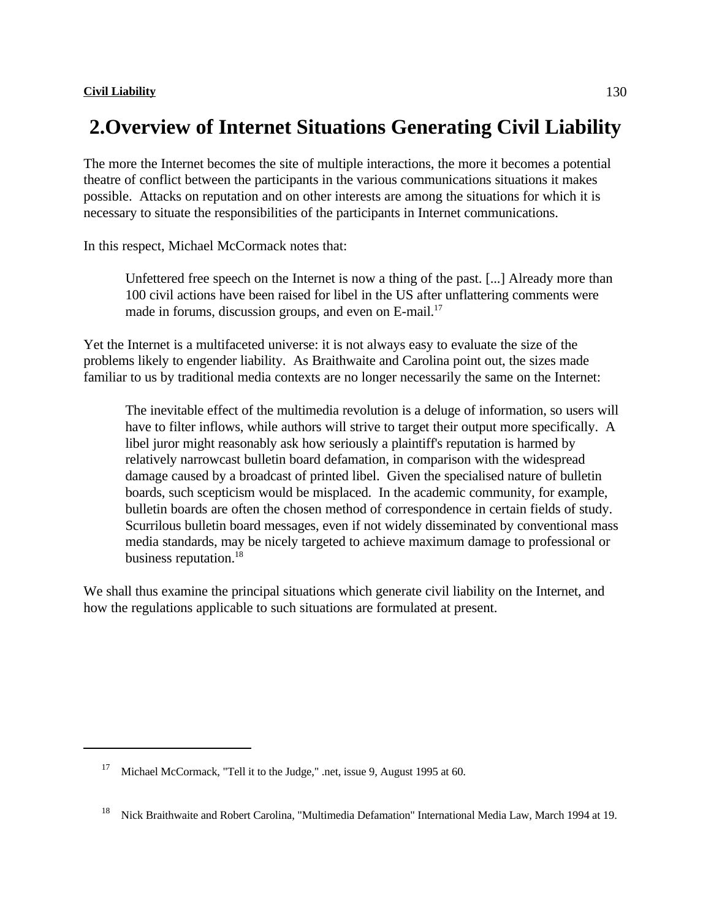# **2.Overview of Internet Situations Generating Civil Liability**

The more the Internet becomes the site of multiple interactions, the more it becomes a potential theatre of conflict between the participants in the various communications situations it makes possible. Attacks on reputation and on other interests are among the situations for which it is necessary to situate the responsibilities of the participants in Internet communications.

In this respect, Michael McCormack notes that:

Unfettered free speech on the Internet is now a thing of the past. [...] Already more than 100 civil actions have been raised for libel in the US after unflattering comments were made in forums, discussion groups, and even on  $E$ -mail.<sup>17</sup>

Yet the Internet is a multifaceted universe: it is not always easy to evaluate the size of the problems likely to engender liability. As Braithwaite and Carolina point out, the sizes made familiar to us by traditional media contexts are no longer necessarily the same on the Internet:

The inevitable effect of the multimedia revolution is a deluge of information, so users will have to filter inflows, while authors will strive to target their output more specifically. A libel juror might reasonably ask how seriously a plaintiff's reputation is harmed by relatively narrowcast bulletin board defamation, in comparison with the widespread damage caused by a broadcast of printed libel. Given the specialised nature of bulletin boards, such scepticism would be misplaced. In the academic community, for example, bulletin boards are often the chosen method of correspondence in certain fields of study. Scurrilous bulletin board messages, even if not widely disseminated by conventional mass media standards, may be nicely targeted to achieve maximum damage to professional or business reputation.<sup>18</sup>

We shall thus examine the principal situations which generate civil liability on the Internet, and how the regulations applicable to such situations are formulated at present.

<sup>&</sup>lt;sup>17</sup> Michael McCormack, "Tell it to the Judge," .net, issue 9, August 1995 at 60.

<sup>&</sup>lt;sup>18</sup> Nick Braithwaite and Robert Carolina, "Multimedia Defamation" International Media Law, March 1994 at 19.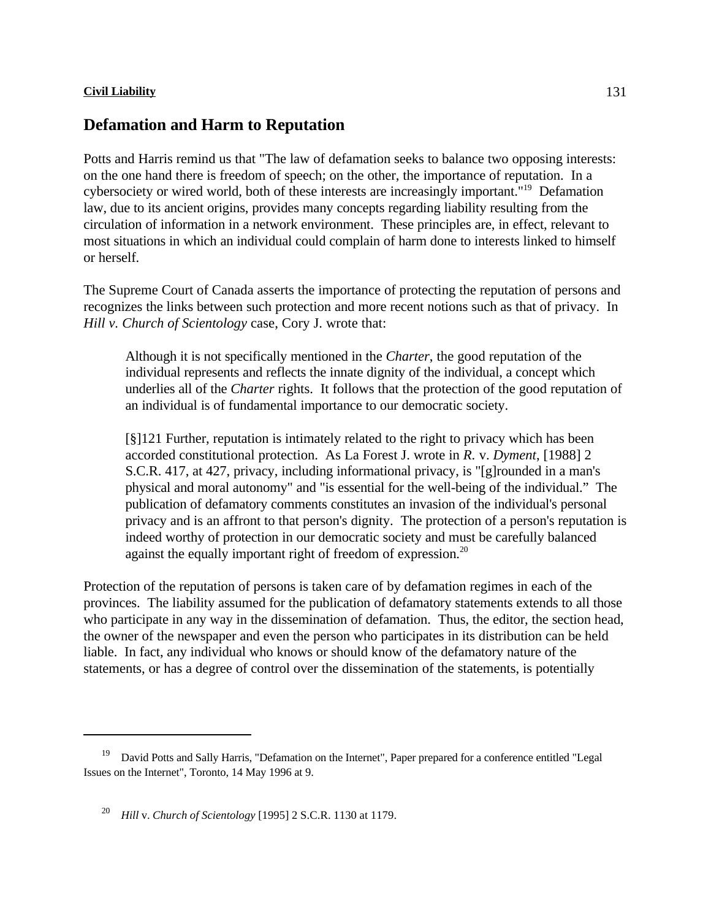# **Defamation and Harm to Reputation**

Potts and Harris remind us that "The law of defamation seeks to balance two opposing interests: on the one hand there is freedom of speech; on the other, the importance of reputation. In a cybersociety or wired world, both of these interests are increasingly important."<sup>19</sup> Defamation law, due to its ancient origins, provides many concepts regarding liability resulting from the circulation of information in a network environment. These principles are, in effect, relevant to most situations in which an individual could complain of harm done to interests linked to himself or herself.

The Supreme Court of Canada asserts the importance of protecting the reputation of persons and recognizes the links between such protection and more recent notions such as that of privacy. In *Hill v. Church of Scientology* case, Cory J. wrote that:

Although it is not specifically mentioned in the *Charter*, the good reputation of the individual represents and reflects the innate dignity of the individual, a concept which underlies all of the *Charter* rights. It follows that the protection of the good reputation of an individual is of fundamental importance to our democratic society.

[§]121 Further, reputation is intimately related to the right to privacy which has been accorded constitutional protection. As La Forest J. wrote in *R.* v. *Dyment*, [1988] 2 S.C.R. 417, at 427, privacy, including informational privacy, is "[g]rounded in a man's physical and moral autonomy" and "is essential for the well-being of the individual." The publication of defamatory comments constitutes an invasion of the individual's personal privacy and is an affront to that person's dignity. The protection of a person's reputation is indeed worthy of protection in our democratic society and must be carefully balanced against the equally important right of freedom of expression.<sup>20</sup>

Protection of the reputation of persons is taken care of by defamation regimes in each of the provinces. The liability assumed for the publication of defamatory statements extends to all those who participate in any way in the dissemination of defamation. Thus, the editor, the section head, the owner of the newspaper and even the person who participates in its distribution can be held liable. In fact, any individual who knows or should know of the defamatory nature of the statements, or has a degree of control over the dissemination of the statements, is potentially

<sup>&</sup>lt;sup>19</sup> David Potts and Sally Harris, "Defamation on the Internet", Paper prepared for a conference entitled "Legal Issues on the Internet", Toronto, 14 May 1996 at 9.

<sup>&</sup>lt;sup>20</sup> *Hill* v. *Church of Scientology* [1995] 2 S.C.R. 1130 at 1179.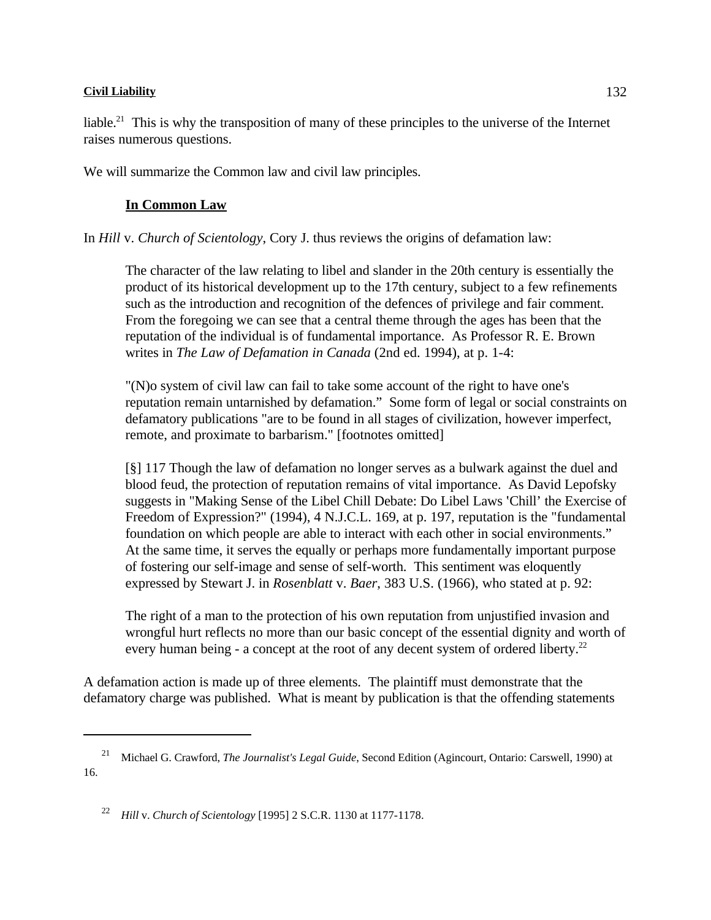liable.<sup>21</sup> This is why the transposition of many of these principles to the universe of the Internet raises numerous questions.

We will summarize the Common law and civil law principles.

## **In Common Law**

In *Hill* v. *Church of Scientology*, Cory J. thus reviews the origins of defamation law:

The character of the law relating to libel and slander in the 20th century is essentially the product of its historical development up to the 17th century, subject to a few refinements such as the introduction and recognition of the defences of privilege and fair comment. From the foregoing we can see that a central theme through the ages has been that the reputation of the individual is of fundamental importance. As Professor R. E. Brown writes in *The Law of Defamation in Canada* (2nd ed. 1994), at p. 1-4:

"(N)o system of civil law can fail to take some account of the right to have one's reputation remain untarnished by defamation." Some form of legal or social constraints on defamatory publications "are to be found in all stages of civilization, however imperfect, remote, and proximate to barbarism." [footnotes omitted]

[§] 117 Though the law of defamation no longer serves as a bulwark against the duel and blood feud, the protection of reputation remains of vital importance. As David Lepofsky suggests in "Making Sense of the Libel Chill Debate: Do Libel Laws 'Chill' the Exercise of Freedom of Expression?" (1994), 4 N.J.C.L. 169, at p. 197, reputation is the "fundamental foundation on which people are able to interact with each other in social environments." At the same time, it serves the equally or perhaps more fundamentally important purpose of fostering our self-image and sense of self-worth. This sentiment was eloquently expressed by Stewart J. in *Rosenblatt* v. *Baer*, 383 U.S. (1966), who stated at p. 92:

The right of a man to the protection of his own reputation from unjustified invasion and wrongful hurt reflects no more than our basic concept of the essential dignity and worth of every human being - a concept at the root of any decent system of ordered liberty.<sup>22</sup>

A defamation action is made up of three elements. The plaintiff must demonstrate that the defamatory charge was published. What is meant by publication is that the offending statements

<sup>&</sup>lt;sup>21</sup> Michael G. Crawford, *The Journalist's Legal Guide*, Second Edition (Agincourt, Ontario: Carswell, 1990) at 16.

<sup>&</sup>lt;sup>22</sup> *Hill* v. *Church of Scientology* [1995] 2 S.C.R. 1130 at 1177-1178.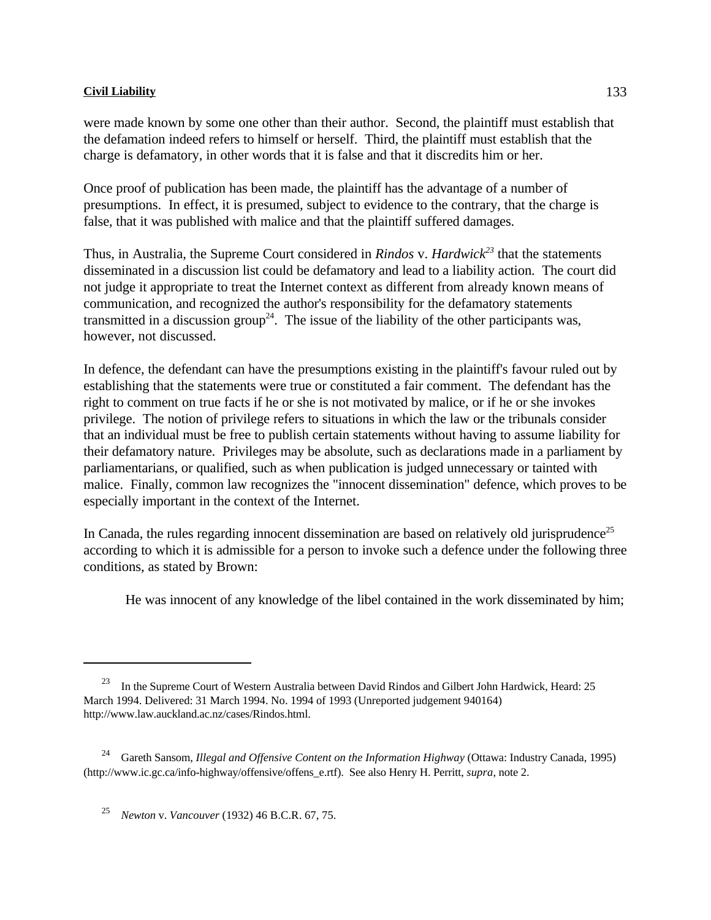were made known by some one other than their author. Second, the plaintiff must establish that the defamation indeed refers to himself or herself. Third, the plaintiff must establish that the charge is defamatory, in other words that it is false and that it discredits him or her.

Once proof of publication has been made, the plaintiff has the advantage of a number of presumptions. In effect, it is presumed, subject to evidence to the contrary, that the charge is false, that it was published with malice and that the plaintiff suffered damages.

Thus, in Australia, the Supreme Court considered in *Rindos* v. *Hardwick*<sup>23</sup> that the statements disseminated in a discussion list could be defamatory and lead to a liability action. The court did not judge it appropriate to treat the Internet context as different from already known means of communication, and recognized the author's responsibility for the defamatory statements transmitted in a discussion group<sup>24</sup>. The issue of the liability of the other participants was, however, not discussed.

In defence, the defendant can have the presumptions existing in the plaintiff's favour ruled out by establishing that the statements were true or constituted a fair comment. The defendant has the right to comment on true facts if he or she is not motivated by malice, or if he or she invokes privilege. The notion of privilege refers to situations in which the law or the tribunals consider that an individual must be free to publish certain statements without having to assume liability for their defamatory nature. Privileges may be absolute, such as declarations made in a parliament by parliamentarians, or qualified, such as when publication is judged unnecessary or tainted with malice. Finally, common law recognizes the "innocent dissemination" defence, which proves to be especially important in the context of the Internet.

In Canada, the rules regarding innocent dissemination are based on relatively old jurisprudence<sup>25</sup> according to which it is admissible for a person to invoke such a defence under the following three conditions, as stated by Brown:

He was innocent of any knowledge of the libel contained in the work disseminated by him;

<sup>&</sup>lt;sup>23</sup> In the Supreme Court of Western Australia between David Rindos and Gilbert John Hardwick, Heard: 25 March 1994. Delivered: 31 March 1994. No. 1994 of 1993 (Unreported judgement 940164) http://www.law.auckland.ac.nz/cases/Rindos.html.

<sup>&</sup>lt;sup>24</sup> Gareth Sansom, *Illegal and Offensive Content on the Information Highway* (Ottawa: Industry Canada, 1995) (http://www.ic.gc.ca/info-highway/offensive/offens\_e.rtf). See also Henry H. Perritt, *supra*, note 2.

*Newton* v. *Vancouver* (1932) 46 B.C.R. 67, 75. <sup>25</sup>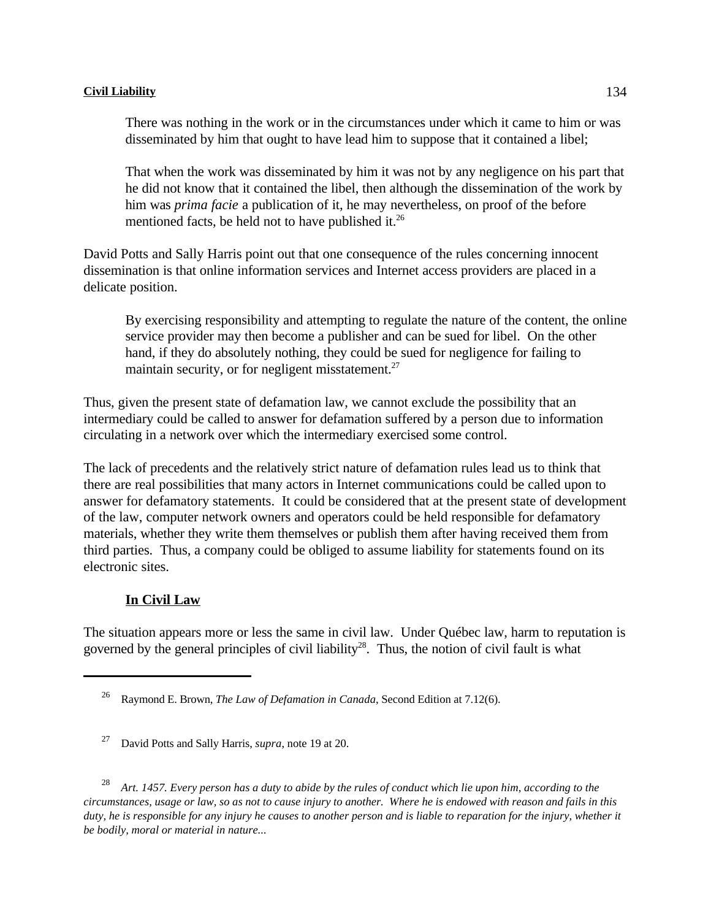There was nothing in the work or in the circumstances under which it came to him or was disseminated by him that ought to have lead him to suppose that it contained a libel;

That when the work was disseminated by him it was not by any negligence on his part that he did not know that it contained the libel, then although the dissemination of the work by him was *prima facie* a publication of it, he may nevertheless, on proof of the before mentioned facts, be held not to have published it.<sup>26</sup>

David Potts and Sally Harris point out that one consequence of the rules concerning innocent dissemination is that online information services and Internet access providers are placed in a delicate position.

By exercising responsibility and attempting to regulate the nature of the content, the online service provider may then become a publisher and can be sued for libel. On the other hand, if they do absolutely nothing, they could be sued for negligence for failing to maintain security, or for negligent misstatement.<sup>27</sup>

Thus, given the present state of defamation law, we cannot exclude the possibility that an intermediary could be called to answer for defamation suffered by a person due to information circulating in a network over which the intermediary exercised some control.

The lack of precedents and the relatively strict nature of defamation rules lead us to think that there are real possibilities that many actors in Internet communications could be called upon to answer for defamatory statements. It could be considered that at the present state of development of the law, computer network owners and operators could be held responsible for defamatory materials, whether they write them themselves or publish them after having received them from third parties. Thus, a company could be obliged to assume liability for statements found on its electronic sites.

## **In Civil Law**

The situation appears more or less the same in civil law. Under Québec law, harm to reputation is governed by the general principles of civil liability<sup>28</sup>. Thus, the notion of civil fault is what

<sup>28</sup> Art. 1457. Every person has a duty to abide by the rules of conduct which lie upon him, according to the *circumstances, usage or law, so as not to cause injury to another. Where he is endowed with reason and fails in this duty, he is responsible for any injury he causes to another person and is liable to reparation for the injury, whether it be bodily, moral or material in nature...*

Raymond E. Brown, *The Law of Defamation in Canada*, Second Edition at 7.12(6). <sup>26</sup>

<sup>&</sup>lt;sup>27</sup> David Potts and Sally Harris, *supra*, note 19 at 20.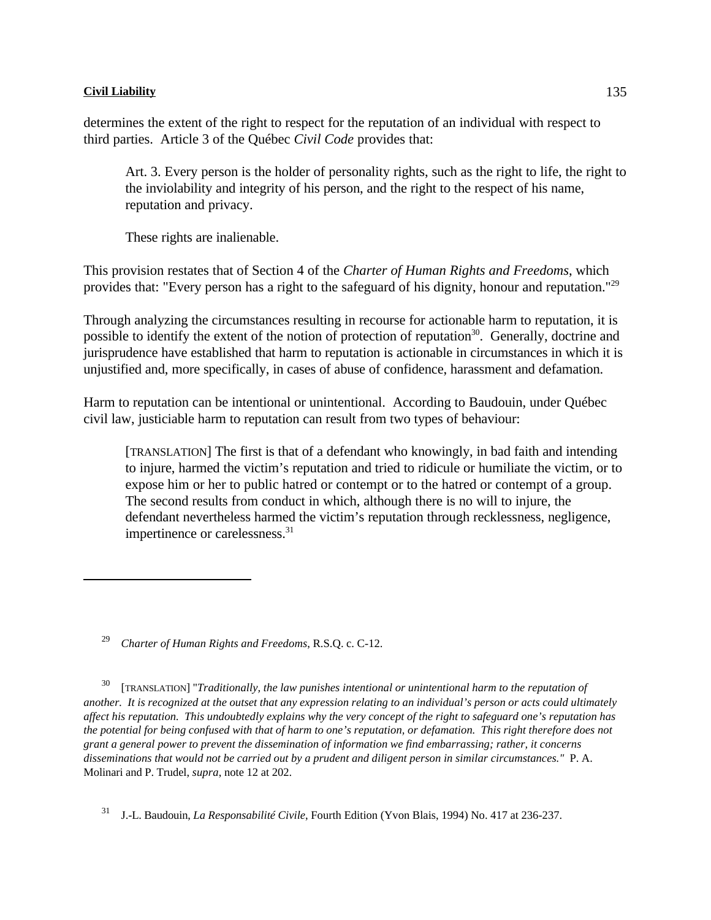determines the extent of the right to respect for the reputation of an individual with respect to third parties. Article 3 of the Québec *Civil Code* provides that:

Art. 3. Every person is the holder of personality rights, such as the right to life, the right to the inviolability and integrity of his person, and the right to the respect of his name, reputation and privacy.

These rights are inalienable.

This provision restates that of Section 4 of the *Charter of Human Rights and Freedoms*, which provides that: "Every person has a right to the safeguard of his dignity, honour and reputation."<sup>29</sup>

Through analyzing the circumstances resulting in recourse for actionable harm to reputation, it is possible to identify the extent of the notion of protection of reputation<sup>30</sup>. Generally, doctrine and jurisprudence have established that harm to reputation is actionable in circumstances in which it is unjustified and, more specifically, in cases of abuse of confidence, harassment and defamation.

Harm to reputation can be intentional or unintentional. According to Baudouin, under Québec civil law, justiciable harm to reputation can result from two types of behaviour:

[TRANSLATION] The first is that of a defendant who knowingly, in bad faith and intending to injure, harmed the victim's reputation and tried to ridicule or humiliate the victim, or to expose him or her to public hatred or contempt or to the hatred or contempt of a group. The second results from conduct in which, although there is no will to injure, the defendant nevertheless harmed the victim's reputation through recklessness, negligence, impertinence or carelessness.<sup>31</sup>

<sup>30</sup> [TRANSLATION] "*Traditionally, the law punishes intentional or unintentional harm to the reputation of another. It is recognized at the outset that any expression relating to an individual's person or acts could ultimately affect his reputation. This undoubtedly explains why the very concept of the right to safeguard one's reputation has the potential for being confused with that of harm to one's reputation, or defamation. This right therefore does not grant a general power to prevent the dissemination of information we find embarrassing; rather, it concerns disseminations that would not be carried out by a prudent and diligent person in similar circumstances."* P. A. Molinari and P. Trudel, *supra*, note 12 at 202.

<sup>31</sup> J.-L. Baudouin, *La Responsabilité Civile*, Fourth Edition (Yvon Blais, 1994) No. 417 at 236-237.

<sup>&</sup>lt;sup>29</sup> Charter of Human Rights and Freedoms, R.S.O. c. C-12.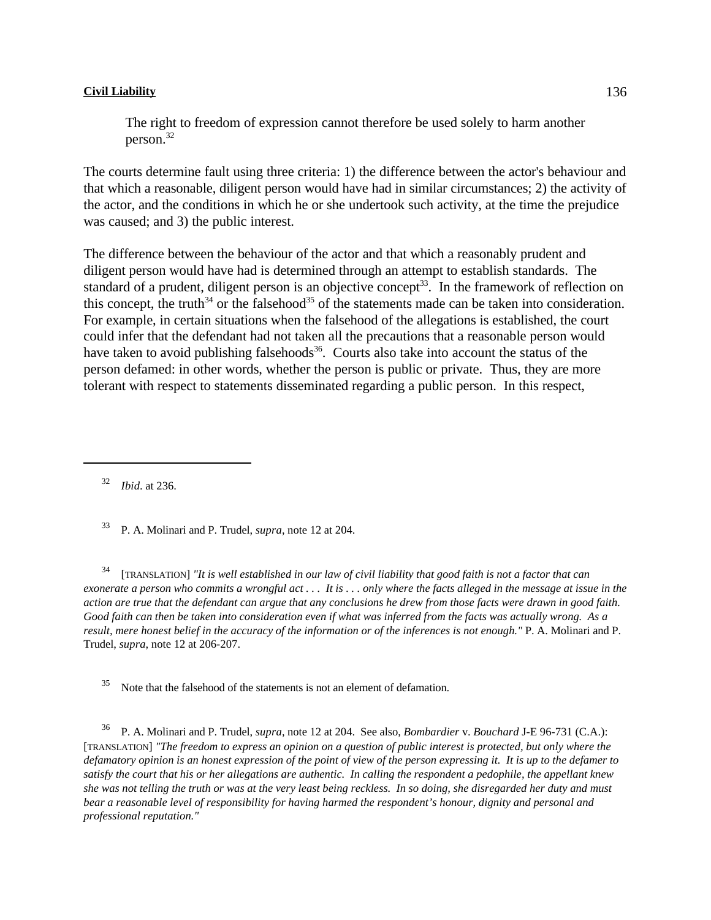The right to freedom of expression cannot therefore be used solely to harm another person.<sup>32</sup>

The courts determine fault using three criteria: 1) the difference between the actor's behaviour and that which a reasonable, diligent person would have had in similar circumstances; 2) the activity of the actor, and the conditions in which he or she undertook such activity, at the time the prejudice was caused; and 3) the public interest.

The difference between the behaviour of the actor and that which a reasonably prudent and diligent person would have had is determined through an attempt to establish standards. The standard of a prudent, diligent person is an objective concept<sup>33</sup>. In the framework of reflection on this concept, the truth<sup>34</sup> or the falsehood<sup>35</sup> of the statements made can be taken into consideration. For example, in certain situations when the falsehood of the allegations is established, the court could infer that the defendant had not taken all the precautions that a reasonable person would have taken to avoid publishing falsehoods<sup>36</sup>. Courts also take into account the status of the person defamed: in other words, whether the person is public or private. Thus, they are more tolerant with respect to statements disseminated regarding a public person. In this respect,

<sup>32</sup> *Ibid.* at 236.

 [TRANSLATION] *"It is well established in our law of civil liability that good faith is not a factor that can* <sup>34</sup> *exonerate a person who commits a wrongful act . . . It is . . . only where the facts alleged in the message at issue in the action are true that the defendant can argue that any conclusions he drew from those facts were drawn in good faith. Good faith can then be taken into consideration even if what was inferred from the facts was actually wrong. As a result, mere honest belief in the accuracy of the information or of the inferences is not enough."* P. A. Molinari and P. Trudel, *supra*, note 12 at 206-207.

 $35$  Note that the falsehood of the statements is not an element of defamation.

 P. A. Molinari and P. Trudel, *supra*, note 12 at 204. See also, *Bombardier* v. *Bouchard* J-E 96-731 (C.A.): <sup>36</sup> [TRANSLATION] *"The freedom to express an opinion on a question of public interest is protected, but only where the defamatory opinion is an honest expression of the point of view of the person expressing it. It is up to the defamer to satisfy the court that his or her allegations are authentic. In calling the respondent a pedophile, the appellant knew she was not telling the truth or was at the very least being reckless. In so doing, she disregarded her duty and must bear a reasonable level of responsibility for having harmed the respondent's honour, dignity and personal and professional reputation."*

P. A. Molinari and P. Trudel, *supra*, note 12 at 204. <sup>33</sup>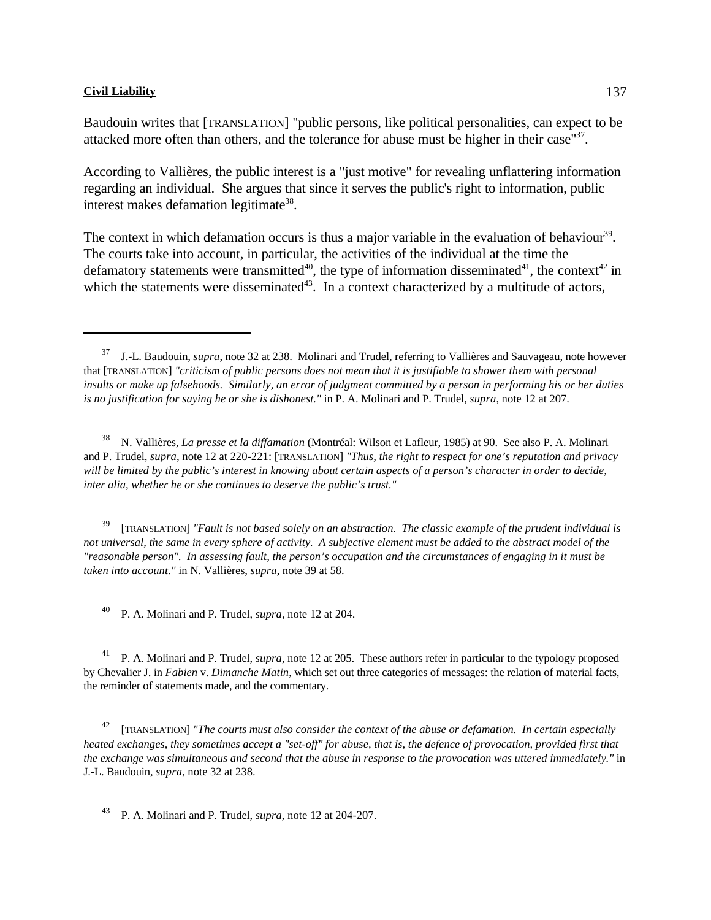Baudouin writes that [TRANSLATION] "public persons, like political personalities, can expect to be attacked more often than others, and the tolerance for abuse must be higher in their case"<sup>37</sup>.

According to Vallières, the public interest is a "just motive" for revealing unflattering information regarding an individual. She argues that since it serves the public's right to information, public interest makes defamation legitimate<sup>38</sup>.

The context in which defamation occurs is thus a major variable in the evaluation of behaviour<sup>39</sup>. The courts take into account, in particular, the activities of the individual at the time the defamatory statements were transmitted<sup>40</sup>, the type of information disseminated<sup>41</sup>, the context<sup>42</sup> in which the statements were disseminated<sup>43</sup>. In a context characterized by a multitude of actors,

<sup>38</sup> N. Vallières, *La presse et la diffamation* (Montréal: Wilson et Lafleur, 1985) at 90. See also P. A. Molinari and P. Trudel, *supra*, note 12 at 220-221: [TRANSLATION] *"Thus, the right to respect for one's reputation and privacy will be limited by the public's interest in knowing about certain aspects of a person's character in order to decide, inter alia, whether he or she continues to deserve the public's trust."*

 [TRANSLATION] *"Fault is not based solely on an abstraction. The classic example of the prudent individual is* <sup>39</sup> *not universal, the same in every sphere of activity. A subjective element must be added to the abstract model of the "reasonable person". In assessing fault, the person's occupation and the circumstances of engaging in it must be taken into account."* in N. Vallières, *supra*, note 39 at 58.

P. A. Molinari and P. Trudel, *supra*, note 12 at 204.

<sup>41</sup> P. A. Molinari and P. Trudel, *supra*, note 12 at 205. These authors refer in particular to the typology proposed by Chevalier J. in *Fabien* v. *Dimanche Matin*, which set out three categories of messages: the relation of material facts, the reminder of statements made, and the commentary.

<sup>42</sup> [TRANSLATION] "The courts must also consider the context of the abuse or defamation. In certain especially *heated exchanges, they sometimes accept a "set-off" for abuse, that is, the defence of provocation, provided first that the exchange was simultaneous and second that the abuse in response to the provocation was uttered immediately."* in J.-L. Baudouin, *supra*, note 32 at 238.

<sup>43</sup> P. A. Molinari and P. Trudel, *supra*, note 12 at 204-207.

J.-L. Baudouin, *supra*, note 32 at 238. Molinari and Trudel, referring to Vallières and Sauvageau, note however that [TRANSLATION] *"criticism of public persons does not mean that it is justifiable to shower them with personal insults or make up falsehoods. Similarly, an error of judgment committed by a person in performing his or her duties is no justification for saying he or she is dishonest."* in P. A. Molinari and P. Trudel, *supra*, note 12 at 207.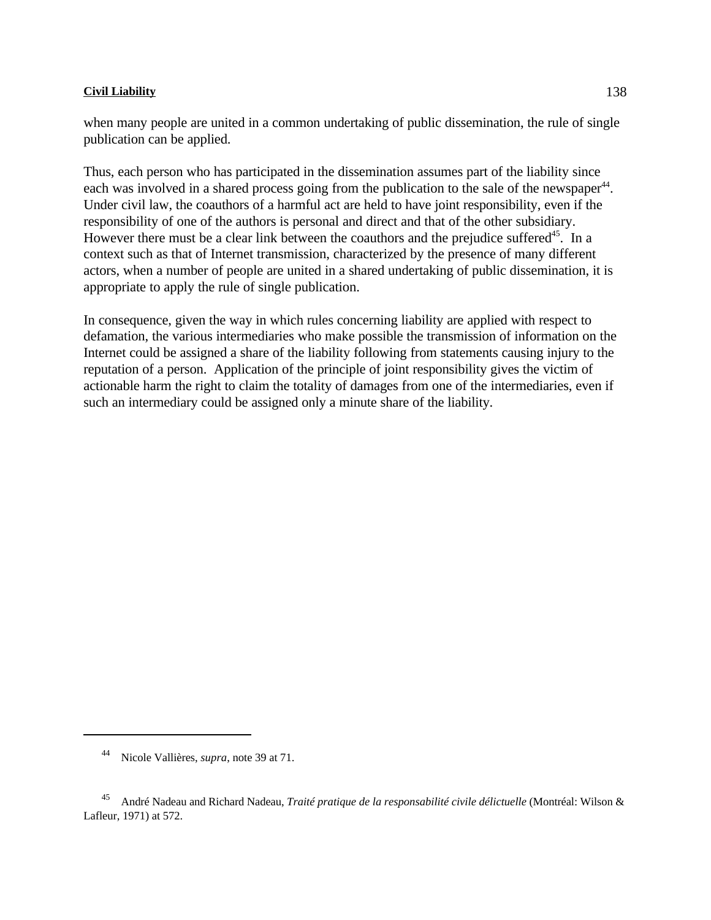when many people are united in a common undertaking of public dissemination, the rule of single publication can be applied.

Thus, each person who has participated in the dissemination assumes part of the liability since each was involved in a shared process going from the publication to the sale of the newspaper<sup>44</sup>. Under civil law, the coauthors of a harmful act are held to have joint responsibility, even if the responsibility of one of the authors is personal and direct and that of the other subsidiary. However there must be a clear link between the coauthors and the prejudice suffered<sup>45</sup>. In a context such as that of Internet transmission, characterized by the presence of many different actors, when a number of people are united in a shared undertaking of public dissemination, it is appropriate to apply the rule of single publication.

In consequence, given the way in which rules concerning liability are applied with respect to defamation, the various intermediaries who make possible the transmission of information on the Internet could be assigned a share of the liability following from statements causing injury to the reputation of a person. Application of the principle of joint responsibility gives the victim of actionable harm the right to claim the totality of damages from one of the intermediaries, even if such an intermediary could be assigned only a minute share of the liability.

Nicole Vallières, *supra*, note 39 at 71.

André Nadeau and Richard Nadeau, *Traité pratique de la responsabilité civile délictuelle* (Montréal: Wilson & <sup>45</sup> Lafleur, 1971) at 572.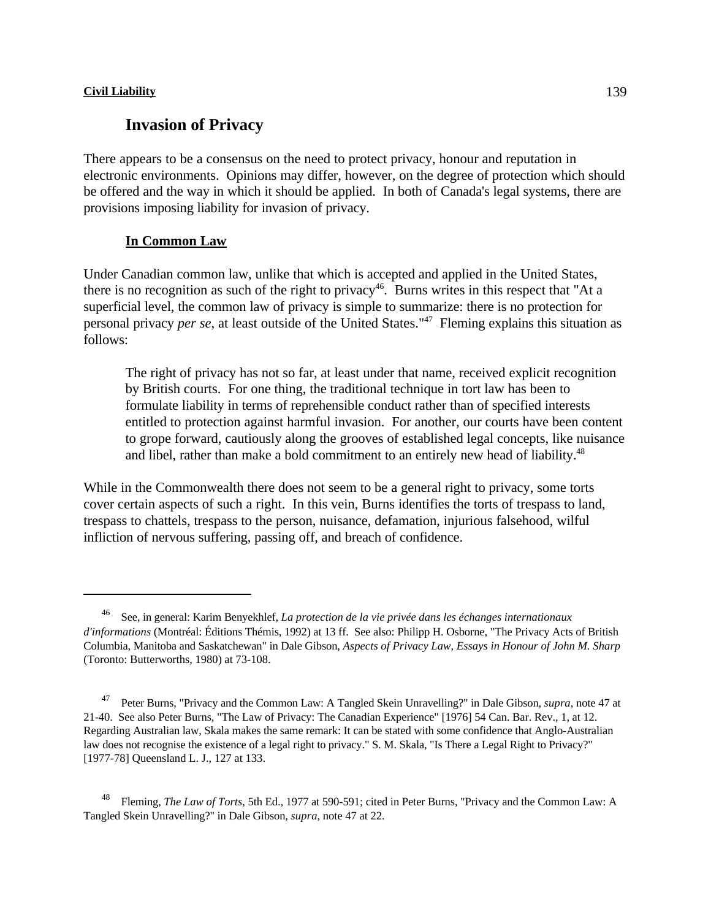# **Invasion of Privacy**

There appears to be a consensus on the need to protect privacy, honour and reputation in electronic environments. Opinions may differ, however, on the degree of protection which should be offered and the way in which it should be applied. In both of Canada's legal systems, there are provisions imposing liability for invasion of privacy.

## **In Common Law**

Under Canadian common law, unlike that which is accepted and applied in the United States, there is no recognition as such of the right to privacy<sup>46</sup>. Burns writes in this respect that "At a superficial level, the common law of privacy is simple to summarize: there is no protection for personal privacy *per se*, at least outside of the United States." Fleming explains this situation as <sup>47</sup> follows:

The right of privacy has not so far, at least under that name, received explicit recognition by British courts. For one thing, the traditional technique in tort law has been to formulate liability in terms of reprehensible conduct rather than of specified interests entitled to protection against harmful invasion. For another, our courts have been content to grope forward, cautiously along the grooves of established legal concepts, like nuisance and libel, rather than make a bold commitment to an entirely new head of liability.<sup>48</sup>

While in the Commonwealth there does not seem to be a general right to privacy, some torts cover certain aspects of such a right. In this vein, Burns identifies the torts of trespass to land, trespass to chattels, trespass to the person, nuisance, defamation, injurious falsehood, wilful infliction of nervous suffering, passing off, and breach of confidence.

See, in general: Karim Benyekhlef, *La protection de la vie privée dans les échanges internationaux* <sup>46</sup> *d'informations* (Montréal: Éditions Thémis, 1992) at 13 ff. See also: Philipp H. Osborne, "The Privacy Acts of British Columbia, Manitoba and Saskatchewan" in Dale Gibson, *Aspects of Privacy Law, Essays in Honour of John M. Sharp* (Toronto: Butterworths, 1980) at 73-108.

Peter Burns, "Privacy and the Common Law: A Tangled Skein Unravelling?" in Dale Gibson, *supra*, note 47 at 21-40. See also Peter Burns, "The Law of Privacy: The Canadian Experience" [1976] 54 Can. Bar. Rev., 1, at 12. Regarding Australian law, Skala makes the same remark: It can be stated with some confidence that Anglo-Australian law does not recognise the existence of a legal right to privacy." S. M. Skala, "Is There a Legal Right to Privacy?" [1977-78] Queensland L. J., 127 at 133.

Fleming, *The Law of Torts*, 5th Ed., 1977 at 590-591; cited in Peter Burns, "Privacy and the Common Law: A Tangled Skein Unravelling?" in Dale Gibson, *supra*, note 47 at 22.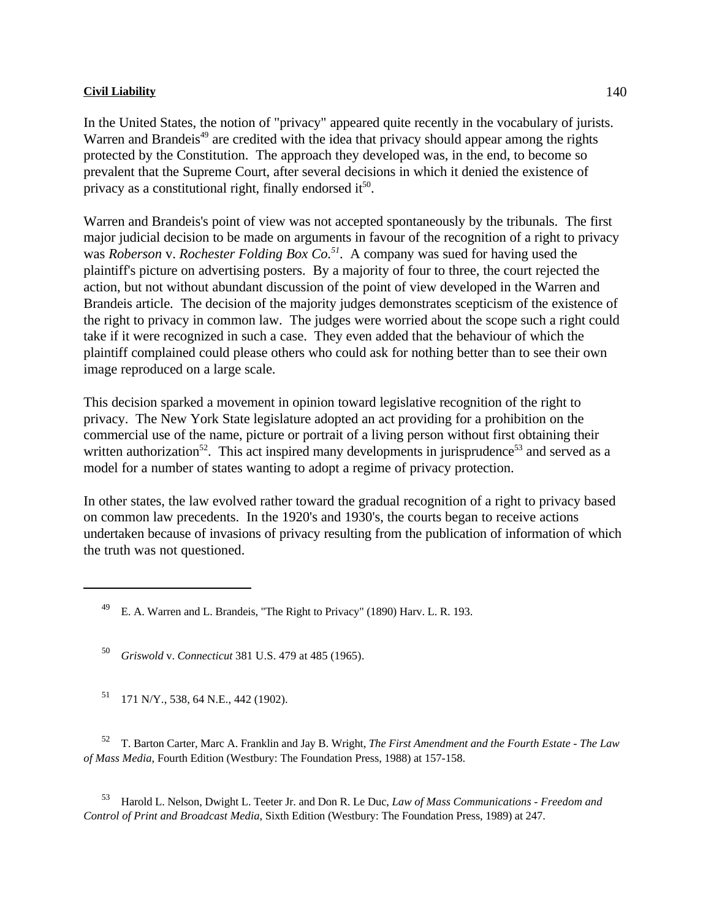In the United States, the notion of "privacy" appeared quite recently in the vocabulary of jurists. Warren and Brandeis<sup> $49$ </sup> are credited with the idea that privacy should appear among the rights protected by the Constitution. The approach they developed was, in the end, to become so prevalent that the Supreme Court, after several decisions in which it denied the existence of privacy as a constitutional right, finally endorsed it $50$ .

Warren and Brandeis's point of view was not accepted spontaneously by the tribunals. The first major judicial decision to be made on arguments in favour of the recognition of a right to privacy was *Roberson* v. *Rochester Folding Box Co.*<sup>51</sup>. A company was sued for having used the plaintiff's picture on advertising posters. By a majority of four to three, the court rejected the action, but not without abundant discussion of the point of view developed in the Warren and Brandeis article. The decision of the majority judges demonstrates scepticism of the existence of the right to privacy in common law. The judges were worried about the scope such a right could take if it were recognized in such a case. They even added that the behaviour of which the plaintiff complained could please others who could ask for nothing better than to see their own image reproduced on a large scale.

This decision sparked a movement in opinion toward legislative recognition of the right to privacy. The New York State legislature adopted an act providing for a prohibition on the commercial use of the name, picture or portrait of a living person without first obtaining their written authorization<sup>52</sup>. This act inspired many developments in jurisprudence<sup>53</sup> and served as a model for a number of states wanting to adopt a regime of privacy protection.

In other states, the law evolved rather toward the gradual recognition of a right to privacy based on common law precedents. In the 1920's and 1930's, the courts began to receive actions undertaken because of invasions of privacy resulting from the publication of information of which the truth was not questioned.

<sup>50</sup> *Griswold v. Connecticut* 381 U.S. 479 at 485 (1965).

<sup>51</sup> 171 N/Y., 538, 64 N.E., 442 (1902).

 T. Barton Carter, Marc A. Franklin and Jay B. Wright, *The First Amendment and the Fourth Estate - The Law* <sup>52</sup> *of Mass Media*, Fourth Edition (Westbury: The Foundation Press, 1988) at 157-158.

 Harold L. Nelson, Dwight L. Teeter Jr. and Don R. Le Duc, *Law of Mass Communications - Freedom and* <sup>53</sup> *Control of Print and Broadcast Media*, Sixth Edition (Westbury: The Foundation Press, 1989) at 247.

E. A. Warren and L. Brandeis, "The Right to Privacy" (1890) Harv. L. R. 193.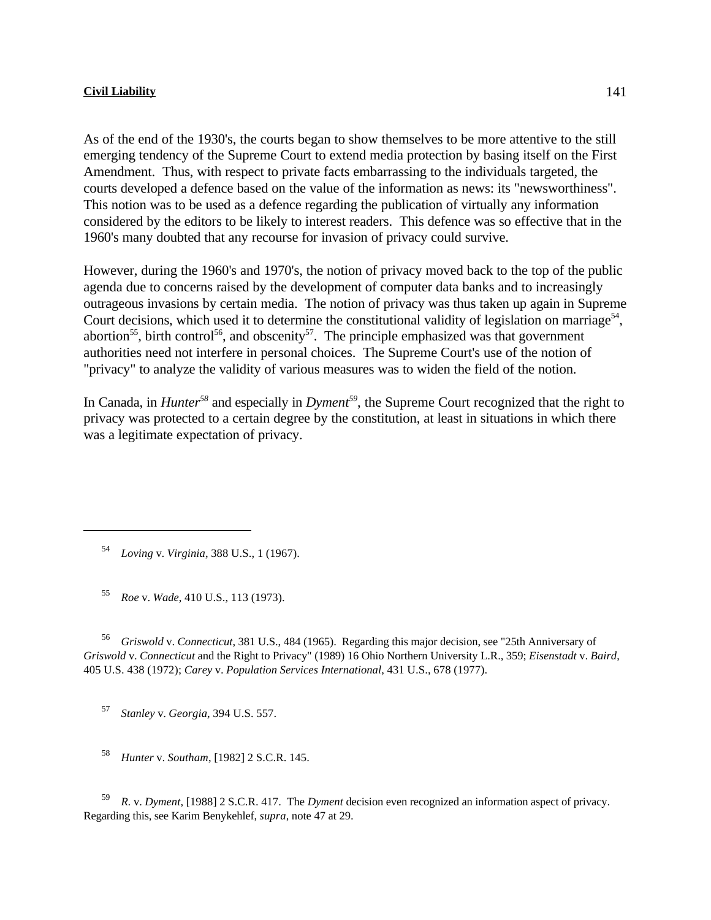As of the end of the 1930's, the courts began to show themselves to be more attentive to the still emerging tendency of the Supreme Court to extend media protection by basing itself on the First Amendment. Thus, with respect to private facts embarrassing to the individuals targeted, the courts developed a defence based on the value of the information as news: its "newsworthiness". This notion was to be used as a defence regarding the publication of virtually any information considered by the editors to be likely to interest readers. This defence was so effective that in the 1960's many doubted that any recourse for invasion of privacy could survive.

However, during the 1960's and 1970's, the notion of privacy moved back to the top of the public agenda due to concerns raised by the development of computer data banks and to increasingly outrageous invasions by certain media. The notion of privacy was thus taken up again in Supreme Court decisions, which used it to determine the constitutional validity of legislation on marriage<sup>54</sup>, abortion<sup>55</sup>, birth control<sup>56</sup>, and obscenity<sup>57</sup>. The principle emphasized was that government authorities need not interfere in personal choices. The Supreme Court's use of the notion of "privacy" to analyze the validity of various measures was to widen the field of the notion.

In Canada, in *Hunter*<sup>58</sup> and especially in *Dyment*<sup>59</sup>, the Supreme Court recognized that the right to privacy was protected to a certain degree by the constitution, at least in situations in which there was a legitimate expectation of privacy.

*Loving* v. *Virginia*, 388 U.S., 1 (1967). <sup>54</sup>

*F*<sub>5</sub> *Roe* v. *Wade*, 410 U.S., 113 (1973).

<sup>56</sup> *Griswold v. Connecticut*, 381 U.S., 484 (1965). Regarding this major decision, see "25th Anniversary of *Griswold* v. *Connecticut* and the Right to Privacy" (1989) 16 Ohio Northern University L.R., 359; *Eisenstadt* v. *Baird*, 405 U.S. 438 (1972); *Carey* v. *Population Services International*, 431 U.S., 678 (1977).

*Stanley v. Georgia*, 394 U.S. 557.

<sup>58</sup> *Hunter* v. *Southam*, [1982] 2 S.C.R. 145.

*R.* v. *Dyment*, [1988] 2 S.C.R. 417. The *Dyment* decision even recognized an information aspect of privacy. Regarding this, see Karim Benykehlef, *supra*, note 47 at 29.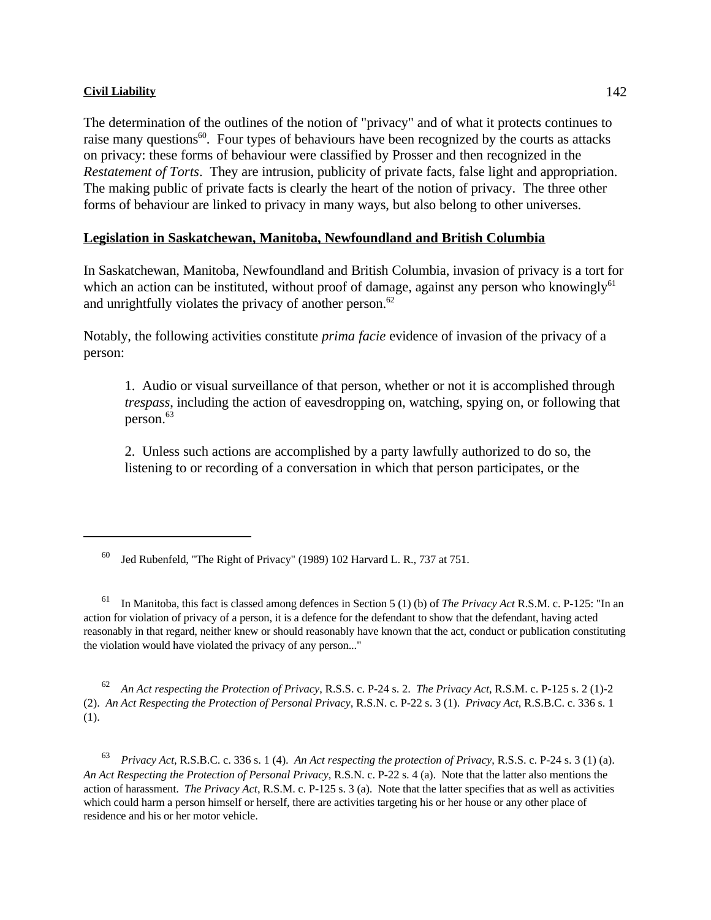The determination of the outlines of the notion of "privacy" and of what it protects continues to raise many questions<sup>60</sup>. Four types of behaviours have been recognized by the courts as attacks on privacy: these forms of behaviour were classified by Prosser and then recognized in the *Restatement of Torts*. They are intrusion, publicity of private facts, false light and appropriation. The making public of private facts is clearly the heart of the notion of privacy. The three other forms of behaviour are linked to privacy in many ways, but also belong to other universes.

## **Legislation in Saskatchewan, Manitoba, Newfoundland and British Columbia**

In Saskatchewan, Manitoba, Newfoundland and British Columbia, invasion of privacy is a tort for which an action can be instituted, without proof of damage, against any person who knowingly $61$ and unrightfully violates the privacy of another person. $62$ 

Notably, the following activities constitute *prima facie* evidence of invasion of the privacy of a person:

1. Audio or visual surveillance of that person, whether or not it is accomplished through *trespass*, including the action of eavesdropping on, watching, spying on, or following that person.<sup>63</sup>

2. Unless such actions are accomplished by a party lawfully authorized to do so, the listening to or recording of a conversation in which that person participates, or the

*An Act respecting the Protection of Privacy*, R.S.S. c. P-24 s. 2. *The Privacy Act*, R.S.M. c. P-125 s. 2 (1)-2 (2). *An Act Respecting the Protection of Personal Privacy*, R.S.N. c. P-22 s. 3 (1). *Privacy Act*, R.S.B.C. c. 336 s. 1 (1).

 *Privacy Act*, R.S.B.C. c. 336 s. 1 (4). *An Act respecting the protection of Privacy*, R.S.S. c. P-24 s. 3 (1) (a). <sup>63</sup> *An Act Respecting the Protection of Personal Privacy*, R.S.N. c. P-22 s. 4 (a). Note that the latter also mentions the action of harassment. *The Privacy Act*, R.S.M. c. P-125 s. 3 (a). Note that the latter specifies that as well as activities which could harm a person himself or herself, there are activities targeting his or her house or any other place of residence and his or her motor vehicle.

 $^{60}$  Jed Rubenfeld, "The Right of Privacy" (1989) 102 Harvard L. R., 737 at 751.

<sup>&</sup>lt;sup>61</sup> In Manitoba, this fact is classed among defences in Section 5 (1) (b) of *The Privacy Act* R.S.M. c. P-125: "In an action for violation of privacy of a person, it is a defence for the defendant to show that the defendant, having acted reasonably in that regard, neither knew or should reasonably have known that the act, conduct or publication constituting the violation would have violated the privacy of any person..."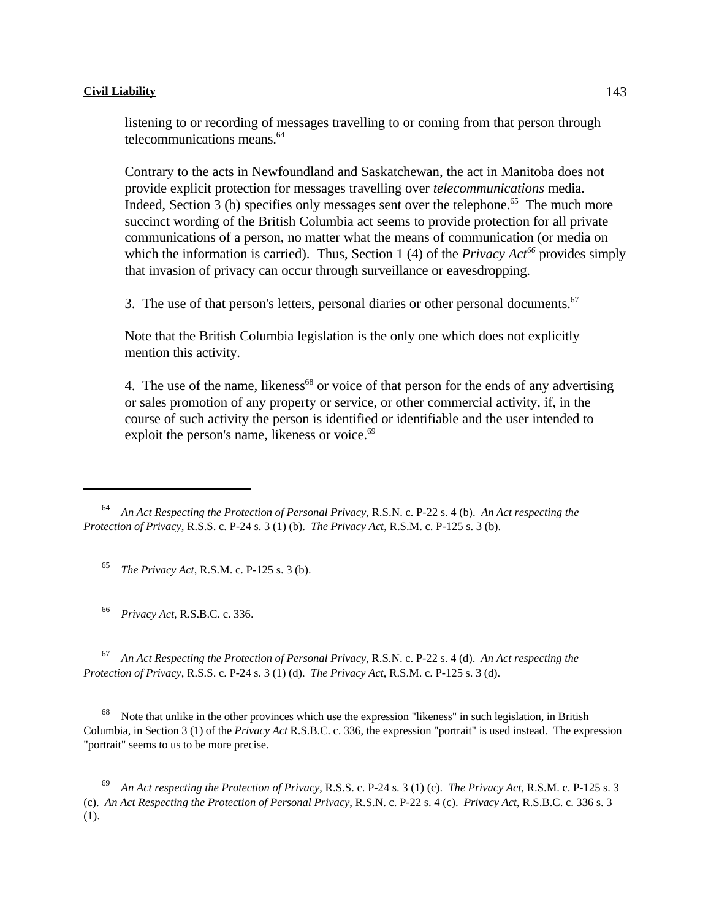listening to or recording of messages travelling to or coming from that person through telecommunications means.<sup>64</sup>

Contrary to the acts in Newfoundland and Saskatchewan, the act in Manitoba does not provide explicit protection for messages travelling over *telecommunications* media. Indeed, Section 3 (b) specifies only messages sent over the telephone.<sup> $65$ </sup> The much more succinct wording of the British Columbia act seems to provide protection for all private communications of a person, no matter what the means of communication (or media on which the information is carried). Thus, Section 1 (4) of the *Privacy Act*<sup>66</sup> provides simply that invasion of privacy can occur through surveillance or eavesdropping.

3. The use of that person's letters, personal diaries or other personal documents. $67$ 

Note that the British Columbia legislation is the only one which does not explicitly mention this activity.

4. The use of the name, likeness<sup> $68$ </sup> or voice of that person for the ends of any advertising or sales promotion of any property or service, or other commercial activity, if, in the course of such activity the person is identified or identifiable and the user intended to exploit the person's name, likeness or voice.<sup>69</sup>

*The Privacy Act*, R.S.M. c. P-125 s. 3 (b). <sup>65</sup>

*Privacy Act*, R.S.B.C. c. 336. <sup>66</sup>

 *An Act Respecting the Protection of Personal Privacy*, R.S.N. c. P-22 s. 4 (d). *An Act respecting the* <sup>67</sup> *Protection of Privacy*, R.S.S. c. P-24 s. 3 (1) (d). *The Privacy Act*, R.S.M. c. P-125 s. 3 (d).

 Note that unlike in the other provinces which use the expression "likeness" in such legislation, in British <sup>68</sup> Columbia, in Section 3 (1) of the *Privacy Act* R.S.B.C. c. 336, the expression "portrait" is used instead. The expression "portrait" seems to us to be more precise.

 *An Act respecting the Protection of Privacy*, R.S.S. c. P-24 s. 3 (1) (c). *The Privacy Act*, R.S.M. c. P-125 s. 3 <sup>69</sup> (c). *An Act Respecting the Protection of Personal Privacy*, R.S.N. c. P-22 s. 4 (c). *Privacy Act*, R.S.B.C. c. 336 s. 3 (1).

<sup>&</sup>lt;sup>64</sup> An Act Respecting the Protection of Personal Privacy, R.S.N. c. P-22 s. 4 (b). An Act respecting the *Protection of Privacy*, R.S.S. c. P-24 s. 3 (1) (b). *The Privacy Act*, R.S.M. c. P-125 s. 3 (b).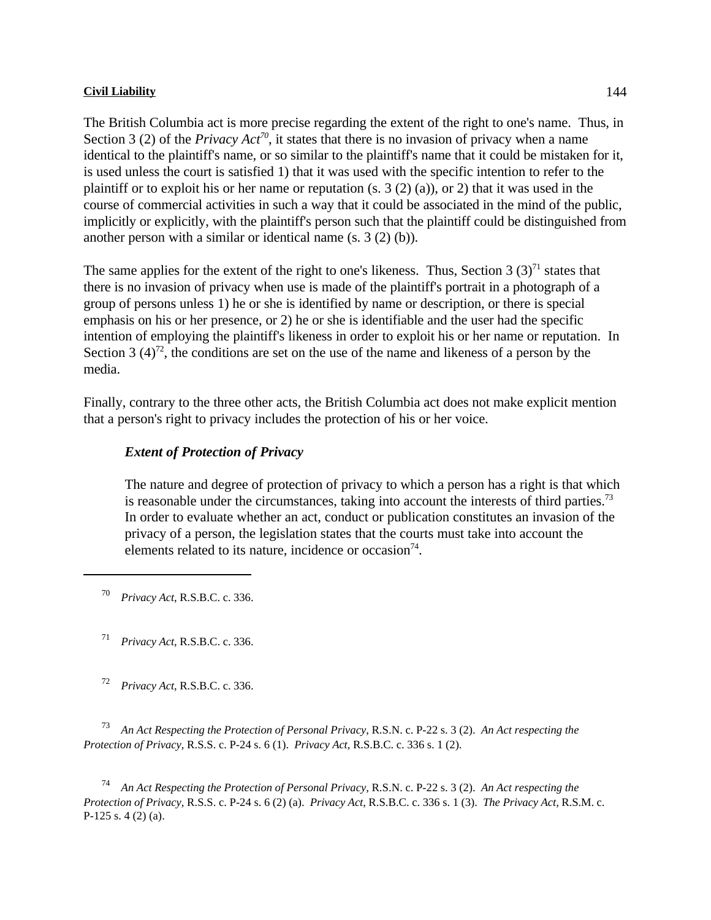The British Columbia act is more precise regarding the extent of the right to one's name. Thus, in Section 3 (2) of the *Privacy Act*<sup>70</sup>, it states that there is no invasion of privacy when a name identical to the plaintiff's name, or so similar to the plaintiff's name that it could be mistaken for it, is used unless the court is satisfied 1) that it was used with the specific intention to refer to the plaintiff or to exploit his or her name or reputation  $(s, 3(2)(a))$ , or 2) that it was used in the course of commercial activities in such a way that it could be associated in the mind of the public, implicitly or explicitly, with the plaintiff's person such that the plaintiff could be distinguished from another person with a similar or identical name (s. 3 (2) (b)).

The same applies for the extent of the right to one's likeness. Thus, Section 3  $(3)^{71}$  states that there is no invasion of privacy when use is made of the plaintiff's portrait in a photograph of a group of persons unless 1) he or she is identified by name or description, or there is special emphasis on his or her presence, or 2) he or she is identifiable and the user had the specific intention of employing the plaintiff's likeness in order to exploit his or her name or reputation. In Section 3  $(4)^{72}$ , the conditions are set on the use of the name and likeness of a person by the media.

Finally, contrary to the three other acts, the British Columbia act does not make explicit mention that a person's right to privacy includes the protection of his or her voice.

#### *Extent of Protection of Privacy*

The nature and degree of protection of privacy to which a person has a right is that which is reasonable under the circumstances, taking into account the interests of third parties.<sup>73</sup> In order to evaluate whether an act, conduct or publication constitutes an invasion of the privacy of a person, the legislation states that the courts must take into account the elements related to its nature, incidence or occasion $74$ .

*Privacy Act*, R.S.B.C. c. 336. <sup>70</sup>

*Privacy Act*, R.S.B.C. c. 336. <sup>71</sup>

*Privacy Act*, R.S.B.C. c. 336. <sup>72</sup>

 *An Act Respecting the Protection of Personal Privacy*, R.S.N. c. P-22 s. 3 (2). *An Act respecting the* <sup>73</sup> *Protection of Privacy*, R.S.S. c. P-24 s. 6 (1). *Privacy Act*, R.S.B.C. c. 336 s. 1 (2).

 *An Act Respecting the Protection of Personal Privacy*, R.S.N. c. P-22 s. 3 (2). *An Act respecting the* <sup>74</sup> *Protection of Privacy*, R.S.S. c. P-24 s. 6 (2) (a). *Privacy Act*, R.S.B.C. c. 336 s. 1 (3). *The Privacy Act*, R.S.M. c. P-125 s. 4 (2) (a).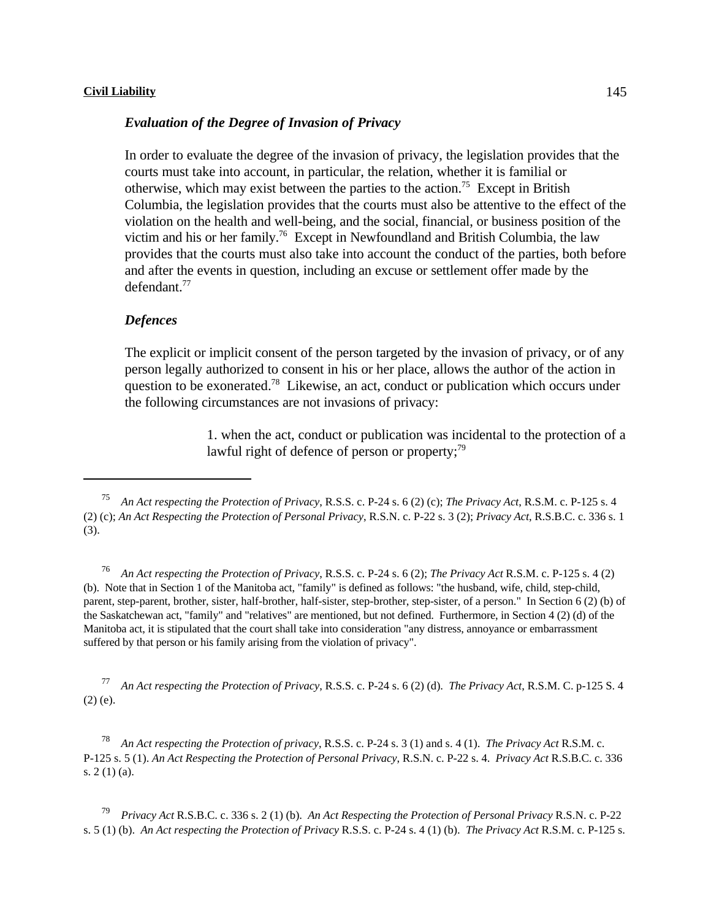#### *Evaluation of the Degree of Invasion of Privacy*

In order to evaluate the degree of the invasion of privacy, the legislation provides that the courts must take into account, in particular, the relation, whether it is familial or otherwise, which may exist between the parties to the action.<sup>75</sup> Except in British Columbia, the legislation provides that the courts must also be attentive to the effect of the violation on the health and well-being, and the social, financial, or business position of the victim and his or her family.<sup>76</sup> Except in Newfoundland and British Columbia, the law provides that the courts must also take into account the conduct of the parties, both before and after the events in question, including an excuse or settlement offer made by the defendant.<sup>77</sup>

#### *Defences*

The explicit or implicit consent of the person targeted by the invasion of privacy, or of any person legally authorized to consent in his or her place, allows the author of the action in question to be exonerated.<sup>78</sup> Likewise, an act, conduct or publication which occurs under the following circumstances are not invasions of privacy:

> 1. when the act, conduct or publication was incidental to the protection of a lawful right of defence of person or property;<sup>79</sup>

*An Act respecting the Protection of Privacy*, R.S.S. c. P-24 s. 6 (2); *The Privacy Act* R.S.M. c. P-125 s. 4 (2) (b). Note that in Section 1 of the Manitoba act, "family" is defined as follows: "the husband, wife, child, step-child, parent, step-parent, brother, sister, half-brother, half-sister, step-brother, step-sister, of a person." In Section 6 (2) (b) of the Saskatchewan act, "family" and "relatives" are mentioned, but not defined. Furthermore, in Section 4 (2) (d) of the Manitoba act, it is stipulated that the court shall take into consideration "any distress, annoyance or embarrassment suffered by that person or his family arising from the violation of privacy".

 *An Act respecting the Protection of Privacy*, R.S.S. c. P-24 s. 6 (2) (d). *The Privacy Act*, R.S.M. C. p-125 S. 4 <sup>77</sup> (2) (e).

 *An Act respecting the Protection of privacy*, R.S.S. c. P-24 s. 3 (1) and s. 4 (1). *The Privacy Act* R.S.M. c. <sup>78</sup> P-125 s. 5 (1). *An Act Respecting the Protection of Personal Privacy*, R.S.N. c. P-22 s. 4. *Privacy Act* R.S.B.C. c. 336 s. 2 (1) (a).

 *Privacy Act* R.S.B.C. c. 336 s. 2 (1) (b). *An Act Respecting the Protection of Personal Privacy* R.S.N. c. P-22 <sup>79</sup> s. 5 (1) (b). *An Act respecting the Protection of Privacy* R.S.S. c. P-24 s. 4 (1) (b). *The Privacy Act* R.S.M. c. P-125 s.

*An Act respecting the Protection of Privacy*, R.S.S. c. P-24 s. 6 (2) (c); *The Privacy Act*, R.S.M. c. P-125 s. 4 <sup>75</sup> (2) (c); *An Act Respecting the Protection of Personal Privacy*, R.S.N. c. P-22 s. 3 (2); *Privacy Act*, R.S.B.C. c. 336 s. 1 (3).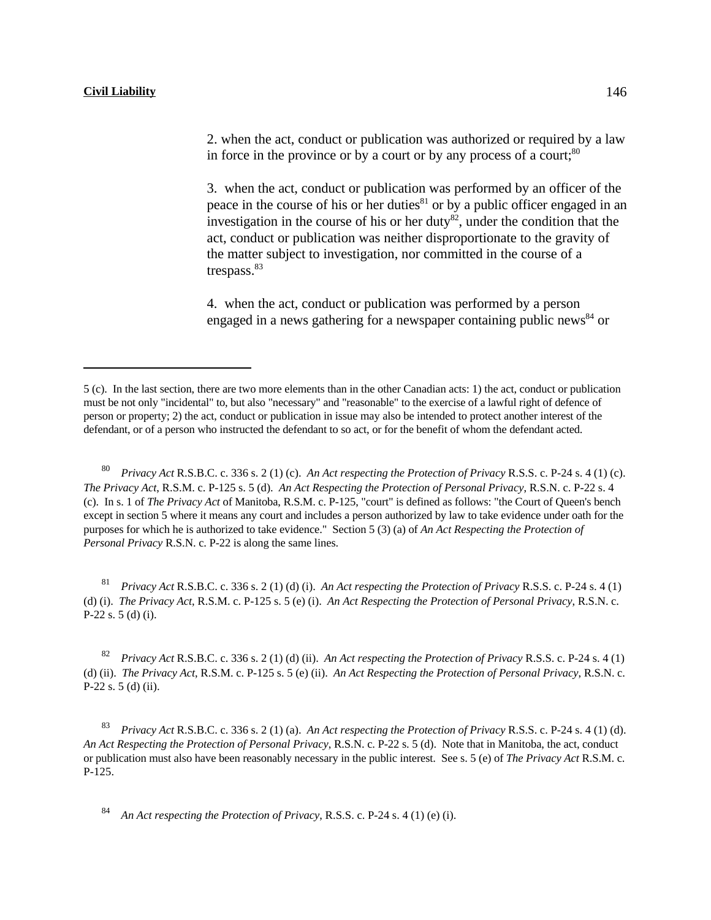2. when the act, conduct or publication was authorized or required by a law in force in the province or by a court or by any process of a court; $80$ 

3. when the act, conduct or publication was performed by an officer of the peace in the course of his or her duties $^{81}$  or by a public officer engaged in an investigation in the course of his or her duty<sup>82</sup>, under the condition that the act, conduct or publication was neither disproportionate to the gravity of the matter subject to investigation, nor committed in the course of a trespass.<sup>83</sup>

4. when the act, conduct or publication was performed by a person engaged in a news gathering for a newspaper containing public news  $84$  or

 *Privacy Act* R.S.B.C. c. 336 s. 2 (1) (c). *An Act respecting the Protection of Privacy* R.S.S. c. P-24 s. 4 (1) (c). <sup>80</sup> *The Privacy Act*, R.S.M. c. P-125 s. 5 (d). *An Act Respecting the Protection of Personal Privacy*, R.S.N. c. P-22 s. 4 (c). In s. 1 of *The Privacy Act* of Manitoba, R.S.M. c. P-125, "court" is defined as follows: "the Court of Queen's bench except in section 5 where it means any court and includes a person authorized by law to take evidence under oath for the purposes for which he is authorized to take evidence." Section 5 (3) (a) of *An Act Respecting the Protection of Personal Privacy* R.S.N. c. P-22 is along the same lines.

 *Privacy Act* R.S.B.C. c. 336 s. 2 (1) (d) (i). *An Act respecting the Protection of Privacy* R.S.S. c. P-24 s. 4 (1) <sup>81</sup> (d) (i). *The Privacy Act*, R.S.M. c. P-125 s. 5 (e) (i). *An Act Respecting the Protection of Personal Privacy*, R.S.N. c. P-22 s. 5 (d) (i).

 *Privacy Act* R.S.B.C. c. 336 s. 2 (1) (d) (ii). *An Act respecting the Protection of Privacy* R.S.S. c. P-24 s. 4 (1) <sup>82</sup> (d) (ii). *The Privacy Act*, R.S.M. c. P-125 s. 5 (e) (ii). *An Act Respecting the Protection of Personal Privacy*, R.S.N. c. P-22 s. 5 (d) (ii).

 *Privacy Act* R.S.B.C. c. 336 s. 2 (1) (a). *An Act respecting the Protection of Privacy* R.S.S. c. P-24 s. 4 (1) (d). <sup>83</sup> *An Act Respecting the Protection of Personal Privacy*, R.S.N. c. P-22 s. 5 (d). Note that in Manitoba, the act, conduct or publication must also have been reasonably necessary in the public interest. See s. 5 (e) of *The Privacy Act* R.S.M. c. P-125.

*An Act respecting the Protection of Privacy*, R.S.S. c. P-24 s. 4 (1) (e) (i). <sup>84</sup>

<sup>5 (</sup>c). In the last section, there are two more elements than in the other Canadian acts: 1) the act, conduct or publication must be not only "incidental" to, but also "necessary" and "reasonable" to the exercise of a lawful right of defence of person or property; 2) the act, conduct or publication in issue may also be intended to protect another interest of the defendant, or of a person who instructed the defendant to so act, or for the benefit of whom the defendant acted.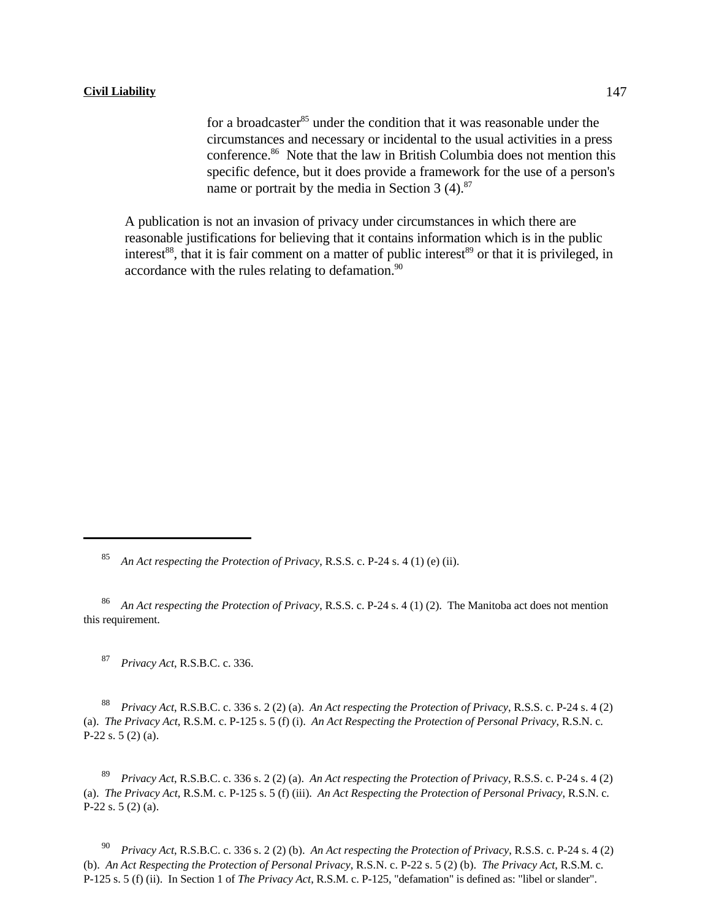for a broadcaster<sup>85</sup> under the condition that it was reasonable under the circumstances and necessary or incidental to the usual activities in a press conference. $86$  Note that the law in British Columbia does not mention this specific defence, but it does provide a framework for the use of a person's name or portrait by the media in Section 3  $(4)$ .<sup>87</sup>

A publication is not an invasion of privacy under circumstances in which there are reasonable justifications for believing that it contains information which is in the public interest<sup>88</sup>, that it is fair comment on a matter of public interest<sup>89</sup> or that it is privileged, in accordance with the rules relating to defamation. $90$ 

*Privacy Act*, R.S.B.C. c. 336. <sup>87</sup>

<sup>88</sup> Privacy Act, R.S.B.C. c. 336 s. 2 (2) (a). An Act respecting the Protection of Privacy, R.S.S. c. P-24 s. 4 (2) (a). *The Privacy Act*, R.S.M. c. P-125 s. 5 (f) (i). *An Act Respecting the Protection of Personal Privacy*, R.S.N. c. P-22 s. 5 (2) (a).

<sup>89</sup> Privacy Act, R.S.B.C. c. 336 s. 2 (2) (a). An Act respecting the Protection of Privacy, R.S.S. c. P-24 s. 4 (2) (a). *The Privacy Act*, R.S.M. c. P-125 s. 5 (f) (iii). *An Act Respecting the Protection of Personal Privacy*, R.S.N. c. P-22 s. 5 (2) (a).

*Privacy Act*, R.S.B.C. c. 336 s. 2 (2) (b). *An Act respecting the Protection of Privacy*, R.S.S. c. P-24 s. 4 (2) (b). *An Act Respecting the Protection of Personal Privacy*, R.S.N. c. P-22 s. 5 (2) (b). *The Privacy Act*, R.S.M. c. P-125 s. 5 (f) (ii). In Section 1 of *The Privacy Act*, R.S.M. c. P-125, "defamation" is defined as: "libel or slander".

*An Act respecting the Protection of Privacy*, R.S.S. c. P-24 s. 4 (1) (e) (ii).

<sup>&</sup>lt;sup>86</sup> An Act respecting the Protection of Privacy, R.S.S. c. P-24 s. 4 (1) (2). The Manitoba act does not mention this requirement.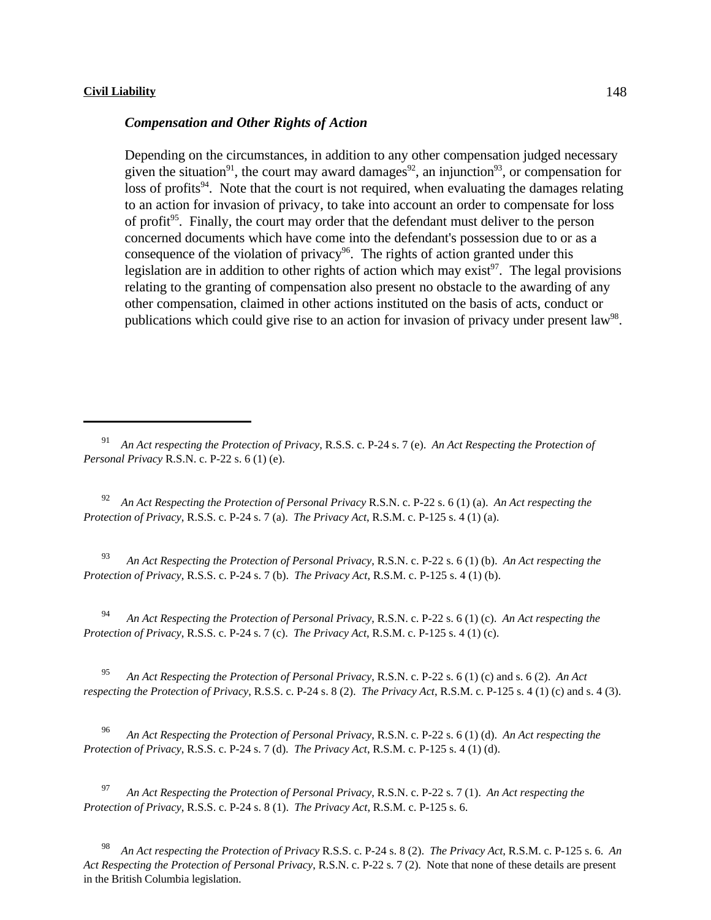#### *Compensation and Other Rights of Action*

Depending on the circumstances, in addition to any other compensation judged necessary given the situation<sup>91</sup>, the court may award damages<sup>92</sup>, an injunction<sup>93</sup>, or compensation for  $\frac{1}{2}$  loss of profits<sup>94</sup>. Note that the court is not required, when evaluating the damages relating to an action for invasion of privacy, to take into account an order to compensate for loss of profit<sup> $95$ </sup>. Finally, the court may order that the defendant must deliver to the person concerned documents which have come into the defendant's possession due to or as a consequence of the violation of privacy<sup>96</sup>. The rights of action granted under this legislation are in addition to other rights of action which may exist<sup>97</sup>. The legal provisions relating to the granting of compensation also present no obstacle to the awarding of any other compensation, claimed in other actions instituted on the basis of acts, conduct or publications which could give rise to an action for invasion of privacy under present law<sup>98</sup>.

 *An Act Respecting the Protection of Personal Privacy* R.S.N. c. P-22 s. 6 (1) (a). *An Act respecting the* <sup>92</sup> *Protection of Privacy*, R.S.S. c. P-24 s. 7 (a). *The Privacy Act*, R.S.M. c. P-125 s. 4 (1) (a).

 *An Act Respecting the Protection of Personal Privacy*, R.S.N. c. P-22 s. 6 (1) (b). *An Act respecting the* <sup>93</sup> *Protection of Privacy*, R.S.S. c. P-24 s. 7 (b). *The Privacy Act*, R.S.M. c. P-125 s. 4 (1) (b).

<sup>94</sup> An Act Respecting the Protection of Personal Privacy, R.S.N. c. P-22 s. 6 (1) (c). An Act respecting the *Protection of Privacy*, R.S.S. c. P-24 s. 7 (c). *The Privacy Act*, R.S.M. c. P-125 s. 4 (1) (c).

<sup>95</sup> An Act Respecting the Protection of Personal Privacy, R.S.N. c. P-22 s. 6 (1) (c) and s. 6 (2). An Act *respecting the Protection of Privacy*, R.S.S. c. P-24 s. 8 (2). *The Privacy Act*, R.S.M. c. P-125 s. 4 (1) (c) and s. 4 (3).

 *An Act Respecting the Protection of Personal Privacy*, R.S.N. c. P-22 s. 6 (1) (d). *An Act respecting the* <sup>96</sup> *Protection of Privacy*, R.S.S. c. P-24 s. 7 (d). *The Privacy Act*, R.S.M. c. P-125 s. 4 (1) (d).

 *An Act Respecting the Protection of Personal Privacy*, R.S.N. c. P-22 s. 7 (1). *An Act respecting the* <sup>97</sup> *Protection of Privacy*, R.S.S. c. P-24 s. 8 (1). *The Privacy Act*, R.S.M. c. P-125 s. 6.

 *An Act respecting the Protection of Privacy* R.S.S. c. P-24 s. 8 (2). *The Privacy Act*, R.S.M. c. P-125 s. 6. *An* <sup>98</sup> *Act Respecting the Protection of Personal Privacy*, R.S.N. c. P-22 s. 7 (2). Note that none of these details are present in the British Columbia legislation.

<sup>&</sup>lt;sup>91</sup> An Act respecting the Protection of Privacy, R.S.S. c. P-24 s. 7 (e). An Act Respecting the Protection of *Personal Privacy* R.S.N. c. P-22 s. 6 (1) (e).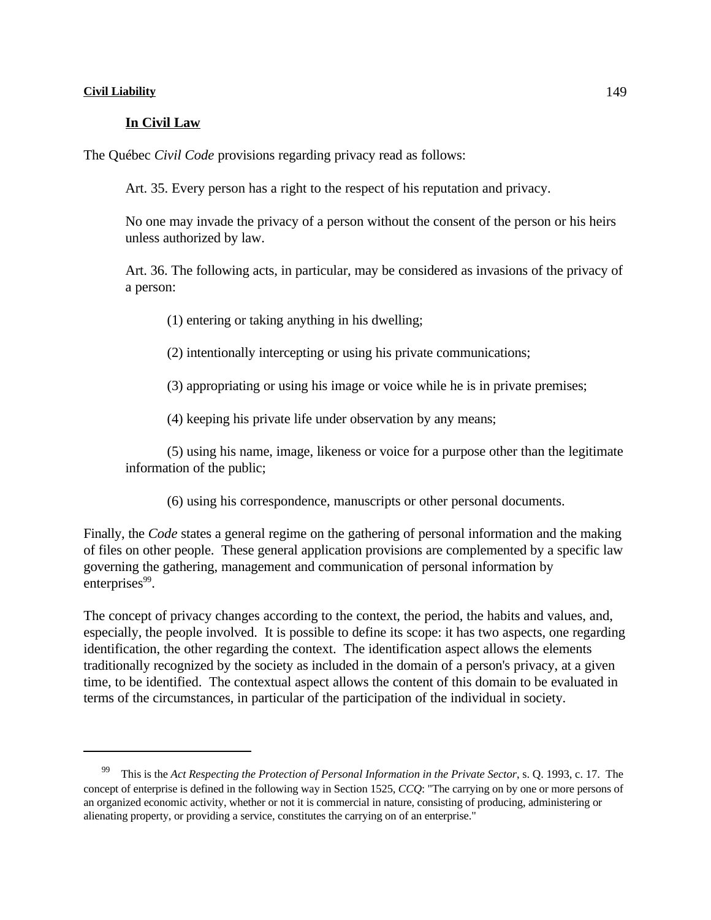## **In Civil Law**

The Québec *Civil Code* provisions regarding privacy read as follows:

Art. 35. Every person has a right to the respect of his reputation and privacy.

No one may invade the privacy of a person without the consent of the person or his heirs unless authorized by law.

Art. 36. The following acts, in particular, may be considered as invasions of the privacy of a person:

(1) entering or taking anything in his dwelling;

(2) intentionally intercepting or using his private communications;

(3) appropriating or using his image or voice while he is in private premises;

(4) keeping his private life under observation by any means;

(5) using his name, image, likeness or voice for a purpose other than the legitimate information of the public;

(6) using his correspondence, manuscripts or other personal documents.

Finally, the *Code* states a general regime on the gathering of personal information and the making of files on other people. These general application provisions are complemented by a specific law governing the gathering, management and communication of personal information by enterprises<sup>99</sup>.

The concept of privacy changes according to the context, the period, the habits and values, and, especially, the people involved. It is possible to define its scope: it has two aspects, one regarding identification, the other regarding the context. The identification aspect allows the elements traditionally recognized by the society as included in the domain of a person's privacy, at a given time, to be identified. The contextual aspect allows the content of this domain to be evaluated in terms of the circumstances, in particular of the participation of the individual in society.

This is the *Act Respecting the Protection of Personal Information in the Private Sector*, s. Q. 1993, c. 17. The concept of enterprise is defined in the following way in Section 1525, *CCQ*: "The carrying on by one or more persons of an organized economic activity, whether or not it is commercial in nature, consisting of producing, administering or alienating property, or providing a service, constitutes the carrying on of an enterprise."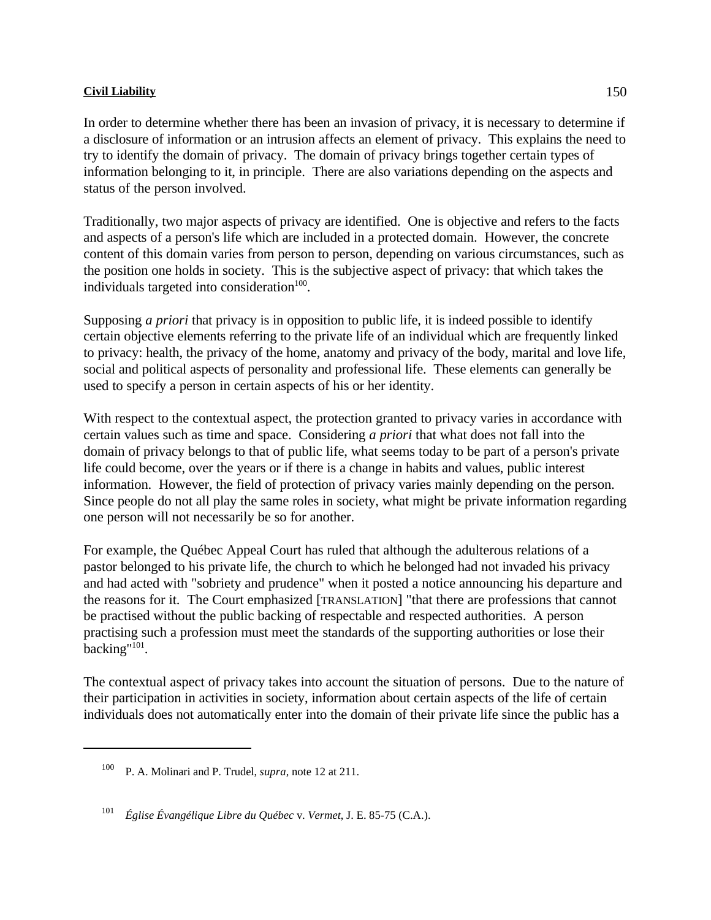In order to determine whether there has been an invasion of privacy, it is necessary to determine if a disclosure of information or an intrusion affects an element of privacy. This explains the need to try to identify the domain of privacy. The domain of privacy brings together certain types of information belonging to it, in principle. There are also variations depending on the aspects and status of the person involved.

Traditionally, two major aspects of privacy are identified. One is objective and refers to the facts and aspects of a person's life which are included in a protected domain. However, the concrete content of this domain varies from person to person, depending on various circumstances, such as the position one holds in society. This is the subjective aspect of privacy: that which takes the individuals targeted into consideration $100$ .

Supposing *a priori* that privacy is in opposition to public life, it is indeed possible to identify certain objective elements referring to the private life of an individual which are frequently linked to privacy: health, the privacy of the home, anatomy and privacy of the body, marital and love life, social and political aspects of personality and professional life. These elements can generally be used to specify a person in certain aspects of his or her identity.

With respect to the contextual aspect, the protection granted to privacy varies in accordance with certain values such as time and space. Considering *a priori* that what does not fall into the domain of privacy belongs to that of public life, what seems today to be part of a person's private life could become, over the years or if there is a change in habits and values, public interest information. However, the field of protection of privacy varies mainly depending on the person. Since people do not all play the same roles in society, what might be private information regarding one person will not necessarily be so for another.

For example, the Québec Appeal Court has ruled that although the adulterous relations of a pastor belonged to his private life, the church to which he belonged had not invaded his privacy and had acted with "sobriety and prudence" when it posted a notice announcing his departure and the reasons for it. The Court emphasized [TRANSLATION] "that there are professions that cannot be practised without the public backing of respectable and respected authorities. A person practising such a profession must meet the standards of the supporting authorities or lose their backing"<sup>101</sup>.

The contextual aspect of privacy takes into account the situation of persons. Due to the nature of their participation in activities in society, information about certain aspects of the life of certain individuals does not automatically enter into the domain of their private life since the public has a

<sup>&</sup>lt;sup>100</sup> P. A. Molinari and P. Trudel, *supra*, note 12 at 211.

<sup>&</sup>lt;sup>101</sup> Église Évangélique Libre du Québec v. *Vermet*, J. E. 85-75 (C.A.).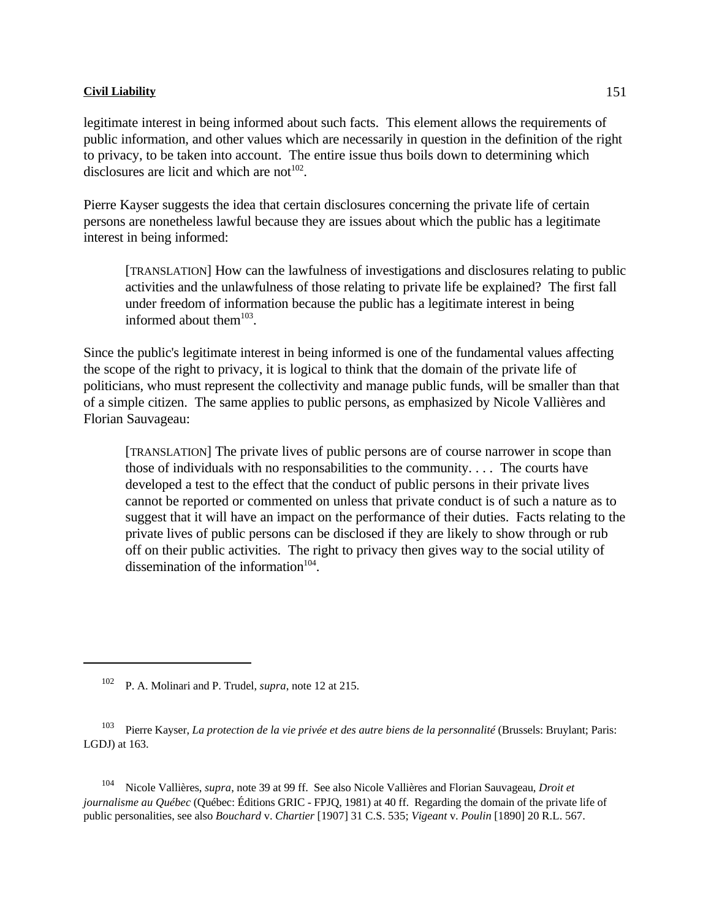legitimate interest in being informed about such facts. This element allows the requirements of public information, and other values which are necessarily in question in the definition of the right to privacy, to be taken into account. The entire issue thus boils down to determining which disclosures are licit and which are not<sup> $102$ </sup>.

Pierre Kayser suggests the idea that certain disclosures concerning the private life of certain persons are nonetheless lawful because they are issues about which the public has a legitimate interest in being informed:

[TRANSLATION] How can the lawfulness of investigations and disclosures relating to public activities and the unlawfulness of those relating to private life be explained? The first fall under freedom of information because the public has a legitimate interest in being informed about them $103$ .

Since the public's legitimate interest in being informed is one of the fundamental values affecting the scope of the right to privacy, it is logical to think that the domain of the private life of politicians, who must represent the collectivity and manage public funds, will be smaller than that of a simple citizen. The same applies to public persons, as emphasized by Nicole Vallières and Florian Sauvageau:

[TRANSLATION] The private lives of public persons are of course narrower in scope than those of individuals with no responsabilities to the community. . . . The courts have developed a test to the effect that the conduct of public persons in their private lives cannot be reported or commented on unless that private conduct is of such a nature as to suggest that it will have an impact on the performance of their duties. Facts relating to the private lives of public persons can be disclosed if they are likely to show through or rub off on their public activities. The right to privacy then gives way to the social utility of dissemination of the information $104$ .

<sup>104</sup> Nicole Vallières, *supra*, note 39 at 99 ff. See also Nicole Vallières and Florian Sauvageau, *Droit et journalisme au Québec* (Québec: Éditions GRIC - FPJQ, 1981) at 40 ff. Regarding the domain of the private life of public personalities, see also *Bouchard* v. *Chartier* [1907] 31 C.S. 535; *Vigeant* v. *Poulin* [1890] 20 R.L. 567.

<sup>&</sup>lt;sup>102</sup> P. A. Molinari and P. Trudel, *supra*, note 12 at 215.

<sup>&</sup>lt;sup>103</sup> Pierre Kayser, *La protection de la vie privée et des autre biens de la personnalité* (Brussels: Bruylant; Paris: LGDJ) at 163.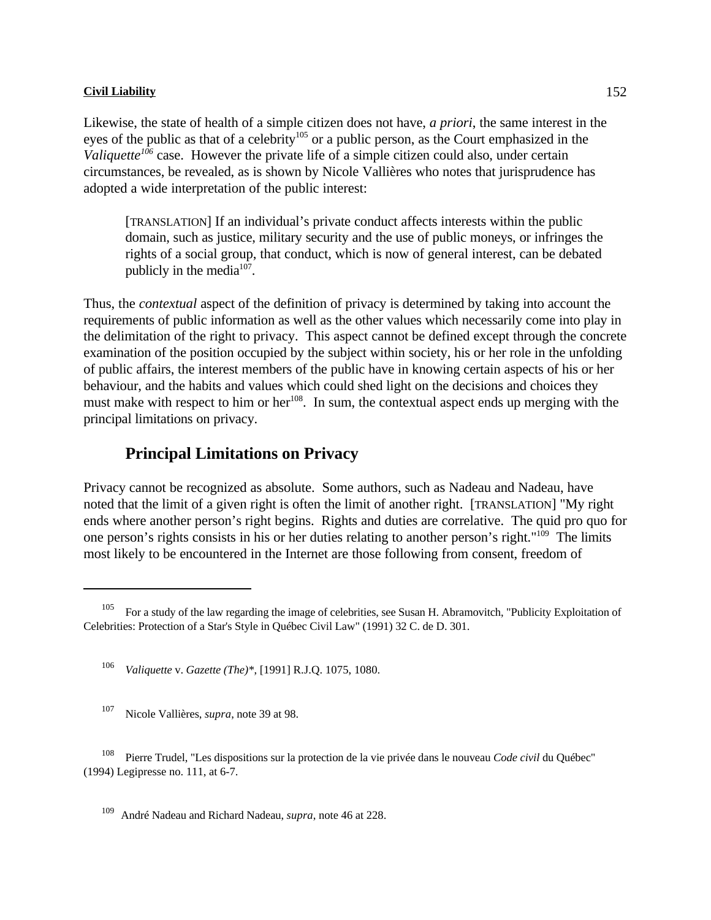Likewise, the state of health of a simple citizen does not have, *a priori*, the same interest in the eyes of the public as that of a celebrity<sup>105</sup> or a public person, as the Court emphasized in the *Valiquette*<sup>106</sup> case. However the private life of a simple citizen could also, under certain circumstances, be revealed, as is shown by Nicole Vallières who notes that jurisprudence has adopted a wide interpretation of the public interest:

[TRANSLATION] If an individual's private conduct affects interests within the public domain, such as justice, military security and the use of public moneys, or infringes the rights of a social group, that conduct, which is now of general interest, can be debated publicly in the media $107$ .

Thus, the *contextual* aspect of the definition of privacy is determined by taking into account the requirements of public information as well as the other values which necessarily come into play in the delimitation of the right to privacy. This aspect cannot be defined except through the concrete examination of the position occupied by the subject within society, his or her role in the unfolding of public affairs, the interest members of the public have in knowing certain aspects of his or her behaviour, and the habits and values which could shed light on the decisions and choices they must make with respect to him or her $^{108}$ . In sum, the contextual aspect ends up merging with the principal limitations on privacy.

# **Principal Limitations on Privacy**

Privacy cannot be recognized as absolute. Some authors, such as Nadeau and Nadeau, have noted that the limit of a given right is often the limit of another right. [TRANSLATION] "My right ends where another person's right begins. Rights and duties are correlative. The quid pro quo for one person's rights consists in his or her duties relating to another person's right."<sup>109</sup> The limits most likely to be encountered in the Internet are those following from consent, freedom of

For a study of the law regarding the image of celebrities, see Susan H. Abramovitch, "Publicity Exploitation of Celebrities: Protection of a Star's Style in Québec Civil Law" (1991) 32 C. de D. 301.

<sup>&</sup>lt;sup>106</sup> Valiquette v. *Gazette* (*The*)\*, [1991] R.J.Q. 1075, 1080.

<sup>&</sup>lt;sup>107</sup> Nicole Vallières, *supra*, note 39 at 98.

Pierre Trudel, "Les dispositions sur la protection de la vie privée dans le nouveau *Code civil* du Québec" (1994) Legipresse no. 111, at 6-7.

André Nadeau and Richard Nadeau, *supra*, note 46 at 228.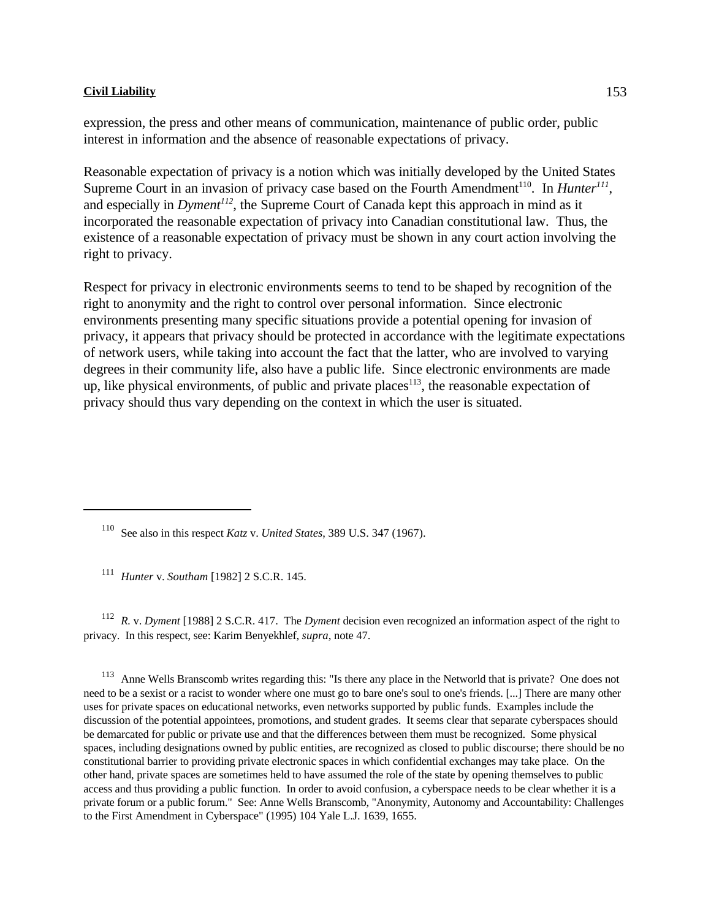expression, the press and other means of communication, maintenance of public order, public interest in information and the absence of reasonable expectations of privacy.

Reasonable expectation of privacy is a notion which was initially developed by the United States Supreme Court in an invasion of privacy case based on the Fourth Amendment<sup>110</sup>. In *Hunter*<sup>111</sup>, and especially in  $Dyment^{1/2}$ , the Supreme Court of Canada kept this approach in mind as it incorporated the reasonable expectation of privacy into Canadian constitutional law. Thus, the existence of a reasonable expectation of privacy must be shown in any court action involving the right to privacy.

Respect for privacy in electronic environments seems to tend to be shaped by recognition of the right to anonymity and the right to control over personal information. Since electronic environments presenting many specific situations provide a potential opening for invasion of privacy, it appears that privacy should be protected in accordance with the legitimate expectations of network users, while taking into account the fact that the latter, who are involved to varying degrees in their community life, also have a public life. Since electronic environments are made up, like physical environments, of public and private places<sup> $113$ </sup>, the reasonable expectation of privacy should thus vary depending on the context in which the user is situated.

<sup>111</sup> Hunter v. *Southam* [1982] 2 S.C.R. 145.

<sup>112</sup> *R.* v. *Dyment* [1988] 2 S.C.R. 417. The *Dyment* decision even recognized an information aspect of the right to privacy. In this respect, see: Karim Benyekhlef, *supra*, note 47.

<sup>113</sup> Anne Wells Branscomb writes regarding this: "Is there any place in the Networld that is private? One does not need to be a sexist or a racist to wonder where one must go to bare one's soul to one's friends. [...] There are many other uses for private spaces on educational networks, even networks supported by public funds. Examples include the discussion of the potential appointees, promotions, and student grades. It seems clear that separate cyberspaces should be demarcated for public or private use and that the differences between them must be recognized. Some physical spaces, including designations owned by public entities, are recognized as closed to public discourse; there should be no constitutional barrier to providing private electronic spaces in which confidential exchanges may take place. On the other hand, private spaces are sometimes held to have assumed the role of the state by opening themselves to public access and thus providing a public function. In order to avoid confusion, a cyberspace needs to be clear whether it is a private forum or a public forum." See: Anne Wells Branscomb, "Anonymity, Autonomy and Accountability: Challenges to the First Amendment in Cyberspace" (1995) 104 Yale L.J. 1639, 1655.

<sup>&</sup>lt;sup>110</sup> See also in this respect *Katz* v. *United States*, 389 U.S. 347 (1967).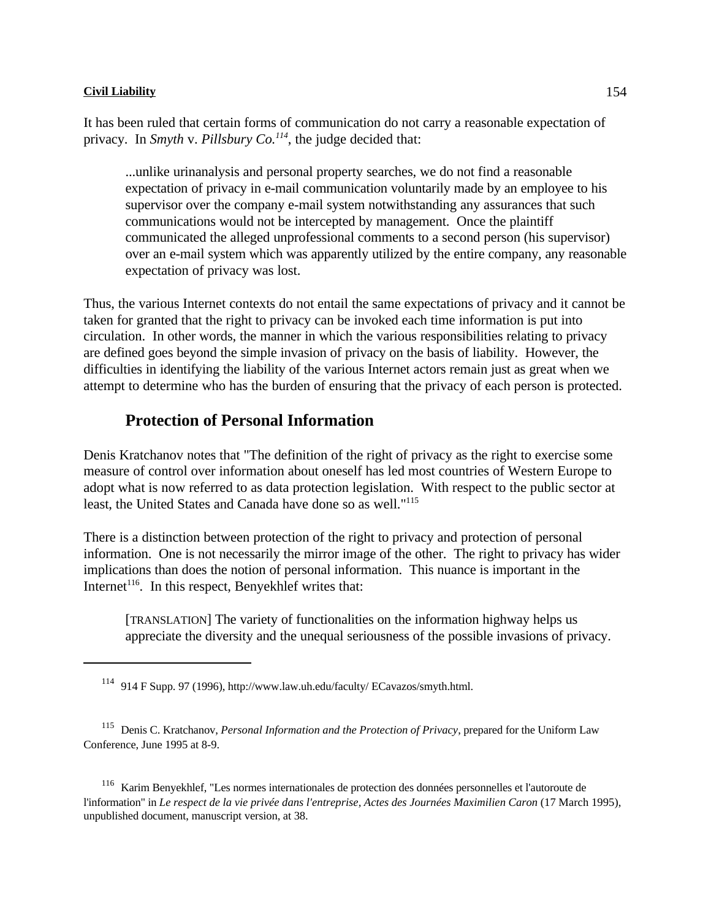It has been ruled that certain forms of communication do not carry a reasonable expectation of privacy. In *Smyth* v. *Pillsbury Co.*<sup> $114$ </sup>, the judge decided that:

...unlike urinanalysis and personal property searches, we do not find a reasonable expectation of privacy in e-mail communication voluntarily made by an employee to his supervisor over the company e-mail system notwithstanding any assurances that such communications would not be intercepted by management. Once the plaintiff communicated the alleged unprofessional comments to a second person (his supervisor) over an e-mail system which was apparently utilized by the entire company, any reasonable expectation of privacy was lost.

Thus, the various Internet contexts do not entail the same expectations of privacy and it cannot be taken for granted that the right to privacy can be invoked each time information is put into circulation. In other words, the manner in which the various responsibilities relating to privacy are defined goes beyond the simple invasion of privacy on the basis of liability. However, the difficulties in identifying the liability of the various Internet actors remain just as great when we attempt to determine who has the burden of ensuring that the privacy of each person is protected.

# **Protection of Personal Information**

Denis Kratchanov notes that "The definition of the right of privacy as the right to exercise some measure of control over information about oneself has led most countries of Western Europe to adopt what is now referred to as data protection legislation. With respect to the public sector at least, the United States and Canada have done so as well."<sup>115</sup>

There is a distinction between protection of the right to privacy and protection of personal information. One is not necessarily the mirror image of the other. The right to privacy has wider implications than does the notion of personal information. This nuance is important in the Internet<sup>116</sup>. In this respect, Benyekhlef writes that:

[TRANSLATION] The variety of functionalities on the information highway helps us appreciate the diversity and the unequal seriousness of the possible invasions of privacy.

<sup>116</sup> Karim Benyekhlef, "Les normes internationales de protection des données personnelles et l'autoroute de l'information" in *Le respect de la vie privée dans l'entreprise, Actes des Journées Maximilien Caron* (17 March 1995), unpublished document, manuscript version, at 38.

<sup>&</sup>lt;sup>114</sup> 914 F Supp. 97 (1996), http://www.law.uh.edu/faculty/ ECavazos/smyth.html.

<sup>&</sup>lt;sup>115</sup> Denis C. Kratchanov, *Personal Information and the Protection of Privacy*, prepared for the Uniform Law Conference, June 1995 at 8-9.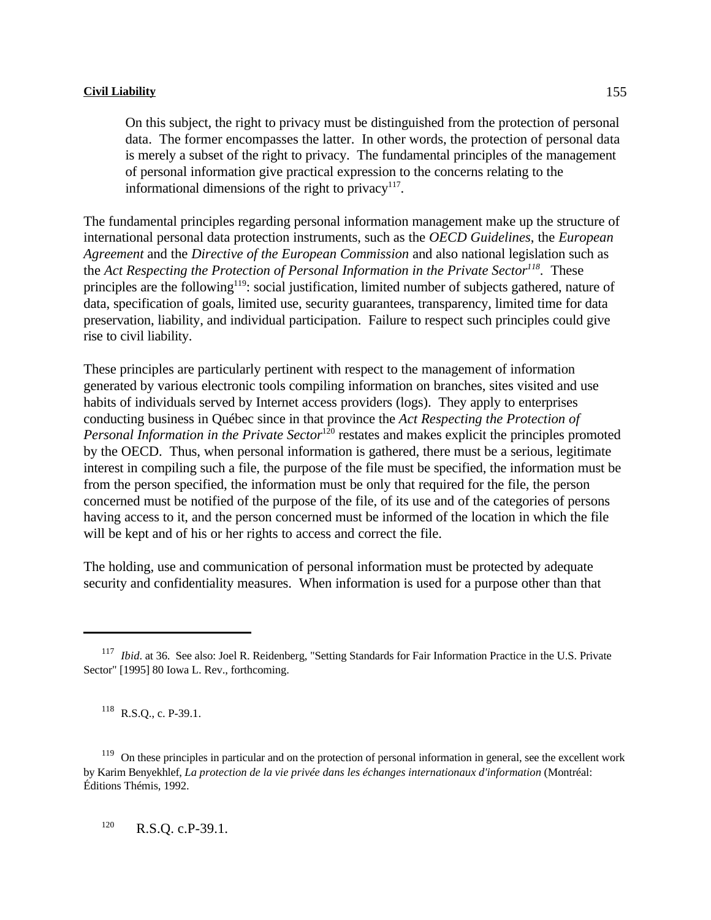On this subject, the right to privacy must be distinguished from the protection of personal data. The former encompasses the latter. In other words, the protection of personal data is merely a subset of the right to privacy. The fundamental principles of the management of personal information give practical expression to the concerns relating to the informational dimensions of the right to privacy $117$ .

The fundamental principles regarding personal information management make up the structure of international personal data protection instruments, such as the *OECD Guidelines*, the *European Agreement* and the *Directive of the European Commission* and also national legislation such as the *Act Respecting the Protection of Personal Information in the Private Sector*<sup>118</sup>. These principles are the following<sup>119</sup>: social justification, limited number of subjects gathered, nature of data, specification of goals, limited use, security guarantees, transparency, limited time for data preservation, liability, and individual participation. Failure to respect such principles could give rise to civil liability.

These principles are particularly pertinent with respect to the management of information generated by various electronic tools compiling information on branches, sites visited and use habits of individuals served by Internet access providers (logs). They apply to enterprises conducting business in Québec since in that province the *Act Respecting the Protection of Personal Information in the Private Sector*<sup>120</sup> restates and makes explicit the principles promoted by the OECD. Thus, when personal information is gathered, there must be a serious, legitimate interest in compiling such a file, the purpose of the file must be specified, the information must be from the person specified, the information must be only that required for the file, the person concerned must be notified of the purpose of the file, of its use and of the categories of persons having access to it, and the person concerned must be informed of the location in which the file will be kept and of his or her rights to access and correct the file.

The holding, use and communication of personal information must be protected by adequate security and confidentiality measures. When information is used for a purpose other than that

 $118$  R.S.Q., c. P-39.1.

 $R.S.Q. c.P-39.1.$ 

<sup>&</sup>lt;sup>117</sup> *Ibid.* at 36. See also: Joel R. Reidenberg, "Setting Standards for Fair Information Practice in the U.S. Private Sector" [1995] 80 Iowa L. Rev., forthcoming.

 $119$  On these principles in particular and on the protection of personal information in general, see the excellent work by Karim Benyekhlef, *La protection de la vie privée dans les échanges internationaux d'information* (Montréal: Éditions Thémis, 1992.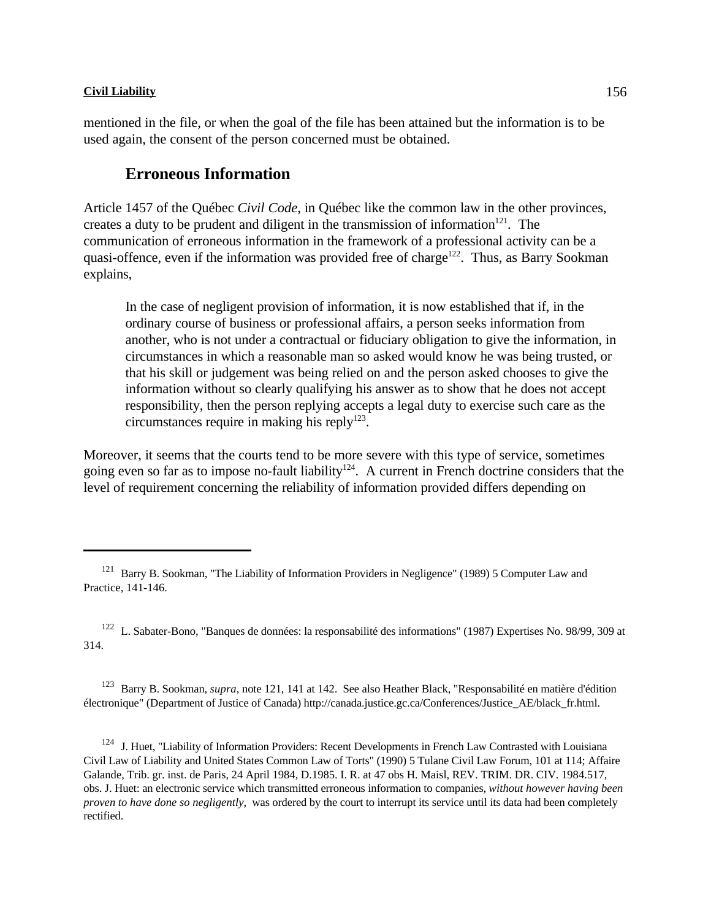mentioned in the file, or when the goal of the file has been attained but the information is to be used again, the consent of the person concerned must be obtained.

# **Erroneous Information**

Article 1457 of the Québec *Civil Code*, in Québec like the common law in the other provinces, creates a duty to be prudent and diligent in the transmission of information $121$ . The communication of erroneous information in the framework of a professional activity can be a quasi-offence, even if the information was provided free of charge<sup>122</sup>. Thus, as Barry Sookman explains,

In the case of negligent provision of information, it is now established that if, in the ordinary course of business or professional affairs, a person seeks information from another, who is not under a contractual or fiduciary obligation to give the information, in circumstances in which a reasonable man so asked would know he was being trusted, or that his skill or judgement was being relied on and the person asked chooses to give the information without so clearly qualifying his answer as to show that he does not accept responsibility, then the person replying accepts a legal duty to exercise such care as the circumstances require in making his reply $123$ .

Moreover, it seems that the courts tend to be more severe with this type of service, sometimes going even so far as to impose no-fault liability<sup>124</sup>. A current in French doctrine considers that the level of requirement concerning the reliability of information provided differs depending on

<sup>123</sup> Barry B. Sookman, *supra*, note 121, 141 at 142. See also Heather Black, "Responsabilité en matière d'édition électronique" (Department of Justice of Canada) http://canada.justice.gc.ca/Conferences/Justice\_AE/black\_fr.html.

<sup>124</sup> J. Huet, "Liability of Information Providers: Recent Developments in French Law Contrasted with Louisiana Civil Law of Liability and United States Common Law of Torts" (1990) 5 Tulane Civil Law Forum, 101 at 114; Affaire Galande, Trib. gr. inst. de Paris, 24 April 1984, D.1985. I. R. at 47 obs H. Maisl, REV. TRIM. DR. CIV. 1984.517, obs. J. Huet: an electronic service which transmitted erroneous information to companies, *without however having been proven to have done so negligently*, was ordered by the court to interrupt its service until its data had been completely rectified.

<sup>&</sup>lt;sup>121</sup> Barry B. Sookman, "The Liability of Information Providers in Negligence" (1989) 5 Computer Law and Practice, 141-146.

<sup>&</sup>lt;sup>122</sup> L. Sabater-Bono, "Banques de données: la responsabilité des informations" (1987) Expertises No. 98/99, 309 at 314.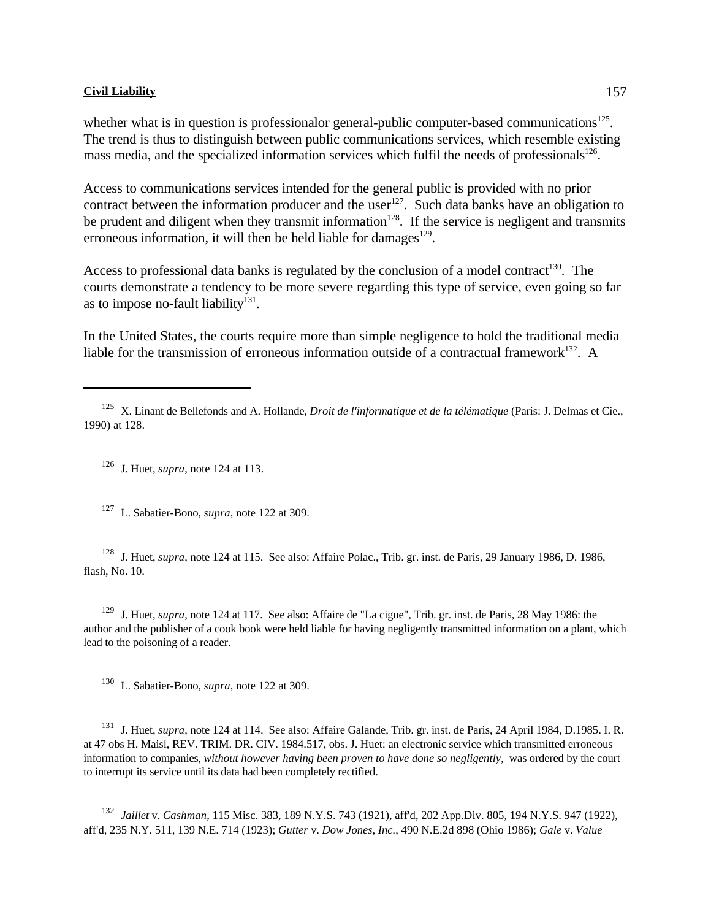whether what is in question is professionalor general-public computer-based communications $^{125}$ . The trend is thus to distinguish between public communications services, which resemble existing mass media, and the specialized information services which fulfil the needs of professionals<sup>126</sup>.

Access to communications services intended for the general public is provided with no prior contract between the information producer and the user  $127$ . Such data banks have an obligation to be prudent and diligent when they transmit information<sup>128</sup>. If the service is negligent and transmits erroneous information, it will then be held liable for damages $^{129}$ .

Access to professional data banks is regulated by the conclusion of a model contract<sup>130</sup>. The courts demonstrate a tendency to be more severe regarding this type of service, even going so far as to impose no-fault liability $131$ .

In the United States, the courts require more than simple negligence to hold the traditional media liable for the transmission of erroneous information outside of a contractual framework<sup>132</sup>. A

 $126$  J. Huet, *supra*, note 124 at 113.

<sup>127</sup> L. Sabatier-Bono, *supra*, note 122 at 309.

<sup>128</sup> J. Huet, *supra*, note 124 at 115. See also: Affaire Polac., Trib. gr. inst. de Paris, 29 January 1986, D. 1986, flash, No. 10.

<sup>129</sup> J. Huet, *supra*, note 124 at 117. See also: Affaire de "La cigue", Trib. gr. inst. de Paris, 28 May 1986: the author and the publisher of a cook book were held liable for having negligently transmitted information on a plant, which lead to the poisoning of a reader.

<sup>130</sup> L. Sabatier-Bono, *supra*, note 122 at 309.

<sup>131</sup> J. Huet, *supra*, note 124 at 114. See also: Affaire Galande, Trib. gr. inst. de Paris, 24 April 1984, D.1985. I. R. at 47 obs H. Maisl, REV. TRIM. DR. CIV. 1984.517, obs. J. Huet: an electronic service which transmitted erroneous information to companies, *without however having been proven to have done so negligently*, was ordered by the court to interrupt its service until its data had been completely rectified.

132 Jaillet v. *Cashman*, 115 Misc. 383, 189 N.Y.S. 743 (1921), aff'd, 202 App.Div. 805, 194 N.Y.S. 947 (1922), aff'd, 235 N.Y. 511, 139 N.E. 714 (1923); *Gutter* v. *Dow Jones, Inc.*, 490 N.E.2d 898 (Ohio 1986); *Gale* v. *Value*

<sup>&</sup>lt;sup>125</sup> X. Linant de Bellefonds and A. Hollande, *Droit de l'informatique et de la télématique* (Paris: J. Delmas et Cie., 1990) at 128.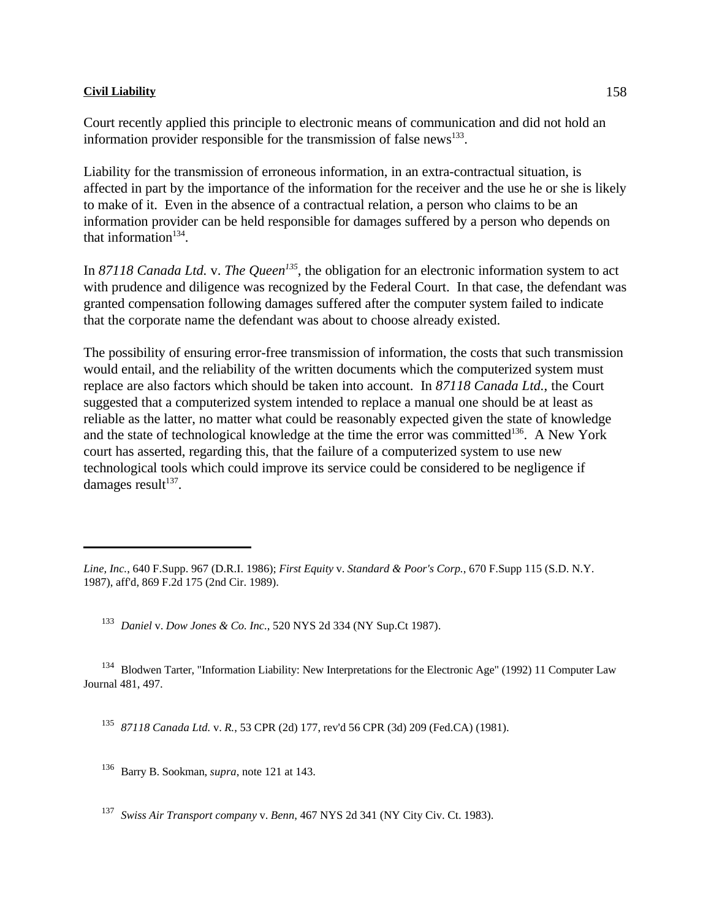Court recently applied this principle to electronic means of communication and did not hold an information provider responsible for the transmission of false news $^{133}$ .

Liability for the transmission of erroneous information, in an extra-contractual situation, is affected in part by the importance of the information for the receiver and the use he or she is likely to make of it. Even in the absence of a contractual relation, a person who claims to be an information provider can be held responsible for damages suffered by a person who depends on that information $134$ .

In 87118 Canada Ltd. v. The Queen<sup>135</sup>, the obligation for an electronic information system to act with prudence and diligence was recognized by the Federal Court. In that case, the defendant was granted compensation following damages suffered after the computer system failed to indicate that the corporate name the defendant was about to choose already existed.

The possibility of ensuring error-free transmission of information, the costs that such transmission would entail, and the reliability of the written documents which the computerized system must replace are also factors which should be taken into account. In *87118 Canada Ltd.*, the Court suggested that a computerized system intended to replace a manual one should be at least as reliable as the latter, no matter what could be reasonably expected given the state of knowledge and the state of technological knowledge at the time the error was committed $136$ . A New York court has asserted, regarding this, that the failure of a computerized system to use new technological tools which could improve its service could be considered to be negligence if damages result<sup>137</sup>.

<sup>133</sup> Daniel v. Dow Jones & Co. Inc., 520 NYS 2d 334 (NY Sup.Ct 1987).

<sup>134</sup> Blodwen Tarter, "Information Liability: New Interpretations for the Electronic Age" (1992) 11 Computer Law Journal 481, 497.

<sup>135</sup> 87118 Canada Ltd. v. *R.*, 53 CPR (2d) 177, rev'd 56 CPR (3d) 209 (Fed.CA) (1981).

<sup>136</sup> Barry B. Sookman, *supra*, note 121 at 143.

*Swiss Air Transport company* v. *Benn*, 467 NYS 2d 341 (NY City Civ. Ct. 1983). <sup>137</sup>

*Line, Inc.*, 640 F.Supp. 967 (D.R.I. 1986); *First Equity* v. *Standard & Poor's Corp.*, 670 F.Supp 115 (S.D. N.Y. 1987), aff'd, 869 F.2d 175 (2nd Cir. 1989).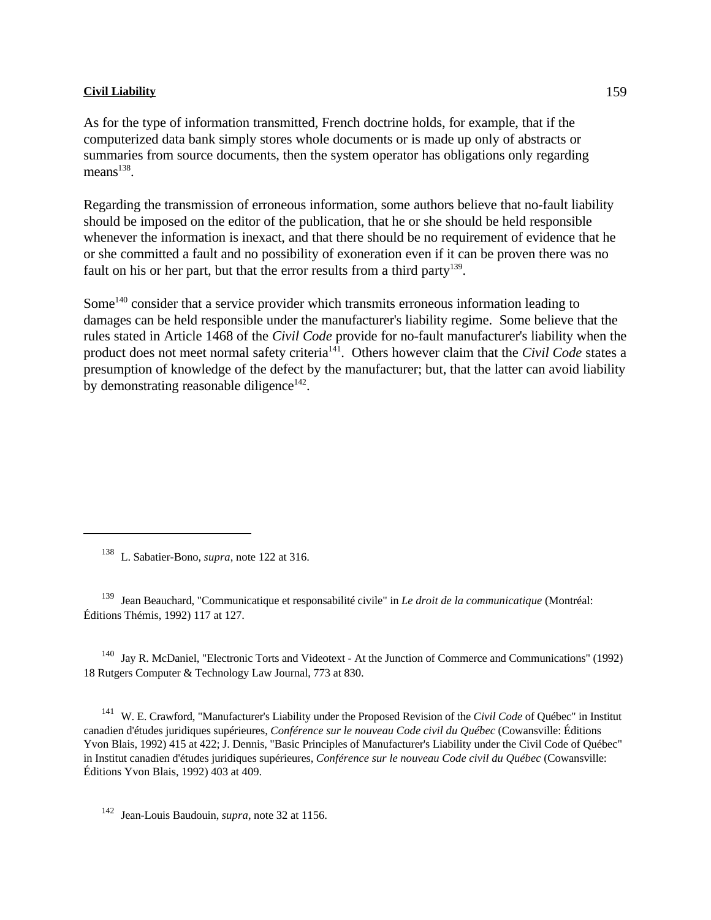As for the type of information transmitted, French doctrine holds, for example, that if the computerized data bank simply stores whole documents or is made up only of abstracts or summaries from source documents, then the system operator has obligations only regarding  $means<sup>138</sup>$ .

Regarding the transmission of erroneous information, some authors believe that no-fault liability should be imposed on the editor of the publication, that he or she should be held responsible whenever the information is inexact, and that there should be no requirement of evidence that he or she committed a fault and no possibility of exoneration even if it can be proven there was no fault on his or her part, but that the error results from a third party<sup>139</sup>.

Some<sup> $140$ </sup> consider that a service provider which transmits erroneous information leading to damages can be held responsible under the manufacturer's liability regime. Some believe that the rules stated in Article 1468 of the *Civil Code* provide for no-fault manufacturer's liability when the product does not meet normal safety criteria<sup>141</sup>. Others however claim that the *Civil Code* states a presumption of knowledge of the defect by the manufacturer; but, that the latter can avoid liability by demonstrating reasonable diligence $142$ .

<sup>138</sup> L. Sabatier-Bono, *supra*, note 122 at 316.

<sup>139</sup> Jean Beauchard, "Communicatique et responsabilité civile" in *Le droit de la communicatique* (Montréal: Éditions Thémis, 1992) 117 at 127.

 $140$  Jay R. McDaniel, "Electronic Torts and Videotext - At the Junction of Commerce and Communications" (1992) 18 Rutgers Computer & Technology Law Journal, 773 at 830.

<sup>141</sup> W. E. Crawford, "Manufacturer's Liability under the Proposed Revision of the *Civil Code* of Québec" in Institut canadien d'études juridiques supérieures, *Conférence sur le nouveau Code civil du Québec* (Cowansville: Éditions Yvon Blais, 1992) 415 at 422; J. Dennis, "Basic Principles of Manufacturer's Liability under the Civil Code of Québec" in Institut canadien d'études juridiques supérieures, *Conférence sur le nouveau Code civil du Québec* (Cowansville: Éditions Yvon Blais, 1992) 403 at 409.

<sup>142</sup> Jean-Louis Baudouin, *supra*, note 32 at 1156.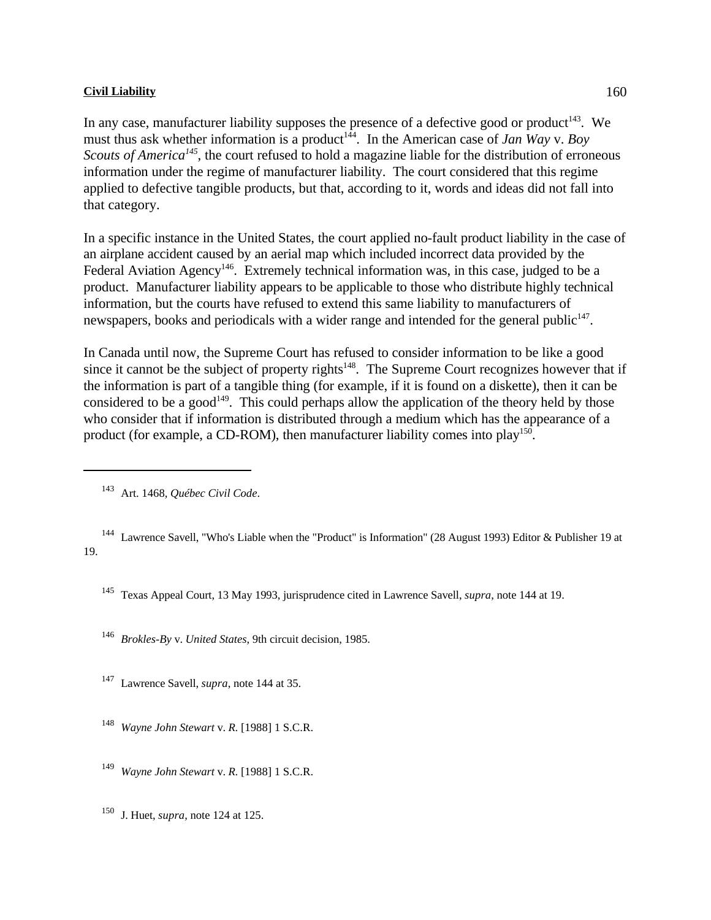In any case, manufacturer liability supposes the presence of a defective good or product<sup>143</sup>. We must thus ask whether information is a product<sup>144</sup>. In the American case of *Jan Way* v. *Boy Scouts of America<sup>145</sup>*, the court refused to hold a magazine liable for the distribution of erroneous information under the regime of manufacturer liability. The court considered that this regime applied to defective tangible products, but that, according to it, words and ideas did not fall into that category.

In a specific instance in the United States, the court applied no-fault product liability in the case of an airplane accident caused by an aerial map which included incorrect data provided by the Federal Aviation Agency<sup>146</sup>. Extremely technical information was, in this case, judged to be a product. Manufacturer liability appears to be applicable to those who distribute highly technical information, but the courts have refused to extend this same liability to manufacturers of newspapers, books and periodicals with a wider range and intended for the general public<sup>147</sup>.

In Canada until now, the Supreme Court has refused to consider information to be like a good since it cannot be the subject of property rights<sup> $148$ </sup>. The Supreme Court recognizes however that if the information is part of a tangible thing (for example, if it is found on a diskette), then it can be considered to be a good<sup>149</sup>. This could perhaps allow the application of the theory held by those who consider that if information is distributed through a medium which has the appearance of a product (for example, a CD-ROM), then manufacturer liability comes into  $play<sup>150</sup>$ .

- Texas Appeal Court, 13 May 1993, jurisprudence cited in Lawrence Savell, *supra*, note 144 at 19. <sup>145</sup>
- <sup>146</sup> *Brokles-By v. United States*, 9th circuit decision, 1985.
- <sup>147</sup> Lawrence Savell, *supra*, note 144 at 35.
- <sup>148</sup> Wayne John Stewart v. *R.* [1988] 1 S.C.R.
- <sup>149</sup> Wayne John Stewart v. *R.* [1988] 1 S.C.R.
- $^{150}$  J. Huet, *supra*, note 124 at 125.

Art. 1468, *Québec Civil Code*. 143

<sup>&</sup>lt;sup>144</sup> Lawrence Savell, "Who's Liable when the "Product" is Information" (28 August 1993) Editor & Publisher 19 at 19.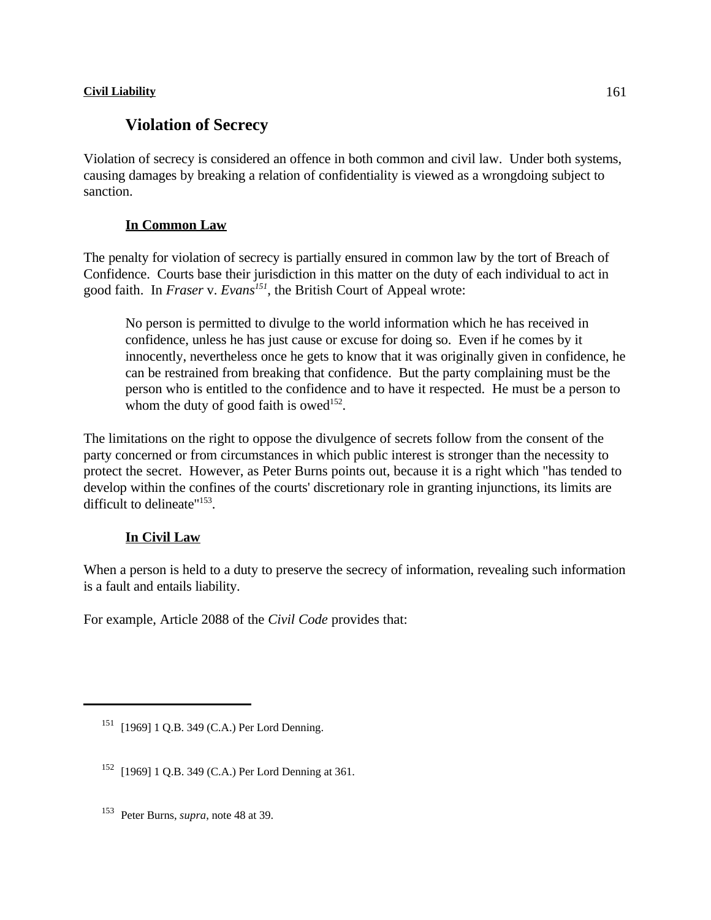# **Violation of Secrecy**

Violation of secrecy is considered an offence in both common and civil law. Under both systems, causing damages by breaking a relation of confidentiality is viewed as a wrongdoing subject to sanction.

# **In Common Law**

The penalty for violation of secrecy is partially ensured in common law by the tort of Breach of Confidence. Courts base their jurisdiction in this matter on the duty of each individual to act in good faith. In *Fraser* v. *Evans*<sup>151</sup>, the British Court of Appeal wrote:

No person is permitted to divulge to the world information which he has received in confidence, unless he has just cause or excuse for doing so. Even if he comes by it innocently, nevertheless once he gets to know that it was originally given in confidence, he can be restrained from breaking that confidence. But the party complaining must be the person who is entitled to the confidence and to have it respected. He must be a person to whom the duty of good faith is owed<sup>152</sup>.

The limitations on the right to oppose the divulgence of secrets follow from the consent of the party concerned or from circumstances in which public interest is stronger than the necessity to protect the secret. However, as Peter Burns points out, because it is a right which "has tended to develop within the confines of the courts' discretionary role in granting injunctions, its limits are difficult to delineate" $153$ .

# **In Civil Law**

When a person is held to a duty to preserve the secrecy of information, revealing such information is a fault and entails liability.

For example, Article 2088 of the *Civil Code* provides that:

 $151$  [1969] 1 O.B. 349 (C.A.) Per Lord Denning.

 $152$  [1969] 1 Q.B. 349 (C.A.) Per Lord Denning at 361.

<sup>&</sup>lt;sup>153</sup> Peter Burns, *supra*, note 48 at 39.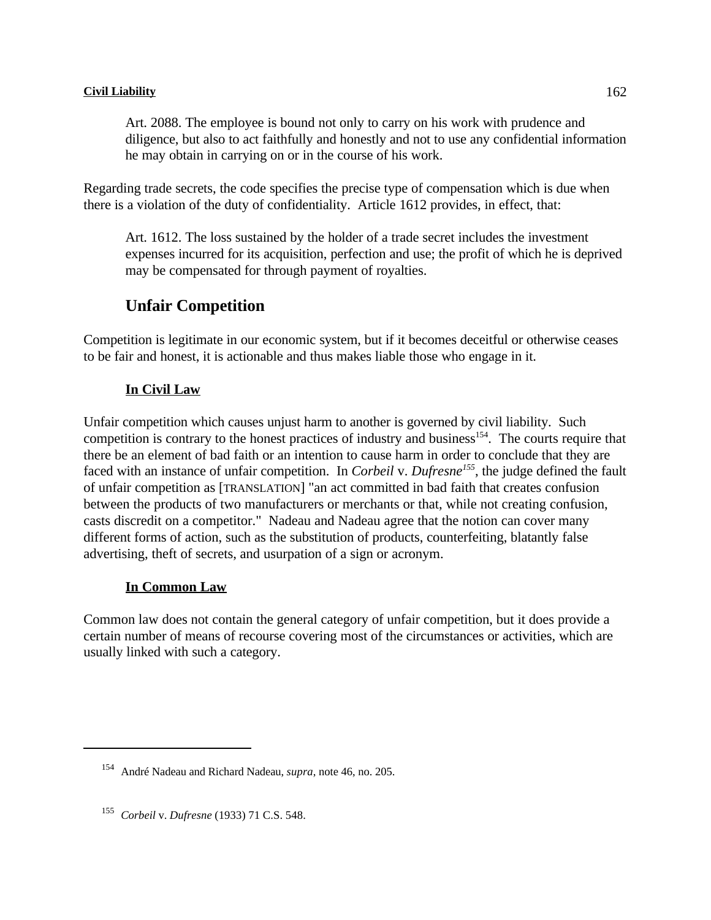Art. 2088. The employee is bound not only to carry on his work with prudence and diligence, but also to act faithfully and honestly and not to use any confidential information he may obtain in carrying on or in the course of his work.

Regarding trade secrets, the code specifies the precise type of compensation which is due when there is a violation of the duty of confidentiality. Article 1612 provides, in effect, that:

Art. 1612. The loss sustained by the holder of a trade secret includes the investment expenses incurred for its acquisition, perfection and use; the profit of which he is deprived may be compensated for through payment of royalties.

# **Unfair Competition**

Competition is legitimate in our economic system, but if it becomes deceitful or otherwise ceases to be fair and honest, it is actionable and thus makes liable those who engage in it.

# **In Civil Law**

Unfair competition which causes unjust harm to another is governed by civil liability. Such competition is contrary to the honest practices of industry and business<sup>154</sup>. The courts require that there be an element of bad faith or an intention to cause harm in order to conclude that they are faced with an instance of unfair competition. In *Corbeil* v. Dufresne<sup>155</sup>, the judge defined the fault of unfair competition as [TRANSLATION] "an act committed in bad faith that creates confusion between the products of two manufacturers or merchants or that, while not creating confusion, casts discredit on a competitor." Nadeau and Nadeau agree that the notion can cover many different forms of action, such as the substitution of products, counterfeiting, blatantly false advertising, theft of secrets, and usurpation of a sign or acronym.

# **In Common Law**

Common law does not contain the general category of unfair competition, but it does provide a certain number of means of recourse covering most of the circumstances or activities, which are usually linked with such a category.

<sup>&</sup>lt;sup>154</sup> André Nadeau and Richard Nadeau, *supra*, note 46, no. 205.

<sup>&</sup>lt;sup>155</sup> *Corbeil* v. *Dufresne* (1933) 71 C.S. 548.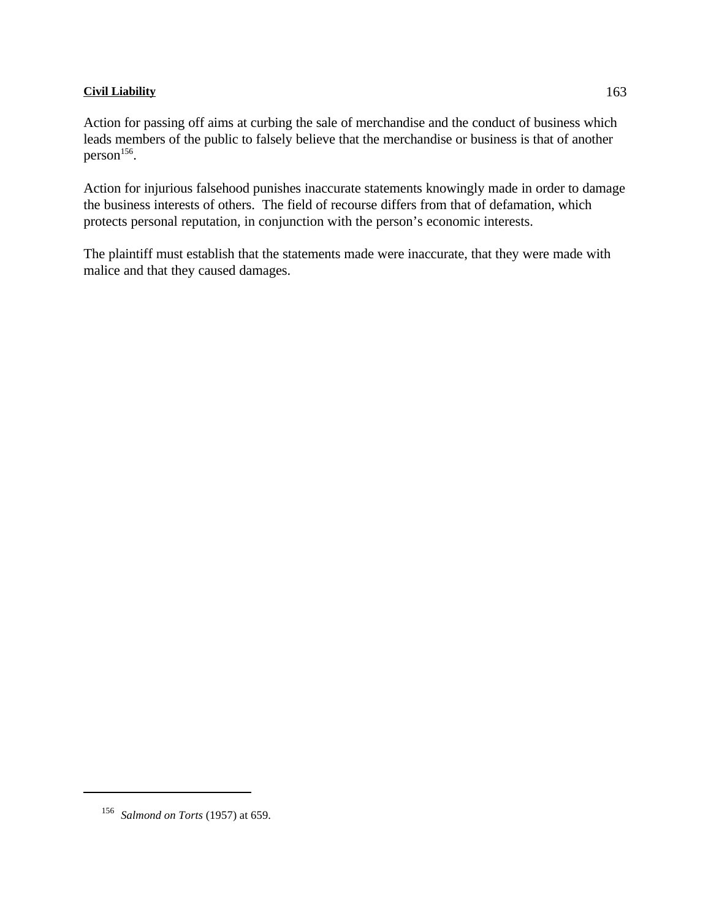Action for passing off aims at curbing the sale of merchandise and the conduct of business which leads members of the public to falsely believe that the merchandise or business is that of another  $person<sup>156</sup>$ .

Action for injurious falsehood punishes inaccurate statements knowingly made in order to damage the business interests of others. The field of recourse differs from that of defamation, which protects personal reputation, in conjunction with the person's economic interests.

The plaintiff must establish that the statements made were inaccurate, that they were made with malice and that they caused damages.

<sup>&</sup>lt;sup>156</sup> *Salmond on Torts* (1957) at 659.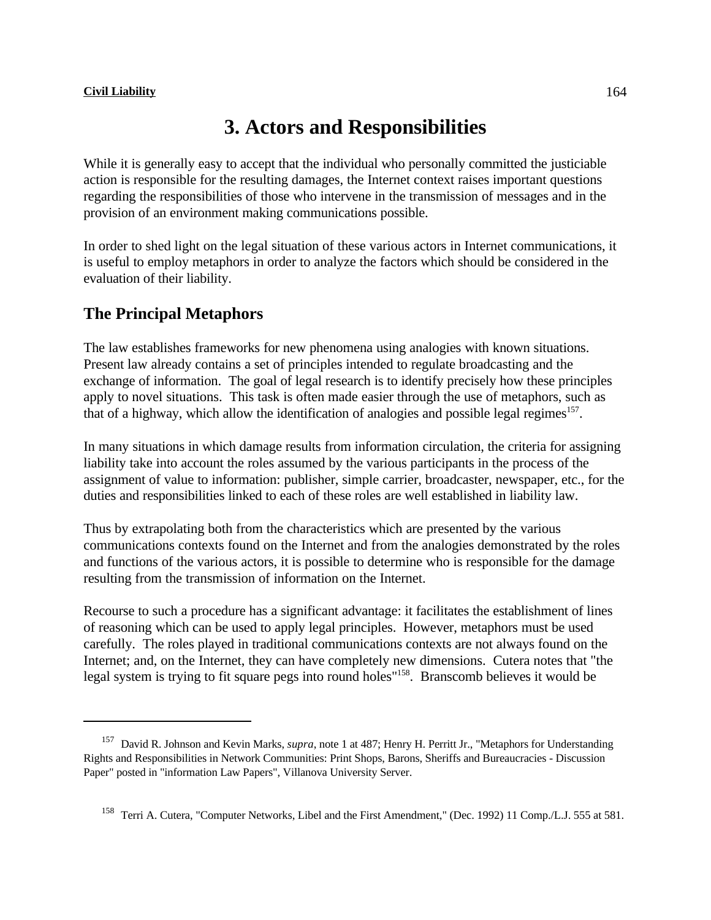# **3. Actors and Responsibilities**

While it is generally easy to accept that the individual who personally committed the justiciable action is responsible for the resulting damages, the Internet context raises important questions regarding the responsibilities of those who intervene in the transmission of messages and in the provision of an environment making communications possible.

In order to shed light on the legal situation of these various actors in Internet communications, it is useful to employ metaphors in order to analyze the factors which should be considered in the evaluation of their liability.

# **The Principal Metaphors**

The law establishes frameworks for new phenomena using analogies with known situations. Present law already contains a set of principles intended to regulate broadcasting and the exchange of information. The goal of legal research is to identify precisely how these principles apply to novel situations. This task is often made easier through the use of metaphors, such as that of a highway, which allow the identification of analogies and possible legal regimes<sup>157</sup>.

In many situations in which damage results from information circulation, the criteria for assigning liability take into account the roles assumed by the various participants in the process of the assignment of value to information: publisher, simple carrier, broadcaster, newspaper, etc., for the duties and responsibilities linked to each of these roles are well established in liability law.

Thus by extrapolating both from the characteristics which are presented by the various communications contexts found on the Internet and from the analogies demonstrated by the roles and functions of the various actors, it is possible to determine who is responsible for the damage resulting from the transmission of information on the Internet.

Recourse to such a procedure has a significant advantage: it facilitates the establishment of lines of reasoning which can be used to apply legal principles. However, metaphors must be used carefully. The roles played in traditional communications contexts are not always found on the Internet; and, on the Internet, they can have completely new dimensions. Cutera notes that "the legal system is trying to fit square pegs into round holes<sup>"158</sup>. Branscomb believes it would be

<sup>&</sup>lt;sup>157</sup> David R. Johnson and Kevin Marks, *supra*, note 1 at 487; Henry H. Perritt Jr., "Metaphors for Understanding Rights and Responsibilities in Network Communities: Print Shops, Barons, Sheriffs and Bureaucracies - Discussion Paper" posted in "information Law Papers", Villanova University Server.

<sup>&</sup>lt;sup>158</sup> Terri A. Cutera, "Computer Networks, Libel and the First Amendment," (Dec. 1992) 11 Comp./L.J. 555 at 581.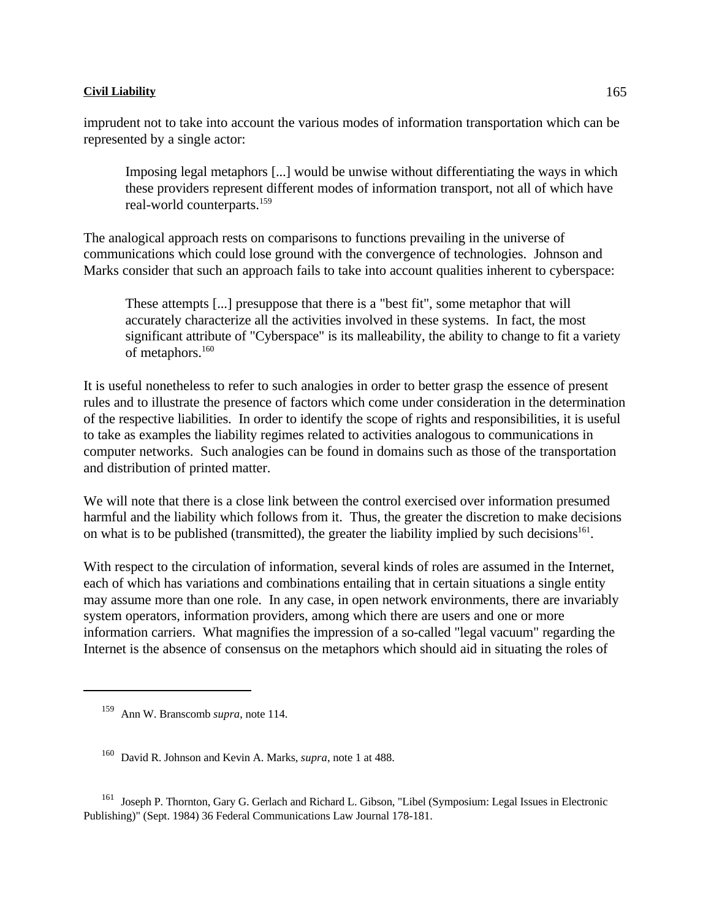Imposing legal metaphors [...] would be unwise without differentiating the ways in which these providers represent different modes of information transport, not all of which have real-world counterparts.<sup>159</sup>

The analogical approach rests on comparisons to functions prevailing in the universe of communications which could lose ground with the convergence of technologies. Johnson and Marks consider that such an approach fails to take into account qualities inherent to cyberspace:

These attempts [...] presuppose that there is a "best fit", some metaphor that will accurately characterize all the activities involved in these systems. In fact, the most significant attribute of "Cyberspace" is its malleability, the ability to change to fit a variety of metaphors.<sup>160</sup>

It is useful nonetheless to refer to such analogies in order to better grasp the essence of present rules and to illustrate the presence of factors which come under consideration in the determination of the respective liabilities. In order to identify the scope of rights and responsibilities, it is useful to take as examples the liability regimes related to activities analogous to communications in computer networks. Such analogies can be found in domains such as those of the transportation and distribution of printed matter.

We will note that there is a close link between the control exercised over information presumed harmful and the liability which follows from it. Thus, the greater the discretion to make decisions on what is to be published (transmitted), the greater the liability implied by such decisions<sup>161</sup>.

With respect to the circulation of information, several kinds of roles are assumed in the Internet, each of which has variations and combinations entailing that in certain situations a single entity may assume more than one role. In any case, in open network environments, there are invariably system operators, information providers, among which there are users and one or more information carriers. What magnifies the impression of a so-called "legal vacuum" regarding the Internet is the absence of consensus on the metaphors which should aid in situating the roles of

<sup>161</sup> Joseph P. Thornton, Gary G. Gerlach and Richard L. Gibson, "Libel (Symposium: Legal Issues in Electronic Publishing)" (Sept. 1984) 36 Federal Communications Law Journal 178-181.

<sup>&</sup>lt;sup>159</sup> Ann W. Branscomb *supra*, note 114.

<sup>&</sup>lt;sup>160</sup> David R. Johnson and Kevin A. Marks, *supra*, note 1 at 488.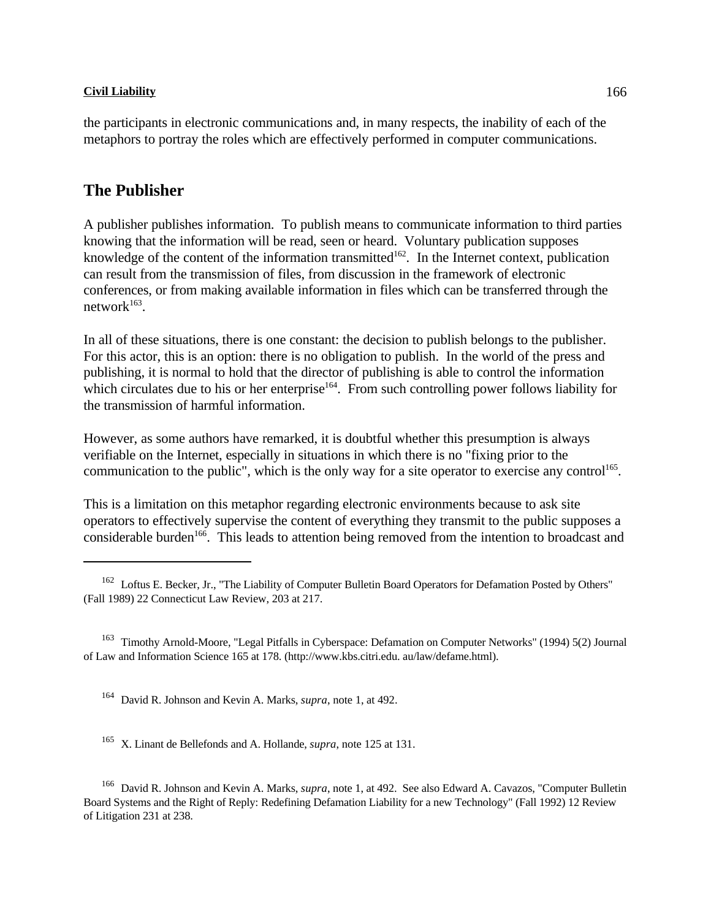the participants in electronic communications and, in many respects, the inability of each of the metaphors to portray the roles which are effectively performed in computer communications.

# **The Publisher**

A publisher publishes information. To publish means to communicate information to third parties knowing that the information will be read, seen or heard. Voluntary publication supposes knowledge of the content of the information transmitted  $162$ . In the Internet context, publication can result from the transmission of files, from discussion in the framework of electronic conferences, or from making available information in files which can be transferred through the networ $k^{163}$ .

In all of these situations, there is one constant: the decision to publish belongs to the publisher. For this actor, this is an option: there is no obligation to publish. In the world of the press and publishing, it is normal to hold that the director of publishing is able to control the information which circulates due to his or her enterprise<sup>164</sup>. From such controlling power follows liability for the transmission of harmful information.

However, as some authors have remarked, it is doubtful whether this presumption is always verifiable on the Internet, especially in situations in which there is no "fixing prior to the communication to the public", which is the only way for a site operator to exercise any control<sup>165</sup>.

This is a limitation on this metaphor regarding electronic environments because to ask site operators to effectively supervise the content of everything they transmit to the public supposes a considerable burden<sup>166</sup>. This leads to attention being removed from the intention to broadcast and

<sup>&</sup>lt;sup>162</sup> Loftus E. Becker, Jr., "The Liability of Computer Bulletin Board Operators for Defamation Posted by Others" (Fall 1989) 22 Connecticut Law Review, 203 at 217.

<sup>&</sup>lt;sup>163</sup> Timothy Arnold-Moore, "Legal Pitfalls in Cyberspace: Defamation on Computer Networks" (1994) 5(2) Journal of Law and Information Science 165 at 178. (http://www.kbs.citri.edu. au/law/defame.html).

<sup>&</sup>lt;sup>164</sup> David R. Johnson and Kevin A. Marks, *supra*, note 1, at 492.

<sup>&</sup>lt;sup>165</sup> X. Linant de Bellefonds and A. Hollande, *supra*, note 125 at 131.

<sup>&</sup>lt;sup>166</sup> David R. Johnson and Kevin A. Marks, *supra*, note 1, at 492. See also Edward A. Cavazos, "Computer Bulletin" Board Systems and the Right of Reply: Redefining Defamation Liability for a new Technology" (Fall 1992) 12 Review of Litigation 231 at 238.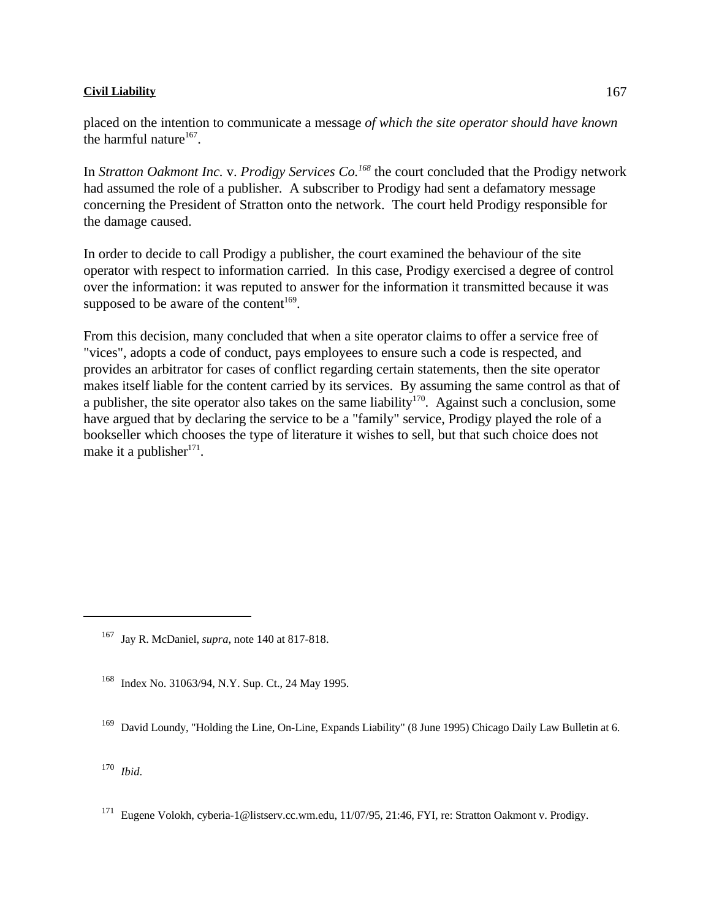placed on the intention to communicate a message *of which the site operator should have known* the harmful nature $167$ .

In *Stratton Oakmont Inc.* v. *Prodigy Services Co.*<sup>168</sup> the court concluded that the Prodigy network had assumed the role of a publisher. A subscriber to Prodigy had sent a defamatory message concerning the President of Stratton onto the network. The court held Prodigy responsible for the damage caused.

In order to decide to call Prodigy a publisher, the court examined the behaviour of the site operator with respect to information carried. In this case, Prodigy exercised a degree of control over the information: it was reputed to answer for the information it transmitted because it was supposed to be aware of the content<sup>169</sup>.

From this decision, many concluded that when a site operator claims to offer a service free of "vices", adopts a code of conduct, pays employees to ensure such a code is respected, and provides an arbitrator for cases of conflict regarding certain statements, then the site operator makes itself liable for the content carried by its services. By assuming the same control as that of a publisher, the site operator also takes on the same liability<sup>170</sup>. Against such a conclusion, some have argued that by declaring the service to be a "family" service, Prodigy played the role of a bookseller which chooses the type of literature it wishes to sell, but that such choice does not make it a publisher $171$ .

<sup>169</sup> David Loundy, "Holding the Line, On-Line, Expands Liability" (8 June 1995) Chicago Daily Law Bulletin at 6.

*Ibid*. 170

<sup>&</sup>lt;sup>167</sup> Jay R. McDaniel, *supra*, note 140 at 817-818.

Index No. 31063/94, N.Y. Sup. Ct., 24 May 1995.

<sup>&</sup>lt;sup>171</sup> Eugene Volokh, cyberia-1@listserv.cc.wm.edu, 11/07/95, 21:46, FYI, re: Stratton Oakmont v. Prodigy.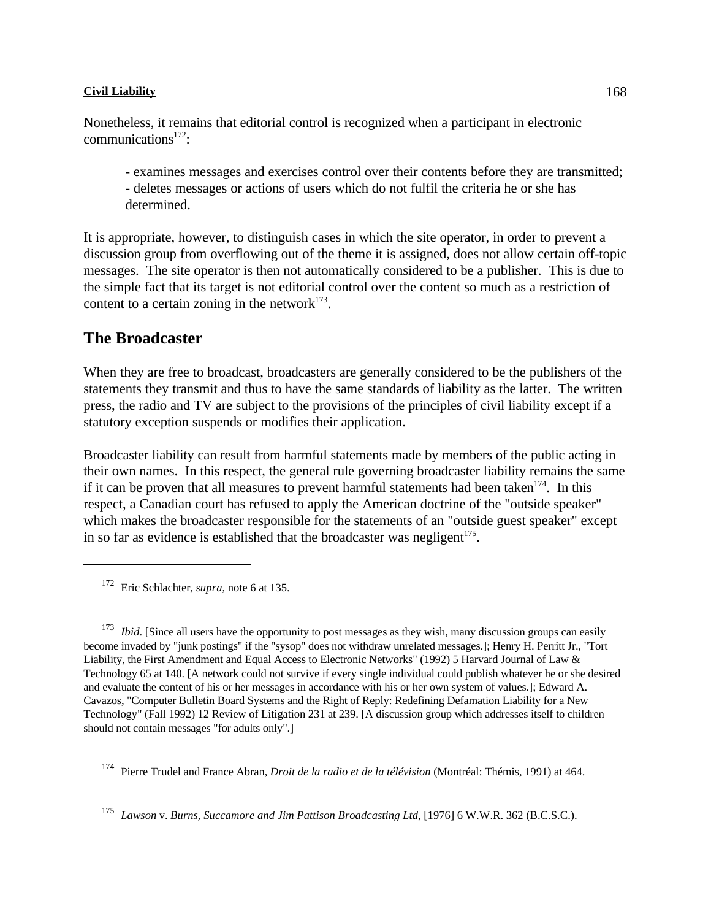Nonetheless, it remains that editorial control is recognized when a participant in electronic communications $172$ :

- examines messages and exercises control over their contents before they are transmitted; - deletes messages or actions of users which do not fulfil the criteria he or she has determined.

It is appropriate, however, to distinguish cases in which the site operator, in order to prevent a discussion group from overflowing out of the theme it is assigned, does not allow certain off-topic messages. The site operator is then not automatically considered to be a publisher. This is due to the simple fact that its target is not editorial control over the content so much as a restriction of content to a certain zoning in the network $173$ .

# **The Broadcaster**

When they are free to broadcast, broadcasters are generally considered to be the publishers of the statements they transmit and thus to have the same standards of liability as the latter. The written press, the radio and TV are subject to the provisions of the principles of civil liability except if a statutory exception suspends or modifies their application.

Broadcaster liability can result from harmful statements made by members of the public acting in their own names. In this respect, the general rule governing broadcaster liability remains the same if it can be proven that all measures to prevent harmful statements had been taken  $174$ . In this respect, a Canadian court has refused to apply the American doctrine of the "outside speaker" which makes the broadcaster responsible for the statements of an "outside guest speaker" except in so far as evidence is established that the broadcaster was negligent $175$ .

<sup>172</sup> Eric Schlachter, *supra*, note 6 at 135.

<sup>173</sup> *Ibid*. [Since all users have the opportunity to post messages as they wish, many discussion groups can easily become invaded by "junk postings" if the "sysop" does not withdraw unrelated messages.]; Henry H. Perritt Jr., "Tort Liability, the First Amendment and Equal Access to Electronic Networks" (1992) 5 Harvard Journal of Law & Technology 65 at 140. [A network could not survive if every single individual could publish whatever he or she desired and evaluate the content of his or her messages in accordance with his or her own system of values.]; Edward A. Cavazos, "Computer Bulletin Board Systems and the Right of Reply: Redefining Defamation Liability for a New Technology" (Fall 1992) 12 Review of Litigation 231 at 239. [A discussion group which addresses itself to children should not contain messages "for adults only".]

<sup>174</sup> Pierre Trudel and France Abran, *Droit de la radio et de la télévision* (Montréal: Thémis, 1991) at 464.

*Lawson* v. *Burns, Succamore and Jim Pattison Broadcasting Ltd*, [1976] 6 W.W.R. 362 (B.C.S.C.). <sup>175</sup>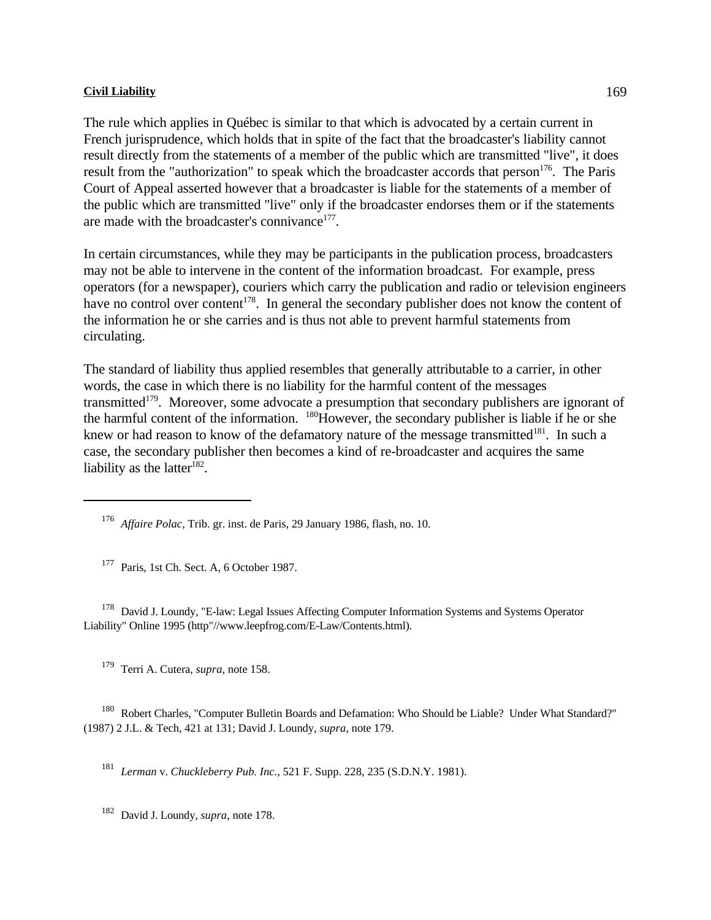The rule which applies in Québec is similar to that which is advocated by a certain current in French jurisprudence, which holds that in spite of the fact that the broadcaster's liability cannot result directly from the statements of a member of the public which are transmitted "live", it does result from the "authorization" to speak which the broadcaster accords that person  $176$ . The Paris Court of Appeal asserted however that a broadcaster is liable for the statements of a member of the public which are transmitted "live" only if the broadcaster endorses them or if the statements are made with the broadcaster's connivance<sup>177</sup>.

In certain circumstances, while they may be participants in the publication process, broadcasters may not be able to intervene in the content of the information broadcast. For example, press operators (for a newspaper), couriers which carry the publication and radio or television engineers have no control over content<sup>178</sup>. In general the secondary publisher does not know the content of the information he or she carries and is thus not able to prevent harmful statements from circulating.

The standard of liability thus applied resembles that generally attributable to a carrier, in other words, the case in which there is no liability for the harmful content of the messages transmitted<sup>179</sup>. Moreover, some advocate a presumption that secondary publishers are ignorant of the harmful content of the information.  $\frac{180}{180}$  However, the secondary publisher is liable if he or she knew or had reason to know of the defamatory nature of the message transmitted $^{181}$ . In such a case, the secondary publisher then becomes a kind of re-broadcaster and acquires the same liability as the latter $182$ .

*Affaire Polac*, Trib. gr. inst. de Paris, 29 January 1986, flash, no. 10. <sup>176</sup>

 $177$  Paris, 1st Ch. Sect. A, 6 October 1987.

<sup>178</sup> David J. Loundy, "E-law: Legal Issues Affecting Computer Information Systems and Systems Operator Liability" Online 1995 (http"//www.leepfrog.com/E-Law/Contents.html).

<sup>179</sup> Terri A. Cutera, *supra*, note 158.

<sup>180</sup> Robert Charles, "Computer Bulletin Boards and Defamation: Who Should be Liable? Under What Standard?" (1987) 2 J.L. & Tech, 421 at 131; David J. Loundy, *supra*, note 179.

<sup>181</sup> Lerman v. *Chuckleberry Pub. Inc.*, 521 F. Supp. 228, 235 (S.D.N.Y. 1981).

<sup>182</sup> David J. Loundy, *supra*, note 178.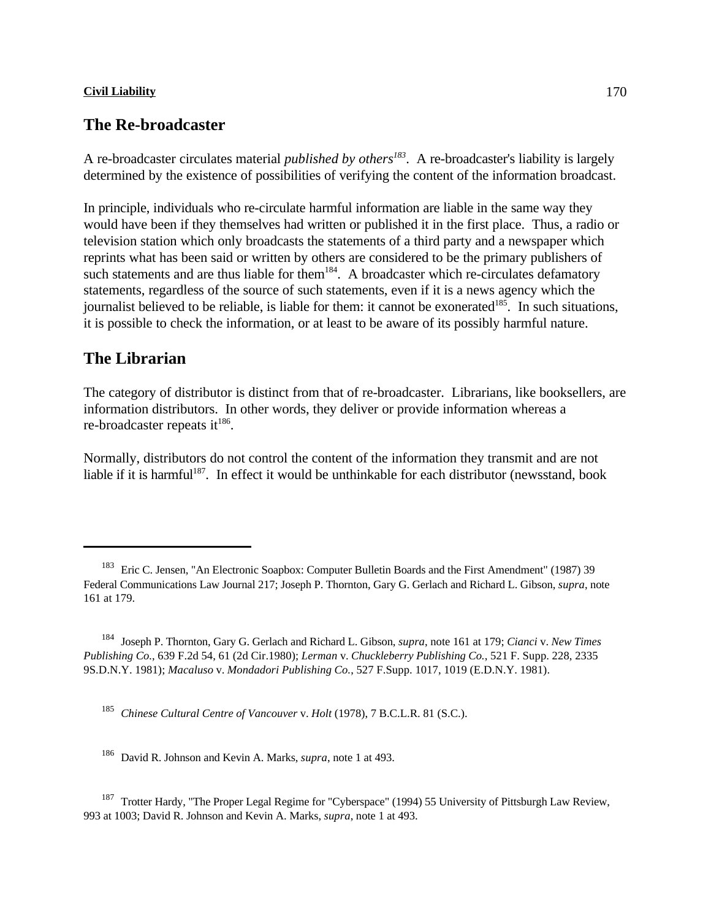# **The Re-broadcaster**

A re-broadcaster circulates material *published by others* . A re-broadcaster's liability is largely *<sup>183</sup>* determined by the existence of possibilities of verifying the content of the information broadcast.

In principle, individuals who re-circulate harmful information are liable in the same way they would have been if they themselves had written or published it in the first place. Thus, a radio or television station which only broadcasts the statements of a third party and a newspaper which reprints what has been said or written by others are considered to be the primary publishers of such statements and are thus liable for them  $184$ . A broadcaster which re-circulates defamatory statements, regardless of the source of such statements, even if it is a news agency which the journalist believed to be reliable, is liable for them: it cannot be exonerated  $185$ . In such situations, it is possible to check the information, or at least to be aware of its possibly harmful nature.

# **The Librarian**

The category of distributor is distinct from that of re-broadcaster. Librarians, like booksellers, are information distributors. In other words, they deliver or provide information whereas a re-broadcaster repeats it<sup>186</sup>.

Normally, distributors do not control the content of the information they transmit and are not liable if it is harmful<sup>187</sup>. In effect it would be unthinkable for each distributor (newsstand, book

<sup>185</sup> Chinese Cultural Centre of Vancouver v. *Holt* (1978), 7 B.C.L.R. 81 (S.C.).

<sup>186</sup> David R. Johnson and Kevin A. Marks, *supra*, note 1 at 493.

<sup>187</sup> Trotter Hardy, "The Proper Legal Regime for "Cyberspace" (1994) 55 University of Pittsburgh Law Review, 993 at 1003; David R. Johnson and Kevin A. Marks, *supra*, note 1 at 493.

<sup>&</sup>lt;sup>183</sup> Eric C. Jensen, "An Electronic Soapbox: Computer Bulletin Boards and the First Amendment" (1987) 39 Federal Communications Law Journal 217; Joseph P. Thornton, Gary G. Gerlach and Richard L. Gibson, *supra*, note 161 at 179.

Joseph P. Thornton, Gary G. Gerlach and Richard L. Gibson, *supra*, note 161 at 179; *Cianci* v. *New Times* <sup>184</sup> *Publishing Co.*, 639 F.2d 54, 61 (2d Cir.1980); *Lerman* v. *Chuckleberry Publishing Co.*, 521 F. Supp. 228, 2335 9S.D.N.Y. 1981); *Macaluso* v. *Mondadori Publishing Co.*, 527 F.Supp. 1017, 1019 (E.D.N.Y. 1981).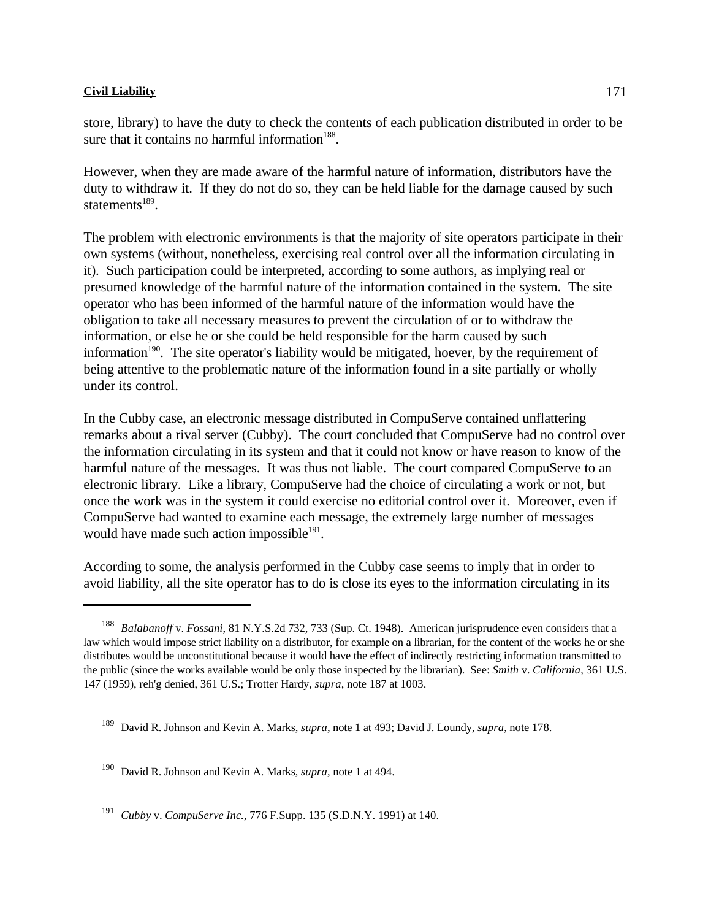store, library) to have the duty to check the contents of each publication distributed in order to be sure that it contains no harmful information<sup>188</sup>.

However, when they are made aware of the harmful nature of information, distributors have the duty to withdraw it. If they do not do so, they can be held liable for the damage caused by such statements $^{189}$ .

The problem with electronic environments is that the majority of site operators participate in their own systems (without, nonetheless, exercising real control over all the information circulating in it). Such participation could be interpreted, according to some authors, as implying real or presumed knowledge of the harmful nature of the information contained in the system. The site operator who has been informed of the harmful nature of the information would have the obligation to take all necessary measures to prevent the circulation of or to withdraw the information, or else he or she could be held responsible for the harm caused by such information  $190$ . The site operator's liability would be mitigated, hoever, by the requirement of being attentive to the problematic nature of the information found in a site partially or wholly under its control.

In the Cubby case, an electronic message distributed in CompuServe contained unflattering remarks about a rival server (Cubby). The court concluded that CompuServe had no control over the information circulating in its system and that it could not know or have reason to know of the harmful nature of the messages. It was thus not liable. The court compared CompuServe to an electronic library. Like a library, CompuServe had the choice of circulating a work or not, but once the work was in the system it could exercise no editorial control over it. Moreover, even if CompuServe had wanted to examine each message, the extremely large number of messages would have made such action impossible<sup>191</sup>.

According to some, the analysis performed in the Cubby case seems to imply that in order to avoid liability, all the site operator has to do is close its eyes to the information circulating in its

<sup>190</sup> David R. Johnson and Kevin A. Marks, *supra*, note 1 at 494.

<sup>191</sup> *Cubby v. CompuServe Inc.*, 776 F.Supp. 135 (S.D.N.Y. 1991) at 140.

<sup>&</sup>lt;sup>188</sup> Balabanoff v. *Fossani*, 81 N.Y.S.2d 732, 733 (Sup. Ct. 1948). American jurisprudence even considers that a law which would impose strict liability on a distributor, for example on a librarian, for the content of the works he or she distributes would be unconstitutional because it would have the effect of indirectly restricting information transmitted to the public (since the works available would be only those inspected by the librarian). See: *Smith* v. *California*, 361 U.S. 147 (1959), reh'g denied, 361 U.S.; Trotter Hardy, *supra*, note 187 at 1003.

<sup>&</sup>lt;sup>189</sup> David R. Johnson and Kevin A. Marks, *supra*, note 1 at 493; David J. Loundy, *supra*, note 178.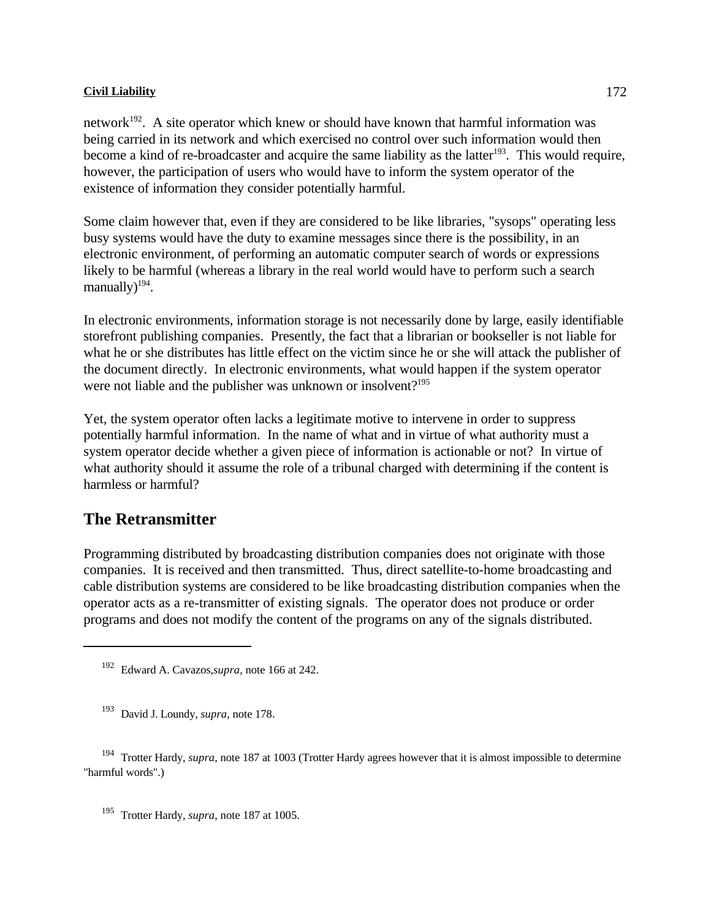network<sup> $192$ </sup>. A site operator which knew or should have known that harmful information was being carried in its network and which exercised no control over such information would then become a kind of re-broadcaster and acquire the same liability as the latter<sup>193</sup>. This would require, however, the participation of users who would have to inform the system operator of the existence of information they consider potentially harmful.

Some claim however that, even if they are considered to be like libraries, "sysops" operating less busy systems would have the duty to examine messages since there is the possibility, in an electronic environment, of performing an automatic computer search of words or expressions likely to be harmful (whereas a library in the real world would have to perform such a search manually $)^{194}$ .

In electronic environments, information storage is not necessarily done by large, easily identifiable storefront publishing companies. Presently, the fact that a librarian or bookseller is not liable for what he or she distributes has little effect on the victim since he or she will attack the publisher of the document directly. In electronic environments, what would happen if the system operator were not liable and the publisher was unknown or insolvent?<sup>195</sup>

Yet, the system operator often lacks a legitimate motive to intervene in order to suppress potentially harmful information. In the name of what and in virtue of what authority must a system operator decide whether a given piece of information is actionable or not? In virtue of what authority should it assume the role of a tribunal charged with determining if the content is harmless or harmful?

# **The Retransmitter**

Programming distributed by broadcasting distribution companies does not originate with those companies. It is received and then transmitted. Thus, direct satellite-to-home broadcasting and cable distribution systems are considered to be like broadcasting distribution companies when the operator acts as a re-transmitter of existing signals. The operator does not produce or order programs and does not modify the content of the programs on any of the signals distributed.

<sup>195</sup> Trotter Hardy, *supra*, note 187 at 1005.

<sup>&</sup>lt;sup>192</sup> Edward A. Cavazos, *supra*, note 166 at 242.

<sup>&</sup>lt;sup>193</sup> David J. Loundy, *supra*, note 178.

<sup>&</sup>lt;sup>194</sup> Trotter Hardy, *supra*, note 187 at 1003 (Trotter Hardy agrees however that it is almost impossible to determine "harmful words".)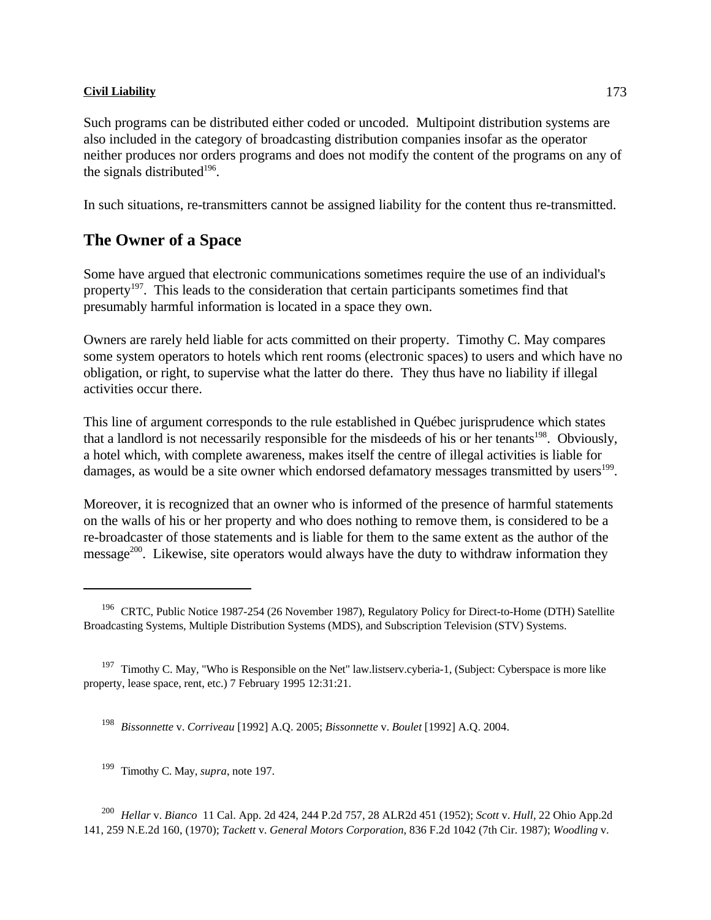Such programs can be distributed either coded or uncoded. Multipoint distribution systems are also included in the category of broadcasting distribution companies insofar as the operator neither produces nor orders programs and does not modify the content of the programs on any of the signals distributed $196$ .

In such situations, re-transmitters cannot be assigned liability for the content thus re-transmitted.

# **The Owner of a Space**

Some have argued that electronic communications sometimes require the use of an individual's property<sup>197</sup>. This leads to the consideration that certain participants sometimes find that presumably harmful information is located in a space they own.

Owners are rarely held liable for acts committed on their property. Timothy C. May compares some system operators to hotels which rent rooms (electronic spaces) to users and which have no obligation, or right, to supervise what the latter do there. They thus have no liability if illegal activities occur there.

This line of argument corresponds to the rule established in Québec jurisprudence which states that a landlord is not necessarily responsible for the misdeeds of his or her tenants<sup>198</sup>. Obviously, a hotel which, with complete awareness, makes itself the centre of illegal activities is liable for damages, as would be a site owner which endorsed defamatory messages transmitted by users<sup>199</sup>.

Moreover, it is recognized that an owner who is informed of the presence of harmful statements on the walls of his or her property and who does nothing to remove them, is considered to be a re-broadcaster of those statements and is liable for them to the same extent as the author of the message $^{200}$ . Likewise, site operators would always have the duty to withdraw information they

<sup>&</sup>lt;sup>196</sup> CRTC, Public Notice 1987-254 (26 November 1987), Regulatory Policy for Direct-to-Home (DTH) Satellite Broadcasting Systems, Multiple Distribution Systems (MDS), and Subscription Television (STV) Systems.

<sup>&</sup>lt;sup>197</sup> Timothy C. May, "Who is Responsible on the Net" law.listserv.cyberia-1, (Subject: Cyberspace is more like property, lease space, rent, etc.) 7 February 1995 12:31:21.

<sup>&</sup>lt;sup>198</sup> Bissonnette v. *Corriveau* [1992] A.Q. 2005; *Bissonnette v. Boulet* [1992] A.Q. 2004.

<sup>&</sup>lt;sup>199</sup> Timothy C. May, *supra*, note 197.

<sup>&</sup>lt;sup>200</sup> Hellar v. *Bianco* 11 Cal. App. 2d 424, 244 P.2d 757, 28 ALR2d 451 (1952); *Scott* v. *Hull*, 22 Ohio App.2d 141, 259 N.E.2d 160, (1970); *Tackett* v. *General Motors Corporation*, 836 F.2d 1042 (7th Cir. 1987); *Woodling* v.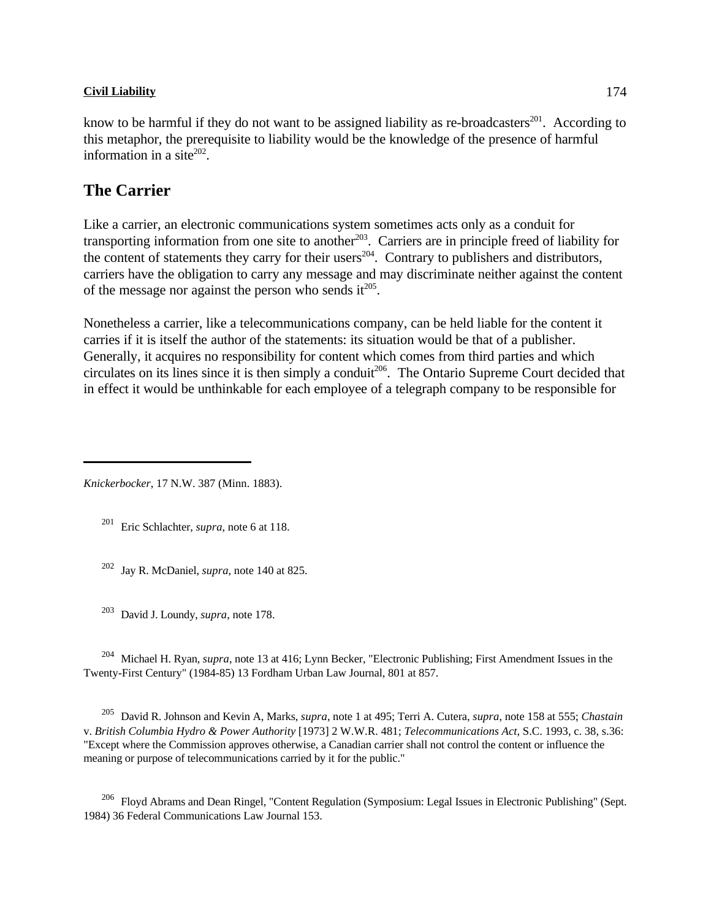know to be harmful if they do not want to be assigned liability as re-broadcasters $^{201}$ . According to this metaphor, the prerequisite to liability would be the knowledge of the presence of harmful information in a site $202$ .

# **The Carrier**

Like a carrier, an electronic communications system sometimes acts only as a conduit for transporting information from one site to another  $203$ . Carriers are in principle freed of liability for the content of statements they carry for their users $^{204}$ . Contrary to publishers and distributors, carriers have the obligation to carry any message and may discriminate neither against the content of the message nor against the person who sends it $^{205}$ .

Nonetheless a carrier, like a telecommunications company, can be held liable for the content it carries if it is itself the author of the statements: its situation would be that of a publisher. Generally, it acquires no responsibility for content which comes from third parties and which circulates on its lines since it is then simply a conduit<sup>206</sup>. The Ontario Supreme Court decided that in effect it would be unthinkable for each employee of a telegraph company to be responsible for

*Knickerbocker*, 17 N.W. 387 (Minn. 1883).

<sup>201</sup> Eric Schlachter, *supra*, note 6 at 118.

 $202$  Jay R. McDaniel, *supra*, note 140 at 825.

<sup>203</sup> David J. Loundy, *supra*, note 178.

<sup>204</sup> Michael H. Ryan, *supra*, note 13 at 416; Lynn Becker, "Electronic Publishing; First Amendment Issues in the Twenty-First Century" (1984-85) 13 Fordham Urban Law Journal, 801 at 857.

 David R. Johnson and Kevin A, Marks, *supra*, note 1 at 495; Terri A. Cutera, *supra*, note 158 at 555; *Chastain* <sup>205</sup> v. *British Columbia Hydro & Power Authority* [1973] 2 W.W.R. 481; *Telecommunications Act*, S.C. 1993, c. 38, s.36: "Except where the Commission approves otherwise, a Canadian carrier shall not control the content or influence the meaning or purpose of telecommunications carried by it for the public."

 $^{206}$  Floyd Abrams and Dean Ringel, "Content Regulation (Symposium: Legal Issues in Electronic Publishing" (Sept. 1984) 36 Federal Communications Law Journal 153.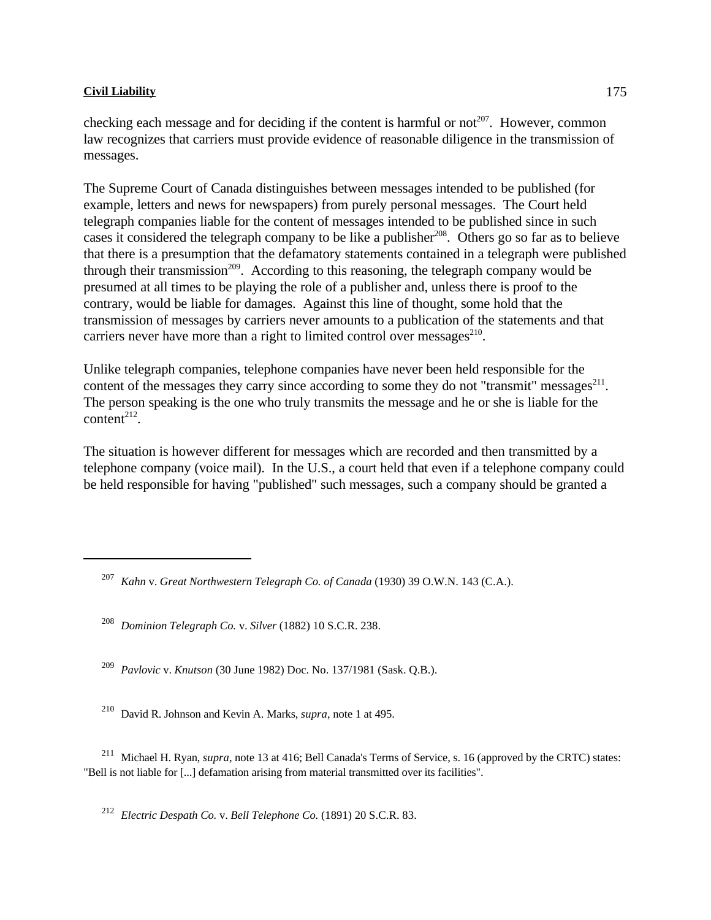checking each message and for deciding if the content is harmful or not<sup> $207$ </sup>. However, common law recognizes that carriers must provide evidence of reasonable diligence in the transmission of messages.

The Supreme Court of Canada distinguishes between messages intended to be published (for example, letters and news for newspapers) from purely personal messages. The Court held telegraph companies liable for the content of messages intended to be published since in such cases it considered the telegraph company to be like a publisher  $208$ . Others go so far as to believe that there is a presumption that the defamatory statements contained in a telegraph were published through their transmission<sup>209</sup>. According to this reasoning, the telegraph company would be presumed at all times to be playing the role of a publisher and, unless there is proof to the contrary, would be liable for damages. Against this line of thought, some hold that the transmission of messages by carriers never amounts to a publication of the statements and that carriers never have more than a right to limited control over messages $^{210}$ .

Unlike telegraph companies, telephone companies have never been held responsible for the content of the messages they carry since according to some they do not "transmit" messages $^{211}$ . The person speaking is the one who truly transmits the message and he or she is liable for the content<sup> $212$ </sup>.

The situation is however different for messages which are recorded and then transmitted by a telephone company (voice mail). In the U.S., a court held that even if a telephone company could be held responsible for having "published" such messages, such a company should be granted a

<sup>209</sup> Pavlovic v. *Knutson* (30 June 1982) Doc. No. 137/1981 (Sask. Q.B.).

<sup>210</sup> David R. Johnson and Kevin A. Marks, *supra*, note 1 at 495.

<sup>211</sup> Michael H. Ryan, *supra*, note 13 at 416; Bell Canada's Terms of Service, s. 16 (approved by the CRTC) states: "Bell is not liable for [...] defamation arising from material transmitted over its facilities".

<sup>212</sup> Electric Despath Co. v. Bell Telephone Co. (1891) 20 S.C.R. 83.

<sup>&</sup>lt;sup>207</sup> Kahn v. *Great Northwestern Telegraph Co. of Canada* (1930) 39 O.W.N. 143 (C.A.).

<sup>&</sup>lt;sup>208</sup> Dominion Telegraph Co. v. Silver (1882) 10 S.C.R. 238.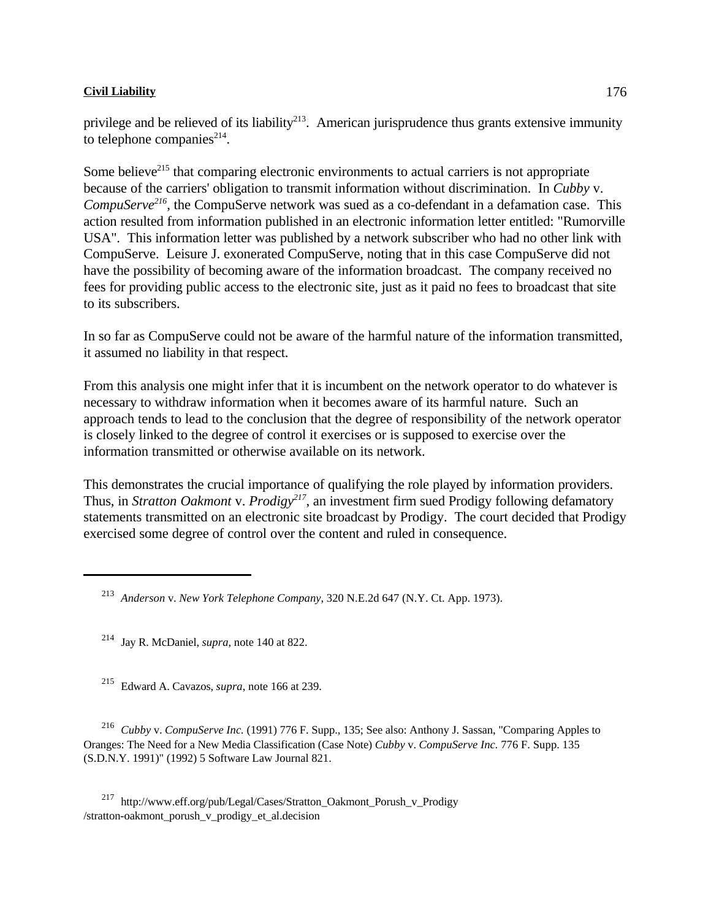Some believe<sup>215</sup> that comparing electronic environments to actual carriers is not appropriate because of the carriers' obligation to transmit information without discrimination. In *Cubby* v. *CompuServe*<sup>216</sup>, the CompuServe network was sued as a co-defendant in a defamation case. This action resulted from information published in an electronic information letter entitled: "Rumorville USA". This information letter was published by a network subscriber who had no other link with CompuServe. Leisure J. exonerated CompuServe, noting that in this case CompuServe did not have the possibility of becoming aware of the information broadcast. The company received no fees for providing public access to the electronic site, just as it paid no fees to broadcast that site to its subscribers.

In so far as CompuServe could not be aware of the harmful nature of the information transmitted, it assumed no liability in that respect.

From this analysis one might infer that it is incumbent on the network operator to do whatever is necessary to withdraw information when it becomes aware of its harmful nature. Such an approach tends to lead to the conclusion that the degree of responsibility of the network operator is closely linked to the degree of control it exercises or is supposed to exercise over the information transmitted or otherwise available on its network.

This demonstrates the crucial importance of qualifying the role played by information providers. Thus, in *Stratton Oakmont* v. *Prodigy*<sup>217</sup>, an investment firm sued Prodigy following defamatory statements transmitted on an electronic site broadcast by Prodigy. The court decided that Prodigy exercised some degree of control over the content and ruled in consequence.

<sup>215</sup> Edward A. Cavazos, *supra*, note 166 at 239.

 *Cubby* v. *CompuServe Inc.* (1991) 776 F. Supp., 135; See also: Anthony J. Sassan, "Comparing Apples to <sup>216</sup> Oranges: The Need for a New Media Classification (Case Note) *Cubby* v. *CompuServe Inc.* 776 F. Supp. 135 (S.D.N.Y. 1991)" (1992) 5 Software Law Journal 821.

 http://www.eff.org/pub/Legal/Cases/Stratton\_Oakmont\_Porush\_v\_Prodigy <sup>217</sup> /stratton-oakmont\_porush\_v\_prodigy\_et\_al.decision

*Anderson* v. *New York Telephone Company*, 320 N.E.2d 647 (N.Y. Ct. App. 1973). <sup>213</sup>

 $^{214}$  Jay R. McDaniel, *supra*, note 140 at 822.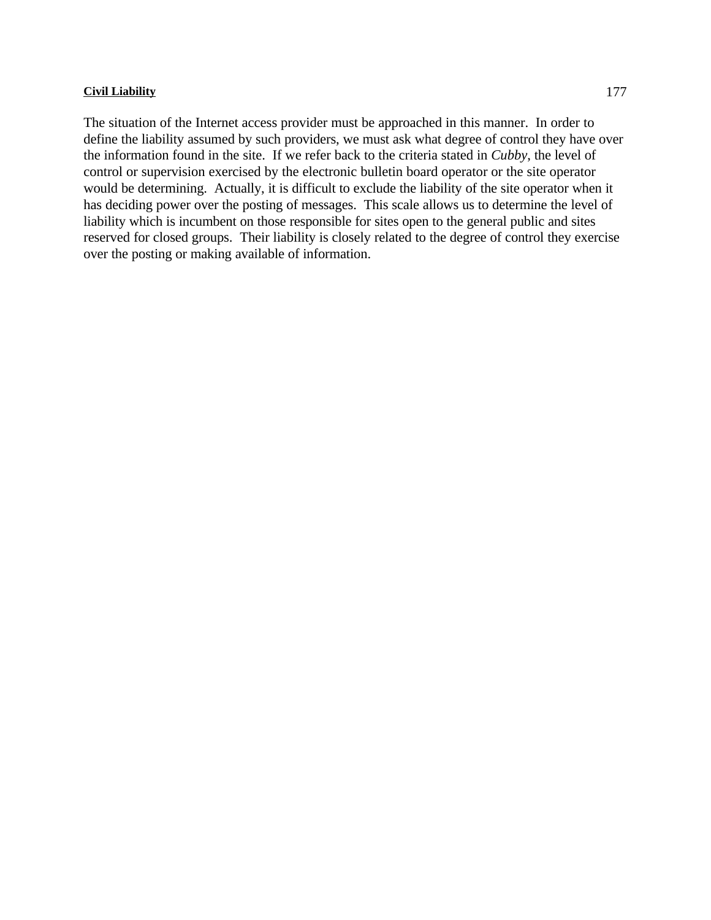The situation of the Internet access provider must be approached in this manner. In order to define the liability assumed by such providers, we must ask what degree of control they have over the information found in the site. If we refer back to the criteria stated in *Cubby*, the level of control or supervision exercised by the electronic bulletin board operator or the site operator would be determining. Actually, it is difficult to exclude the liability of the site operator when it has deciding power over the posting of messages. This scale allows us to determine the level of liability which is incumbent on those responsible for sites open to the general public and sites reserved for closed groups. Their liability is closely related to the degree of control they exercise over the posting or making available of information.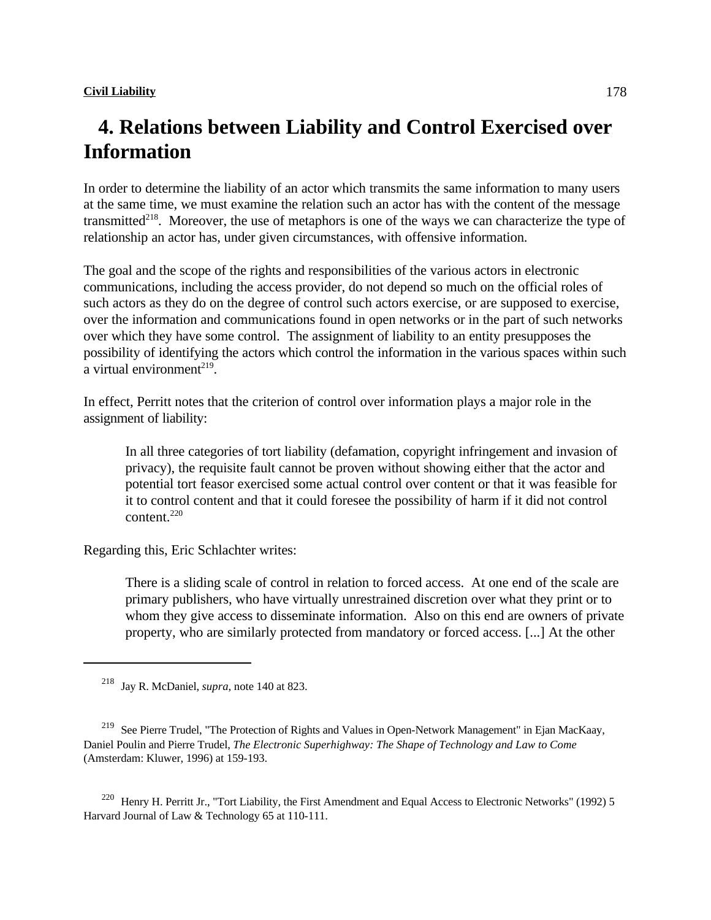## **4. Relations between Liability and Control Exercised over Information**

In order to determine the liability of an actor which transmits the same information to many users at the same time, we must examine the relation such an actor has with the content of the message transmitted<sup>218</sup>. Moreover, the use of metaphors is one of the ways we can characterize the type of relationship an actor has, under given circumstances, with offensive information.

The goal and the scope of the rights and responsibilities of the various actors in electronic communications, including the access provider, do not depend so much on the official roles of such actors as they do on the degree of control such actors exercise, or are supposed to exercise, over the information and communications found in open networks or in the part of such networks over which they have some control. The assignment of liability to an entity presupposes the possibility of identifying the actors which control the information in the various spaces within such a virtual environment<sup>219</sup>.

In effect, Perritt notes that the criterion of control over information plays a major role in the assignment of liability:

In all three categories of tort liability (defamation, copyright infringement and invasion of privacy), the requisite fault cannot be proven without showing either that the actor and potential tort feasor exercised some actual control over content or that it was feasible for it to control content and that it could foresee the possibility of harm if it did not control content.<sup>220</sup>

Regarding this, Eric Schlachter writes:

There is a sliding scale of control in relation to forced access. At one end of the scale are primary publishers, who have virtually unrestrained discretion over what they print or to whom they give access to disseminate information. Also on this end are owners of private property, who are similarly protected from mandatory or forced access. [...] At the other

<sup>220</sup> Henry H. Perritt Jr., "Tort Liability, the First Amendment and Equal Access to Electronic Networks" (1992) 5 Harvard Journal of Law & Technology 65 at 110-111.

 $218$  Jay R. McDaniel, *supra*, note 140 at 823.

<sup>&</sup>lt;sup>219</sup> See Pierre Trudel, "The Protection of Rights and Values in Open-Network Management" in Ejan MacKaay, Daniel Poulin and Pierre Trudel, *The Electronic Superhighway: The Shape of Technology and Law to Come* (Amsterdam: Kluwer, 1996) at 159-193.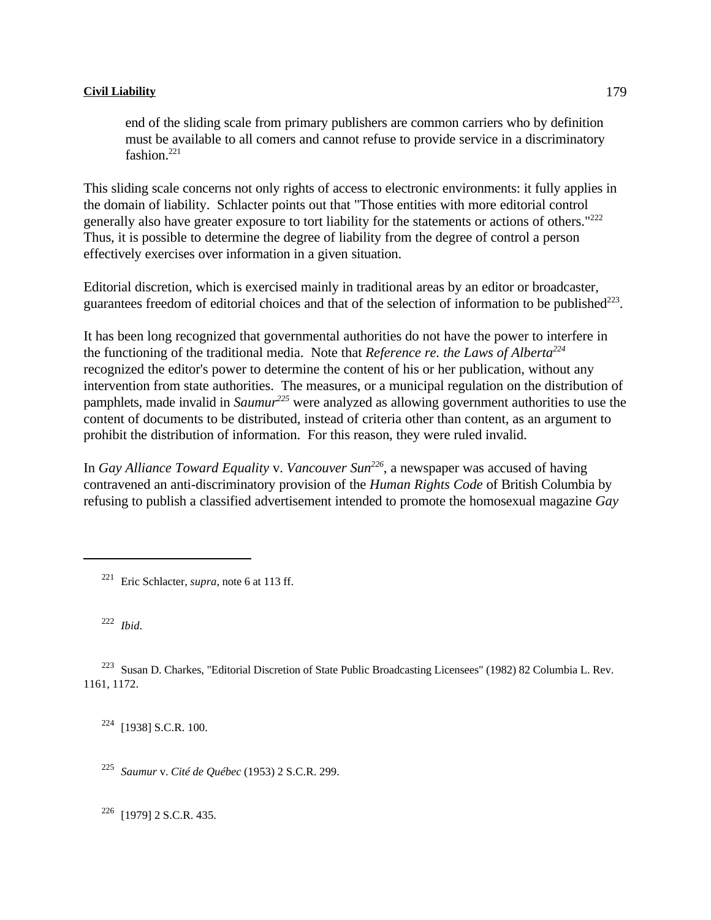end of the sliding scale from primary publishers are common carriers who by definition must be available to all comers and cannot refuse to provide service in a discriminatory fashion.<sup>221</sup>

This sliding scale concerns not only rights of access to electronic environments: it fully applies in the domain of liability. Schlacter points out that "Those entities with more editorial control generally also have greater exposure to tort liability for the statements or actions of others."<sup>222</sup> Thus, it is possible to determine the degree of liability from the degree of control a person effectively exercises over information in a given situation.

Editorial discretion, which is exercised mainly in traditional areas by an editor or broadcaster, guarantees freedom of editorial choices and that of the selection of information to be published $^{223}$ .

It has been long recognized that governmental authorities do not have the power to interfere in the functioning of the traditional media. Note that *Reference re. the Laws of Alberta<sup>224</sup>* recognized the editor's power to determine the content of his or her publication, without any intervention from state authorities. The measures, or a municipal regulation on the distribution of pamphlets, made invalid in *Saumur*<sup>225</sup> were analyzed as allowing government authorities to use the content of documents to be distributed, instead of criteria other than content, as an argument to prohibit the distribution of information. For this reason, they were ruled invalid.

In *Gay Alliance Toward Equality v. Vancouver Sun<sup>226</sup>*, a newspaper was accused of having contravened an anti-discriminatory provision of the *Human Rights Code* of British Columbia by refusing to publish a classified advertisement intended to promote the homosexual magazine *Gay*

<sup>221</sup> Eric Schlacter, *supra*, note 6 at 113 ff.

<sup>222</sup> *Ibid.* 

<sup>223</sup> Susan D. Charkes, "Editorial Discretion of State Public Broadcasting Licensees" (1982) 82 Columbia L. Rev. 1161, 1172.

 $^{224}$  [1938] S.C.R. 100.

*Saumur* v. *Cité de Québec* (1953) 2 S.C.R. 299. <sup>225</sup>

 $^{226}$  [1979] 2 S.C.R. 435.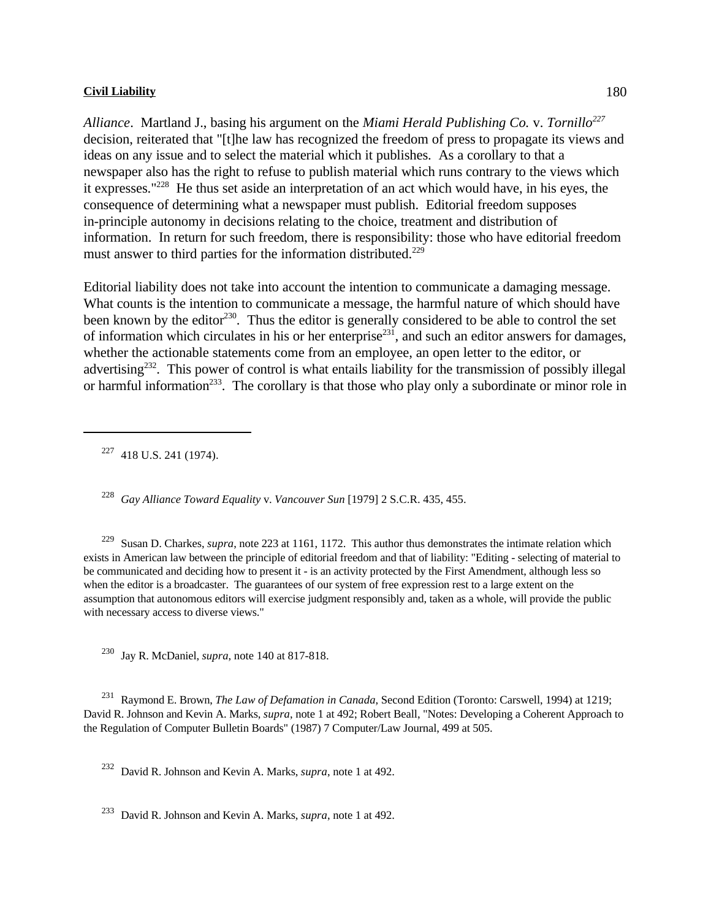*Alliance*. Martland J., basing his argument on the *Miami Herald Publishing Co.* v. *Tornillo<sup>227</sup>* decision, reiterated that "[t]he law has recognized the freedom of press to propagate its views and ideas on any issue and to select the material which it publishes. As a corollary to that a newspaper also has the right to refuse to publish material which runs contrary to the views which it expresses." $^{228}$  He thus set aside an interpretation of an act which would have, in his eyes, the consequence of determining what a newspaper must publish. Editorial freedom supposes in-principle autonomy in decisions relating to the choice, treatment and distribution of information. In return for such freedom, there is responsibility: those who have editorial freedom must answer to third parties for the information distributed.<sup>229</sup>

Editorial liability does not take into account the intention to communicate a damaging message. What counts is the intention to communicate a message, the harmful nature of which should have been known by the editor<sup>230</sup>. Thus the editor is generally considered to be able to control the set of information which circulates in his or her enterprise<sup>231</sup>, and such an editor answers for damages, whether the actionable statements come from an employee, an open letter to the editor, or advertising $232$ . This power of control is what entails liability for the transmission of possibly illegal or harmful information<sup>233</sup>. The corollary is that those who play only a subordinate or minor role in

<sup>227</sup> 418 U.S. 241 (1974).

<sup>228</sup> Gay Alliance Toward Equality v. *Vancouver Sun* [1979] 2 S.C.R. 435, 455.

<sup>229</sup> Susan D. Charkes, *supra*, note 223 at 1161, 1172. This author thus demonstrates the intimate relation which exists in American law between the principle of editorial freedom and that of liability: "Editing - selecting of material to be communicated and deciding how to present it - is an activity protected by the First Amendment, although less so when the editor is a broadcaster. The guarantees of our system of free expression rest to a large extent on the assumption that autonomous editors will exercise judgment responsibly and, taken as a whole, will provide the public with necessary access to diverse views."

 $^{230}$  Jay R. McDaniel, *supra*, note 140 at 817-818.

<sup>231</sup> Raymond E. Brown, *The Law of Defamation in Canada*, Second Edition (Toronto: Carswell, 1994) at 1219; David R. Johnson and Kevin A. Marks, *supra*, note 1 at 492; Robert Beall, "Notes: Developing a Coherent Approach to the Regulation of Computer Bulletin Boards" (1987) 7 Computer/Law Journal, 499 at 505.

<sup>232</sup> David R. Johnson and Kevin A. Marks, *supra*, note 1 at 492.

<sup>233</sup> David R. Johnson and Kevin A. Marks, *supra*, note 1 at 492.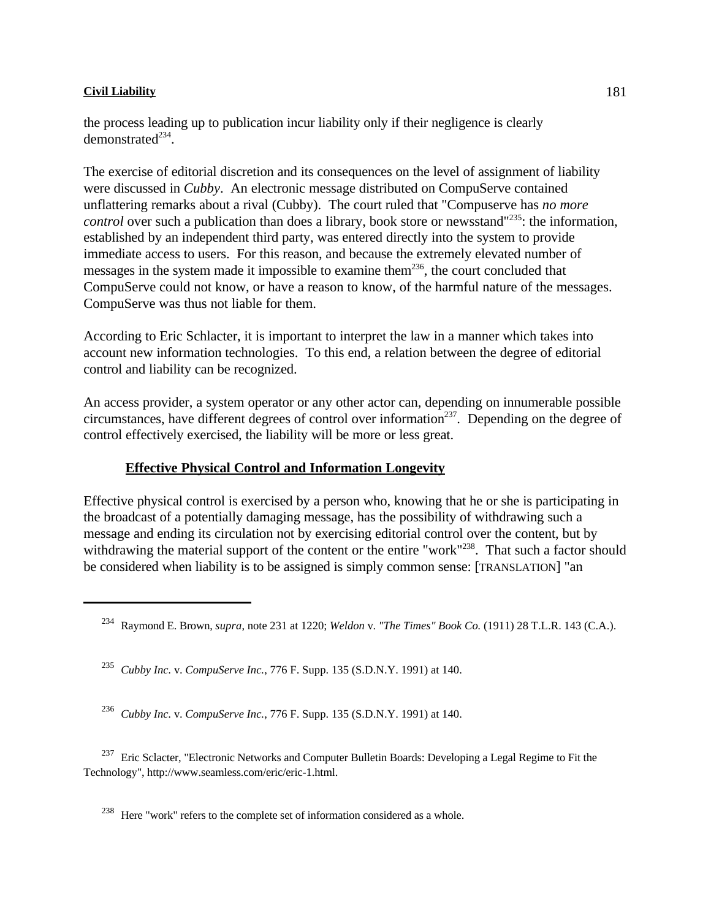the process leading up to publication incur liability only if their negligence is clearly demonstrated $^{234}$ .

The exercise of editorial discretion and its consequences on the level of assignment of liability were discussed in *Cubby*. An electronic message distributed on CompuServe contained unflattering remarks about a rival (Cubby). The court ruled that "Compuserve has *no more control* over such a publication than does a library, book store or newsstand"<sup>235</sup>: the information, established by an independent third party, was entered directly into the system to provide immediate access to users. For this reason, and because the extremely elevated number of messages in the system made it impossible to examine them<sup>236</sup>, the court concluded that CompuServe could not know, or have a reason to know, of the harmful nature of the messages. CompuServe was thus not liable for them.

According to Eric Schlacter, it is important to interpret the law in a manner which takes into account new information technologies. To this end, a relation between the degree of editorial control and liability can be recognized.

An access provider, a system operator or any other actor can, depending on innumerable possible circumstances, have different degrees of control over information  $237$ . Depending on the degree of control effectively exercised, the liability will be more or less great.

### **Effective Physical Control and Information Longevity**

Effective physical control is exercised by a person who, knowing that he or she is participating in the broadcast of a potentially damaging message, has the possibility of withdrawing such a message and ending its circulation not by exercising editorial control over the content, but by withdrawing the material support of the content or the entire "work"<sup>238</sup>. That such a factor should be considered when liability is to be assigned is simply common sense: [TRANSLATION] "an

<sup>237</sup> Eric Sclacter, "Electronic Networks and Computer Bulletin Boards: Developing a Legal Regime to Fit the Technology", http://www.seamless.com/eric/eric-1.html.

<sup>238</sup> Here "work" refers to the complete set of information considered as a whole.

Raymond E. Brown, *supra*, note 231 at 1220; *Weldon* v. *"The Times" Book Co.* (1911) 28 T.L.R. 143 (C.A.). <sup>234</sup>

*Cubby Inc.* v. *CompuServe Inc.*, 776 F. Supp. 135 (S.D.N.Y. 1991) at 140. <sup>235</sup>

*Cubby Inc.* v. *CompuServe Inc.*, 776 F. Supp. 135 (S.D.N.Y. 1991) at 140. <sup>236</sup>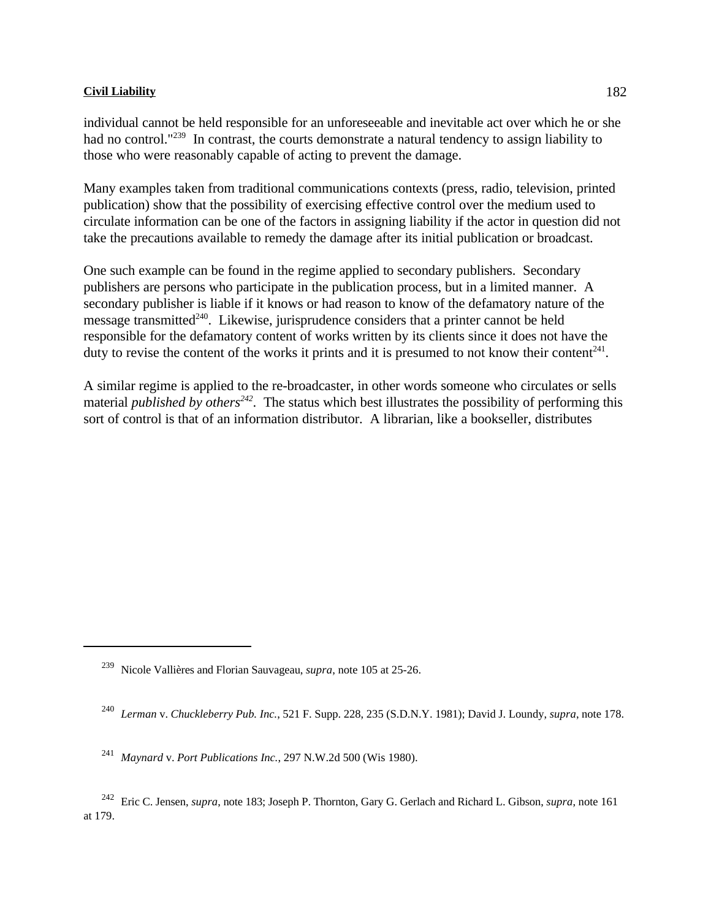individual cannot be held responsible for an unforeseeable and inevitable act over which he or she had no control."<sup>239</sup> In contrast, the courts demonstrate a natural tendency to assign liability to those who were reasonably capable of acting to prevent the damage.

Many examples taken from traditional communications contexts (press, radio, television, printed publication) show that the possibility of exercising effective control over the medium used to circulate information can be one of the factors in assigning liability if the actor in question did not take the precautions available to remedy the damage after its initial publication or broadcast.

One such example can be found in the regime applied to secondary publishers. Secondary publishers are persons who participate in the publication process, but in a limited manner. A secondary publisher is liable if it knows or had reason to know of the defamatory nature of the message transmitted $240$ . Likewise, jurisprudence considers that a printer cannot be held responsible for the defamatory content of works written by its clients since it does not have the duty to revise the content of the works it prints and it is presumed to not know their content<sup>241</sup>.

A similar regime is applied to the re-broadcaster, in other words someone who circulates or sells material *published by others*<sup> $242$ </sup>. The status which best illustrates the possibility of performing this sort of control is that of an information distributor. A librarian, like a bookseller, distributes

<sup>&</sup>lt;sup>239</sup> Nicole Vallières and Florian Sauvageau, *supra*, note 105 at 25-26.

*Lerman* v. *Chuckleberry Pub. Inc.*, 521 F. Supp. 228, 235 (S.D.N.Y. 1981); David J. Loundy, *supra*, note 178. <sup>240</sup>

<sup>&</sup>lt;sup>241</sup> Maynard v. Port Publications Inc., 297 N.W.2d 500 (Wis 1980).

<sup>&</sup>lt;sup>242</sup> Eric C. Jensen, *supra*, note 183; Joseph P. Thornton, Gary G. Gerlach and Richard L. Gibson, *supra*, note 161 at 179.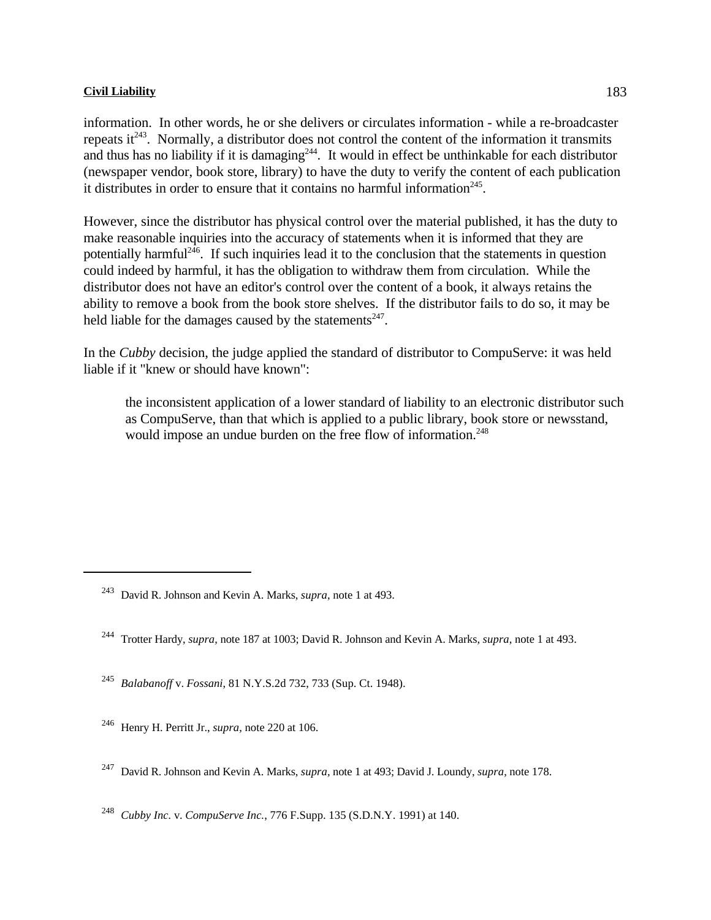information. In other words, he or she delivers or circulates information - while a re-broadcaster repeats it  $243$ . Normally, a distributor does not control the content of the information it transmits and thus has no liability if it is damaging  $244$ . It would in effect be unthinkable for each distributor (newspaper vendor, book store, library) to have the duty to verify the content of each publication it distributes in order to ensure that it contains no harmful information<sup>245</sup>.

However, since the distributor has physical control over the material published, it has the duty to make reasonable inquiries into the accuracy of statements when it is informed that they are potentially harmful<sup> $246$ </sup>. If such inquiries lead it to the conclusion that the statements in question could indeed by harmful, it has the obligation to withdraw them from circulation. While the distributor does not have an editor's control over the content of a book, it always retains the ability to remove a book from the book store shelves. If the distributor fails to do so, it may be held liable for the damages caused by the statements $247$ .

In the *Cubby* decision, the judge applied the standard of distributor to CompuServe: it was held liable if it "knew or should have known":

the inconsistent application of a lower standard of liability to an electronic distributor such as CompuServe, than that which is applied to a public library, book store or newsstand, would impose an undue burden on the free flow of information.<sup>248</sup>

*Balabanoff* v. *Fossani*, 81 N.Y.S.2d 732, 733 (Sup. Ct. 1948). <sup>245</sup>

<sup>246</sup> Henry H. Perritt Jr., *supra*, note 220 at 106.

<sup>248</sup> *Cubby Inc. v. CompuServe Inc.*, 776 F.Supp. 135 (S.D.N.Y. 1991) at 140.

<sup>&</sup>lt;sup>243</sup> David R. Johnson and Kevin A. Marks, *supra*, note 1 at 493.

Trotter Hardy, *supra*, note 187 at 1003; David R. Johnson and Kevin A. Marks, *supra*, note 1 at 493. <sup>244</sup>

David R. Johnson and Kevin A. Marks, *supra*, note 1 at 493; David J. Loundy, *supra*, note 178. <sup>247</sup>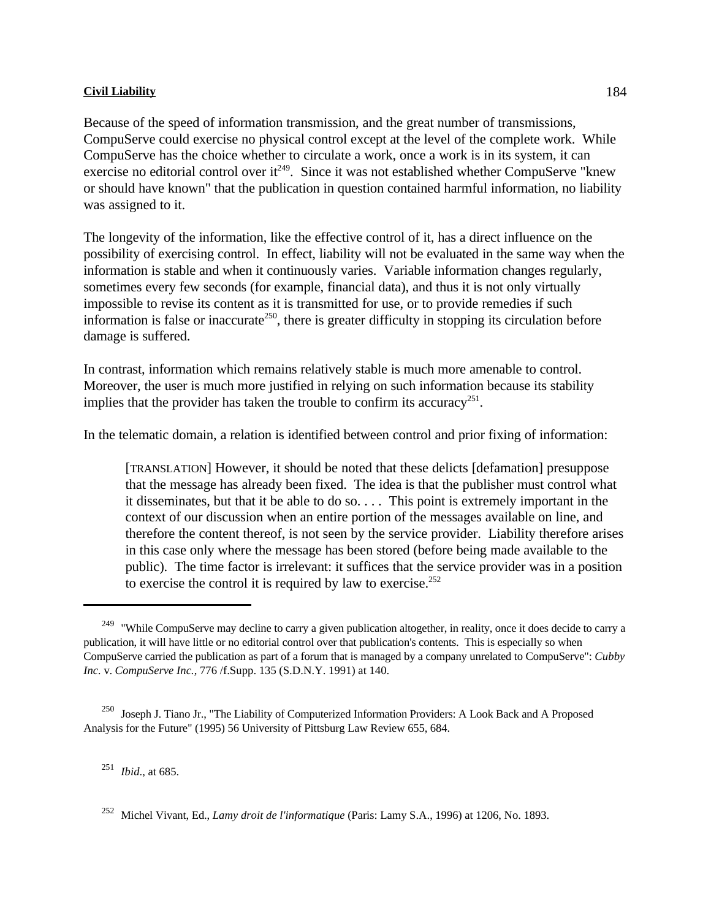Because of the speed of information transmission, and the great number of transmissions, CompuServe could exercise no physical control except at the level of the complete work. While CompuServe has the choice whether to circulate a work, once a work is in its system, it can exercise no editorial control over it<sup> $249$ </sup>. Since it was not established whether CompuServe "knew or should have known" that the publication in question contained harmful information, no liability was assigned to it.

The longevity of the information, like the effective control of it, has a direct influence on the possibility of exercising control. In effect, liability will not be evaluated in the same way when the information is stable and when it continuously varies. Variable information changes regularly, sometimes every few seconds (for example, financial data), and thus it is not only virtually impossible to revise its content as it is transmitted for use, or to provide remedies if such information is false or inaccurate<sup>250</sup>, there is greater difficulty in stopping its circulation before damage is suffered.

In contrast, information which remains relatively stable is much more amenable to control. Moreover, the user is much more justified in relying on such information because its stability implies that the provider has taken the trouble to confirm its accuracy<sup>251</sup>.

In the telematic domain, a relation is identified between control and prior fixing of information:

[TRANSLATION] However, it should be noted that these delicts [defamation] presuppose that the message has already been fixed. The idea is that the publisher must control what it disseminates, but that it be able to do so. . . . This point is extremely important in the context of our discussion when an entire portion of the messages available on line, and therefore the content thereof, is not seen by the service provider. Liability therefore arises in this case only where the message has been stored (before being made available to the public). The time factor is irrelevant: it suffices that the service provider was in a position to exercise the control it is required by law to exercise.<sup>252</sup>

<sup>251</sup> *Ibid.*, at 685.

<sup>&</sup>lt;sup>249</sup> "While CompuServe may decline to carry a given publication altogether, in reality, once it does decide to carry a publication, it will have little or no editorial control over that publication's contents. This is especially so when CompuServe carried the publication as part of a forum that is managed by a company unrelated to CompuServe": *Cubby Inc.* v. *CompuServe Inc.*, 776 /f.Supp. 135 (S.D.N.Y. 1991) at 140.

<sup>&</sup>lt;sup>250</sup> Joseph J. Tiano Jr., "The Liability of Computerized Information Providers: A Look Back and A Proposed Analysis for the Future" (1995) 56 University of Pittsburg Law Review 655, 684.

Michel Vivant, Ed., *Lamy droit de l'informatique* (Paris: Lamy S.A., 1996) at 1206, No. 1893. <sup>252</sup>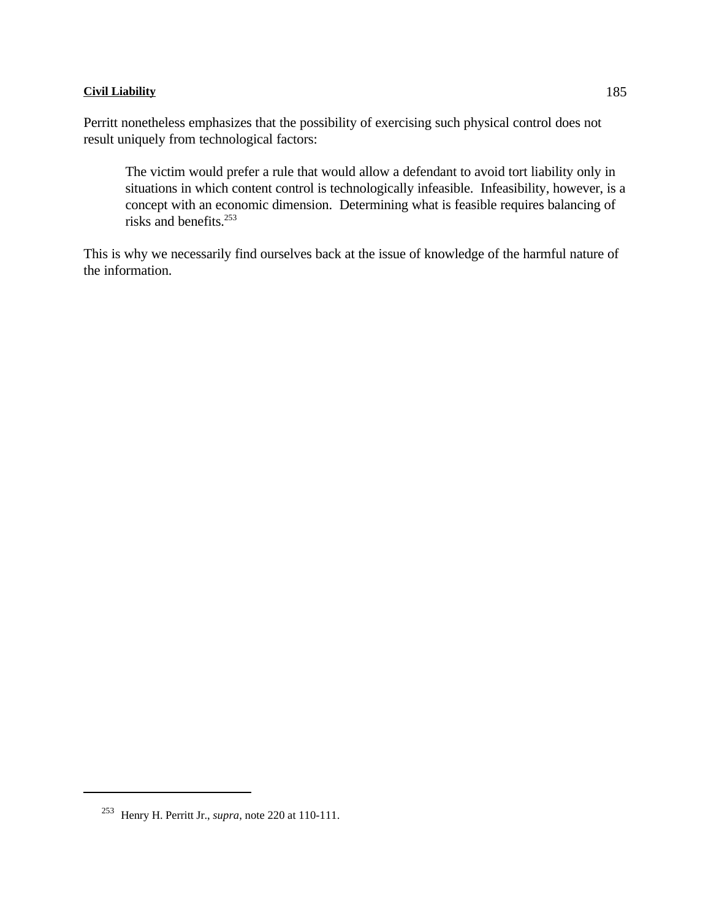Perritt nonetheless emphasizes that the possibility of exercising such physical control does not result uniquely from technological factors:

The victim would prefer a rule that would allow a defendant to avoid tort liability only in situations in which content control is technologically infeasible. Infeasibility, however, is a concept with an economic dimension. Determining what is feasible requires balancing of risks and benefits.<sup>253</sup>

This is why we necessarily find ourselves back at the issue of knowledge of the harmful nature of the information.

<sup>&</sup>lt;sup>253</sup> Henry H. Perritt Jr., *supra*, note 220 at 110-111.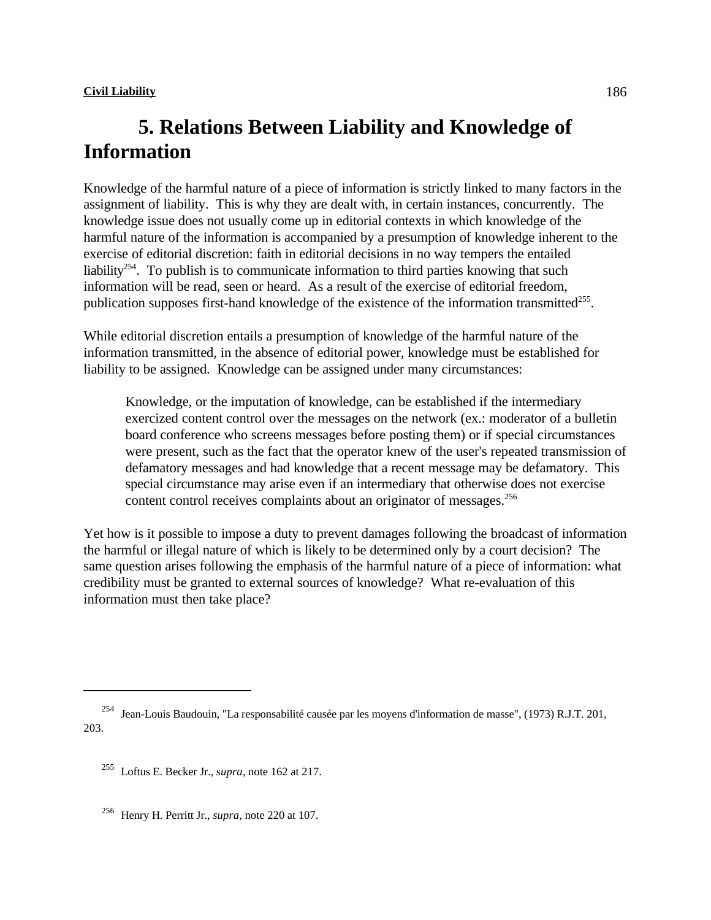# **5. Relations Between Liability and Knowledge of Information**

Knowledge of the harmful nature of a piece of information is strictly linked to many factors in the assignment of liability. This is why they are dealt with, in certain instances, concurrently. The knowledge issue does not usually come up in editorial contexts in which knowledge of the harmful nature of the information is accompanied by a presumption of knowledge inherent to the exercise of editorial discretion: faith in editorial decisions in no way tempers the entailed liability<sup>254</sup>. To publish is to communicate information to third parties knowing that such information will be read, seen or heard. As a result of the exercise of editorial freedom, publication supposes first-hand knowledge of the existence of the information transmitted<sup>255</sup>.

While editorial discretion entails a presumption of knowledge of the harmful nature of the information transmitted, in the absence of editorial power, knowledge must be established for liability to be assigned. Knowledge can be assigned under many circumstances:

Knowledge, or the imputation of knowledge, can be established if the intermediary exercized content control over the messages on the network (ex.: moderator of a bulletin board conference who screens messages before posting them) or if special circumstances were present, such as the fact that the operator knew of the user's repeated transmission of defamatory messages and had knowledge that a recent message may be defamatory. This special circumstance may arise even if an intermediary that otherwise does not exercise content control receives complaints about an originator of messages.<sup>256</sup>

Yet how is it possible to impose a duty to prevent damages following the broadcast of information the harmful or illegal nature of which is likely to be determined only by a court decision? The same question arises following the emphasis of the harmful nature of a piece of information: what credibility must be granted to external sources of knowledge? What re-evaluation of this information must then take place?

<sup>&</sup>lt;sup>254</sup> Jean-Louis Baudouin, "La responsabilité causée par les moyens d'information de masse", (1973) R.J.T. 201, 203.

<sup>&</sup>lt;sup>255</sup> Loftus E. Becker Jr., *supra*, note 162 at 217.

<sup>&</sup>lt;sup>256</sup> Henry H. Perritt Jr., *supra*, note 220 at 107.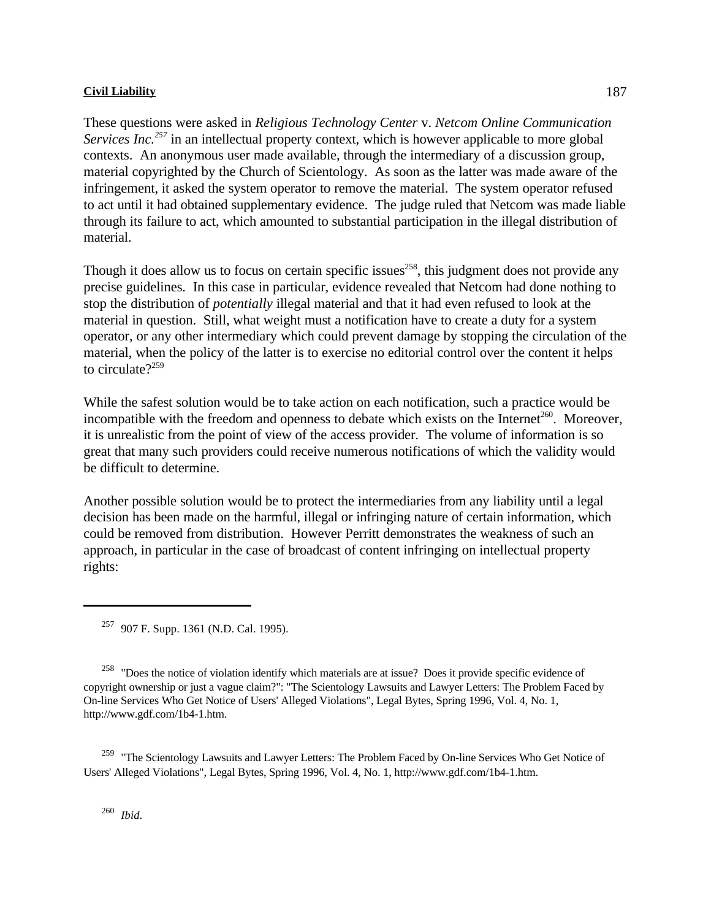These questions were asked in *Religious Technology Center* v. *Netcom Online Communication Services Inc.*<sup>257</sup> in an intellectual property context, which is however applicable to more global contexts. An anonymous user made available, through the intermediary of a discussion group, material copyrighted by the Church of Scientology. As soon as the latter was made aware of the infringement, it asked the system operator to remove the material. The system operator refused to act until it had obtained supplementary evidence. The judge ruled that Netcom was made liable through its failure to act, which amounted to substantial participation in the illegal distribution of material.

Though it does allow us to focus on certain specific issues<sup> $258$ </sup>, this judgment does not provide any precise guidelines. In this case in particular, evidence revealed that Netcom had done nothing to stop the distribution of *potentially* illegal material and that it had even refused to look at the material in question. Still, what weight must a notification have to create a duty for a system operator, or any other intermediary which could prevent damage by stopping the circulation of the material, when the policy of the latter is to exercise no editorial control over the content it helps to circulate $?^{259}$ 

While the safest solution would be to take action on each notification, such a practice would be incompatible with the freedom and openness to debate which exists on the Internet<sup>260</sup>. Moreover, it is unrealistic from the point of view of the access provider. The volume of information is so great that many such providers could receive numerous notifications of which the validity would be difficult to determine.

Another possible solution would be to protect the intermediaries from any liability until a legal decision has been made on the harmful, illegal or infringing nature of certain information, which could be removed from distribution. However Perritt demonstrates the weakness of such an approach, in particular in the case of broadcast of content infringing on intellectual property rights:

<sup>258</sup> "Does the notice of violation identify which materials are at issue? Does it provide specific evidence of copyright ownership or just a vague claim?": "The Scientology Lawsuits and Lawyer Letters: The Problem Faced by On-line Services Who Get Notice of Users' Alleged Violations", Legal Bytes, Spring 1996, Vol. 4, No. 1, http://www.gdf.com/1b4-1.htm.

<sup>259</sup> "The Scientology Lawsuits and Lawyer Letters: The Problem Faced by On-line Services Who Get Notice of Users' Alleged Violations", Legal Bytes, Spring 1996, Vol. 4, No. 1, http://www.gdf.com/1b4-1.htm.

*Ibid*. 260

<sup>&</sup>lt;sup>257</sup> 907 F. Supp. 1361 (N.D. Cal. 1995).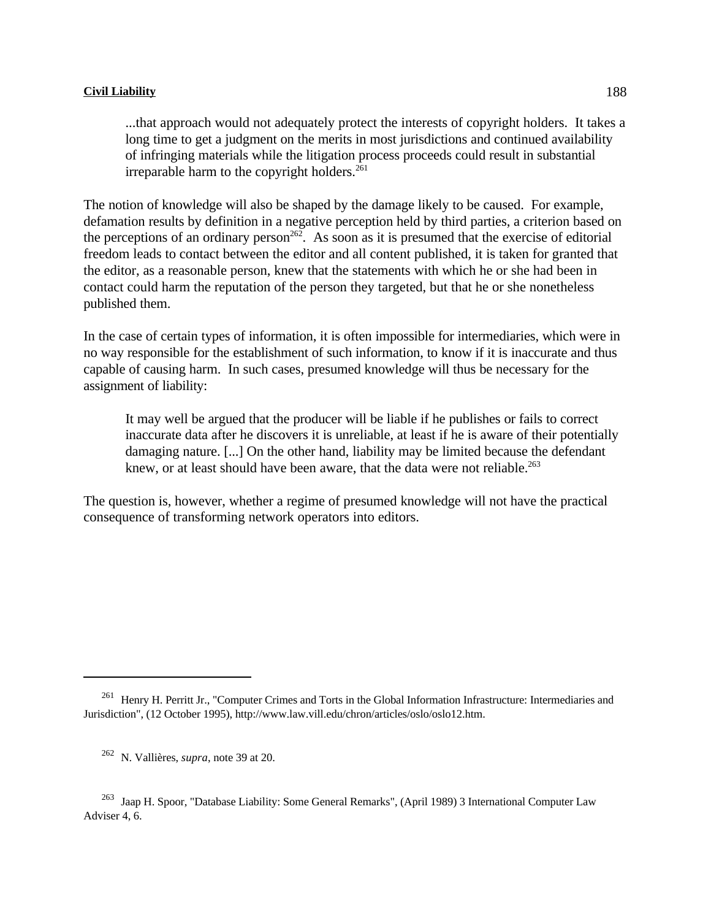...that approach would not adequately protect the interests of copyright holders. It takes a long time to get a judgment on the merits in most jurisdictions and continued availability of infringing materials while the litigation process proceeds could result in substantial irreparable harm to the copyright holders.<sup>261</sup>

The notion of knowledge will also be shaped by the damage likely to be caused. For example, defamation results by definition in a negative perception held by third parties, a criterion based on the perceptions of an ordinary person<sup>262</sup>. As soon as it is presumed that the exercise of editorial freedom leads to contact between the editor and all content published, it is taken for granted that the editor, as a reasonable person, knew that the statements with which he or she had been in contact could harm the reputation of the person they targeted, but that he or she nonetheless published them.

In the case of certain types of information, it is often impossible for intermediaries, which were in no way responsible for the establishment of such information, to know if it is inaccurate and thus capable of causing harm. In such cases, presumed knowledge will thus be necessary for the assignment of liability:

It may well be argued that the producer will be liable if he publishes or fails to correct inaccurate data after he discovers it is unreliable, at least if he is aware of their potentially damaging nature. [...] On the other hand, liability may be limited because the defendant knew, or at least should have been aware, that the data were not reliable.<sup>263</sup>

The question is, however, whether a regime of presumed knowledge will not have the practical consequence of transforming network operators into editors.

<sup>&</sup>lt;sup>261</sup> Henry H. Perritt Jr., "Computer Crimes and Torts in the Global Information Infrastructure: Intermediaries and Jurisdiction", (12 October 1995), http://www.law.vill.edu/chron/articles/oslo/oslo12.htm.

<sup>&</sup>lt;sup>262</sup> N. Vallières, *supra*, note 39 at 20.

<sup>&</sup>lt;sup>263</sup> Jaap H. Spoor, "Database Liability: Some General Remarks", (April 1989) 3 International Computer Law Adviser 4, 6.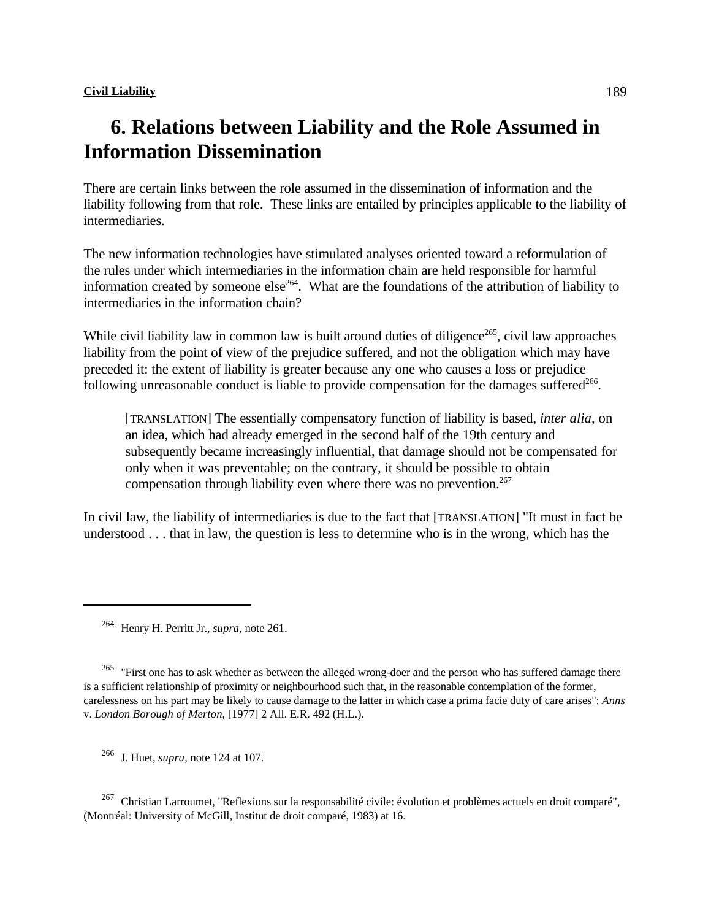## **6. Relations between Liability and the Role Assumed in Information Dissemination**

There are certain links between the role assumed in the dissemination of information and the liability following from that role. These links are entailed by principles applicable to the liability of intermediaries.

The new information technologies have stimulated analyses oriented toward a reformulation of the rules under which intermediaries in the information chain are held responsible for harmful information created by someone else<sup>264</sup>. What are the foundations of the attribution of liability to intermediaries in the information chain?

While civil liability law in common law is built around duties of diligence<sup>265</sup>, civil law approaches liability from the point of view of the prejudice suffered, and not the obligation which may have preceded it: the extent of liability is greater because any one who causes a loss or prejudice following unreasonable conduct is liable to provide compensation for the damages suffered $266$ .

[TRANSLATION] The essentially compensatory function of liability is based, *inter alia*, on an idea, which had already emerged in the second half of the 19th century and subsequently became increasingly influential, that damage should not be compensated for only when it was preventable; on the contrary, it should be possible to obtain compensation through liability even where there was no prevention. $267$ 

In civil law, the liability of intermediaries is due to the fact that [TRANSLATION] "It must in fact be understood . . . that in law, the question is less to determine who is in the wrong, which has the

<sup>265</sup> "First one has to ask whether as between the alleged wrong-doer and the person who has suffered damage there is a sufficient relationship of proximity or neighbourhood such that, in the reasonable contemplation of the former, carelessness on his part may be likely to cause damage to the latter in which case a prima facie duty of care arises": *Anns* v. *London Borough of Merton*, [1977] 2 All. E.R. 492 (H.L.).

<sup>266</sup> J. Huet, *supra*, note 124 at 107.

<sup>267</sup> Christian Larroumet, "Reflexions sur la responsabilité civile: évolution et problèmes actuels en droit comparé", (Montréal: University of McGill, Institut de droit comparé, 1983) at 16.

<sup>&</sup>lt;sup>264</sup> Henry H. Perritt Jr., *supra*, note 261.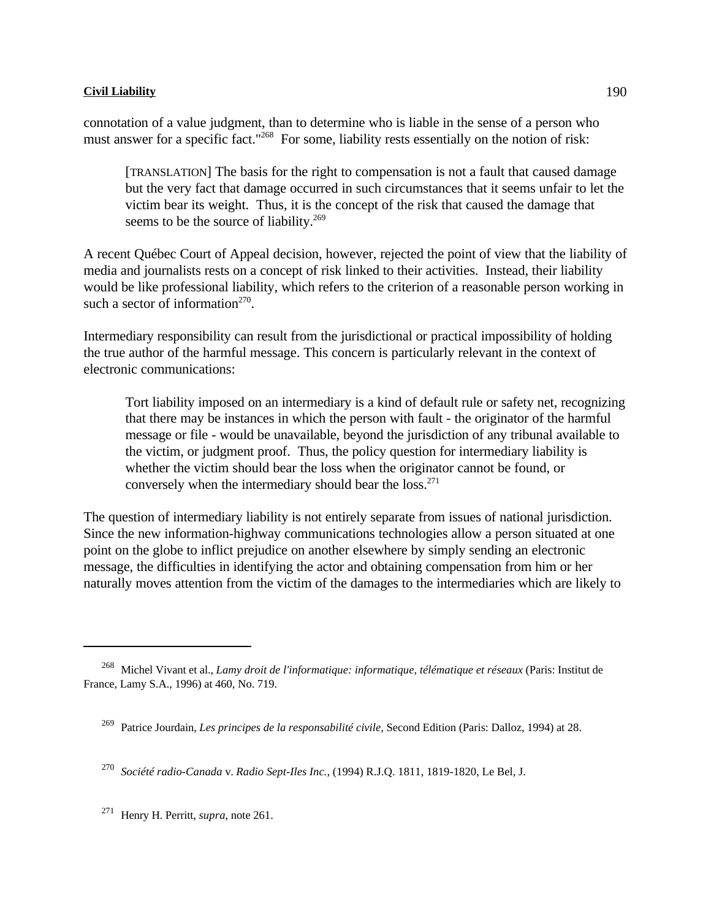connotation of a value judgment, than to determine who is liable in the sense of a person who must answer for a specific fact."<sup>268</sup> For some, liability rests essentially on the notion of risk:

[TRANSLATION] The basis for the right to compensation is not a fault that caused damage but the very fact that damage occurred in such circumstances that it seems unfair to let the victim bear its weight. Thus, it is the concept of the risk that caused the damage that seems to be the source of liability.<sup>269</sup>

A recent Québec Court of Appeal decision, however, rejected the point of view that the liability of media and journalists rests on a concept of risk linked to their activities. Instead, their liability would be like professional liability, which refers to the criterion of a reasonable person working in such a sector of information<sup>270</sup>.

Intermediary responsibility can result from the jurisdictional or practical impossibility of holding the true author of the harmful message. This concern is particularly relevant in the context of electronic communications:

Tort liability imposed on an intermediary is a kind of default rule or safety net, recognizing that there may be instances in which the person with fault - the originator of the harmful message or file - would be unavailable, beyond the jurisdiction of any tribunal available to the victim, or judgment proof. Thus, the policy question for intermediary liability is whether the victim should bear the loss when the originator cannot be found, or conversely when the intermediary should bear the loss.<sup>271</sup>

The question of intermediary liability is not entirely separate from issues of national jurisdiction. Since the new information-highway communications technologies allow a person situated at one point on the globe to inflict prejudice on another elsewhere by simply sending an electronic message, the difficulties in identifying the actor and obtaining compensation from him or her naturally moves attention from the victim of the damages to the intermediaries which are likely to

*Société radio-Canada* v. *Radio Sept-Iles Inc.*, (1994) R.J.Q. 1811, 1819-1820, Le Bel, J. <sup>270</sup>

<sup>271</sup> Henry H. Perritt, *supra*, note 261.

<sup>&</sup>lt;sup>268</sup> Michel Vivant et al., *Lamy droit de l'informatique: informatique, télématique et réseaux* (Paris: Institut de France, Lamy S.A., 1996) at 460, No. 719.

<sup>&</sup>lt;sup>269</sup> Patrice Jourdain, *Les principes de la responsabilité civile*, Second Edition (Paris: Dalloz, 1994) at 28.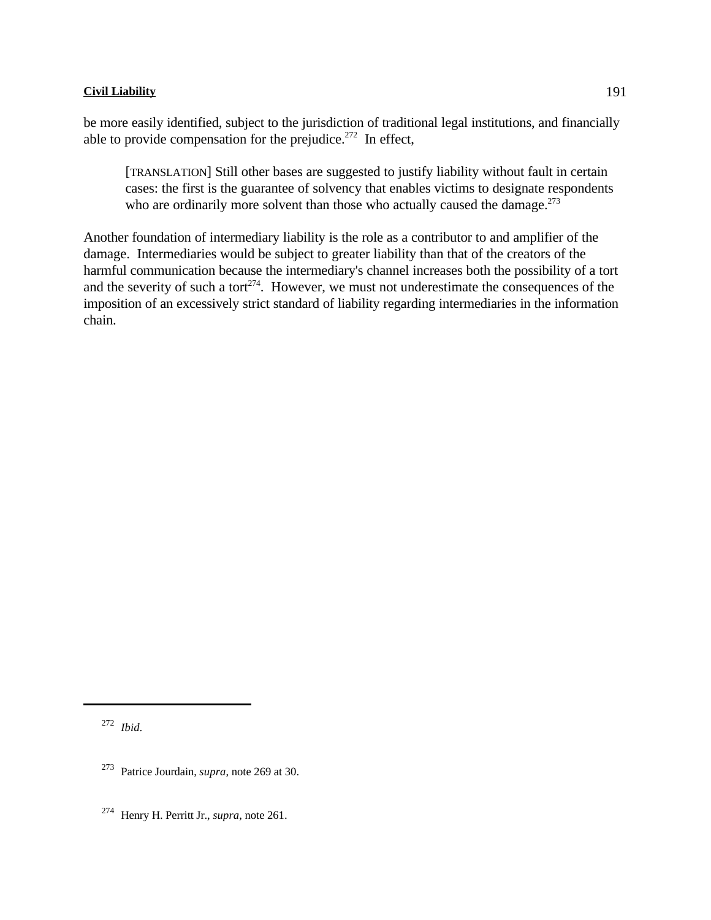be more easily identified, subject to the jurisdiction of traditional legal institutions, and financially able to provide compensation for the prejudice. $272$  In effect,

[TRANSLATION] Still other bases are suggested to justify liability without fault in certain cases: the first is the guarantee of solvency that enables victims to designate respondents who are ordinarily more solvent than those who actually caused the damage.<sup>273</sup>

Another foundation of intermediary liability is the role as a contributor to and amplifier of the damage. Intermediaries would be subject to greater liability than that of the creators of the harmful communication because the intermediary's channel increases both the possibility of a tort and the severity of such a tort $274$ . However, we must not underestimate the consequences of the imposition of an excessively strict standard of liability regarding intermediaries in the information chain.

<sup>272</sup> *Ibid.* 

<sup>&</sup>lt;sup>273</sup> Patrice Jourdain, *supra*, note 269 at 30.

<sup>&</sup>lt;sup>274</sup> Henry H. Perritt Jr., *supra*, note 261.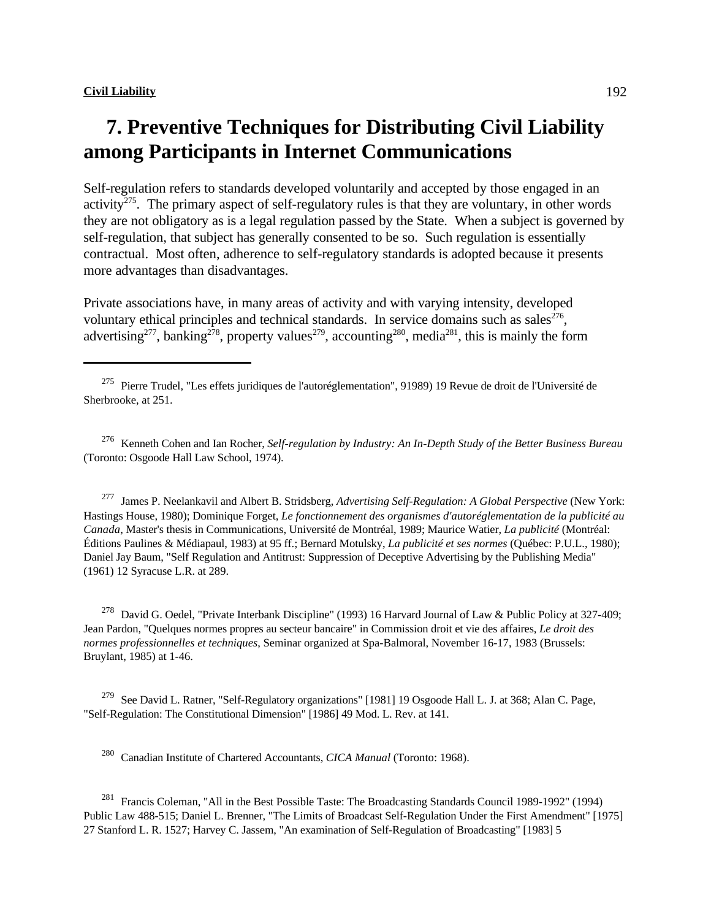# **7. Preventive Techniques for Distributing Civil Liability among Participants in Internet Communications**

Self-regulation refers to standards developed voluntarily and accepted by those engaged in an activity<sup> $275$ </sup>. The primary aspect of self-regulatory rules is that they are voluntary, in other words they are not obligatory as is a legal regulation passed by the State. When a subject is governed by self-regulation, that subject has generally consented to be so. Such regulation is essentially contractual. Most often, adherence to self-regulatory standards is adopted because it presents more advantages than disadvantages.

Private associations have, in many areas of activity and with varying intensity, developed voluntary ethical principles and technical standards. In service domains such as sales $276$ , advertising<sup>277</sup>, banking<sup>278</sup>, property values<sup>279</sup>, accounting<sup>280</sup>, media<sup>281</sup>, this is mainly the form

 Kenneth Cohen and Ian Rocher, *Self-regulation by Industry: An In-Depth Study of the Better Business Bureau* <sup>276</sup> (Toronto: Osgoode Hall Law School, 1974).

<sup>277</sup> James P. Neelankavil and Albert B. Stridsberg, *Advertising Self-Regulation: A Global Perspective* (New York: Hastings House, 1980); Dominique Forget, *Le fonctionnement des organismes d'autoréglementation de la publicité au Canada*, Master's thesis in Communications, Université de Montréal, 1989; Maurice Watier, *La publicité* (Montréal: Éditions Paulines & Médiapaul, 1983) at 95 ff.; Bernard Motulsky, *La publicité et ses normes* (Québec: P.U.L., 1980); Daniel Jay Baum, "Self Regulation and Antitrust: Suppression of Deceptive Advertising by the Publishing Media" (1961) 12 Syracuse L.R. at 289.

<sup>278</sup> David G. Oedel, "Private Interbank Discipline" (1993) 16 Harvard Journal of Law & Public Policy at 327-409; Jean Pardon, "Quelques normes propres au secteur bancaire" in Commission droit et vie des affaires, *Le droit des normes professionnelles et techniques*, Seminar organized at Spa-Balmoral, November 16-17, 1983 (Brussels: Bruylant, 1985) at 1-46.

<sup>279</sup> See David L. Ratner, "Self-Regulatory organizations" [1981] 19 Osgoode Hall L. J. at 368; Alan C. Page, "Self-Regulation: The Constitutional Dimension" [1986] 49 Mod. L. Rev. at 141.

<sup>280</sup> Canadian Institute of Chartered Accountants, *CICA Manual* (Toronto: 1968).

<sup>281</sup> Francis Coleman, "All in the Best Possible Taste: The Broadcasting Standards Council 1989-1992" (1994) Public Law 488-515; Daniel L. Brenner, "The Limits of Broadcast Self-Regulation Under the First Amendment" [1975] 27 Stanford L. R. 1527; Harvey C. Jassem, "An examination of Self-Regulation of Broadcasting" [1983] 5

<sup>&</sup>lt;sup>275</sup> Pierre Trudel, "Les effets juridiques de l'autoréglementation", 91989) 19 Revue de droit de l'Université de Sherbrooke, at 251.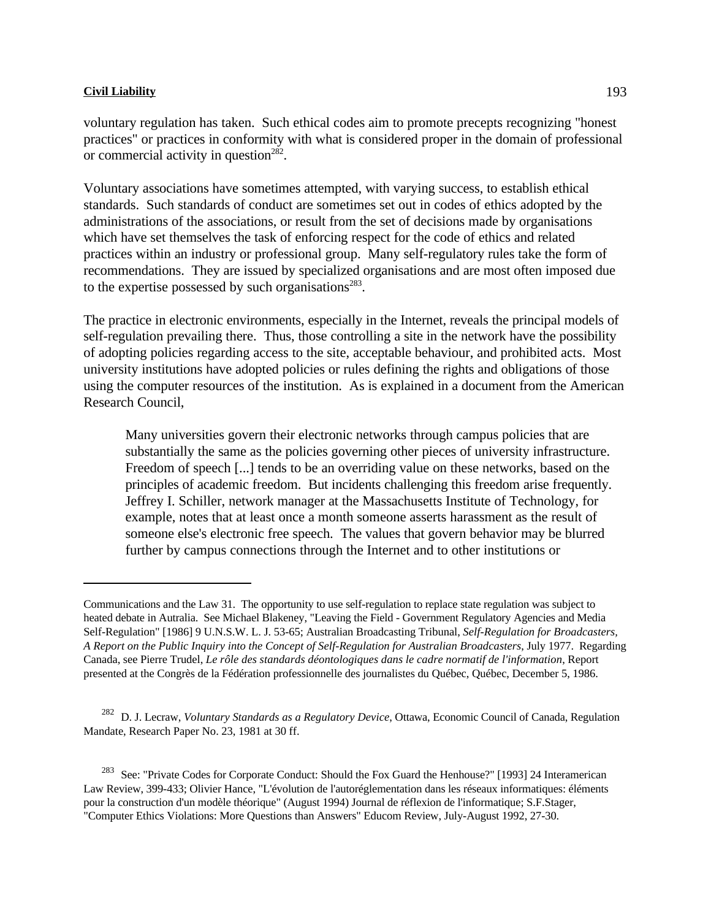or commercial activity in question $282$ .

voluntary regulation has taken. Such ethical codes aim to promote precepts recognizing "honest practices" or practices in conformity with what is considered proper in the domain of professional

Voluntary associations have sometimes attempted, with varying success, to establish ethical standards. Such standards of conduct are sometimes set out in codes of ethics adopted by the administrations of the associations, or result from the set of decisions made by organisations which have set themselves the task of enforcing respect for the code of ethics and related practices within an industry or professional group. Many self-regulatory rules take the form of recommendations. They are issued by specialized organisations and are most often imposed due to the expertise possessed by such organisations<sup>283</sup>.

The practice in electronic environments, especially in the Internet, reveals the principal models of self-regulation prevailing there. Thus, those controlling a site in the network have the possibility of adopting policies regarding access to the site, acceptable behaviour, and prohibited acts. Most university institutions have adopted policies or rules defining the rights and obligations of those using the computer resources of the institution. As is explained in a document from the American Research Council,

Many universities govern their electronic networks through campus policies that are substantially the same as the policies governing other pieces of university infrastructure. Freedom of speech [...] tends to be an overriding value on these networks, based on the principles of academic freedom. But incidents challenging this freedom arise frequently. Jeffrey I. Schiller, network manager at the Massachusetts Institute of Technology, for example, notes that at least once a month someone asserts harassment as the result of someone else's electronic free speech. The values that govern behavior may be blurred further by campus connections through the Internet and to other institutions or

<sup>282</sup> D. J. Lecraw, *Voluntary Standards as a Regulatory Device*, Ottawa, Economic Council of Canada, Regulation Mandate, Research Paper No. 23, 1981 at 30 ff.

Communications and the Law 31. The opportunity to use self-regulation to replace state regulation was subject to heated debate in Autralia. See Michael Blakeney, "Leaving the Field - Government Regulatory Agencies and Media Self-Regulation" [1986] 9 U.N.S.W. L. J. 53-65; Australian Broadcasting Tribunal, *Self-Regulation for Broadcasters, A Report on the Public Inquiry into the Concept of Self-Regulation for Australian Broadcasters*, July 1977. Regarding Canada, see Pierre Trudel, *Le rôle des standards déontologiques dans le cadre normatif de l'information*, Report presented at the Congrès de la Fédération professionnelle des journalistes du Québec, Québec, December 5, 1986.

<sup>&</sup>lt;sup>283</sup> See: "Private Codes for Corporate Conduct: Should the Fox Guard the Henhouse?" [1993] 24 Interamerican Law Review, 399-433; Olivier Hance, "L'évolution de l'autoréglementation dans les réseaux informatiques: éléments pour la construction d'un modèle théorique" (August 1994) Journal de réflexion de l'informatique; S.F.Stager, "Computer Ethics Violations: More Questions than Answers" Educom Review, July-August 1992, 27-30.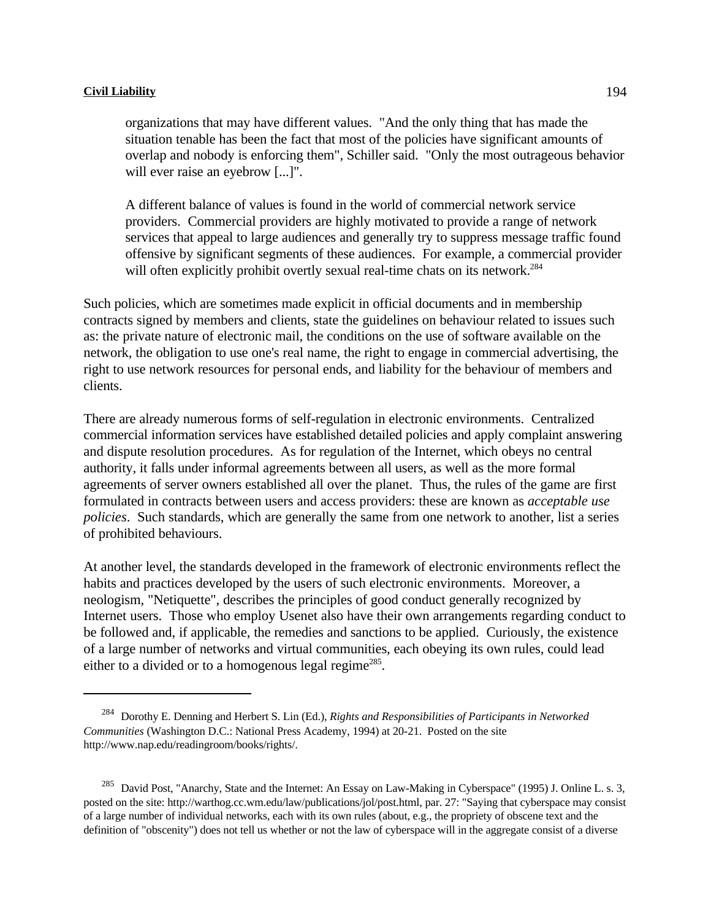organizations that may have different values. "And the only thing that has made the situation tenable has been the fact that most of the policies have significant amounts of overlap and nobody is enforcing them", Schiller said. "Only the most outrageous behavior will ever raise an eyebrow [...]".

A different balance of values is found in the world of commercial network service providers. Commercial providers are highly motivated to provide a range of network services that appeal to large audiences and generally try to suppress message traffic found offensive by significant segments of these audiences. For example, a commercial provider will often explicitly prohibit overtly sexual real-time chats on its network.<sup>284</sup>

Such policies, which are sometimes made explicit in official documents and in membership contracts signed by members and clients, state the guidelines on behaviour related to issues such as: the private nature of electronic mail, the conditions on the use of software available on the network, the obligation to use one's real name, the right to engage in commercial advertising, the right to use network resources for personal ends, and liability for the behaviour of members and clients.

There are already numerous forms of self-regulation in electronic environments. Centralized commercial information services have established detailed policies and apply complaint answering and dispute resolution procedures. As for regulation of the Internet, which obeys no central authority, it falls under informal agreements between all users, as well as the more formal agreements of server owners established all over the planet. Thus, the rules of the game are first formulated in contracts between users and access providers: these are known as *acceptable use policies*. Such standards, which are generally the same from one network to another, list a series of prohibited behaviours.

At another level, the standards developed in the framework of electronic environments reflect the habits and practices developed by the users of such electronic environments. Moreover, a neologism, "Netiquette", describes the principles of good conduct generally recognized by Internet users. Those who employ Usenet also have their own arrangements regarding conduct to be followed and, if applicable, the remedies and sanctions to be applied. Curiously, the existence of a large number of networks and virtual communities, each obeying its own rules, could lead either to a divided or to a homogenous legal regime<sup>285</sup>.

Dorothy E. Denning and Herbert S. Lin (Ed.), *Rights and Responsibilities of Participants in Networked* <sup>284</sup> *Communities* (Washington D.C.: National Press Academy, 1994) at 20-21. Posted on the site http://www.nap.edu/readingroom/books/rights/.

<sup>&</sup>lt;sup>285</sup> David Post, "Anarchy, State and the Internet: An Essay on Law-Making in Cyberspace" (1995) J. Online L. s. 3, posted on the site: http://warthog.cc.wm.edu/law/publications/jol/post.html, par. 27: "Saying that cyberspace may consist of a large number of individual networks, each with its own rules (about, e.g., the propriety of obscene text and the definition of "obscenity") does not tell us whether or not the law of cyberspace will in the aggregate consist of a diverse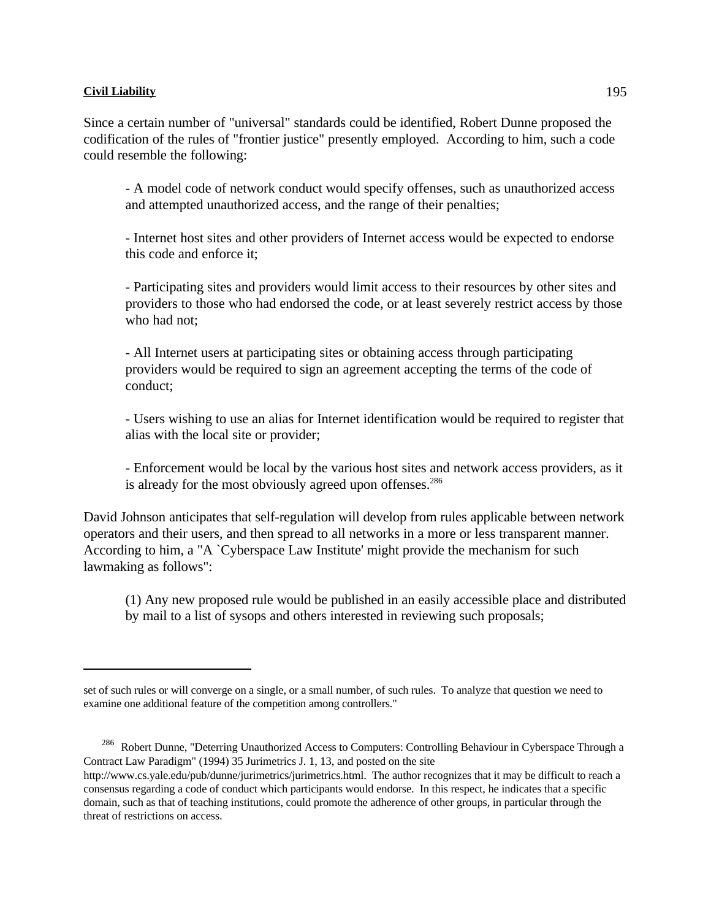Since a certain number of "universal" standards could be identified, Robert Dunne proposed the codification of the rules of "frontier justice" presently employed. According to him, such a code could resemble the following:

- A model code of network conduct would specify offenses, such as unauthorized access and attempted unauthorized access, and the range of their penalties;

- Internet host sites and other providers of Internet access would be expected to endorse this code and enforce it;

- Participating sites and providers would limit access to their resources by other sites and providers to those who had endorsed the code, or at least severely restrict access by those who had not:

- All Internet users at participating sites or obtaining access through participating providers would be required to sign an agreement accepting the terms of the code of conduct;

- Users wishing to use an alias for Internet identification would be required to register that alias with the local site or provider;

- Enforcement would be local by the various host sites and network access providers, as it is already for the most obviously agreed upon offenses.<sup>286</sup>

David Johnson anticipates that self-regulation will develop from rules applicable between network operators and their users, and then spread to all networks in a more or less transparent manner. According to him, a "A `Cyberspace Law Institute' might provide the mechanism for such lawmaking as follows":

(1) Any new proposed rule would be published in an easily accessible place and distributed by mail to a list of sysops and others interested in reviewing such proposals;

<sup>286</sup> Robert Dunne, "Deterring Unauthorized Access to Computers: Controlling Behaviour in Cyberspace Through a Contract Law Paradigm" (1994) 35 Jurimetrics J. 1, 13, and posted on the site

set of such rules or will converge on a single, or a small number, of such rules. To analyze that question we need to examine one additional feature of the competition among controllers."

http://www.cs.yale.edu/pub/dunne/jurimetrics/jurimetrics.html. The author recognizes that it may be difficult to reach a consensus regarding a code of conduct which participants would endorse. In this respect, he indicates that a specific domain, such as that of teaching institutions, could promote the adherence of other groups, in particular through the threat of restrictions on access.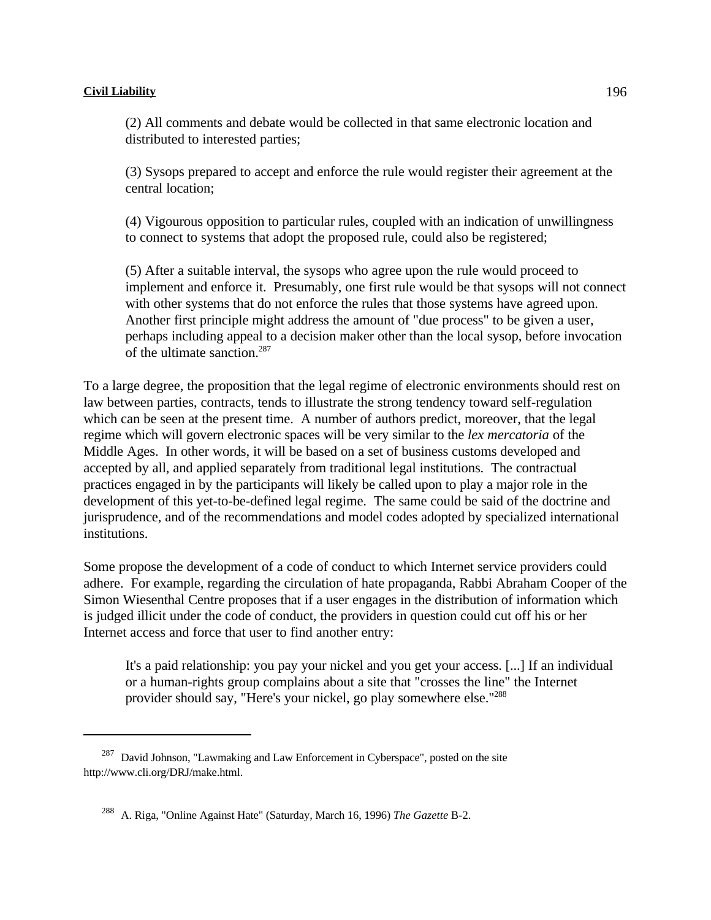(2) All comments and debate would be collected in that same electronic location and distributed to interested parties;

(3) Sysops prepared to accept and enforce the rule would register their agreement at the central location;

(4) Vigourous opposition to particular rules, coupled with an indication of unwillingness to connect to systems that adopt the proposed rule, could also be registered;

(5) After a suitable interval, the sysops who agree upon the rule would proceed to implement and enforce it. Presumably, one first rule would be that sysops will not connect with other systems that do not enforce the rules that those systems have agreed upon. Another first principle might address the amount of "due process" to be given a user, perhaps including appeal to a decision maker other than the local sysop, before invocation of the ultimate sanction.<sup>287</sup>

To a large degree, the proposition that the legal regime of electronic environments should rest on law between parties, contracts, tends to illustrate the strong tendency toward self-regulation which can be seen at the present time. A number of authors predict, moreover, that the legal regime which will govern electronic spaces will be very similar to the *lex mercatoria* of the Middle Ages. In other words, it will be based on a set of business customs developed and accepted by all, and applied separately from traditional legal institutions. The contractual practices engaged in by the participants will likely be called upon to play a major role in the development of this yet-to-be-defined legal regime. The same could be said of the doctrine and jurisprudence, and of the recommendations and model codes adopted by specialized international institutions.

Some propose the development of a code of conduct to which Internet service providers could adhere. For example, regarding the circulation of hate propaganda, Rabbi Abraham Cooper of the Simon Wiesenthal Centre proposes that if a user engages in the distribution of information which is judged illicit under the code of conduct, the providers in question could cut off his or her Internet access and force that user to find another entry:

It's a paid relationship: you pay your nickel and you get your access. [...] If an individual or a human-rights group complains about a site that "crosses the line" the Internet provider should say, "Here's your nickel, go play somewhere else."288

 $287$  David Johnson, "Lawmaking and Law Enforcement in Cyberspace", posted on the site http://www.cli.org/DRJ/make.html.

<sup>&</sup>lt;sup>288</sup> A. Riga, "Online Against Hate" (Saturday, March 16, 1996) *The Gazette* B-2.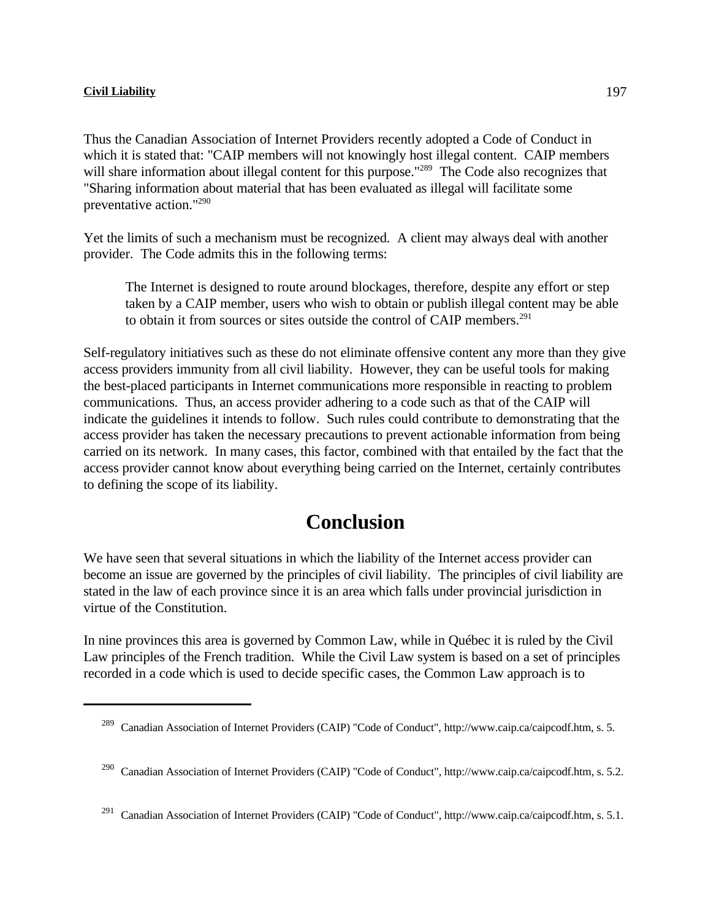Thus the Canadian Association of Internet Providers recently adopted a Code of Conduct in which it is stated that: "CAIP members will not knowingly host illegal content. CAIP members will share information about illegal content for this purpose."<sup>289</sup> The Code also recognizes that "Sharing information about material that has been evaluated as illegal will facilitate some preventative action."<sup>290</sup>

Yet the limits of such a mechanism must be recognized. A client may always deal with another provider. The Code admits this in the following terms:

The Internet is designed to route around blockages, therefore, despite any effort or step taken by a CAIP member, users who wish to obtain or publish illegal content may be able to obtain it from sources or sites outside the control of CAIP members.<sup>291</sup>

Self-regulatory initiatives such as these do not eliminate offensive content any more than they give access providers immunity from all civil liability. However, they can be useful tools for making the best-placed participants in Internet communications more responsible in reacting to problem communications. Thus, an access provider adhering to a code such as that of the CAIP will indicate the guidelines it intends to follow. Such rules could contribute to demonstrating that the access provider has taken the necessary precautions to prevent actionable information from being carried on its network. In many cases, this factor, combined with that entailed by the fact that the access provider cannot know about everything being carried on the Internet, certainly contributes to defining the scope of its liability.

## **Conclusion**

We have seen that several situations in which the liability of the Internet access provider can become an issue are governed by the principles of civil liability. The principles of civil liability are stated in the law of each province since it is an area which falls under provincial jurisdiction in virtue of the Constitution.

In nine provinces this area is governed by Common Law, while in Québec it is ruled by the Civil Law principles of the French tradition. While the Civil Law system is based on a set of principles recorded in a code which is used to decide specific cases, the Common Law approach is to

<sup>&</sup>lt;sup>289</sup> Canadian Association of Internet Providers (CAIP) "Code of Conduct", http://www.caip.ca/caipcodf.htm, s. 5.

<sup>&</sup>lt;sup>290</sup> Canadian Association of Internet Providers (CAIP) "Code of Conduct", http://www.caip.ca/caipcodf.htm, s. 5.2.

<sup>&</sup>lt;sup>291</sup> Canadian Association of Internet Providers (CAIP) "Code of Conduct", http://www.caip.ca/caipcodf.htm, s. 5.1.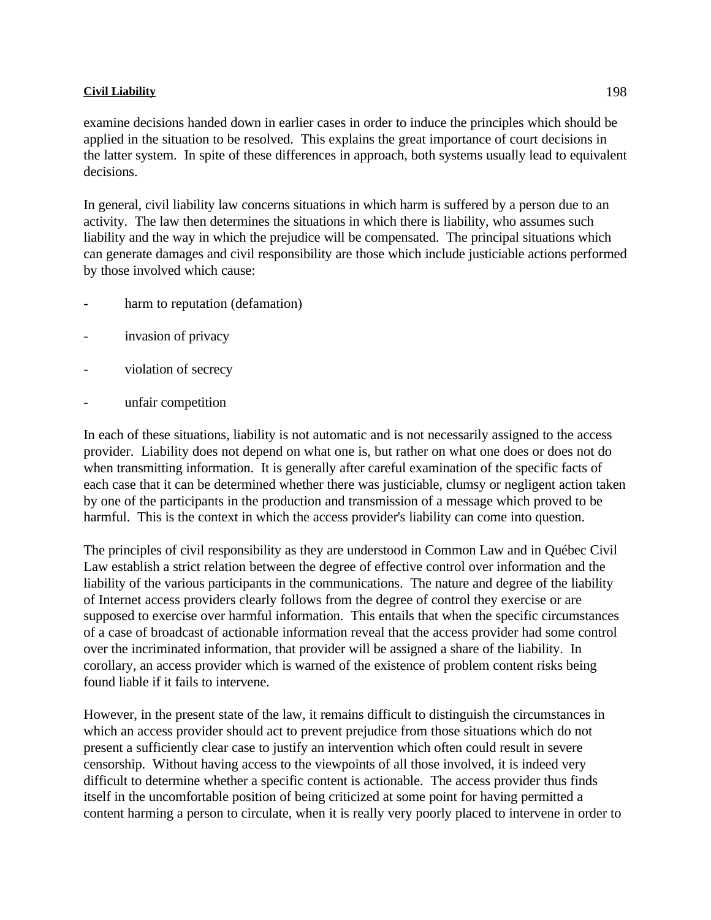examine decisions handed down in earlier cases in order to induce the principles which should be applied in the situation to be resolved. This explains the great importance of court decisions in the latter system. In spite of these differences in approach, both systems usually lead to equivalent decisions.

In general, civil liability law concerns situations in which harm is suffered by a person due to an activity. The law then determines the situations in which there is liability, who assumes such liability and the way in which the prejudice will be compensated. The principal situations which can generate damages and civil responsibility are those which include justiciable actions performed by those involved which cause:

- harm to reputation (defamation)
- invasion of privacy
- violation of secrecy
- unfair competition

In each of these situations, liability is not automatic and is not necessarily assigned to the access provider. Liability does not depend on what one is, but rather on what one does or does not do when transmitting information. It is generally after careful examination of the specific facts of each case that it can be determined whether there was justiciable, clumsy or negligent action taken by one of the participants in the production and transmission of a message which proved to be harmful. This is the context in which the access provider's liability can come into question.

The principles of civil responsibility as they are understood in Common Law and in Québec Civil Law establish a strict relation between the degree of effective control over information and the liability of the various participants in the communications. The nature and degree of the liability of Internet access providers clearly follows from the degree of control they exercise or are supposed to exercise over harmful information. This entails that when the specific circumstances of a case of broadcast of actionable information reveal that the access provider had some control over the incriminated information, that provider will be assigned a share of the liability. In corollary, an access provider which is warned of the existence of problem content risks being found liable if it fails to intervene.

However, in the present state of the law, it remains difficult to distinguish the circumstances in which an access provider should act to prevent prejudice from those situations which do not present a sufficiently clear case to justify an intervention which often could result in severe censorship. Without having access to the viewpoints of all those involved, it is indeed very difficult to determine whether a specific content is actionable. The access provider thus finds itself in the uncomfortable position of being criticized at some point for having permitted a content harming a person to circulate, when it is really very poorly placed to intervene in order to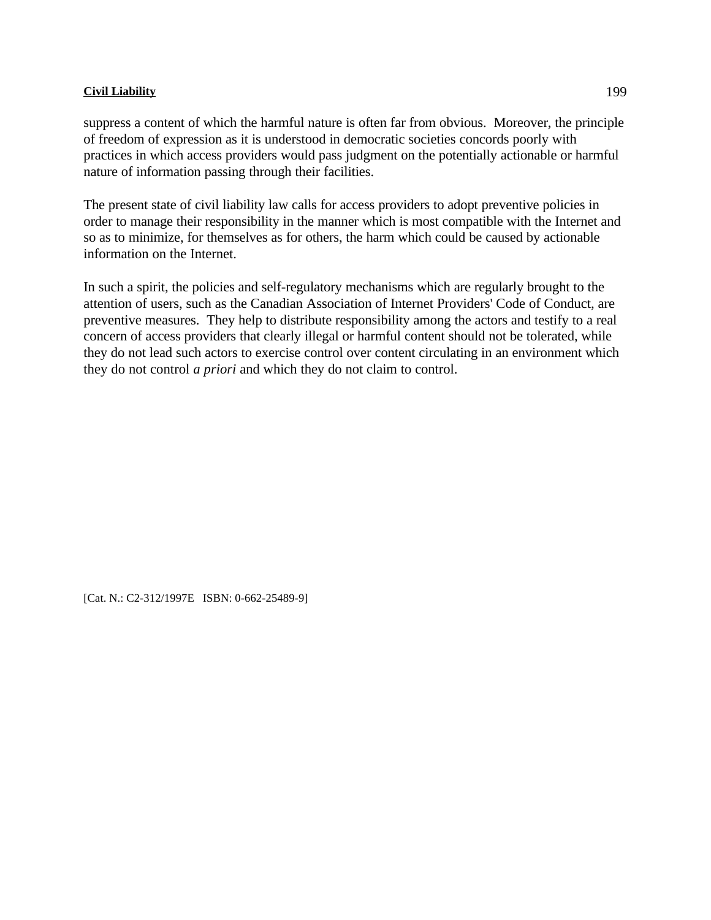suppress a content of which the harmful nature is often far from obvious. Moreover, the principle of freedom of expression as it is understood in democratic societies concords poorly with practices in which access providers would pass judgment on the potentially actionable or harmful nature of information passing through their facilities.

The present state of civil liability law calls for access providers to adopt preventive policies in order to manage their responsibility in the manner which is most compatible with the Internet and so as to minimize, for themselves as for others, the harm which could be caused by actionable information on the Internet.

In such a spirit, the policies and self-regulatory mechanisms which are regularly brought to the attention of users, such as the Canadian Association of Internet Providers' Code of Conduct, are preventive measures. They help to distribute responsibility among the actors and testify to a real concern of access providers that clearly illegal or harmful content should not be tolerated, while they do not lead such actors to exercise control over content circulating in an environment which they do not control *a priori* and which they do not claim to control.

[Cat. N.: C2-312/1997E ISBN: 0-662-25489-9]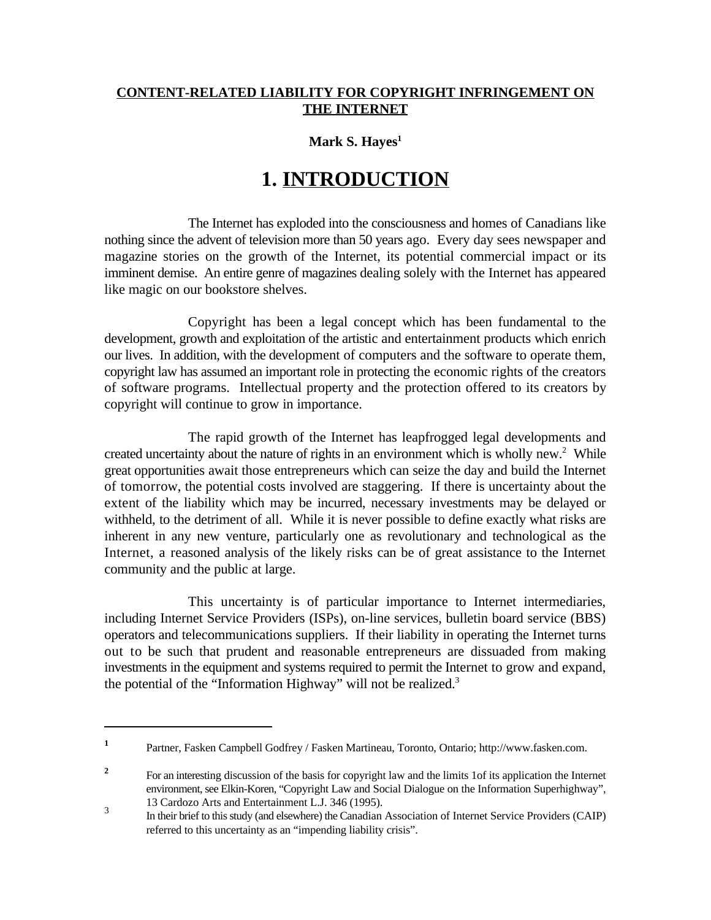## **CONTENT-RELATED LIABILITY FOR COPYRIGHT INFRINGEMENT ON THE INTERNET**

## **Mark S. Hayes<sup>1</sup>**

## **1. INTRODUCTION**

The Internet has exploded into the consciousness and homes of Canadians like nothing since the advent of television more than 50 years ago. Every day sees newspaper and magazine stories on the growth of the Internet, its potential commercial impact or its imminent demise. An entire genre of magazines dealing solely with the Internet has appeared like magic on our bookstore shelves.

Copyright has been a legal concept which has been fundamental to the development, growth and exploitation of the artistic and entertainment products which enrich our lives. In addition, with the development of computers and the software to operate them, copyright law has assumed an important role in protecting the economic rights of the creators of software programs. Intellectual property and the protection offered to its creators by copyright will continue to grow in importance.

The rapid growth of the Internet has leapfrogged legal developments and created uncertainty about the nature of rights in an environment which is wholly new.<sup>2</sup> While great opportunities await those entrepreneurs which can seize the day and build the Internet of tomorrow, the potential costs involved are staggering. If there is uncertainty about the extent of the liability which may be incurred, necessary investments may be delayed or withheld, to the detriment of all. While it is never possible to define exactly what risks are inherent in any new venture, particularly one as revolutionary and technological as the Internet, a reasoned analysis of the likely risks can be of great assistance to the Internet community and the public at large.

This uncertainty is of particular importance to Internet intermediaries, including Internet Service Providers (ISPs), on-line services, bulletin board service (BBS) operators and telecommunications suppliers. If their liability in operating the Internet turns out to be such that prudent and reasonable entrepreneurs are dissuaded from making investments in the equipment and systems required to permit the Internet to grow and expand, the potential of the "Information Highway" will not be realized.<sup>3</sup>

Partner, Fasken Campbell Godfrey / Fasken Martineau, Toronto, Ontario; http://www.fasken.com. **<sup>1</sup>**

For an interesting discussion of the basis for copyright law and the limits 1of its application the Internet **<sup>2</sup>** environment, see Elkin-Koren, "Copyright Law and Social Dialogue on the Information Superhighway", 13 Cardozo Arts and Entertainment L.J. 346 (1995).

In their brief to this study (and elsewhere) the Canadian Association of Internet Service Providers (CAIP) referred to this uncertainty as an "impending liability crisis".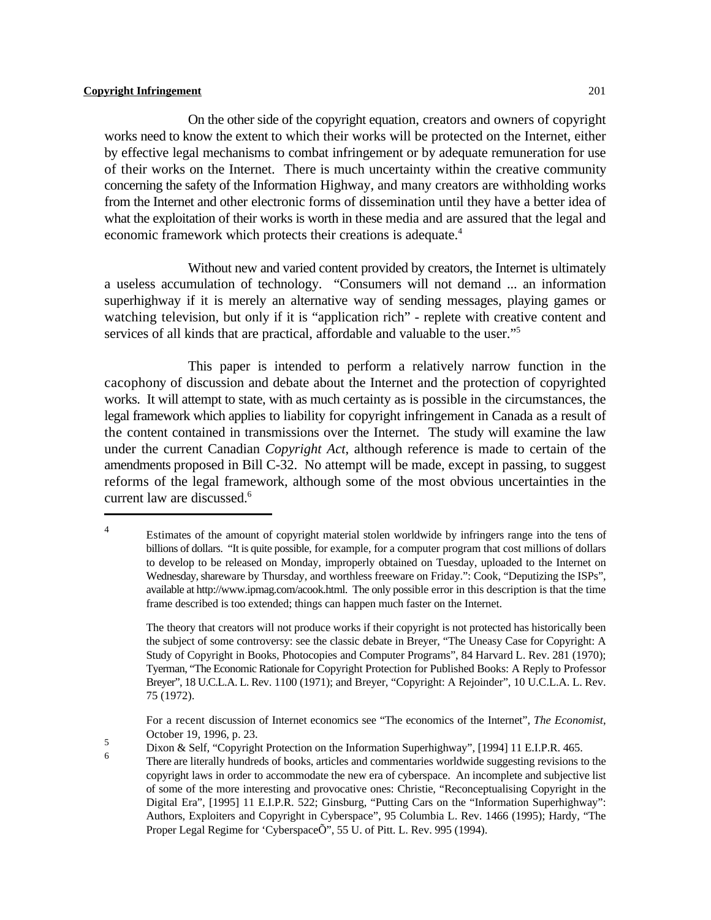On the other side of the copyright equation, creators and owners of copyright works need to know the extent to which their works will be protected on the Internet, either by effective legal mechanisms to combat infringement or by adequate remuneration for use of their works on the Internet. There is much uncertainty within the creative community concerning the safety of the Information Highway, and many creators are withholding works from the Internet and other electronic forms of dissemination until they have a better idea of what the exploitation of their works is worth in these media and are assured that the legal and economic framework which protects their creations is adequate.<sup>4</sup>

Without new and varied content provided by creators, the Internet is ultimately a useless accumulation of technology. "Consumers will not demand ... an information superhighway if it is merely an alternative way of sending messages, playing games or watching television, but only if it is "application rich" - replete with creative content and services of all kinds that are practical, affordable and valuable to the user."<sup>5</sup>

This paper is intended to perform a relatively narrow function in the cacophony of discussion and debate about the Internet and the protection of copyrighted works. It will attempt to state, with as much certainty as is possible in the circumstances, the legal framework which applies to liability for copyright infringement in Canada as a result of the content contained in transmissions over the Internet. The study will examine the law under the current Canadian *Copyright Act*, although reference is made to certain of the amendments proposed in Bill C-32. No attempt will be made, except in passing, to suggest reforms of the legal framework, although some of the most obvious uncertainties in the current law are discussed.<sup>6</sup>

5<br>Dixon & Self, "Copyright Protection on the Information Superhighway", [1994] 11 E.I.P.R. 465.

Estimates of the amount of copyright material stolen worldwide by infringers range into the tens of 4 billions of dollars. "It is quite possible, for example, for a computer program that cost millions of dollars to develop to be released on Monday, improperly obtained on Tuesday, uploaded to the Internet on Wednesday, shareware by Thursday, and worthless freeware on Friday.": Cook, "Deputizing the ISPs", available at http://www.ipmag.com/acook.html. The only possible error in this description is that the time frame described is too extended; things can happen much faster on the Internet.

The theory that creators will not produce works if their copyright is not protected has historically been the subject of some controversy: see the classic debate in Breyer, "The Uneasy Case for Copyright: A Study of Copyright in Books, Photocopies and Computer Programs", 84 Harvard L. Rev. 281 (1970); Tyerman, "The Economic Rationale for Copyright Protection for Published Books: A Reply to Professor Breyer", 18 U.C.L.A. L. Rev. 1100 (1971); and Breyer, "Copyright: A Rejoinder", 10 U.C.L.A. L. Rev. 75 (1972).

For a recent discussion of Internet economics see "The economics of the Internet", *The Economist*, October 19, 1996, p. 23.

There are literally hundreds of books, articles and commentaries worldwide suggesting revisions to the <sup>6</sup> copyright laws in order to accommodate the new era of cyberspace. An incomplete and subjective list of some of the more interesting and provocative ones: Christie, "Reconceptualising Copyright in the Digital Era", [1995] 11 E.I.P.R. 522; Ginsburg, "Putting Cars on the "Information Superhighway": Authors, Exploiters and Copyright in Cyberspace", 95 Columbia L. Rev. 1466 (1995); Hardy, "The Proper Legal Regime for 'CyberspaceÕ", 55 U. of Pitt. L. Rev. 995 (1994).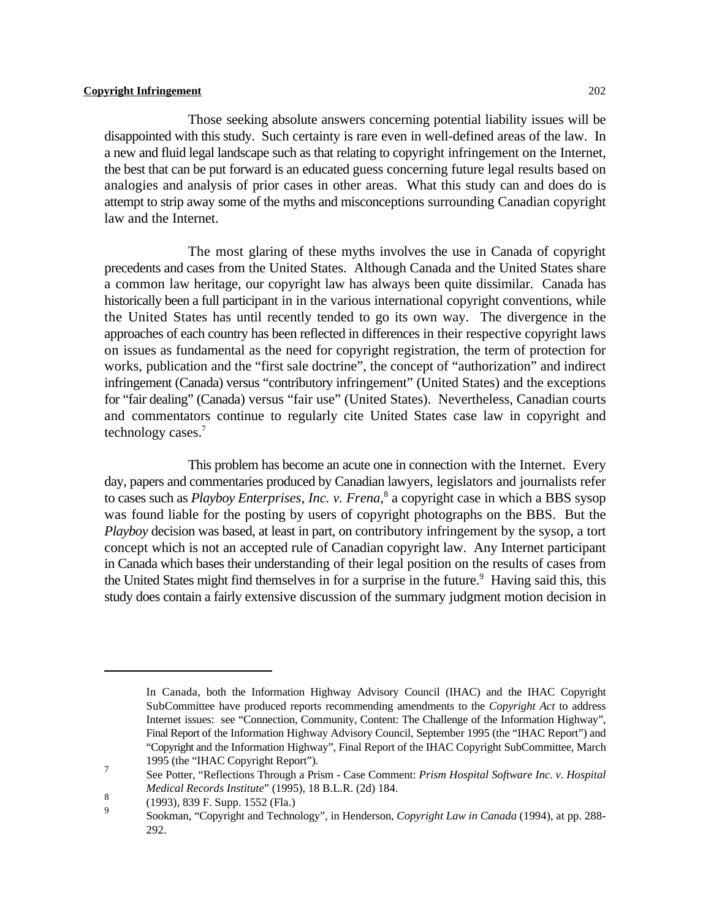Those seeking absolute answers concerning potential liability issues will be disappointed with this study. Such certainty is rare even in well-defined areas of the law. In a new and fluid legal landscape such as that relating to copyright infringement on the Internet, the best that can be put forward is an educated guess concerning future legal results based on analogies and analysis of prior cases in other areas. What this study can and does do is attempt to strip away some of the myths and misconceptions surrounding Canadian copyright law and the Internet.

The most glaring of these myths involves the use in Canada of copyright precedents and cases from the United States. Although Canada and the United States share a common law heritage, our copyright law has always been quite dissimilar. Canada has historically been a full participant in in the various international copyright conventions, while the United States has until recently tended to go its own way. The divergence in the approaches of each country has been reflected in differences in their respective copyright laws on issues as fundamental as the need for copyright registration, the term of protection for works, publication and the "first sale doctrine", the concept of "authorization" and indirect infringement (Canada) versus "contributory infringement" (United States) and the exceptions for "fair dealing" (Canada) versus "fair use" (United States). Nevertheless, Canadian courts and commentators continue to regularly cite United States case law in copyright and technology cases.<sup>7</sup>

This problem has become an acute one in connection with the Internet. Every day, papers and commentaries produced by Canadian lawyers, legislators and journalists refer to cases such as *Playboy Enterprises, Inc. v. Frena*,<sup>8</sup> a copyright case in which a BBS sysop was found liable for the posting by users of copyright photographs on the BBS. But the *Playboy* decision was based, at least in part, on contributory infringement by the sysop, a tort concept which is not an accepted rule of Canadian copyright law. Any Internet participant in Canada which bases their understanding of their legal position on the results of cases from the United States might find themselves in for a surprise in the future.<sup>9</sup> Having said this, this study does contain a fairly extensive discussion of the summary judgment motion decision in

In Canada, both the Information Highway Advisory Council (IHAC) and the IHAC Copyright SubCommittee have produced reports recommending amendments to the *Copyright Act* to address Internet issues: see "Connection, Community, Content: The Challenge of the Information Highway", Final Report of the Information Highway Advisory Council, September 1995 (the "IHAC Report") and "Copyright and the Information Highway", Final Report of the IHAC Copyright SubCommittee, March 1995 (the "IHAC Copyright Report").

See Potter, "Reflections Through a Prism - Case Comment: *Prism Hospital Software Inc. v. Hospital* <sup>7</sup> *Medical Records Institute*" (1995), 18 B.L.R. (2d) 184.

 $\frac{8}{9}$  (1993), 839 F. Supp. 1552 (Fla.)

Sookman, "Copyright and Technology", in Henderson, *Copyright Law in Canada* (1994), at pp. 288-292.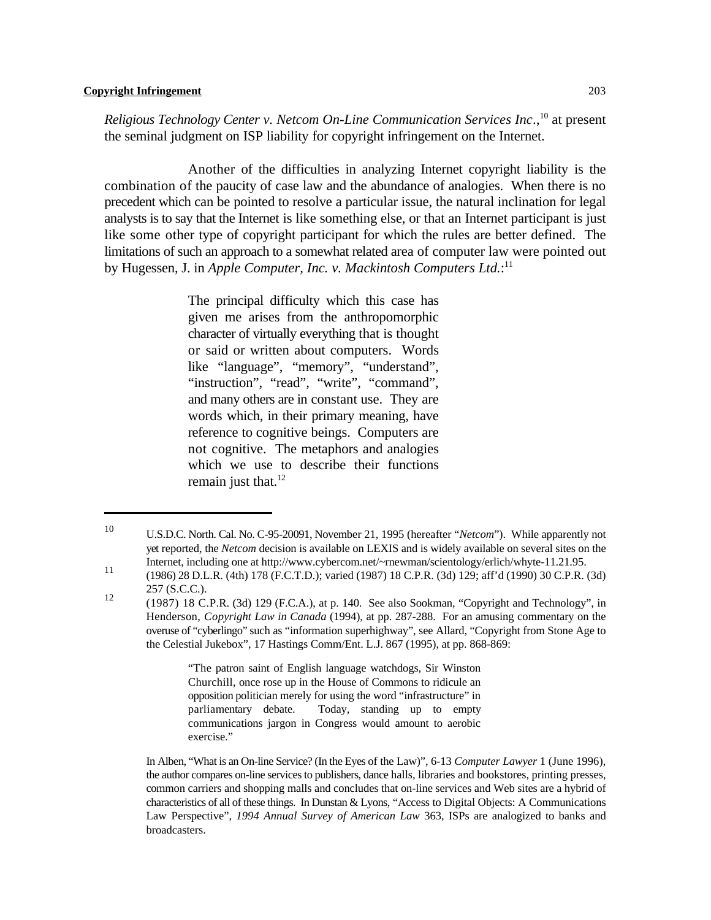*Religious Technology Center v. Netcom On-Line Communication Services Inc.,*<sup>10</sup> at present the seminal judgment on ISP liability for copyright infringement on the Internet.

Another of the difficulties in analyzing Internet copyright liability is the combination of the paucity of case law and the abundance of analogies. When there is no precedent which can be pointed to resolve a particular issue, the natural inclination for legal analysts is to say that the Internet is like something else, or that an Internet participant is just like some other type of copyright participant for which the rules are better defined. The limitations of such an approach to a somewhat related area of computer law were pointed out by Hugessen, J. in *Apple Computer, Inc. v. Mackintosh Computers Ltd.*:<sup>11</sup>

> The principal difficulty which this case has given me arises from the anthropomorphic character of virtually everything that is thought or said or written about computers. Words like "language", "memory", "understand", "instruction", "read", "write", "command", and many others are in constant use. They are words which, in their primary meaning, have reference to cognitive beings. Computers are not cognitive. The metaphors and analogies which we use to describe their functions remain just that. $^{12}$

"The patron saint of English language watchdogs, Sir Winston Churchill, once rose up in the House of Commons to ridicule an opposition politician merely for using the word "infrastructure" in parliamentary debate. Today, standing up to empty communications jargon in Congress would amount to aerobic exercise."

<sup>&</sup>lt;sup>10</sup> U.S.D.C. North. Cal. No. C-95-20091, November 21, 1995 (hereafter "*Netcom*"). While apparently not yet reported, the *Netcom* decision is available on LEXIS and is widely available on several sites on the Internet, including one at http://www.cybercom.net/~rnewman/scientology/erlich/whyte-11.21.95.

<sup>11 (1986) 28</sup> D.L.R. (4th) 178 (F.C.T.D.); varied (1987) 18 C.P.R. (3d) 129; aff'd (1990) 30 C.P.R. (3d) 257 (S.C.C.). 12

<sup>(1987) 18</sup> C.P.R. (3d) 129 (F.C.A.), at p. 140. See also Sookman, "Copyright and Technology", in Henderson, *Copyright Law in Canada* (1994), at pp. 287-288. For an amusing commentary on the overuse of "cyberlingo" such as "information superhighway", see Allard, "Copyright from Stone Age to the Celestial Jukebox", 17 Hastings Comm/Ent. L.J. 867 (1995), at pp. 868-869:

In Alben, "What is an On-line Service? (In the Eyes of the Law)", 6-13 *Computer Lawyer* 1 (June 1996), the author compares on-line services to publishers, dance halls, libraries and bookstores, printing presses, common carriers and shopping malls and concludes that on-line services and Web sites are a hybrid of characteristics of all of these things. In Dunstan & Lyons, "Access to Digital Objects: A Communications Law Perspective", *1994 Annual Survey of American Law* 363, ISPs are analogized to banks and broadcasters.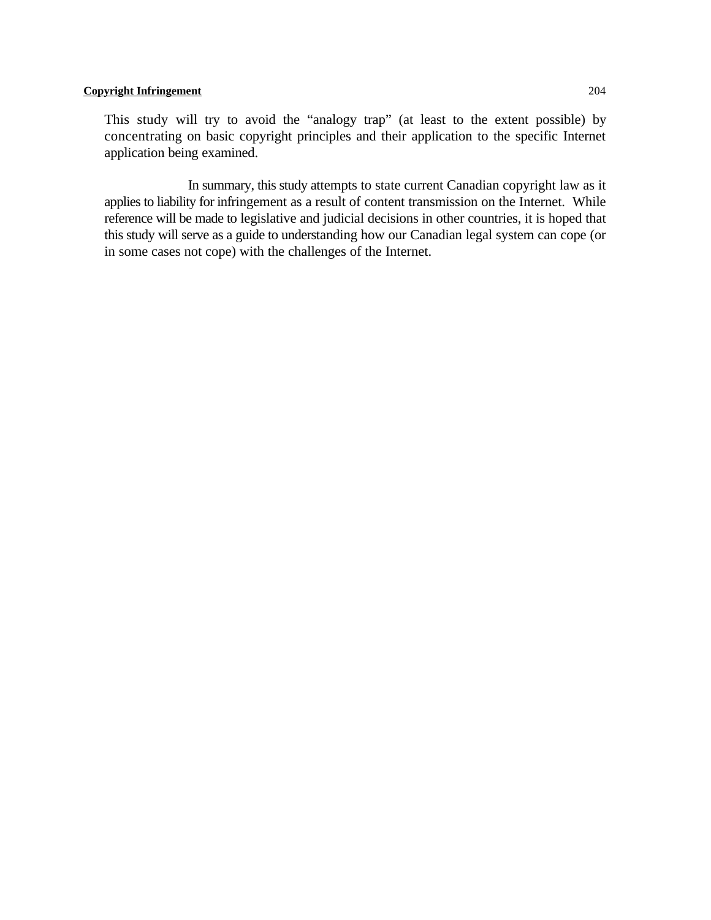This study will try to avoid the "analogy trap" (at least to the extent possible) by concentrating on basic copyright principles and their application to the specific Internet application being examined.

In summary, this study attempts to state current Canadian copyright law as it applies to liability for infringement as a result of content transmission on the Internet. While reference will be made to legislative and judicial decisions in other countries, it is hoped that this study will serve as a guide to understanding how our Canadian legal system can cope (or in some cases not cope) with the challenges of the Internet.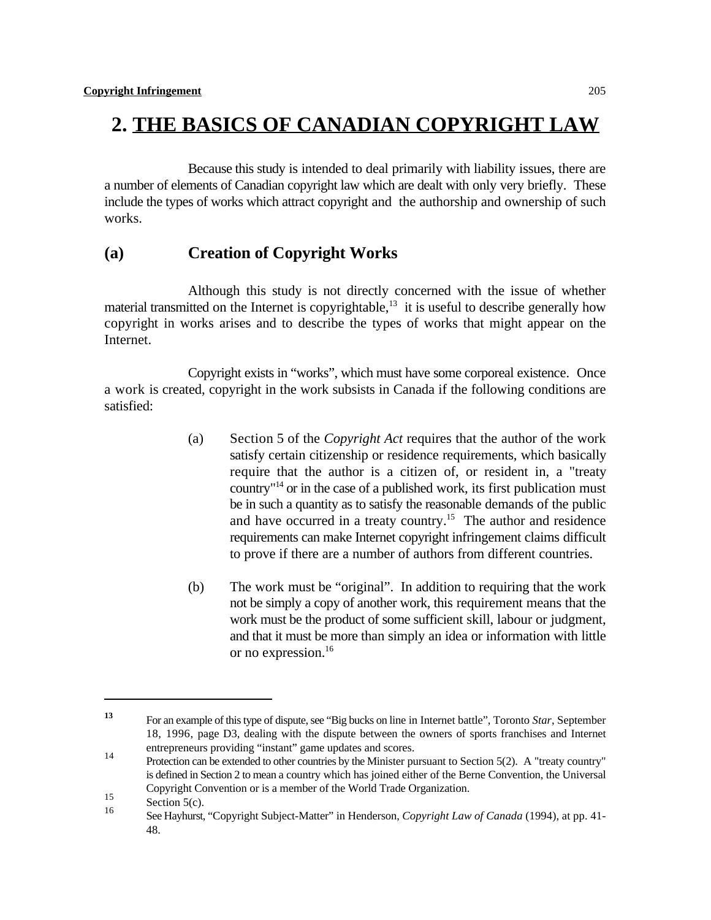## **2. THE BASICS OF CANADIAN COPYRIGHT LAW**

Because this study is intended to deal primarily with liability issues, there are a number of elements of Canadian copyright law which are dealt with only very briefly. These include the types of works which attract copyright and the authorship and ownership of such works.

## **(a) Creation of Copyright Works**

Although this study is not directly concerned with the issue of whether material transmitted on the Internet is copyrightable, $\frac{13}{13}$  it is useful to describe generally how copyright in works arises and to describe the types of works that might appear on the Internet.

Copyright exists in "works", which must have some corporeal existence. Once a work is created, copyright in the work subsists in Canada if the following conditions are satisfied:

- (a) Section 5 of the *Copyright Act* requires that the author of the work satisfy certain citizenship or residence requirements, which basically require that the author is a citizen of, or resident in, a "treaty country"<sup> $14$ </sup> or in the case of a published work, its first publication must be in such a quantity as to satisfy the reasonable demands of the public and have occurred in a treaty country.<sup>15</sup> The author and residence requirements can make Internet copyright infringement claims difficult to prove if there are a number of authors from different countries.
- (b) The work must be "original". In addition to requiring that the work not be simply a copy of another work, this requirement means that the work must be the product of some sufficient skill, labour or judgment, and that it must be more than simply an idea or information with little or no expression.<sup>16</sup>

For an example of this type of dispute, see "Big bucks on line in Internet battle", Toronto *Star*, September **<sup>13</sup>** 18, 1996, page D3, dealing with the dispute between the owners of sports franchises and Internet entrepreneurs providing "instant" game updates and scores.

Protection can be extended to other countries by the Minister pursuant to Section 5(2). A "treaty country" is defined in Section 2 to mean a country which has joined either of the Berne Convention, the Universal Copyright Convention or is a member of the World Trade Organization.

 $rac{5}{16}$  Section 5(c).

See Hayhurst, "Copyright Subject-Matter" in Henderson, *Copyright Law of Canada* (1994), at pp. 41- <sup>16</sup> 48.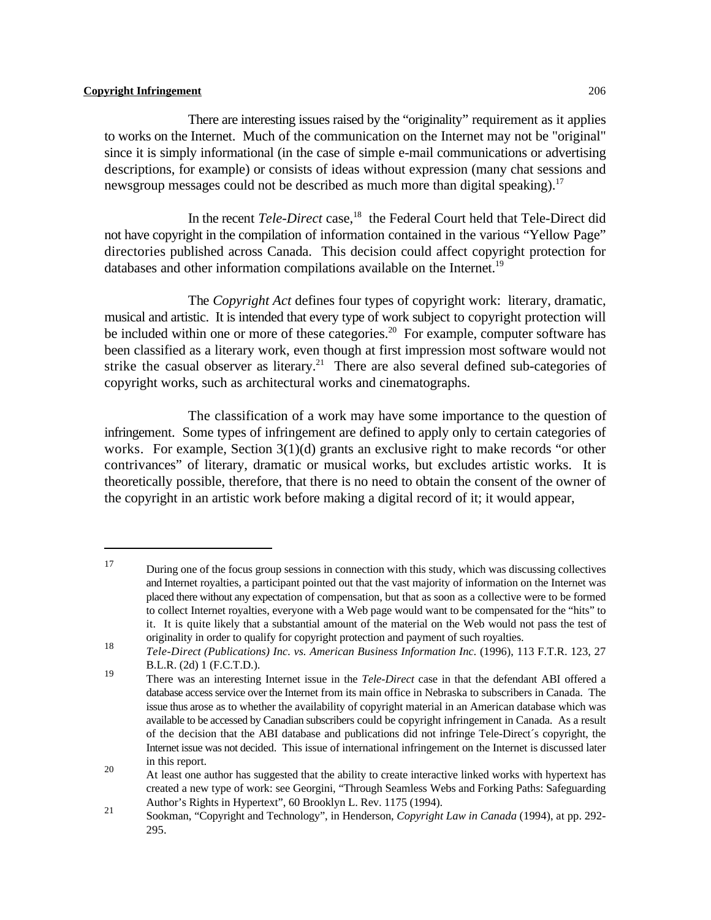There are interesting issues raised by the "originality" requirement as it applies to works on the Internet. Much of the communication on the Internet may not be "original" since it is simply informational (in the case of simple e-mail communications or advertising descriptions, for example) or consists of ideas without expression (many chat sessions and newsgroup messages could not be described as much more than digital speaking).<sup>17</sup>

In the recent *Tele-Direct* case,<sup>18</sup> the Federal Court held that Tele-Direct did not have copyright in the compilation of information contained in the various "Yellow Page" directories published across Canada. This decision could affect copyright protection for databases and other information compilations available on the Internet.<sup>19</sup>

The *Copyright Act* defines four types of copyright work: literary, dramatic, musical and artistic. It is intended that every type of work subject to copyright protection will be included within one or more of these categories.<sup>20</sup> For example, computer software has been classified as a literary work, even though at first impression most software would not strike the casual observer as literary.<sup>21</sup> There are also several defined sub-categories of copyright works, such as architectural works and cinematographs.

The classification of a work may have some importance to the question of infringement. Some types of infringement are defined to apply only to certain categories of works. For example, Section 3(1)(d) grants an exclusive right to make records "or other contrivances" of literary, dramatic or musical works, but excludes artistic works. It is theoretically possible, therefore, that there is no need to obtain the consent of the owner of the copyright in an artistic work before making a digital record of it; it would appear,

<sup>&</sup>lt;sup>17</sup> During one of the focus group sessions in connection with this study, which was discussing collectives and Internet royalties, a participant pointed out that the vast majority of information on the Internet was placed there without any expectation of compensation, but that as soon as a collective were to be formed to collect Internet royalties, everyone with a Web page would want to be compensated for the "hits" to it. It is quite likely that a substantial amount of the material on the Web would not pass the test of originality in order to qualify for copyright protection and payment of such royalties.

*Tele-Direct (Publications) Inc. vs. American Business Information Inc.* (1996), 113 F.T.R. 123, 27 18 B.L.R. (2d) 1 (F.C.T.D.).

There was an interesting Internet issue in the *Tele-Direct* case in that the defendant ABI offered a 19 database access service over the Internet from its main office in Nebraska to subscribers in Canada. The issue thus arose as to whether the availability of copyright material in an American database which was available to be accessed by Canadian subscribers could be copyright infringement in Canada. As a result of the decision that the ABI database and publications did not infringe Tele-Direct´s copyright, the Internet issue was not decided. This issue of international infringement on the Internet is discussed later in this report.

At least one author has suggested that the ability to create interactive linked works with hypertext has 20 created a new type of work: see Georgini, "Through Seamless Webs and Forking Paths: Safeguarding Author's Rights in Hypertext", 60 Brooklyn L. Rev. 1175 (1994).

<sup>&</sup>lt;sup>21</sup> Sookman, "Copyright and Technology", in Henderson, *Copyright Law in Canada* (1994), at pp. 292-295.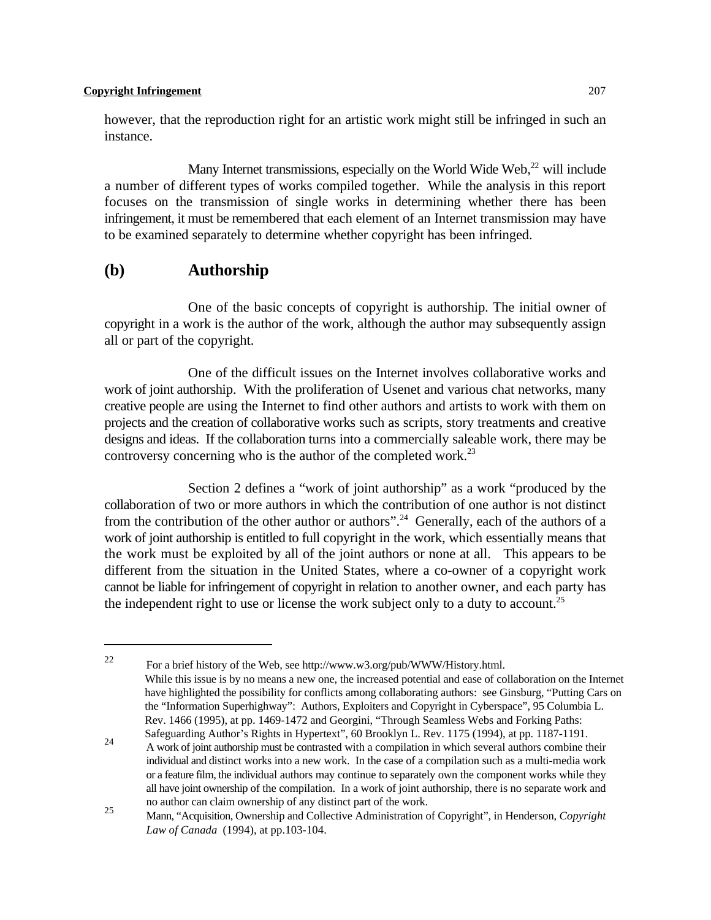however, that the reproduction right for an artistic work might still be infringed in such an instance.

Many Internet transmissions, especially on the World Wide Web, $^{22}$  will include a number of different types of works compiled together. While the analysis in this report focuses on the transmission of single works in determining whether there has been infringement, it must be remembered that each element of an Internet transmission may have to be examined separately to determine whether copyright has been infringed.

## **(b) Authorship**

One of the basic concepts of copyright is authorship. The initial owner of copyright in a work is the author of the work, although the author may subsequently assign all or part of the copyright.

One of the difficult issues on the Internet involves collaborative works and work of joint authorship. With the proliferation of Usenet and various chat networks, many creative people are using the Internet to find other authors and artists to work with them on projects and the creation of collaborative works such as scripts, story treatments and creative designs and ideas. If the collaboration turns into a commercially saleable work, there may be controversy concerning who is the author of the completed work.<sup>23</sup>

Section 2 defines a "work of joint authorship" as a work "produced by the collaboration of two or more authors in which the contribution of one author is not distinct from the contribution of the other author or authors".<sup>24</sup> Generally, each of the authors of a work of joint authorship is entitled to full copyright in the work, which essentially means that the work must be exploited by all of the joint authors or none at all. This appears to be different from the situation in the United States, where a co-owner of a copyright work cannot be liable for infringement of copyright in relation to another owner, and each party has the independent right to use or license the work subject only to a duty to account.<sup>25</sup>

<sup>&</sup>lt;sup>22</sup> For a brief history of the Web, see http://www.w3.org/pub/WWW/History.html. While this issue is by no means a new one, the increased potential and ease of collaboration on the Internet have highlighted the possibility for conflicts among collaborating authors: see Ginsburg, "Putting Cars on the "Information Superhighway": Authors, Exploiters and Copyright in Cyberspace", 95 Columbia L. Rev. 1466 (1995), at pp. 1469-1472 and Georgini, "Through Seamless Webs and Forking Paths: Safeguarding Author's Rights in Hypertext", 60 Brooklyn L. Rev. 1175 (1994), at pp. 1187-1191.

<sup>&</sup>lt;sup>24</sup> A work of joint authorship must be contrasted with a compilation in which several authors combine their individual and distinct works into a new work. In the case of a compilation such as a multi-media work or a feature film, the individual authors may continue to separately own the component works while they all have joint ownership of the compilation. In a work of joint authorship, there is no separate work and no author can claim ownership of any distinct part of the work.

Mann, "Acquisition, Ownership and Collective Administration of Copyright", in Henderson, *Copyright* <sup>25</sup> *Law of Canada* (1994), at pp.103-104.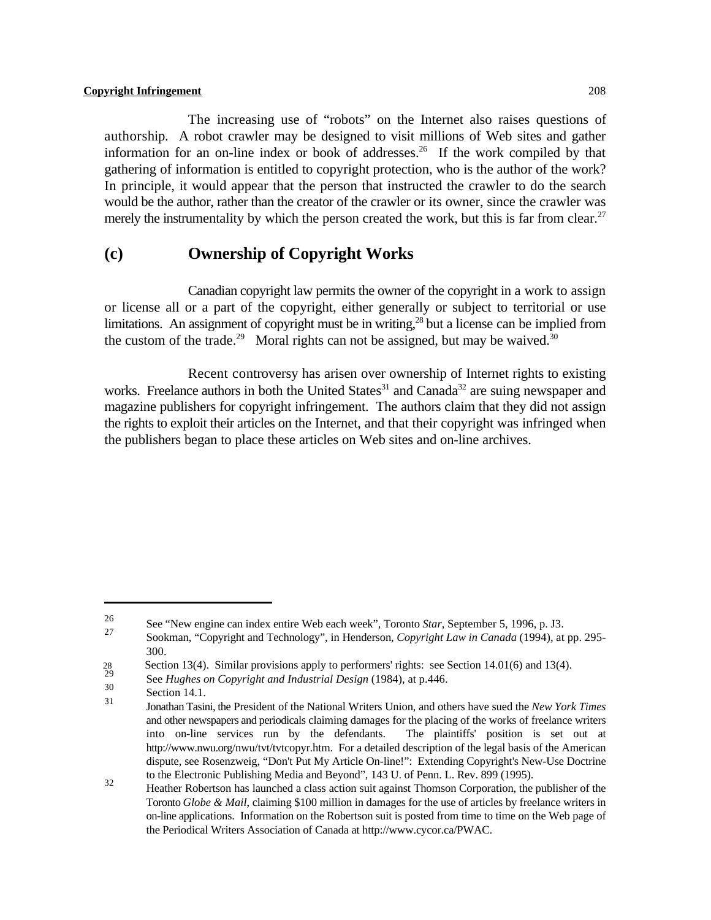The increasing use of "robots" on the Internet also raises questions of authorship. A robot crawler may be designed to visit millions of Web sites and gather information for an on-line index or book of addresses.<sup>26</sup> If the work compiled by that gathering of information is entitled to copyright protection, who is the author of the work? In principle, it would appear that the person that instructed the crawler to do the search would be the author, rather than the creator of the crawler or its owner, since the crawler was merely the instrumentality by which the person created the work, but this is far from clear.<sup>27</sup>

## **(c) Ownership of Copyright Works**

Canadian copyright law permits the owner of the copyright in a work to assign or license all or a part of the copyright, either generally or subject to territorial or use limitations. An assignment of copyright must be in writing,  $^{28}$  but a license can be implied from the custom of the trade.<sup>29</sup> Moral rights can not be assigned, but may be waived.<sup>30</sup>

Recent controversy has arisen over ownership of Internet rights to existing works. Freelance authors in both the United States<sup>31</sup> and Canada<sup>32</sup> are suing newspaper and magazine publishers for copyright infringement. The authors claim that they did not assign the rights to exploit their articles on the Internet, and that their copyright was infringed when the publishers began to place these articles on Web sites and on-line archives.

See "New engine can index entire Web each week", Toronto *Star*, September 5, 1996, p. J3.<br><sup>27</sup>

Sookman, "Copyright and Technology", in Henderson, *Copyright Law in Canada* (1994), at pp. 295-300.

<sup>28</sup> Section 13(4). Similar provisions apply to performers' rights: see Section 14.01(6) and 13(4).

See *Hughes on Copyright and Industrial Design* (1984), at p.446.

 $\frac{30}{31}$  Section 14.1.

Jonathan Tasini, the President of the National Writers Union, and others have sued the *New York Times* <sup>31</sup> and other newspapers and periodicals claiming damages for the placing of the works of freelance writers into on-line services run by the defendants. The plaintiffs' position is set out at http://www.nwu.org/nwu/tvt/tvtcopyr.htm. For a detailed description of the legal basis of the American dispute, see Rosenzweig, "Don't Put My Article On-line!": Extending Copyright's New-Use Doctrine to the Electronic Publishing Media and Beyond", 143 U. of Penn. L. Rev. 899 (1995).

<sup>&</sup>lt;sup>32</sup><br>Heather Robertson has launched a class action suit against Thomson Corporation, the publisher of the Toronto *Globe & Mail*, claiming \$100 million in damages for the use of articles by freelance writers in on-line applications. Information on the Robertson suit is posted from time to time on the Web page of the Periodical Writers Association of Canada at http://www.cycor.ca/PWAC.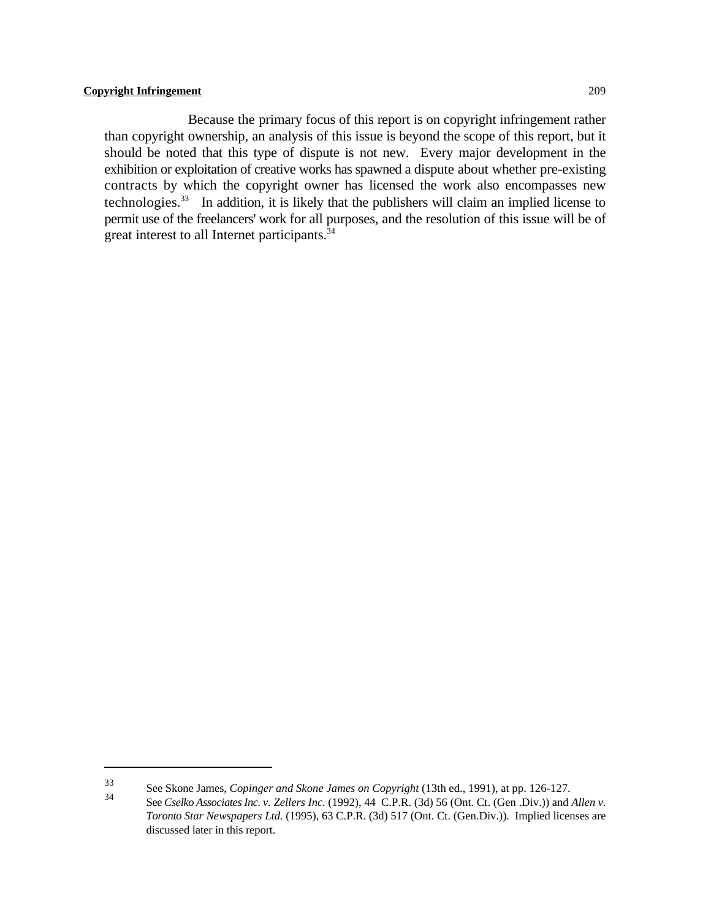Because the primary focus of this report is on copyright infringement rather than copyright ownership, an analysis of this issue is beyond the scope of this report, but it should be noted that this type of dispute is not new. Every major development in the exhibition or exploitation of creative works has spawned a dispute about whether pre-existing contracts by which the copyright owner has licensed the work also encompasses new technologies.<sup>33</sup> In addition, it is likely that the publishers will claim an implied license to permit use of the freelancers' work for all purposes, and the resolution of this issue will be of great interest to all Internet participants.<sup>34</sup>

See Skone James, *Copinger and Skone James on Copyright* (13th ed., 1991), at pp. 126-127.

See *Cselko Associates Inc. v. Zellers Inc.* (1992), 44 C.P.R. (3d) 56 (Ont. Ct. (Gen .Div.)) and *Allen v. Toronto Star Newspapers Ltd.* (1995), 63 C.P.R. (3d) 517 (Ont. Ct. (Gen.Div.)). Implied licenses are discussed later in this report.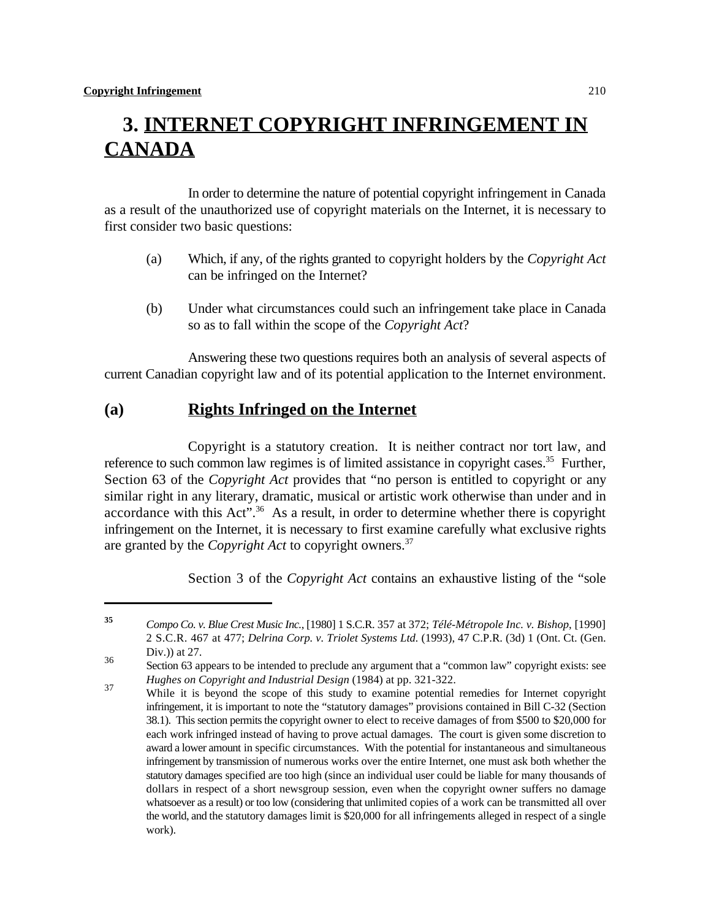# **3. INTERNET COPYRIGHT INFRINGEMENT IN CANADA**

In order to determine the nature of potential copyright infringement in Canada as a result of the unauthorized use of copyright materials on the Internet, it is necessary to first consider two basic questions:

- (a) Which, if any, of the rights granted to copyright holders by the *Copyright Act* can be infringed on the Internet?
- (b) Under what circumstances could such an infringement take place in Canada so as to fall within the scope of the *Copyright Act*?

Answering these two questions requires both an analysis of several aspects of current Canadian copyright law and of its potential application to the Internet environment.

## **(a) Rights Infringed on the Internet**

Copyright is a statutory creation. It is neither contract nor tort law, and reference to such common law regimes is of limited assistance in copyright cases.<sup>35</sup> Further, Section 63 of the *Copyright Act* provides that "no person is entitled to copyright or any similar right in any literary, dramatic, musical or artistic work otherwise than under and in accordance with this Act". $36$  As a result, in order to determine whether there is copyright infringement on the Internet, it is necessary to first examine carefully what exclusive rights are granted by the *Copyright Act* to copyright owners.<sup>37</sup>

Section 3 of the *Copyright Act* contains an exhaustive listing of the "sole

*Compo Co. v. Blue Crest Music Inc.*, [1980] 1 S.C.R. 357 at 372; *Télé-Métropole Inc. v. Bishop*, [1990] **<sup>35</sup>** 2 S.C.R. 467 at 477; *Delrina Corp. v. Triolet Systems Ltd.* (1993), 47 C.P.R. (3d) 1 (Ont. Ct. (Gen. Div.)) at 27.

Section 63 appears to be intended to preclude any argument that a "common law" copyright exists: see *Hughes on Copyright and Industrial Design* (1984) at pp. 321-322.

While it is beyond the scope of this study to examine potential remedies for Internet copyright 37 infringement, it is important to note the "statutory damages" provisions contained in Bill C-32 (Section 38.1). This section permits the copyright owner to elect to receive damages of from \$500 to \$20,000 for each work infringed instead of having to prove actual damages. The court is given some discretion to award a lower amount in specific circumstances. With the potential for instantaneous and simultaneous infringement by transmission of numerous works over the entire Internet, one must ask both whether the statutory damages specified are too high (since an individual user could be liable for many thousands of dollars in respect of a short newsgroup session, even when the copyright owner suffers no damage whatsoever as a result) or too low (considering that unlimited copies of a work can be transmitted all over the world, and the statutory damages limit is \$20,000 for all infringements alleged in respect of a single work).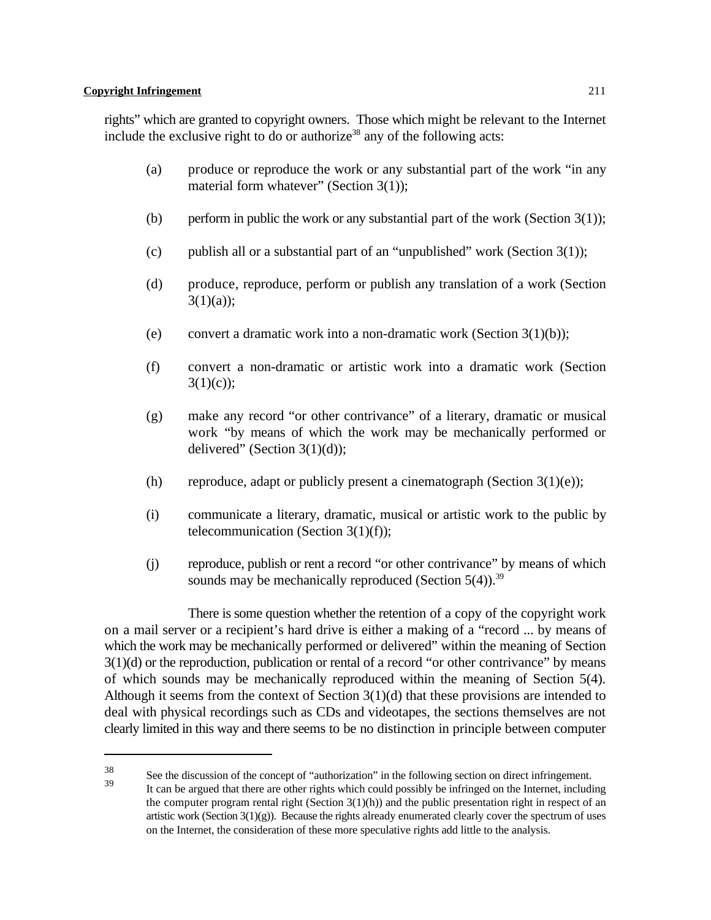rights" which are granted to copyright owners. Those which might be relevant to the Internet include the exclusive right to do or authorize<sup>38</sup> any of the following acts:

- (a) produce or reproduce the work or any substantial part of the work "in any material form whatever" (Section 3(1));
- (b) perform in public the work or any substantial part of the work (Section  $3(1)$ );
- (c) publish all or a substantial part of an "unpublished" work (Section  $3(1)$ );
- (d) produce, reproduce, perform or publish any translation of a work (Section  $3(1)(a)$ ;
- (e) convert a dramatic work into a non-dramatic work (Section  $3(1)(b)$ );
- (f) convert a non-dramatic or artistic work into a dramatic work (Section  $3(1)(c)$ ;
- (g) make any record "or other contrivance" of a literary, dramatic or musical work "by means of which the work may be mechanically performed or delivered" (Section 3(1)(d));
- (h) reproduce, adapt or publicly present a cinematograph (Section  $3(1)(e)$ );
- (i) communicate a literary, dramatic, musical or artistic work to the public by telecommunication (Section  $3(1)(f)$ );
- (j) reproduce, publish or rent a record "or other contrivance" by means of which sounds may be mechanically reproduced (Section  $5(4)$ ).<sup>39</sup>

There is some question whether the retention of a copy of the copyright work on a mail server or a recipient's hard drive is either a making of a "record ... by means of which the work may be mechanically performed or delivered" within the meaning of Section  $3(1)(d)$  or the reproduction, publication or rental of a record "or other contrivance" by means of which sounds may be mechanically reproduced within the meaning of Section 5(4). Although it seems from the context of Section  $3(1)(d)$  that these provisions are intended to deal with physical recordings such as CDs and videotapes, the sections themselves are not clearly limited in this way and there seems to be no distinction in principle between computer

 $S<sup>38</sup>$  See the discussion of the concept of "authorization" in the following section on direct infringement.

It can be argued that there are other rights which could possibly be infringed on the Internet, including the computer program rental right (Section  $3(1)(h)$ ) and the public presentation right in respect of an artistic work (Section  $3(1)(g)$ ). Because the rights already enumerated clearly cover the spectrum of uses on the Internet, the consideration of these more speculative rights add little to the analysis.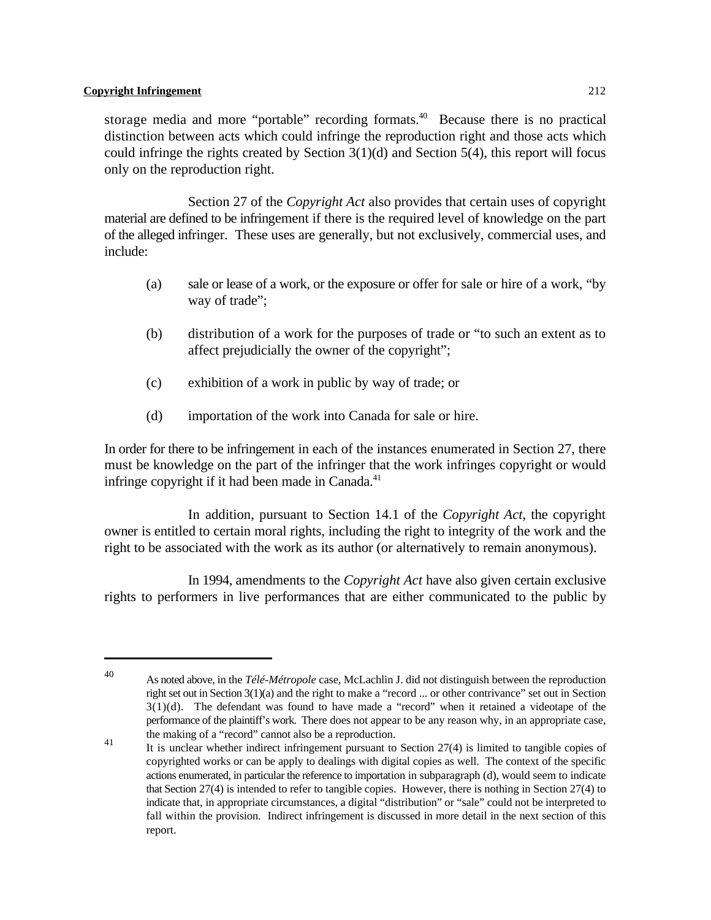storage media and more "portable" recording formats.<sup>40</sup> Because there is no practical distinction between acts which could infringe the reproduction right and those acts which could infringe the rights created by Section  $3(1)(d)$  and Section  $5(4)$ , this report will focus only on the reproduction right.

Section 27 of the *Copyright Act* also provides that certain uses of copyright material are defined to be infringement if there is the required level of knowledge on the part of the alleged infringer. These uses are generally, but not exclusively, commercial uses, and include:

- (a) sale or lease of a work, or the exposure or offer for sale or hire of a work, "by way of trade":
- (b) distribution of a work for the purposes of trade or "to such an extent as to affect prejudicially the owner of the copyright";
- (c) exhibition of a work in public by way of trade; or
- (d) importation of the work into Canada for sale or hire.

In order for there to be infringement in each of the instances enumerated in Section 27, there must be knowledge on the part of the infringer that the work infringes copyright or would infringe copyright if it had been made in Canada. $41$ 

In addition, pursuant to Section 14.1 of the *Copyright Act*, the copyright owner is entitled to certain moral rights, including the right to integrity of the work and the right to be associated with the work as its author (or alternatively to remain anonymous).

In 1994, amendments to the *Copyright Act* have also given certain exclusive rights to performers in live performances that are either communicated to the public by

As noted above, in the *Télé-Métropole* case, McLachlin J. did not distinguish between the reproduction <sup>40</sup> right set out in Section 3(1)(a) and the right to make a "record ... or other contrivance" set out in Section 3(1)(d). The defendant was found to have made a "record" when it retained a videotape of the performance of the plaintiff's work. There does not appear to be any reason why, in an appropriate case, the making of a "record" cannot also be a reproduction.

It is unclear whether indirect infringement pursuant to Section 27(4) is limited to tangible copies of 41 copyrighted works or can be apply to dealings with digital copies as well. The context of the specific actions enumerated, in particular the reference to importation in subparagraph (d), would seem to indicate that Section 27(4) is intended to refer to tangible copies. However, there is nothing in Section 27(4) to indicate that, in appropriate circumstances, a digital "distribution" or "sale" could not be interpreted to fall within the provision. Indirect infringement is discussed in more detail in the next section of this report.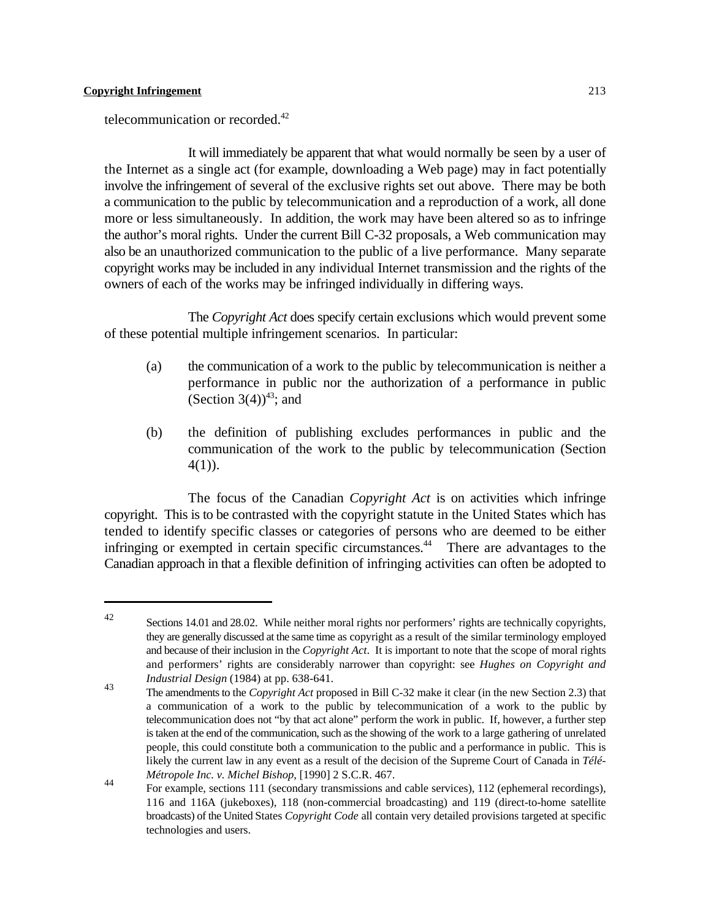telecommunication or recorded.<sup>42</sup>

It will immediately be apparent that what would normally be seen by a user of the Internet as a single act (for example, downloading a Web page) may in fact potentially involve the infringement of several of the exclusive rights set out above. There may be both a communication to the public by telecommunication and a reproduction of a work, all done more or less simultaneously. In addition, the work may have been altered so as to infringe the author's moral rights. Under the current Bill C-32 proposals, a Web communication may also be an unauthorized communication to the public of a live performance. Many separate copyright works may be included in any individual Internet transmission and the rights of the owners of each of the works may be infringed individually in differing ways.

The *Copyright Act* does specify certain exclusions which would prevent some of these potential multiple infringement scenarios. In particular:

- (a) the communication of a work to the public by telecommunication is neither a performance in public nor the authorization of a performance in public (Section 3(4))<sup>43</sup>; and
- (b) the definition of publishing excludes performances in public and the communication of the work to the public by telecommunication (Section  $4(1)$ ).

The focus of the Canadian *Copyright Act* is on activities which infringe copyright. This is to be contrasted with the copyright statute in the United States which has tended to identify specific classes or categories of persons who are deemed to be either infringing or exempted in certain specific circumstances. $44$  There are advantages to the Canadian approach in that a flexible definition of infringing activities can often be adopted to

 $\frac{42}{4}$  Sections 14.01 and 28.02. While neither moral rights nor performers' rights are technically copyrights, they are generally discussed at the same time as copyright as a result of the similar terminology employed and because of their inclusion in the *Copyright Act*. It is important to note that the scope of moral rights and performers' rights are considerably narrower than copyright: see *Hughes on Copyright and Industrial Design* (1984) at pp. 638-641.

The amendments to the *Copyright Act* proposed in Bill C-32 make it clear (in the new Section 2.3) that a communication of a work to the public by telecommunication of a work to the public by telecommunication does not "by that act alone" perform the work in public. If, however, a further step is taken at the end of the communication, such as the showing of the work to a large gathering of unrelated people, this could constitute both a communication to the public and a performance in public. This is likely the current law in any event as a result of the decision of the Supreme Court of Canada in *Télé-Métropole Inc. v. Michel Bishop,* [1990] 2 S.C.R. 467.

For example, sections 111 (secondary transmissions and cable services), 112 (ephemeral recordings),  $\frac{44}{\pi}$ 116 and 116A (jukeboxes), 118 (non-commercial broadcasting) and 119 (direct-to-home satellite broadcasts) of the United States *Copyright Code* all contain very detailed provisions targeted at specific technologies and users.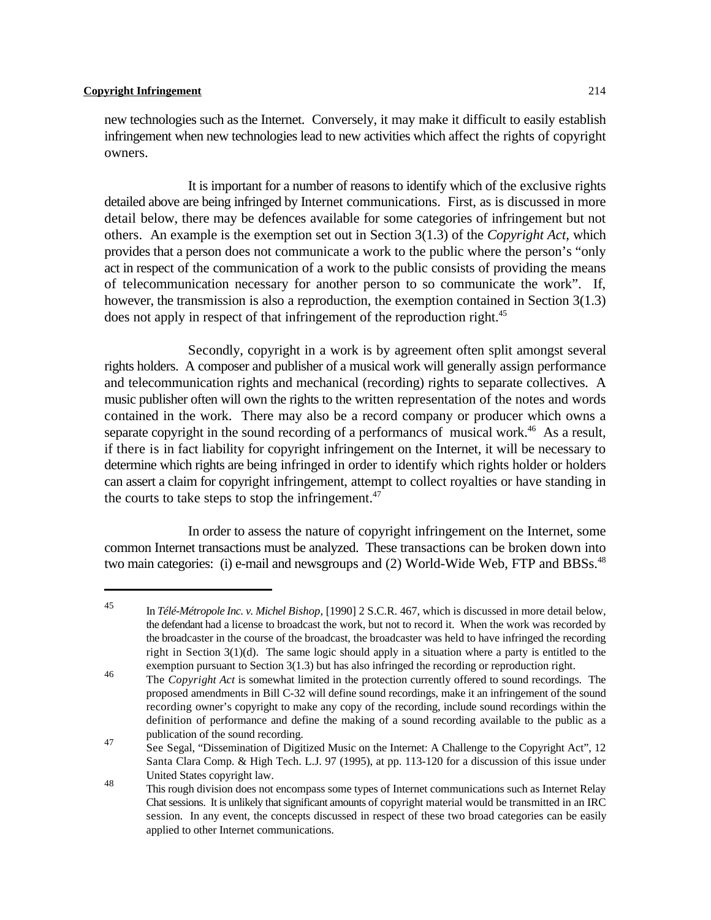new technologies such as the Internet. Conversely, it may make it difficult to easily establish infringement when new technologies lead to new activities which affect the rights of copyright owners.

It is important for a number of reasons to identify which of the exclusive rights detailed above are being infringed by Internet communications. First, as is discussed in more detail below, there may be defences available for some categories of infringement but not others. An example is the exemption set out in Section 3(1.3) of the *Copyright Act,* which provides that a person does not communicate a work to the public where the person's "only act in respect of the communication of a work to the public consists of providing the means of telecommunication necessary for another person to so communicate the work". If, however, the transmission is also a reproduction, the exemption contained in Section 3(1.3) does not apply in respect of that infringement of the reproduction right.<sup>45</sup>

Secondly, copyright in a work is by agreement often split amongst several rights holders. A composer and publisher of a musical work will generally assign performance and telecommunication rights and mechanical (recording) rights to separate collectives. A music publisher often will own the rights to the written representation of the notes and words contained in the work. There may also be a record company or producer which owns a separate copyright in the sound recording of a performancs of musical work.<sup>46</sup> As a result, if there is in fact liability for copyright infringement on the Internet, it will be necessary to determine which rights are being infringed in order to identify which rights holder or holders can assert a claim for copyright infringement, attempt to collect royalties or have standing in the courts to take steps to stop the infringement. $47$ 

In order to assess the nature of copyright infringement on the Internet, some common Internet transactions must be analyzed. These transactions can be broken down into two main categories: (i) e-mail and newsgroups and (2) World-Wide Web, FTP and BBSs.<sup>48</sup>

In *Télé-Métropole Inc. v. Michel Bishop,* [1990] 2 S.C.R. 467, which is discussed in more detail below, <sup>45</sup> the defendant had a license to broadcast the work, but not to record it. When the work was recorded by the broadcaster in the course of the broadcast, the broadcaster was held to have infringed the recording right in Section 3(1)(d). The same logic should apply in a situation where a party is entitled to the exemption pursuant to Section 3(1.3) but has also infringed the recording or reproduction right.

The *Copyright Act* is somewhat limited in the protection currently offered to sound recordings. The 46 proposed amendments in Bill C-32 will define sound recordings, make it an infringement of the sound recording owner's copyright to make any copy of the recording, include sound recordings within the definition of performance and define the making of a sound recording available to the public as a publication of the sound recording.

See Segal, "Dissemination of Digitized Music on the Internet: A Challenge to the Copyright Act", 12 47 Santa Clara Comp. & High Tech. L.J. 97 (1995), at pp. 113-120 for a discussion of this issue under United States copyright law.

This rough division does not encompass some types of Internet communications such as Internet Relay Chat sessions. It is unlikely that significant amounts of copyright material would be transmitted in an IRC session. In any event, the concepts discussed in respect of these two broad categories can be easily applied to other Internet communications.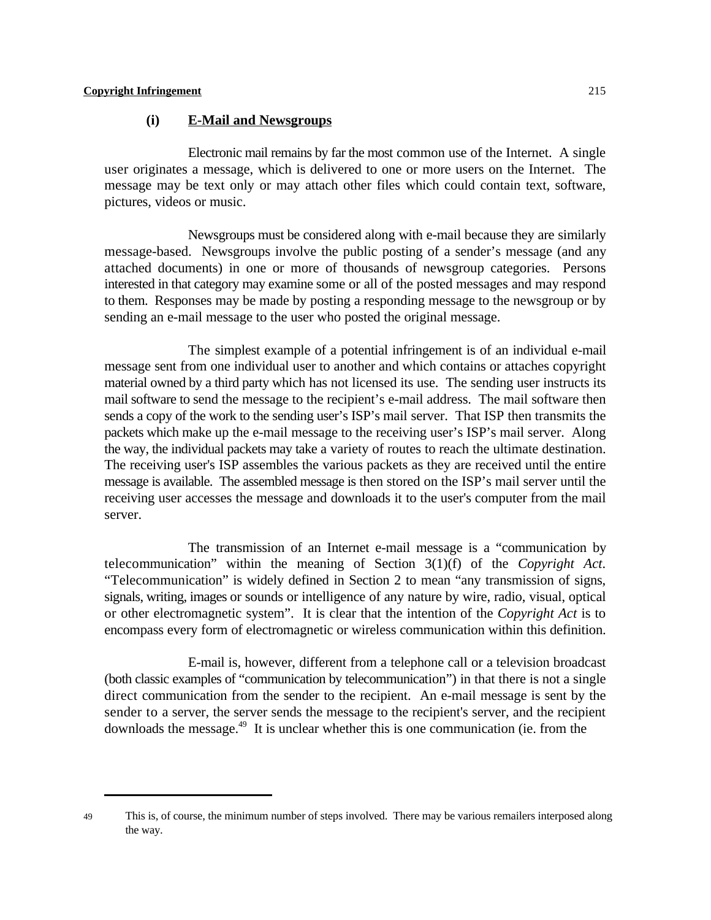### **(i) E-Mail and Newsgroups**

Electronic mail remains by far the most common use of the Internet. A single user originates a message, which is delivered to one or more users on the Internet. The message may be text only or may attach other files which could contain text, software, pictures, videos or music.

Newsgroups must be considered along with e-mail because they are similarly message-based. Newsgroups involve the public posting of a sender's message (and any attached documents) in one or more of thousands of newsgroup categories. Persons interested in that category may examine some or all of the posted messages and may respond to them. Responses may be made by posting a responding message to the newsgroup or by sending an e-mail message to the user who posted the original message.

The simplest example of a potential infringement is of an individual e-mail message sent from one individual user to another and which contains or attaches copyright material owned by a third party which has not licensed its use. The sending user instructs its mail software to send the message to the recipient's e-mail address. The mail software then sends a copy of the work to the sending user's ISP's mail server. That ISP then transmits the packets which make up the e-mail message to the receiving user's ISP's mail server. Along the way, the individual packets may take a variety of routes to reach the ultimate destination. The receiving user's ISP assembles the various packets as they are received until the entire message is available. The assembled message is then stored on the ISP's mail server until the receiving user accesses the message and downloads it to the user's computer from the mail server.

The transmission of an Internet e-mail message is a "communication by telecommunication" within the meaning of Section 3(1)(f) of the *Copyright Act*. "Telecommunication" is widely defined in Section 2 to mean "any transmission of signs, signals, writing, images or sounds or intelligence of any nature by wire, radio, visual, optical or other electromagnetic system". It is clear that the intention of the *Copyright Act* is to encompass every form of electromagnetic or wireless communication within this definition.

E-mail is, however, different from a telephone call or a television broadcast (both classic examples of "communication by telecommunication") in that there is not a single direct communication from the sender to the recipient. An e-mail message is sent by the sender to a server, the server sends the message to the recipient's server, and the recipient downloads the message.<sup> $49$ </sup> It is unclear whether this is one communication (ie. from the

<sup>49</sup> This is, of course, the minimum number of steps involved. There may be various remailers interposed along the way.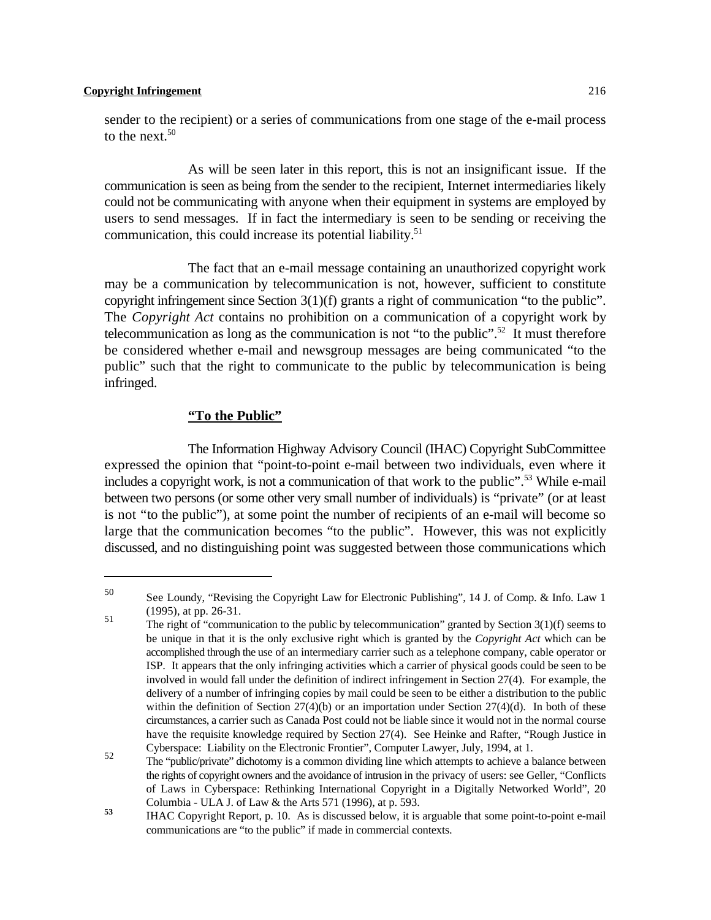sender to the recipient) or a series of communications from one stage of the e-mail process to the next. $50$ 

As will be seen later in this report, this is not an insignificant issue. If the communication is seen as being from the sender to the recipient, Internet intermediaries likely could not be communicating with anyone when their equipment in systems are employed by users to send messages. If in fact the intermediary is seen to be sending or receiving the communication, this could increase its potential liability.<sup>51</sup>

The fact that an e-mail message containing an unauthorized copyright work may be a communication by telecommunication is not, however, sufficient to constitute copyright infringement since Section 3(1)(f) grants a right of communication "to the public". The *Copyright Act* contains no prohibition on a communication of a copyright work by telecommunication as long as the communication is not "to the public".<sup>52</sup> It must therefore be considered whether e-mail and newsgroup messages are being communicated "to the public" such that the right to communicate to the public by telecommunication is being infringed.

#### **"To the Public"**

The Information Highway Advisory Council (IHAC) Copyright SubCommittee expressed the opinion that "point-to-point e-mail between two individuals, even where it includes a copyright work, is not a communication of that work to the public".<sup>53</sup> While e-mail between two persons (or some other very small number of individuals) is "private" (or at least is not "to the public"), at some point the number of recipients of an e-mail will become so large that the communication becomes "to the public". However, this was not explicitly discussed, and no distinguishing point was suggested between those communications which

See Loundy, "Revising the Copyright Law for Electronic Publishing", 14 J. of Comp. & Info. Law 1 50 (1995), at pp. 26-31.

The right of "communication to the public by telecommunication" granted by Section  $3(1)(f)$  seems to be unique in that it is the only exclusive right which is granted by the *Copyright Act* which can be accomplished through the use of an intermediary carrier such as a telephone company, cable operator or ISP. It appears that the only infringing activities which a carrier of physical goods could be seen to be involved in would fall under the definition of indirect infringement in Section 27(4). For example, the delivery of a number of infringing copies by mail could be seen to be either a distribution to the public within the definition of Section  $27(4)(b)$  or an importation under Section  $27(4)(d)$ . In both of these circumstances, a carrier such as Canada Post could not be liable since it would not in the normal course have the requisite knowledge required by Section 27(4). See Heinke and Rafter, "Rough Justice in Cyberspace: Liability on the Electronic Frontier", Computer Lawyer, July, 1994, at 1.

The "public/private" dichotomy is a common dividing line which attempts to achieve a balance between the rights of copyright owners and the avoidance of intrusion in the privacy of users: see Geller, "Conflicts of Laws in Cyberspace: Rethinking International Copyright in a Digitally Networked World", 20 Columbia - ULA J. of Law & the Arts 571 (1996), at p. 593.

IHAC Copyright Report, p. 10. As is discussed below, it is arguable that some point-to-point e-mail **53** communications are "to the public" if made in commercial contexts.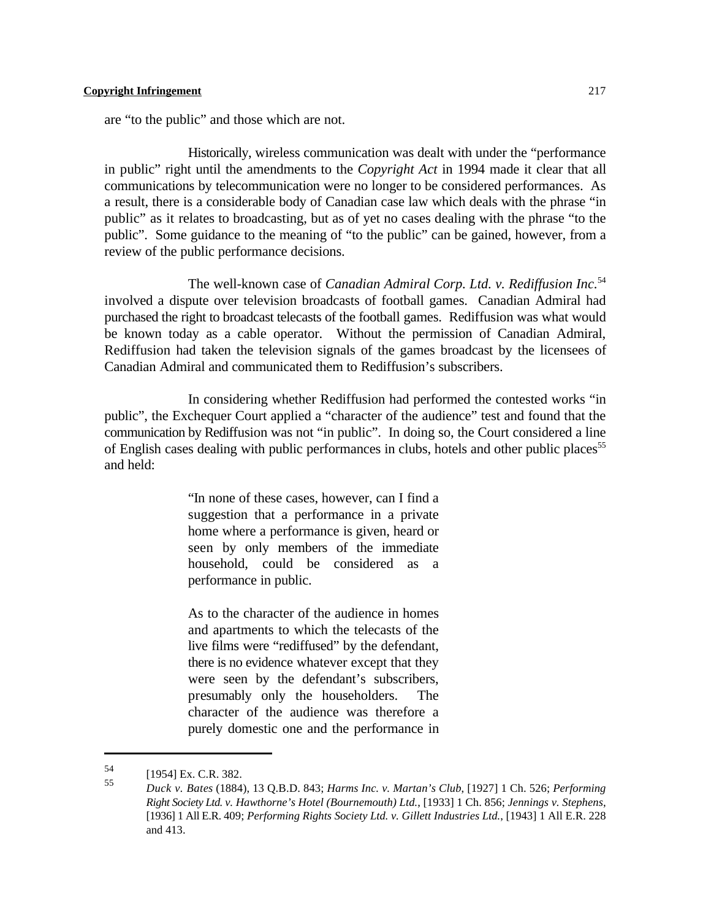are "to the public" and those which are not.

Historically, wireless communication was dealt with under the "performance in public" right until the amendments to the *Copyright Act* in 1994 made it clear that all communications by telecommunication were no longer to be considered performances. As a result, there is a considerable body of Canadian case law which deals with the phrase "in public" as it relates to broadcasting, but as of yet no cases dealing with the phrase "to the public". Some guidance to the meaning of "to the public" can be gained, however, from a review of the public performance decisions.

The well-known case of *Canadian Admiral Corp. Ltd. v. Rediffusion Inc.*<sup>54</sup> involved a dispute over television broadcasts of football games. Canadian Admiral had purchased the right to broadcast telecasts of the football games. Rediffusion was what would be known today as a cable operator. Without the permission of Canadian Admiral, Rediffusion had taken the television signals of the games broadcast by the licensees of Canadian Admiral and communicated them to Rediffusion's subscribers.

In considering whether Rediffusion had performed the contested works "in public", the Exchequer Court applied a "character of the audience" test and found that the communication by Rediffusion was not "in public". In doing so, the Court considered a line of English cases dealing with public performances in clubs, hotels and other public places<sup>55</sup> and held:

> "In none of these cases, however, can I find a suggestion that a performance in a private home where a performance is given, heard or seen by only members of the immediate household, could be considered as a performance in public.

> As to the character of the audience in homes and apartments to which the telecasts of the live films were "rediffused" by the defendant, there is no evidence whatever except that they were seen by the defendant's subscribers, presumably only the householders. The character of the audience was therefore a purely domestic one and the performance in

<sup>54 [1954]</sup> Ex. C.R. 382.

*Duck v. Bates* (1884), 13 Q.B.D. 843; *Harms Inc. v. Martan's Club*, [1927] 1 Ch. 526; *Performing* 55 *Right Society Ltd. v. Hawthorne's Hotel (Bournemouth) Ltd.*, [1933] 1 Ch. 856; *Jennings v. Stephens*, [1936] 1 All E.R. 409; *Performing Rights Society Ltd. v. Gillett Industries Ltd.*, [1943] 1 All E.R. 228 and 413.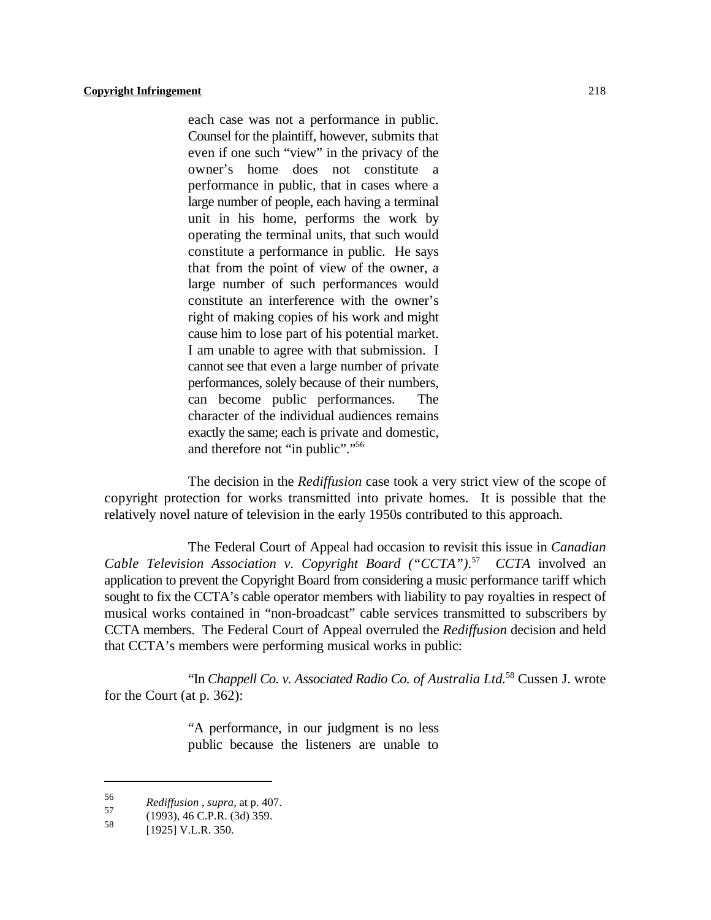each case was not a performance in public. Counsel for the plaintiff, however, submits that even if one such "view" in the privacy of the owner's home does not constitute a performance in public, that in cases where a large number of people, each having a terminal unit in his home, performs the work by operating the terminal units, that such would constitute a performance in public. He says that from the point of view of the owner, a large number of such performances would constitute an interference with the owner's right of making copies of his work and might cause him to lose part of his potential market. I am unable to agree with that submission. I cannot see that even a large number of private performances, solely because of their numbers, can become public performances. The character of the individual audiences remains exactly the same; each is private and domestic, and therefore not "in public"."<sup>56</sup>

The decision in the *Rediffusion* case took a very strict view of the scope of copyright protection for works transmitted into private homes. It is possible that the relatively novel nature of television in the early 1950s contributed to this approach.

The Federal Court of Appeal had occasion to revisit this issue in *Canadian* Cable Television Association v. Copyright Board ("CCTA").<sup>57</sup> CCTA involved an application to prevent the Copyright Board from considering a music performance tariff which sought to fix the CCTA's cable operator members with liability to pay royalties in respect of musical works contained in "non-broadcast" cable services transmitted to subscribers by CCTA members. The Federal Court of Appeal overruled the *Rediffusion* decision and held that CCTA's members were performing musical works in public:

"In *Chappell Co. v. Associated Radio Co. of Australia Ltd.*<sup>58</sup> Cussen J. wrote for the Court (at p. 362):

> "A performance, in our judgment is no less public because the listeners are unable to

*z*<sup>56</sup> *Rediffusion*, *supra*, at p. 407.

 $^{37}$  (1993), 46 C.P.R. (3d) 359.<br>58  $^{110251 \text{ M L}}$  P. 350

 $[1925]$  V.L.R. 350.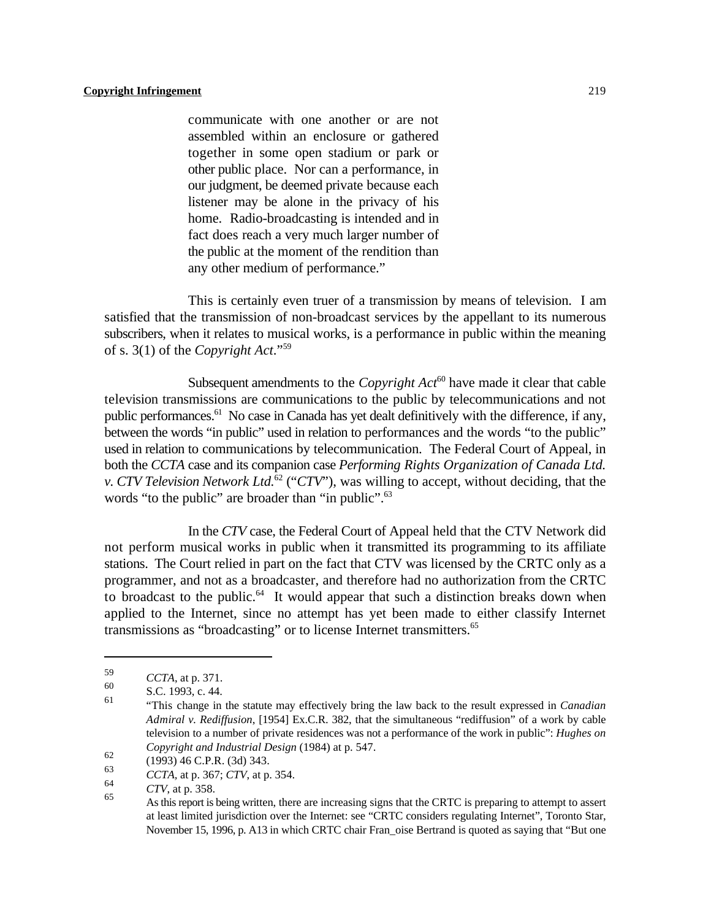communicate with one another or are not assembled within an enclosure or gathered together in some open stadium or park or other public place. Nor can a performance, in our judgment, be deemed private because each listener may be alone in the privacy of his home. Radio-broadcasting is intended and in fact does reach a very much larger number of the public at the moment of the rendition than any other medium of performance."

This is certainly even truer of a transmission by means of television. I am satisfied that the transmission of non-broadcast services by the appellant to its numerous subscribers, when it relates to musical works, is a performance in public within the meaning of s. 3(1) of the *Copyright Act*."<sup>59</sup>

Subsequent amendments to the *Copyright Act*<sup>60</sup> have made it clear that cable television transmissions are communications to the public by telecommunications and not public performances.<sup>61</sup> No case in Canada has yet dealt definitively with the difference, if any, between the words "in public" used in relation to performances and the words "to the public" used in relation to communications by telecommunication. The Federal Court of Appeal, in both the *CCTA* case and its companion case *Performing Rights Organization of Canada Ltd. v. CTV Television Network Ltd.*  $^{62}$  ("*CTV*"), was willing to accept, without deciding, that the words "to the public" are broader than "in public".<sup>63</sup>

In the *CTV* case, the Federal Court of Appeal held that the CTV Network did not perform musical works in public when it transmitted its programming to its affiliate stations. The Court relied in part on the fact that CTV was licensed by the CRTC only as a programmer, and not as a broadcaster, and therefore had no authorization from the CRTC to broadcast to the public. $64$  It would appear that such a distinction breaks down when applied to the Internet, since no attempt has yet been made to either classify Internet transmissions as "broadcasting" or to license Internet transmitters.<sup>65</sup>

<sup>&</sup>lt;sup>59</sup> *CCTA*, at p. 371.

S.C. 1993, c. 44. 61

<sup>&</sup>quot;This change in the statute may effectively bring the law back to the result expressed in *Canadian Admiral v. Rediffusion*, [1954] Ex.C.R. 382, that the simultaneous "rediffusion" of a work by cable television to a number of private residences was not a performance of the work in public": *Hughes on Copyright and Industrial Design* (1984) at p. 547.

 $^{62}$  (1993) 46 C.P.R. (3d) 343.

<sup>&</sup>lt;sup>03</sup> *CCTA*, at p. 367; *CTV*, at p. 354.

 $\frac{64}{65}$  *CTV*, at p. 358.

As this report is being written, there are increasing signs that the CRTC is preparing to attempt to assert at least limited jurisdiction over the Internet: see "CRTC considers regulating Internet", Toronto Star, November 15, 1996, p. A13 in which CRTC chair Fran\_oise Bertrand is quoted as saying that "But one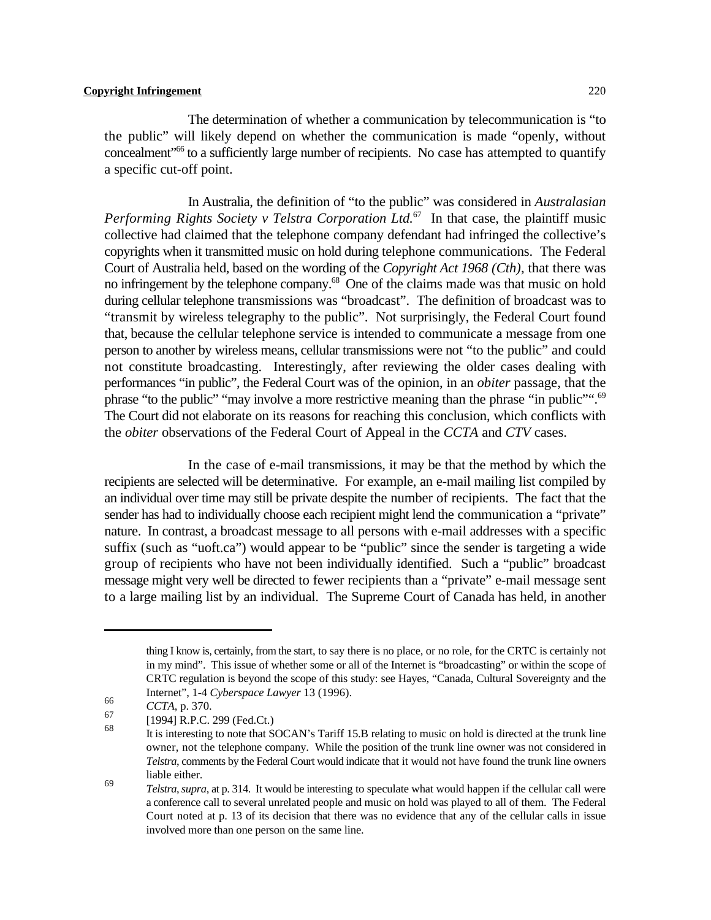The determination of whether a communication by telecommunication is "to the public" will likely depend on whether the communication is made "openly, without concealment" to a sufficiently large number of recipients. No case has attempted to quantify a specific cut-off point.

In Australia, the definition of "to the public" was considered in *Australasian* Performing Rights Society v Telstra Corporation Ltd.<sup>67</sup> In that case, the plaintiff music collective had claimed that the telephone company defendant had infringed the collective's copyrights when it transmitted music on hold during telephone communications. The Federal Court of Australia held, based on the wording of the *Copyright Act 1968 (Cth)*, that there was no infringement by the telephone company. $^{68}$  One of the claims made was that music on hold during cellular telephone transmissions was "broadcast". The definition of broadcast was to "transmit by wireless telegraphy to the public". Not surprisingly, the Federal Court found that, because the cellular telephone service is intended to communicate a message from one person to another by wireless means, cellular transmissions were not "to the public" and could not constitute broadcasting. Interestingly, after reviewing the older cases dealing with performances "in public", the Federal Court was of the opinion, in an *obiter* passage, that the phrase "to the public" "may involve a more restrictive meaning than the phrase "in public".<sup>69</sup> The Court did not elaborate on its reasons for reaching this conclusion, which conflicts with the *obiter* observations of the Federal Court of Appeal in the *CCTA* and *CTV* cases.

In the case of e-mail transmissions, it may be that the method by which the recipients are selected will be determinative. For example, an e-mail mailing list compiled by an individual over time may still be private despite the number of recipients. The fact that the sender has had to individually choose each recipient might lend the communication a "private" nature. In contrast, a broadcast message to all persons with e-mail addresses with a specific suffix (such as "uoft.ca") would appear to be "public" since the sender is targeting a wide group of recipients who have not been individually identified. Such a "public" broadcast message might very well be directed to fewer recipients than a "private" e-mail message sent to a large mailing list by an individual. The Supreme Court of Canada has held, in another

thing I know is, certainly, from the start, to say there is no place, or no role, for the CRTC is certainly not in my mind". This issue of whether some or all of the Internet is "broadcasting" or within the scope of CRTC regulation is beyond the scope of this study: see Hayes, "Canada, Cultural Sovereignty and the Internet", 1-4 *Cyberspace Lawyer* 13 (1996).

<sup>66</sup> *CCTA*, p. 370.

 $^{07}$  [1994] R.P.C. 299 (Fed.Ct.)

It is interesting to note that SOCAN's Tariff 15.B relating to music on hold is directed at the trunk line owner, not the telephone company. While the position of the trunk line owner was not considered in *Telstra*, comments by the Federal Court would indicate that it would not have found the trunk line owners liable either.

*Telstra, supra, at p.* 314. It would be interesting to speculate what would happen if the cellular call were a conference call to several unrelated people and music on hold was played to all of them. The Federal Court noted at p. 13 of its decision that there was no evidence that any of the cellular calls in issue involved more than one person on the same line.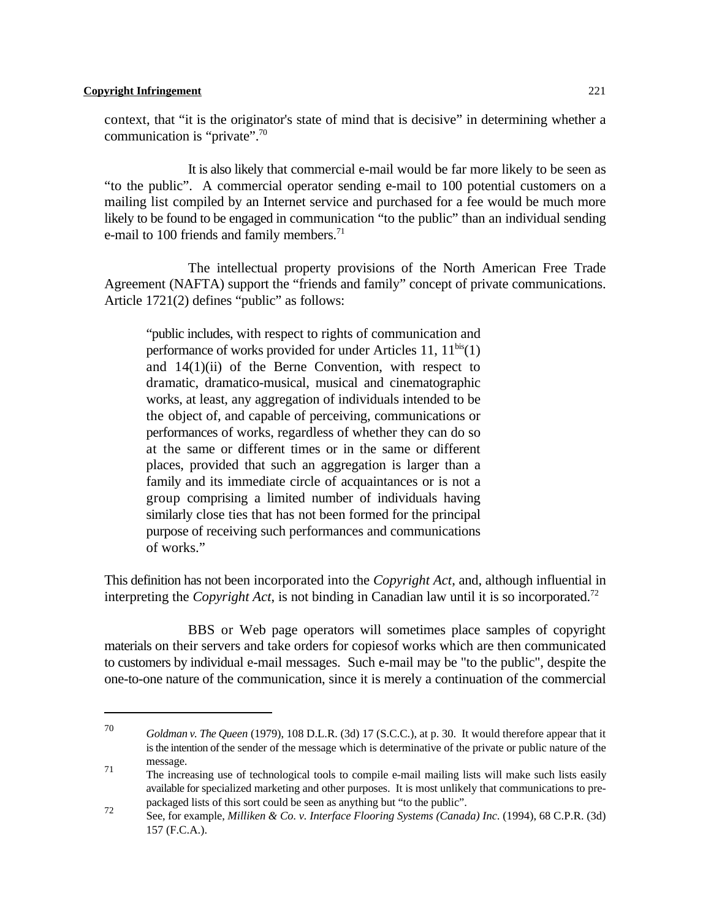context, that "it is the originator's state of mind that is decisive" in determining whether a communication is "private".<sup>70</sup>

It is also likely that commercial e-mail would be far more likely to be seen as "to the public". A commercial operator sending e-mail to 100 potential customers on a mailing list compiled by an Internet service and purchased for a fee would be much more likely to be found to be engaged in communication "to the public" than an individual sending e-mail to 100 friends and family members.<sup>71</sup>

The intellectual property provisions of the North American Free Trade Agreement (NAFTA) support the "friends and family" concept of private communications. Article 1721(2) defines "public" as follows:

"public includes, with respect to rights of communication and performance of works provided for under Articles 11,  $11^{bis}(1)$ and 14(1)(ii) of the Berne Convention, with respect to dramatic, dramatico-musical, musical and cinematographic works, at least, any aggregation of individuals intended to be the object of, and capable of perceiving, communications or performances of works, regardless of whether they can do so at the same or different times or in the same or different places, provided that such an aggregation is larger than a family and its immediate circle of acquaintances or is not a group comprising a limited number of individuals having similarly close ties that has not been formed for the principal purpose of receiving such performances and communications of works."

This definition has not been incorporated into the *Copyright Act*, and, although influential in interpreting the *Copyright Act*, is not binding in Canadian law until it is so incorporated. 72

BBS or Web page operators will sometimes place samples of copyright materials on their servers and take orders for copiesof works which are then communicated to customers by individual e-mail messages. Such e-mail may be "to the public", despite the one-to-one nature of the communication, since it is merely a continuation of the commercial

<sup>&</sup>lt;sup>70</sup> Goldman *v. The Queen* (1979), 108 D.L.R. (3d) 17 (S.C.C.), at p. 30. It would therefore appear that it is the intention of the sender of the message which is determinative of the private or public nature of the message. 71

The increasing use of technological tools to compile e-mail mailing lists will make such lists easily available for specialized marketing and other purposes. It is most unlikely that communications to prepackaged lists of this sort could be seen as anything but "to the public".

See, for example, *Milliken & Co. v. Interface Flooring Systems (Canada) Inc.* (1994), 68 C.P.R. (3d) 157 (F.C.A.).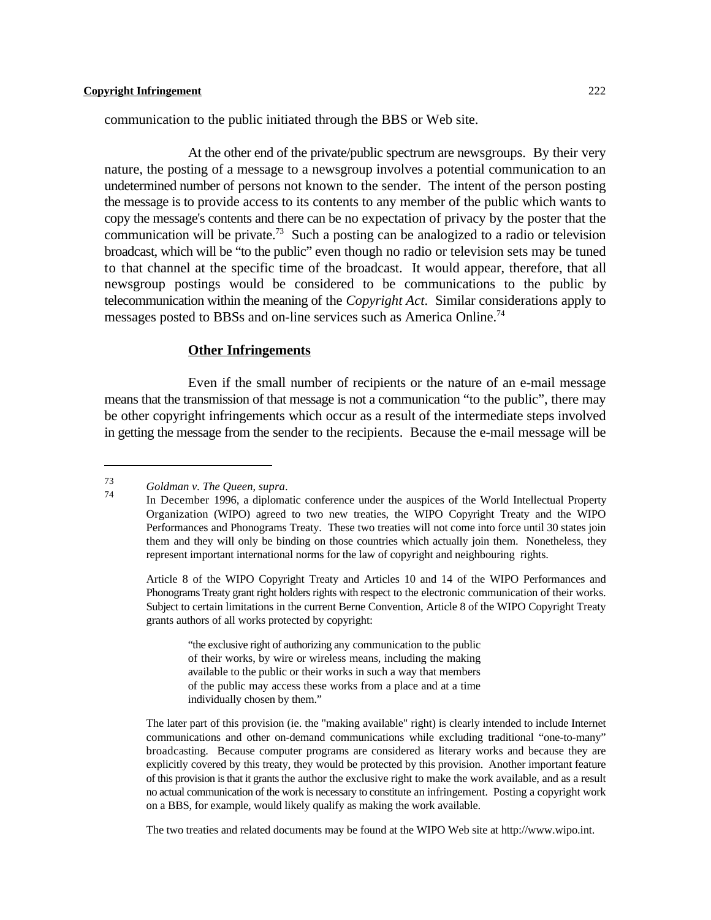communication to the public initiated through the BBS or Web site.

At the other end of the private/public spectrum are newsgroups. By their very nature, the posting of a message to a newsgroup involves a potential communication to an undetermined number of persons not known to the sender. The intent of the person posting the message is to provide access to its contents to any member of the public which wants to copy the message's contents and there can be no expectation of privacy by the poster that the communication will be private.<sup>73</sup> Such a posting can be analogized to a radio or television broadcast, which will be "to the public" even though no radio or television sets may be tuned to that channel at the specific time of the broadcast. It would appear, therefore, that all newsgroup postings would be considered to be communications to the public by telecommunication within the meaning of the *Copyright Act*. Similar considerations apply to messages posted to BBSs and on-line services such as America Online.<sup>74</sup>

#### **Other Infringements**

Even if the small number of recipients or the nature of an e-mail message means that the transmission of that message is not a communication "to the public", there may be other copyright infringements which occur as a result of the intermediate steps involved in getting the message from the sender to the recipients. Because the e-mail message will be

Article 8 of the WIPO Copyright Treaty and Articles 10 and 14 of the WIPO Performances and Phonograms Treaty grant right holders rights with respect to the electronic communication of their works. Subject to certain limitations in the current Berne Convention, Article 8 of the WIPO Copyright Treaty grants authors of all works protected by copyright:

"the exclusive right of authorizing any communication to the public of their works, by wire or wireless means, including the making available to the public or their works in such a way that members of the public may access these works from a place and at a time individually chosen by them."

The later part of this provision (ie. the "making available" right) is clearly intended to include Internet communications and other on-demand communications while excluding traditional "one-to-many" broadcasting. Because computer programs are considered as literary works and because they are explicitly covered by this treaty, they would be protected by this provision. Another important feature of this provision is that it grants the author the exclusive right to make the work available, and as a result no actual communication of the work is necessary to constitute an infringement. Posting a copyright work on a BBS, for example, would likely qualify as making the work available.

The two treaties and related documents may be found at the WIPO Web site at http://www.wipo.int.

*Goldman v. The Queen*, *supra*. 73 74

In December 1996, a diplomatic conference under the auspices of the World Intellectual Property Organization (WIPO) agreed to two new treaties, the WIPO Copyright Treaty and the WIPO Performances and Phonograms Treaty. These two treaties will not come into force until 30 states join them and they will only be binding on those countries which actually join them. Nonetheless, they represent important international norms for the law of copyright and neighbouring rights.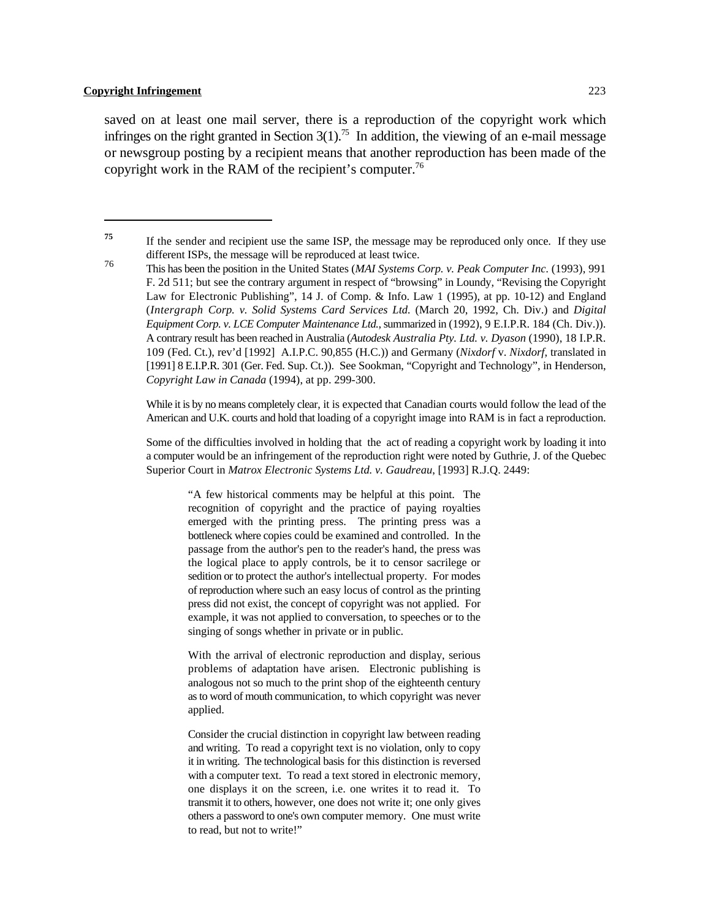saved on at least one mail server, there is a reproduction of the copyright work which infringes on the right granted in Section  $3(1)$ .<sup>75</sup> In addition, the viewing of an e-mail message or newsgroup posting by a recipient means that another reproduction has been made of the copyright work in the RAM of the recipient's computer.<sup>76</sup>

While it is by no means completely clear, it is expected that Canadian courts would follow the lead of the American and U.K. courts and hold that loading of a copyright image into RAM is in fact a reproduction.

Some of the difficulties involved in holding that the act of reading a copyright work by loading it into a computer would be an infringement of the reproduction right were noted by Guthrie, J. of the Quebec Superior Court in *Matrox Electronic Systems Ltd. v. Gaudreau*, [1993] R.J.Q. 2449:

"A few historical comments may be helpful at this point. The recognition of copyright and the practice of paying royalties emerged with the printing press. The printing press was a bottleneck where copies could be examined and controlled. In the passage from the author's pen to the reader's hand, the press was the logical place to apply controls, be it to censor sacrilege or sedition or to protect the author's intellectual property. For modes of reproduction where such an easy locus of control as the printing press did not exist, the concept of copyright was not applied. For example, it was not applied to conversation, to speeches or to the singing of songs whether in private or in public.

With the arrival of electronic reproduction and display, serious problems of adaptation have arisen. Electronic publishing is analogous not so much to the print shop of the eighteenth century as to word of mouth communication, to which copyright was never applied.

Consider the crucial distinction in copyright law between reading and writing. To read a copyright text is no violation, only to copy it in writing. The technological basis for this distinction is reversed with a computer text. To read a text stored in electronic memory, one displays it on the screen, i.e. one writes it to read it. To transmit it to others, however, one does not write it; one only gives others a password to one's own computer memory. One must write to read, but not to write!"

If the sender and recipient use the same ISP, the message may be reproduced only once. If they use **75** different ISPs, the message will be reproduced at least twice.

This has been the position in the United States (*MAI Systems Corp. v. Peak Computer Inc.* (1993), 991 F. 2d 511; but see the contrary argument in respect of "browsing" in Loundy, "Revising the Copyright Law for Electronic Publishing", 14 J. of Comp. & Info. Law 1 (1995), at pp. 10-12) and England (*Intergraph Corp. v. Solid Systems Card Services Ltd.* (March 20, 1992, Ch. Div.) and *Digital Equipment Corp. v. LCE Computer Maintenance Ltd.*, summarized in (1992), 9 E.I.P.R. 184 (Ch. Div.)). A contrary result has been reached in Australia (*Autodesk Australia Pty. Ltd. v. Dyason* (1990), 18 I.P.R. 109 (Fed. Ct.), rev'd [1992] A.I.P.C. 90,855 (H.C.)) and Germany (*Nixdorf* v. *Nixdorf*, translated in [1991] 8 E.I.P.R. 301 (Ger. Fed. Sup. Ct.)). See Sookman, "Copyright and Technology", in Henderson, *Copyright Law in Canada* (1994), at pp. 299-300.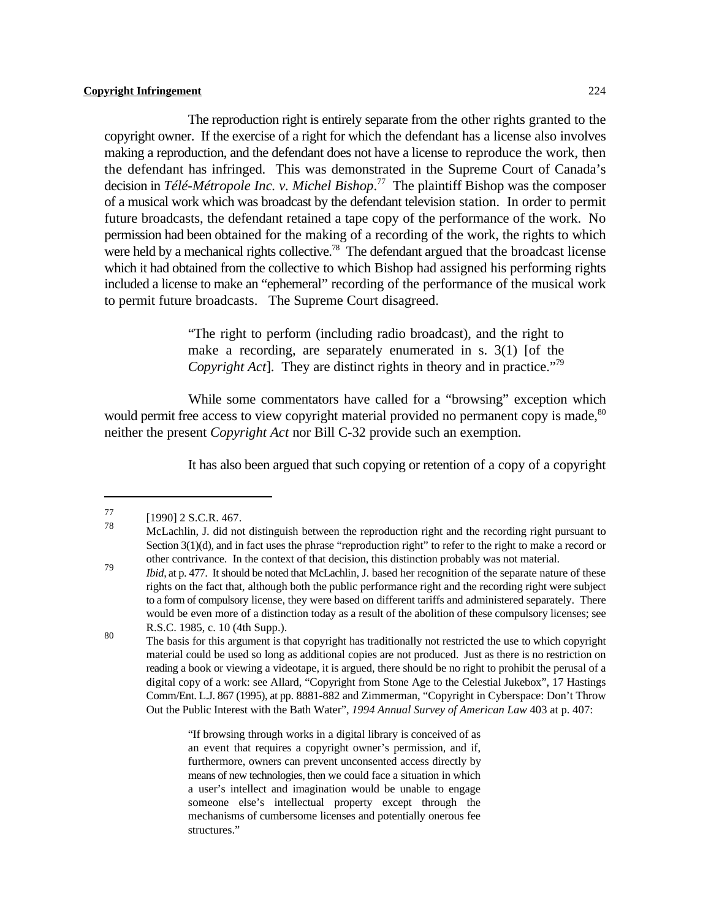The reproduction right is entirely separate from the other rights granted to the copyright owner. If the exercise of a right for which the defendant has a license also involves making a reproduction, and the defendant does not have a license to reproduce the work, then the defendant has infringed. This was demonstrated in the Supreme Court of Canada's decision in *Télé-Métropole Inc. v. Michel Bishop*.<sup>77</sup> The plaintiff Bishop was the composer of a musical work which was broadcast by the defendant television station. In order to permit future broadcasts, the defendant retained a tape copy of the performance of the work. No permission had been obtained for the making of a recording of the work, the rights to which were held by a mechanical rights collective.<sup>78</sup> The defendant argued that the broadcast license which it had obtained from the collective to which Bishop had assigned his performing rights included a license to make an "ephemeral" recording of the performance of the musical work to permit future broadcasts. The Supreme Court disagreed.

> "The right to perform (including radio broadcast), and the right to make a recording, are separately enumerated in s. 3(1) [of the *Copyright Act*]. They are distinct rights in theory and in practice."<sup>79</sup>

While some commentators have called for a "browsing" exception which would permit free access to view copyright material provided no permanent copy is made,<sup>80</sup> neither the present *Copyright Act* nor Bill C-32 provide such an exemption.

It has also been argued that such copying or retention of a copy of a copyright

"If browsing through works in a digital library is conceived of as an event that requires a copyright owner's permission, and if, furthermore, owners can prevent unconsented access directly by means of new technologies, then we could face a situation in which a user's intellect and imagination would be unable to engage someone else's intellectual property except through the mechanisms of cumbersome licenses and potentially onerous fee structures."

 $[1990]$  2 S.C.R. 467. 78

McLachlin, J. did not distinguish between the reproduction right and the recording right pursuant to Section 3(1)(d), and in fact uses the phrase "reproduction right" to refer to the right to make a record or other contrivance. In the context of that decision, this distinction probably was not material.

*Ibid*, at p. 477. It should be noted that McLachlin, J. based her recognition of the separate nature of these rights on the fact that, although both the public performance right and the recording right were subject to a form of compulsory license, they were based on different tariffs and administered separately. There would be even more of a distinction today as a result of the abolition of these compulsory licenses; see R.S.C. 1985, c. 10 (4th Supp.).

The basis for this argument is that copyright has traditionally not restricted the use to which copyright The basis for this argument is that copyright has traditionally not restricted the use to which copyright material could be used so long as additional copies are not produced. Just as there is no restriction on reading a book or viewing a videotape, it is argued, there should be no right to prohibit the perusal of a digital copy of a work: see Allard, "Copyright from Stone Age to the Celestial Jukebox", 17 Hastings Comm/Ent. L.J. 867 (1995), at pp. 8881-882 and Zimmerman, "Copyright in Cyberspace: Don't Throw Out the Public Interest with the Bath Water", *1994 Annual Survey of American Law* 403 at p. 407: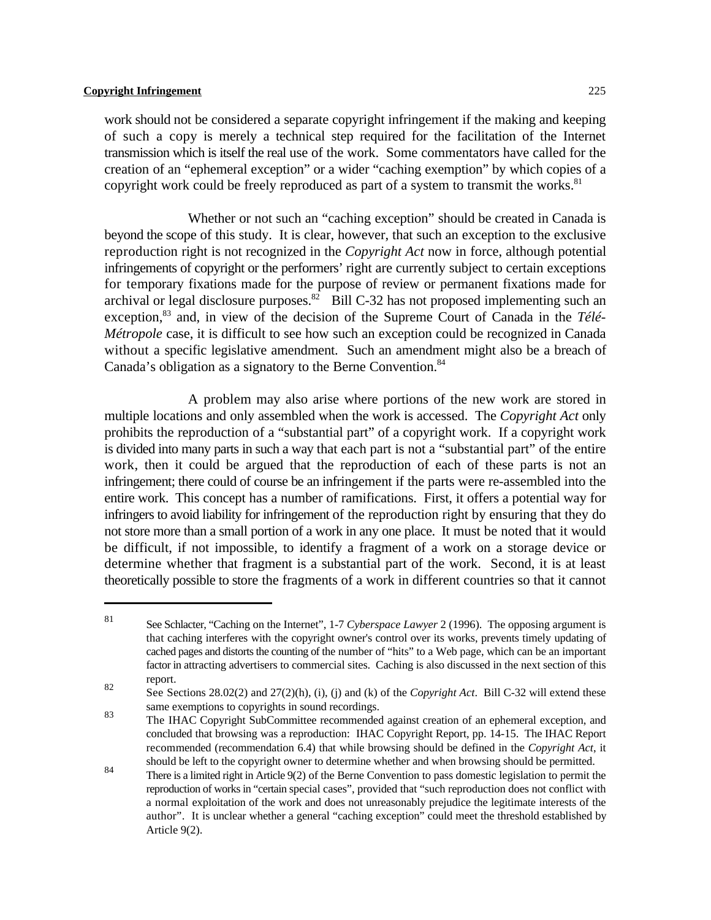work should not be considered a separate copyright infringement if the making and keeping of such a copy is merely a technical step required for the facilitation of the Internet transmission which is itself the real use of the work. Some commentators have called for the creation of an "ephemeral exception" or a wider "caching exemption" by which copies of a copyright work could be freely reproduced as part of a system to transmit the works.<sup>81</sup>

Whether or not such an "caching exception" should be created in Canada is beyond the scope of this study. It is clear, however, that such an exception to the exclusive reproduction right is not recognized in the *Copyright Act* now in force, although potential infringements of copyright or the performers' right are currently subject to certain exceptions for temporary fixations made for the purpose of review or permanent fixations made for archival or legal disclosure purposes. $82$  Bill C-32 has not proposed implementing such an exception,<sup>83</sup> and, in view of the decision of the Supreme Court of Canada in the Télé-*Métropole* case, it is difficult to see how such an exception could be recognized in Canada without a specific legislative amendment. Such an amendment might also be a breach of Canada's obligation as a signatory to the Berne Convention.<sup>84</sup>

A problem may also arise where portions of the new work are stored in multiple locations and only assembled when the work is accessed. The *Copyright Act* only prohibits the reproduction of a "substantial part" of a copyright work. If a copyright work is divided into many parts in such a way that each part is not a "substantial part" of the entire work, then it could be argued that the reproduction of each of these parts is not an infringement; there could of course be an infringement if the parts were re-assembled into the entire work. This concept has a number of ramifications. First, it offers a potential way for infringers to avoid liability for infringement of the reproduction right by ensuring that they do not store more than a small portion of a work in any one place. It must be noted that it would be difficult, if not impossible, to identify a fragment of a work on a storage device or determine whether that fragment is a substantial part of the work. Second, it is at least theoretically possible to store the fragments of a work in different countries so that it cannot

See Schlacter, "Caching on the Internet", 1-7 *Cyberspace Lawyer* 2 (1996). The opposing argument is <sup>81</sup> that caching interferes with the copyright owner's control over its works, prevents timely updating of cached pages and distorts the counting of the number of "hits" to a Web page, which can be an important factor in attracting advertisers to commercial sites. Caching is also discussed in the next section of this report. 82

See Sections 28.02(2) and 27(2)(h), (i), (j) and (k) of the *Copyright Act*. Bill C-32 will extend these same exemptions to copyrights in sound recordings.

The IHAC Copyright SubCommittee recommended against creation of an ephemeral exception, and 83 concluded that browsing was a reproduction: IHAC Copyright Report, pp. 14-15. The IHAC Report recommended (recommendation 6.4) that while browsing should be defined in the *Copyright Act*, it should be left to the copyright owner to determine whether and when browsing should be permitted.

There is a limited right in Article 9(2) of the Berne Convention to pass domestic legislation to permit the reproduction of works in "certain special cases", provided that "such reproduction does not conflict with a normal exploitation of the work and does not unreasonably prejudice the legitimate interests of the author". It is unclear whether a general "caching exception" could meet the threshold established by Article 9(2).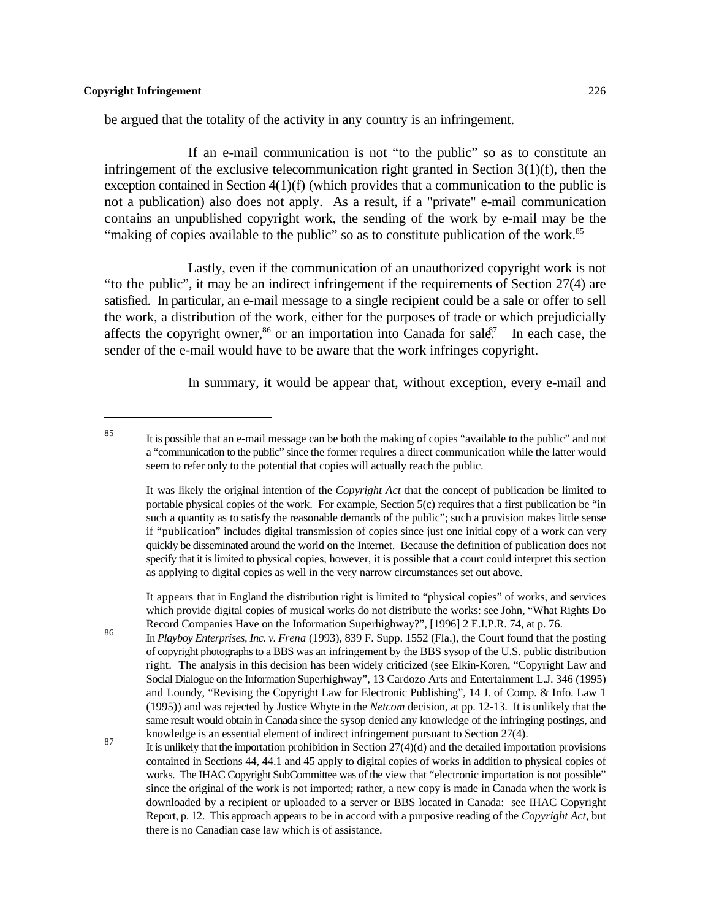be argued that the totality of the activity in any country is an infringement.

If an e-mail communication is not "to the public" so as to constitute an infringement of the exclusive telecommunication right granted in Section 3(1)(f), then the exception contained in Section 4(1)(f) (which provides that a communication to the public is not a publication) also does not apply. As a result, if a "private" e-mail communication contains an unpublished copyright work, the sending of the work by e-mail may be the "making of copies available to the public" so as to constitute publication of the work.<sup>85</sup>

Lastly, even if the communication of an unauthorized copyright work is not "to the public", it may be an indirect infringement if the requirements of Section 27(4) are satisfied. In particular, an e-mail message to a single recipient could be a sale or offer to sell the work, a distribution of the work, either for the purposes of trade or which prejudicially affects the copyright owner,<sup>86</sup> or an importation into Canada for sale<sup> $\zeta$ </sup> In each case, the sender of the e-mail would have to be aware that the work infringes copyright.

In summary, it would be appear that, without exception, every e-mail and

It appears that in England the distribution right is limited to "physical copies" of works, and services which provide digital copies of musical works do not distribute the works: see John, "What Rights Do Record Companies Have on the Information Superhighway?", [1996] 2 E.I.P.R. 74, at p. 76.

In *Playboy Enterprises, Inc. v. Frena* (1993), 839 F. Supp. 1552 (Fla.), the Court found that the posting <sup>86</sup> of copyright photographs to a BBS was an infringement by the BBS sysop of the U.S. public distribution right. The analysis in this decision has been widely criticized (see Elkin-Koren, "Copyright Law and Social Dialogue on the Information Superhighway", 13 Cardozo Arts and Entertainment L.J. 346 (1995) and Loundy, "Revising the Copyright Law for Electronic Publishing", 14 J. of Comp. & Info. Law 1 (1995)) and was rejected by Justice Whyte in the *Netcom* decision, at pp. 12-13. It is unlikely that the same result would obtain in Canada since the sysop denied any knowledge of the infringing postings, and knowledge is an essential element of indirect infringement pursuant to Section 27(4).

It is possible that an e-mail message can be both the making of copies "available to the public" and not <sup>85</sup> a "communication to the public" since the former requires a direct communication while the latter would seem to refer only to the potential that copies will actually reach the public.

It was likely the original intention of the *Copyright Act* that the concept of publication be limited to portable physical copies of the work. For example, Section 5(c) requires that a first publication be "in such a quantity as to satisfy the reasonable demands of the public"; such a provision makes little sense if "publication" includes digital transmission of copies since just one initial copy of a work can very quickly be disseminated around the world on the Internet. Because the definition of publication does not specify that it is limited to physical copies, however, it is possible that a court could interpret this section as applying to digital copies as well in the very narrow circumstances set out above.

 $\frac{87}{100}$  It is unlikely that the importation prohibition in Section 27(4)(d) and the detailed importation provisions contained in Sections 44, 44.1 and 45 apply to digital copies of works in addition to physical copies of works. The IHAC Copyright SubCommittee was of the view that "electronic importation is not possible" since the original of the work is not imported; rather, a new copy is made in Canada when the work is downloaded by a recipient or uploaded to a server or BBS located in Canada: see IHAC Copyright Report, p. 12. This approach appears to be in accord with a purposive reading of the *Copyright Act*, but there is no Canadian case law which is of assistance.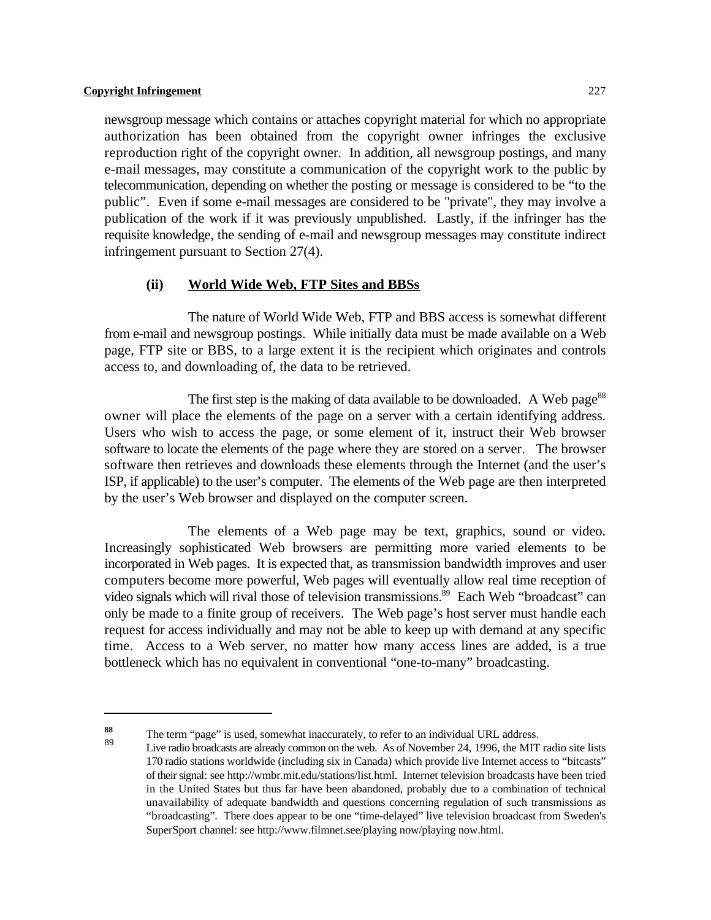newsgroup message which contains or attaches copyright material for which no appropriate authorization has been obtained from the copyright owner infringes the exclusive reproduction right of the copyright owner. In addition, all newsgroup postings, and many e-mail messages, may constitute a communication of the copyright work to the public by telecommunication, depending on whether the posting or message is considered to be "to the public". Even if some e-mail messages are considered to be "private", they may involve a publication of the work if it was previously unpublished. Lastly, if the infringer has the requisite knowledge, the sending of e-mail and newsgroup messages may constitute indirect infringement pursuant to Section 27(4).

#### **(ii) World Wide Web, FTP Sites and BBSs**

The nature of World Wide Web, FTP and BBS access is somewhat different from e-mail and newsgroup postings. While initially data must be made available on a Web page, FTP site or BBS, to a large extent it is the recipient which originates and controls access to, and downloading of, the data to be retrieved.

The first step is the making of data available to be downloaded. A Web page<sup>88</sup> owner will place the elements of the page on a server with a certain identifying address. Users who wish to access the page, or some element of it, instruct their Web browser software to locate the elements of the page where they are stored on a server. The browser software then retrieves and downloads these elements through the Internet (and the user's ISP, if applicable) to the user's computer. The elements of the Web page are then interpreted by the user's Web browser and displayed on the computer screen.

The elements of a Web page may be text, graphics, sound or video. Increasingly sophisticated Web browsers are permitting more varied elements to be incorporated in Web pages. It is expected that, as transmission bandwidth improves and user computers become more powerful, Web pages will eventually allow real time reception of video signals which will rival those of television transmissions.<sup>89</sup> Each Web "broadcast" can only be made to a finite group of receivers. The Web page's host server must handle each request for access individually and may not be able to keep up with demand at any specific time. Access to a Web server, no matter how many access lines are added, is a true bottleneck which has no equivalent in conventional "one-to-many" broadcasting.

The term "page" is used, somewhat inaccurately, to refer to an individual URL address.<br> $\frac{89}{\text{N}}$ 

Live radio broadcasts are already common on the web. As of November 24, 1996, the MIT radio site lists 170 radio stations worldwide (including six in Canada) which provide live Internet access to "bitcasts" of their signal: see http://wmbr.mit.edu/stations/list.html. Internet television broadcasts have been tried in the United States but thus far have been abandoned, probably due to a combination of technical unavailability of adequate bandwidth and questions concerning regulation of such transmissions as "broadcasting". There does appear to be one "time-delayed" live television broadcast from Sweden's SuperSport channel: see http://www.filmnet.see/playing now/playing now.html.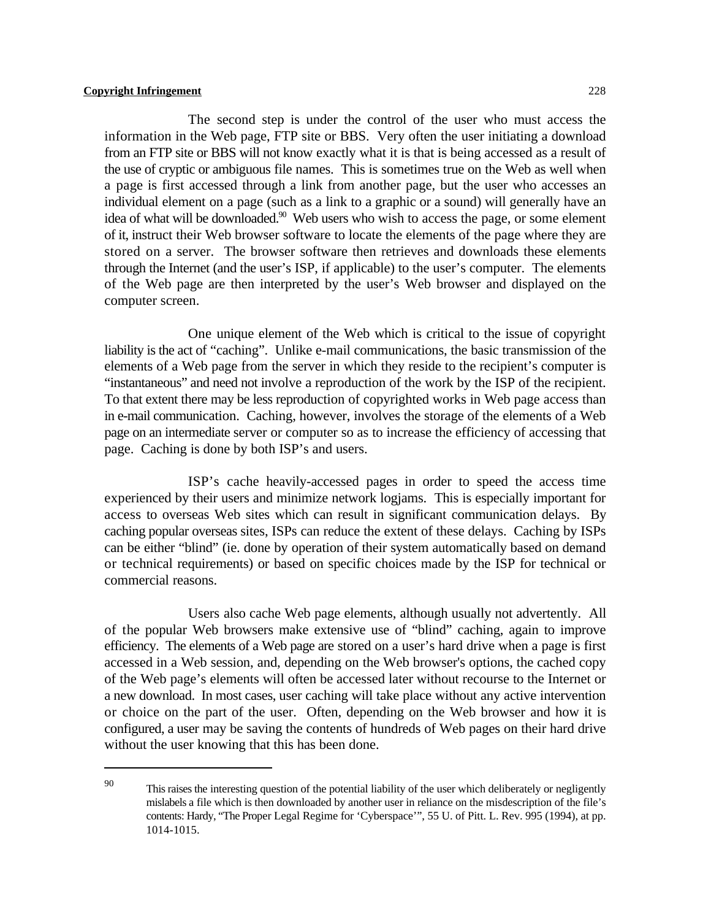The second step is under the control of the user who must access the information in the Web page, FTP site or BBS. Very often the user initiating a download from an FTP site or BBS will not know exactly what it is that is being accessed as a result of the use of cryptic or ambiguous file names. This is sometimes true on the Web as well when a page is first accessed through a link from another page, but the user who accesses an individual element on a page (such as a link to a graphic or a sound) will generally have an idea of what will be downloaded.<sup>90</sup> Web users who wish to access the page, or some element of it, instruct their Web browser software to locate the elements of the page where they are stored on a server. The browser software then retrieves and downloads these elements through the Internet (and the user's ISP, if applicable) to the user's computer. The elements of the Web page are then interpreted by the user's Web browser and displayed on the computer screen.

One unique element of the Web which is critical to the issue of copyright liability is the act of "caching". Unlike e-mail communications, the basic transmission of the elements of a Web page from the server in which they reside to the recipient's computer is "instantaneous" and need not involve a reproduction of the work by the ISP of the recipient. To that extent there may be less reproduction of copyrighted works in Web page access than in e-mail communication. Caching, however, involves the storage of the elements of a Web page on an intermediate server or computer so as to increase the efficiency of accessing that page. Caching is done by both ISP's and users.

ISP's cache heavily-accessed pages in order to speed the access time experienced by their users and minimize network logjams. This is especially important for access to overseas Web sites which can result in significant communication delays. By caching popular overseas sites, ISPs can reduce the extent of these delays. Caching by ISPs can be either "blind" (ie. done by operation of their system automatically based on demand or technical requirements) or based on specific choices made by the ISP for technical or commercial reasons.

Users also cache Web page elements, although usually not advertently. All of the popular Web browsers make extensive use of "blind" caching, again to improve efficiency. The elements of a Web page are stored on a user's hard drive when a page is first accessed in a Web session, and, depending on the Web browser's options, the cached copy of the Web page's elements will often be accessed later without recourse to the Internet or a new download. In most cases, user caching will take place without any active intervention or choice on the part of the user. Often, depending on the Web browser and how it is configured, a user may be saving the contents of hundreds of Web pages on their hard drive without the user knowing that this has been done.

This raises the interesting question of the potential liability of the user which deliberately or negligently mislabels a file which is then downloaded by another user in reliance on the misdescription of the file's contents: Hardy, "The Proper Legal Regime for 'Cyberspace'", 55 U. of Pitt. L. Rev. 995 (1994), at pp. 1014-1015.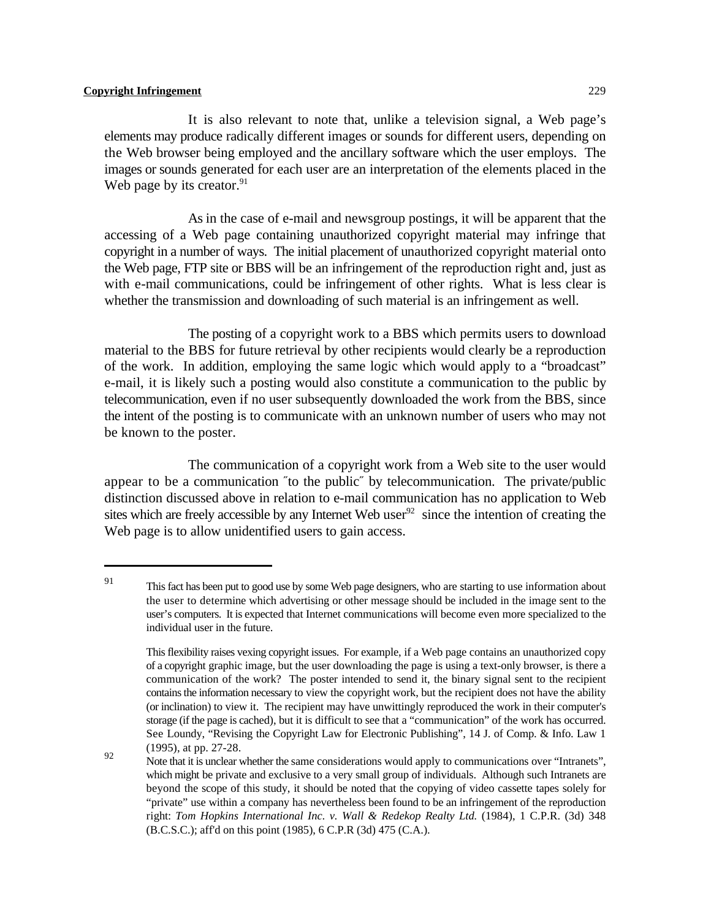It is also relevant to note that, unlike a television signal, a Web page's elements may produce radically different images or sounds for different users, depending on the Web browser being employed and the ancillary software which the user employs. The images or sounds generated for each user are an interpretation of the elements placed in the Web page by its creator. $91$ 

As in the case of e-mail and newsgroup postings, it will be apparent that the accessing of a Web page containing unauthorized copyright material may infringe that copyright in a number of ways. The initial placement of unauthorized copyright material onto the Web page, FTP site or BBS will be an infringement of the reproduction right and, just as with e-mail communications, could be infringement of other rights. What is less clear is whether the transmission and downloading of such material is an infringement as well.

The posting of a copyright work to a BBS which permits users to download material to the BBS for future retrieval by other recipients would clearly be a reproduction of the work. In addition, employing the same logic which would apply to a "broadcast" e-mail, it is likely such a posting would also constitute a communication to the public by telecommunication, even if no user subsequently downloaded the work from the BBS, since the intent of the posting is to communicate with an unknown number of users who may not be known to the poster.

The communication of a copyright work from a Web site to the user would appear to be a communication "to the public" by telecommunication. The private/public distinction discussed above in relation to e-mail communication has no application to Web sites which are freely accessible by any Internet Web user  $92$  since the intention of creating the Web page is to allow unidentified users to gain access.

<sup>&</sup>lt;sup>91</sup> This fact has been put to good use by some Web page designers, who are starting to use information about the user to determine which advertising or other message should be included in the image sent to the user's computers. It is expected that Internet communications will become even more specialized to the individual user in the future.

This flexibility raises vexing copyright issues. For example, if a Web page contains an unauthorized copy of a copyright graphic image, but the user downloading the page is using a text-only browser, is there a communication of the work? The poster intended to send it, the binary signal sent to the recipient contains the information necessary to view the copyright work, but the recipient does not have the ability (or inclination) to view it. The recipient may have unwittingly reproduced the work in their computer's storage (if the page is cached), but it is difficult to see that a "communication" of the work has occurred. See Loundy, "Revising the Copyright Law for Electronic Publishing", 14 J. of Comp. & Info. Law 1 (1995), at pp. 27-28.

Note that it is unclear whether the same considerations would apply to communications over "Intranets", Note that it is unclear whether the same considerations would apply to communications over "Intranets", which might be private and exclusive to a very small group of individuals. Although such Intranets are beyond the scope of this study, it should be noted that the copying of video cassette tapes solely for "private" use within a company has nevertheless been found to be an infringement of the reproduction right: *Tom Hopkins International Inc. v. Wall & Redekop Realty Ltd.* (1984), 1 C.P.R. (3d) 348 (B.C.S.C.); aff'd on this point (1985), 6 C.P.R (3d) 475 (C.A.).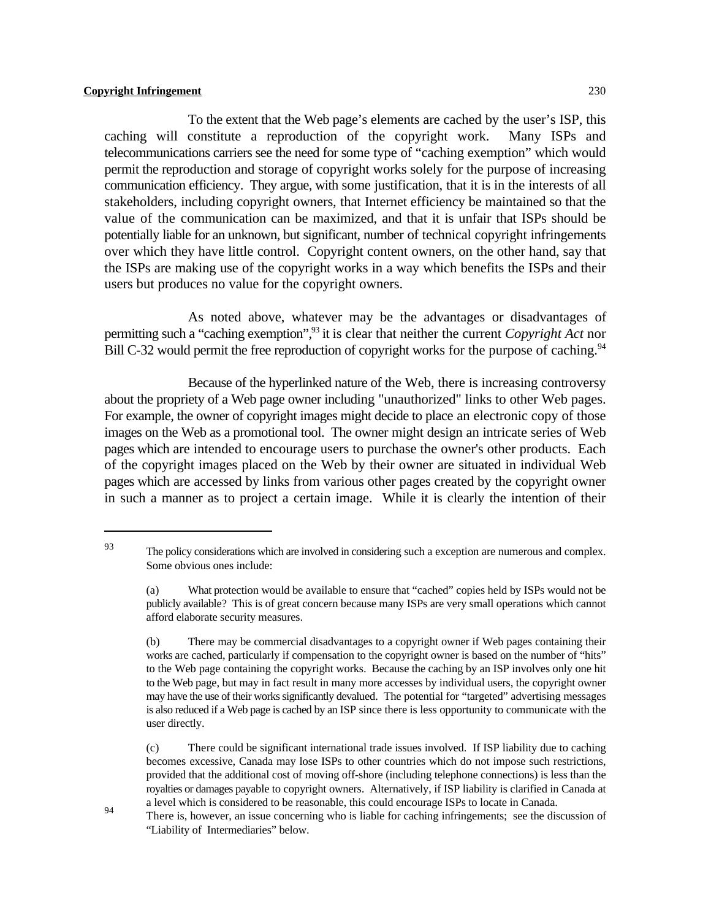To the extent that the Web page's elements are cached by the user's ISP, this caching will constitute a reproduction of the copyright work. Many ISPs and telecommunications carriers see the need for some type of "caching exemption" which would permit the reproduction and storage of copyright works solely for the purpose of increasing communication efficiency. They argue, with some justification, that it is in the interests of all stakeholders, including copyright owners, that Internet efficiency be maintained so that the value of the communication can be maximized, and that it is unfair that ISPs should be potentially liable for an unknown, but significant, number of technical copyright infringements over which they have little control. Copyright content owners, on the other hand, say that the ISPs are making use of the copyright works in a way which benefits the ISPs and their users but produces no value for the copyright owners.

As noted above, whatever may be the advantages or disadvantages of permitting such a "caching exemption",<sup>93</sup> it is clear that neither the current *Copyright Act* nor Bill C-32 would permit the free reproduction of copyright works for the purpose of caching.<sup>94</sup>

Because of the hyperlinked nature of the Web, there is increasing controversy about the propriety of a Web page owner including "unauthorized" links to other Web pages. For example, the owner of copyright images might decide to place an electronic copy of those images on the Web as a promotional tool. The owner might design an intricate series of Web pages which are intended to encourage users to purchase the owner's other products. Each of the copyright images placed on the Web by their owner are situated in individual Web pages which are accessed by links from various other pages created by the copyright owner in such a manner as to project a certain image. While it is clearly the intention of their

94

The policy considerations which are involved in considering such a exception are numerous and complex. Some obvious ones include:

<sup>(</sup>a) What protection would be available to ensure that "cached" copies held by ISPs would not be publicly available? This is of great concern because many ISPs are very small operations which cannot afford elaborate security measures.

<sup>(</sup>b) There may be commercial disadvantages to a copyright owner if Web pages containing their works are cached, particularly if compensation to the copyright owner is based on the number of "hits" to the Web page containing the copyright works. Because the caching by an ISP involves only one hit to the Web page, but may in fact result in many more accesses by individual users, the copyright owner may have the use of their works significantly devalued. The potential for "targeted" advertising messages is also reduced if a Web page is cached by an ISP since there is less opportunity to communicate with the user directly.

<sup>(</sup>c) There could be significant international trade issues involved. If ISP liability due to caching becomes excessive, Canada may lose ISPs to other countries which do not impose such restrictions, provided that the additional cost of moving off-shore (including telephone connections) is less than the royalties or damages payable to copyright owners. Alternatively, if ISP liability is clarified in Canada at a level which is considered to be reasonable, this could encourage ISPs to locate in Canada.

There is, however, an issue concerning who is liable for caching infringements; see the discussion of "Liability of Intermediaries" below.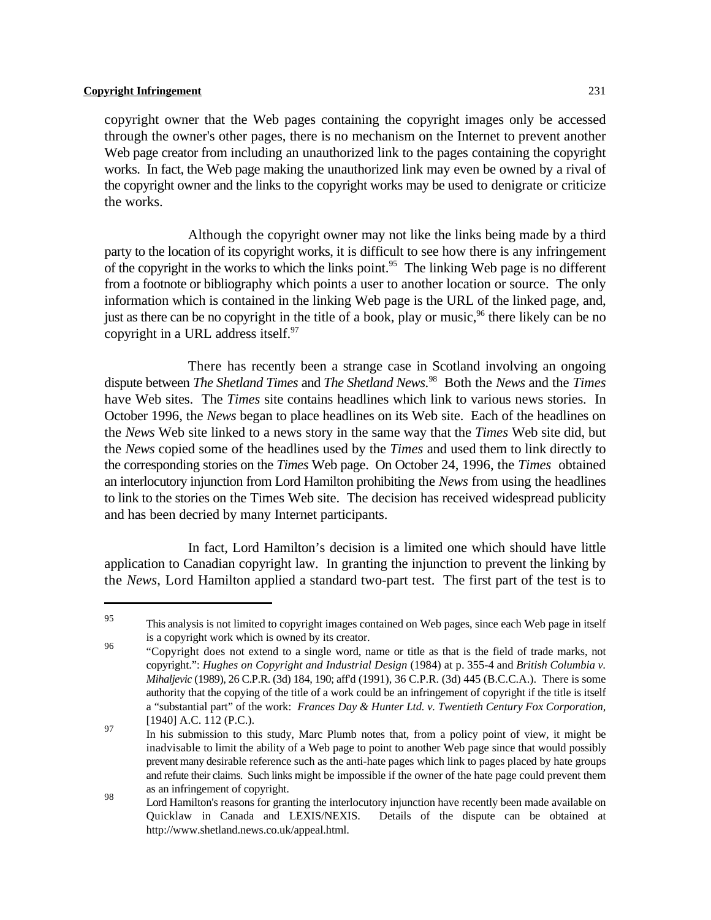copyright owner that the Web pages containing the copyright images only be accessed through the owner's other pages, there is no mechanism on the Internet to prevent another Web page creator from including an unauthorized link to the pages containing the copyright works. In fact, the Web page making the unauthorized link may even be owned by a rival of the copyright owner and the links to the copyright works may be used to denigrate or criticize the works.

Although the copyright owner may not like the links being made by a third party to the location of its copyright works, it is difficult to see how there is any infringement of the copyright in the works to which the links point.<sup>95</sup> The linking Web page is no different from a footnote or bibliography which points a user to another location or source. The only information which is contained in the linking Web page is the URL of the linked page, and, just as there can be no copyright in the title of a book, play or music,<sup>96</sup> there likely can be no copyright in a URL address itself.<sup>97</sup>

There has recently been a strange case in Scotland involving an ongoing dispute between *The Shetland Times* and *The Shetland News*. Both the *News* and the *Times* <sup>98</sup> have Web sites. The *Times* site contains headlines which link to various news stories. In October 1996, the *News* began to place headlines on its Web site. Each of the headlines on the *News* Web site linked to a news story in the same way that the *Times* Web site did, but the *News* copied some of the headlines used by the *Times* and used them to link directly to the corresponding stories on the *Times* Web page. On October 24, 1996, the *Times* obtained an interlocutory injunction from Lord Hamilton prohibiting the *News* from using the headlines to link to the stories on the Times Web site. The decision has received widespread publicity and has been decried by many Internet participants.

In fact, Lord Hamilton's decision is a limited one which should have little application to Canadian copyright law. In granting the injunction to prevent the linking by the *News*, Lord Hamilton applied a standard two-part test. The first part of the test is to

<sup>&</sup>lt;sup>95</sup> This analysis is not limited to copyright images contained on Web pages, since each Web page in itself is a copyright work which is owned by its creator.

<sup>&</sup>quot;Copyright does not extend to a single word, name or title as that is the field of trade marks, not 96 copyright.": *Hughes on Copyright and Industrial Design* (1984) at p. 355-4 and *British Columbia v. Mihaljevic* (1989), 26 C.P.R. (3d) 184, 190; aff'd (1991), 36 C.P.R. (3d) 445 (B.C.C.A.). There is some authority that the copying of the title of a work could be an infringement of copyright if the title is itself a "substantial part" of the work: *Frances Day & Hunter Ltd. v. Twentieth Century Fox Corporation,* [1940] A.C. 112 (P.C.).

In his submission to this study, Marc Plumb notes that, from a policy point of view, it might be 97 inadvisable to limit the ability of a Web page to point to another Web page since that would possibly prevent many desirable reference such as the anti-hate pages which link to pages placed by hate groups and refute their claims. Such links might be impossible if the owner of the hate page could prevent them as an infringement of copyright.

nd and the matter of comparison.<br>Lord Hamilton's reasons for granting the interlocutory injunction have recently been made available on Quicklaw in Canada and LEXIS/NEXIS. Details of the dispute can be obtained at http://www.shetland.news.co.uk/appeal.html.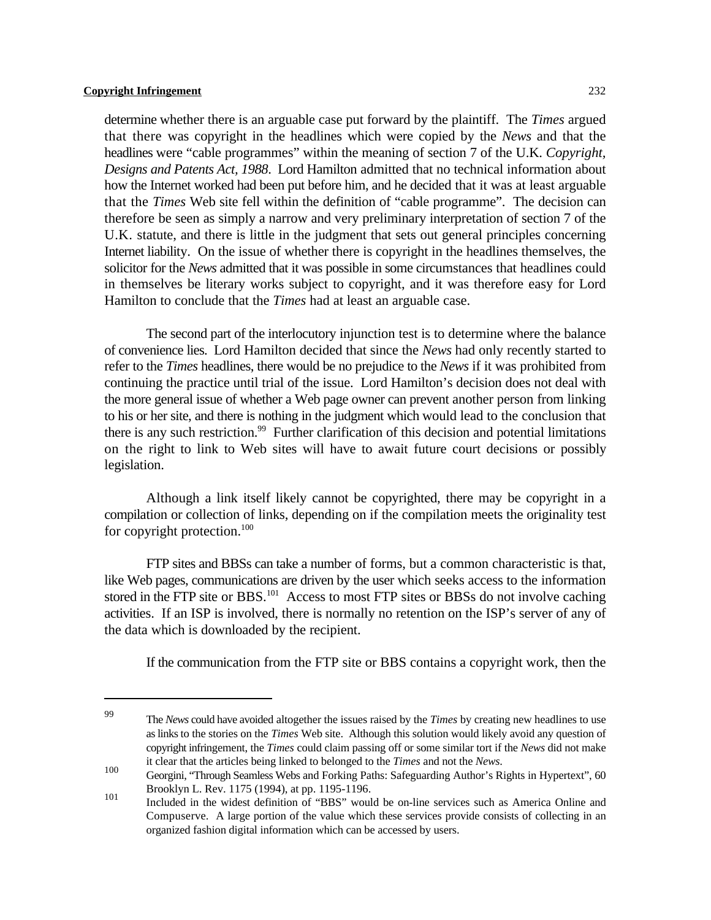determine whether there is an arguable case put forward by the plaintiff. The *Times* argued that there was copyright in the headlines which were copied by the *News* and that the headlines were "cable programmes" within the meaning of section 7 of the U.K. *Copyright, Designs and Patents Act, 1988*. Lord Hamilton admitted that no technical information about how the Internet worked had been put before him, and he decided that it was at least arguable that the *Times* Web site fell within the definition of "cable programme". The decision can therefore be seen as simply a narrow and very preliminary interpretation of section 7 of the U.K. statute, and there is little in the judgment that sets out general principles concerning Internet liability. On the issue of whether there is copyright in the headlines themselves, the solicitor for the *News* admitted that it was possible in some circumstances that headlines could in themselves be literary works subject to copyright, and it was therefore easy for Lord Hamilton to conclude that the *Times* had at least an arguable case.

The second part of the interlocutory injunction test is to determine where the balance of convenience lies. Lord Hamilton decided that since the *News* had only recently started to refer to the *Times* headlines, there would be no prejudice to the *News* if it was prohibited from continuing the practice until trial of the issue. Lord Hamilton's decision does not deal with the more general issue of whether a Web page owner can prevent another person from linking to his or her site, and there is nothing in the judgment which would lead to the conclusion that there is any such restriction.<sup>99</sup> Further clarification of this decision and potential limitations on the right to link to Web sites will have to await future court decisions or possibly legislation.

Although a link itself likely cannot be copyrighted, there may be copyright in a compilation or collection of links, depending on if the compilation meets the originality test for copyright protection.<sup>100</sup>

FTP sites and BBSs can take a number of forms, but a common characteristic is that, like Web pages, communications are driven by the user which seeks access to the information stored in the FTP site or BBS.  $^{101}$  Access to most FTP sites or BBSs do not involve caching activities. If an ISP is involved, there is normally no retention on the ISP's server of any of the data which is downloaded by the recipient.

If the communication from the FTP site or BBS contains a copyright work, then the

The *News* could have avoided altogether the issues raised by the *Times* by creating new headlines to use <sup>99</sup> as links to the stories on the *Times* Web site. Although this solution would likely avoid any question of copyright infringement, the *Times* could claim passing off or some similar tort if the *News* did not make it clear that the articles being linked to belonged to the *Times* and not the *News*.

Georgini, "Through Seamless Webs and Forking Paths: Safeguarding Author's Rights in Hypertext", 60 Brooklyn L. Rev. 1175 (1994), at pp. 1195-1196.

Included in the widest definition of "BBS" would be on-line services such as America Online and 101 Compuserve. A large portion of the value which these services provide consists of collecting in an organized fashion digital information which can be accessed by users.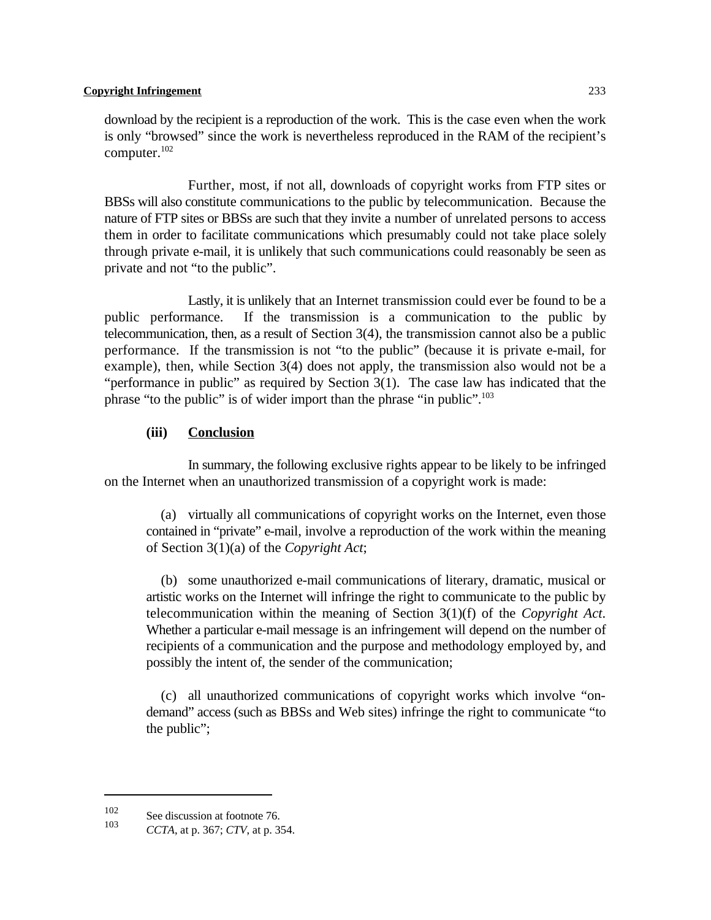download by the recipient is a reproduction of the work. This is the case even when the work is only "browsed" since the work is nevertheless reproduced in the RAM of the recipient's computer. $102$ 

Further, most, if not all, downloads of copyright works from FTP sites or BBSs will also constitute communications to the public by telecommunication. Because the nature of FTP sites or BBSs are such that they invite a number of unrelated persons to access them in order to facilitate communications which presumably could not take place solely through private e-mail, it is unlikely that such communications could reasonably be seen as private and not "to the public".

Lastly, it is unlikely that an Internet transmission could ever be found to be a public performance. If the transmission is a communication to the public by telecommunication, then, as a result of Section 3(4), the transmission cannot also be a public performance. If the transmission is not "to the public" (because it is private e-mail, for example), then, while Section 3(4) does not apply, the transmission also would not be a "performance in public" as required by Section 3(1). The case law has indicated that the phrase "to the public" is of wider import than the phrase "in public".<sup>103</sup>

#### **(iii) Conclusion**

In summary, the following exclusive rights appear to be likely to be infringed on the Internet when an unauthorized transmission of a copyright work is made:

 (a) virtually all communications of copyright works on the Internet, even those contained in "private" e-mail, involve a reproduction of the work within the meaning of Section 3(1)(a) of the *Copyright Act*;

 (b) some unauthorized e-mail communications of literary, dramatic, musical or artistic works on the Internet will infringe the right to communicate to the public by telecommunication within the meaning of Section 3(1)(f) of the *Copyright Act*. Whether a particular e-mail message is an infringement will depend on the number of recipients of a communication and the purpose and methodology employed by, and possibly the intent of, the sender of the communication;

 (c) all unauthorized communications of copyright works which involve "ondemand" access (such as BBSs and Web sites) infringe the right to communicate "to the public";

 $\frac{102}{103}$  See discussion at footnote 76.

*CCTA*, at p. 367; *CTV*, at p. 354.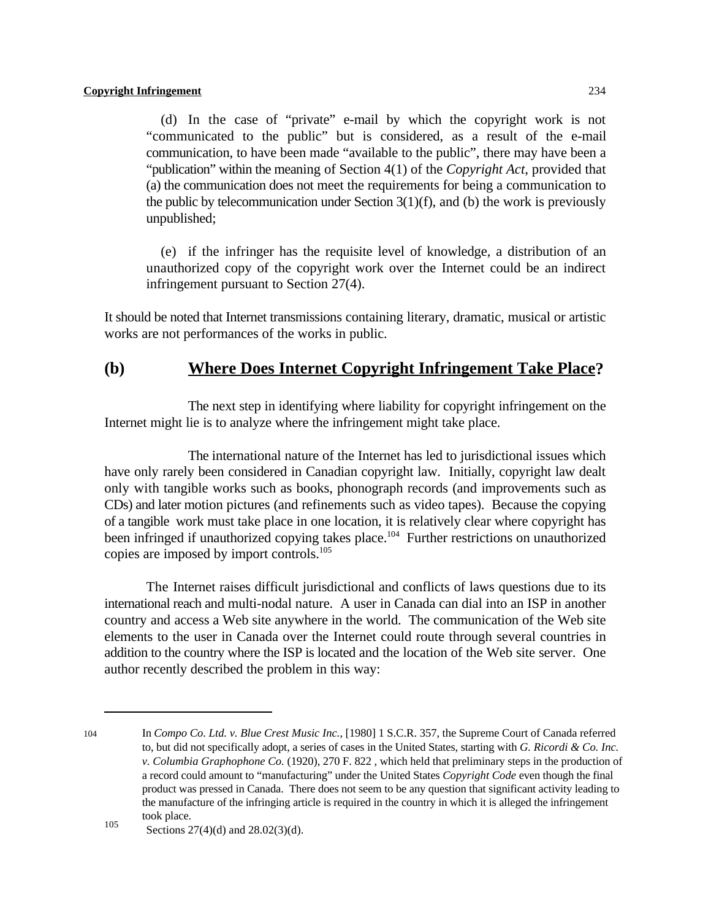(d) In the case of "private" e-mail by which the copyright work is not "communicated to the public" but is considered, as a result of the e-mail communication, to have been made "available to the public", there may have been a "publication" within the meaning of Section 4(1) of the *Copyright Act*, provided that (a) the communication does not meet the requirements for being a communication to the public by telecommunication under Section  $3(1)(f)$ , and (b) the work is previously unpublished;

 (e) if the infringer has the requisite level of knowledge, a distribution of an unauthorized copy of the copyright work over the Internet could be an indirect infringement pursuant to Section 27(4).

It should be noted that Internet transmissions containing literary, dramatic, musical or artistic works are not performances of the works in public.

# **(b) Where Does Internet Copyright Infringement Take Place?**

The next step in identifying where liability for copyright infringement on the Internet might lie is to analyze where the infringement might take place.

The international nature of the Internet has led to jurisdictional issues which have only rarely been considered in Canadian copyright law. Initially, copyright law dealt only with tangible works such as books, phonograph records (and improvements such as CDs) and later motion pictures (and refinements such as video tapes). Because the copying of a tangible work must take place in one location, it is relatively clear where copyright has been infringed if unauthorized copying takes place.<sup>104</sup> Further restrictions on unauthorized copies are imposed by import controls.<sup>105</sup>

The Internet raises difficult jurisdictional and conflicts of laws questions due to its international reach and multi-nodal nature. A user in Canada can dial into an ISP in another country and access a Web site anywhere in the world. The communication of the Web site elements to the user in Canada over the Internet could route through several countries in addition to the country where the ISP is located and the location of the Web site server. One author recently described the problem in this way:

<sup>104</sup> In *Compo Co. Ltd. v. Blue Crest Music Inc.*, [1980] 1 S.C.R. 357, the Supreme Court of Canada referred to, but did not specifically adopt, a series of cases in the United States, starting with *G. Ricordi & Co. Inc. v. Columbia Graphophone Co.* (1920), 270 F. 822 , which held that preliminary steps in the production of a record could amount to "manufacturing" under the United States *Copyright Code* even though the final product was pressed in Canada. There does not seem to be any question that significant activity leading to the manufacture of the infringing article is required in the country in which it is alleged the infringement took place.

 $\frac{105}{\text{Sections }27(4)(\text{d})}$  and  $\frac{28.02(3)(\text{d})}{\text{d}}$ .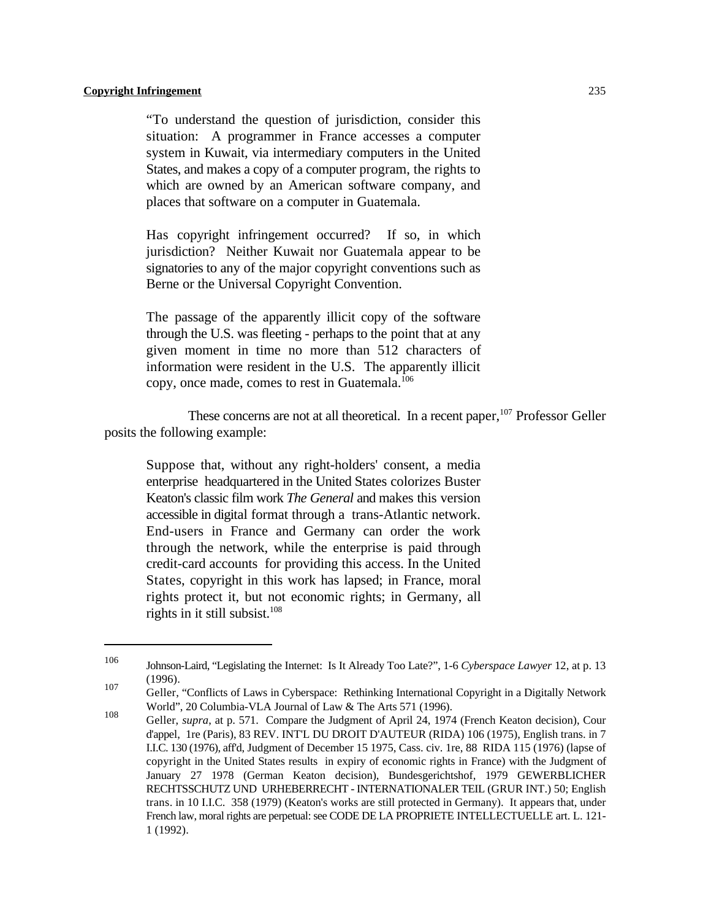"To understand the question of jurisdiction, consider this situation: A programmer in France accesses a computer system in Kuwait, via intermediary computers in the United States, and makes a copy of a computer program, the rights to which are owned by an American software company, and places that software on a computer in Guatemala.

Has copyright infringement occurred? If so, in which jurisdiction? Neither Kuwait nor Guatemala appear to be signatories to any of the major copyright conventions such as Berne or the Universal Copyright Convention.

The passage of the apparently illicit copy of the software through the U.S. was fleeting - perhaps to the point that at any given moment in time no more than 512 characters of information were resident in the U.S. The apparently illicit copy, once made, comes to rest in Guatemala.<sup>106</sup>

These concerns are not at all theoretical. In a recent paper,  $107$  Professor Geller posits the following example:

Suppose that, without any right-holders' consent, a media enterprise headquartered in the United States colorizes Buster Keaton's classic film work *The General* and makes this version accessible in digital format through a trans-Atlantic network. End-users in France and Germany can order the work through the network, while the enterprise is paid through credit-card accounts for providing this access. In the United States, copyright in this work has lapsed; in France, moral rights protect it, but not economic rights; in Germany, all rights in it still subsist.<sup>108</sup>

<sup>106</sup> Johnson-Laird, "Legislating the Internet: Is It Already Too Late?", 1-6 *Cyberspace Lawyer* 12, at p. 13 (1996). 107

Geller, "Conflicts of Laws in Cyberspace: Rethinking International Copyright in a Digitally Network World", 20 Columbia-VLA Journal of Law & The Arts 571 (1996).

Geller, *supra*, at p. 571. Compare the Judgment of April 24, 1974 (French Keaton decision), Cour 108 d'appel, 1re (Paris), 83 REV. INT'L DU DROIT D'AUTEUR (RIDA) 106 (1975), English trans. in 7 I.I.C. 130 (1976), aff'd, Judgment of December 15 1975, Cass. civ. 1re, 88 RIDA 115 (1976) (lapse of copyright in the United States results in expiry of economic rights in France) with the Judgment of January 27 1978 (German Keaton decision), Bundesgerichtshof, 1979 GEWERBLICHER RECHTSSCHUTZ UND URHEBERRECHT - INTERNATIONALER TEIL (GRUR INT.) 50; English trans. in 10 I.I.C. 358 (1979) (Keaton's works are still protected in Germany). It appears that, under French law, moral rights are perpetual: see CODE DE LA PROPRIETE INTELLECTUELLE art. L. 121- 1 (1992).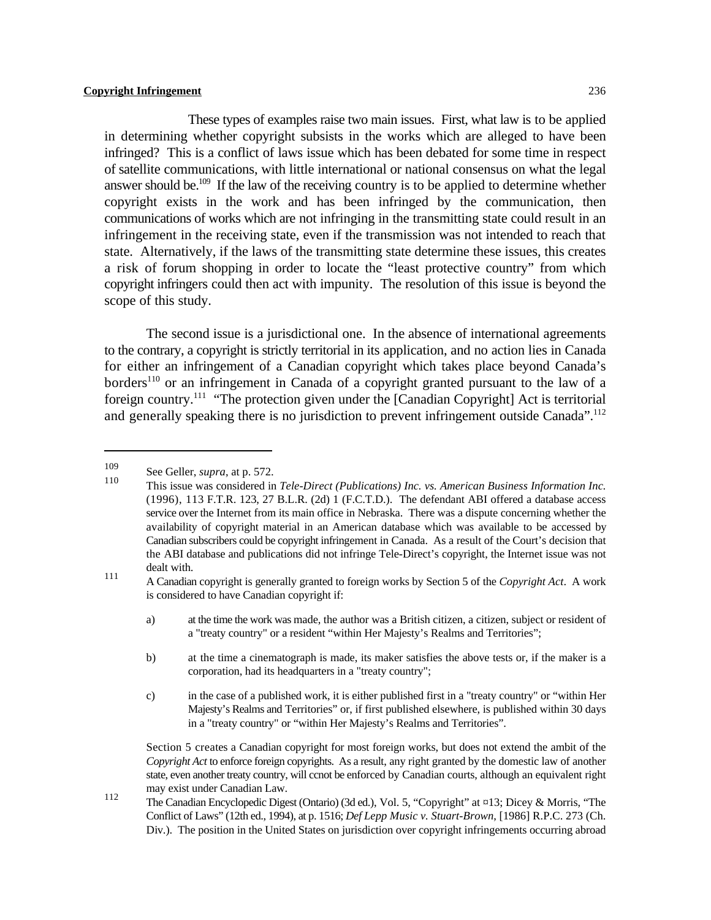These types of examples raise two main issues. First, what law is to be applied in determining whether copyright subsists in the works which are alleged to have been infringed? This is a conflict of laws issue which has been debated for some time in respect of satellite communications, with little international or national consensus on what the legal answer should be.<sup>109</sup> If the law of the receiving country is to be applied to determine whether copyright exists in the work and has been infringed by the communication, then communications of works which are not infringing in the transmitting state could result in an infringement in the receiving state, even if the transmission was not intended to reach that state. Alternatively, if the laws of the transmitting state determine these issues, this creates a risk of forum shopping in order to locate the "least protective country" from which copyright infringers could then act with impunity. The resolution of this issue is beyond the scope of this study.

The second issue is a jurisdictional one. In the absence of international agreements to the contrary, a copyright is strictly territorial in its application, and no action lies in Canada for either an infringement of a Canadian copyright which takes place beyond Canada's borders<sup>110</sup> or an infringement in Canada of a copyright granted pursuant to the law of a foreign country.<sup> $111$ </sup> "The protection given under the [Canadian Copyright] Act is territorial and generally speaking there is no jurisdiction to prevent infringement outside Canada".<sup>112</sup>

A Canadian copyright is generally granted to foreign works by Section 5 of the *Copyright Act*. A work <sup>111</sup> is considered to have Canadian copyright if:

- a) at the time the work was made, the author was a British citizen, a citizen, subject or resident of a "treaty country" or a resident "within Her Majesty's Realms and Territories";
- b) at the time a cinematograph is made, its maker satisfies the above tests or, if the maker is a corporation, had its headquarters in a "treaty country";
- c) in the case of a published work, it is either published first in a "treaty country" or "within Her Majesty's Realms and Territories" or, if first published elsewhere, is published within 30 days in a "treaty country" or "within Her Majesty's Realms and Territories".

Section 5 creates a Canadian copyright for most foreign works, but does not extend the ambit of the *Copyright Act* to enforce foreign copyrights. As a result, any right granted by the domestic law of another state, even another treaty country, will ccnot be enforced by Canadian courts, although an equivalent right may exist under Canadian Law.

The Canadian Encyclopedic Digest (Ontario) (3d ed.), Vol. 5, "Copyright" at ¤13; Dicey & Morris, "The Conflict of Laws" (12th ed., 1994), at p. 1516; *Def Lepp Music v. Stuart-Brown*, [1986] R.P.C. 273 (Ch. Div.). The position in the United States on jurisdiction over copyright infringements occurring abroad

<sup>&</sup>lt;sup>109</sup> See Geller, *supra*, at p. 572. 110

This issue was considered in *Tele-Direct (Publications) Inc. vs. American Business Information Inc.* (1996), 113 F.T.R. 123, 27 B.L.R. (2d) 1 (F.C.T.D.). The defendant ABI offered a database access service over the Internet from its main office in Nebraska. There was a dispute concerning whether the availability of copyright material in an American database which was available to be accessed by Canadian subscribers could be copyright infringement in Canada. As a result of the Court's decision that the ABI database and publications did not infringe Tele-Direct's copyright, the Internet issue was not dealt with.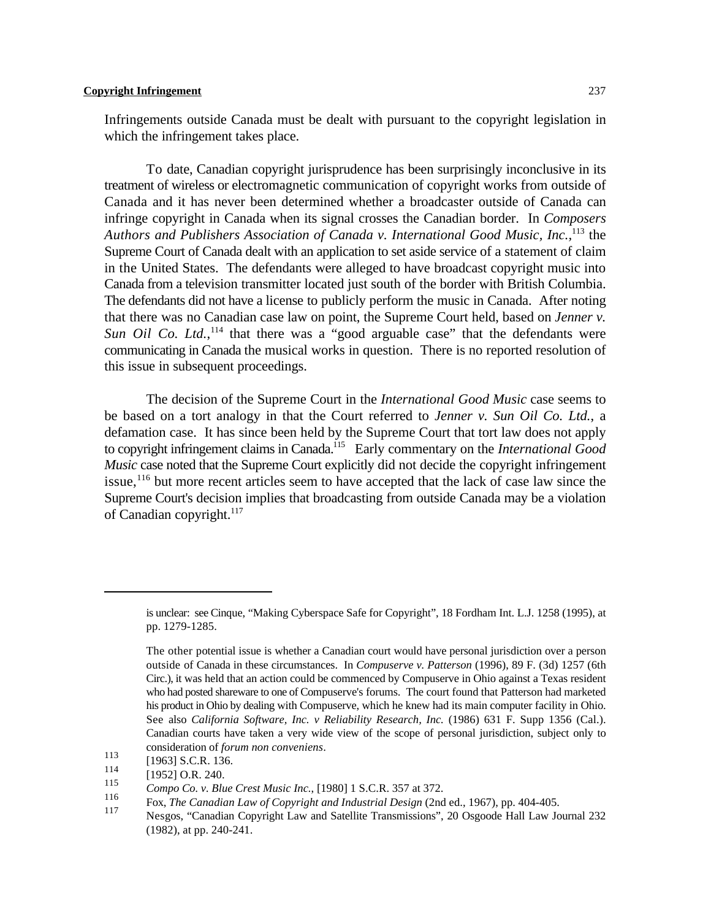Infringements outside Canada must be dealt with pursuant to the copyright legislation in which the infringement takes place.

To date, Canadian copyright jurisprudence has been surprisingly inconclusive in its treatment of wireless or electromagnetic communication of copyright works from outside of Canada and it has never been determined whether a broadcaster outside of Canada can infringe copyright in Canada when its signal crosses the Canadian border. In *Composers* Authors and Publishers Association of Canada v. International Good Music, Inc.,<sup>113</sup> the Supreme Court of Canada dealt with an application to set aside service of a statement of claim in the United States. The defendants were alleged to have broadcast copyright music into Canada from a television transmitter located just south of the border with British Columbia. The defendants did not have a license to publicly perform the music in Canada. After noting that there was no Canadian case law on point, the Supreme Court held, based on *Jenner v.* Sun Oil Co. Ltd.,<sup>114</sup> that there was a "good arguable case" that the defendants were communicating in Canada the musical works in question. There is no reported resolution of this issue in subsequent proceedings.

The decision of the Supreme Court in the *International Good Music* case seems to be based on a tort analogy in that the Court referred to *Jenner v. Sun Oil Co. Ltd.*, a defamation case. It has since been held by the Supreme Court that tort law does not apply to copyright infringement claims in Canada.<sup>115</sup> Early commentary on the *International Good Music* case noted that the Supreme Court explicitly did not decide the copyright infringement issue,  $\frac{116}{116}$  but more recent articles seem to have accepted that the lack of case law since the Supreme Court's decision implies that broadcasting from outside Canada may be a violation of Canadian copyright. $117$ 

is unclear: see Cinque, "Making Cyberspace Safe for Copyright", 18 Fordham Int. L.J. 1258 (1995), at pp. 1279-1285.

The other potential issue is whether a Canadian court would have personal jurisdiction over a person outside of Canada in these circumstances. In *Compuserve v. Patterson* (1996), 89 F. (3d) 1257 (6th Circ.), it was held that an action could be commenced by Compuserve in Ohio against a Texas resident who had posted shareware to one of Compuserve's forums. The court found that Patterson had marketed his product in Ohio by dealing with Compuserve, which he knew had its main computer facility in Ohio. See also *California Software, Inc. v Reliability Research, Inc.* (1986) 631 F. Supp 1356 (Cal.). Canadian courts have taken a very wide view of the scope of personal jurisdiction, subject only to consideration of *forum non conveniens*.

 $\frac{113}{114}$  [1963] S.C.R. 136.

 $\begin{bmatrix} 114 \\ 115 \end{bmatrix}$  [1952] O.R. 240.

*Compo Co. v. Blue Crest Music Inc.*, [1980] 1 S.C.R. 357 at 372.

Fox, *The Canadian Law of Copyright and Industrial Design* (2nd ed., 1967), pp. 404-405. 117

Nesgos, "Canadian Copyright Law and Satellite Transmissions", 20 Osgoode Hall Law Journal 232 (1982), at pp. 240-241.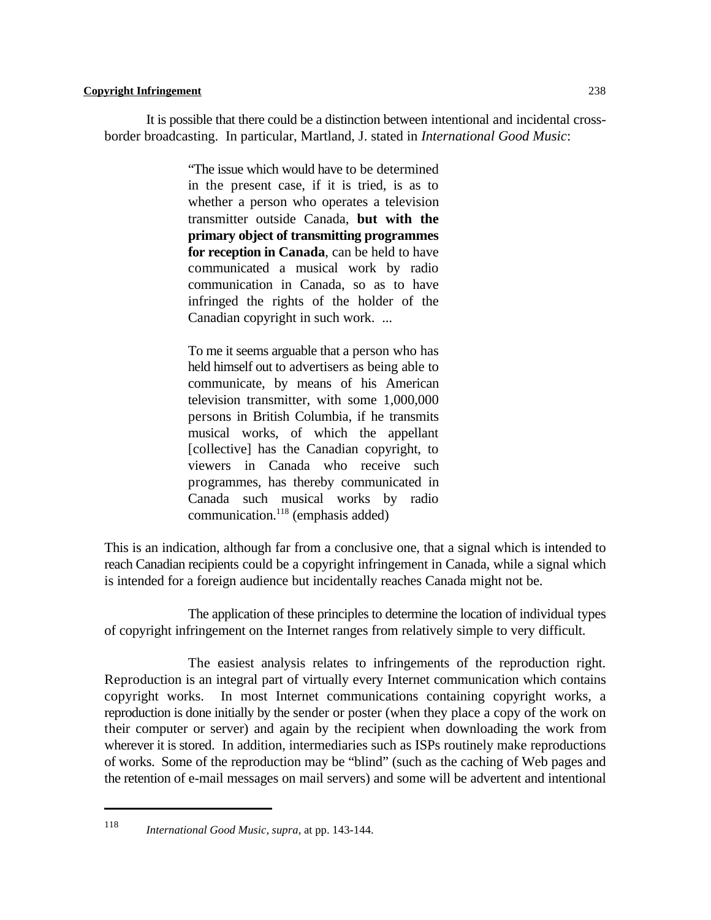It is possible that there could be a distinction between intentional and incidental crossborder broadcasting. In particular, Martland, J. stated in *International Good Music*:

> "The issue which would have to be determined in the present case, if it is tried, is as to whether a person who operates a television transmitter outside Canada, **but with the primary object of transmitting programmes for reception in Canada**, can be held to have communicated a musical work by radio communication in Canada, so as to have infringed the rights of the holder of the Canadian copyright in such work. ...

> To me it seems arguable that a person who has held himself out to advertisers as being able to communicate, by means of his American television transmitter, with some 1,000,000 persons in British Columbia, if he transmits musical works, of which the appellant [collective] has the Canadian copyright, to viewers in Canada who receive such programmes, has thereby communicated in Canada such musical works by radio  $communication.<sup>118</sup> (emphasis added)$

This is an indication, although far from a conclusive one, that a signal which is intended to reach Canadian recipients could be a copyright infringement in Canada, while a signal which is intended for a foreign audience but incidentally reaches Canada might not be.

The application of these principles to determine the location of individual types of copyright infringement on the Internet ranges from relatively simple to very difficult.

The easiest analysis relates to infringements of the reproduction right. Reproduction is an integral part of virtually every Internet communication which contains copyright works. In most Internet communications containing copyright works, a reproduction is done initially by the sender or poster (when they place a copy of the work on their computer or server) and again by the recipient when downloading the work from wherever it is stored. In addition, intermediaries such as ISPs routinely make reproductions of works. Some of the reproduction may be "blind" (such as the caching of Web pages and the retention of e-mail messages on mail servers) and some will be advertent and intentional

<sup>118</sup> *International Good Music*, *supra*, at pp. 143-144.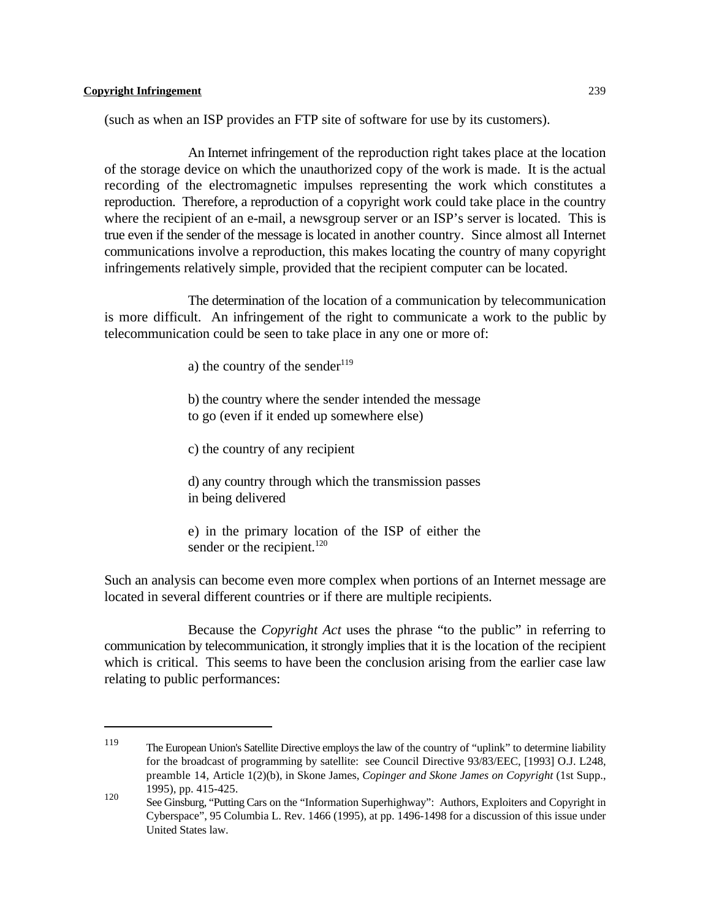(such as when an ISP provides an FTP site of software for use by its customers).

An Internet infringement of the reproduction right takes place at the location of the storage device on which the unauthorized copy of the work is made. It is the actual recording of the electromagnetic impulses representing the work which constitutes a reproduction. Therefore, a reproduction of a copyright work could take place in the country where the recipient of an e-mail, a newsgroup server or an ISP's server is located. This is true even if the sender of the message is located in another country. Since almost all Internet communications involve a reproduction, this makes locating the country of many copyright infringements relatively simple, provided that the recipient computer can be located.

The determination of the location of a communication by telecommunication is more difficult. An infringement of the right to communicate a work to the public by telecommunication could be seen to take place in any one or more of:

a) the country of the sender<sup>119</sup>

b) the country where the sender intended the message to go (even if it ended up somewhere else)

c) the country of any recipient

d) any country through which the transmission passes in being delivered

e) in the primary location of the ISP of either the sender or the recipient.<sup>120</sup>

Such an analysis can become even more complex when portions of an Internet message are located in several different countries or if there are multiple recipients.

Because the *Copyright Act* uses the phrase "to the public" in referring to communication by telecommunication, it strongly implies that it is the location of the recipient which is critical. This seems to have been the conclusion arising from the earlier case law relating to public performances:

The European Union's Satellite Directive employs the law of the country of "uplink" to determine liability <sup>119</sup> for the broadcast of programming by satellite: see Council Directive 93/83/EEC, [1993] O.J. L248, preamble 14, Article 1(2)(b), in Skone James, *Copinger and Skone James on Copyright* (1st Supp., 1995), pp. 415-425.

See Ginsburg, "Putting Cars on the "Information Superhighway": Authors, Exploiters and Copyright in Cyberspace", 95 Columbia L. Rev. 1466 (1995), at pp. 1496-1498 for a discussion of this issue under United States law.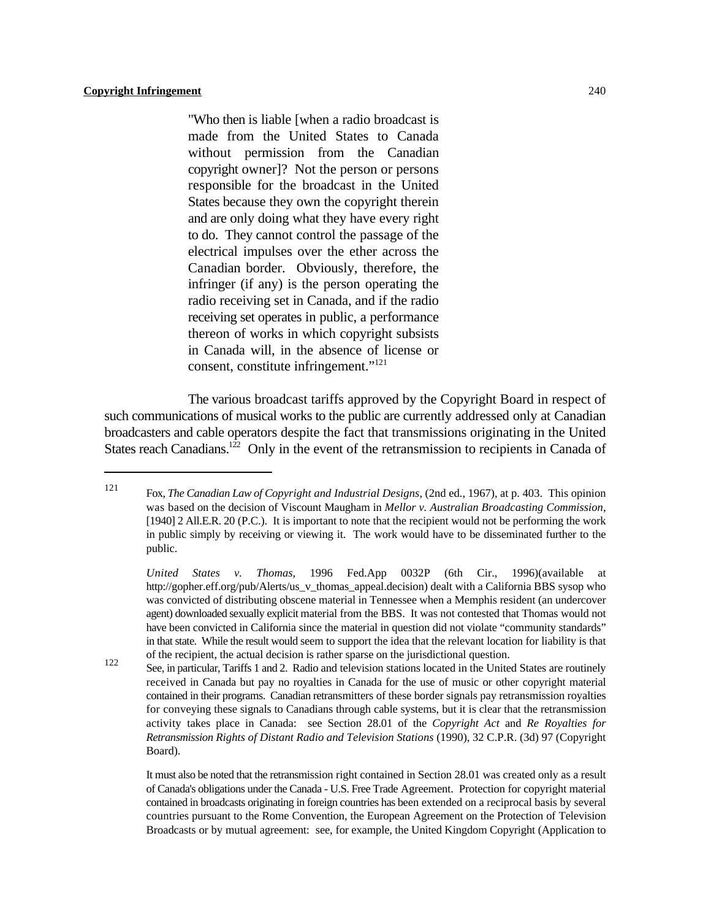"Who then is liable [when a radio broadcast is made from the United States to Canada without permission from the Canadian copyright owner]? Not the person or persons responsible for the broadcast in the United States because they own the copyright therein and are only doing what they have every right to do. They cannot control the passage of the electrical impulses over the ether across the Canadian border. Obviously, therefore, the infringer (if any) is the person operating the radio receiving set in Canada, and if the radio receiving set operates in public, a performance thereon of works in which copyright subsists in Canada will, in the absence of license or consent, constitute infringement."<sup>121</sup>

The various broadcast tariffs approved by the Copyright Board in respect of such communications of musical works to the public are currently addressed only at Canadian broadcasters and cable operators despite the fact that transmissions originating in the United States reach Canadians.<sup>122</sup> Only in the event of the retransmission to recipients in Canada of

Fox, *The Canadian Law of Copyright and Industrial Designs*, (2nd ed., 1967), at p. 403. This opinion <sup>121</sup> was based on the decision of Viscount Maugham in *Mellor v. Australian Broadcasting Commission*, [1940] 2 All.E.R. 20 (P.C.). It is important to note that the recipient would not be performing the work in public simply by receiving or viewing it. The work would have to be disseminated further to the public.

*United States v. Thomas*, 1996 Fed.App 0032P (6th Cir., 1996)(available at http://gopher.eff.org/pub/Alerts/us\_v\_thomas\_appeal.decision) dealt with a California BBS sysop who was convicted of distributing obscene material in Tennessee when a Memphis resident (an undercover agent) downloaded sexually explicit material from the BBS. It was not contested that Thomas would not have been convicted in California since the material in question did not violate "community standards" in that state. While the result would seem to support the idea that the relevant location for liability is that of the recipient, the actual decision is rather sparse on the jurisdictional question.

See, in particular, Tariffs 1 and 2. Radio and television stations located in the United States are routinely received in Canada but pay no royalties in Canada for the use of music or other copyright material contained in their programs. Canadian retransmitters of these border signals pay retransmission royalties for conveying these signals to Canadians through cable systems, but it is clear that the retransmission activity takes place in Canada: see Section 28.01 of the *Copyright Act* and *Re Royalties for Retransmission Rights of Distant Radio and Television Stations* (1990), 32 C.P.R. (3d) 97 (Copyright Board).

It must also be noted that the retransmission right contained in Section 28.01 was created only as a result of Canada's obligations under the Canada - U.S. Free Trade Agreement. Protection for copyright material contained in broadcasts originating in foreign countries has been extended on a reciprocal basis by several countries pursuant to the Rome Convention, the European Agreement on the Protection of Television Broadcasts or by mutual agreement: see, for example, the United Kingdom Copyright (Application to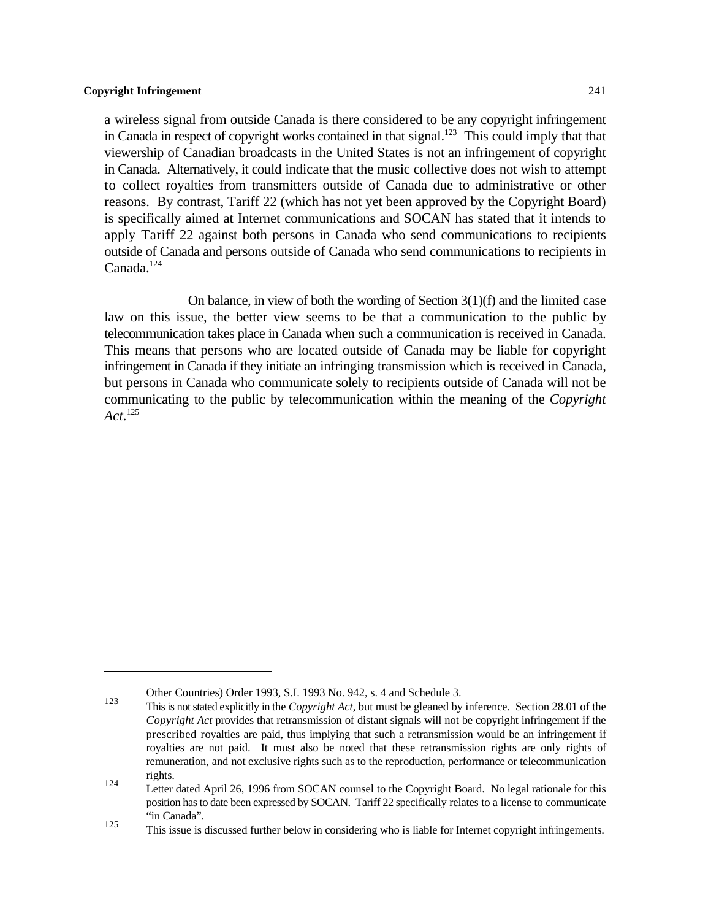a wireless signal from outside Canada is there considered to be any copyright infringement in Canada in respect of copyright works contained in that signal.<sup>123</sup> This could imply that that viewership of Canadian broadcasts in the United States is not an infringement of copyright in Canada. Alternatively, it could indicate that the music collective does not wish to attempt to collect royalties from transmitters outside of Canada due to administrative or other reasons. By contrast, Tariff 22 (which has not yet been approved by the Copyright Board) is specifically aimed at Internet communications and SOCAN has stated that it intends to apply Tariff 22 against both persons in Canada who send communications to recipients outside of Canada and persons outside of Canada who send communications to recipients in  $Canada.<sup>124</sup>$ 

On balance, in view of both the wording of Section 3(1)(f) and the limited case law on this issue, the better view seems to be that a communication to the public by telecommunication takes place in Canada when such a communication is received in Canada. This means that persons who are located outside of Canada may be liable for copyright infringement in Canada if they initiate an infringing transmission which is received in Canada, but persons in Canada who communicate solely to recipients outside of Canada will not be communicating to the public by telecommunication within the meaning of the *Copyright Act*. 125

Other Countries) Order 1993, S.I. 1993 No. 942, s. 4 and Schedule 3.

This is not stated explicitly in the *Copyright Act*, but must be gleaned by inference. Section 28.01 of the *Copyright Act* provides that retransmission of distant signals will not be copyright infringement if the prescribed royalties are paid, thus implying that such a retransmission would be an infringement if royalties are not paid. It must also be noted that these retransmission rights are only rights of remuneration, and not exclusive rights such as to the reproduction, performance or telecommunication rights.

Letter dated April 26, 1996 from SOCAN counsel to the Copyright Board. No legal rationale for this position has to date been expressed by SOCAN. Tariff 22 specifically relates to a license to communicate "in Canada".

This issue is discussed further below in considering who is liable for Internet copyright infringements.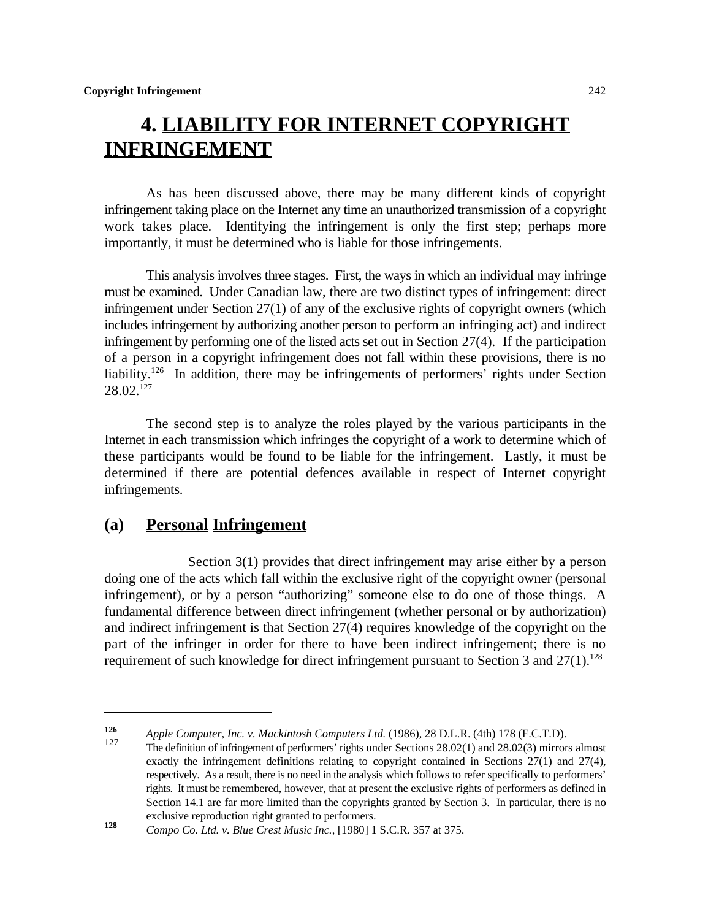# **4. LIABILITY FOR INTERNET COPYRIGHT INFRINGEMENT**

As has been discussed above, there may be many different kinds of copyright infringement taking place on the Internet any time an unauthorized transmission of a copyright work takes place. Identifying the infringement is only the first step; perhaps more importantly, it must be determined who is liable for those infringements.

This analysis involves three stages. First, the ways in which an individual may infringe must be examined. Under Canadian law, there are two distinct types of infringement: direct infringement under Section 27(1) of any of the exclusive rights of copyright owners (which includes infringement by authorizing another person to perform an infringing act) and indirect infringement by performing one of the listed acts set out in Section 27(4). If the participation of a person in a copyright infringement does not fall within these provisions, there is no liability.<sup>126</sup> In addition, there may be infringements of performers' rights under Section  $28.02.^{127}$ 

The second step is to analyze the roles played by the various participants in the Internet in each transmission which infringes the copyright of a work to determine which of these participants would be found to be liable for the infringement. Lastly, it must be determined if there are potential defences available in respect of Internet copyright infringements.

## **(a) Personal Infringement**

Section 3(1) provides that direct infringement may arise either by a person doing one of the acts which fall within the exclusive right of the copyright owner (personal infringement), or by a person "authorizing" someone else to do one of those things. A fundamental difference between direct infringement (whether personal or by authorization) and indirect infringement is that Section 27(4) requires knowledge of the copyright on the part of the infringer in order for there to have been indirect infringement; there is no requirement of such knowledge for direct infringement pursuant to Section 3 and  $27(1).^{128}$ 

*Apple Computer, Inc. v. Mackintosh Computers Ltd.* **(1986), 28 D.L.R. (4th) 178 (F.C.T.D). <b>126 126 126 126 126 126 126 126 126 126 126 126 126 126 126 126 126 126 126 126 126 12** 

The definition of infringement of performers' rights under Sections 28.02(1) and 28.02(3) mirrors almost exactly the infringement definitions relating to copyright contained in Sections 27(1) and 27(4), respectively. As a result, there is no need in the analysis which follows to refer specifically to performers' rights. It must be remembered, however, that at present the exclusive rights of performers as defined in Section 14.1 are far more limited than the copyrights granted by Section 3. In particular, there is no exclusive reproduction right granted to performers.

**Compo Co. Ltd. v. Blue Crest Music Inc., [1980] 1 S.C.R. 357 at 375.**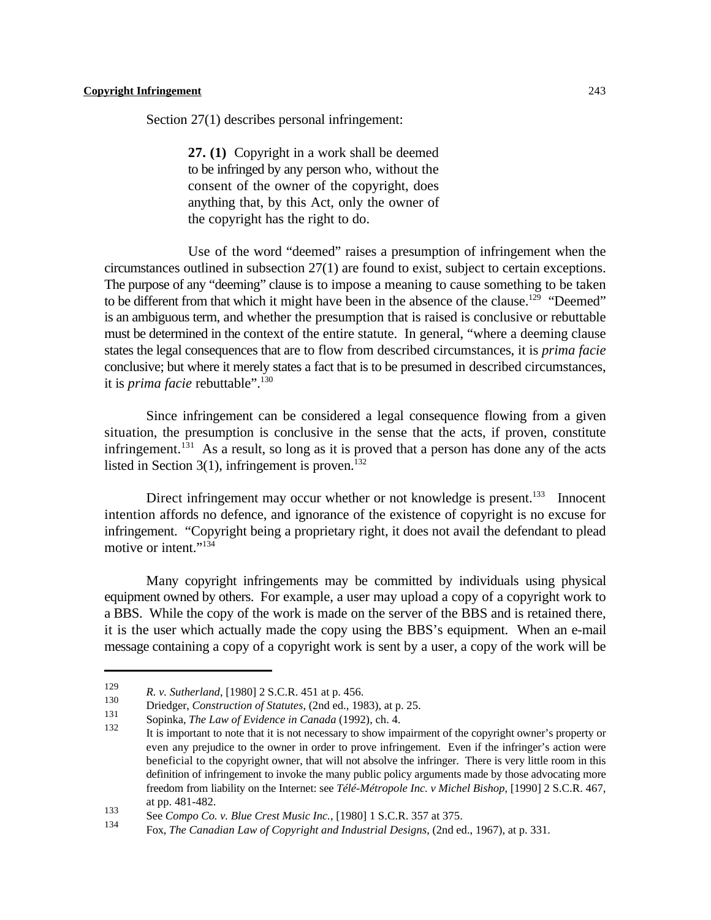Section 27(1) describes personal infringement:

**27. (1)** Copyright in a work shall be deemed to be infringed by any person who, without the consent of the owner of the copyright, does anything that, by this Act, only the owner of the copyright has the right to do.

Use of the word "deemed" raises a presumption of infringement when the circumstances outlined in subsection 27(1) are found to exist, subject to certain exceptions. The purpose of any "deeming" clause is to impose a meaning to cause something to be taken to be different from that which it might have been in the absence of the clause.<sup>129</sup> "Deemed" is an ambiguous term, and whether the presumption that is raised is conclusive or rebuttable must be determined in the context of the entire statute. In general, "where a deeming clause states the legal consequences that are to flow from described circumstances, it is *prima facie* conclusive; but where it merely states a fact that is to be presumed in described circumstances, it is *prima facie* rebuttable".<sup>130</sup>

Since infringement can be considered a legal consequence flowing from a given situation, the presumption is conclusive in the sense that the acts, if proven, constitute infringement.<sup>131</sup> As a result, so long as it is proved that a person has done any of the acts listed in Section  $3(1)$ , infringement is proven.<sup>132</sup>

Direct infringement may occur whether or not knowledge is present.<sup>133</sup> Innocent intention affords no defence, and ignorance of the existence of copyright is no excuse for infringement. "Copyright being a proprietary right, it does not avail the defendant to plead motive or intent."<sup>134</sup>

Many copyright infringements may be committed by individuals using physical equipment owned by others. For example, a user may upload a copy of a copyright work to a BBS. While the copy of the work is made on the server of the BBS and is retained there, it is the user which actually made the copy using the BBS's equipment. When an e-mail message containing a copy of a copyright work is sent by a user, a copy of the work will be

<sup>&</sup>lt;sup>129</sup> *R. v. Sutherland*, [1980] 2 S.C.R. 451 at p. 456.

<sup>&</sup>lt;sup>130</sup> Driedger, *Construction of Statutes*, (2nd ed., 1983), at p. 25.

Sopinka, *The Law of Evidence in Canada* (1992), ch. 4.

It is important to note that it is not necessary to show impairment of the copyright owner's property or even any prejudice to the owner in order to prove infringement. Even if the infringer's action were beneficial to the copyright owner, that will not absolve the infringer. There is very little room in this definition of infringement to invoke the many public policy arguments made by those advocating more freedom from liability on the Internet: see *Télé-Métropole Inc. v Michel Bishop*, [1990] 2 S.C.R. 467, at pp. 481-482.

<sup>133&</sup>lt;br>
See *Compo Co. v. Blue Crest Music Inc.*, [1980] 1 S.C.R. 357 at 375.<br>
The *Component of Component Material* Component Component Component Component Component Component Component Component

Fox, *The Canadian Law of Copyright and Industrial Designs*, (2nd ed., 1967), at p. 331.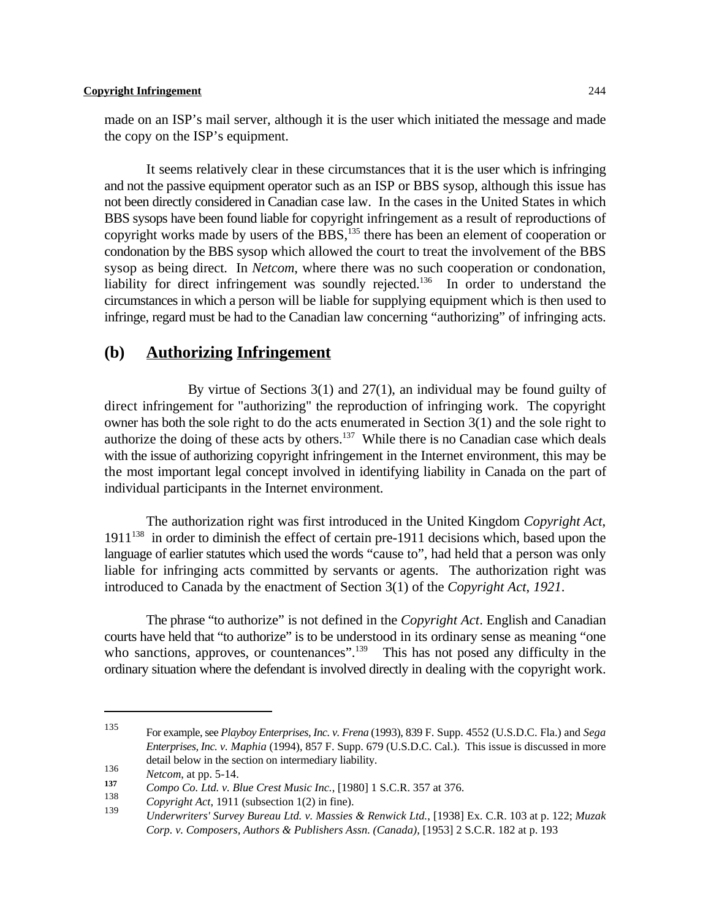made on an ISP's mail server, although it is the user which initiated the message and made the copy on the ISP's equipment.

It seems relatively clear in these circumstances that it is the user which is infringing and not the passive equipment operator such as an ISP or BBS sysop, although this issue has not been directly considered in Canadian case law. In the cases in the United States in which BBS sysops have been found liable for copyright infringement as a result of reproductions of copyright works made by users of the BBS,  $135$  there has been an element of cooperation or condonation by the BBS sysop which allowed the court to treat the involvement of the BBS sysop as being direct. In *Netcom*, where there was no such cooperation or condonation, liability for direct infringement was soundly rejected.<sup>136</sup> In order to understand the circumstances in which a person will be liable for supplying equipment which is then used to infringe, regard must be had to the Canadian law concerning "authorizing" of infringing acts.

## **(b) Authorizing Infringement**

By virtue of Sections 3(1) and 27(1), an individual may be found guilty of direct infringement for "authorizing" the reproduction of infringing work. The copyright owner has both the sole right to do the acts enumerated in Section 3(1) and the sole right to authorize the doing of these acts by others. <sup>137</sup> While there is no Canadian case which deals with the issue of authorizing copyright infringement in the Internet environment, this may be the most important legal concept involved in identifying liability in Canada on the part of individual participants in the Internet environment.

The authorization right was first introduced in the United Kingdom *Copyright Act*,  $1911^{138}$  in order to diminish the effect of certain pre-1911 decisions which, based upon the language of earlier statutes which used the words "cause to", had held that a person was only liable for infringing acts committed by servants or agents. The authorization right was introduced to Canada by the enactment of Section 3(1) of the *Copyright Act*, *1921*.

The phrase "to authorize" is not defined in the *Copyright Act*. English and Canadian courts have held that "to authorize" is to be understood in its ordinary sense as meaning "one who sanctions, approves, or countenances".<sup>139</sup> This has not posed any difficulty in the ordinary situation where the defendant is involved directly in dealing with the copyright work.

For example, see *Playboy Enterprises, Inc. v. Frena* (1993), 839 F. Supp. 4552 (U.S.D.C. Fla.) and *Sega* <sup>135</sup> *Enterprises, Inc. v. Maphia* (1994), 857 F. Supp. 679 (U.S.D.C. Cal.). This issue is discussed in more detail below in the section on intermediary liability.

<sup>136</sup> *Netcom*, at pp. 5-14.<br>137 *Compe Co. 144 u. B* 

**Compo Co. Ltd. v. Blue Crest Music Inc.**, [1980] 1 S.C.R. 357 at 376.

 $Copyright$  Act, 1911 (subsection 1(2) in fine).

*Underwriters' Survey Bureau Ltd. v. Massies & Renwick Ltd.*, [1938] Ex. C.R. 103 at p. 122; *Muzak* <sup>139</sup> *Corp. v. Composers, Authors & Publishers Assn. (Canada),* [1953] 2 S.C.R. 182 at p. 193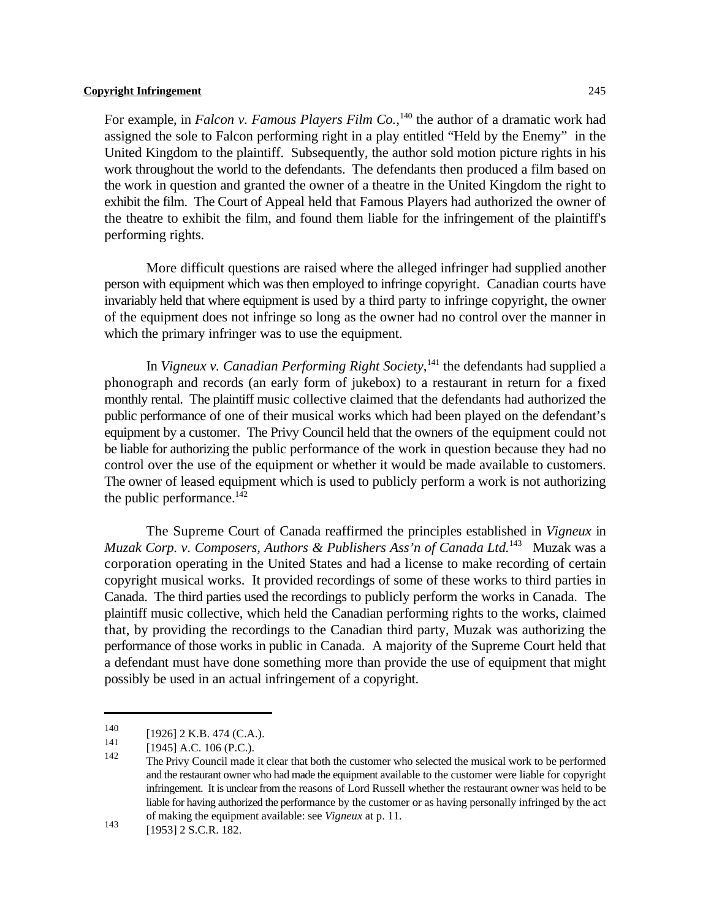For example, in *Falcon v. Famous Players Film Co.*,<sup>140</sup> the author of a dramatic work had assigned the sole to Falcon performing right in a play entitled "Held by the Enemy" in the United Kingdom to the plaintiff. Subsequently, the author sold motion picture rights in his work throughout the world to the defendants. The defendants then produced a film based on the work in question and granted the owner of a theatre in the United Kingdom the right to exhibit the film. The Court of Appeal held that Famous Players had authorized the owner of the theatre to exhibit the film, and found them liable for the infringement of the plaintiff's performing rights.

More difficult questions are raised where the alleged infringer had supplied another person with equipment which was then employed to infringe copyright. Canadian courts have invariably held that where equipment is used by a third party to infringe copyright, the owner of the equipment does not infringe so long as the owner had no control over the manner in which the primary infringer was to use the equipment.

In *Vigneux v. Canadian Performing Right Society*,<sup>141</sup> the defendants had supplied a phonograph and records (an early form of jukebox) to a restaurant in return for a fixed monthly rental. The plaintiff music collective claimed that the defendants had authorized the public performance of one of their musical works which had been played on the defendant's equipment by a customer. The Privy Council held that the owners of the equipment could not be liable for authorizing the public performance of the work in question because they had no control over the use of the equipment or whether it would be made available to customers. The owner of leased equipment which is used to publicly perform a work is not authorizing the public performance. $^{142}$ 

The Supreme Court of Canada reaffirmed the principles established in *Vigneux* in *Muzak Corp. v. Composers, Authors & Publishers Ass'n of Canada Ltd.* <sup>143</sup> Muzak was a corporation operating in the United States and had a license to make recording of certain copyright musical works. It provided recordings of some of these works to third parties in Canada. The third parties used the recordings to publicly perform the works in Canada. The plaintiff music collective, which held the Canadian performing rights to the works, claimed that, by providing the recordings to the Canadian third party, Muzak was authorizing the performance of those works in public in Canada. A majority of the Supreme Court held that a defendant must have done something more than provide the use of equipment that might possibly be used in an actual infringement of a copyright.

 $\begin{bmatrix} 140 \\ 141 \end{bmatrix}$  [1926] 2 K.B. 474 (C.A.).

 $\begin{bmatrix} 1941 \\ 142 \end{bmatrix}$  [1945] A.C. 106 (P.C.).

The Privy Council made it clear that both the customer who selected the musical work to be performed and the restaurant owner who had made the equipment available to the customer were liable for copyright infringement. It is unclear from the reasons of Lord Russell whether the restaurant owner was held to be liable for having authorized the performance by the customer or as having personally infringed by the act of making the equipment available: see *Vigneux* at p. 11.

<sup>143 [1953] 2</sup> S.C.R. 182.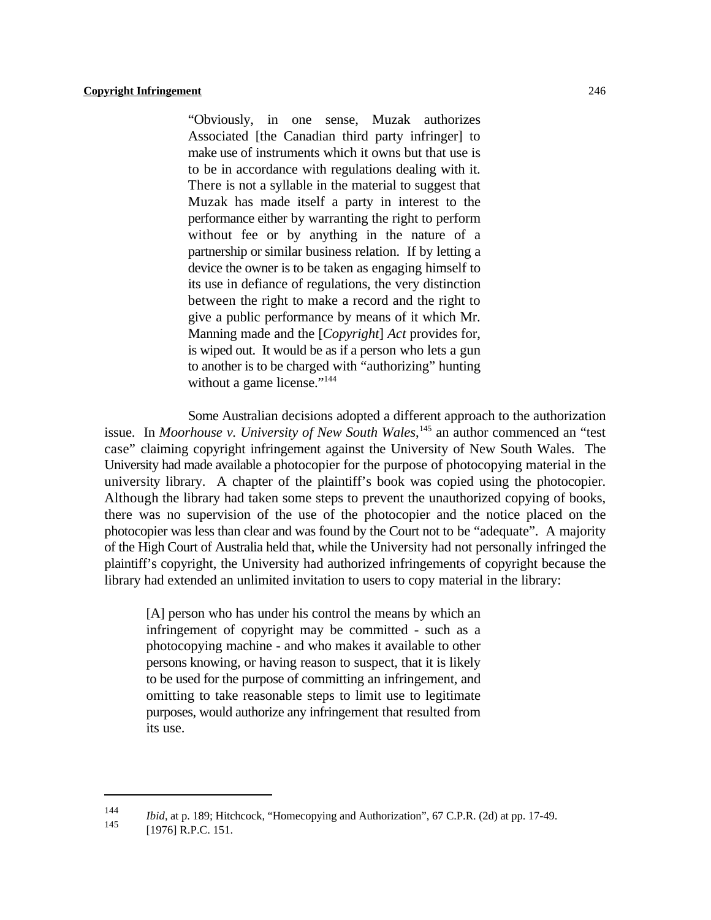"Obviously, in one sense, Muzak authorizes Associated [the Canadian third party infringer] to make use of instruments which it owns but that use is to be in accordance with regulations dealing with it. There is not a syllable in the material to suggest that Muzak has made itself a party in interest to the performance either by warranting the right to perform without fee or by anything in the nature of a partnership or similar business relation. If by letting a device the owner is to be taken as engaging himself to its use in defiance of regulations, the very distinction between the right to make a record and the right to give a public performance by means of it which Mr. Manning made and the [*Copyright*] *Act* provides for, is wiped out. It would be as if a person who lets a gun to another is to be charged with "authorizing" hunting without a game license."<sup>144</sup>

Some Australian decisions adopted a different approach to the authorization issue. In *Moorhouse v. University of New South Wales*,<sup>145</sup> an author commenced an "test case" claiming copyright infringement against the University of New South Wales. The University had made available a photocopier for the purpose of photocopying material in the university library. A chapter of the plaintiff's book was copied using the photocopier. Although the library had taken some steps to prevent the unauthorized copying of books, there was no supervision of the use of the photocopier and the notice placed on the photocopier was less than clear and was found by the Court not to be "adequate". A majority of the High Court of Australia held that, while the University had not personally infringed the plaintiff's copyright, the University had authorized infringements of copyright because the library had extended an unlimited invitation to users to copy material in the library:

[A] person who has under his control the means by which an infringement of copyright may be committed - such as a photocopying machine - and who makes it available to other persons knowing, or having reason to suspect, that it is likely to be used for the purpose of committing an infringement, and omitting to take reasonable steps to limit use to legitimate purposes, would authorize any infringement that resulted from its use.

*Ibid*, at p. 189; Hitchcock, "Homecopying and Authorization", 67 C.P.R. (2d) at pp. 17-49.

<sup>[1976]</sup> R.P.C. 151.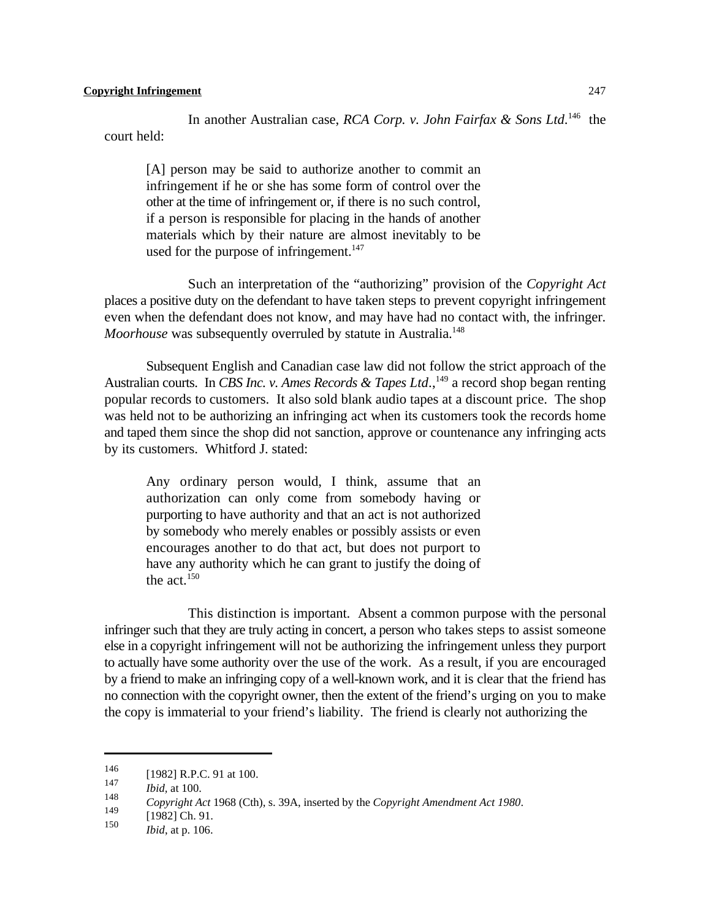In another Australian case, *RCA Corp. v. John Fairfax & Sons Ltd*.<sup>146</sup> the court held:

[A] person may be said to authorize another to commit an infringement if he or she has some form of control over the other at the time of infringement or, if there is no such control, if a person is responsible for placing in the hands of another materials which by their nature are almost inevitably to be used for the purpose of infringement. $147$ 

Such an interpretation of the "authorizing" provision of the *Copyright Act* places a positive duty on the defendant to have taken steps to prevent copyright infringement even when the defendant does not know, and may have had no contact with, the infringer. *Moorhouse* was subsequently overruled by statute in Australia.<sup>148</sup>

Subsequent English and Canadian case law did not follow the strict approach of the Australian courts. In *CBS Inc. v. Ames Records & Tapes Ltd.*, <sup>149</sup> a record shop began renting popular records to customers. It also sold blank audio tapes at a discount price. The shop was held not to be authorizing an infringing act when its customers took the records home and taped them since the shop did not sanction, approve or countenance any infringing acts by its customers. Whitford J. stated:

Any ordinary person would, I think, assume that an authorization can only come from somebody having or purporting to have authority and that an act is not authorized by somebody who merely enables or possibly assists or even encourages another to do that act, but does not purport to have any authority which he can grant to justify the doing of the act. $150$ 

This distinction is important. Absent a common purpose with the personal infringer such that they are truly acting in concert, a person who takes steps to assist someone else in a copyright infringement will not be authorizing the infringement unless they purport to actually have some authority over the use of the work. As a result, if you are encouraged by a friend to make an infringing copy of a well-known work, and it is clear that the friend has no connection with the copyright owner, then the extent of the friend's urging on you to make the copy is immaterial to your friend's liability. The friend is clearly not authorizing the

 $\frac{146}{147}$  [1982] R.P.C. 91 at 100.

*Ibid.* at 100. 148

*Copyright Act* 1968 (Cth), s. 39A, inserted by the *Copyright Amendment Act 1980*.

 $\begin{array}{r} \n 149 \\
\hline\n 150\n \end{array}$  [1982] Ch. 91.

*Ibid*, at p. 106.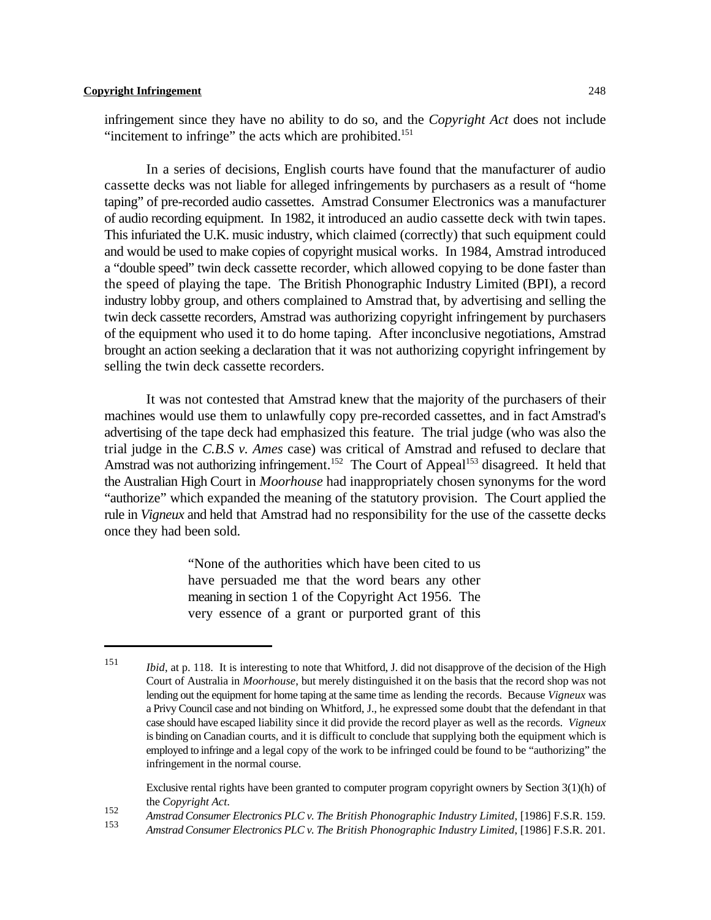infringement since they have no ability to do so, and the *Copyright Act* does not include "incitement to infringe" the acts which are prohibited.<sup>151</sup>

In a series of decisions, English courts have found that the manufacturer of audio cassette decks was not liable for alleged infringements by purchasers as a result of "home taping" of pre-recorded audio cassettes. Amstrad Consumer Electronics was a manufacturer of audio recording equipment. In 1982, it introduced an audio cassette deck with twin tapes. This infuriated the U.K. music industry, which claimed (correctly) that such equipment could and would be used to make copies of copyright musical works. In 1984, Amstrad introduced a "double speed" twin deck cassette recorder, which allowed copying to be done faster than the speed of playing the tape. The British Phonographic Industry Limited (BPI), a record industry lobby group, and others complained to Amstrad that, by advertising and selling the twin deck cassette recorders, Amstrad was authorizing copyright infringement by purchasers of the equipment who used it to do home taping. After inconclusive negotiations, Amstrad brought an action seeking a declaration that it was not authorizing copyright infringement by selling the twin deck cassette recorders.

It was not contested that Amstrad knew that the majority of the purchasers of their machines would use them to unlawfully copy pre-recorded cassettes, and in fact Amstrad's advertising of the tape deck had emphasized this feature. The trial judge (who was also the trial judge in the *C.B.S v. Ames* case) was critical of Amstrad and refused to declare that Amstrad was not authorizing infringement.<sup>152</sup> The Court of Appeal<sup>153</sup> disagreed. It held that the Australian High Court in *Moorhouse* had inappropriately chosen synonyms for the word "authorize" which expanded the meaning of the statutory provision. The Court applied the rule in *Vigneux* and held that Amstrad had no responsibility for the use of the cassette decks once they had been sold.

> "None of the authorities which have been cited to us have persuaded me that the word bears any other meaning in section 1 of the Copyright Act 1956. The very essence of a grant or purported grant of this

Exclusive rental rights have been granted to computer program copyright owners by Section 3(1)(h) of the *Copyright Act*.

*Amstrad Consumer Electronics PLC v. The British Phonographic Industry Limited*, [1986] F.S.R. 159. <sup>152</sup>

*Ibid*, at p. 118. It is interesting to note that Whitford, J. did not disapprove of the decision of the High Court of Australia in *Moorhouse*, but merely distinguished it on the basis that the record shop was not lending out the equipment for home taping at the same time as lending the records. Because *Vigneux* was a Privy Council case and not binding on Whitford, J., he expressed some doubt that the defendant in that case should have escaped liability since it did provide the record player as well as the records. *Vigneux* is binding on Canadian courts, and it is difficult to conclude that supplying both the equipment which is employed to infringe and a legal copy of the work to be infringed could be found to be "authorizing" the infringement in the normal course.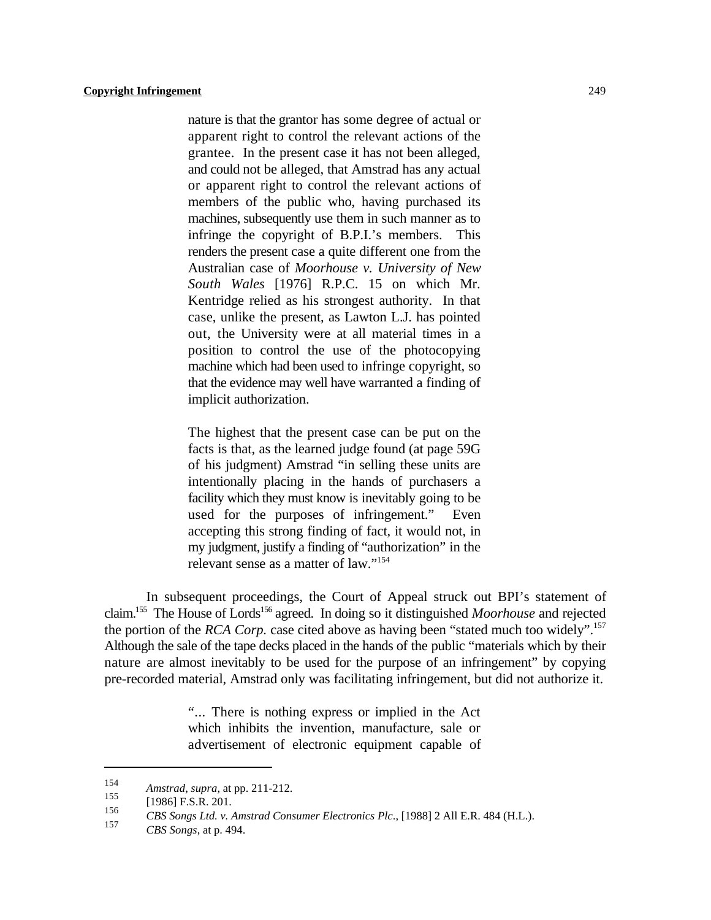nature is that the grantor has some degree of actual or apparent right to control the relevant actions of the grantee. In the present case it has not been alleged, and could not be alleged, that Amstrad has any actual or apparent right to control the relevant actions of members of the public who, having purchased its machines, subsequently use them in such manner as to infringe the copyright of B.P.I.'s members. This renders the present case a quite different one from the Australian case of *Moorhouse v. University of New South Wales* [1976] R.P.C. 15 on which Mr. Kentridge relied as his strongest authority. In that case, unlike the present, as Lawton L.J. has pointed out, the University were at all material times in a position to control the use of the photocopying machine which had been used to infringe copyright, so that the evidence may well have warranted a finding of implicit authorization.

The highest that the present case can be put on the facts is that, as the learned judge found (at page 59G of his judgment) Amstrad "in selling these units are intentionally placing in the hands of purchasers a facility which they must know is inevitably going to be used for the purposes of infringement." Even accepting this strong finding of fact, it would not, in my judgment, justify a finding of "authorization" in the relevant sense as a matter of law."<sup>154</sup>

In subsequent proceedings, the Court of Appeal struck out BPI's statement of claim.<sup>155</sup> The House of Lords<sup>156</sup> agreed. In doing so it distinguished *Moorhouse* and rejected the portion of the *RCA Corp*. case cited above as having been "stated much too widely".<sup>157</sup> Although the sale of the tape decks placed in the hands of the public "materials which by their nature are almost inevitably to be used for the purpose of an infringement" by copying pre-recorded material, Amstrad only was facilitating infringement, but did not authorize it.

> "... There is nothing express or implied in the Act which inhibits the invention, manufacture, sale or advertisement of electronic equipment capable of

*Amstrad, supra, at pp. 211-212.*<br>155 *Amstrad, supra, at pp. 211-212.* 

 $[1986]$  F.S.R. 201.

<sup>&</sup>lt;sup>156</sup> CBS Songs Ltd. v. Amstrad Consumer Electronics Plc., [1988] 2 All E.R. 484 (H.L.).

*CBS Songs*, at p. 494.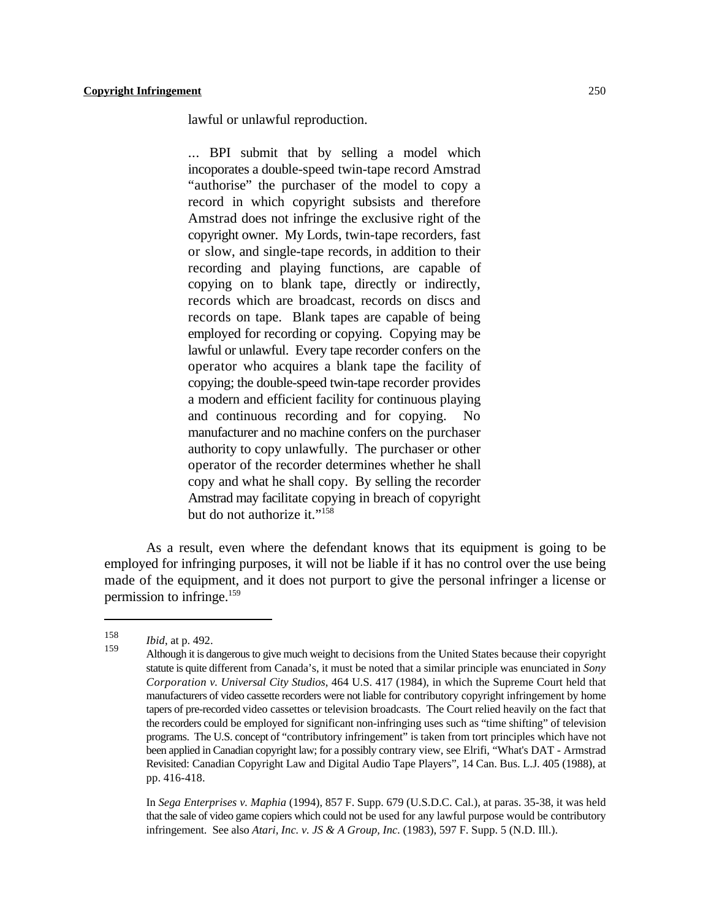lawful or unlawful reproduction.

... BPI submit that by selling a model which incoporates a double-speed twin-tape record Amstrad "authorise" the purchaser of the model to copy a record in which copyright subsists and therefore Amstrad does not infringe the exclusive right of the copyright owner. My Lords, twin-tape recorders, fast or slow, and single-tape records, in addition to their recording and playing functions, are capable of copying on to blank tape, directly or indirectly, records which are broadcast, records on discs and records on tape. Blank tapes are capable of being employed for recording or copying. Copying may be lawful or unlawful. Every tape recorder confers on the operator who acquires a blank tape the facility of copying; the double-speed twin-tape recorder provides a modern and efficient facility for continuous playing and continuous recording and for copying. No manufacturer and no machine confers on the purchaser authority to copy unlawfully. The purchaser or other operator of the recorder determines whether he shall copy and what he shall copy. By selling the recorder Amstrad may facilitate copying in breach of copyright but do not authorize it."<sup>158</sup>

As a result, even where the defendant knows that its equipment is going to be employed for infringing purposes, it will not be liable if it has no control over the use being made of the equipment, and it does not purport to give the personal infringer a license or permission to infringe. $159$ 

In *Sega Enterprises v. Maphia* (1994), 857 F. Supp. 679 (U.S.D.C. Cal.), at paras. 35-38, it was held that the sale of video game copiers which could not be used for any lawful purpose would be contributory infringement. See also *Atari, Inc. v. JS & A Group, Inc.* (1983), 597 F. Supp. 5 (N.D. Ill.).

<sup>158</sup> *Ibid*, at p. 492.

Although it is dangerous to give much weight to decisions from the United States because their copyright <sup>159</sup> statute is quite different from Canada's, it must be noted that a similar principle was enunciated in *Sony Corporation v. Universal City Studios*, 464 U.S. 417 (1984), in which the Supreme Court held that manufacturers of video cassette recorders were not liable for contributory copyright infringement by home tapers of pre-recorded video cassettes or television broadcasts. The Court relied heavily on the fact that the recorders could be employed for significant non-infringing uses such as "time shifting" of television programs. The U.S. concept of "contributory infringement" is taken from tort principles which have not been applied in Canadian copyright law; for a possibly contrary view, see Elrifi, "What's DAT - Armstrad Revisited: Canadian Copyright Law and Digital Audio Tape Players", 14 Can. Bus. L.J. 405 (1988), at pp. 416-418.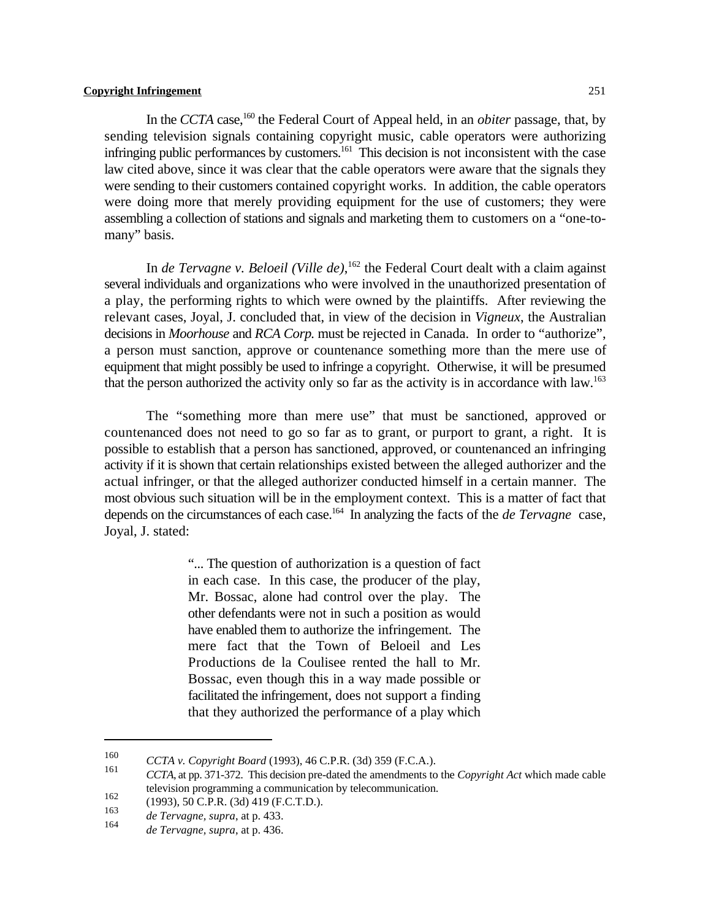In the *CCTA* case,<sup>160</sup> the Federal Court of Appeal held, in an *obiter* passage, that, by sending television signals containing copyright music, cable operators were authorizing infringing public performances by customers.<sup>161</sup> This decision is not inconsistent with the case law cited above, since it was clear that the cable operators were aware that the signals they were sending to their customers contained copyright works. In addition, the cable operators were doing more that merely providing equipment for the use of customers; they were assembling a collection of stations and signals and marketing them to customers on a "one-tomany" basis.

In *de Tervagne v. Beloeil (Ville de)*, <sup>162</sup> the Federal Court dealt with a claim against several individuals and organizations who were involved in the unauthorized presentation of a play, the performing rights to which were owned by the plaintiffs. After reviewing the relevant cases, Joyal, J. concluded that, in view of the decision in *Vigneux*, the Australian decisions in *Moorhouse* and *RCA Corp.* must be rejected in Canada. In order to "authorize", a person must sanction, approve or countenance something more than the mere use of equipment that might possibly be used to infringe a copyright. Otherwise, it will be presumed that the person authorized the activity only so far as the activity is in accordance with law.<sup>163</sup>

The "something more than mere use" that must be sanctioned, approved or countenanced does not need to go so far as to grant, or purport to grant, a right. It is possible to establish that a person has sanctioned, approved, or countenanced an infringing activity if it is shown that certain relationships existed between the alleged authorizer and the actual infringer, or that the alleged authorizer conducted himself in a certain manner. The most obvious such situation will be in the employment context. This is a matter of fact that depends on the circumstances of each case.<sup>164</sup> In analyzing the facts of the *de Tervagne* case, Joyal, J. stated:

> "... The question of authorization is a question of fact in each case. In this case, the producer of the play, Mr. Bossac, alone had control over the play. The other defendants were not in such a position as would have enabled them to authorize the infringement. The mere fact that the Town of Beloeil and Les Productions de la Coulisee rented the hall to Mr. Bossac, even though this in a way made possible or facilitated the infringement, does not support a finding that they authorized the performance of a play which

<sup>160</sup> *CCTA v. Copyright Board* (1993), 46 C.P.R. (3d) 359 (F.C.A.).

*CCTA*, at pp. 371-372. This decision pre-dated the amendments to the *Copyright Act* which made cable television programming a communication by telecommunication.

<sup>162 (1993), 50</sup> C.P.R. (3d) 419 (F.C.T.D.).

*de Tervagne, supra*, at p. 433. <sup>163</sup>

*de Tervagne, supra, at p. 436.*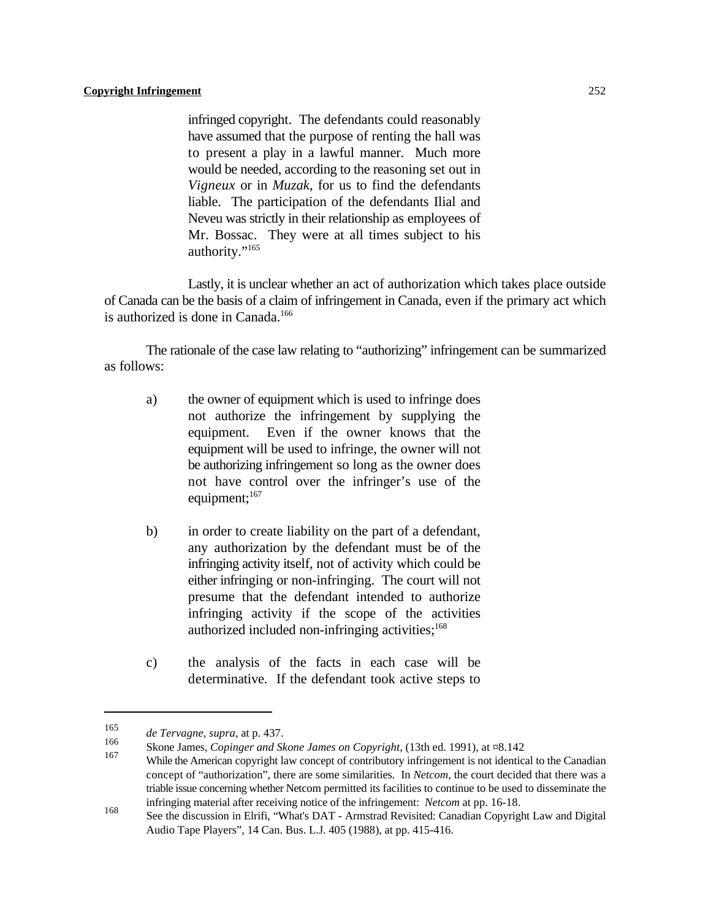infringed copyright. The defendants could reasonably have assumed that the purpose of renting the hall was to present a play in a lawful manner. Much more would be needed, according to the reasoning set out in *Vigneux* or in *Muzak*, for us to find the defendants liable. The participation of the defendants Ilial and Neveu was strictly in their relationship as employees of Mr. Bossac. They were at all times subject to his authority."<sup>165</sup>

Lastly, it is unclear whether an act of authorization which takes place outside of Canada can be the basis of a claim of infringement in Canada, even if the primary act which is authorized is done in Canada.<sup>166</sup>

The rationale of the case law relating to "authorizing" infringement can be summarized as follows:

- a) the owner of equipment which is used to infringe does not authorize the infringement by supplying the equipment. Even if the owner knows that the equipment will be used to infringe, the owner will not be authorizing infringement so long as the owner does not have control over the infringer's use of the equipment; $167$
- b) in order to create liability on the part of a defendant, any authorization by the defendant must be of the infringing activity itself, not of activity which could be either infringing or non-infringing. The court will not presume that the defendant intended to authorize infringing activity if the scope of the activities authorized included non-infringing activities; $168$
- c) the analysis of the facts in each case will be determinative. If the defendant took active steps to

*de Tervagne, supra*, at p. 437. <sup>165</sup>

<sup>&</sup>lt;sup>166</sup> Skone James, *Copinger and Skone James on Copyright*, (13th ed. 1991), at ¤8.142

While the American copyright law concept of contributory infringement is not identical to the Canadian concept of "authorization", there are some similarities. In *Netcom*, the court decided that there was a triable issue concerning whether Netcom permitted its facilities to continue to be used to disseminate the infringing material after receiving notice of the infringement: *Netcom* at pp. 16-18.

See the discussion in Elrifi, "What's DAT - Armstrad Revisited: Canadian Copyright Law and Digital Audio Tape Players", 14 Can. Bus. L.J. 405 (1988), at pp. 415-416.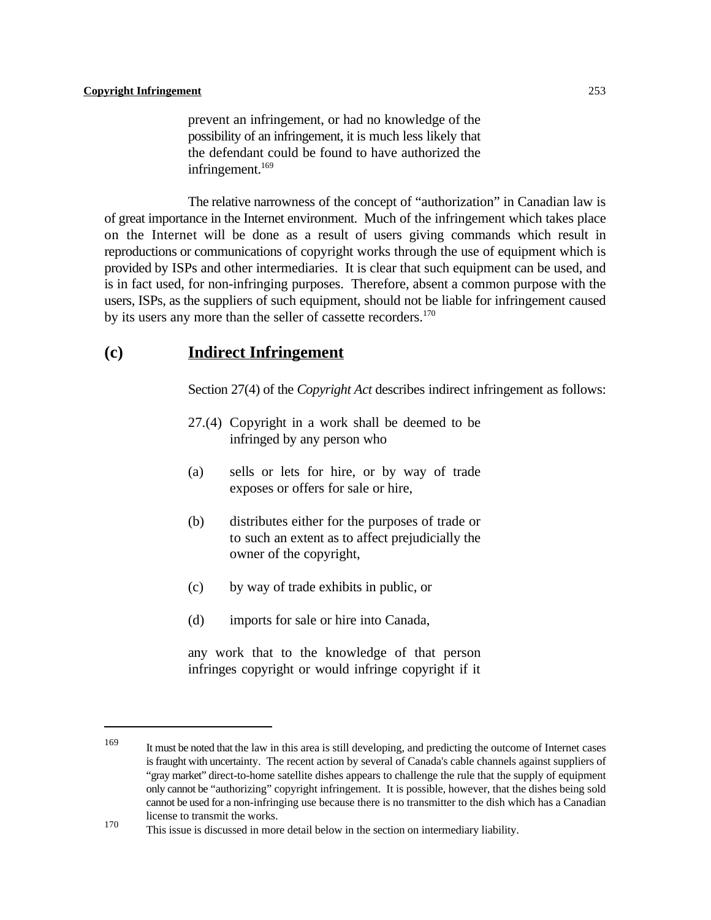prevent an infringement, or had no knowledge of the possibility of an infringement, it is much less likely that the defendant could be found to have authorized the infringement.<sup>169</sup>

The relative narrowness of the concept of "authorization" in Canadian law is of great importance in the Internet environment. Much of the infringement which takes place on the Internet will be done as a result of users giving commands which result in reproductions or communications of copyright works through the use of equipment which is provided by ISPs and other intermediaries. It is clear that such equipment can be used, and is in fact used, for non-infringing purposes. Therefore, absent a common purpose with the users, ISPs, as the suppliers of such equipment, should not be liable for infringement caused by its users any more than the seller of cassette recorders.<sup>170</sup>

# **(c) Indirect Infringement**

Section 27(4) of the *Copyright Act* describes indirect infringement as follows:

- 27.(4) Copyright in a work shall be deemed to be infringed by any person who
- (a) sells or lets for hire, or by way of trade exposes or offers for sale or hire,
- (b) distributes either for the purposes of trade or to such an extent as to affect prejudicially the owner of the copyright,
- (c) by way of trade exhibits in public, or
- (d) imports for sale or hire into Canada,

any work that to the knowledge of that person infringes copyright or would infringe copyright if it

<sup>&</sup>lt;sup>169</sup> It must be noted that the law in this area is still developing, and predicting the outcome of Internet cases is fraught with uncertainty. The recent action by several of Canada's cable channels against suppliers of "gray market" direct-to-home satellite dishes appears to challenge the rule that the supply of equipment only cannot be "authorizing" copyright infringement. It is possible, however, that the dishes being sold cannot be used for a non-infringing use because there is no transmitter to the dish which has a Canadian license to transmit the works.

This issue is discussed in more detail below in the section on intermediary liability.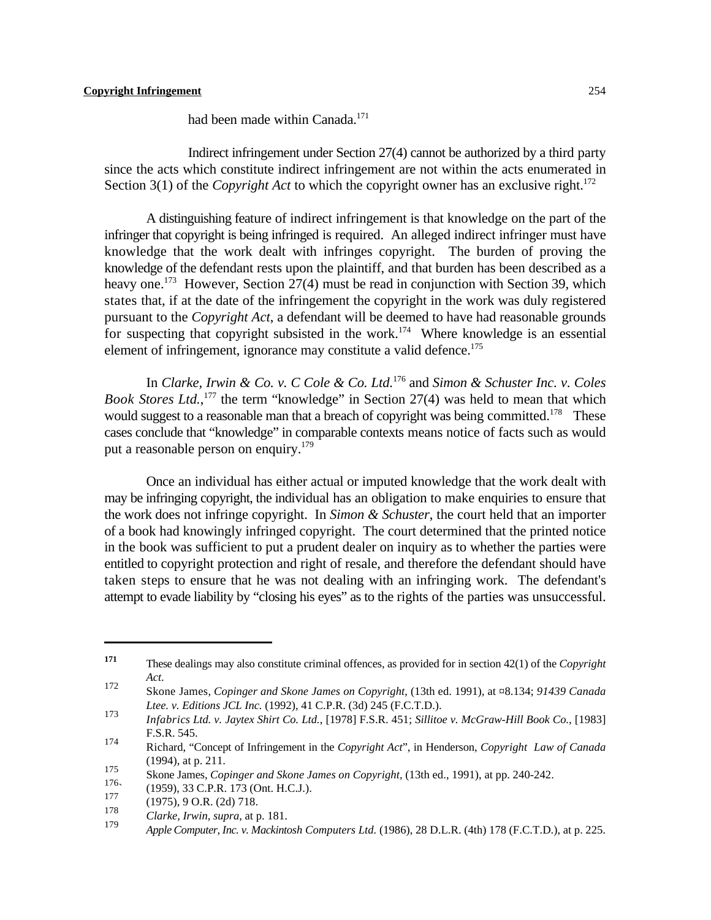had been made within Canada.<sup>171</sup>

Indirect infringement under Section 27(4) cannot be authorized by a third party since the acts which constitute indirect infringement are not within the acts enumerated in Section 3(1) of the *Copyright Act* to which the copyright owner has an exclusive right.<sup>172</sup>

A distinguishing feature of indirect infringement is that knowledge on the part of the infringer that copyright is being infringed is required. An alleged indirect infringer must have knowledge that the work dealt with infringes copyright. The burden of proving the knowledge of the defendant rests upon the plaintiff, and that burden has been described as a heavy one.<sup>173</sup> However, Section 27(4) must be read in conjunction with Section 39, which states that, if at the date of the infringement the copyright in the work was duly registered pursuant to the *Copyright Act*, a defendant will be deemed to have had reasonable grounds for suspecting that copyright subsisted in the work.<sup>174</sup> Where knowledge is an essential element of infringement, ignorance may constitute a valid defence.<sup>175</sup>

In *Clarke, Irwin & Co. v. C Cole & Co. Ltd.* <sup>176</sup> and *Simon & Schuster Inc. v. Coles Book Stores Ltd.*,<sup>177</sup> the term "knowledge" in Section 27(4) was held to mean that which would suggest to a reasonable man that a breach of copyright was being committed.<sup>178</sup> These cases conclude that "knowledge" in comparable contexts means notice of facts such as would put a reasonable person on enquiry.<sup>179</sup>

Once an individual has either actual or imputed knowledge that the work dealt with may be infringing copyright, the individual has an obligation to make enquiries to ensure that the work does not infringe copyright. In *Simon & Schuster*, the court held that an importer of a book had knowingly infringed copyright. The court determined that the printed notice in the book was sufficient to put a prudent dealer on inquiry as to whether the parties were entitled to copyright protection and right of resale, and therefore the defendant should have taken steps to ensure that he was not dealing with an infringing work. The defendant's attempt to evade liability by "closing his eyes" as to the rights of the parties was unsuccessful.

These dealings may also constitute criminal offences, as provided for in section 42(1) of the *Copyright* **<sup>171</sup>** *Act*.

Skone James, *Copinger and Skone James on Copyright*, (13th ed. 1991), at ¤8.134; *91439 Canada* 172 *Ltee. v. Editions JCL Inc.* (1992), 41 C.P.R. (3d) 245 (F.C.T.D.).

*Infabrics Ltd. v. Jaytex Shirt Co. Ltd.*, [1978] F.S.R. 451; *Sillitoe v. McGraw-Hill Book Co.*, [1983] 173 F.S.R. 545.

Richard, "Concept of Infringement in the *Copyright Act*", in Henderson, *Copyright Law of Canada* 174 (1994), at p. 211.

Skone James, *Copinger and Skone James on Copyright*, (13th ed., 1991), at pp. 240-242.

 $^{176}$  (1959), 33 C.P.R. 173 (Ont. H.C.J.). 177

 $\frac{177}{178}$  (1975), 9 O.R. (2d) 718.

<sup>&</sup>lt;sup>178</sup> *Clarke, Irwin, supra, at p. 181.* 179

*Apple Computer, Inc. v. Mackintosh Computers Ltd.* (1986), 28 D.L.R. (4th) 178 (F.C.T.D.), at p. 225.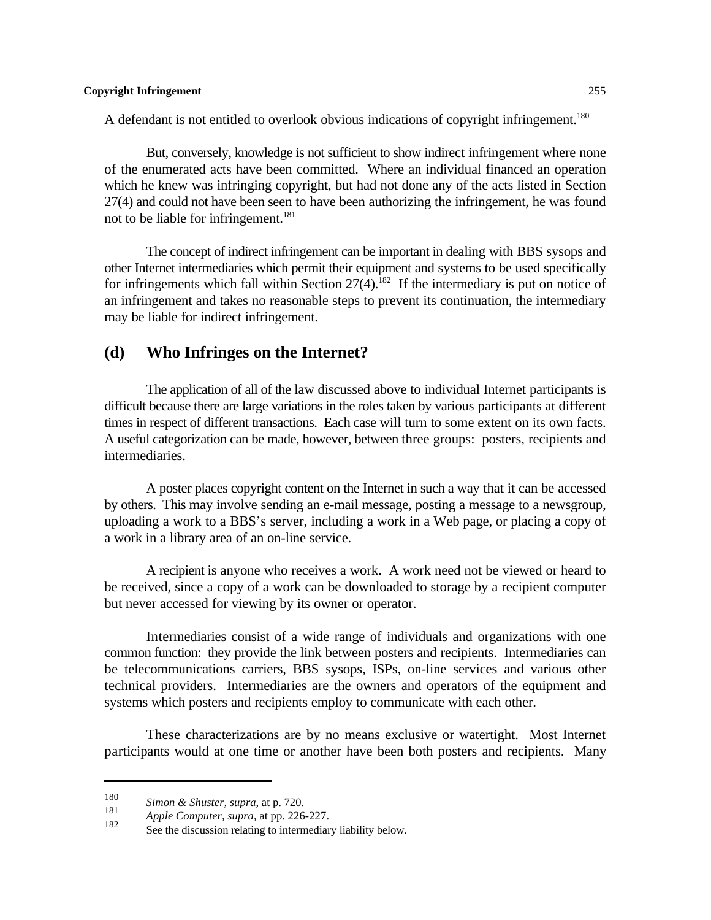A defendant is not entitled to overlook obvious indications of copyright infringement.<sup>180</sup>

But, conversely, knowledge is not sufficient to show indirect infringement where none of the enumerated acts have been committed. Where an individual financed an operation which he knew was infringing copyright, but had not done any of the acts listed in Section 27(4) and could not have been seen to have been authorizing the infringement, he was found not to be liable for infringement.<sup>181</sup>

The concept of indirect infringement can be important in dealing with BBS sysops and other Internet intermediaries which permit their equipment and systems to be used specifically for infringements which fall within Section  $27(4)$ .<sup>182</sup> If the intermediary is put on notice of an infringement and takes no reasonable steps to prevent its continuation, the intermediary may be liable for indirect infringement.

# **(d) Who Infringes on the Internet?**

The application of all of the law discussed above to individual Internet participants is difficult because there are large variations in the roles taken by various participants at different times in respect of different transactions. Each case will turn to some extent on its own facts. A useful categorization can be made, however, between three groups: posters, recipients and intermediaries.

A poster places copyright content on the Internet in such a way that it can be accessed by others. This may involve sending an e-mail message, posting a message to a newsgroup, uploading a work to a BBS's server, including a work in a Web page, or placing a copy of a work in a library area of an on-line service.

A recipient is anyone who receives a work. A work need not be viewed or heard to be received, since a copy of a work can be downloaded to storage by a recipient computer but never accessed for viewing by its owner or operator.

Intermediaries consist of a wide range of individuals and organizations with one common function: they provide the link between posters and recipients. Intermediaries can be telecommunications carriers, BBS sysops, ISPs, on-line services and various other technical providers. Intermediaries are the owners and operators of the equipment and systems which posters and recipients employ to communicate with each other.

These characterizations are by no means exclusive or watertight. Most Internet participants would at one time or another have been both posters and recipients. Many

*Simon & Shuster, supra, at p. 720.*<br>181

<sup>&</sup>lt;sup>181</sup> *Apple Computer, supra, at pp. 226-227.*<br>182

See the discussion relating to intermediary liability below.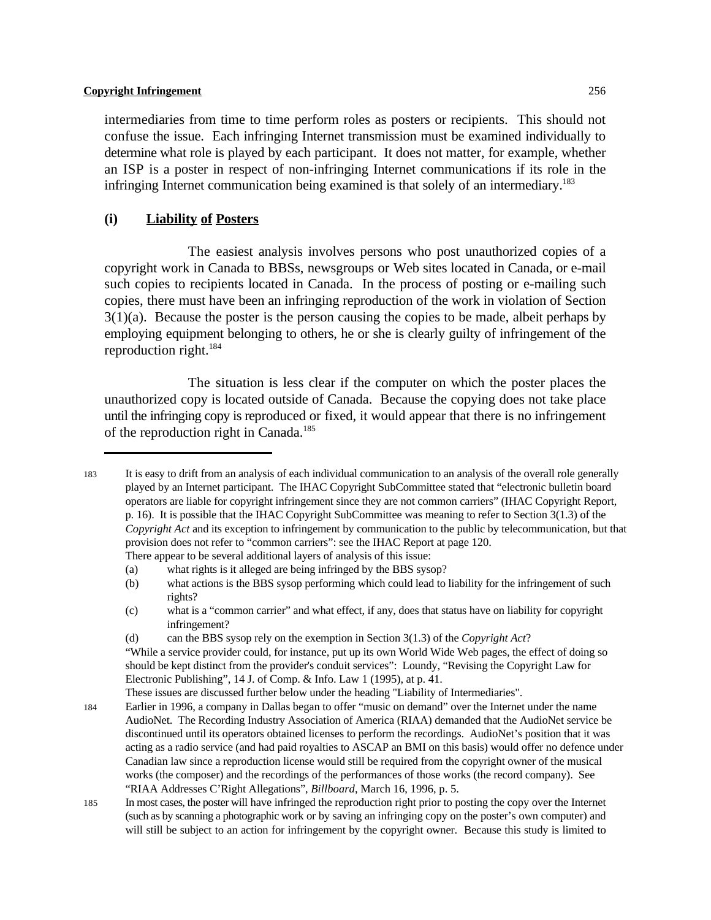intermediaries from time to time perform roles as posters or recipients. This should not confuse the issue. Each infringing Internet transmission must be examined individually to determine what role is played by each participant. It does not matter, for example, whether an ISP is a poster in respect of non-infringing Internet communications if its role in the infringing Internet communication being examined is that solely of an intermediary.<sup>183</sup>

# **(i) Liability of Posters**

The easiest analysis involves persons who post unauthorized copies of a copyright work in Canada to BBSs, newsgroups or Web sites located in Canada, or e-mail such copies to recipients located in Canada. In the process of posting or e-mailing such copies, there must have been an infringing reproduction of the work in violation of Section  $3(1)(a)$ . Because the poster is the person causing the copies to be made, albeit perhaps by employing equipment belonging to others, he or she is clearly guilty of infringement of the reproduction right.<sup>184</sup>

The situation is less clear if the computer on which the poster places the unauthorized copy is located outside of Canada. Because the copying does not take place until the infringing copy is reproduced or fixed, it would appear that there is no infringement of the reproduction right in Canada.<sup>185</sup>

(a) what rights is it alleged are being infringed by the BBS sysop?

These issues are discussed further below under the heading "Liability of Intermediaries".

<sup>183</sup> It is easy to drift from an analysis of each individual communication to an analysis of the overall role generally played by an Internet participant. The IHAC Copyright SubCommittee stated that "electronic bulletin board operators are liable for copyright infringement since they are not common carriers" (IHAC Copyright Report, p. 16). It is possible that the IHAC Copyright SubCommittee was meaning to refer to Section 3(1.3) of the *Copyright Act* and its exception to infringement by communication to the public by telecommunication, but that provision does not refer to "common carriers": see the IHAC Report at page 120. There appear to be several additional layers of analysis of this issue:

<sup>(</sup>b) what actions is the BBS sysop performing which could lead to liability for the infringement of such rights?

<sup>(</sup>c) what is a "common carrier" and what effect, if any, does that status have on liability for copyright infringement?

<sup>(</sup>d) can the BBS sysop rely on the exemption in Section 3(1.3) of the *Copyright Act*?

<sup>&</sup>quot;While a service provider could, for instance, put up its own World Wide Web pages, the effect of doing so should be kept distinct from the provider's conduit services": Loundy, "Revising the Copyright Law for Electronic Publishing", 14 J. of Comp. & Info. Law 1 (1995), at p. 41.

<sup>184</sup> Earlier in 1996, a company in Dallas began to offer "music on demand" over the Internet under the name AudioNet. The Recording Industry Association of America (RIAA) demanded that the AudioNet service be discontinued until its operators obtained licenses to perform the recordings. AudioNet's position that it was acting as a radio service (and had paid royalties to ASCAP an BMI on this basis) would offer no defence under Canadian law since a reproduction license would still be required from the copyright owner of the musical works (the composer) and the recordings of the performances of those works (the record company). See "RIAA Addresses C'Right Allegations", *Billboard*, March 16, 1996, p. 5.

<sup>185</sup> In most cases, the poster will have infringed the reproduction right prior to posting the copy over the Internet (such as by scanning a photographic work or by saving an infringing copy on the poster's own computer) and will still be subject to an action for infringement by the copyright owner. Because this study is limited to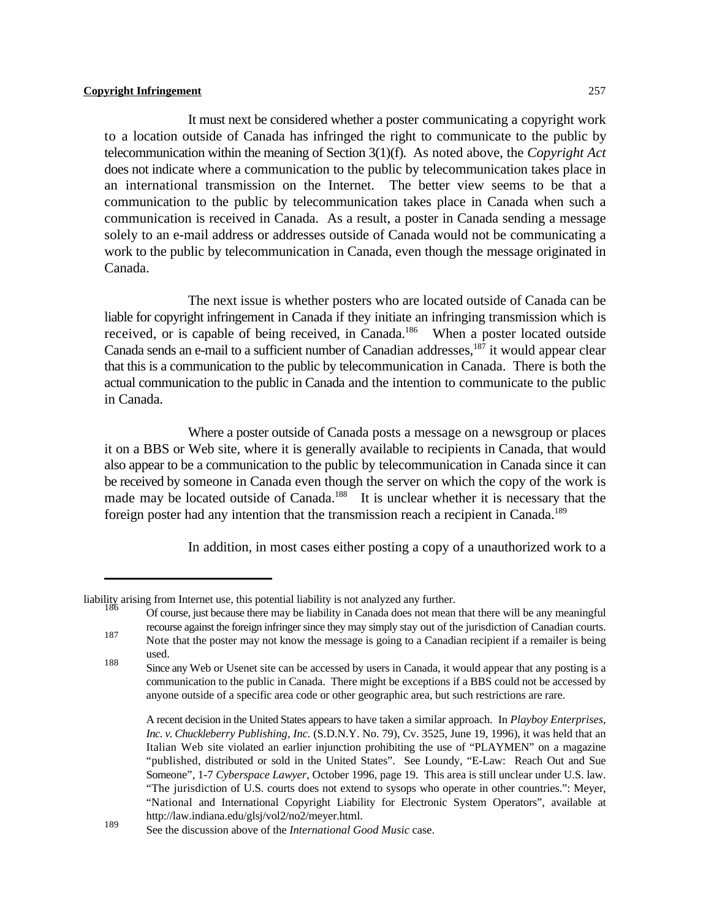It must next be considered whether a poster communicating a copyright work to a location outside of Canada has infringed the right to communicate to the public by telecommunication within the meaning of Section 3(1)(f). As noted above, the *Copyright Act* does not indicate where a communication to the public by telecommunication takes place in an international transmission on the Internet. The better view seems to be that a communication to the public by telecommunication takes place in Canada when such a communication is received in Canada. As a result, a poster in Canada sending a message solely to an e-mail address or addresses outside of Canada would not be communicating a work to the public by telecommunication in Canada, even though the message originated in Canada.

The next issue is whether posters who are located outside of Canada can be liable for copyright infringement in Canada if they initiate an infringing transmission which is received, or is capable of being received, in Canada.<sup>186</sup> When a poster located outside Canada sends an e-mail to a sufficient number of Canadian addresses, <sup>187</sup> it would appear clear that this is a communication to the public by telecommunication in Canada. There is both the actual communication to the public in Canada and the intention to communicate to the public in Canada.

Where a poster outside of Canada posts a message on a newsgroup or places it on a BBS or Web site, where it is generally available to recipients in Canada, that would also appear to be a communication to the public by telecommunication in Canada since it can be received by someone in Canada even though the server on which the copy of the work is made may be located outside of Canada.<sup>188</sup> It is unclear whether it is necessary that the foreign poster had any intention that the transmission reach a recipient in Canada.<sup>189</sup>

In addition, in most cases either posting a copy of a unauthorized work to a

liability arising from Internet use, this potential liability is not analyzed any further.

Of course, just because there may be liability in Canada does not mean that there will be any meaningful <sup>186</sup> recourse against the foreign infringer since they may simply stay out of the jurisdiction of Canadian courts.

Note that the poster may not know the message is going to a Canadian recipient if a remailer is being 187 used.

<sup>&</sup>lt;sup>188</sup> Since any Web or Usenet site can be accessed by users in Canada, it would appear that any posting is a communication to the public in Canada. There might be exceptions if a BBS could not be accessed by anyone outside of a specific area code or other geographic area, but such restrictions are rare.

A recent decision in the United States appears to have taken a similar approach. In *Playboy Enterprises, Inc. v. Chuckleberry Publishing, Inc.* (S.D.N.Y. No. 79), Cv. 3525, June 19, 1996), it was held that an Italian Web site violated an earlier injunction prohibiting the use of "PLAYMEN" on a magazine "published, distributed or sold in the United States". See Loundy, "E-Law: Reach Out and Sue Someone", 1-7 *Cyberspace Lawyer*, October 1996, page 19. This area is still unclear under U.S. law. "The jurisdiction of U.S. courts does not extend to sysops who operate in other countries.": Meyer, "National and International Copyright Liability for Electronic System Operators", available at http://law.indiana.edu/glsj/vol2/no2/meyer.html.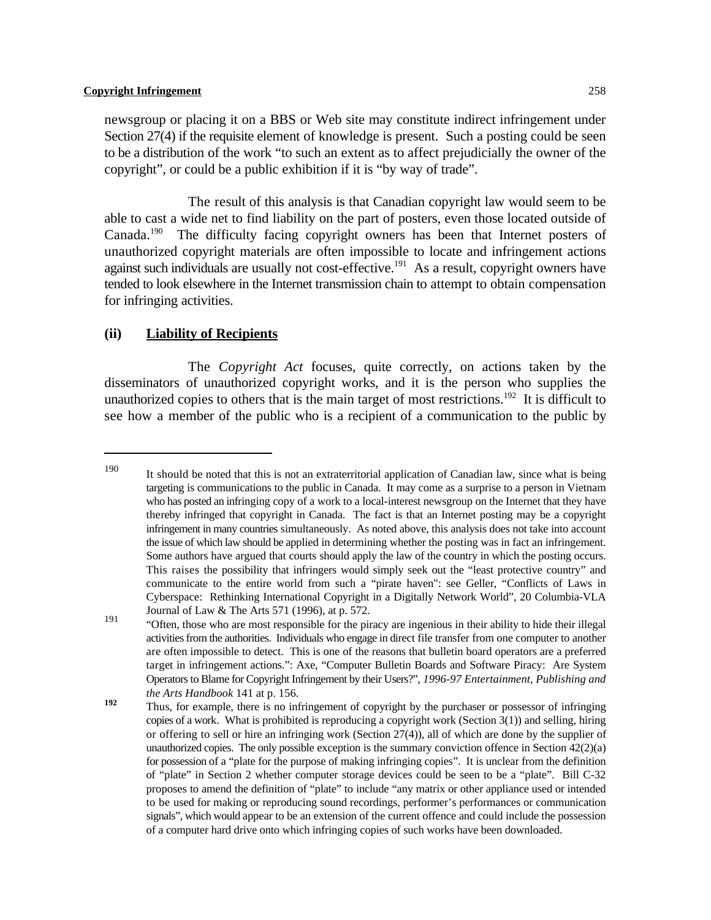newsgroup or placing it on a BBS or Web site may constitute indirect infringement under Section 27(4) if the requisite element of knowledge is present. Such a posting could be seen to be a distribution of the work "to such an extent as to affect prejudicially the owner of the copyright", or could be a public exhibition if it is "by way of trade".

The result of this analysis is that Canadian copyright law would seem to be able to cast a wide net to find liability on the part of posters, even those located outside of Canada.<sup>190</sup> The difficulty facing copyright owners has been that Internet posters of unauthorized copyright materials are often impossible to locate and infringement actions against such individuals are usually not cost-effective.<sup>191</sup> As a result, copyright owners have tended to look elsewhere in the Internet transmission chain to attempt to obtain compensation for infringing activities.

# **(ii) Liability of Recipients**

The *Copyright Act* focuses, quite correctly, on actions taken by the disseminators of unauthorized copyright works, and it is the person who supplies the unauthorized copies to others that is the main target of most restrictions.<sup>192</sup> It is difficult to see how a member of the public who is a recipient of a communication to the public by

It should be noted that this is not an extraterritorial application of Canadian law, since what is being 190 targeting is communications to the public in Canada. It may come as a surprise to a person in Vietnam who has posted an infringing copy of a work to a local-interest newsgroup on the Internet that they have thereby infringed that copyright in Canada. The fact is that an Internet posting may be a copyright infringement in many countries simultaneously. As noted above, this analysis does not take into account the issue of which law should be applied in determining whether the posting was in fact an infringement. Some authors have argued that courts should apply the law of the country in which the posting occurs. This raises the possibility that infringers would simply seek out the "least protective country" and communicate to the entire world from such a "pirate haven": see Geller, "Conflicts of Laws in Cyberspace: Rethinking International Copyright in a Digitally Network World", 20 Columbia-VLA Journal of Law & The Arts 571 (1996), at p. 572.

<sup>&</sup>quot;Often, those who are most responsible for the piracy are ingenious in their ability to hide their illegal "Often, those who are most responsible for the piracy are ingenious in their ability to hide their illegal activities from the authorities. Individuals who engage in direct file transfer from one computer to another are often impossible to detect. This is one of the reasons that bulletin board operators are a preferred target in infringement actions.": Axe, "Computer Bulletin Boards and Software Piracy: Are System Operators to Blame for Copyright Infringement by their Users?", *1996-97 Entertainment, Publishing and the Arts Handbook* 141 at p. 156.

Thus, for example, there is no infringement of copyright by the purchaser or possessor of infringing **192** copies of a work. What is prohibited is reproducing a copyright work (Section  $3(1)$ ) and selling, hiring or offering to sell or hire an infringing work (Section 27(4)), all of which are done by the supplier of unauthorized copies. The only possible exception is the summary conviction offence in Section  $42(2)(a)$ for possession of a "plate for the purpose of making infringing copies". It is unclear from the definition of "plate" in Section 2 whether computer storage devices could be seen to be a "plate". Bill C-32 proposes to amend the definition of "plate" to include "any matrix or other appliance used or intended to be used for making or reproducing sound recordings, performer's performances or communication signals", which would appear to be an extension of the current offence and could include the possession of a computer hard drive onto which infringing copies of such works have been downloaded.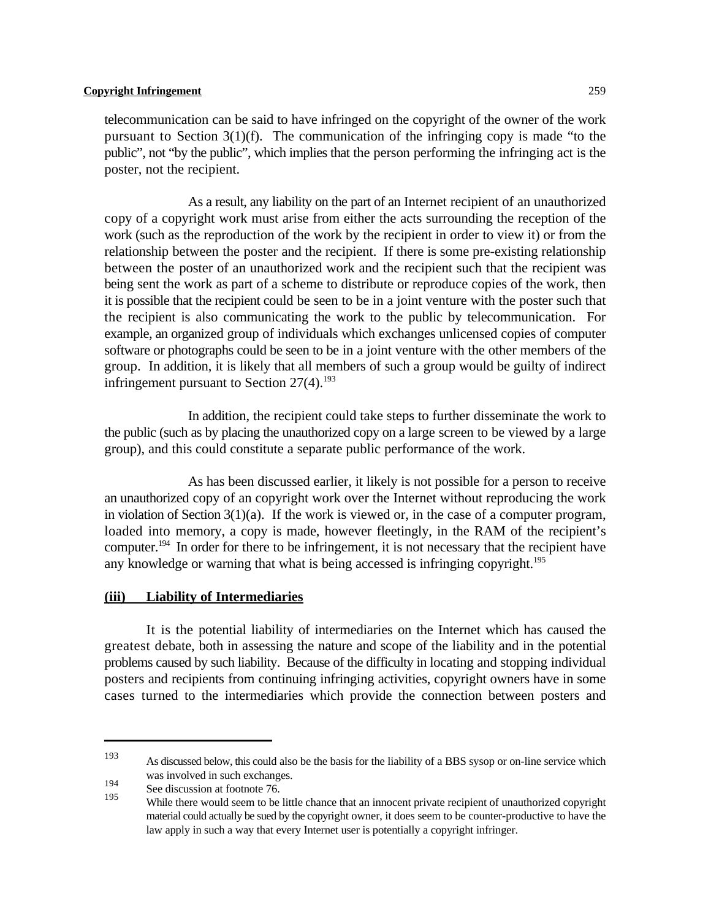telecommunication can be said to have infringed on the copyright of the owner of the work pursuant to Section 3(1)(f). The communication of the infringing copy is made "to the public", not "by the public", which implies that the person performing the infringing act is the poster, not the recipient.

As a result, any liability on the part of an Internet recipient of an unauthorized copy of a copyright work must arise from either the acts surrounding the reception of the work (such as the reproduction of the work by the recipient in order to view it) or from the relationship between the poster and the recipient. If there is some pre-existing relationship between the poster of an unauthorized work and the recipient such that the recipient was being sent the work as part of a scheme to distribute or reproduce copies of the work, then it is possible that the recipient could be seen to be in a joint venture with the poster such that the recipient is also communicating the work to the public by telecommunication. For example, an organized group of individuals which exchanges unlicensed copies of computer software or photographs could be seen to be in a joint venture with the other members of the group. In addition, it is likely that all members of such a group would be guilty of indirect infringement pursuant to Section  $27(4)$ .<sup>193</sup>

In addition, the recipient could take steps to further disseminate the work to the public (such as by placing the unauthorized copy on a large screen to be viewed by a large group), and this could constitute a separate public performance of the work.

As has been discussed earlier, it likely is not possible for a person to receive an unauthorized copy of an copyright work over the Internet without reproducing the work in violation of Section  $3(1)(a)$ . If the work is viewed or, in the case of a computer program, loaded into memory, a copy is made, however fleetingly, in the RAM of the recipient's computer.<sup>194</sup> In order for there to be infringement, it is not necessary that the recipient have any knowledge or warning that what is being accessed is infringing copyright.<sup>195</sup>

# **(iii) Liability of Intermediaries**

It is the potential liability of intermediaries on the Internet which has caused the greatest debate, both in assessing the nature and scope of the liability and in the potential problems caused by such liability. Because of the difficulty in locating and stopping individual posters and recipients from continuing infringing activities, copyright owners have in some cases turned to the intermediaries which provide the connection between posters and

As discussed below, this could also be the basis for the liability of a BBS sysop or on-line service which <sup>193</sup> was involved in such exchanges.

<sup>194</sup> See discussion at footnote 76.

While there would seem to be little chance that an innocent private recipient of unauthorized copyright material could actually be sued by the copyright owner, it does seem to be counter-productive to have the law apply in such a way that every Internet user is potentially a copyright infringer.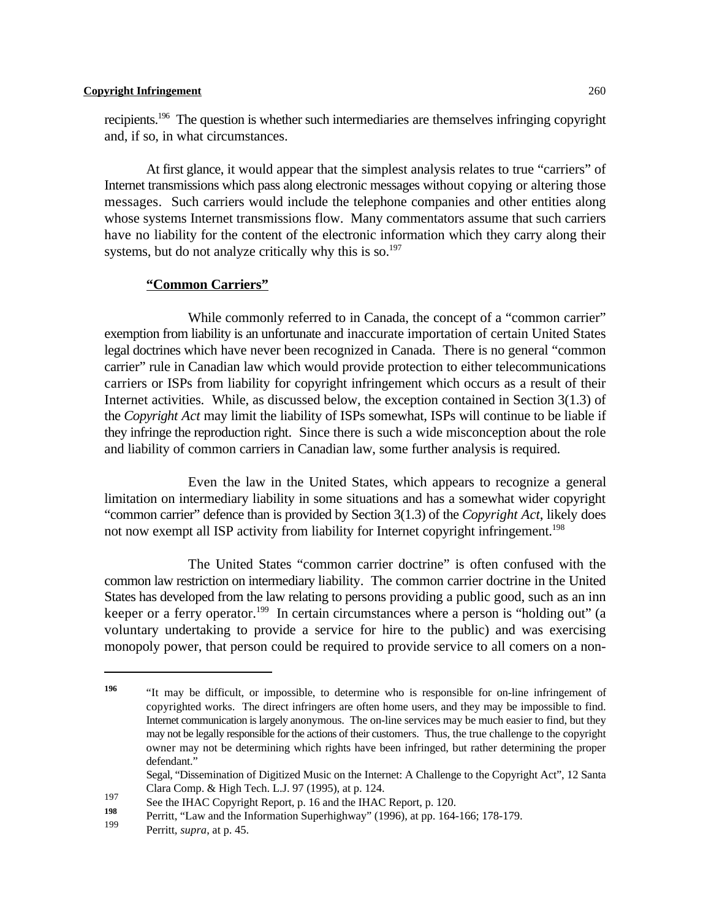recipients.<sup>196</sup> The question is whether such intermediaries are themselves infringing copyright and, if so, in what circumstances.

At first glance, it would appear that the simplest analysis relates to true "carriers" of Internet transmissions which pass along electronic messages without copying or altering those messages. Such carriers would include the telephone companies and other entities along whose systems Internet transmissions flow. Many commentators assume that such carriers have no liability for the content of the electronic information which they carry along their systems, but do not analyze critically why this is so. $197$ 

### **"Common Carriers"**

While commonly referred to in Canada, the concept of a "common carrier" exemption from liability is an unfortunate and inaccurate importation of certain United States legal doctrines which have never been recognized in Canada. There is no general "common carrier" rule in Canadian law which would provide protection to either telecommunications carriers or ISPs from liability for copyright infringement which occurs as a result of their Internet activities. While, as discussed below, the exception contained in Section 3(1.3) of the *Copyright Act* may limit the liability of ISPs somewhat, ISPs will continue to be liable if they infringe the reproduction right. Since there is such a wide misconception about the role and liability of common carriers in Canadian law, some further analysis is required.

Even the law in the United States, which appears to recognize a general limitation on intermediary liability in some situations and has a somewhat wider copyright "common carrier" defence than is provided by Section 3(1.3) of the *Copyright Act*, likely does not now exempt all ISP activity from liability for Internet copyright infringement.<sup>198</sup>

The United States "common carrier doctrine" is often confused with the common law restriction on intermediary liability. The common carrier doctrine in the United States has developed from the law relating to persons providing a public good, such as an inn keeper or a ferry operator.<sup>199</sup> In certain circumstances where a person is "holding out" (a voluntary undertaking to provide a service for hire to the public) and was exercising monopoly power, that person could be required to provide service to all comers on a non-

Segal, "Dissemination of Digitized Music on the Internet: A Challenge to the Copyright Act", 12 Santa Clara Comp. & High Tech. L.J. 97 (1995), at p. 124.

<sup>&</sup>quot;It may be difficult, or impossible, to determine who is responsible for on-line infringement of **196** copyrighted works. The direct infringers are often home users, and they may be impossible to find. Internet communication is largely anonymous. The on-line services may be much easier to find, but they may not be legally responsible for the actions of their customers. Thus, the true challenge to the copyright owner may not be determining which rights have been infringed, but rather determining the proper defendant."

See the IHAC Copyright Report, p. 16 and the IHAC Report, p. 120.<br>198 Domitt "I am and the Information Synaphichmes" (1006) at no. 164.

Perritt, "Law and the Information Superhighway" (1996), at pp. 164-166; 178-179. **<sup>198</sup>**

Perritt, *supra*, at p. 45.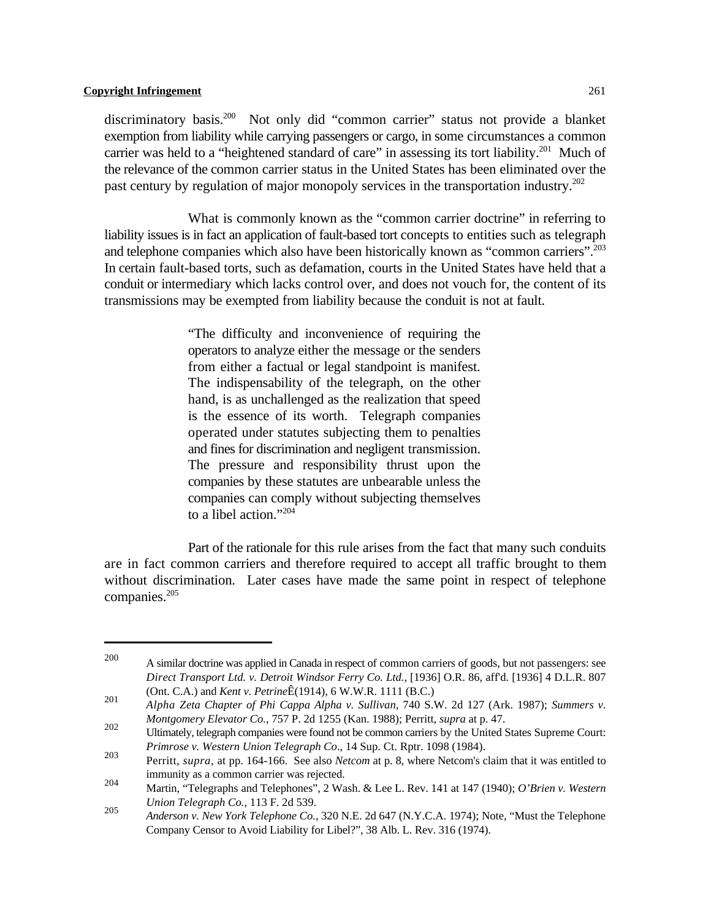discriminatory basis.<sup>200</sup> Not only did "common carrier" status not provide a blanket exemption from liability while carrying passengers or cargo, in some circumstances a common carrier was held to a "heightened standard of care" in assessing its tort liability.<sup>201</sup> Much of the relevance of the common carrier status in the United States has been eliminated over the past century by regulation of major monopoly services in the transportation industry.<sup>202</sup>

What is commonly known as the "common carrier doctrine" in referring to liability issues is in fact an application of fault-based tort concepts to entities such as telegraph and telephone companies which also have been historically known as "common carriers".<sup>203</sup> In certain fault-based torts, such as defamation, courts in the United States have held that a conduit or intermediary which lacks control over, and does not vouch for, the content of its transmissions may be exempted from liability because the conduit is not at fault.

> "The difficulty and inconvenience of requiring the operators to analyze either the message or the senders from either a factual or legal standpoint is manifest. The indispensability of the telegraph, on the other hand, is as unchallenged as the realization that speed is the essence of its worth. Telegraph companies operated under statutes subjecting them to penalties and fines for discrimination and negligent transmission. The pressure and responsibility thrust upon the companies by these statutes are unbearable unless the companies can comply without subjecting themselves to a libel action."<sup>204</sup>

Part of the rationale for this rule arises from the fact that many such conduits are in fact common carriers and therefore required to accept all traffic brought to them without discrimination. Later cases have made the same point in respect of telephone companies.205

<sup>200</sup> A similar doctrine was applied in Canada in respect of common carriers of goods, but not passengers: see *Direct Transport Ltd. v. Detroit Windsor Ferry Co. Ltd.*, [1936] O.R. 86, aff'd. [1936] 4 D.L.R. 807 (Ont. C.A.) and *Kent v. Petrine*Ê(1914), 6 W.W.R. 1111 (B.C.) 201

*Alpha Zeta Chapter of Phi Cappa Alpha v. Sullivan*, 740 S.W. 2d 127 (Ark. 1987); *Summers v. Montgomery Elevator Co.*, 757 P. 2d 1255 (Kan. 1988); Perritt*, supra* at p. 47.

<sup>202</sup> Montgomery Elevator Co., 1971. 201239 (Kan. 1960), Ferritt, supra at p. 47.<br>Ultimately, telegraph companies were found not be common carriers by the United States Supreme Court: *Primrose v. Western Union Telegraph Co*., 14 Sup. Ct. Rptr. 1098 (1984).

Perritt*, supra*, at pp. 164-166. See also *Netcom* at p. 8, where Netcom's claim that it was entitled to 203 immunity as a common carrier was rejected.

Martin, "Telegraphs and Telephones", 2 Wash. & Lee L. Rev. 141 at 147 (1940); *O'Brien v. Western* <sup>204</sup> *Union Telegraph Co.*, 113 F. 2d 539.

*Anderson v. New York Telephone Co.*, 320 N.E. 2d 647 (N.Y.C.A. 1974); Note, "Must the Telephone <sup>205</sup> Company Censor to Avoid Liability for Libel?", 38 Alb. L. Rev. 316 (1974).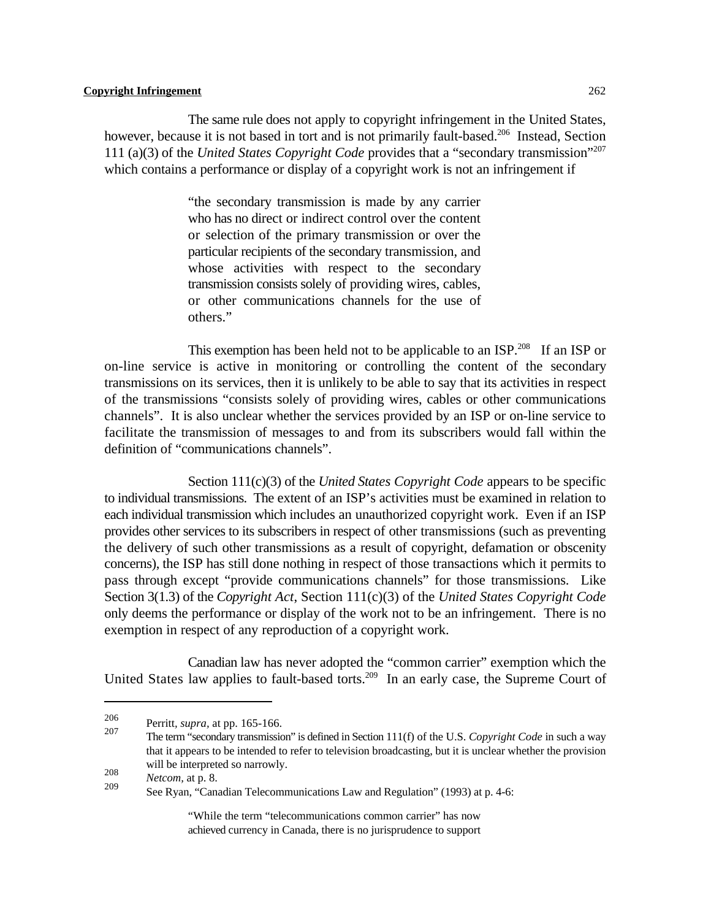The same rule does not apply to copyright infringement in the United States, however, because it is not based in tort and is not primarily fault-based.<sup>206</sup> Instead, Section 111 (a)(3) of the *United States Copyright Code* provides that a "secondary transmission"<sup>207</sup> which contains a performance or display of a copyright work is not an infringement if

> "the secondary transmission is made by any carrier who has no direct or indirect control over the content or selection of the primary transmission or over the particular recipients of the secondary transmission, and whose activities with respect to the secondary transmission consists solely of providing wires, cables, or other communications channels for the use of others."

This exemption has been held not to be applicable to an  $ISP.^{208}$  If an ISP or on-line service is active in monitoring or controlling the content of the secondary transmissions on its services, then it is unlikely to be able to say that its activities in respect of the transmissions "consists solely of providing wires, cables or other communications channels". It is also unclear whether the services provided by an ISP or on-line service to facilitate the transmission of messages to and from its subscribers would fall within the definition of "communications channels".

Section 111(c)(3) of the *United States Copyright Code* appears to be specific to individual transmissions. The extent of an ISP's activities must be examined in relation to each individual transmission which includes an unauthorized copyright work. Even if an ISP provides other services to its subscribers in respect of other transmissions (such as preventing the delivery of such other transmissions as a result of copyright, defamation or obscenity concerns), the ISP has still done nothing in respect of those transactions which it permits to pass through except "provide communications channels" for those transmissions. Like Section 3(1.3) of the *Copyright Act*, Section 111(c)(3) of the *United States Copyright Code* only deems the performance or display of the work not to be an infringement. There is no exemption in respect of any reproduction of a copyright work.

Canadian law has never adopted the "common carrier" exemption which the United States law applies to fault-based torts.<sup>209</sup> In an early case, the Supreme Court of

The term "secondary transmission" is defined in Section 111(f) of the U.S. *Copyright Code* in such a way that it appears to be intended to refer to television broadcasting, but it is unclear whether the provision will be interpreted so narrowly.

"While the term "telecommunications common carrier" has now achieved currency in Canada, there is no jurisprudence to support

<sup>&</sup>lt;sup>206</sup> Perritt, *supra*, at pp. 165-166.<br><sup>207</sup>

<sup>208</sup> *Netcom,* at p. 8.

See Ryan, "Canadian Telecommunications Law and Regulation" (1993) at p. 4-6: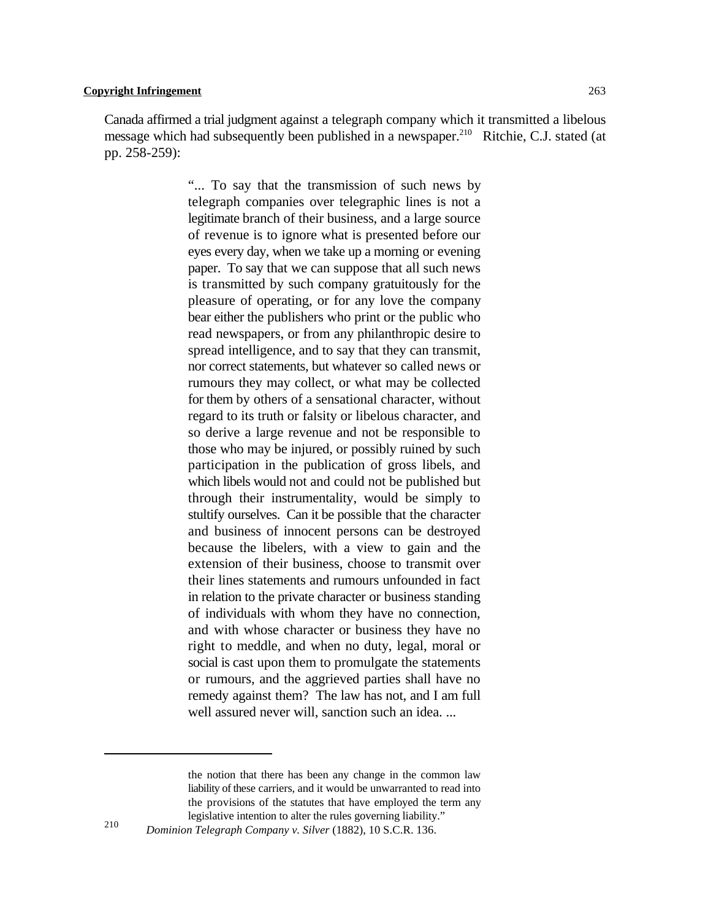Canada affirmed a trial judgment against a telegraph company which it transmitted a libelous message which had subsequently been published in a newspaper.<sup>210</sup> Ritchie, C.J. stated (at pp. 258-259):

> "... To say that the transmission of such news by telegraph companies over telegraphic lines is not a legitimate branch of their business, and a large source of revenue is to ignore what is presented before our eyes every day, when we take up a morning or evening paper. To say that we can suppose that all such news is transmitted by such company gratuitously for the pleasure of operating, or for any love the company bear either the publishers who print or the public who read newspapers, or from any philanthropic desire to spread intelligence, and to say that they can transmit, nor correct statements, but whatever so called news or rumours they may collect, or what may be collected for them by others of a sensational character, without regard to its truth or falsity or libelous character, and so derive a large revenue and not be responsible to those who may be injured, or possibly ruined by such participation in the publication of gross libels, and which libels would not and could not be published but through their instrumentality, would be simply to stultify ourselves. Can it be possible that the character and business of innocent persons can be destroyed because the libelers, with a view to gain and the extension of their business, choose to transmit over their lines statements and rumours unfounded in fact in relation to the private character or business standing of individuals with whom they have no connection, and with whose character or business they have no right to meddle, and when no duty, legal, moral or social is cast upon them to promulgate the statements or rumours, and the aggrieved parties shall have no remedy against them? The law has not, and I am full well assured never will, sanction such an idea. ...

the notion that there has been any change in the common law liability of these carriers, and it would be unwarranted to read into the provisions of the statutes that have employed the term any legislative intention to alter the rules governing liability."

*Dominion Telegraph Company v. Silver* (1882), 10 S.C.R. 136.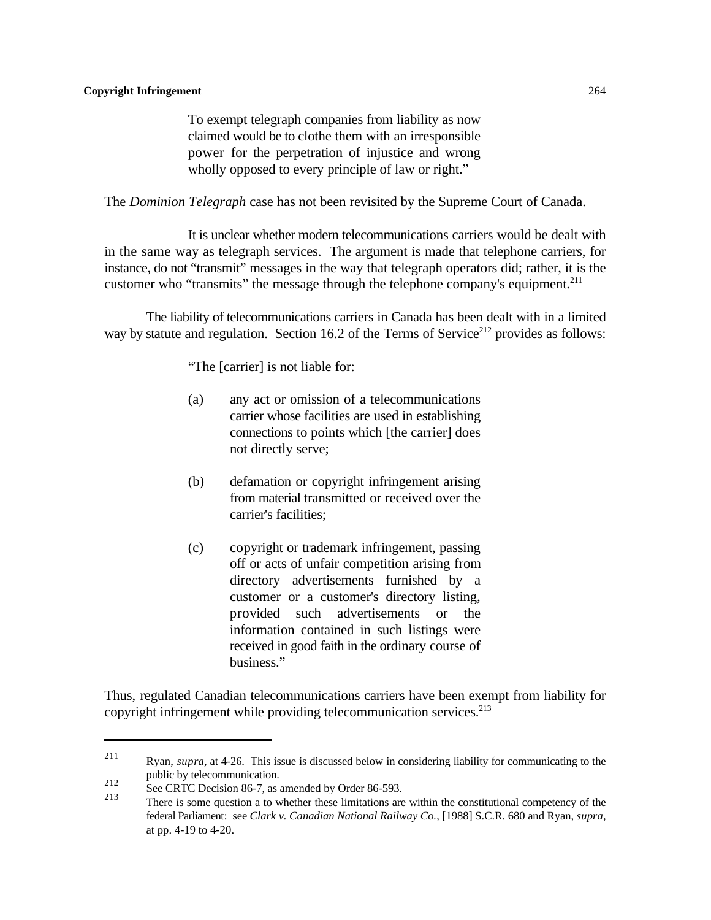To exempt telegraph companies from liability as now claimed would be to clothe them with an irresponsible power for the perpetration of injustice and wrong wholly opposed to every principle of law or right."

The *Dominion Telegraph* case has not been revisited by the Supreme Court of Canada.

It is unclear whether modern telecommunications carriers would be dealt with in the same way as telegraph services. The argument is made that telephone carriers, for instance, do not "transmit" messages in the way that telegraph operators did; rather, it is the customer who "transmits" the message through the telephone company's equipment.<sup>211</sup>

The liability of telecommunications carriers in Canada has been dealt with in a limited way by statute and regulation. Section 16.2 of the Terms of Service<sup>212</sup> provides as follows:

"The [carrier] is not liable for:

- (a) any act or omission of a telecommunications carrier whose facilities are used in establishing connections to points which [the carrier] does not directly serve;
- (b) defamation or copyright infringement arising from material transmitted or received over the carrier's facilities;
- (c) copyright or trademark infringement, passing off or acts of unfair competition arising from directory advertisements furnished by a customer or a customer's directory listing, provided such advertisements or the information contained in such listings were received in good faith in the ordinary course of business."

Thus, regulated Canadian telecommunications carriers have been exempt from liability for copyright infringement while providing telecommunication services. 213

Ryan, *supra*, at 4-26. This issue is discussed below in considering liability for communicating to the 211 public by telecommunication.

<sup>212</sup> See CRTC Decision 86-7, as amended by Order 86-593.

There is some question a to whether these limitations are within the constitutional competency of the 213 federal Parliament: see *Clark v. Canadian National Railway Co.*, [1988] S.C.R. 680 and Ryan, *supra*, at pp. 4-19 to 4-20.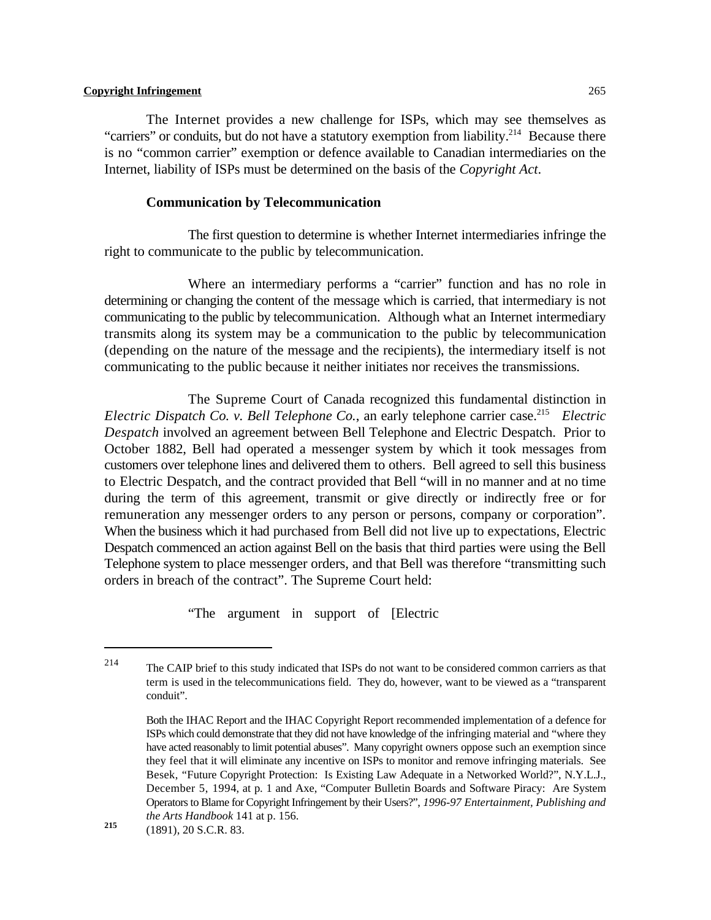The Internet provides a new challenge for ISPs, which may see themselves as "carriers" or conduits, but do not have a statutory exemption from liability.<sup>214</sup> Because there is no "common carrier" exemption or defence available to Canadian intermediaries on the Internet, liability of ISPs must be determined on the basis of the *Copyright Act*.

#### **Communication by Telecommunication**

The first question to determine is whether Internet intermediaries infringe the right to communicate to the public by telecommunication.

Where an intermediary performs a "carrier" function and has no role in determining or changing the content of the message which is carried, that intermediary is not communicating to the public by telecommunication. Although what an Internet intermediary transmits along its system may be a communication to the public by telecommunication (depending on the nature of the message and the recipients), the intermediary itself is not communicating to the public because it neither initiates nor receives the transmissions.

The Supreme Court of Canada recognized this fundamental distinction in *Electric Dispatch Co. v. Bell Telephone Co., an early telephone carrier case.*<sup>215</sup> *Electric Despatch* involved an agreement between Bell Telephone and Electric Despatch. Prior to October 1882, Bell had operated a messenger system by which it took messages from customers over telephone lines and delivered them to others. Bell agreed to sell this business to Electric Despatch, and the contract provided that Bell "will in no manner and at no time during the term of this agreement, transmit or give directly or indirectly free or for remuneration any messenger orders to any person or persons, company or corporation". When the business which it had purchased from Bell did not live up to expectations, Electric Despatch commenced an action against Bell on the basis that third parties were using the Bell Telephone system to place messenger orders, and that Bell was therefore "transmitting such orders in breach of the contract". The Supreme Court held:

"The argument in support of [Electric

<sup>&</sup>lt;sup>214</sup> The CAIP brief to this study indicated that ISPs do not want to be considered common carriers as that term is used in the telecommunications field. They do, however, want to be viewed as a "transparent conduit".

Both the IHAC Report and the IHAC Copyright Report recommended implementation of a defence for ISPs which could demonstrate that they did not have knowledge of the infringing material and "where they have acted reasonably to limit potential abuses". Many copyright owners oppose such an exemption since they feel that it will eliminate any incentive on ISPs to monitor and remove infringing materials. See Besek, "Future Copyright Protection: Is Existing Law Adequate in a Networked World?", N.Y.L.J., December 5, 1994, at p. 1 and Axe, "Computer Bulletin Boards and Software Piracy: Are System Operators to Blame for Copyright Infringement by their Users?", *1996-97 Entertainment, Publishing and the Arts Handbook* 141 at p. 156.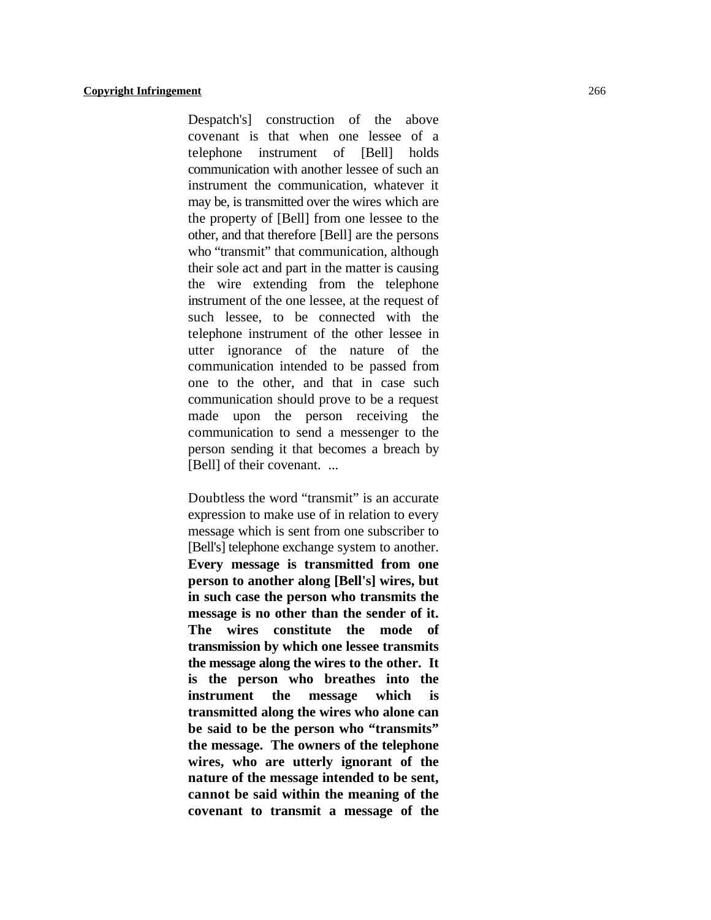Despatch's] construction of the above covenant is that when one lessee of a telephone instrument of [Bell] holds communication with another lessee of such an instrument the communication, whatever it may be, is transmitted over the wires which are the property of [Bell] from one lessee to the other, and that therefore [Bell] are the persons who "transmit" that communication, although their sole act and part in the matter is causing the wire extending from the telephone instrument of the one lessee, at the request of such lessee, to be connected with the telephone instrument of the other lessee in utter ignorance of the nature of the communication intended to be passed from one to the other, and that in case such communication should prove to be a request made upon the person receiving the communication to send a messenger to the person sending it that becomes a breach by [Bell] of their covenant. ...

Doubtless the word "transmit" is an accurate expression to make use of in relation to every message which is sent from one subscriber to [Bell's] telephone exchange system to another. **Every message is transmitted from one person to another along [Bell's] wires, but in such case the person who transmits the message is no other than the sender of it. The wires constitute the mode of transmission by which one lessee transmits the message along the wires to the other. It is the person who breathes into the instrument the message which is transmitted along the wires who alone can be said to be the person who "transmits" the message. The owners of the telephone wires, who are utterly ignorant of the nature of the message intended to be sent, cannot be said within the meaning of the covenant to transmit a message of the**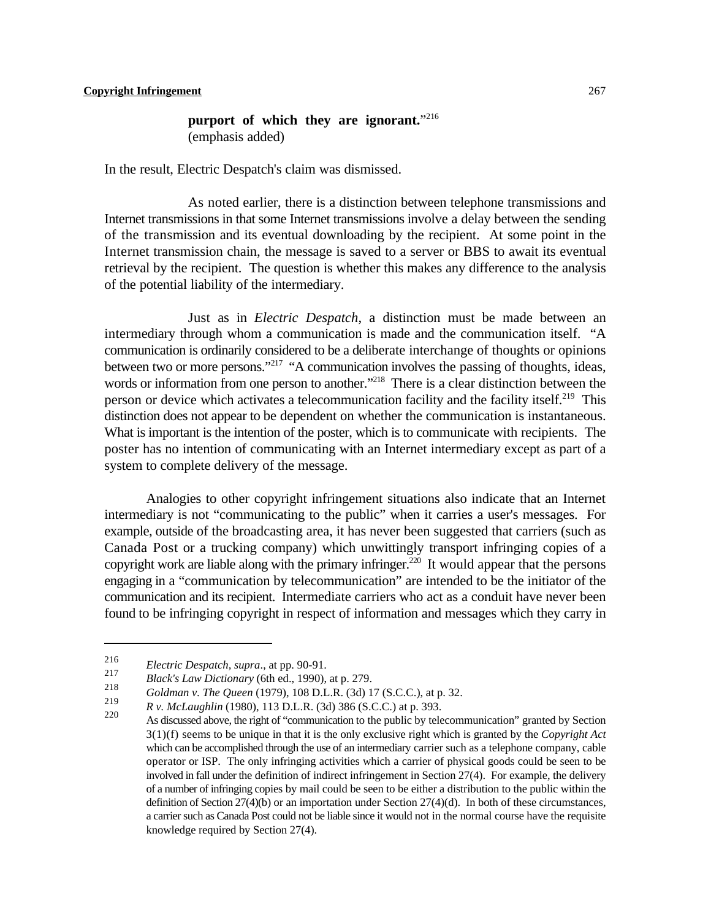# **purport of which they are ignorant.**" 216 (emphasis added)

In the result, Electric Despatch's claim was dismissed.

As noted earlier, there is a distinction between telephone transmissions and Internet transmissions in that some Internet transmissions involve a delay between the sending of the transmission and its eventual downloading by the recipient. At some point in the Internet transmission chain, the message is saved to a server or BBS to await its eventual retrieval by the recipient. The question is whether this makes any difference to the analysis of the potential liability of the intermediary.

Just as in *Electric Despatch*, a distinction must be made between an intermediary through whom a communication is made and the communication itself. "A communication is ordinarily considered to be a deliberate interchange of thoughts or opinions between two or more persons."<sup>217</sup> "A communication involves the passing of thoughts, ideas, words or information from one person to another."<sup>218</sup> There is a clear distinction between the person or device which activates a telecommunication facility and the facility itself.<sup>219</sup> This distinction does not appear to be dependent on whether the communication is instantaneous. What is important is the intention of the poster, which is to communicate with recipients. The poster has no intention of communicating with an Internet intermediary except as part of a system to complete delivery of the message.

Analogies to other copyright infringement situations also indicate that an Internet intermediary is not "communicating to the public" when it carries a user's messages. For example, outside of the broadcasting area, it has never been suggested that carriers (such as Canada Post or a trucking company) which unwittingly transport infringing copies of a copyright work are liable along with the primary infringer.<sup> $220$ </sup> It would appear that the persons engaging in a "communication by telecommunication" are intended to be the initiator of the communication and its recipient. Intermediate carriers who act as a conduit have never been found to be infringing copyright in respect of information and messages which they carry in

<sup>&</sup>lt;sup>216</sup> *Electric Despatch, supra.*, at pp. 90-91.

*Black's Law Dictionary* (6th ed., 1990), at p. 279.

*Goldman v. The Queen* (1979), 108 D.L.R. (3d) 17 (S.C.C.), at p. 32.

*R v. McLaughlin* (1980), 113 D.L.R. (3d) 386 (S.C.C.) at p. 393.

As discussed above, the right of "communication to the public by telecommunication" granted by Section 3(1)(f) seems to be unique in that it is the only exclusive right which is granted by the *Copyright Act* which can be accomplished through the use of an intermediary carrier such as a telephone company, cable operator or ISP. The only infringing activities which a carrier of physical goods could be seen to be involved in fall under the definition of indirect infringement in Section 27(4). For example, the delivery of a number of infringing copies by mail could be seen to be either a distribution to the public within the definition of Section 27(4)(b) or an importation under Section 27(4)(d). In both of these circumstances, a carrier such as Canada Post could not be liable since it would not in the normal course have the requisite knowledge required by Section 27(4).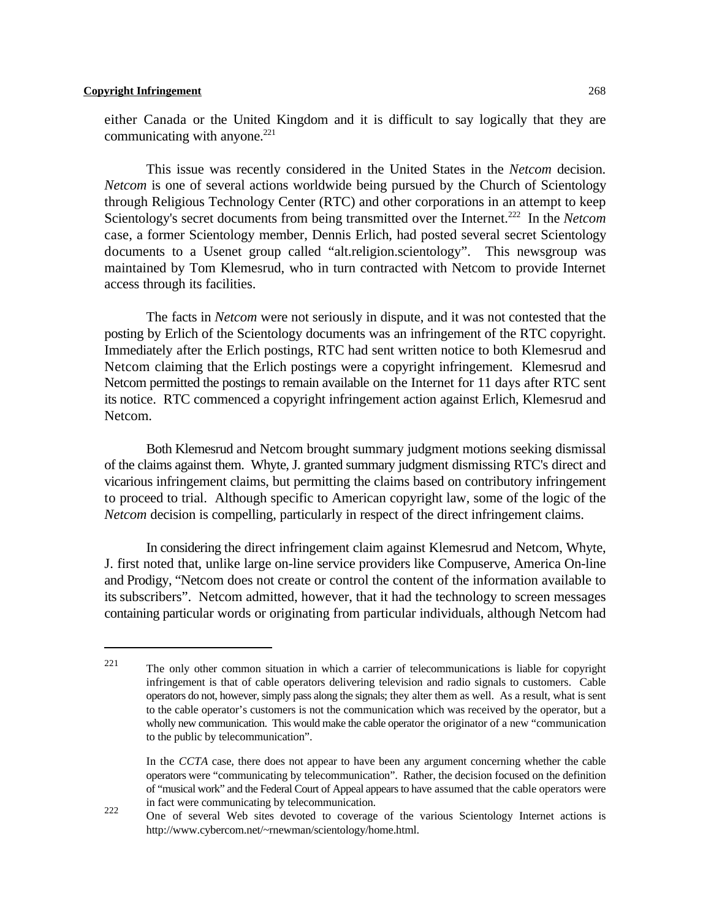either Canada or the United Kingdom and it is difficult to say logically that they are communicating with anyone.<sup>221</sup>

This issue was recently considered in the United States in the *Netcom* decision. *Netcom* is one of several actions worldwide being pursued by the Church of Scientology through Religious Technology Center (RTC) and other corporations in an attempt to keep Scientology's secret documents from being transmitted over the Internet.<sup>222</sup> In the *Netcom* case, a former Scientology member, Dennis Erlich, had posted several secret Scientology documents to a Usenet group called "alt.religion.scientology". This newsgroup was maintained by Tom Klemesrud, who in turn contracted with Netcom to provide Internet access through its facilities.

The facts in *Netcom* were not seriously in dispute, and it was not contested that the posting by Erlich of the Scientology documents was an infringement of the RTC copyright. Immediately after the Erlich postings, RTC had sent written notice to both Klemesrud and Netcom claiming that the Erlich postings were a copyright infringement. Klemesrud and Netcom permitted the postings to remain available on the Internet for 11 days after RTC sent its notice. RTC commenced a copyright infringement action against Erlich, Klemesrud and Netcom.

Both Klemesrud and Netcom brought summary judgment motions seeking dismissal of the claims against them. Whyte, J. granted summary judgment dismissing RTC's direct and vicarious infringement claims, but permitting the claims based on contributory infringement to proceed to trial. Although specific to American copyright law, some of the logic of the *Netcom* decision is compelling, particularly in respect of the direct infringement claims.

In considering the direct infringement claim against Klemesrud and Netcom, Whyte, J. first noted that, unlike large on-line service providers like Compuserve, America On-line and Prodigy, "Netcom does not create or control the content of the information available to its subscribers". Netcom admitted, however, that it had the technology to screen messages containing particular words or originating from particular individuals, although Netcom had

The only other common situation in which a carrier of telecommunications is liable for copyright 221 infringement is that of cable operators delivering television and radio signals to customers. Cable operators do not, however, simply pass along the signals; they alter them as well. As a result, what is sent to the cable operator's customers is not the communication which was received by the operator, but a wholly new communication. This would make the cable operator the originator of a new "communication to the public by telecommunication".

In the *CCTA* case, there does not appear to have been any argument concerning whether the cable operators were "communicating by telecommunication". Rather, the decision focused on the definition of "musical work" and the Federal Court of Appeal appears to have assumed that the cable operators were in fact were communicating by telecommunication.

One of several Web sites devoted to coverage of the various Scientology Internet actions is 222 http://www.cybercom.net/~rnewman/scientology/home.html.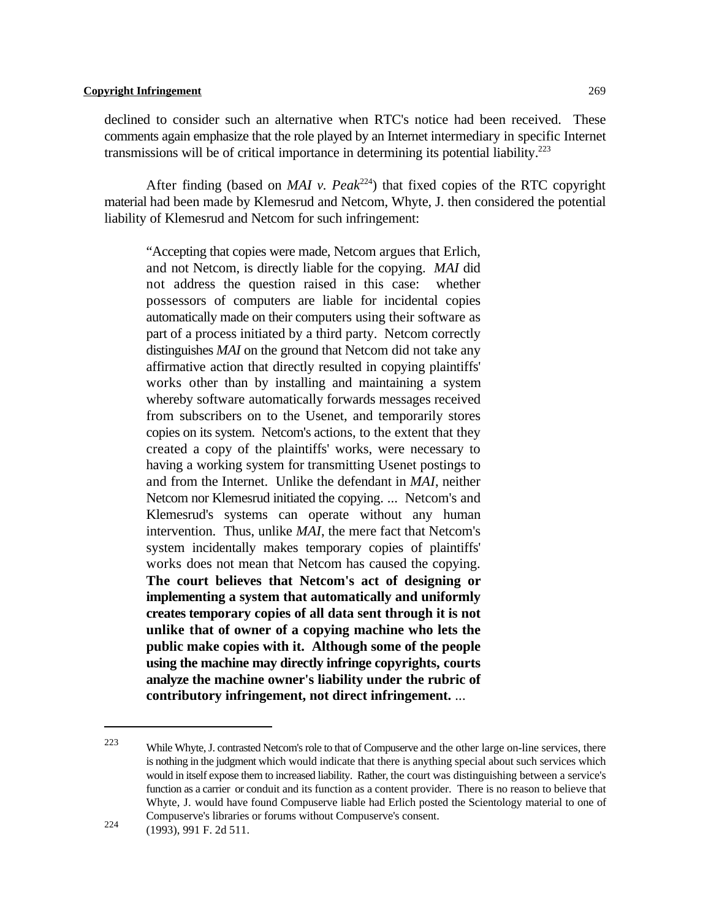declined to consider such an alternative when RTC's notice had been received. These comments again emphasize that the role played by an Internet intermediary in specific Internet transmissions will be of critical importance in determining its potential liability.<sup>223</sup>

After finding (based on *MAI v. Peak*<sup>224</sup>) that fixed copies of the RTC copyright material had been made by Klemesrud and Netcom, Whyte, J. then considered the potential liability of Klemesrud and Netcom for such infringement:

"Accepting that copies were made, Netcom argues that Erlich, and not Netcom, is directly liable for the copying. *MAI* did not address the question raised in this case: whether possessors of computers are liable for incidental copies automatically made on their computers using their software as part of a process initiated by a third party. Netcom correctly distinguishes *MAI* on the ground that Netcom did not take any affirmative action that directly resulted in copying plaintiffs' works other than by installing and maintaining a system whereby software automatically forwards messages received from subscribers on to the Usenet, and temporarily stores copies on its system. Netcom's actions, to the extent that they created a copy of the plaintiffs' works, were necessary to having a working system for transmitting Usenet postings to and from the Internet. Unlike the defendant in *MAI*, neither Netcom nor Klemesrud initiated the copying. ... Netcom's and Klemesrud's systems can operate without any human intervention. Thus, unlike *MAI*, the mere fact that Netcom's system incidentally makes temporary copies of plaintiffs' works does not mean that Netcom has caused the copying. **The court believes that Netcom's act of designing or implementing a system that automatically and uniformly creates temporary copies of all data sent through it is not unlike that of owner of a copying machine who lets the public make copies with it. Although some of the people using the machine may directly infringe copyrights, courts analyze the machine owner's liability under the rubric of contributory infringement, not direct infringement.** ...

<sup>223</sup> While Whyte, J. contrasted Netcom's role to that of Compuserve and the other large on-line services, there is nothing in the judgment which would indicate that there is anything special about such services which would in itself expose them to increased liability. Rather, the court was distinguishing between a service's function as a carrier or conduit and its function as a content provider. There is no reason to believe that Whyte, J. would have found Compuserve liable had Erlich posted the Scientology material to one of Compuserve's libraries or forums without Compuserve's consent.

<sup>224 (1993), 991</sup> F. 2d 511.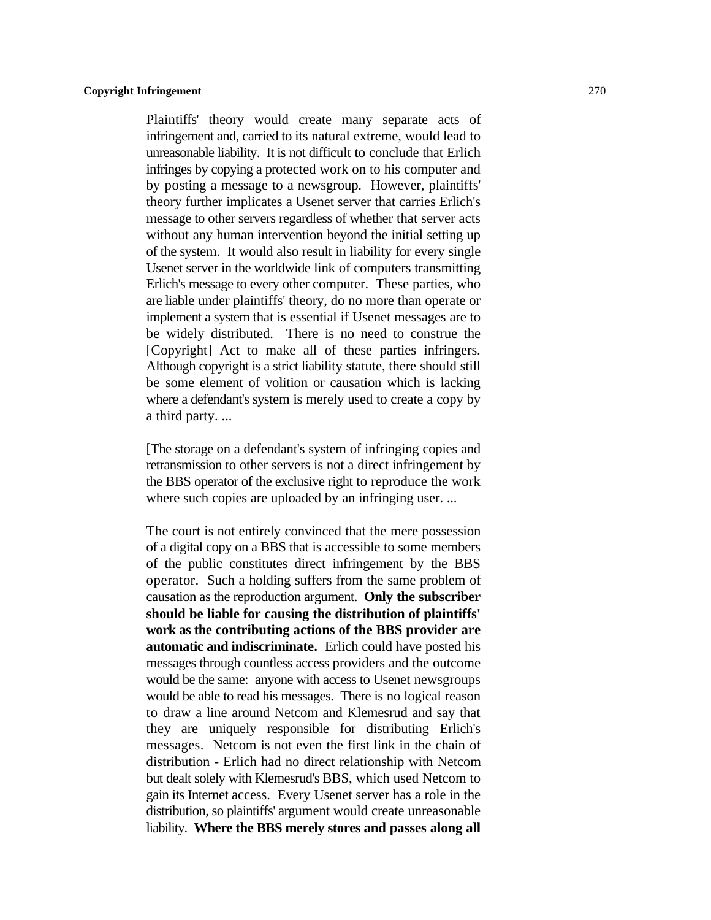Plaintiffs' theory would create many separate acts of infringement and, carried to its natural extreme, would lead to unreasonable liability. It is not difficult to conclude that Erlich infringes by copying a protected work on to his computer and by posting a message to a newsgroup. However, plaintiffs' theory further implicates a Usenet server that carries Erlich's message to other servers regardless of whether that server acts without any human intervention beyond the initial setting up of the system. It would also result in liability for every single Usenet server in the worldwide link of computers transmitting Erlich's message to every other computer. These parties, who are liable under plaintiffs' theory, do no more than operate or implement a system that is essential if Usenet messages are to be widely distributed. There is no need to construe the [Copyright] Act to make all of these parties infringers. Although copyright is a strict liability statute, there should still be some element of volition or causation which is lacking where a defendant's system is merely used to create a copy by a third party. ...

[The storage on a defendant's system of infringing copies and retransmission to other servers is not a direct infringement by the BBS operator of the exclusive right to reproduce the work where such copies are uploaded by an infringing user. ...

The court is not entirely convinced that the mere possession of a digital copy on a BBS that is accessible to some members of the public constitutes direct infringement by the BBS operator. Such a holding suffers from the same problem of causation as the reproduction argument. **Only the subscriber should be liable for causing the distribution of plaintiffs' work as the contributing actions of the BBS provider are automatic and indiscriminate.** Erlich could have posted his messages through countless access providers and the outcome would be the same: anyone with access to Usenet newsgroups would be able to read his messages. There is no logical reason to draw a line around Netcom and Klemesrud and say that they are uniquely responsible for distributing Erlich's messages. Netcom is not even the first link in the chain of distribution - Erlich had no direct relationship with Netcom but dealt solely with Klemesrud's BBS, which used Netcom to gain its Internet access. Every Usenet server has a role in the distribution, so plaintiffs' argument would create unreasonable liability. **Where the BBS merely stores and passes along all**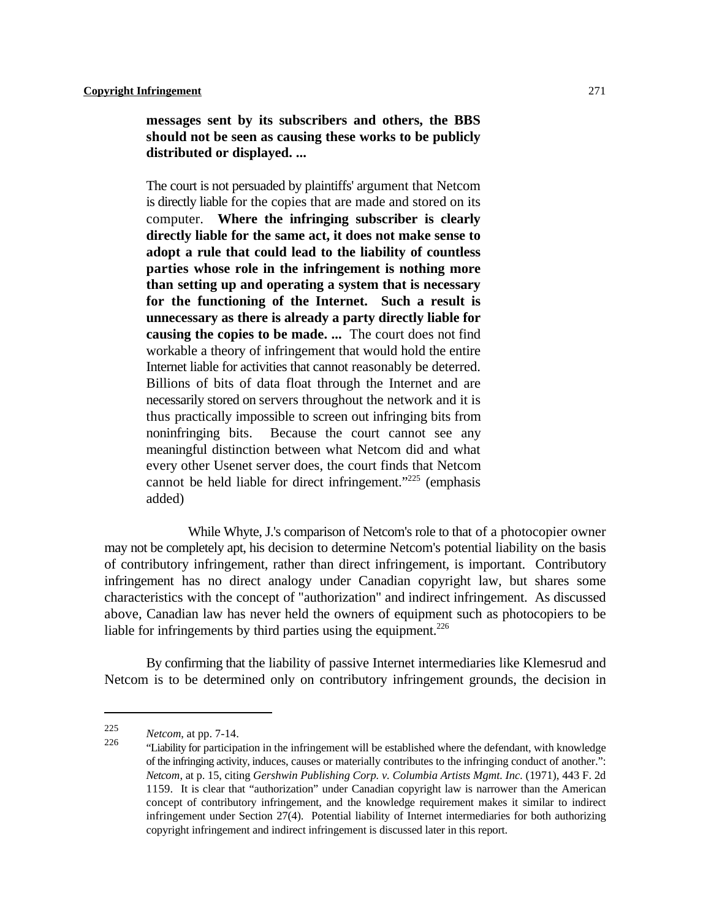**messages sent by its subscribers and others, the BBS should not be seen as causing these works to be publicly distributed or displayed. ...**

The court is not persuaded by plaintiffs' argument that Netcom is directly liable for the copies that are made and stored on its computer. **Where the infringing subscriber is clearly directly liable for the same act, it does not make sense to adopt a rule that could lead to the liability of countless parties whose role in the infringement is nothing more than setting up and operating a system that is necessary for the functioning of the Internet. Such a result is unnecessary as there is already a party directly liable for causing the copies to be made. ...** The court does not find workable a theory of infringement that would hold the entire Internet liable for activities that cannot reasonably be deterred. Billions of bits of data float through the Internet and are necessarily stored on servers throughout the network and it is thus practically impossible to screen out infringing bits from noninfringing bits. Because the court cannot see any meaningful distinction between what Netcom did and what every other Usenet server does, the court finds that Netcom cannot be held liable for direct infringement."<sup>225</sup> (emphasis added)

While Whyte, J.'s comparison of Netcom's role to that of a photocopier owner may not be completely apt, his decision to determine Netcom's potential liability on the basis of contributory infringement, rather than direct infringement, is important. Contributory infringement has no direct analogy under Canadian copyright law, but shares some characteristics with the concept of "authorization" and indirect infringement. As discussed above, Canadian law has never held the owners of equipment such as photocopiers to be liable for infringements by third parties using the equipment.<sup>226</sup>

By confirming that the liability of passive Internet intermediaries like Klemesrud and Netcom is to be determined only on contributory infringement grounds, the decision in

*Netcom*, at pp. 7-14. <sup>225</sup>

<sup>&</sup>quot;Liability for participation in the infringement will be established where the defendant, with knowledge <sup>226</sup> of the infringing activity, induces, causes or materially contributes to the infringing conduct of another.": *Netcom*, at p. 15, citing *Gershwin Publishing Corp. v. Columbia Artists Mgmt. Inc.* (1971), 443 F. 2d 1159. It is clear that "authorization" under Canadian copyright law is narrower than the American concept of contributory infringement, and the knowledge requirement makes it similar to indirect infringement under Section 27(4). Potential liability of Internet intermediaries for both authorizing copyright infringement and indirect infringement is discussed later in this report.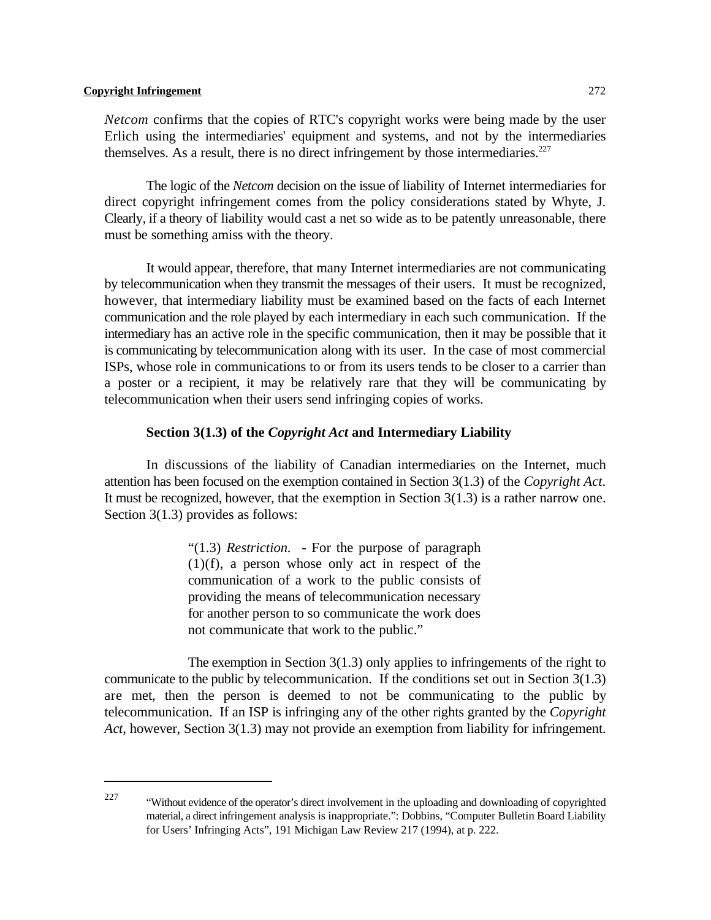*Netcom* confirms that the copies of RTC's copyright works were being made by the user Erlich using the intermediaries' equipment and systems, and not by the intermediaries themselves. As a result, there is no direct infringement by those intermediaries. $227$ 

The logic of the *Netcom* decision on the issue of liability of Internet intermediaries for direct copyright infringement comes from the policy considerations stated by Whyte, J. Clearly, if a theory of liability would cast a net so wide as to be patently unreasonable, there must be something amiss with the theory.

It would appear, therefore, that many Internet intermediaries are not communicating by telecommunication when they transmit the messages of their users. It must be recognized, however, that intermediary liability must be examined based on the facts of each Internet communication and the role played by each intermediary in each such communication. If the intermediary has an active role in the specific communication, then it may be possible that it is communicating by telecommunication along with its user. In the case of most commercial ISPs, whose role in communications to or from its users tends to be closer to a carrier than a poster or a recipient, it may be relatively rare that they will be communicating by telecommunication when their users send infringing copies of works.

#### **Section 3(1.3) of the** *Copyright Act* **and Intermediary Liability**

In discussions of the liability of Canadian intermediaries on the Internet, much attention has been focused on the exemption contained in Section 3(1.3) of the *Copyright Act*. It must be recognized, however, that the exemption in Section  $3(1.3)$  is a rather narrow one. Section 3(1.3) provides as follows:

> "(1.3) *Restriction.* - For the purpose of paragraph (1)(f), a person whose only act in respect of the communication of a work to the public consists of providing the means of telecommunication necessary for another person to so communicate the work does not communicate that work to the public."

The exemption in Section  $3(1.3)$  only applies to infringements of the right to communicate to the public by telecommunication. If the conditions set out in Section  $3(1.3)$ are met, then the person is deemed to not be communicating to the public by telecommunication. If an ISP is infringing any of the other rights granted by the *Copyright Act*, however, Section 3(1.3) may not provide an exemption from liability for infringement.

 $^{227}$  "Without evidence of the operator's direct involvement in the uploading and downloading of copyrighted material, a direct infringement analysis is inappropriate.": Dobbins, "Computer Bulletin Board Liability for Users' Infringing Acts", 191 Michigan Law Review 217 (1994), at p. 222.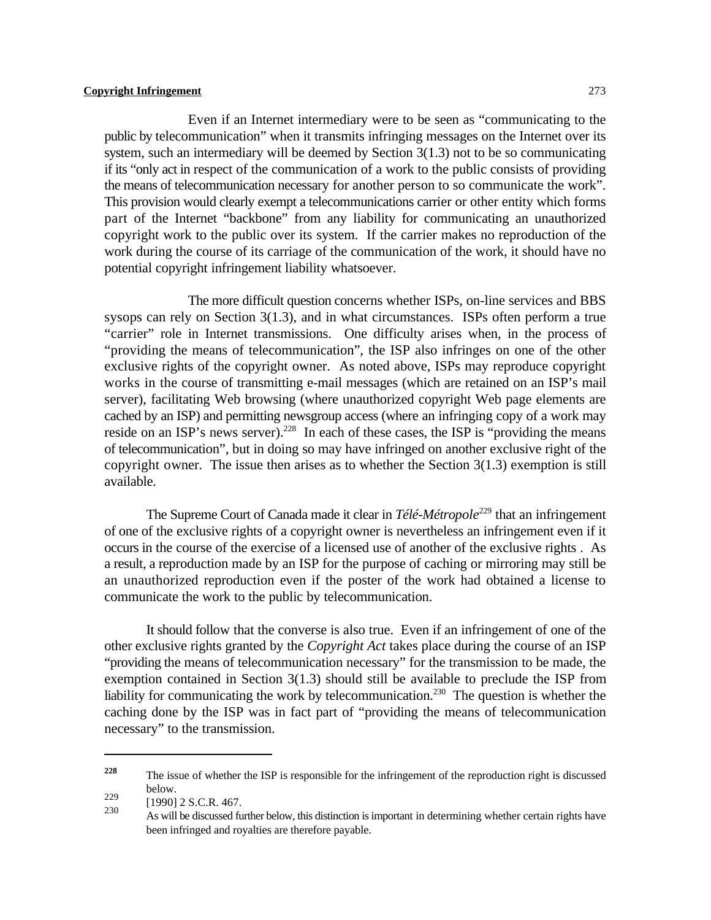Even if an Internet intermediary were to be seen as "communicating to the public by telecommunication" when it transmits infringing messages on the Internet over its system, such an intermediary will be deemed by Section 3(1.3) not to be so communicating if its "only act in respect of the communication of a work to the public consists of providing the means of telecommunication necessary for another person to so communicate the work". This provision would clearly exempt a telecommunications carrier or other entity which forms part of the Internet "backbone" from any liability for communicating an unauthorized copyright work to the public over its system. If the carrier makes no reproduction of the work during the course of its carriage of the communication of the work, it should have no potential copyright infringement liability whatsoever.

The more difficult question concerns whether ISPs, on-line services and BBS sysops can rely on Section 3(1.3), and in what circumstances. ISPs often perform a true "carrier" role in Internet transmissions. One difficulty arises when, in the process of "providing the means of telecommunication", the ISP also infringes on one of the other exclusive rights of the copyright owner. As noted above, ISPs may reproduce copyright works in the course of transmitting e-mail messages (which are retained on an ISP's mail server), facilitating Web browsing (where unauthorized copyright Web page elements are cached by an ISP) and permitting newsgroup access (where an infringing copy of a work may reside on an ISP's news server).<sup>228</sup> In each of these cases, the ISP is "providing the means of telecommunication", but in doing so may have infringed on another exclusive right of the copyright owner. The issue then arises as to whether the Section  $3(1.3)$  exemption is still available.

The Supreme Court of Canada made it clear in *Télé-Métropole*<sup>229</sup> that an infringement of one of the exclusive rights of a copyright owner is nevertheless an infringement even if it occurs in the course of the exercise of a licensed use of another of the exclusive rights . As a result, a reproduction made by an ISP for the purpose of caching or mirroring may still be an unauthorized reproduction even if the poster of the work had obtained a license to communicate the work to the public by telecommunication.

It should follow that the converse is also true. Even if an infringement of one of the other exclusive rights granted by the *Copyright Act* takes place during the course of an ISP "providing the means of telecommunication necessary" for the transmission to be made, the exemption contained in Section 3(1.3) should still be available to preclude the ISP from liability for communicating the work by telecommunication.<sup>230</sup> The question is whether the caching done by the ISP was in fact part of "providing the means of telecommunication necessary" to the transmission.

The issue of whether the ISP is responsible for the infringement of the reproduction right is discussed **228** below.

 $\frac{229}{230}$  [1990] 2 S.C.R. 467.

As will be discussed further below, this distinction is important in determining whether certain rights have been infringed and royalties are therefore payable.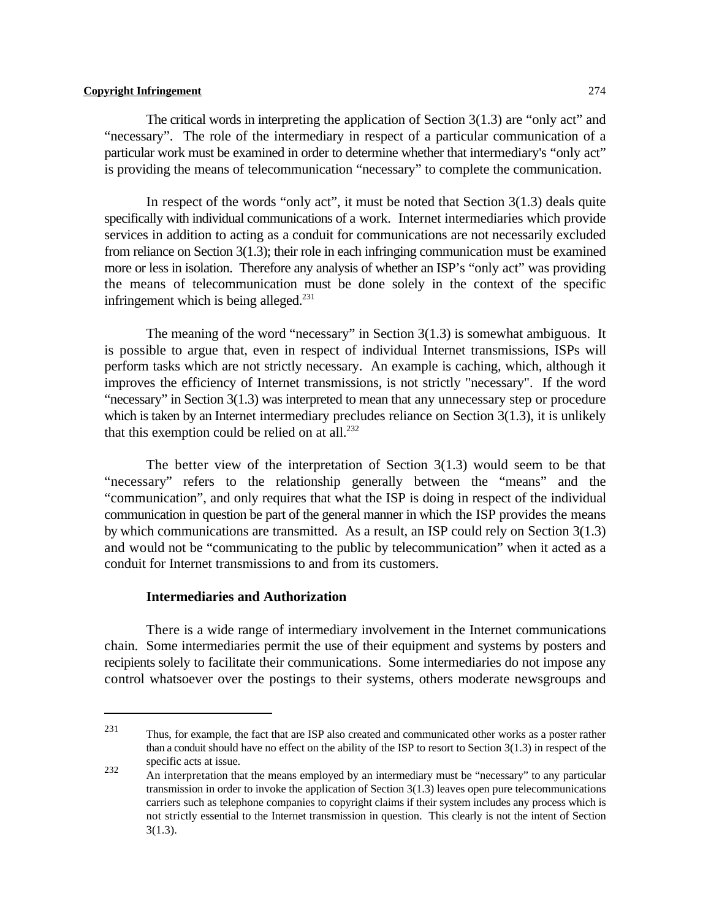The critical words in interpreting the application of Section 3(1.3) are "only act" and "necessary". The role of the intermediary in respect of a particular communication of a particular work must be examined in order to determine whether that intermediary's "only act" is providing the means of telecommunication "necessary" to complete the communication.

In respect of the words "only act", it must be noted that Section 3(1.3) deals quite specifically with individual communications of a work. Internet intermediaries which provide services in addition to acting as a conduit for communications are not necessarily excluded from reliance on Section 3(1.3); their role in each infringing communication must be examined more or less in isolation. Therefore any analysis of whether an ISP's "only act" was providing the means of telecommunication must be done solely in the context of the specific infringement which is being alleged.<sup>231</sup>

The meaning of the word "necessary" in Section  $3(1.3)$  is somewhat ambiguous. It is possible to argue that, even in respect of individual Internet transmissions, ISPs will perform tasks which are not strictly necessary. An example is caching, which, although it improves the efficiency of Internet transmissions, is not strictly "necessary". If the word "necessary" in Section 3(1.3) was interpreted to mean that any unnecessary step or procedure which is taken by an Internet intermediary precludes reliance on Section 3(1.3), it is unlikely that this exemption could be relied on at all. $^{232}$ 

The better view of the interpretation of Section  $3(1.3)$  would seem to be that "necessary" refers to the relationship generally between the "means" and the "communication", and only requires that what the ISP is doing in respect of the individual communication in question be part of the general manner in which the ISP provides the means by which communications are transmitted. As a result, an ISP could rely on Section 3(1.3) and would not be "communicating to the public by telecommunication" when it acted as a conduit for Internet transmissions to and from its customers.

#### **Intermediaries and Authorization**

There is a wide range of intermediary involvement in the Internet communications chain. Some intermediaries permit the use of their equipment and systems by posters and recipients solely to facilitate their communications. Some intermediaries do not impose any control whatsoever over the postings to their systems, others moderate newsgroups and

Thus, for example, the fact that are ISP also created and communicated other works as a poster rather than a conduit should have no effect on the ability of the ISP to resort to Section 3(1.3) in respect of the specific acts at issue. 232

An interpretation that the means employed by an intermediary must be "necessary" to any particular transmission in order to invoke the application of Section 3(1.3) leaves open pure telecommunications carriers such as telephone companies to copyright claims if their system includes any process which is not strictly essential to the Internet transmission in question. This clearly is not the intent of Section 3(1.3).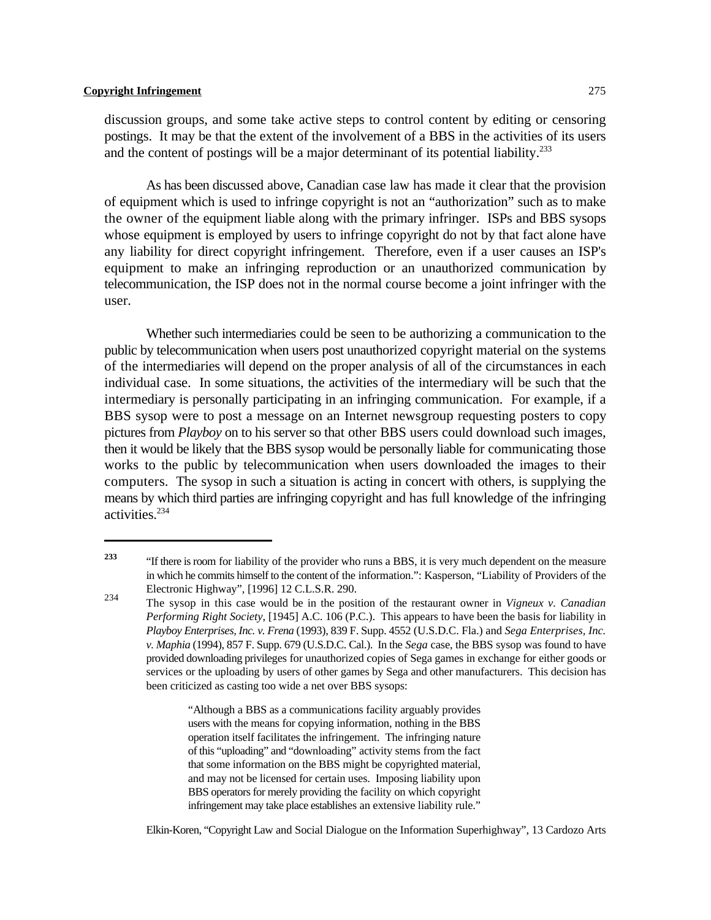discussion groups, and some take active steps to control content by editing or censoring postings. It may be that the extent of the involvement of a BBS in the activities of its users and the content of postings will be a major determinant of its potential liability.<sup>233</sup>

As has been discussed above, Canadian case law has made it clear that the provision of equipment which is used to infringe copyright is not an "authorization" such as to make the owner of the equipment liable along with the primary infringer. ISPs and BBS sysops whose equipment is employed by users to infringe copyright do not by that fact alone have any liability for direct copyright infringement. Therefore, even if a user causes an ISP's equipment to make an infringing reproduction or an unauthorized communication by telecommunication, the ISP does not in the normal course become a joint infringer with the user.

Whether such intermediaries could be seen to be authorizing a communication to the public by telecommunication when users post unauthorized copyright material on the systems of the intermediaries will depend on the proper analysis of all of the circumstances in each individual case. In some situations, the activities of the intermediary will be such that the intermediary is personally participating in an infringing communication. For example, if a BBS sysop were to post a message on an Internet newsgroup requesting posters to copy pictures from *Playboy* on to his server so that other BBS users could download such images, then it would be likely that the BBS sysop would be personally liable for communicating those works to the public by telecommunication when users downloaded the images to their computers. The sysop in such a situation is acting in concert with others, is supplying the means by which third parties are infringing copyright and has full knowledge of the infringing activities. 234

"Although a BBS as a communications facility arguably provides users with the means for copying information, nothing in the BBS operation itself facilitates the infringement. The infringing nature of this "uploading" and "downloading" activity stems from the fact that some information on the BBS might be copyrighted material, and may not be licensed for certain uses. Imposing liability upon BBS operators for merely providing the facility on which copyright infringement may take place establishes an extensive liability rule."

Elkin-Koren, "Copyright Law and Social Dialogue on the Information Superhighway", 13 Cardozo Arts

<sup>&</sup>lt;sup>233</sup> "If there is room for liability of the provider who runs a BBS, it is very much dependent on the measure in which he commits himself to the content of the information.": Kasperson, "Liability of Providers of the Electronic Highway", [1996] 12 C.L.S.R. 290. 234

The sysop in this case would be in the position of the restaurant owner in *Vigneux v. Canadian Performing Right Society*, [1945] A.C. 106 (P.C.). This appears to have been the basis for liability in *Playboy Enterprises, Inc. v. Frena* (1993), 839 F. Supp. 4552 (U.S.D.C. Fla.) and *Sega Enterprises, Inc. v. Maphia* (1994), 857 F. Supp. 679 (U.S.D.C. Cal.). In the *Sega* case, the BBS sysop was found to have provided downloading privileges for unauthorized copies of Sega games in exchange for either goods or services or the uploading by users of other games by Sega and other manufacturers. This decision has been criticized as casting too wide a net over BBS sysops: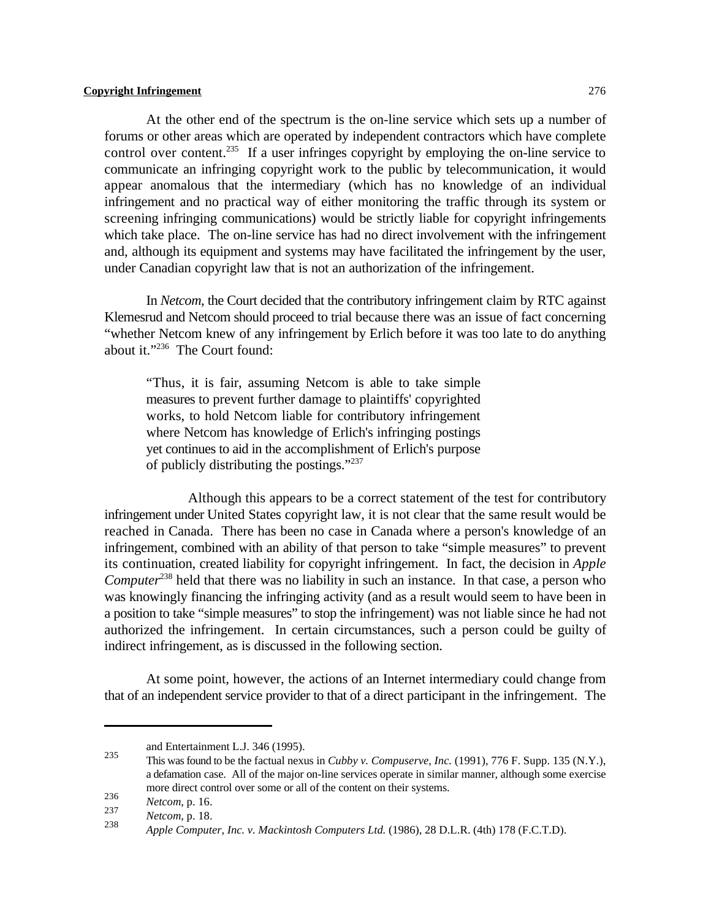At the other end of the spectrum is the on-line service which sets up a number of forums or other areas which are operated by independent contractors which have complete control over content.<sup>235</sup> If a user infringes copyright by employing the on-line service to communicate an infringing copyright work to the public by telecommunication, it would appear anomalous that the intermediary (which has no knowledge of an individual infringement and no practical way of either monitoring the traffic through its system or screening infringing communications) would be strictly liable for copyright infringements which take place. The on-line service has had no direct involvement with the infringement and, although its equipment and systems may have facilitated the infringement by the user, under Canadian copyright law that is not an authorization of the infringement.

In *Netcom*, the Court decided that the contributory infringement claim by RTC against Klemesrud and Netcom should proceed to trial because there was an issue of fact concerning "whether Netcom knew of any infringement by Erlich before it was too late to do anything about it."<sup>236</sup> The Court found:

"Thus, it is fair, assuming Netcom is able to take simple measures to prevent further damage to plaintiffs' copyrighted works, to hold Netcom liable for contributory infringement where Netcom has knowledge of Erlich's infringing postings yet continues to aid in the accomplishment of Erlich's purpose of publicly distributing the postings."<sup>237</sup>

Although this appears to be a correct statement of the test for contributory infringement under United States copyright law, it is not clear that the same result would be reached in Canada. There has been no case in Canada where a person's knowledge of an infringement, combined with an ability of that person to take "simple measures" to prevent its continuation, created liability for copyright infringement. In fact, the decision in *Apple Computer*<sup> $238$ </sup> held that there was no liability in such an instance. In that case, a person who was knowingly financing the infringing activity (and as a result would seem to have been in a position to take "simple measures" to stop the infringement) was not liable since he had not authorized the infringement. In certain circumstances, such a person could be guilty of indirect infringement, as is discussed in the following section.

At some point, however, the actions of an Internet intermediary could change from that of an independent service provider to that of a direct participant in the infringement. The

and Entertainment L.J. 346 (1995).

This was found to be the factual nexus in *Cubby v. Compuserve, Inc.* (1991), 776 F. Supp. 135 (N.Y.), <sup>235</sup> a defamation case. All of the major on-line services operate in similar manner, although some exercise more direct control over some or all of the content on their systems.

<sup>&</sup>lt;sup>236</sup> *Netcom*, p. 16.<br><sup>237</sup> *Metcom*, p. 16.

<sup>&</sup>lt;sup>237</sup> *Netcom*, p. 18.

*Apple Computer, Inc. v. Mackintosh Computers Ltd.* (1986), 28 D.L.R. (4th) 178 (F.C.T.D). <sup>238</sup>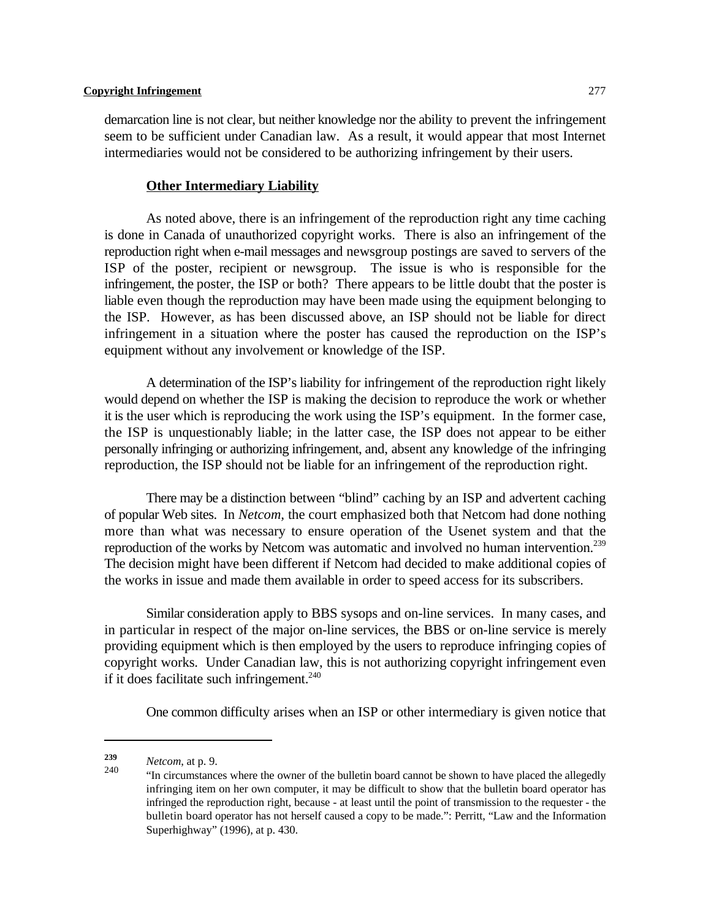demarcation line is not clear, but neither knowledge nor the ability to prevent the infringement seem to be sufficient under Canadian law. As a result, it would appear that most Internet intermediaries would not be considered to be authorizing infringement by their users.

### **Other Intermediary Liability**

As noted above, there is an infringement of the reproduction right any time caching is done in Canada of unauthorized copyright works. There is also an infringement of the reproduction right when e-mail messages and newsgroup postings are saved to servers of the ISP of the poster, recipient or newsgroup. The issue is who is responsible for the infringement, the poster, the ISP or both? There appears to be little doubt that the poster is liable even though the reproduction may have been made using the equipment belonging to the ISP. However, as has been discussed above, an ISP should not be liable for direct infringement in a situation where the poster has caused the reproduction on the ISP's equipment without any involvement or knowledge of the ISP.

A determination of the ISP's liability for infringement of the reproduction right likely would depend on whether the ISP is making the decision to reproduce the work or whether it is the user which is reproducing the work using the ISP's equipment. In the former case, the ISP is unquestionably liable; in the latter case, the ISP does not appear to be either personally infringing or authorizing infringement, and, absent any knowledge of the infringing reproduction, the ISP should not be liable for an infringement of the reproduction right.

There may be a distinction between "blind" caching by an ISP and advertent caching of popular Web sites. In *Netcom,* the court emphasized both that Netcom had done nothing more than what was necessary to ensure operation of the Usenet system and that the reproduction of the works by Netcom was automatic and involved no human intervention.<sup>239</sup> The decision might have been different if Netcom had decided to make additional copies of the works in issue and made them available in order to speed access for its subscribers.

Similar consideration apply to BBS sysops and on-line services. In many cases, and in particular in respect of the major on-line services, the BBS or on-line service is merely providing equipment which is then employed by the users to reproduce infringing copies of copyright works. Under Canadian law, this is not authorizing copyright infringement even if it does facilitate such infringement.<sup>240</sup>

One common difficulty arises when an ISP or other intermediary is given notice that

*Netcom*, at p. 9. **<sup>239</sup>**

<sup>&</sup>quot;In circumstances where the owner of the bulletin board cannot be shown to have placed the allegedly <sup>240</sup> infringing item on her own computer, it may be difficult to show that the bulletin board operator has infringed the reproduction right, because - at least until the point of transmission to the requester - the bulletin board operator has not herself caused a copy to be made.": Perritt, "Law and the Information Superhighway" (1996), at p. 430.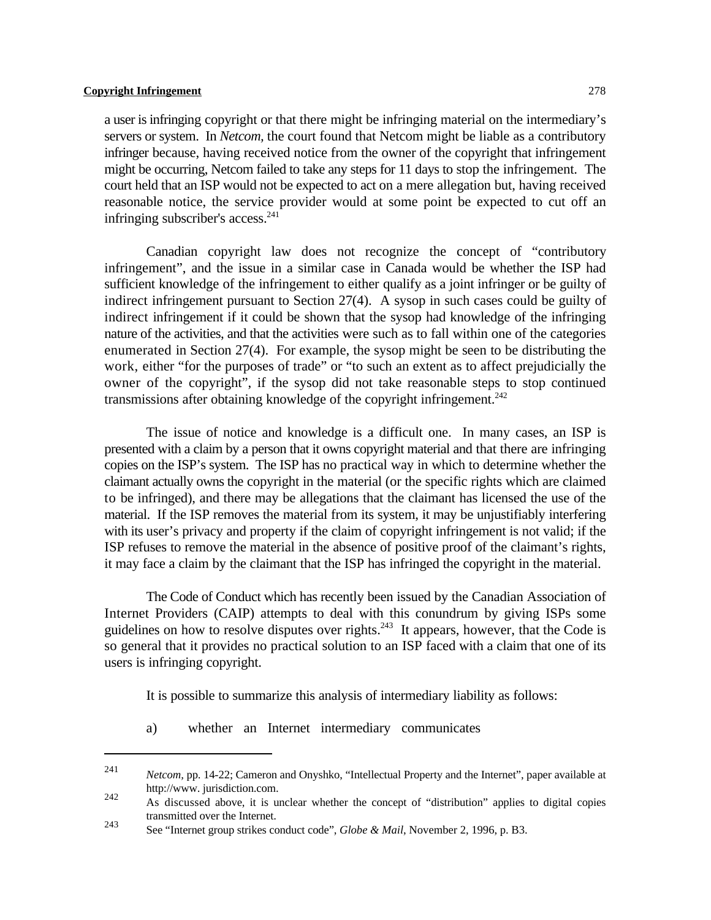a user is infringing copyright or that there might be infringing material on the intermediary's servers or system. In *Netcom,* the court found that Netcom might be liable as a contributory infringer because, having received notice from the owner of the copyright that infringement might be occurring, Netcom failed to take any steps for 11 days to stop the infringement. The court held that an ISP would not be expected to act on a mere allegation but, having received reasonable notice, the service provider would at some point be expected to cut off an infringing subscriber's access. 241

Canadian copyright law does not recognize the concept of "contributory infringement", and the issue in a similar case in Canada would be whether the ISP had sufficient knowledge of the infringement to either qualify as a joint infringer or be guilty of indirect infringement pursuant to Section 27(4). A sysop in such cases could be guilty of indirect infringement if it could be shown that the sysop had knowledge of the infringing nature of the activities, and that the activities were such as to fall within one of the categories enumerated in Section 27(4). For example, the sysop might be seen to be distributing the work, either "for the purposes of trade" or "to such an extent as to affect prejudicially the owner of the copyright", if the sysop did not take reasonable steps to stop continued transmissions after obtaining knowledge of the copyright infringement.<sup>242</sup>

The issue of notice and knowledge is a difficult one. In many cases, an ISP is presented with a claim by a person that it owns copyright material and that there are infringing copies on the ISP's system. The ISP has no practical way in which to determine whether the claimant actually owns the copyright in the material (or the specific rights which are claimed to be infringed), and there may be allegations that the claimant has licensed the use of the material. If the ISP removes the material from its system, it may be unjustifiably interfering with its user's privacy and property if the claim of copyright infringement is not valid; if the ISP refuses to remove the material in the absence of positive proof of the claimant's rights, it may face a claim by the claimant that the ISP has infringed the copyright in the material.

The Code of Conduct which has recently been issued by the Canadian Association of Internet Providers (CAIP) attempts to deal with this conundrum by giving ISPs some guidelines on how to resolve disputes over rights. $243$  It appears, however, that the Code is so general that it provides no practical solution to an ISP faced with a claim that one of its users is infringing copyright.

It is possible to summarize this analysis of intermediary liability as follows:

a) whether an Internet intermediary communicates

<sup>&</sup>lt;sup>241</sup> *Netcom,* pp. 14-22; Cameron and Onyshko, "Intellectual Property and the Internet", paper available at http://www. jurisdiction.com. 242

As discussed above, it is unclear whether the concept of "distribution" applies to digital copies transmitted over the Internet.

See "Internet group strikes conduct code", *Globe & Mail*, November 2, 1996, p. B3. <sup>243</sup>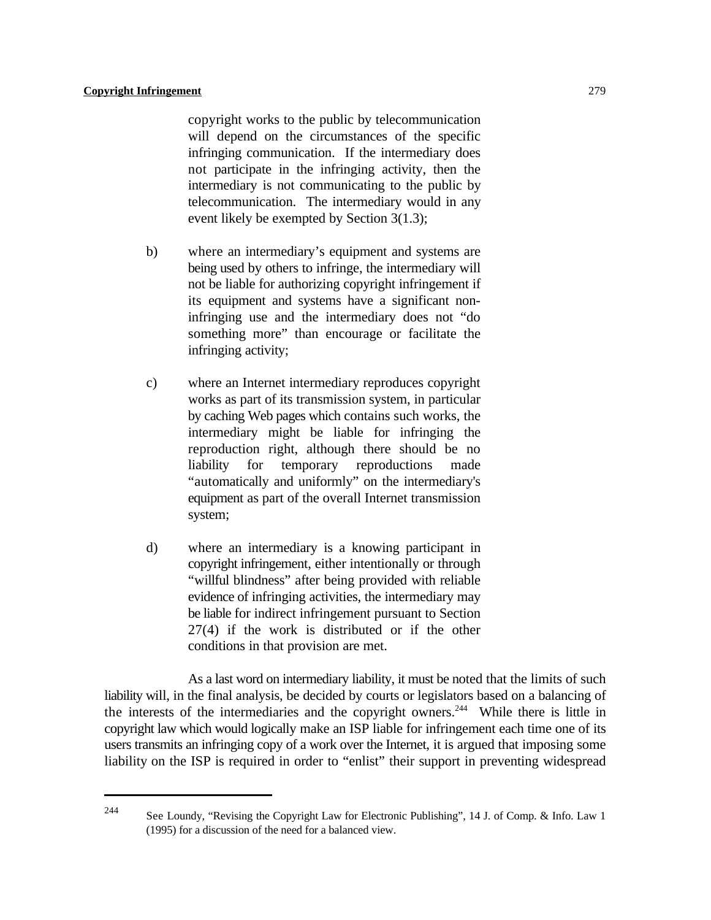copyright works to the public by telecommunication will depend on the circumstances of the specific infringing communication. If the intermediary does not participate in the infringing activity, then the intermediary is not communicating to the public by telecommunication. The intermediary would in any event likely be exempted by Section 3(1.3);

- b) where an intermediary's equipment and systems are being used by others to infringe, the intermediary will not be liable for authorizing copyright infringement if its equipment and systems have a significant noninfringing use and the intermediary does not "do something more" than encourage or facilitate the infringing activity;
- c) where an Internet intermediary reproduces copyright works as part of its transmission system, in particular by caching Web pages which contains such works, the intermediary might be liable for infringing the reproduction right, although there should be no liability for temporary reproductions made "automatically and uniformly" on the intermediary's equipment as part of the overall Internet transmission system;
- d) where an intermediary is a knowing participant in copyright infringement, either intentionally or through "willful blindness" after being provided with reliable evidence of infringing activities, the intermediary may be liable for indirect infringement pursuant to Section 27(4) if the work is distributed or if the other conditions in that provision are met.

As a last word on intermediary liability, it must be noted that the limits of such liability will, in the final analysis, be decided by courts or legislators based on a balancing of the interests of the intermediaries and the copyright owners.<sup>244</sup> While there is little in copyright law which would logically make an ISP liable for infringement each time one of its users transmits an infringing copy of a work over the Internet, it is argued that imposing some liability on the ISP is required in order to "enlist" their support in preventing widespread

See Loundy, "Revising the Copyright Law for Electronic Publishing", 14 J. of Comp. & Info. Law 1 244 (1995) for a discussion of the need for a balanced view.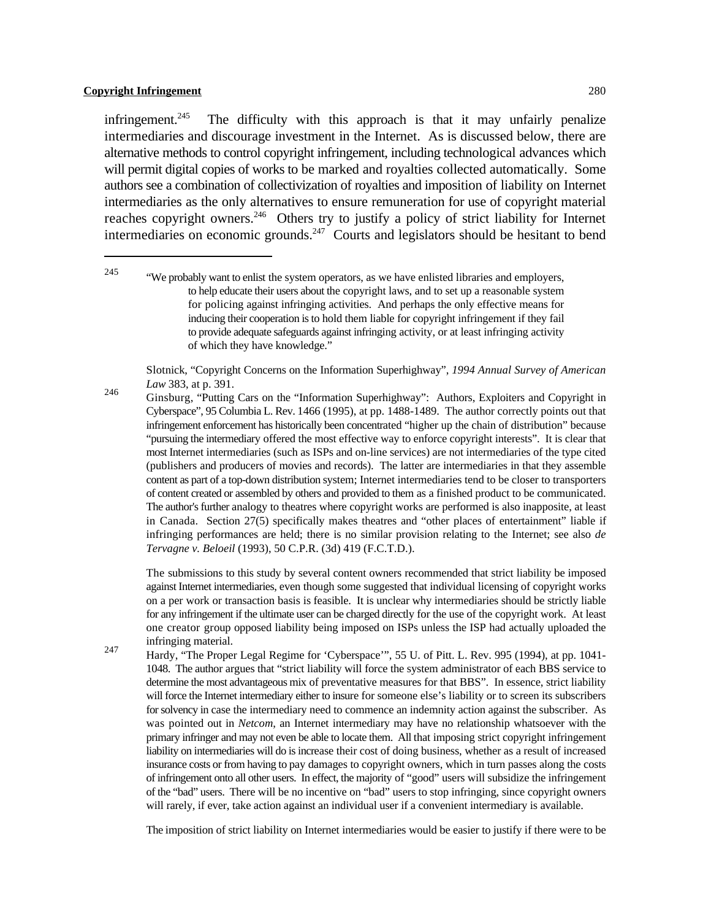The difficulty with this approach is that it may unfairly penalize infringement. $245$ intermediaries and discourage investment in the Internet. As is discussed below, there are alternative methods to control copyright infringement, including technological advances which will permit digital copies of works to be marked and royalties collected automatically. Some authors see a combination of collectivization of royalties and imposition of liability on Internet intermediaries as the only alternatives to ensure remuneration for use of copyright material reaches copyright owners.<sup>246</sup> Others try to justify a policy of strict liability for Internet intermediaries on economic grounds.<sup>247</sup> Courts and legislators should be hesitant to bend

Slotnick, "Copyright Concerns on the Information Superhighway", *1994 Annual Survey of American Law* 383, at p. 391.

Ginsburg, "Putting Cars on the "Information Superhighway": Authors, Exploiters and Copyright in 246 Cyberspace", 95 Columbia L. Rev. 1466 (1995), at pp. 1488-1489. The author correctly points out that infringement enforcement has historically been concentrated "higher up the chain of distribution" because "pursuing the intermediary offered the most effective way to enforce copyright interests". It is clear that most Internet intermediaries (such as ISPs and on-line services) are not intermediaries of the type cited (publishers and producers of movies and records). The latter are intermediaries in that they assemble content as part of a top-down distribution system; Internet intermediaries tend to be closer to transporters of content created or assembled by others and provided to them as a finished product to be communicated. The author's further analogy to theatres where copyright works are performed is also inapposite, at least in Canada. Section 27(5) specifically makes theatres and "other places of entertainment" liable if infringing performances are held; there is no similar provision relating to the Internet; see also *de Tervagne v. Beloeil* (1993), 50 C.P.R. (3d) 419 (F.C.T.D.).

The submissions to this study by several content owners recommended that strict liability be imposed against Internet intermediaries, even though some suggested that individual licensing of copyright works on a per work or transaction basis is feasible. It is unclear why intermediaries should be strictly liable for any infringement if the ultimate user can be charged directly for the use of the copyright work. At least one creator group opposed liability being imposed on ISPs unless the ISP had actually uploaded the infringing material.

247

Hardy, "The Proper Legal Regime for 'Cyberspace'", 55 U. of Pitt. L. Rev. 995 (1994), at pp. 1041- 1048. The author argues that "strict liability will force the system administrator of each BBS service to determine the most advantageous mix of preventative measures for that BBS". In essence, strict liability will force the Internet intermediary either to insure for someone else's liability or to screen its subscribers for solvency in case the intermediary need to commence an indemnity action against the subscriber. As was pointed out in *Netcom*, an Internet intermediary may have no relationship whatsoever with the primary infringer and may not even be able to locate them. All that imposing strict copyright infringement liability on intermediaries will do is increase their cost of doing business, whether as a result of increased insurance costs or from having to pay damages to copyright owners, which in turn passes along the costs of infringement onto all other users. In effect, the majority of "good" users will subsidize the infringement of the "bad" users. There will be no incentive on "bad" users to stop infringing, since copyright owners will rarely, if ever, take action against an individual user if a convenient intermediary is available.

The imposition of strict liability on Internet intermediaries would be easier to justify if there were to be

 $\frac{245}{\text{W}}$  "We probably want to enlist the system operators, as we have enlisted libraries and employers, to help educate their users about the copyright laws, and to set up a reasonable system for policing against infringing activities. And perhaps the only effective means for inducing their cooperation is to hold them liable for copyright infringement if they fail to provide adequate safeguards against infringing activity, or at least infringing activity of which they have knowledge."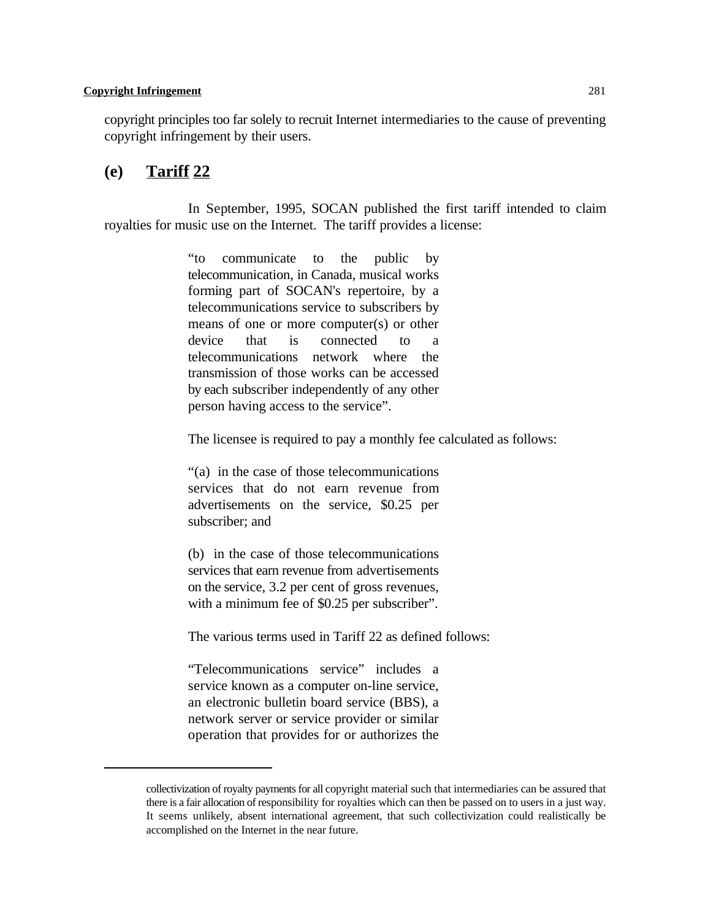copyright principles too far solely to recruit Internet intermediaries to the cause of preventing copyright infringement by their users.

# **(e) Tariff 22**

In September, 1995, SOCAN published the first tariff intended to claim royalties for music use on the Internet. The tariff provides a license:

> "to communicate to the public by telecommunication, in Canada, musical works forming part of SOCAN's repertoire, by a telecommunications service to subscribers by means of one or more computer(s) or other device that is connected to a telecommunications network where the transmission of those works can be accessed by each subscriber independently of any other person having access to the service".

The licensee is required to pay a monthly fee calculated as follows:

"(a) in the case of those telecommunications services that do not earn revenue from advertisements on the service, \$0.25 per subscriber; and

(b) in the case of those telecommunications services that earn revenue from advertisements on the service, 3.2 per cent of gross revenues, with a minimum fee of \$0.25 per subscriber".

The various terms used in Tariff 22 as defined follows:

"Telecommunications service" includes a service known as a computer on-line service, an electronic bulletin board service (BBS), a network server or service provider or similar operation that provides for or authorizes the

collectivization of royalty payments for all copyright material such that intermediaries can be assured that there is a fair allocation of responsibility for royalties which can then be passed on to users in a just way. It seems unlikely, absent international agreement, that such collectivization could realistically be accomplished on the Internet in the near future.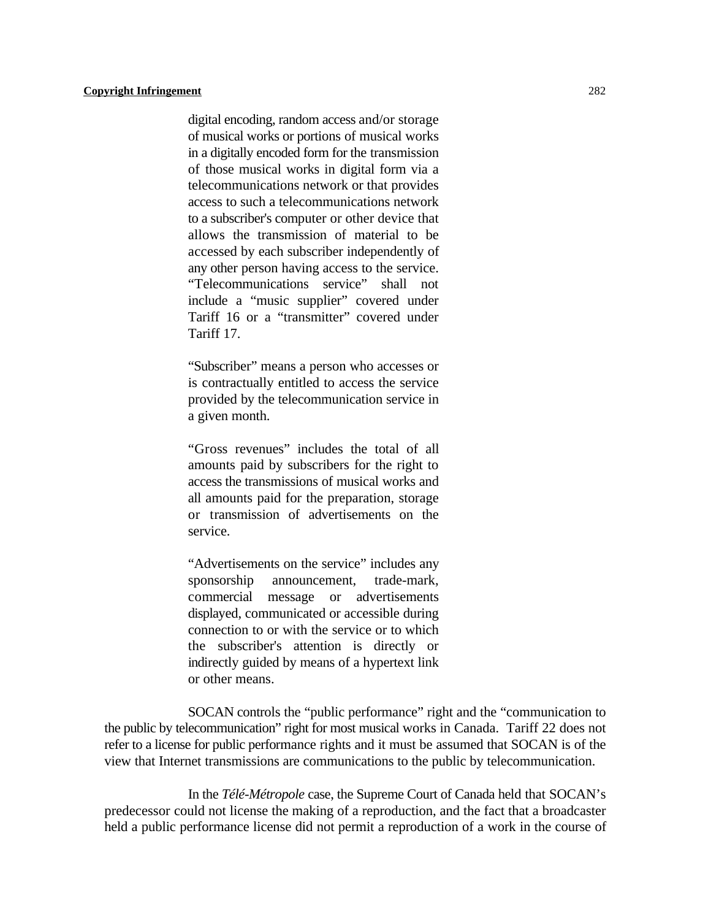digital encoding, random access and/or storage of musical works or portions of musical works in a digitally encoded form for the transmission of those musical works in digital form via a telecommunications network or that provides access to such a telecommunications network to a subscriber's computer or other device that allows the transmission of material to be accessed by each subscriber independently of any other person having access to the service. "Telecommunications service" shall not include a "music supplier" covered under Tariff 16 or a "transmitter" covered under Tariff 17.

"Subscriber" means a person who accesses or is contractually entitled to access the service provided by the telecommunication service in a given month.

"Gross revenues" includes the total of all amounts paid by subscribers for the right to access the transmissions of musical works and all amounts paid for the preparation, storage or transmission of advertisements on the service.

"Advertisements on the service" includes any sponsorship announcement, trade-mark, commercial message or advertisements displayed, communicated or accessible during connection to or with the service or to which the subscriber's attention is directly or indirectly guided by means of a hypertext link or other means.

SOCAN controls the "public performance" right and the "communication to the public by telecommunication" right for most musical works in Canada. Tariff 22 does not refer to a license for public performance rights and it must be assumed that SOCAN is of the view that Internet transmissions are communications to the public by telecommunication.

In the *Télé-Métropole* case, the Supreme Court of Canada held that SOCAN's predecessor could not license the making of a reproduction, and the fact that a broadcaster held a public performance license did not permit a reproduction of a work in the course of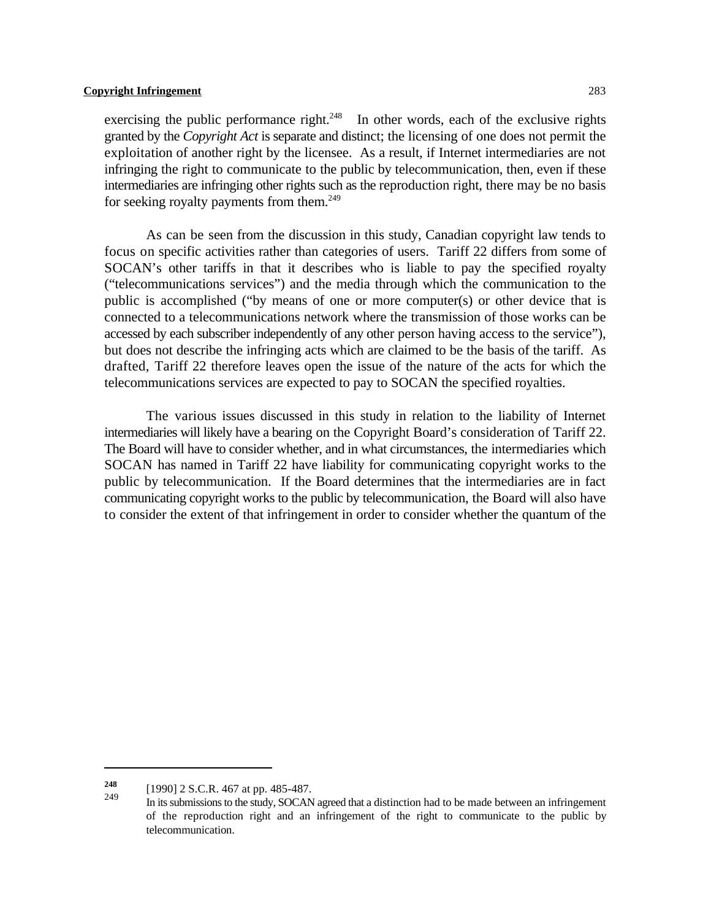exercising the public performance right.<sup> $248$ </sup> In other words, each of the exclusive rights granted by the *Copyright Act* is separate and distinct; the licensing of one does not permit the exploitation of another right by the licensee. As a result, if Internet intermediaries are not infringing the right to communicate to the public by telecommunication, then, even if these intermediaries are infringing other rights such as the reproduction right, there may be no basis for seeking royalty payments from them.<sup>249</sup>

As can be seen from the discussion in this study, Canadian copyright law tends to focus on specific activities rather than categories of users. Tariff 22 differs from some of SOCAN's other tariffs in that it describes who is liable to pay the specified royalty ("telecommunications services") and the media through which the communication to the public is accomplished ("by means of one or more computer(s) or other device that is connected to a telecommunications network where the transmission of those works can be accessed by each subscriber independently of any other person having access to the service"), but does not describe the infringing acts which are claimed to be the basis of the tariff. As drafted, Tariff 22 therefore leaves open the issue of the nature of the acts for which the telecommunications services are expected to pay to SOCAN the specified royalties.

The various issues discussed in this study in relation to the liability of Internet intermediaries will likely have a bearing on the Copyright Board's consideration of Tariff 22. The Board will have to consider whether, and in what circumstances, the intermediaries which SOCAN has named in Tariff 22 have liability for communicating copyright works to the public by telecommunication. If the Board determines that the intermediaries are in fact communicating copyright works to the public by telecommunication, the Board will also have to consider the extent of that infringement in order to consider whether the quantum of the

<sup>[1990] 2</sup> S.C.R. 467 at pp. 485-487. **<sup>248</sup>**

In its submissions to the study, SOCAN agreed that a distinction had to be made between an infringement of the reproduction right and an infringement of the right to communicate to the public by telecommunication.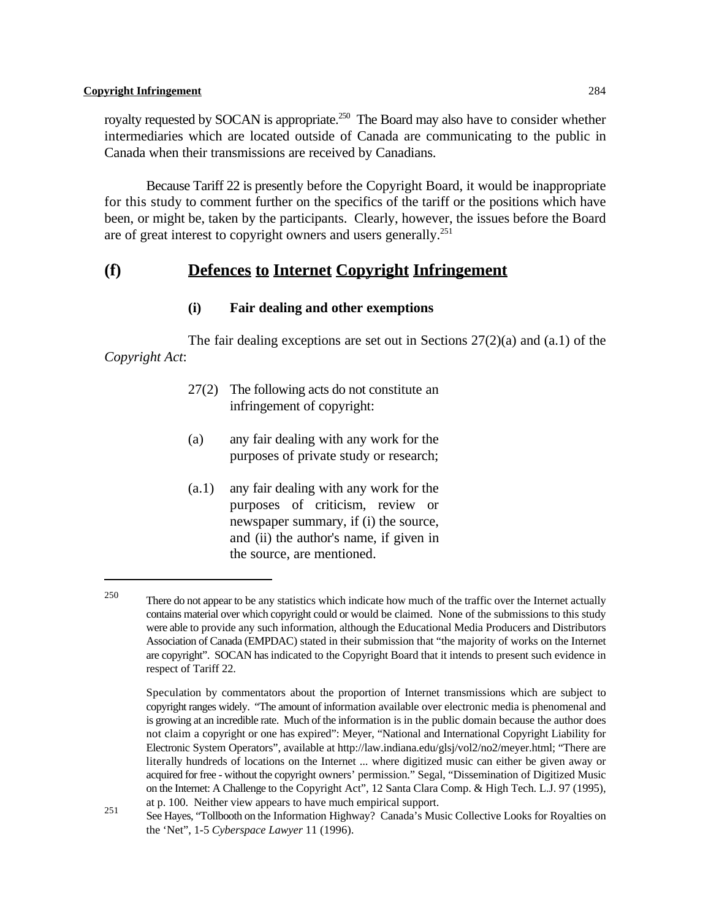royalty requested by SOCAN is appropriate.<sup>250</sup> The Board may also have to consider whether intermediaries which are located outside of Canada are communicating to the public in Canada when their transmissions are received by Canadians.

Because Tariff 22 is presently before the Copyright Board, it would be inappropriate for this study to comment further on the specifics of the tariff or the positions which have been, or might be, taken by the participants. Clearly, however, the issues before the Board are of great interest to copyright owners and users generally.<sup>251</sup>

## **(f) Defences to Internet Copyright Infringement**

## **(i) Fair dealing and other exemptions**

The fair dealing exceptions are set out in Sections 27(2)(a) and (a.1) of the *Copyright Act*:

- 27(2) The following acts do not constitute an infringement of copyright:
- (a) any fair dealing with any work for the purposes of private study or research;
- (a.1) any fair dealing with any work for the purposes of criticism, review or newspaper summary, if (i) the source, and (ii) the author's name, if given in the source, are mentioned.

<sup>&</sup>lt;sup>250</sup> There do not appear to be any statistics which indicate how much of the traffic over the Internet actually contains material over which copyright could or would be claimed. None of the submissions to this study were able to provide any such information, although the Educational Media Producers and Distributors Association of Canada (EMPDAC) stated in their submission that "the majority of works on the Internet are copyright". SOCAN has indicated to the Copyright Board that it intends to present such evidence in respect of Tariff 22.

Speculation by commentators about the proportion of Internet transmissions which are subject to copyright ranges widely. "The amount of information available over electronic media is phenomenal and is growing at an incredible rate. Much of the information is in the public domain because the author does not claim a copyright or one has expired": Meyer, "National and International Copyright Liability for Electronic System Operators", available at http://law.indiana.edu/glsj/vol2/no2/meyer.html; "There are literally hundreds of locations on the Internet ... where digitized music can either be given away or acquired for free - without the copyright owners' permission." Segal, "Dissemination of Digitized Music on the Internet: A Challenge to the Copyright Act", 12 Santa Clara Comp. & High Tech. L.J. 97 (1995), at p. 100. Neither view appears to have much empirical support.

See Hayes, "Tollbooth on the Information Highway? Canada's Music Collective Looks for Royalties on the 'Net", 1-5 *Cyberspace Lawyer* 11 (1996).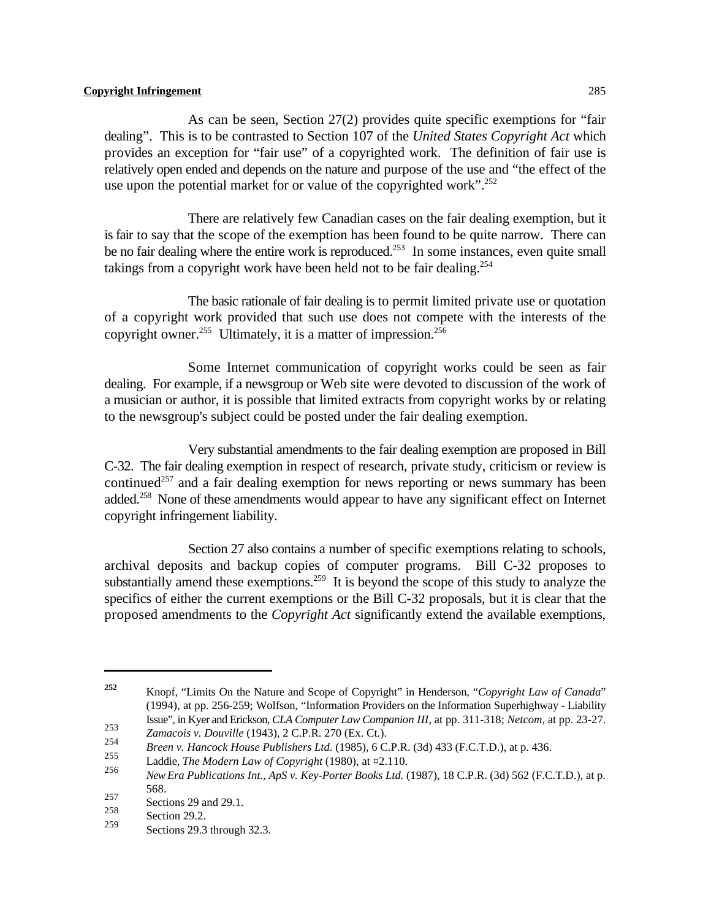As can be seen, Section 27(2) provides quite specific exemptions for "fair dealing". This is to be contrasted to Section 107 of the *United States Copyright Act* which provides an exception for "fair use" of a copyrighted work. The definition of fair use is relatively open ended and depends on the nature and purpose of the use and "the effect of the use upon the potential market for or value of the copyrighted work".<sup>252</sup>

There are relatively few Canadian cases on the fair dealing exemption, but it is fair to say that the scope of the exemption has been found to be quite narrow. There can be no fair dealing where the entire work is reproduced.<sup>253</sup> In some instances, even quite small takings from a copyright work have been held not to be fair dealing.<sup>254</sup>

The basic rationale of fair dealing is to permit limited private use or quotation of a copyright work provided that such use does not compete with the interests of the copyright owner.<sup>255</sup> Ultimately, it is a matter of impression.<sup>256</sup>

Some Internet communication of copyright works could be seen as fair dealing. For example, if a newsgroup or Web site were devoted to discussion of the work of a musician or author, it is possible that limited extracts from copyright works by or relating to the newsgroup's subject could be posted under the fair dealing exemption.

Very substantial amendments to the fair dealing exemption are proposed in Bill C-32. The fair dealing exemption in respect of research, private study, criticism or review is continued<sup>257</sup> and a fair dealing exemption for news reporting or news summary has been added.<sup>258</sup> None of these amendments would appear to have any significant effect on Internet copyright infringement liability.

Section 27 also contains a number of specific exemptions relating to schools, archival deposits and backup copies of computer programs. Bill C-32 proposes to substantially amend these exemptions.<sup>259</sup> It is beyond the scope of this study to analyze the specifics of either the current exemptions or the Bill C-32 proposals, but it is clear that the proposed amendments to the *Copyright Act* significantly extend the available exemptions,

Knopf, "Limits On the Nature and Scope of Copyright" in Henderson, "*Copyright Law of Canada*" **252** (1994), at pp. 256-259; Wolfson, "Information Providers on the Information Superhighway - Liability Issue", in Kyer and Erickson, *CLA Computer Law Companion III*, at pp. 311-318; *Netcom*, at pp. 23-27.

<sup>253&</sup>lt;br> *Zamacois v. Douville* (1943), 2 C.P.R. 270 (Ex. Ct.).<br> *P. M. M. C.P.R. 270* (Ex. Ct.).

*Breen v. Hancock House Publishers Ltd.* (1985), 6 C.P.R. (3d) 433 (F.C.T.D.), at p. 436. <br>255 **11.**  $T_1$  **11.**  $T_2$  **11.**  $T_3$  **11.**  $T_4$  **11.**  $T_5$  **11.**  $T_6$  **11.**  $T_7$  **11. 11. 11. 11. 11. 11. 11.**

Laddie, *The Modern Law of Copyright* (1980), at  $\approx 255$  Level of  $\frac{1}{25}$  Level of  $\frac{1}{25}$  Level of  $\frac{1}{25}$  Level of  $\frac{1}{25}$  Level of  $\frac{1}{25}$  Level of  $\frac{1}{25}$  Level of  $\frac{1}{25}$  Level of  $\frac{1}{25}$  Lev

*New Era Publications Int., ApS v. Key-Porter Books Ltd.* (1987), 18 C.P.R. (3d) 562 (F.C.T.D.), at p. 568.

 $\frac{257}{258}$  Sections 29 and 29.1.

 $\frac{258}{259}$  Section 29.2.

Sections 29.3 through 32.3.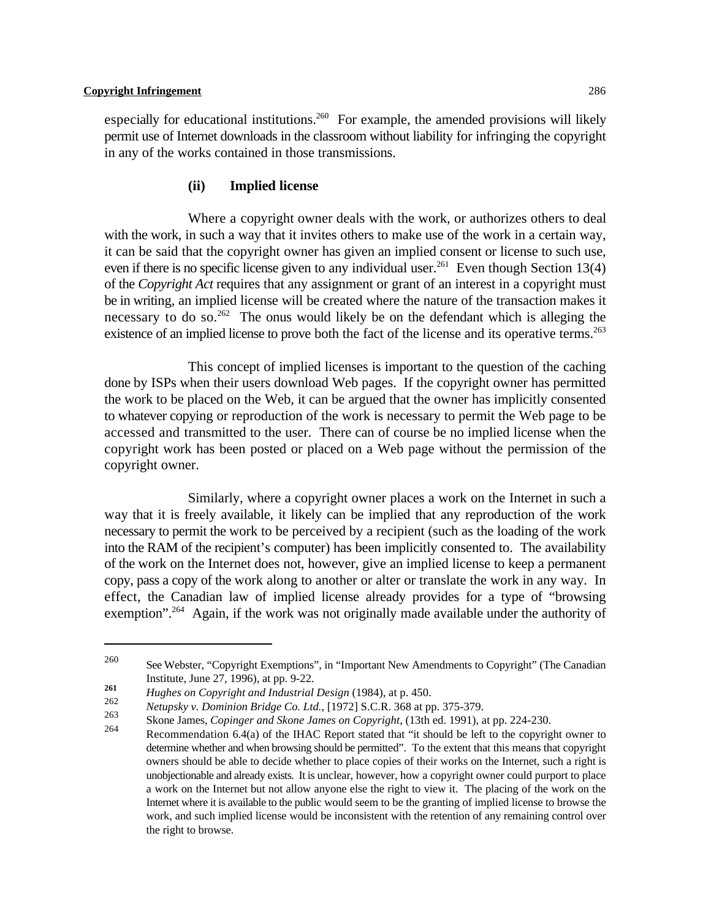especially for educational institutions.<sup>260</sup> For example, the amended provisions will likely permit use of Internet downloads in the classroom without liability for infringing the copyright in any of the works contained in those transmissions.

## **(ii) Implied license**

Where a copyright owner deals with the work, or authorizes others to deal with the work, in such a way that it invites others to make use of the work in a certain way, it can be said that the copyright owner has given an implied consent or license to such use, even if there is no specific license given to any individual user.<sup>261</sup> Even though Section 13(4) of the *Copyright Act* requires that any assignment or grant of an interest in a copyright must be in writing, an implied license will be created where the nature of the transaction makes it necessary to do so.<sup>262</sup> The onus would likely be on the defendant which is alleging the existence of an implied license to prove both the fact of the license and its operative terms.<sup>263</sup>

This concept of implied licenses is important to the question of the caching done by ISPs when their users download Web pages. If the copyright owner has permitted the work to be placed on the Web, it can be argued that the owner has implicitly consented to whatever copying or reproduction of the work is necessary to permit the Web page to be accessed and transmitted to the user. There can of course be no implied license when the copyright work has been posted or placed on a Web page without the permission of the copyright owner.

Similarly, where a copyright owner places a work on the Internet in such a way that it is freely available, it likely can be implied that any reproduction of the work necessary to permit the work to be perceived by a recipient (such as the loading of the work into the RAM of the recipient's computer) has been implicitly consented to. The availability of the work on the Internet does not, however, give an implied license to keep a permanent copy, pass a copy of the work along to another or alter or translate the work in any way. In effect, the Canadian law of implied license already provides for a type of "browsing exemption".<sup>264</sup> Again, if the work was not originally made available under the authority of

<sup>&</sup>lt;sup>260</sup> See Webster, "Copyright Exemptions", in "Important New Amendments to Copyright" (The Canadian Institute, June 27, 1996), at pp. 9-22.

<sup>261</sup> *Hughes on Copyright and Industrial Design* (1984), at p. 450.<br>
262 *Hughes on Copyright and Industrial Design* (1984), at p. 450.

*Netupsky v. Dominion Bridge Co. Ltd.*, [1972] S.C.R. 368 at pp. 375-379. <sup>262</sup>

Skone James, *Copinger and Skone James on Copyright*, (13th ed. 1991), at pp. 224-230.

Recommendation 6.4(a) of the IHAC Report stated that "it should be left to the copyright owner to 264 determine whether and when browsing should be permitted". To the extent that this means that copyright owners should be able to decide whether to place copies of their works on the Internet, such a right is unobjectionable and already exists. It is unclear, however, how a copyright owner could purport to place a work on the Internet but not allow anyone else the right to view it. The placing of the work on the Internet where it is available to the public would seem to be the granting of implied license to browse the work, and such implied license would be inconsistent with the retention of any remaining control over the right to browse.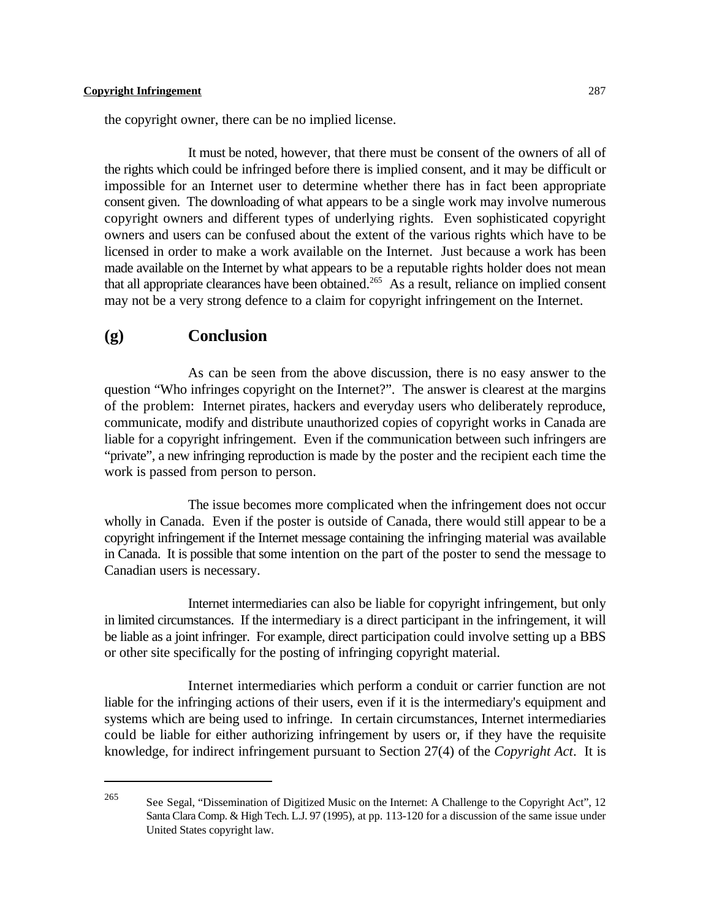the copyright owner, there can be no implied license.

It must be noted, however, that there must be consent of the owners of all of the rights which could be infringed before there is implied consent, and it may be difficult or impossible for an Internet user to determine whether there has in fact been appropriate consent given. The downloading of what appears to be a single work may involve numerous copyright owners and different types of underlying rights. Even sophisticated copyright owners and users can be confused about the extent of the various rights which have to be licensed in order to make a work available on the Internet. Just because a work has been made available on the Internet by what appears to be a reputable rights holder does not mean that all appropriate clearances have been obtained.<sup>265</sup> As a result, reliance on implied consent may not be a very strong defence to a claim for copyright infringement on the Internet.

## **(g) Conclusion**

As can be seen from the above discussion, there is no easy answer to the question "Who infringes copyright on the Internet?". The answer is clearest at the margins of the problem: Internet pirates, hackers and everyday users who deliberately reproduce, communicate, modify and distribute unauthorized copies of copyright works in Canada are liable for a copyright infringement. Even if the communication between such infringers are "private", a new infringing reproduction is made by the poster and the recipient each time the work is passed from person to person.

The issue becomes more complicated when the infringement does not occur wholly in Canada. Even if the poster is outside of Canada, there would still appear to be a copyright infringement if the Internet message containing the infringing material was available in Canada. It is possible that some intention on the part of the poster to send the message to Canadian users is necessary.

Internet intermediaries can also be liable for copyright infringement, but only in limited circumstances. If the intermediary is a direct participant in the infringement, it will be liable as a joint infringer. For example, direct participation could involve setting up a BBS or other site specifically for the posting of infringing copyright material.

Internet intermediaries which perform a conduit or carrier function are not liable for the infringing actions of their users, even if it is the intermediary's equipment and systems which are being used to infringe. In certain circumstances, Internet intermediaries could be liable for either authorizing infringement by users or, if they have the requisite knowledge, for indirect infringement pursuant to Section 27(4) of the *Copyright Act*. It is

See Segal, "Dissemination of Digitized Music on the Internet: A Challenge to the Copyright Act", 12 265 Santa Clara Comp. & High Tech. L.J. 97 (1995), at pp. 113-120 for a discussion of the same issue under United States copyright law.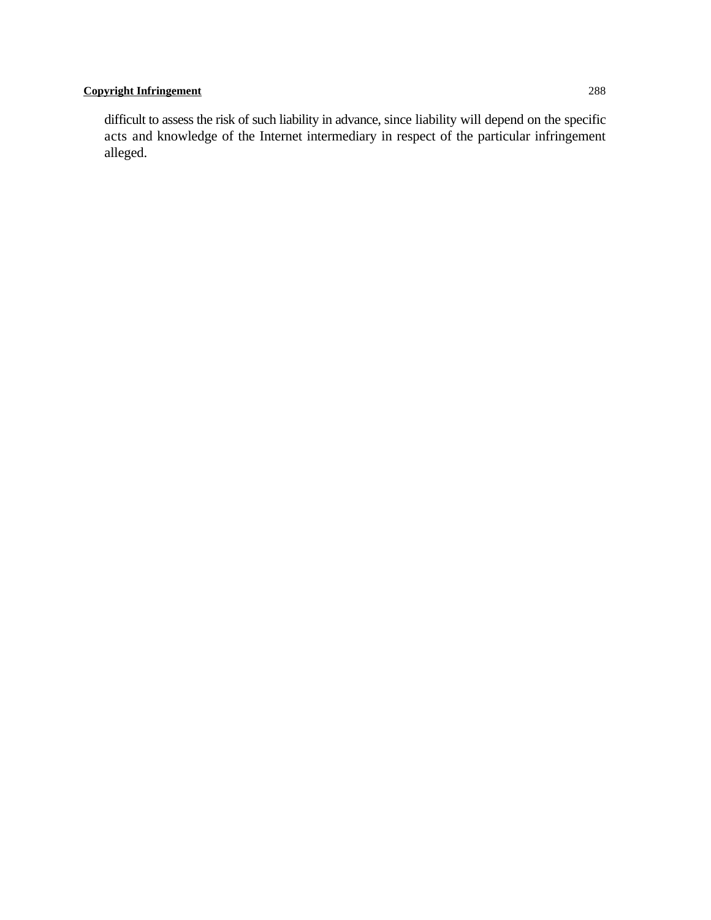difficult to assess the risk of such liability in advance, since liability will depend on the specific acts and knowledge of the Internet intermediary in respect of the particular infringement alleged.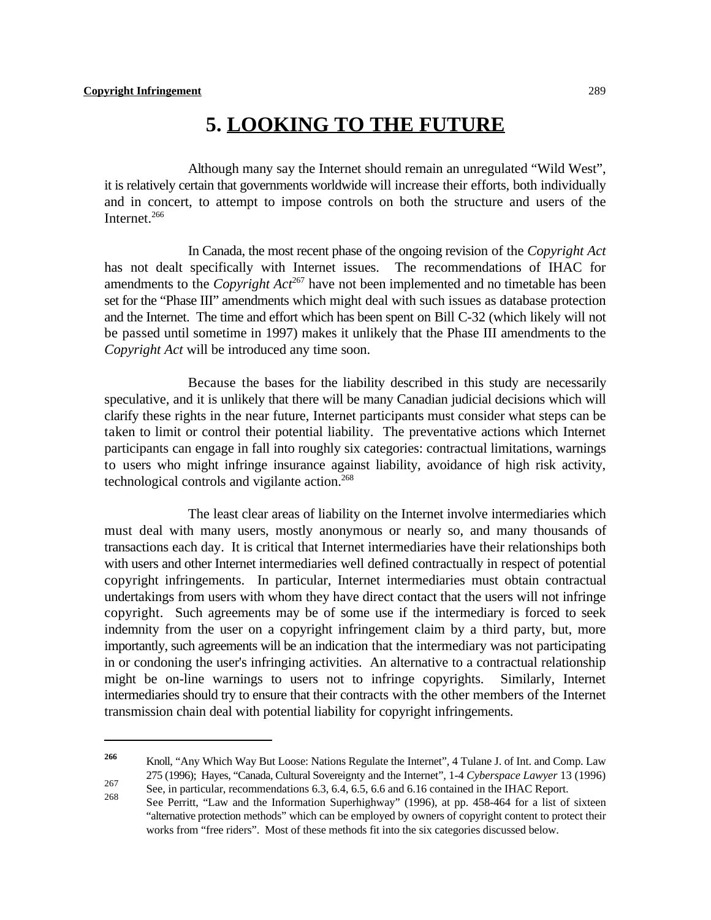# **5. LOOKING TO THE FUTURE**

Although many say the Internet should remain an unregulated "Wild West", it is relatively certain that governments worldwide will increase their efforts, both individually and in concert, to attempt to impose controls on both the structure and users of the Internet.<sup>266</sup>

In Canada, the most recent phase of the ongoing revision of the *Copyright Act* has not dealt specifically with Internet issues. The recommendations of IHAC for amendments to the *Copyright Act*<sup>267</sup> have not been implemented and no timetable has been set for the "Phase III" amendments which might deal with such issues as database protection and the Internet. The time and effort which has been spent on Bill C-32 (which likely will not be passed until sometime in 1997) makes it unlikely that the Phase III amendments to the *Copyright Act* will be introduced any time soon.

Because the bases for the liability described in this study are necessarily speculative, and it is unlikely that there will be many Canadian judicial decisions which will clarify these rights in the near future, Internet participants must consider what steps can be taken to limit or control their potential liability. The preventative actions which Internet participants can engage in fall into roughly six categories: contractual limitations, warnings to users who might infringe insurance against liability, avoidance of high risk activity, technological controls and vigilante action.<sup>268</sup>

The least clear areas of liability on the Internet involve intermediaries which must deal with many users, mostly anonymous or nearly so, and many thousands of transactions each day. It is critical that Internet intermediaries have their relationships both with users and other Internet intermediaries well defined contractually in respect of potential copyright infringements. In particular, Internet intermediaries must obtain contractual undertakings from users with whom they have direct contact that the users will not infringe copyright. Such agreements may be of some use if the intermediary is forced to seek indemnity from the user on a copyright infringement claim by a third party, but, more importantly, such agreements will be an indication that the intermediary was not participating in or condoning the user's infringing activities. An alternative to a contractual relationship might be on-line warnings to users not to infringe copyrights. Similarly, Internet intermediaries should try to ensure that their contracts with the other members of the Internet transmission chain deal with potential liability for copyright infringements.

Knoll, "Any Which Way But Loose: Nations Regulate the Internet", 4 Tulane J. of Int. and Comp. Law **<sup>266</sup>** 275 (1996); Hayes, "Canada, Cultural Sovereignty and the Internet", 1-4 *Cyberspace Lawyer* 13 (1996) See, in particular, recommendations 6.3, 6.4, 6.5, 6.6 and 6.16 contained in the IHAC Report.

See Perritt, "Law and the Information Superhighway" (1996), at pp. 458-464 for a list of sixteen 268 "alternative protection methods" which can be employed by owners of copyright content to protect their works from "free riders". Most of these methods fit into the six categories discussed below.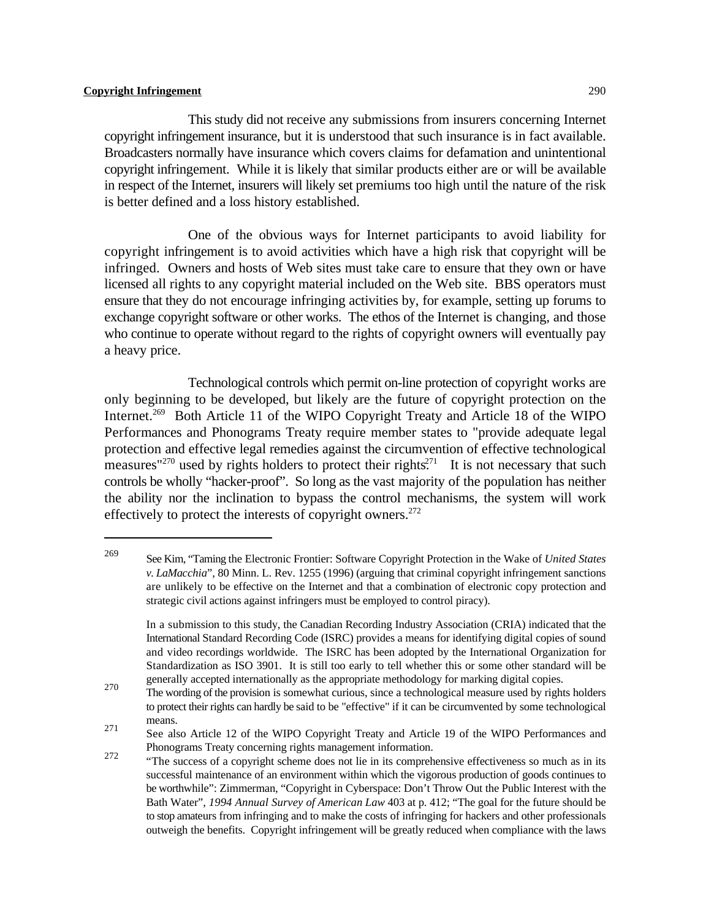This study did not receive any submissions from insurers concerning Internet copyright infringement insurance, but it is understood that such insurance is in fact available. Broadcasters normally have insurance which covers claims for defamation and unintentional copyright infringement. While it is likely that similar products either are or will be available in respect of the Internet, insurers will likely set premiums too high until the nature of the risk is better defined and a loss history established.

One of the obvious ways for Internet participants to avoid liability for copyright infringement is to avoid activities which have a high risk that copyright will be infringed. Owners and hosts of Web sites must take care to ensure that they own or have licensed all rights to any copyright material included on the Web site. BBS operators must ensure that they do not encourage infringing activities by, for example, setting up forums to exchange copyright software or other works. The ethos of the Internet is changing, and those who continue to operate without regard to the rights of copyright owners will eventually pay a heavy price.

Technological controls which permit on-line protection of copyright works are only beginning to be developed, but likely are the future of copyright protection on the Internet.<sup>269</sup> Both Article 11 of the WIPO Copyright Treaty and Article 18 of the WIPO Performances and Phonograms Treaty require member states to "provide adequate legal protection and effective legal remedies against the circumvention of effective technological measures"<sup>270</sup> used by rights holders to protect their rights<sup>271</sup> It is not necessary that such controls be wholly "hacker-proof". So long as the vast majority of the population has neither the ability nor the inclination to bypass the control mechanisms, the system will work effectively to protect the interests of copyright owners.<sup>272</sup>

See Kim, "Taming the Electronic Frontier: Software Copyright Protection in the Wake of *United States* <sup>269</sup> *v. LaMacchia*", 80 Minn. L. Rev. 1255 (1996) (arguing that criminal copyright infringement sanctions are unlikely to be effective on the Internet and that a combination of electronic copy protection and strategic civil actions against infringers must be employed to control piracy).

In a submission to this study, the Canadian Recording Industry Association (CRIA) indicated that the International Standard Recording Code (ISRC) provides a means for identifying digital copies of sound and video recordings worldwide. The ISRC has been adopted by the International Organization for Standardization as ISO 3901. It is still too early to tell whether this or some other standard will be generally accepted internationally as the appropriate methodology for marking digital copies.

The wording of the provision is somewhat curious, since a technological measure used by rights holders 270 to protect their rights can hardly be said to be "effective" if it can be circumvented by some technological means.

See also Article 12 of the WIPO Copyright Treaty and Article 19 of the WIPO Performances and 271 Phonograms Treaty concerning rights management information. 272

<sup>&</sup>quot;The success of a copyright scheme does not lie in its comprehensive effectiveness so much as in its successful maintenance of an environment within which the vigorous production of goods continues to be worthwhile": Zimmerman, "Copyright in Cyberspace: Don't Throw Out the Public Interest with the Bath Water", *1994 Annual Survey of American Law* 403 at p. 412; "The goal for the future should be to stop amateurs from infringing and to make the costs of infringing for hackers and other professionals outweigh the benefits. Copyright infringement will be greatly reduced when compliance with the laws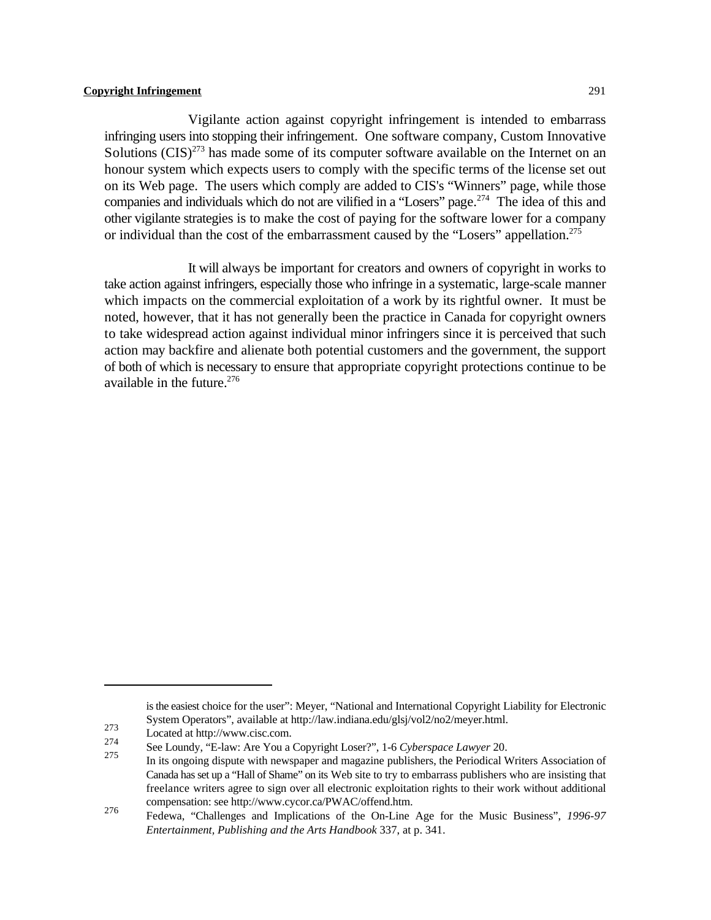Vigilante action against copyright infringement is intended to embarrass infringing users into stopping their infringement. One software company, Custom Innovative Solutions  $(CIS)^{273}$  has made some of its computer software available on the Internet on an honour system which expects users to comply with the specific terms of the license set out on its Web page. The users which comply are added to CIS's "Winners" page, while those companies and individuals which do not are vilified in a "Losers" page.<sup>274</sup> The idea of this and other vigilante strategies is to make the cost of paying for the software lower for a company or individual than the cost of the embarrassment caused by the "Losers" appellation.<sup>275</sup>

It will always be important for creators and owners of copyright in works to take action against infringers, especially those who infringe in a systematic, large-scale manner which impacts on the commercial exploitation of a work by its rightful owner. It must be noted, however, that it has not generally been the practice in Canada for copyright owners to take widespread action against individual minor infringers since it is perceived that such action may backfire and alienate both potential customers and the government, the support of both of which is necessary to ensure that appropriate copyright protections continue to be available in the future. $276$ 

is the easiest choice for the user": Meyer, "National and International Copyright Liability for Electronic System Operators", available at http://law.indiana.edu/glsj/vol2/no2/meyer.html.

<sup>273</sup> Located at http://www.cisc.com.<br>274 C.

See Loundy, "E-law: Are You a Copyright Loser?", 1-6 *Cyberspace Lawyer* 20.

In its ongoing dispute with newspaper and magazine publishers, the Periodical Writers Association of Canada has set up a "Hall of Shame" on its Web site to try to embarrass publishers who are insisting that freelance writers agree to sign over all electronic exploitation rights to their work without additional compensation: see http://www.cycor.ca/PWAC/offend.htm.

Fedewa, "Challenges and Implications of the On-Line Age for the Music Business", *1996-97* 276 *Entertainment, Publishing and the Arts Handbook* 337, at p. 341.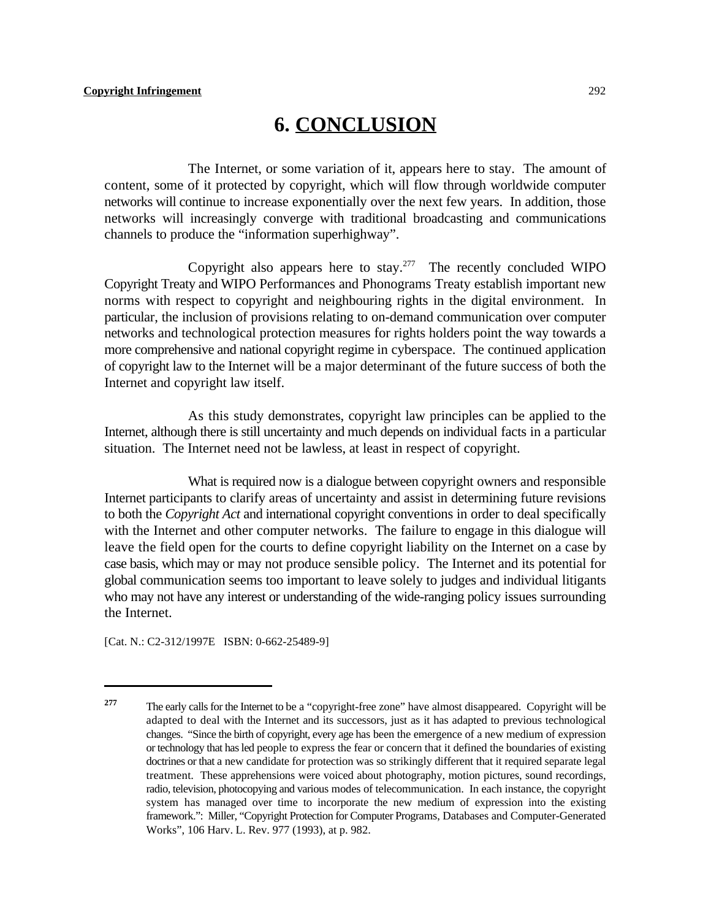# **6. CONCLUSION**

The Internet, or some variation of it, appears here to stay. The amount of content, some of it protected by copyright, which will flow through worldwide computer networks will continue to increase exponentially over the next few years. In addition, those networks will increasingly converge with traditional broadcasting and communications channels to produce the "information superhighway".

Copyright also appears here to stay. $277$  The recently concluded WIPO Copyright Treaty and WIPO Performances and Phonograms Treaty establish important new norms with respect to copyright and neighbouring rights in the digital environment. In particular, the inclusion of provisions relating to on-demand communication over computer networks and technological protection measures for rights holders point the way towards a more comprehensive and national copyright regime in cyberspace. The continued application of copyright law to the Internet will be a major determinant of the future success of both the Internet and copyright law itself.

As this study demonstrates, copyright law principles can be applied to the Internet, although there is still uncertainty and much depends on individual facts in a particular situation. The Internet need not be lawless, at least in respect of copyright.

What is required now is a dialogue between copyright owners and responsible Internet participants to clarify areas of uncertainty and assist in determining future revisions to both the *Copyright Act* and international copyright conventions in order to deal specifically with the Internet and other computer networks. The failure to engage in this dialogue will leave the field open for the courts to define copyright liability on the Internet on a case by case basis, which may or may not produce sensible policy. The Internet and its potential for global communication seems too important to leave solely to judges and individual litigants who may not have any interest or understanding of the wide-ranging policy issues surrounding the Internet.

[Cat. N.: C2-312/1997E ISBN: 0-662-25489-9]

The early calls for the Internet to be a "copyright-free zone" have almost disappeared. Copyright will be **<sup>277</sup>** adapted to deal with the Internet and its successors, just as it has adapted to previous technological changes. "Since the birth of copyright, every age has been the emergence of a new medium of expression or technology that has led people to express the fear or concern that it defined the boundaries of existing doctrines or that a new candidate for protection was so strikingly different that it required separate legal treatment. These apprehensions were voiced about photography, motion pictures, sound recordings, radio, television, photocopying and various modes of telecommunication. In each instance, the copyright system has managed over time to incorporate the new medium of expression into the existing framework.": Miller, "Copyright Protection for Computer Programs, Databases and Computer-Generated Works", 106 Harv. L. Rev. 977 (1993), at p. 982.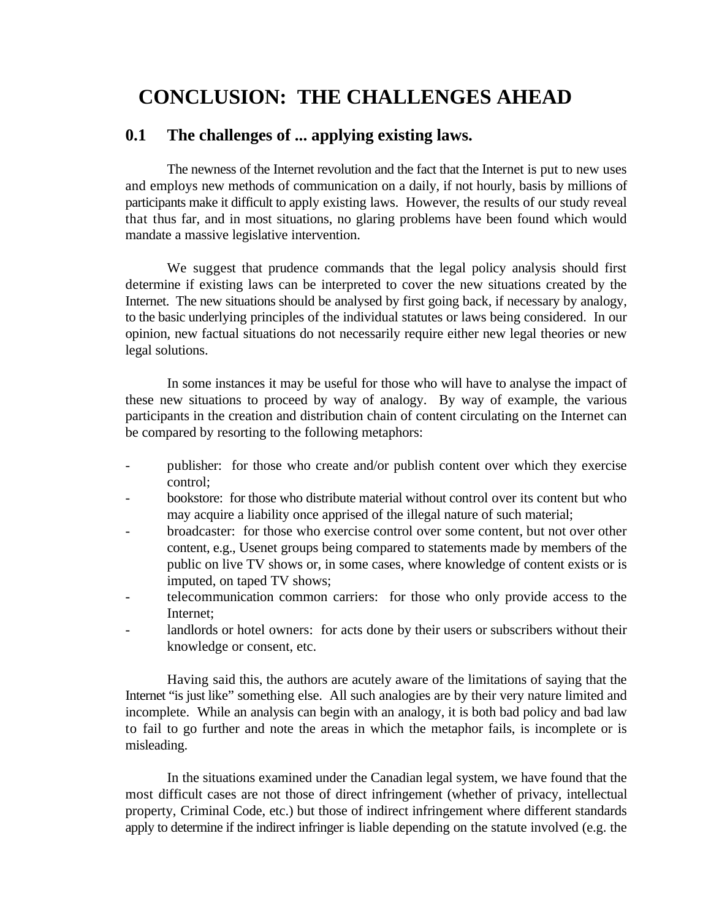# **CONCLUSION: THE CHALLENGES AHEAD**

## **0.1 The challenges of ... applying existing laws.**

The newness of the Internet revolution and the fact that the Internet is put to new uses and employs new methods of communication on a daily, if not hourly, basis by millions of participants make it difficult to apply existing laws. However, the results of our study reveal that thus far, and in most situations, no glaring problems have been found which would mandate a massive legislative intervention.

We suggest that prudence commands that the legal policy analysis should first determine if existing laws can be interpreted to cover the new situations created by the Internet. The new situations should be analysed by first going back, if necessary by analogy, to the basic underlying principles of the individual statutes or laws being considered. In our opinion, new factual situations do not necessarily require either new legal theories or new legal solutions.

In some instances it may be useful for those who will have to analyse the impact of these new situations to proceed by way of analogy. By way of example, the various participants in the creation and distribution chain of content circulating on the Internet can be compared by resorting to the following metaphors:

- publisher: for those who create and/or publish content over which they exercise control;
- bookstore: for those who distribute material without control over its content but who may acquire a liability once apprised of the illegal nature of such material;
- broadcaster: for those who exercise control over some content, but not over other content, e.g., Usenet groups being compared to statements made by members of the public on live TV shows or, in some cases, where knowledge of content exists or is imputed, on taped TV shows;
- telecommunication common carriers: for those who only provide access to the Internet;
- landlords or hotel owners: for acts done by their users or subscribers without their knowledge or consent, etc.

Having said this, the authors are acutely aware of the limitations of saying that the Internet "is just like" something else. All such analogies are by their very nature limited and incomplete. While an analysis can begin with an analogy, it is both bad policy and bad law to fail to go further and note the areas in which the metaphor fails, is incomplete or is misleading.

In the situations examined under the Canadian legal system, we have found that the most difficult cases are not those of direct infringement (whether of privacy, intellectual property, Criminal Code, etc.) but those of indirect infringement where different standards apply to determine if the indirect infringer is liable depending on the statute involved (e.g. the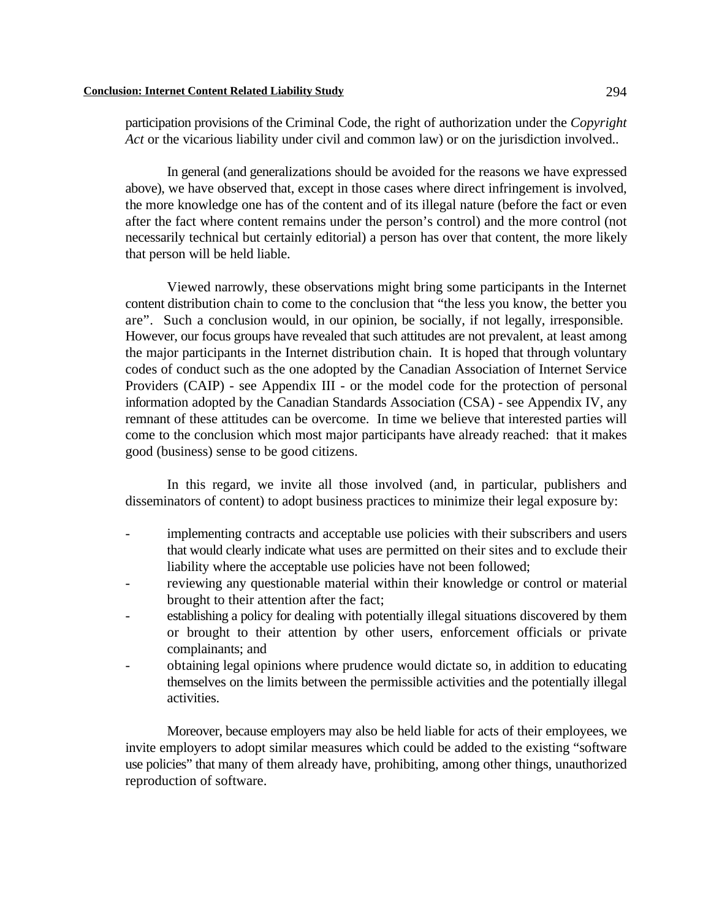participation provisions of the Criminal Code, the right of authorization under the *Copyright Act* or the vicarious liability under civil and common law) or on the jurisdiction involved..

In general (and generalizations should be avoided for the reasons we have expressed above), we have observed that, except in those cases where direct infringement is involved, the more knowledge one has of the content and of its illegal nature (before the fact or even after the fact where content remains under the person's control) and the more control (not necessarily technical but certainly editorial) a person has over that content, the more likely that person will be held liable.

Viewed narrowly, these observations might bring some participants in the Internet content distribution chain to come to the conclusion that "the less you know, the better you are". Such a conclusion would, in our opinion, be socially, if not legally, irresponsible. However, our focus groups have revealed that such attitudes are not prevalent, at least among the major participants in the Internet distribution chain. It is hoped that through voluntary codes of conduct such as the one adopted by the Canadian Association of Internet Service Providers (CAIP) - see Appendix III - or the model code for the protection of personal information adopted by the Canadian Standards Association (CSA) - see Appendix IV, any remnant of these attitudes can be overcome. In time we believe that interested parties will come to the conclusion which most major participants have already reached: that it makes good (business) sense to be good citizens.

In this regard, we invite all those involved (and, in particular, publishers and disseminators of content) to adopt business practices to minimize their legal exposure by:

- implementing contracts and acceptable use policies with their subscribers and users that would clearly indicate what uses are permitted on their sites and to exclude their liability where the acceptable use policies have not been followed;
- reviewing any questionable material within their knowledge or control or material brought to their attention after the fact;
- establishing a policy for dealing with potentially illegal situations discovered by them or brought to their attention by other users, enforcement officials or private complainants; and
- obtaining legal opinions where prudence would dictate so, in addition to educating themselves on the limits between the permissible activities and the potentially illegal activities.

Moreover, because employers may also be held liable for acts of their employees, we invite employers to adopt similar measures which could be added to the existing "software use policies" that many of them already have, prohibiting, among other things, unauthorized reproduction of software.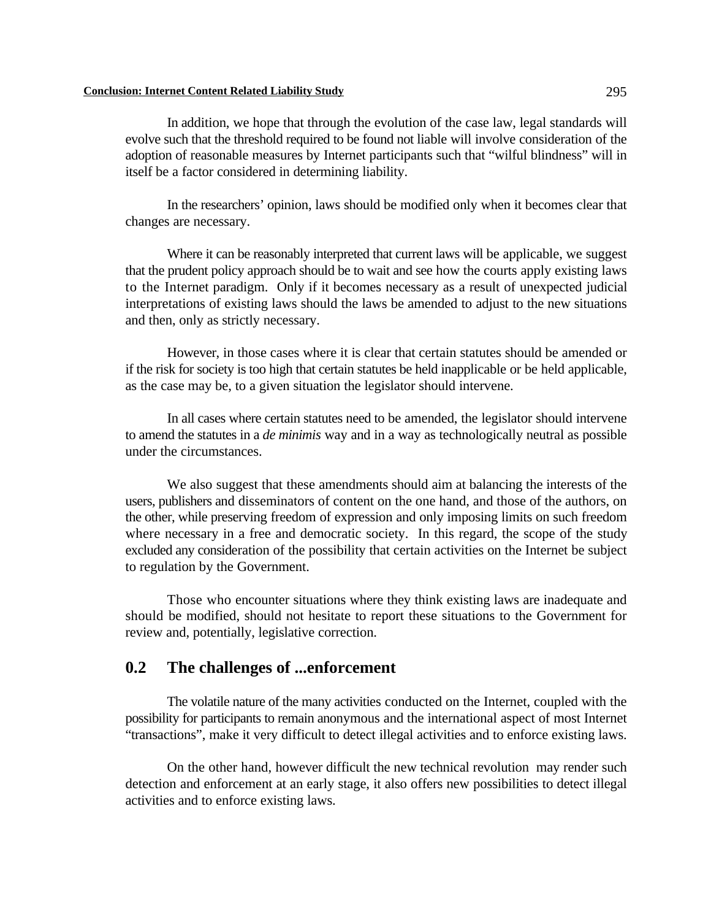#### **Conclusion: Internet Content Related Liability Study** 295

In addition, we hope that through the evolution of the case law, legal standards will evolve such that the threshold required to be found not liable will involve consideration of the adoption of reasonable measures by Internet participants such that "wilful blindness" will in itself be a factor considered in determining liability.

In the researchers' opinion, laws should be modified only when it becomes clear that changes are necessary.

Where it can be reasonably interpreted that current laws will be applicable, we suggest that the prudent policy approach should be to wait and see how the courts apply existing laws to the Internet paradigm. Only if it becomes necessary as a result of unexpected judicial interpretations of existing laws should the laws be amended to adjust to the new situations and then, only as strictly necessary.

However, in those cases where it is clear that certain statutes should be amended or if the risk for society is too high that certain statutes be held inapplicable or be held applicable, as the case may be, to a given situation the legislator should intervene.

In all cases where certain statutes need to be amended, the legislator should intervene to amend the statutes in a *de minimis* way and in a way as technologically neutral as possible under the circumstances.

We also suggest that these amendments should aim at balancing the interests of the users, publishers and disseminators of content on the one hand, and those of the authors, on the other, while preserving freedom of expression and only imposing limits on such freedom where necessary in a free and democratic society. In this regard, the scope of the study excluded any consideration of the possibility that certain activities on the Internet be subject to regulation by the Government.

Those who encounter situations where they think existing laws are inadequate and should be modified, should not hesitate to report these situations to the Government for review and, potentially, legislative correction.

## **0.2 The challenges of ...enforcement**

The volatile nature of the many activities conducted on the Internet, coupled with the possibility for participants to remain anonymous and the international aspect of most Internet "transactions", make it very difficult to detect illegal activities and to enforce existing laws.

On the other hand, however difficult the new technical revolution may render such detection and enforcement at an early stage, it also offers new possibilities to detect illegal activities and to enforce existing laws.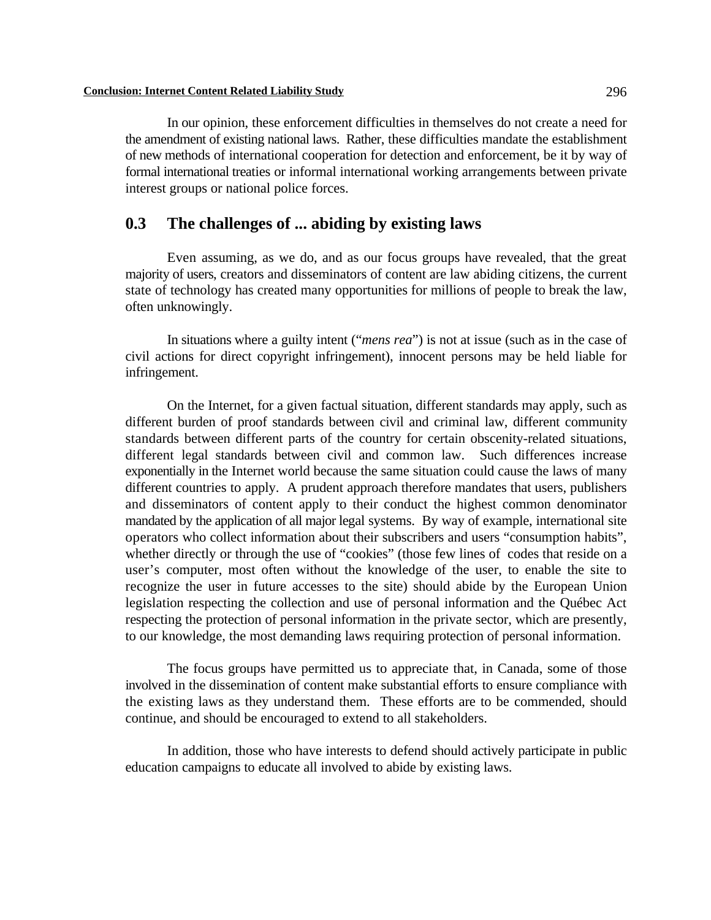In our opinion, these enforcement difficulties in themselves do not create a need for the amendment of existing national laws. Rather, these difficulties mandate the establishment of new methods of international cooperation for detection and enforcement, be it by way of formal international treaties or informal international working arrangements between private interest groups or national police forces.

## **0.3 The challenges of ... abiding by existing laws**

Even assuming, as we do, and as our focus groups have revealed, that the great majority of users, creators and disseminators of content are law abiding citizens, the current state of technology has created many opportunities for millions of people to break the law, often unknowingly.

In situations where a guilty intent ("*mens rea*") is not at issue (such as in the case of civil actions for direct copyright infringement), innocent persons may be held liable for infringement.

On the Internet, for a given factual situation, different standards may apply, such as different burden of proof standards between civil and criminal law, different community standards between different parts of the country for certain obscenity-related situations, different legal standards between civil and common law. Such differences increase exponentially in the Internet world because the same situation could cause the laws of many different countries to apply. A prudent approach therefore mandates that users, publishers and disseminators of content apply to their conduct the highest common denominator mandated by the application of all major legal systems. By way of example, international site operators who collect information about their subscribers and users "consumption habits", whether directly or through the use of "cookies" (those few lines of codes that reside on a user's computer, most often without the knowledge of the user, to enable the site to recognize the user in future accesses to the site) should abide by the European Union legislation respecting the collection and use of personal information and the Québec Act respecting the protection of personal information in the private sector, which are presently, to our knowledge, the most demanding laws requiring protection of personal information.

The focus groups have permitted us to appreciate that, in Canada, some of those involved in the dissemination of content make substantial efforts to ensure compliance with the existing laws as they understand them. These efforts are to be commended, should continue, and should be encouraged to extend to all stakeholders.

In addition, those who have interests to defend should actively participate in public education campaigns to educate all involved to abide by existing laws.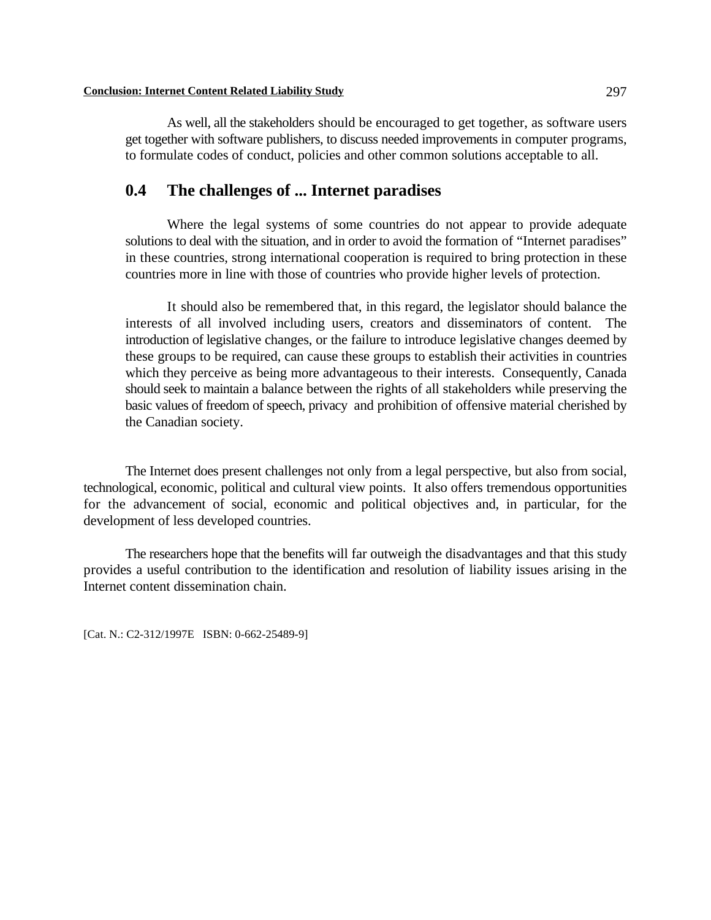As well, all the stakeholders should be encouraged to get together, as software users get together with software publishers, to discuss needed improvements in computer programs, to formulate codes of conduct, policies and other common solutions acceptable to all.

## **0.4 The challenges of ... Internet paradises**

Where the legal systems of some countries do not appear to provide adequate solutions to deal with the situation, and in order to avoid the formation of "Internet paradises" in these countries, strong international cooperation is required to bring protection in these countries more in line with those of countries who provide higher levels of protection.

It should also be remembered that, in this regard, the legislator should balance the interests of all involved including users, creators and disseminators of content. The introduction of legislative changes, or the failure to introduce legislative changes deemed by these groups to be required, can cause these groups to establish their activities in countries which they perceive as being more advantageous to their interests. Consequently, Canada should seek to maintain a balance between the rights of all stakeholders while preserving the basic values of freedom of speech, privacy and prohibition of offensive material cherished by the Canadian society.

The Internet does present challenges not only from a legal perspective, but also from social, technological, economic, political and cultural view points. It also offers tremendous opportunities for the advancement of social, economic and political objectives and, in particular, for the development of less developed countries.

The researchers hope that the benefits will far outweigh the disadvantages and that this study provides a useful contribution to the identification and resolution of liability issues arising in the Internet content dissemination chain.

[Cat. N.: C2-312/1997E ISBN: 0-662-25489-9]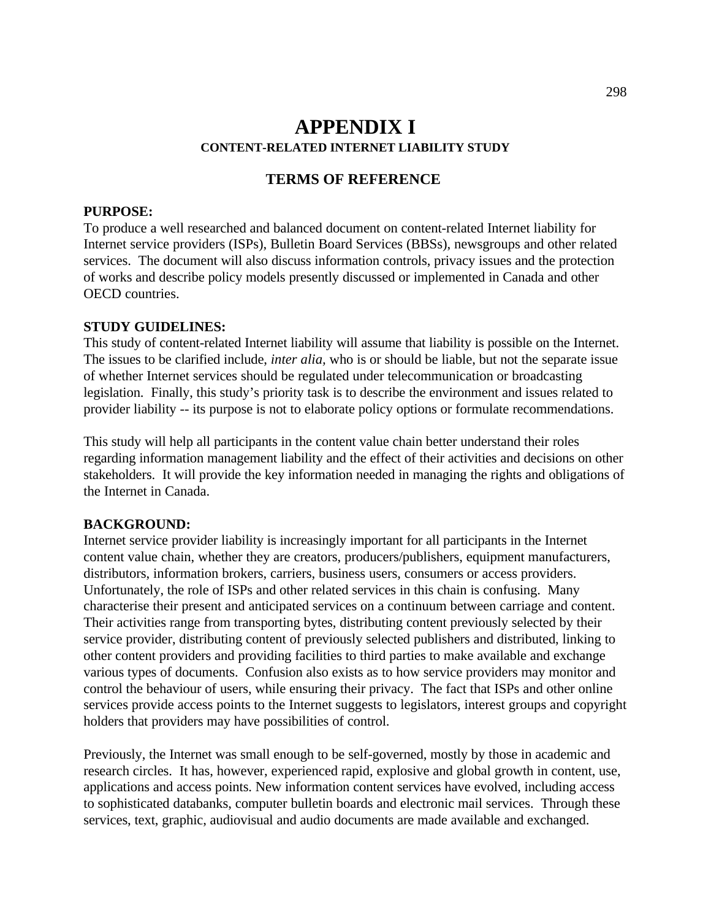## **APPENDIX I CONTENT-RELATED INTERNET LIABILITY STUDY**

## **TERMS OF REFERENCE**

## **PURPOSE:**

To produce a well researched and balanced document on content-related Internet liability for Internet service providers (ISPs), Bulletin Board Services (BBSs), newsgroups and other related services. The document will also discuss information controls, privacy issues and the protection of works and describe policy models presently discussed or implemented in Canada and other OECD countries.

## **STUDY GUIDELINES:**

This study of content-related Internet liability will assume that liability is possible on the Internet. The issues to be clarified include, *inter alia,* who is or should be liable, but not the separate issue of whether Internet services should be regulated under telecommunication or broadcasting legislation. Finally, this study's priority task is to describe the environment and issues related to provider liability -- its purpose is not to elaborate policy options or formulate recommendations.

This study will help all participants in the content value chain better understand their roles regarding information management liability and the effect of their activities and decisions on other stakeholders. It will provide the key information needed in managing the rights and obligations of the Internet in Canada.

#### **BACKGROUND:**

Internet service provider liability is increasingly important for all participants in the Internet content value chain, whether they are creators, producers/publishers, equipment manufacturers, distributors, information brokers, carriers, business users, consumers or access providers. Unfortunately, the role of ISPs and other related services in this chain is confusing. Many characterise their present and anticipated services on a continuum between carriage and content. Their activities range from transporting bytes, distributing content previously selected by their service provider, distributing content of previously selected publishers and distributed, linking to other content providers and providing facilities to third parties to make available and exchange various types of documents. Confusion also exists as to how service providers may monitor and control the behaviour of users, while ensuring their privacy. The fact that ISPs and other online services provide access points to the Internet suggests to legislators, interest groups and copyright holders that providers may have possibilities of control.

Previously, the Internet was small enough to be self-governed, mostly by those in academic and research circles. It has, however, experienced rapid, explosive and global growth in content, use, applications and access points. New information content services have evolved, including access to sophisticated databanks, computer bulletin boards and electronic mail services. Through these services, text, graphic, audiovisual and audio documents are made available and exchanged.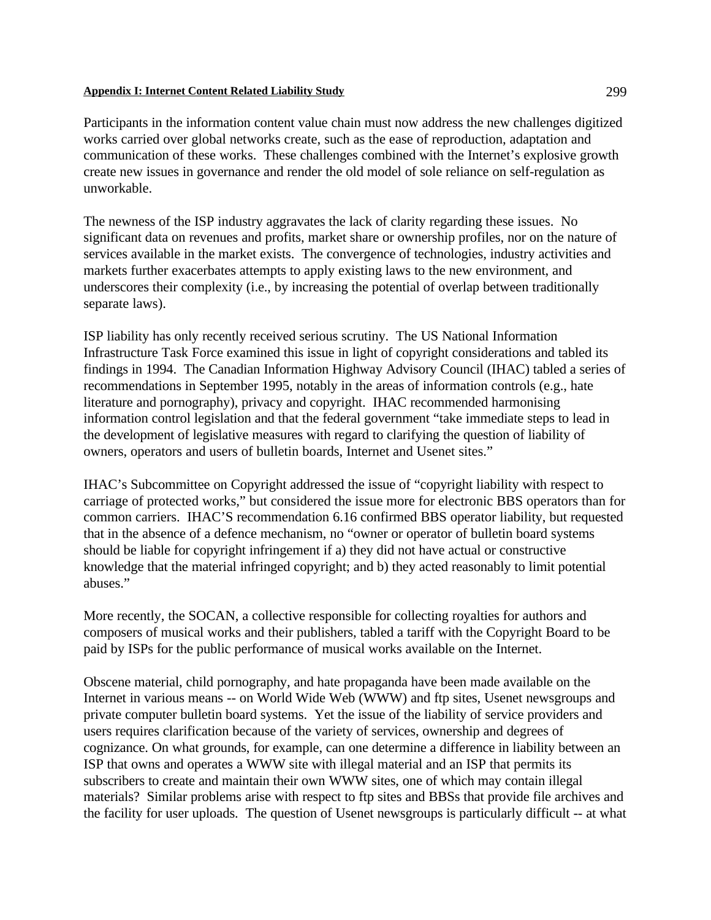Participants in the information content value chain must now address the new challenges digitized works carried over global networks create, such as the ease of reproduction, adaptation and communication of these works. These challenges combined with the Internet's explosive growth create new issues in governance and render the old model of sole reliance on self-regulation as unworkable.

The newness of the ISP industry aggravates the lack of clarity regarding these issues. No significant data on revenues and profits, market share or ownership profiles, nor on the nature of services available in the market exists. The convergence of technologies, industry activities and markets further exacerbates attempts to apply existing laws to the new environment, and underscores their complexity (i.e., by increasing the potential of overlap between traditionally separate laws).

ISP liability has only recently received serious scrutiny. The US National Information Infrastructure Task Force examined this issue in light of copyright considerations and tabled its findings in 1994. The Canadian Information Highway Advisory Council (IHAC) tabled a series of recommendations in September 1995, notably in the areas of information controls (e.g., hate literature and pornography), privacy and copyright. IHAC recommended harmonising information control legislation and that the federal government "take immediate steps to lead in the development of legislative measures with regard to clarifying the question of liability of owners, operators and users of bulletin boards, Internet and Usenet sites."

IHAC's Subcommittee on Copyright addressed the issue of "copyright liability with respect to carriage of protected works," but considered the issue more for electronic BBS operators than for common carriers. IHAC'S recommendation 6.16 confirmed BBS operator liability, but requested that in the absence of a defence mechanism, no "owner or operator of bulletin board systems should be liable for copyright infringement if a) they did not have actual or constructive knowledge that the material infringed copyright; and b) they acted reasonably to limit potential abuses."

More recently, the SOCAN, a collective responsible for collecting royalties for authors and composers of musical works and their publishers, tabled a tariff with the Copyright Board to be paid by ISPs for the public performance of musical works available on the Internet.

Obscene material, child pornography, and hate propaganda have been made available on the Internet in various means -- on World Wide Web (WWW) and ftp sites, Usenet newsgroups and private computer bulletin board systems. Yet the issue of the liability of service providers and users requires clarification because of the variety of services, ownership and degrees of cognizance. On what grounds, for example, can one determine a difference in liability between an ISP that owns and operates a WWW site with illegal material and an ISP that permits its subscribers to create and maintain their own WWW sites, one of which may contain illegal materials? Similar problems arise with respect to ftp sites and BBSs that provide file archives and the facility for user uploads. The question of Usenet newsgroups is particularly difficult -- at what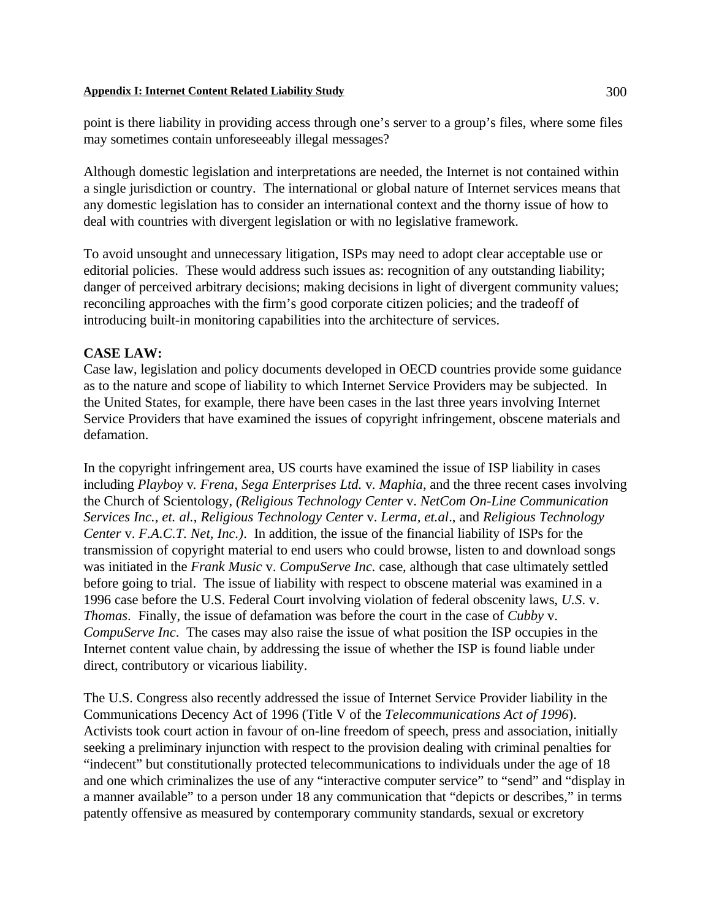point is there liability in providing access through one's server to a group's files, where some files may sometimes contain unforeseeably illegal messages?

Although domestic legislation and interpretations are needed, the Internet is not contained within a single jurisdiction or country. The international or global nature of Internet services means that any domestic legislation has to consider an international context and the thorny issue of how to deal with countries with divergent legislation or with no legislative framework.

To avoid unsought and unnecessary litigation, ISPs may need to adopt clear acceptable use or editorial policies. These would address such issues as: recognition of any outstanding liability; danger of perceived arbitrary decisions; making decisions in light of divergent community values; reconciling approaches with the firm's good corporate citizen policies; and the tradeoff of introducing built-in monitoring capabilities into the architecture of services.

## **CASE LAW:**

Case law, legislation and policy documents developed in OECD countries provide some guidance as to the nature and scope of liability to which Internet Service Providers may be subjected. In the United States, for example, there have been cases in the last three years involving Internet Service Providers that have examined the issues of copyright infringement, obscene materials and defamation.

In the copyright infringement area, US courts have examined the issue of ISP liability in cases including *Playboy* v*. Frena*, *Sega Enterprises Ltd.* v*. Maphia*, and the three recent cases involving the Church of Scientology, *(Religious Technology Center* v. *NetCom On-Line Communication Services Inc., et. al.*, *Religious Technology Center* v. *Lerma, et.al*., and *Religious Technology Center* v. *F.A.C.T. Net, Inc.)*. In addition, the issue of the financial liability of ISPs for the transmission of copyright material to end users who could browse, listen to and download songs was initiated in the *Frank Music* v. *CompuServe Inc.* case, although that case ultimately settled before going to trial. The issue of liability with respect to obscene material was examined in a 1996 case before the U.S. Federal Court involving violation of federal obscenity laws, *U.S*. v. *Thomas*. Finally, the issue of defamation was before the court in the case of *Cubby* v. *CompuServe Inc*. The cases may also raise the issue of what position the ISP occupies in the Internet content value chain, by addressing the issue of whether the ISP is found liable under direct, contributory or vicarious liability.

The U.S. Congress also recently addressed the issue of Internet Service Provider liability in the Communications Decency Act of 1996 (Title V of the *Telecommunications Act of 1996*). Activists took court action in favour of on-line freedom of speech, press and association, initially seeking a preliminary injunction with respect to the provision dealing with criminal penalties for "indecent" but constitutionally protected telecommunications to individuals under the age of 18 and one which criminalizes the use of any "interactive computer service" to "send" and "display in a manner available" to a person under 18 any communication that "depicts or describes," in terms patently offensive as measured by contemporary community standards, sexual or excretory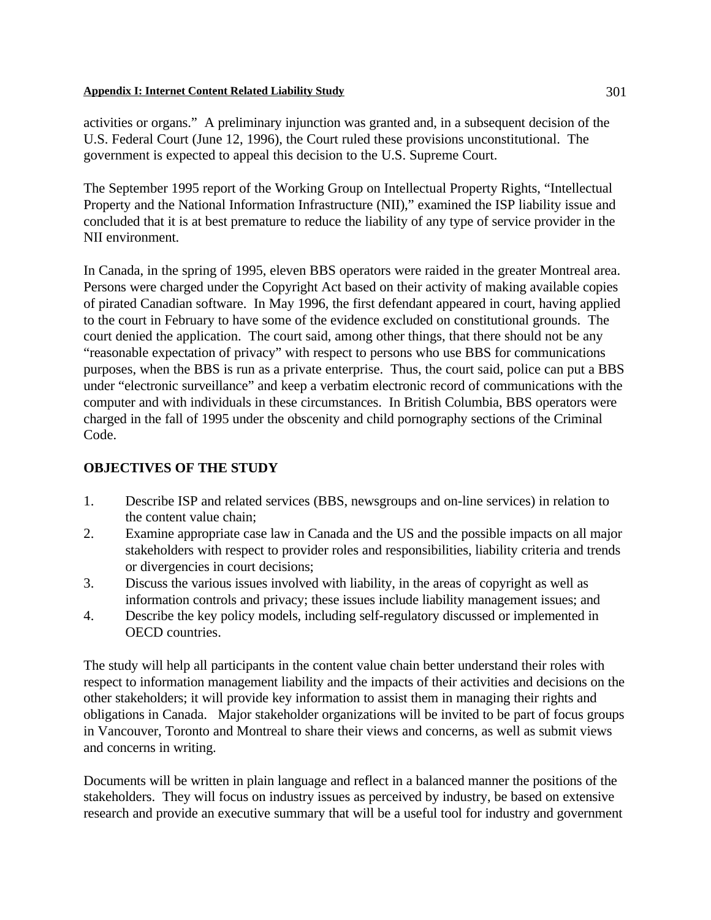activities or organs." A preliminary injunction was granted and, in a subsequent decision of the U.S. Federal Court (June 12, 1996), the Court ruled these provisions unconstitutional. The government is expected to appeal this decision to the U.S. Supreme Court.

The September 1995 report of the Working Group on Intellectual Property Rights, "Intellectual Property and the National Information Infrastructure (NII)," examined the ISP liability issue and concluded that it is at best premature to reduce the liability of any type of service provider in the NII environment.

In Canada, in the spring of 1995, eleven BBS operators were raided in the greater Montreal area. Persons were charged under the Copyright Act based on their activity of making available copies of pirated Canadian software. In May 1996, the first defendant appeared in court, having applied to the court in February to have some of the evidence excluded on constitutional grounds. The court denied the application. The court said, among other things, that there should not be any "reasonable expectation of privacy" with respect to persons who use BBS for communications purposes, when the BBS is run as a private enterprise. Thus, the court said, police can put a BBS under "electronic surveillance" and keep a verbatim electronic record of communications with the computer and with individuals in these circumstances. In British Columbia, BBS operators were charged in the fall of 1995 under the obscenity and child pornography sections of the Criminal Code.

## **OBJECTIVES OF THE STUDY**

- 1. Describe ISP and related services (BBS, newsgroups and on-line services) in relation to the content value chain;
- 2. Examine appropriate case law in Canada and the US and the possible impacts on all major stakeholders with respect to provider roles and responsibilities, liability criteria and trends or divergencies in court decisions;
- 3. Discuss the various issues involved with liability, in the areas of copyright as well as information controls and privacy; these issues include liability management issues; and
- 4. Describe the key policy models, including self-regulatory discussed or implemented in OECD countries.

The study will help all participants in the content value chain better understand their roles with respect to information management liability and the impacts of their activities and decisions on the other stakeholders; it will provide key information to assist them in managing their rights and obligations in Canada. Major stakeholder organizations will be invited to be part of focus groups in Vancouver, Toronto and Montreal to share their views and concerns, as well as submit views and concerns in writing.

Documents will be written in plain language and reflect in a balanced manner the positions of the stakeholders. They will focus on industry issues as perceived by industry, be based on extensive research and provide an executive summary that will be a useful tool for industry and government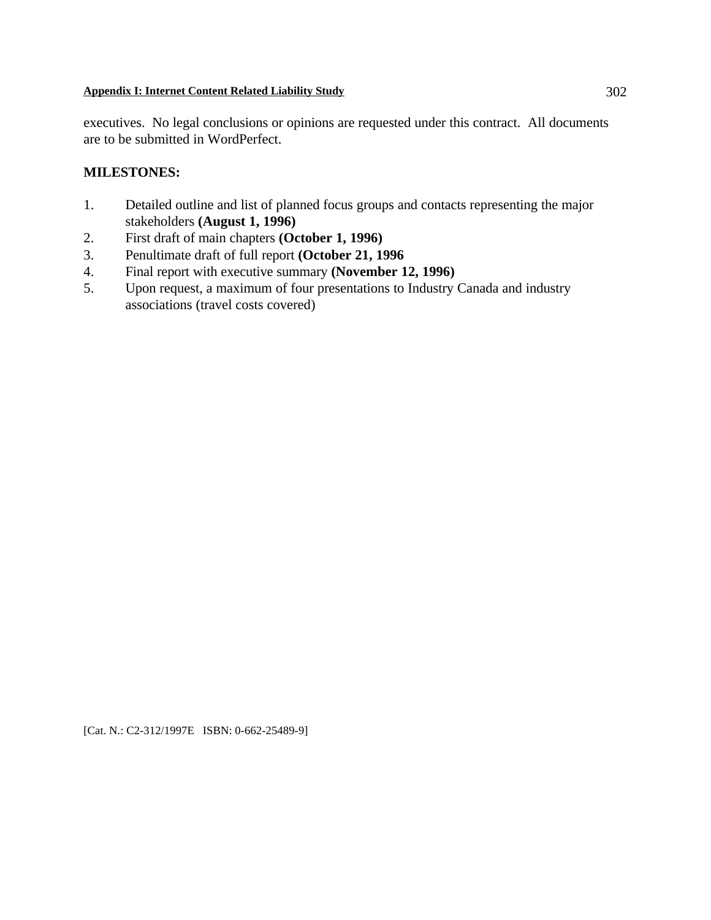executives. No legal conclusions or opinions are requested under this contract. All documents are to be submitted in WordPerfect.

## **MILESTONES:**

- 1. Detailed outline and list of planned focus groups and contacts representing the major stakeholders **(August 1, 1996)**
- 2. First draft of main chapters **(October 1, 1996)**
- 3. Penultimate draft of full report **(October 21, 1996**
- 4. Final report with executive summary **(November 12, 1996)**
- 5. Upon request, a maximum of four presentations to Industry Canada and industry associations (travel costs covered)

[Cat. N.: C2-312/1997E ISBN: 0-662-25489-9]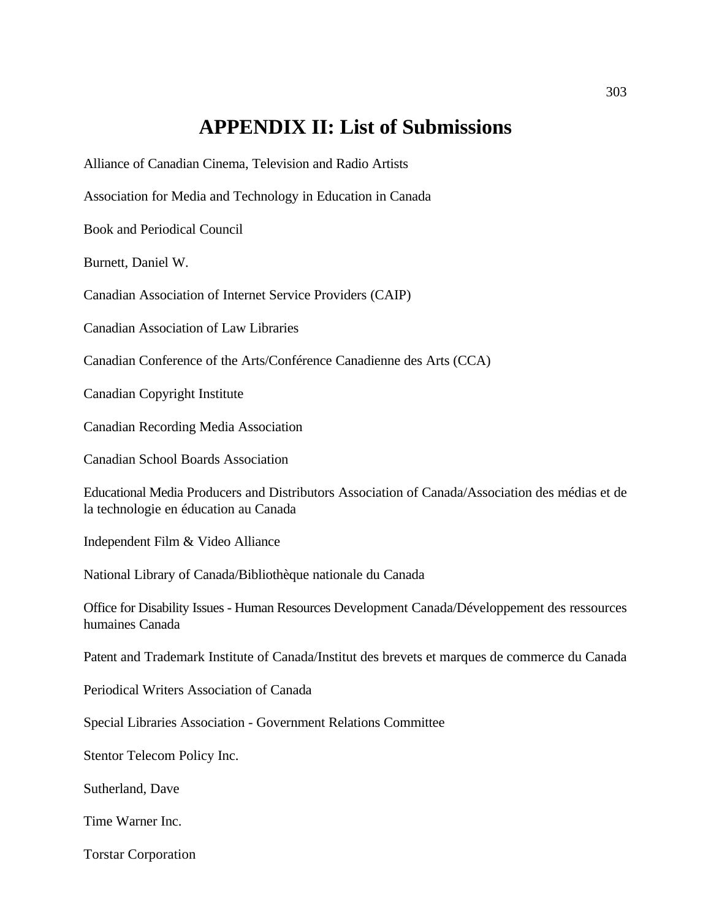# **APPENDIX II: List of Submissions**

Alliance of Canadian Cinema, Television and Radio Artists

Association for Media and Technology in Education in Canada

Book and Periodical Council

Burnett, Daniel W.

Canadian Association of Internet Service Providers (CAIP)

Canadian Association of Law Libraries

Canadian Conference of the Arts/Conférence Canadienne des Arts (CCA)

Canadian Copyright Institute

Canadian Recording Media Association

Canadian School Boards Association

Educational Media Producers and Distributors Association of Canada/Association des médias et de la technologie en éducation au Canada

Independent Film & Video Alliance

National Library of Canada/Bibliothèque nationale du Canada

Office for Disability Issues - Human Resources Development Canada/Développement des ressources humaines Canada

Patent and Trademark Institute of Canada/Institut des brevets et marques de commerce du Canada

Periodical Writers Association of Canada

Special Libraries Association - Government Relations Committee

Stentor Telecom Policy Inc.

Sutherland, Dave

Time Warner Inc.

Torstar Corporation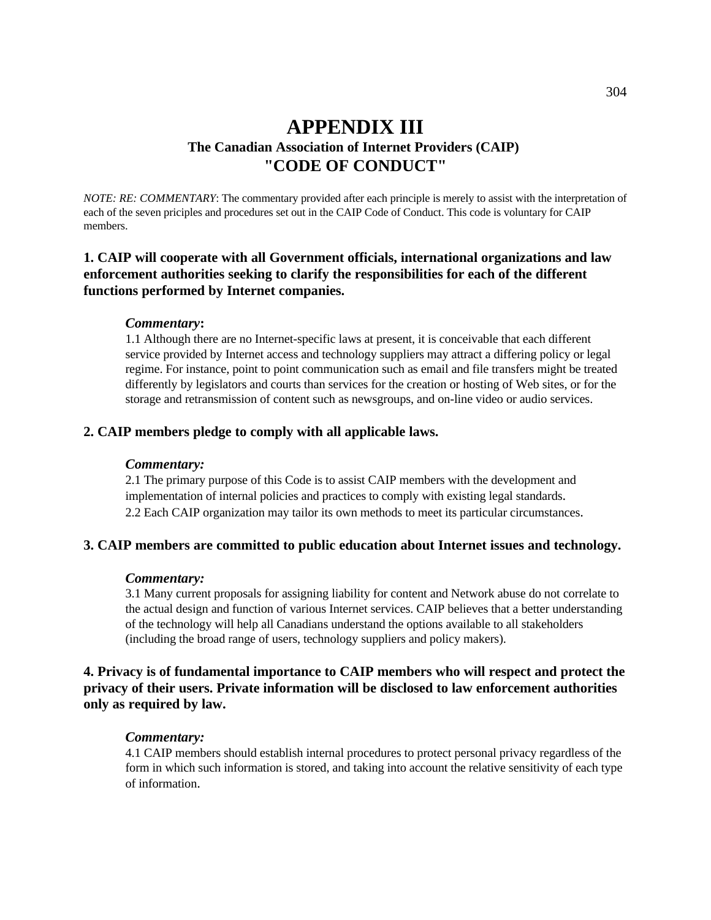## **APPENDIX III The Canadian Association of Internet Providers (CAIP) "CODE OF CONDUCT"**

*NOTE: RE: COMMENTARY*: The commentary provided after each principle is merely to assist with the interpretation of each of the seven priciples and procedures set out in the CAIP Code of Conduct. This code is voluntary for CAIP members.

## **1. CAIP will cooperate with all Government officials, international organizations and law enforcement authorities seeking to clarify the responsibilities for each of the different functions performed by Internet companies.**

#### *Commentary***:**

1.1 Although there are no Internet-specific laws at present, it is conceivable that each different service provided by Internet access and technology suppliers may attract a differing policy or legal regime. For instance, point to point communication such as email and file transfers might be treated differently by legislators and courts than services for the creation or hosting of Web sites, or for the storage and retransmission of content such as newsgroups, and on-line video or audio services.

#### **2. CAIP members pledge to comply with all applicable laws.**

#### *Commentary:*

2.1 The primary purpose of this Code is to assist CAIP members with the development and implementation of internal policies and practices to comply with existing legal standards. 2.2 Each CAIP organization may tailor its own methods to meet its particular circumstances.

## **3. CAIP members are committed to public education about Internet issues and technology.**

#### *Commentary:*

3.1 Many current proposals for assigning liability for content and Network abuse do not correlate to the actual design and function of various Internet services. CAIP believes that a better understanding of the technology will help all Canadians understand the options available to all stakeholders (including the broad range of users, technology suppliers and policy makers).

## **4. Privacy is of fundamental importance to CAIP members who will respect and protect the privacy of their users. Private information will be disclosed to law enforcement authorities only as required by law.**

#### *Commentary:*

4.1 CAIP members should establish internal procedures to protect personal privacy regardless of the form in which such information is stored, and taking into account the relative sensitivity of each type of information.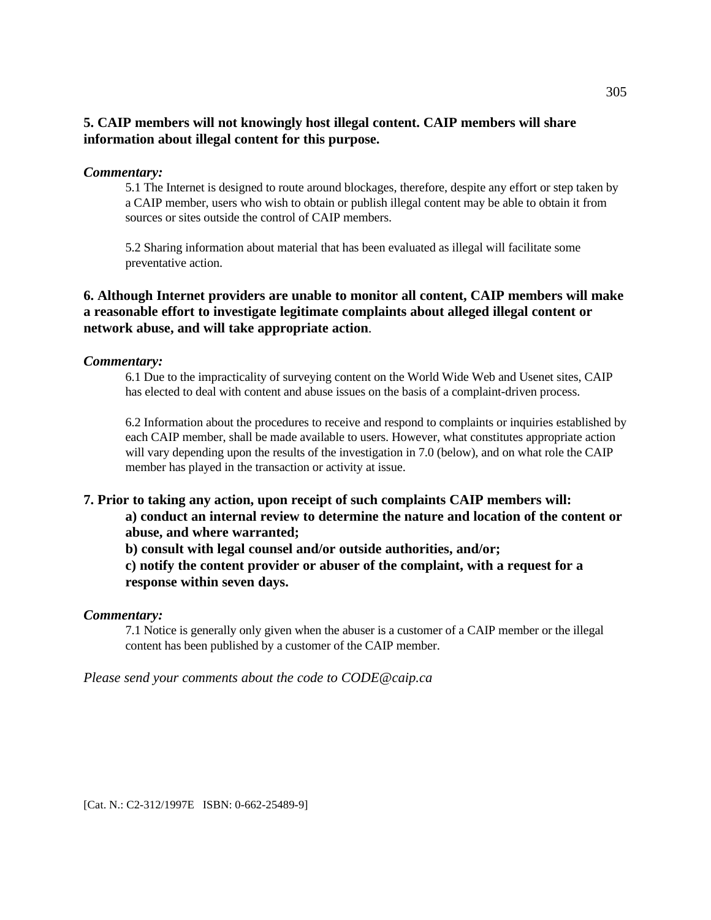## **5. CAIP members will not knowingly host illegal content. CAIP members will share information about illegal content for this purpose.**

## *Commentary:*

5.1 The Internet is designed to route around blockages, therefore, despite any effort or step taken by a CAIP member, users who wish to obtain or publish illegal content may be able to obtain it from sources or sites outside the control of CAIP members.

5.2 Sharing information about material that has been evaluated as illegal will facilitate some preventative action.

## **6. Although Internet providers are unable to monitor all content, CAIP members will make a reasonable effort to investigate legitimate complaints about alleged illegal content or network abuse, and will take appropriate action**.

#### *Commentary:*

6.1 Due to the impracticality of surveying content on the World Wide Web and Usenet sites, CAIP has elected to deal with content and abuse issues on the basis of a complaint-driven process.

6.2 Information about the procedures to receive and respond to complaints or inquiries established by each CAIP member, shall be made available to users. However, what constitutes appropriate action will vary depending upon the results of the investigation in 7.0 (below), and on what role the CAIP member has played in the transaction or activity at issue.

## **7. Prior to taking any action, upon receipt of such complaints CAIP members will:**

**a) conduct an internal review to determine the nature and location of the content or abuse, and where warranted;**

**b) consult with legal counsel and/or outside authorities, and/or;** 

**c) notify the content provider or abuser of the complaint, with a request for a response within seven days.**

#### *Commentary:*

7.1 Notice is generally only given when the abuser is a customer of a CAIP member or the illegal content has been published by a customer of the CAIP member.

*Please send your comments about the code to CODE@caip.ca*

[Cat. N.: C2-312/1997E ISBN: 0-662-25489-9]